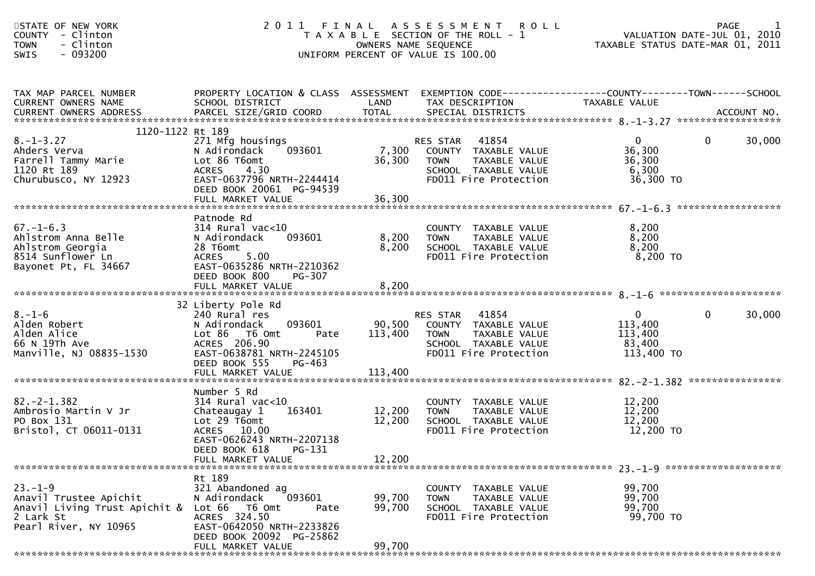| STATE OF NEW YORK<br><b>COUNTY</b><br>- Clinton<br>- Clinton<br><b>TOWN</b><br>$-093200$<br>SWIS                  |                                                                                                                                                                             |                            | 2011 FINAL ASSESSMENT<br><b>ROLL</b><br>T A X A B L E SECTION OF THE ROLL - 1<br>OWNERS NAME SEQUENCE<br>UNIFORM PERCENT OF VALUE IS 100.00 | PAGE 1<br>VALUATION DATE-JUL 01, 2010<br>TAXARLE STATUS DATE ULL 01, 2010 | TAXABLE STATUS DATE-MAR 01, 2011 |
|-------------------------------------------------------------------------------------------------------------------|-----------------------------------------------------------------------------------------------------------------------------------------------------------------------------|----------------------------|---------------------------------------------------------------------------------------------------------------------------------------------|---------------------------------------------------------------------------|----------------------------------|
| TAX MAP PARCEL NUMBER<br>CURRENT OWNERS NAME<br><b>CURRENT OWNERS ADDRESS</b>                                     | PROPERTY LOCATION & CLASS ASSESSMENT<br>SCHOOL DISTRICT                                                                                                                     | LAND                       | EXEMPTION CODE------------------COUNTY--------TOWN------SCHOOL<br>TAX DESCRIPTION                                                           | TAXABLE VALUE                                                             |                                  |
| 1120-1122 Rt 189<br>$8. - 1 - 3.27$<br>Ahders Verva<br>Farrell Tammy Marie<br>1120 Rt 189<br>Churubusco, NY 12923 | 271 Mfg housings<br>N Adirondack<br>093601<br>Lot 86 T6omt<br><b>ACRES</b><br>4.30<br>EAST-0637796 NRTH-2244414<br>DEED BOOK 20061 PG-94539                                 | 7,300<br>36,300            | 41854<br>RES STAR<br>COUNTY TAXABLE VALUE<br>TAXABLE VALUE<br><b>TOWN</b><br>SCHOOL TAXABLE VALUE<br>FD011 Fire Protection                  | $\overline{0}$<br>36,300<br>36,300<br>6,300<br>36,300 TO                  | 0<br>30,000                      |
| $67. - 1 - 6.3$<br>Ahlstrom Anna Belle<br>Ahlstrom Georgia<br>8514 Sunflower Ln<br>Bayonet Pt, FL 34667           | Patnode Rd<br>$314$ Rural vac< $10$<br>093601<br>N Adirondack<br>28 T6omt<br>5.00<br><b>ACRES</b><br>EAST-0635286 NRTH-2210362<br>DEED BOOK 800<br>PG-307                   | 8,200<br>8,200             | COUNTY TAXABLE VALUE<br><b>TOWN</b><br>TAXABLE VALUE<br>SCHOOL TAXABLE VALUE<br>FD011 Fire Protection                                       | 8,200<br>8,200<br>8,200<br>$8,200$ TO                                     |                                  |
| $8. - 1 - 6$<br>Alden Robert<br>Alden Alice<br>66 N 19Th Ave<br>Manville, NJ 08835-1530                           | 32 Liberty Pole Rd<br>240 Rural res<br>N Adirondack<br>093601<br>Lot 86 T6 Omt<br>Pate<br>ACRES 206.90<br>EAST-0638781 NRTH-2245105<br>DEED BOOK 555<br>PG-463              | 90,500<br>113,400          | RES STAR 41854<br>COUNTY TAXABLE VALUE<br>TAXABLE VALUE<br><b>TOWN</b><br>SCHOOL TAXABLE VALUE<br>FD011 Fire Protection                     | $\mathbf{0}$<br>113,400<br>113,400<br>83,400<br>113,400 TO                | $\mathbf{0}$<br>30,000           |
| $82 - 2 - 1.382$<br>Ambrosio Martin V Jr<br>PO Box 131<br>Bristol, CT 06011-0131                                  | Number 5 Rd<br>$314$ Rural vac<10<br>Chateaugay 1<br>163401<br>Lot 29 T6omt<br>ACRES 10.00<br>EAST-0626243 NRTH-2207138<br>DEED BOOK 618 PG-131<br>FULL MARKET VALUE        | 12,200<br>12,200<br>12,200 | COUNTY TAXABLE VALUE<br><b>TOWN</b><br>TAXABLE VALUE<br>SCHOOL TAXABLE VALUE<br>FD011 Fire Protection                                       | 12,200<br>12,200<br>12,200<br>12,200 TO                                   |                                  |
| $23 - 1 - 9$<br>Anavil Trustee Apichit<br>Anavil Living Trust Apichit &<br>2 Lark St<br>Pearl River, NY 10965     | Rt 189<br>321 Abandoned ag<br>093601<br>N Adirondack<br>Lot 66 T6 Omt<br>Pate<br>ACRES 324.50<br>EAST-0642050 NRTH-2233826<br>DEED BOOK 20092 PG-25862<br>FULL MARKET VALUE | 99,700<br>99,700<br>99,700 | COUNTY TAXABLE VALUE<br><b>TOWN</b><br>TAXABLE VALUE<br>SCHOOL TAXABLE VALUE<br>FD011 Fire Protection                                       | 99,700<br>99,700<br>99,700<br>99,700 TO                                   |                                  |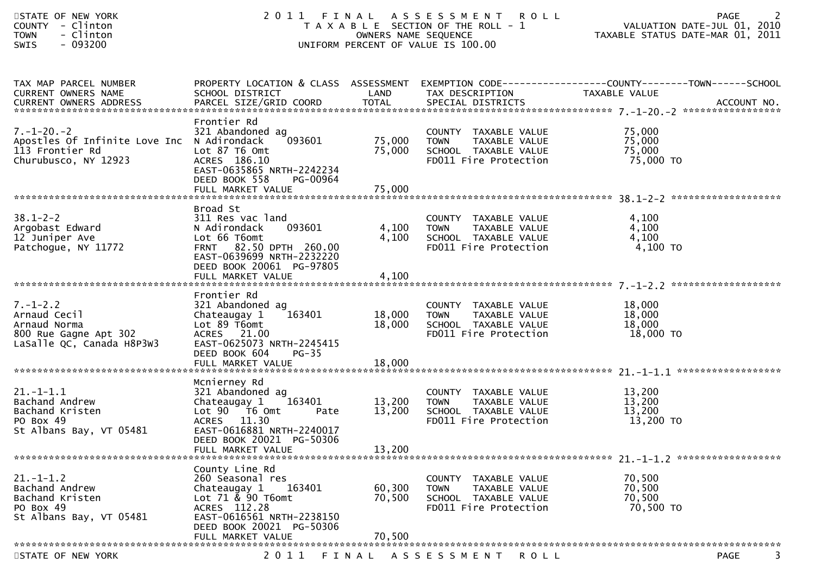| STATE OF NEW YORK<br>COUNTY - Clinton<br>- Clinton<br><b>TOWN</b><br>- 093200<br><b>SWIS</b>                |                                                                                                                                                                                    | OWNERS NAME SEQUENCE       | 2011 FINAL ASSESSMENT<br><b>ROLL</b><br>T A X A B L E SECTION OF THE ROLL - 1<br>UNIFORM PERCENT OF VALUE IS 100.00 | PAGE<br>VALUATION DATE-JUL 01, 2010<br>TAXABLE STATUS DATE-MAR 01, 2011                                           |
|-------------------------------------------------------------------------------------------------------------|------------------------------------------------------------------------------------------------------------------------------------------------------------------------------------|----------------------------|---------------------------------------------------------------------------------------------------------------------|-------------------------------------------------------------------------------------------------------------------|
| TAX MAP PARCEL NUMBER<br>CURRENT OWNERS NAME                                                                | SCHOOL DISTRICT                                                                                                                                                                    | LAND                       | TAX DESCRIPTION                                                                                                     | PROPERTY LOCATION & CLASS ASSESSMENT EXEMPTION CODE----------------COUNTY-------TOWN------SCHOOL<br>TAXABLE VALUE |
| $7. - 1 - 20. - 2$<br>Apostles Of Infinite Love Inc N Adirondack<br>113 Frontier Rd<br>Churubusco, NY 12923 | Frontier Rd<br>321 Abandoned ag<br>093601<br>Lot 87 T6 Omt<br>ACRES 186.10<br>EAST-0635865 NRTH-2242234<br>DEED BOOK 558<br>PG-00964                                               | 75,000<br>75,000           | COUNTY TAXABLE VALUE<br>TAXABLE VALUE<br><b>TOWN</b><br>SCHOOL TAXABLE VALUE<br>FD011 Fire Protection               | 75,000<br>75,000<br>75,000<br>75,000 TO                                                                           |
| $38.1 - 2 - 2$<br>Argobast Edward<br>12 Juniper Ave<br>Patchogue, NY 11772                                  | Broad St<br>311 Res vac land<br>093601<br>N Adirondack<br>Lot 66 T6omt<br>FRNT 82.50 DPTH 260.00<br>EAST-0639699 NRTH-2232220<br>DEED BOOK 20061 PG-97805<br>FULL MARKET VALUE     | 4,100<br>4,100<br>4,100    | COUNTY TAXABLE VALUE<br>TAXABLE VALUE<br>TOWN<br>SCHOOL TAXABLE VALUE<br>FD011 Fire Protection                      | 4,100<br>4,100<br>4,100<br>4,100 TO                                                                               |
| $7. - 1 - 2.2$<br>Arnaud Cecil<br>Arnaud Norma<br>800 Rue Gagne Apt 302<br>LaSalle QC, Canada H8P3W3        | Frontier Rd<br>321 Abandoned ag<br>Chateaugay 1<br>163401<br>Lot 89 T6omt<br>ACRES 21.00<br>EAST-0625073 NRTH-2245415<br>DEED BOOK 604<br>$PG-35$                                  | 18,000<br>18,000           | COUNTY TAXABLE VALUE<br>TAXABLE VALUE<br>TOWN<br>SCHOOL TAXABLE VALUE<br>FD011 Fire Protection                      | 18,000<br>18,000<br>18,000<br>18,000 TO                                                                           |
| $21. - 1 - 1.1$<br>Bachand Andrew<br>Bachand Kristen<br>PO Box 49<br>St Albans Bay, VT 05481                | Mcnierney Rd<br>321 Abandoned ag<br>163401<br>Chateaugay 1<br>Lot 90 T6 Omt<br>Pate<br>ACRES 11.30<br>EAST-0616881 NRTH-2240017<br>DEED BOOK 20021 PG-50306<br>FULL MARKET VALUE   | 13,200<br>13,200<br>13,200 | COUNTY TAXABLE VALUE<br><b>TOWN</b><br>TAXABLE VALUE<br>SCHOOL TAXABLE VALUE<br>FD011 Fire Protection               | 13,200<br>13,200<br>13,200<br>13,200 TO                                                                           |
| $21. - 1 - 1.2$<br>Bachand Andrew<br>Bachand Kristen<br>PO Box 49<br>St Albans Bay, VT 05481                | County Line Rd<br>260 Seasonal res<br>Chateaugay 1<br>163401<br>Lot $71 \& 90$ T6omt<br>ACRES 112.28<br>EAST-0616561 NRTH-2238150<br>DEED BOOK 20021 PG-50306<br>FULL MARKET VALUE | 60,300<br>70,500<br>70,500 | COUNTY TAXABLE VALUE<br><b>TOWN</b><br><b>TAXABLE VALUE</b><br>SCHOOL TAXABLE VALUE<br>FD011 Fire Protection        | 70,500<br>70,500<br>70,500<br>70,500 TO                                                                           |
| STATE OF NEW YORK                                                                                           | 2 0 1 1                                                                                                                                                                            | FINAL                      | A S S E S S M E N T<br><b>ROLL</b>                                                                                  | <b>PAGE</b><br>3                                                                                                  |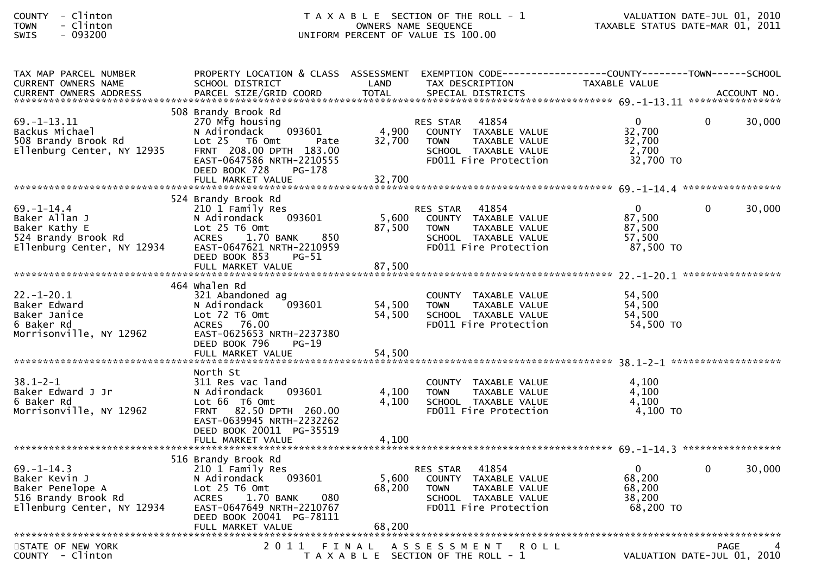| <b>COUNTY</b>  | Clinton |
|----------------|---------|
| <b>TOWN</b>    | Clinton |
| <b>CINIT C</b> | nazznn  |

| TAX MAP PARCEL NUMBER<br><b>CURRENT OWNERS NAME</b>                                                        | PROPERTY LOCATION & CLASS ASSESSMENT EXEMPTION CODE----------------COUNTY--------TOWN------SCHOOL<br>SCHOOL DISTRICT                                                                              | LAND                      | TAX DESCRIPTION                                                                                                            | TAXABLE VALUE                                             |          |             |
|------------------------------------------------------------------------------------------------------------|---------------------------------------------------------------------------------------------------------------------------------------------------------------------------------------------------|---------------------------|----------------------------------------------------------------------------------------------------------------------------|-----------------------------------------------------------|----------|-------------|
| <b>CURRENT OWNERS ADDRESS</b>                                                                              | PARCEL SIZE/GRID COORD                                                                                                                                                                            | <b>TOTAL</b>              | SPECIAL DISTRICTS                                                                                                          |                                                           |          | ACCOUNT NO. |
| $69. - 1 - 13.11$<br>Backus Michael<br>508 Brandy Brook Rd<br>Ellenburg Center, NY 12935                   | 508 Brandy Brook Rd<br>270 Mfg housing<br>N Adirondack<br>093601<br>Lot 25 T6 Omt<br>Pate<br>FRNT 208.00 DPTH 183.00<br>EAST-0647586 NRTH-2210555<br>DEED BOOK 728<br>PG-178<br>FULL MARKET VALUE | 4,900<br>32,700<br>32,700 | RES STAR 41854<br>COUNTY TAXABLE VALUE<br><b>TOWN</b><br>TAXABLE VALUE<br>SCHOOL TAXABLE VALUE<br>FD011 Fire Protection    | $\mathbf{0}$<br>32,700<br>32,700<br>2,700<br>32,700 TO    | $\Omega$ | 30,000      |
|                                                                                                            | 524 Brandy Brook Rd                                                                                                                                                                               |                           |                                                                                                                            |                                                           |          |             |
| $69. - 1 - 14.4$<br>Baker Allan J<br>Baker Kathy E<br>524 Brandy Brook Rd<br>Ellenburg Center, NY 12934    | 210 1 Family Res<br>093601<br>N Adirondack<br>Lot 25 T6 Omt<br>850<br><b>ACRES</b><br>1.70 BANK<br>EAST-0647621 NRTH-2210959<br>DEED BOOK 853<br>$PG-51$                                          | 5,600<br>87,500           | 41854<br>RES STAR<br>COUNTY TAXABLE VALUE<br>TAXABLE VALUE<br><b>TOWN</b><br>SCHOOL TAXABLE VALUE<br>FD011 Fire Protection | $\overline{0}$<br>87,500<br>87,500<br>57,500<br>87,500 TO | $\Omega$ | 30,000      |
|                                                                                                            |                                                                                                                                                                                                   |                           |                                                                                                                            |                                                           |          |             |
| $22. - 1 - 20.1$<br>Baker Edward<br>Baker Janice<br>6 Baker Rd<br>Morrisonville, NY 12962                  | 464 whalen Rd<br>321 Abandoned ag<br>093601<br>N Adirondack<br>$Lot$ $72$ $T6$ $Omt$<br>ACRES 76.00<br>EAST-0625653 NRTH-2237380<br>DEED BOOK 796<br>$PG-19$                                      | 54,500<br>54,500          | COUNTY TAXABLE VALUE<br><b>TOWN</b><br>TAXABLE VALUE<br>SCHOOL TAXABLE VALUE<br>FD011 Fire Protection                      | 54,500<br>54,500<br>54,500<br>54,500 TO                   |          |             |
|                                                                                                            |                                                                                                                                                                                                   |                           |                                                                                                                            |                                                           |          |             |
| $38.1 - 2 - 1$<br>Baker Edward J Jr<br>6 Baker Rd<br>Morrisonville, NY 12962                               | North St<br>311 Res vac land<br>N Adirondack<br>093601<br>Lot 66 T6 Omt<br>FRNT 82.50 DPTH 260.00<br>EAST-0639945 NRTH-2232262<br>DEED BOOK 20011 PG-35519                                        | 4,100<br>4,100            | COUNTY TAXABLE VALUE<br>TAXABLE VALUE<br><b>TOWN</b><br>SCHOOL TAXABLE VALUE<br>FD011 Fire Protection                      | 4,100<br>4,100<br>4,100<br>4,100 TO                       |          |             |
|                                                                                                            | 516 Brandy Brook Rd                                                                                                                                                                               |                           |                                                                                                                            |                                                           |          |             |
| $69. - 1 - 14.3$<br>Baker Kevin J<br>Baker Penelope A<br>516 Brandy Brook Rd<br>Ellenburg Center, NY 12934 | 210 1 Family Res<br>093601<br>N Adirondack<br>Lot 25 T6 Omt<br>ACRES<br>1.70 BANK<br>080<br>EAST-0647649 NRTH-2210767<br>DEED BOOK 20041 PG-78111                                                 | 5,600<br>68,200           | 41854<br>RES STAR<br>COUNTY TAXABLE VALUE<br>TAXABLE VALUE<br><b>TOWN</b><br>SCHOOL TAXABLE VALUE<br>FD011 Fire Protection | $\mathbf{0}$<br>68,200<br>68,200<br>38,200<br>68,200 TO   | $\Omega$ | 30,000      |
|                                                                                                            |                                                                                                                                                                                                   |                           |                                                                                                                            |                                                           |          |             |
| STATE OF NEW YORK<br>COUNTY - Clinton                                                                      |                                                                                                                                                                                                   |                           | 2011 FINAL ASSESSMENT<br><b>ROLL</b><br>T A X A B L E SECTION OF THE ROLL - 1                                              | VALUATION DATE-JUL 01, 2010                               | PAGE     |             |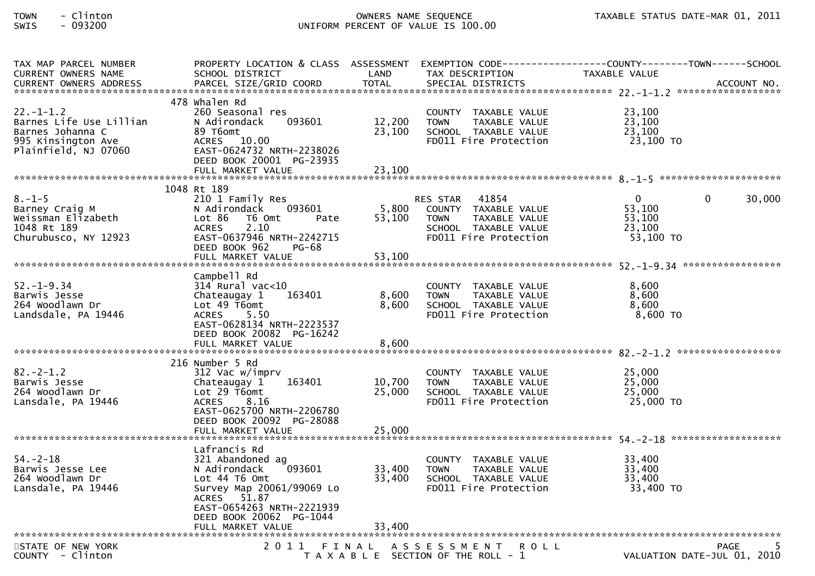| TAX MAP PARCEL NUMBER      |                                                   |        |                                       | PROPERTY LOCATION & CLASS ASSESSMENT EXEMPTION CODE----------------COUNTY-------TOWN------SCHOOL |        |
|----------------------------|---------------------------------------------------|--------|---------------------------------------|--------------------------------------------------------------------------------------------------|--------|
| <b>CURRENT OWNERS NAME</b> | SCHOOL DISTRICT                                   | LAND   | TAX DESCRIPTION                       | TAXABLE VALUE                                                                                    |        |
|                            |                                                   |        |                                       |                                                                                                  |        |
|                            |                                                   |        |                                       |                                                                                                  |        |
|                            | 478 Whalen Rd                                     |        |                                       |                                                                                                  |        |
| $22. - 1 - 1.2$            | 260 Seasonal res                                  |        | COUNTY TAXABLE VALUE                  | 23,100                                                                                           |        |
| Barnes Life Use Lillian    | 093601<br>N Adirondack                            | 12,200 | <b>TOWN</b><br>TAXABLE VALUE          | 23,100                                                                                           |        |
| Barnes Johanna C           | 89 T6omt                                          | 23,100 | SCHOOL TAXABLE VALUE                  | 23,100                                                                                           |        |
| 995 Kinsington Ave         | ACRES 10.00                                       |        | FD011 Fire Protection                 | 23,100 TO                                                                                        |        |
| Plainfield, NJ 07060       | EAST-0624732 NRTH-2238026                         |        |                                       |                                                                                                  |        |
|                            | DEED BOOK 20001 PG-23935                          |        |                                       |                                                                                                  |        |
|                            |                                                   |        |                                       |                                                                                                  |        |
|                            |                                                   |        |                                       |                                                                                                  |        |
|                            | 1048 Rt 189                                       |        |                                       |                                                                                                  |        |
| $8. - 1 - 5$               | 210 1 Family Res                                  |        | RES STAR 41854                        | $\mathbf{0}$<br>$\overline{0}$                                                                   | 30,000 |
| Barney Craig M             | 093601<br>N Adirondack                            | 5,800  | COUNTY TAXABLE VALUE                  | 53,100                                                                                           |        |
| Weissman Elizabeth         | Lot 86<br>T6 Omt<br>Pate                          | 53,100 | <b>TOWN</b><br>TAXABLE VALUE          | 53,100                                                                                           |        |
| 1048 Rt 189                | 2.10<br><b>ACRES</b><br>EAST-0637946 NRTH-2242715 |        | SCHOOL TAXABLE VALUE                  | 23,100                                                                                           |        |
| Churubusco, NY 12923       |                                                   |        | FD011 Fire Protection                 | 53,100 TO                                                                                        |        |
|                            | DEED BOOK 962<br><b>PG-68</b>                     |        |                                       |                                                                                                  |        |
|                            |                                                   |        |                                       |                                                                                                  |        |
|                            | Campbell Rd                                       |        |                                       |                                                                                                  |        |
| $52. - 1 - 9.34$           | $314$ Rural vac< $10$                             |        |                                       | 8,600                                                                                            |        |
| Barwis Jesse               | 163401                                            | 8,600  | COUNTY TAXABLE VALUE<br><b>TOWN</b>   | 8,600                                                                                            |        |
| 264 Woodlawn Dr            | Chateaugay 1<br>Lot 49 T6omt                      | 8,600  | TAXABLE VALUE<br>SCHOOL TAXABLE VALUE | 8,600                                                                                            |        |
| Landsdale, PA 19446        | ACRES 5.50                                        |        | FD011 Fire Protection                 | 8,600 TO                                                                                         |        |
|                            | EAST-0628134 NRTH-2223537                         |        |                                       |                                                                                                  |        |
|                            | DEED BOOK 20082 PG-16242                          |        |                                       |                                                                                                  |        |
|                            | FULL MARKET VALUE                                 | 8,600  |                                       |                                                                                                  |        |
|                            |                                                   |        |                                       |                                                                                                  |        |
|                            | 216 Number 5 Rd                                   |        |                                       |                                                                                                  |        |
| $82 - 2 - 1.2$             | 312 Vac w/imprv                                   |        | COUNTY TAXABLE VALUE                  | 25,000                                                                                           |        |
| Barwis Jesse               | 163401<br>Chateaugay 1                            | 10.700 | <b>TOWN</b><br>TAXABLE VALUE          | 25,000                                                                                           |        |
| 264 Woodlawn Dr            | Lot 29 T6omt                                      | 25,000 | SCHOOL TAXABLE VALUE                  | 25,000                                                                                           |        |
| Lansdale, PA 19446         | <b>ACRES</b><br>8.16                              |        | FD011 Fire Protection                 | 25,000 TO                                                                                        |        |
|                            | EAST-0625700 NRTH-2206780                         |        |                                       |                                                                                                  |        |
|                            | DEED BOOK 20092 PG-28088                          |        |                                       |                                                                                                  |        |
|                            |                                                   |        |                                       |                                                                                                  |        |
|                            |                                                   |        |                                       |                                                                                                  |        |
|                            | Lafrancis Rd                                      |        |                                       |                                                                                                  |        |
| $54. - 2 - 18$             | 321 Abandoned ag                                  |        | COUNTY TAXABLE VALUE                  | 33,400                                                                                           |        |
| Barwis Jesse Lee           | 093601<br>N Adirondack                            | 33,400 | <b>TOWN</b><br>TAXABLE VALUE          | 33,400                                                                                           |        |
| 264 Woodlawn Dr            | Lot 44 76 0mt                                     | 33,400 | SCHOOL TAXABLE VALUE                  | 33,400                                                                                           |        |
| Lansdale, PA 19446         | Survey Map 20061/99069 Lo                         |        | FD011 Fire Protection                 | 33,400 TO                                                                                        |        |
|                            | ACRES 51.87                                       |        |                                       |                                                                                                  |        |
|                            | EAST-0654263 NRTH-2221939                         |        |                                       |                                                                                                  |        |
|                            | DEED BOOK 20062 PG-1044                           |        |                                       |                                                                                                  |        |
|                            |                                                   |        |                                       |                                                                                                  |        |
|                            |                                                   |        |                                       |                                                                                                  |        |
| STATE OF NEW YORK          |                                                   |        | 2011 FINAL ASSESSMENT<br><b>ROLL</b>  | PAGE                                                                                             |        |
| COUNTY - Clinton           |                                                   |        | T A X A B L E SECTION OF THE ROLL - 1 | VALUATION DATE-JUL 01, 2010                                                                      |        |
|                            |                                                   |        |                                       |                                                                                                  |        |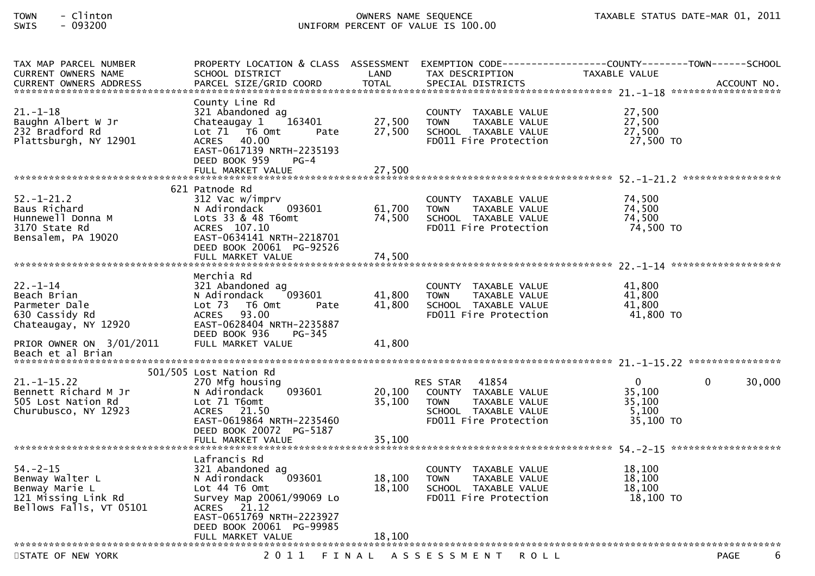| TAX MAP PARCEL NUMBER                                                                                 | PROPERTY LOCATION & CLASS ASSESSMENT                                                                                                                                                       |                            | EXEMPTION CODE--                                                                                                                  | ---------------COUNTY--------TOWN------SCHOOL |             |
|-------------------------------------------------------------------------------------------------------|--------------------------------------------------------------------------------------------------------------------------------------------------------------------------------------------|----------------------------|-----------------------------------------------------------------------------------------------------------------------------------|-----------------------------------------------|-------------|
| <b>CURRENT OWNERS NAME</b><br><b>CURRENT OWNERS ADDRESS</b>                                           | SCHOOL DISTRICT<br>PARCEL SIZE/GRID COORD                                                                                                                                                  | LAND<br><b>TOTAL</b>       | TAX DESCRIPTION<br>SPECIAL DISTRICTS                                                                                              | TAXABLE VALUE                                 | ACCOUNT NO. |
|                                                                                                       |                                                                                                                                                                                            |                            |                                                                                                                                   |                                               |             |
| $21. - 1 - 18$<br>Baughn Albert W Jr<br>232 Bradford Rd<br>Plattsburgh, NY 12901                      | County Line Rd<br>321 Abandoned ag<br>Chateaugay 1<br>163401<br>Lot 71 T6 Omt<br>Pate<br>40.00<br>ACRES<br>EAST-0617139 NRTH-2235193<br>DEED BOOK 959<br>$PG-4$                            | 27,500<br>27,500           | COUNTY TAXABLE VALUE<br>TAXABLE VALUE<br><b>TOWN</b><br>SCHOOL TAXABLE VALUE<br>FD011 Fire Protection                             | 27,500<br>27,500<br>27,500<br>27,500 TO       |             |
|                                                                                                       | FULL MARKET VALUE                                                                                                                                                                          | 27,500                     |                                                                                                                                   |                                               |             |
|                                                                                                       |                                                                                                                                                                                            |                            |                                                                                                                                   |                                               |             |
| $52. - 1 - 21.2$<br>Baus Richard<br>Hunnewell Donna M<br>3170 State Rd<br>Bensalem, PA 19020          | 621 Patnode Rd<br>312 Vac w/imprv<br>N Adirondack<br>093601<br>Lots 33 & 48 T6omt<br>ACRES 107.10<br>EAST-0634141 NRTH-2218701<br>DEED BOOK 20061 PG-92526                                 | 61,700<br>74,500           | COUNTY TAXABLE VALUE<br><b>TOWN</b><br>TAXABLE VALUE<br>SCHOOL TAXABLE VALUE<br>FD011 Fire Protection                             | 74,500<br>74,500<br>74,500<br>74,500 TO       |             |
|                                                                                                       | FULL MARKET VALUE                                                                                                                                                                          | 74,500                     |                                                                                                                                   |                                               |             |
|                                                                                                       | Merchia Rd                                                                                                                                                                                 |                            |                                                                                                                                   |                                               |             |
| $22 - 1 - 14$<br>Beach Brian<br>Parmeter Dale<br>630 Cassidy Rd<br>Chateaugay, NY 12920               | 321 Abandoned ag<br>093601<br>N Adirondack<br>Lot 73<br>T6 Omt<br>Pate<br>ACRES<br>93.00<br>EAST-0628404 NRTH-2235887                                                                      | 41,800<br>41,800           | COUNTY TAXABLE VALUE<br>TAXABLE VALUE<br><b>TOWN</b><br>SCHOOL TAXABLE VALUE<br>FD011 Fire Protection                             | 41,800<br>41,800<br>41,800<br>$41,800$ TO     |             |
| PRIOR OWNER ON 3/01/2011<br>Beach et al Brian                                                         | DEED BOOK 936<br>PG-345<br>FULL MARKET VALUE                                                                                                                                               | 41.800                     |                                                                                                                                   |                                               |             |
|                                                                                                       | 501/505 Lost Nation Rd                                                                                                                                                                     |                            |                                                                                                                                   |                                               |             |
| $21. - 1 - 15.22$<br>Bennett Richard M Jr<br>505 Lost Nation Rd<br>Churubusco, NY 12923               | 270 Mfg housing<br>093601<br>N Adirondack<br>Lot 71 T6omt<br>ACRES 21.50<br>EAST-0619864 NRTH-2235460<br>DEED BOOK 20072 PG-5187<br>FULL MARKET VALUE                                      | 20,100<br>35,100<br>35,100 | 41854<br><b>RES STAR</b><br>COUNTY TAXABLE VALUE<br><b>TOWN</b><br>TAXABLE VALUE<br>SCHOOL TAXABLE VALUE<br>FD011 Fire Protection | 0<br>35,100<br>35,100<br>5,100<br>35,100 TO   | 0<br>30,000 |
|                                                                                                       |                                                                                                                                                                                            |                            |                                                                                                                                   |                                               |             |
| $54. - 2 - 15$<br>Benway Walter L<br>Benway Marie L<br>121 Missing Link Rd<br>Bellows Falls, VT 05101 | Latrancis Rd<br>321 Abandoned ag<br>093601<br>N Adirondack<br>Lot 44 76 0mt<br>Survey Map 20061/99069 Lo<br>21.12<br><b>ACRES</b><br>EAST-0651769 NRTH-2223927<br>DEED BOOK 20061 PG-99985 | 18,100<br>18,100           | COUNTY TAXABLE VALUE<br><b>TOWN</b><br>TAXABLE VALUE<br>SCHOOL TAXABLE VALUE<br>FD011 Fire Protection                             | 18,100<br>18,100<br>18,100<br>18,100 TO       |             |
| ******************************                                                                        | FULL MARKET VALUE                                                                                                                                                                          | 18,100                     |                                                                                                                                   |                                               |             |
| STATE OF NEW YORK                                                                                     | 2011                                                                                                                                                                                       | FINAL                      | A S S E S S M E N T<br>ROLL                                                                                                       |                                               | 6<br>PAGE   |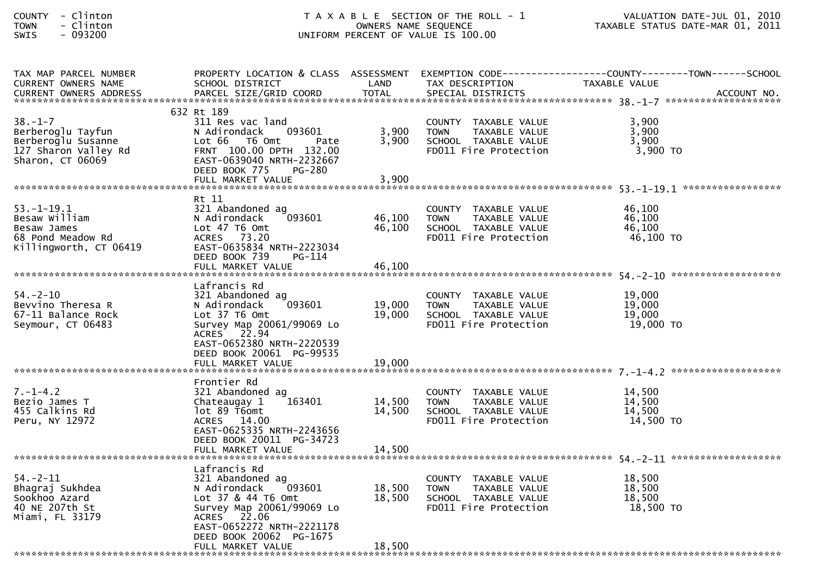| <b>COUNTY</b> |   | Clinton  |
|---------------|---|----------|
| <b>TOWN</b>   | - | Clinton  |
| CUTC          |   | . nassan |

| TAX MAP PARCEL NUMBER      |                                          |        |                              | PROPERTY LOCATION & CLASS ASSESSMENT EXEMPTION CODE----------------COUNTY-------TOWN------SCHOOL |
|----------------------------|------------------------------------------|--------|------------------------------|--------------------------------------------------------------------------------------------------|
| <b>CURRENT OWNERS NAME</b> | SCHOOL DISTRICT                          | LAND   | TAX DESCRIPTION              | TAXABLE VALUE                                                                                    |
|                            |                                          |        |                              |                                                                                                  |
|                            |                                          |        |                              |                                                                                                  |
|                            | 632 Rt 189                               |        |                              |                                                                                                  |
| $38. - 1 - 7$              | 311 Res vac land                         |        | COUNTY TAXABLE VALUE         | 3,900                                                                                            |
| Berberoglu Tayfun          | N Adirondack<br>093601                   | 3,900  | TAXABLE VALUE<br><b>TOWN</b> | 3,900                                                                                            |
| Berberoglu Susanne         | Lot 66 T6 Omt<br>Pate                    | 3,900  | SCHOOL TAXABLE VALUE         | 3,900                                                                                            |
| 127 Sharon Valley Rd       | FRNT 100.00 DPTH 132.00                  |        | FD011 Fire Protection        | 3,900 TO                                                                                         |
| Sharon, CT 06069           | EAST-0639040 NRTH-2232667                |        |                              |                                                                                                  |
|                            | DEED BOOK 775<br><b>PG-280</b>           |        |                              |                                                                                                  |
|                            |                                          |        |                              |                                                                                                  |
|                            |                                          |        |                              |                                                                                                  |
|                            | Rt 11                                    |        |                              |                                                                                                  |
| $53. - 1 - 19.1$           | 321 Abandoned ag                         |        | COUNTY TAXABLE VALUE         | 46,100                                                                                           |
| Besaw William              | 093601<br>N Adirondack                   | 46,100 | TAXABLE VALUE<br><b>TOWN</b> | 46,100                                                                                           |
| Besaw James                | Lot 47 T6 Omt                            | 46,100 | SCHOOL TAXABLE VALUE         | 46,100                                                                                           |
| 68 Pond Meadow Rd          | ACRES 73.20                              |        | FD011 Fire Protection        | 46,100 TO                                                                                        |
| Killingworth, CT 06419     | EAST-0635834 NRTH-2223034                |        |                              |                                                                                                  |
|                            | DEED BOOK 739<br>PG-114                  |        |                              |                                                                                                  |
|                            | FULL MARKET VALUE                        | 46,100 |                              |                                                                                                  |
|                            |                                          |        |                              |                                                                                                  |
|                            | Lafrancis Rd                             |        |                              |                                                                                                  |
| $54. - 2 - 10$             | 321 Abandoned ag<br>093601               |        | COUNTY TAXABLE VALUE         | 19,000                                                                                           |
| Bevvino Theresa R          | N Adirondack                             | 19,000 | <b>TOWN</b><br>TAXABLE VALUE | 19,000                                                                                           |
| 67-11 Balance Rock         | $Lot$ 37 T6 Omt                          | 19,000 | SCHOOL TAXABLE VALUE         | 19,000                                                                                           |
| Seymour, CT 06483          | Survey Map 20061/99069 Lo<br>ACRES 22.94 |        | FD011 Fire Protection        | 19,000 TO                                                                                        |
|                            | EAST-0652380 NRTH-2220539                |        |                              |                                                                                                  |
|                            | DEED BOOK 20061 PG-99535                 |        |                              |                                                                                                  |
|                            |                                          |        |                              |                                                                                                  |
|                            |                                          |        |                              |                                                                                                  |
|                            | Frontier Rd                              |        |                              |                                                                                                  |
| $7. - 1 - 4.2$             | 321 Abandoned ag                         |        | COUNTY TAXABLE VALUE         | 14,500                                                                                           |
| Bezio James T              | 163401<br>Chateaugay 1                   | 14,500 | <b>TOWN</b><br>TAXABLE VALUE | 14,500                                                                                           |
| 455 Calkins Rd             | lot 89 T6omt                             | 14,500 | SCHOOL TAXABLE VALUE         | 14,500                                                                                           |
| Peru, NY 12972             | ACRES 14.00                              |        | FD011 Fire Protection        | 14,500 TO                                                                                        |
|                            | EAST-0625335 NRTH-2243656                |        |                              |                                                                                                  |
|                            | DEED BOOK 20011 PG-34723                 |        |                              |                                                                                                  |
|                            | FULL MARKET VALUE                        | 14,500 |                              |                                                                                                  |
|                            |                                          |        |                              |                                                                                                  |
|                            | Lafrancis Rd                             |        |                              |                                                                                                  |
| 54. – 2–11                 | 321 Abandoned ag                         |        | COUNTY TAXABLE VALUE         | 18,500                                                                                           |
| Bhagraj Sukhdea            | 093601<br>N Adirondack                   | 18,500 | TAXABLE VALUE<br>TOWN        | 18,500                                                                                           |
| Sookhoo Azard              | Lot 37 & 44 T6 Omt                       | 18,500 | SCHOOL TAXABLE VALUE         | 18,500                                                                                           |
| 40 NE 207th St             | Survey Map 20061/99069 Lo                |        | FD011 Fire Protection        | 18,500 TO                                                                                        |
| Miami, FL 33179            | ACRES 22.06                              |        |                              |                                                                                                  |
|                            | EAST-0652272 NRTH-2221178                |        |                              |                                                                                                  |
|                            | DEED BOOK 20062 PG-1675                  |        |                              |                                                                                                  |
|                            | FULL MARKET VALUE                        | 18,500 |                              |                                                                                                  |
|                            |                                          |        |                              |                                                                                                  |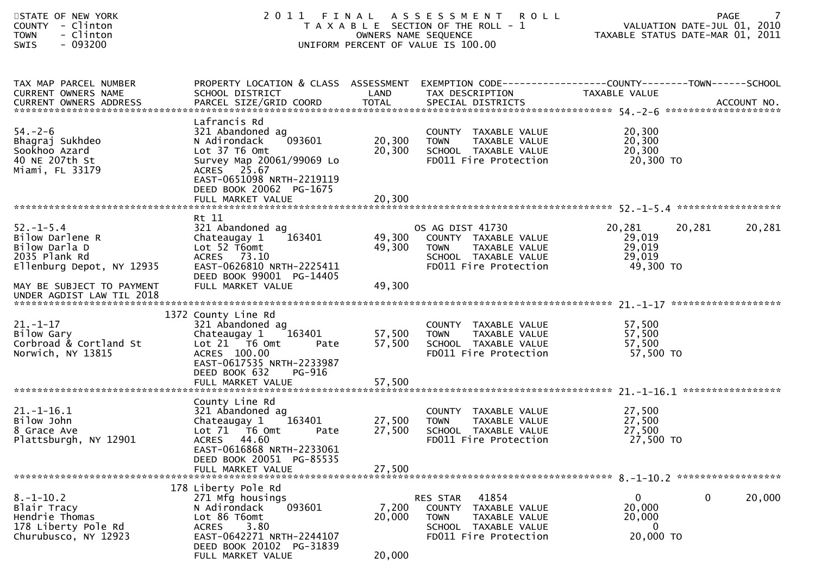| STATE OF NEW YORK<br>COUNTY - Clinton<br>- Clinton<br><b>TOWN</b><br>- 093200<br><b>SWIS</b>      |                                                                                                                                                                                         | OWNERS NAME SEQUENCE       | 2011 FINAL ASSESSMENT ROLL<br>T A X A B L E SECTION OF THE ROLL - 1<br>UNIFORM PERCENT OF VALUE IS 100.00                            |                                                                   | <b>PAGE</b><br>VALUATION DATE-JUL 01, 2010<br>TAXABLE STATUS DATE-MAR 01, 2011 |
|---------------------------------------------------------------------------------------------------|-----------------------------------------------------------------------------------------------------------------------------------------------------------------------------------------|----------------------------|--------------------------------------------------------------------------------------------------------------------------------------|-------------------------------------------------------------------|--------------------------------------------------------------------------------|
| TAX MAP PARCEL NUMBER<br>CURRENT OWNERS NAME<br>CURRENT OWNERS ADDRESS                            | PROPERTY LOCATION & CLASS ASSESSMENT EXEMPTION CODE----------------COUNTY-------TOWN------SCHOOL<br>SCHOOL DISTRICT                                                                     | LAND                       | TAX DESCRIPTION                                                                                                                      | TAXABLE VALUE                                                     |                                                                                |
| $54. - 2 - 6$<br>Bhagraj Sukhdeo<br>Sookhoo Azard<br>40 NE 207th St<br>Miami, FL 33179            | Lafrancis Rd<br>321 Abandoned ag<br>093601<br>N Adirondack<br>Lot 37 T6 Omt<br>Survey Map 20061/99069 Lo<br>ACRES 25.67<br>EAST-0651098 NRTH-2219119<br>DEED BOOK 20062 PG-1675         | 20,300<br>20,300           | COUNTY TAXABLE VALUE<br><b>TOWN</b><br>TAXABLE VALUE<br>SCHOOL TAXABLE VALUE<br>FD011 Fire Protection                                | 20,300<br>20,300<br>20,300<br>20,300 TO                           |                                                                                |
|                                                                                                   | Rt 11                                                                                                                                                                                   |                            |                                                                                                                                      |                                                                   |                                                                                |
| $52. - 1 - 5.4$<br>Bilow Darlene R<br>Bilow Darla D<br>2035 Plank Rd<br>Ellenburg Depot, NY 12935 | 321 Abandoned ag<br>Chateaugay 1 163401<br>Lot 52 T6omt<br>ACRES 73.10<br>EAST-0626810 NRTH-2225411<br>DEED BOOK 99001 PG-14405                                                         | 49,300<br>49,300           | OS AG DIST 41730<br>COUNTY TAXABLE VALUE<br><b>TOWN</b><br>TAXABLE VALUE<br>SCHOOL TAXABLE VALUE<br>FD011 Fire Protection            | 20,281<br>29,019<br>29,019<br>29,019<br>49,300 TO                 | 20,281<br>20,281                                                               |
| MAY BE SUBJECT TO PAYMENT<br>UNDER AGDIST LAW TIL 2018                                            | FULL MARKET VALUE                                                                                                                                                                       | 49,300                     |                                                                                                                                      |                                                                   |                                                                                |
| $21 - 1 - 17$<br>Bilow Gary<br>Corbroad & Cortland St<br>Norwich, NY 13815                        | 1372 County Line Rd<br>321 Abandoned ag<br>Chateaugay 1<br>163401<br>Lot 21 76 0mt<br>Pate<br>ACRES 100.00<br>EAST-0617535 NRTH-2233987<br>DEED BOOK 632<br>PG-916<br>FULL MARKET VALUE | 57,500<br>57,500<br>57,500 | COUNTY TAXABLE VALUE<br><b>TOWN</b><br>TAXABLE VALUE<br>SCHOOL TAXABLE VALUE<br>FD011 Fire Protection                                | 57,500<br>57,500<br>57,500<br>57,500 TO                           |                                                                                |
|                                                                                                   | County Line Rd                                                                                                                                                                          |                            |                                                                                                                                      |                                                                   |                                                                                |
| $21.-1-16.1$<br>Bilow John<br>8 Grace Ave<br>Plattsburgh, NY 12901                                | 321 Abandoned ag<br>Chateaugay 1 163401<br>Lot 71  T6 0mt<br>Pate<br>ACRES 44.60<br>EAST-0616868 NRTH-2233061                                                                           | 27,500<br>27,500           | COUNTY TAXABLE VALUE<br>TAXABLE VALUE<br><b>TOWN</b><br>SCHOOL TAXABLE VALUE<br>FD011 Fire Protection                                | 27,500<br>27,500<br>27,500<br>27,500 TO                           |                                                                                |
|                                                                                                   | DEED BOOK 20051 PG-85535<br>FULL MARKET VALUE                                                                                                                                           | 27,500                     |                                                                                                                                      |                                                                   |                                                                                |
| $8. - 1 - 10.2$<br>Blair Tracy<br>Hendrie Thomas<br>178 Liberty Pole Rd<br>Churubusco, NY 12923   | 178 Liberty Pole Rd<br>271 Mfg housings<br>N Adirondack<br>093601<br>Lot 86 T6omt<br><b>ACRES</b><br>3.80<br>EAST-0642271 NRTH-2244107<br>DEED BOOK 20102 PG-31839<br>FULL MARKET VALUE | 7,200<br>20,000<br>20,000  | RES STAR<br>41854<br><b>COUNTY</b><br>TAXABLE VALUE<br><b>TOWN</b><br>TAXABLE VALUE<br>SCHOOL TAXABLE VALUE<br>FD011 Fire Protection | $\overline{0}$<br>20,000<br>20,000<br>$\overline{0}$<br>20,000 TO | 0<br>20,000                                                                    |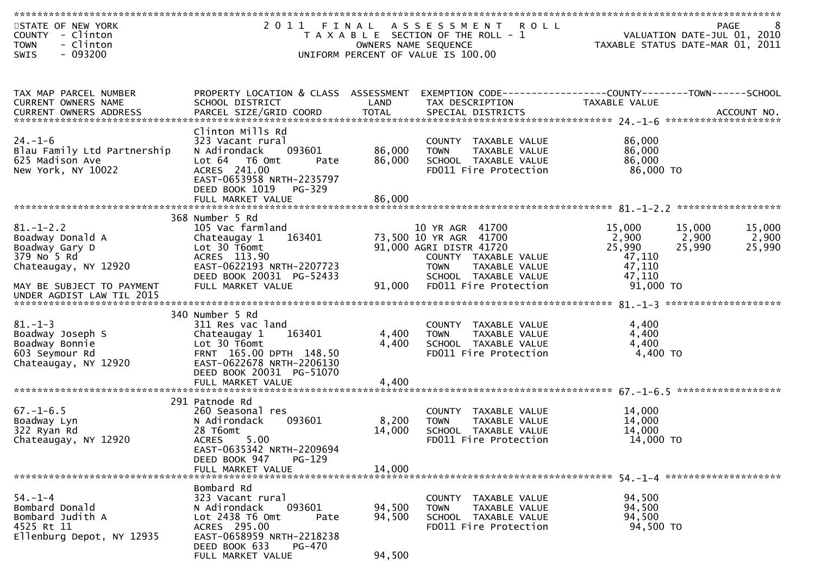| STATE OF NEW YORK<br>COUNTY - Clinton<br>- Clinton<br><b>TOWN</b><br>- 093200<br><b>SWIS</b>   |                                                                                                                                                                                         |                            | 2011 FINAL ASSESSMENT ROLL<br>T A X A B L E SECTION OF THE ROLL - 1<br>OWNERS NAME SEQUENCE<br>UNIFORM PERCENT OF VALUE IS 100.00 |                                               | 8<br><b>PAGE</b><br>VALUATION DATE-JUL 01, 2010<br>TAXABLE STATUS DATE-MAR 01, 2011 |
|------------------------------------------------------------------------------------------------|-----------------------------------------------------------------------------------------------------------------------------------------------------------------------------------------|----------------------------|-----------------------------------------------------------------------------------------------------------------------------------|-----------------------------------------------|-------------------------------------------------------------------------------------|
| TAX MAP PARCEL NUMBER                                                                          | PROPERTY LOCATION & CLASS ASSESSMENT                                                                                                                                                    |                            |                                                                                                                                   |                                               |                                                                                     |
| CURRENT OWNERS NAME                                                                            | SCHOOL DISTRICT                                                                                                                                                                         | LAND                       | TAX DESCRIPTION                                                                                                                   | TAXABLE VALUE                                 |                                                                                     |
| $24. - 1 - 6$<br>Blau Family Ltd Partnership<br>625 Madison Ave<br>New York, NY 10022          | Clinton Mills Rd<br>323 Vacant rural<br>093601<br>N Adirondack<br>Lot 64 T6 Omt<br>Pate<br>ACRES 241.00<br>EAST-0653958 NRTH-2235797<br>DEED BOOK 1019<br>PG-329                        | 86,000<br>86,000           | COUNTY TAXABLE VALUE<br>TAXABLE VALUE<br>TOWN<br>SCHOOL TAXABLE VALUE<br>FD011 Fire Protection                                    | 86,000<br>86,000<br>86,000<br>86,000 TO       |                                                                                     |
|                                                                                                |                                                                                                                                                                                         |                            |                                                                                                                                   |                                               |                                                                                     |
| $81. - 1 - 2.2$<br>Boadway Donald A<br>Boadway Gary D<br>379 No 5 Rd<br>Chateaugay, NY 12920   | 368 Number 5 Rd<br>105 Vac farmland<br>163401<br>Chateaugay 1<br>Lot 30 T6omt<br>ACRES 113.90<br>EAST-0622193 NRTH-2207723<br>DEED BOOK 20031 PG-52433                                  |                            | 10 YR AGR 41700<br>73,500 10 YR AGR 41700<br>91,000 AGRI DISTR 41720<br>COUNTY TAXABLE VALUE<br><b>TOWN</b><br>TAXABLE VALUE      | 15,000<br>2,900<br>25,990<br>47,110<br>47,110 | 15,000<br>15,000<br>2,900<br>2,900<br>25,990<br>25,990                              |
| MAY BE SUBJECT TO PAYMENT<br>UNDER AGDIST LAW TIL 2015                                         | FULL MARKET VALUE                                                                                                                                                                       | 91,000                     | SCHOOL TAXABLE VALUE<br>FD011 Fire Protection                                                                                     | 47,110<br>91,000 TO                           |                                                                                     |
| $81. - 1 - 3$<br>Boadway Joseph S<br>Boadway Bonnie<br>603 Seymour Rd<br>Chateaugay, NY 12920  | 340 Number 5 Rd<br>311 Res vac land<br>163401<br>Chateaugay 1<br>Lot 30 T6omt<br>FRNT 165.00 DPTH 148.50<br>EAST-0622678 NRTH-2206130<br>DEED BOOK 20031 PG-51070                       | 4,400<br>4,400             | COUNTY TAXABLE VALUE<br>TAXABLE VALUE<br><b>TOWN</b><br>SCHOOL TAXABLE VALUE<br>FD011 Fire Protection                             | 4,400<br>4,400<br>4,400<br>4,400 TO           |                                                                                     |
|                                                                                                | FULL MARKET VALUE                                                                                                                                                                       | 4,400                      |                                                                                                                                   |                                               |                                                                                     |
| $67. - 1 - 6.5$<br>Boadway Lyn<br>322 Ryan Rd<br>Chateaugay, NY 12920                          | 291 Patnode Rd<br>260 Seasonal res<br>N Adirondack<br>093601<br>28 T6omt<br>ACRES 5.00<br>EAST-0635342 NRTH-2209694                                                                     | 8,200<br>14,000            | COUNTY TAXABLE VALUE<br><b>TOWN</b><br>TAXABLE VALUE<br>SCHOOL TAXABLE VALUE<br>FD011 Fire Protection                             | 14,000<br>14,000<br>14,000<br>14,000 TO       |                                                                                     |
|                                                                                                | DEED BOOK 947<br>PG-129<br>FULL MARKET VALUE                                                                                                                                            | 14,000                     |                                                                                                                                   |                                               |                                                                                     |
| $54. - 1 - 4$<br>Bombard Donald<br>Bombard Judith A<br>4525 Rt 11<br>Ellenburg Depot, NY 12935 | Bombard Rd<br>323 Vacant rural<br>N Adirondack<br>093601<br>Lot 2438 T6 Omt<br>Pate<br>ACRES 295.00<br>EAST-0658959 NRTH-2218238<br>DEED BOOK 633<br><b>PG-470</b><br>FULL MARKET VALUE | 94,500<br>94,500<br>94,500 | COUNTY TAXABLE VALUE<br>TAXABLE VALUE<br><b>TOWN</b><br>SCHOOL TAXABLE VALUE<br>FD011 Fire Protection                             | 94,500<br>94,500<br>94,500<br>94,500 TO       |                                                                                     |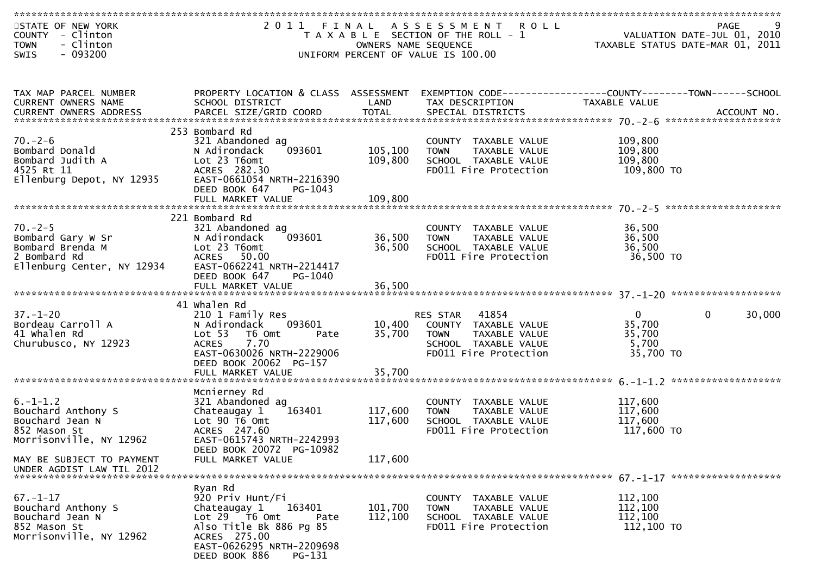| STATE OF NEW YORK<br>COUNTY - Clinton<br>- Clinton<br><b>TOWN</b> |                                                               | OWNERS NAME SEQUENCE | 2011 FINAL ASSESSMENT<br><b>ROLL</b><br>T A X A B L E SECTION OF THE ROLL - 1 |                       | <b>PAGE</b><br>VALUATION DATE-JUL 01, 2010<br>TAXABLE STATUS DATE-MAR 01, 2011 |
|-------------------------------------------------------------------|---------------------------------------------------------------|----------------------|-------------------------------------------------------------------------------|-----------------------|--------------------------------------------------------------------------------|
| $-093200$<br>SWIS                                                 |                                                               |                      | UNIFORM PERCENT OF VALUE IS 100.00                                            |                       |                                                                                |
|                                                                   |                                                               |                      |                                                                               |                       |                                                                                |
| TAX MAP PARCEL NUMBER<br>CURRENT OWNERS NAME                      | PROPERTY LOCATION & CLASS ASSESSMENT<br>SCHOOL DISTRICT       | LAND                 | TAX DESCRIPTION                                                               | <b>TAXABLE VALUE</b>  |                                                                                |
|                                                                   |                                                               |                      |                                                                               |                       |                                                                                |
|                                                                   | 253 Bombard Rd                                                |                      |                                                                               |                       |                                                                                |
| $70. - 2 - 6$<br>Bombard Donald                                   | 321 Abandoned ag<br>093601<br>N Adirondack                    | 105,100              | COUNTY TAXABLE VALUE<br><b>TAXABLE VALUE</b><br><b>TOWN</b>                   | 109,800<br>109,800    |                                                                                |
| Bombard Judith A                                                  | Lot 23 T6omt                                                  | 109,800              | SCHOOL TAXABLE VALUE                                                          | 109,800               |                                                                                |
| 4525 Rt 11                                                        | ACRES 282.30                                                  |                      | FD011 Fire Protection                                                         | 109,800 TO            |                                                                                |
| Ellenburg Depot, NY 12935                                         | EAST-0661054 NRTH-2216390<br>DEED BOOK 647<br>PG-1043         |                      |                                                                               |                       |                                                                                |
|                                                                   |                                                               |                      |                                                                               |                       |                                                                                |
|                                                                   | 221 Bombard Rd                                                |                      |                                                                               |                       |                                                                                |
| $70. - 2 - 5$                                                     | 321 Abandoned ag                                              |                      | COUNTY TAXABLE VALUE                                                          | 36,500                |                                                                                |
| Bombard Gary W Sr<br>Bombard Brenda M                             | 093601<br>N Adirondack<br>Lot 23 T6omt                        | 36,500<br>36,500     | <b>TOWN</b><br>TAXABLE VALUE<br>SCHOOL TAXABLE VALUE                          | 36,500<br>36,500      |                                                                                |
| 2 Bombard Rd                                                      | ACRES 50.00                                                   |                      | FD011 Fire Protection                                                         | 36,500 TO             |                                                                                |
| Ellenburg Center, NY 12934                                        | EAST-0662241 NRTH-2214417<br>DEED BOOK 647<br>PG-1040         |                      |                                                                               |                       |                                                                                |
|                                                                   |                                                               |                      |                                                                               |                       |                                                                                |
|                                                                   | 41 Whalen Rd                                                  |                      |                                                                               |                       |                                                                                |
| $37. - 1 - 20$                                                    | 210 1 Family Res                                              |                      | RES STAR<br>41854                                                             | $\mathbf{0}$          | $\Omega$<br>30,000                                                             |
| Bordeau Carroll A<br>41 Whalen Rd                                 | 093601<br>N Adirondack<br>Lot <sub>53</sub><br>T6 Omt<br>Pate | 10,400<br>35,700     | COUNTY TAXABLE VALUE<br><b>TOWN</b><br>TAXABLE VALUE                          | 35,700<br>35,700      |                                                                                |
| Churubusco, NY 12923                                              | <b>ACRES</b><br>7.70                                          |                      | SCHOOL TAXABLE VALUE                                                          | 5,700                 |                                                                                |
|                                                                   | EAST-0630026 NRTH-2229006<br>DEED BOOK 20062 PG-157           |                      | FD011 Fire Protection                                                         | 35,700 TO             |                                                                                |
|                                                                   | FULL MARKET VALUE                                             | 35,700               |                                                                               |                       |                                                                                |
|                                                                   | Mcnierney Rd                                                  |                      |                                                                               |                       |                                                                                |
| $6. - 1 - 1.2$                                                    | 321 Abandoned ag                                              |                      | COUNTY TAXABLE VALUE                                                          | 117,600               |                                                                                |
| Bouchard Anthony S                                                | 163401<br>Chateaugay 1                                        | 117,600              | TAXABLE VALUE<br><b>TOWN</b>                                                  | 117,600               |                                                                                |
| Bouchard Jean N<br>852 Mason St                                   | Lot 90 T6 Omt<br>ACRES 247.60                                 | 117,600              | SCHOOL TAXABLE VALUE<br>FD011 Fire Protection                                 | 117,600<br>117,600 TO |                                                                                |
| Morrisonville, NY 12962                                           | EAST-0615743 NRTH-2242993                                     |                      |                                                                               |                       |                                                                                |
| MAY BE SUBJECT TO PAYMENT<br>UNDER AGDIST LAW TIL 2012            | DEED BOOK 20072 PG-10982<br>FULL MARKET VALUE                 | 117,600              |                                                                               |                       |                                                                                |
|                                                                   |                                                               |                      |                                                                               |                       |                                                                                |
| $67. - 1 - 17$                                                    | Ryan Rd<br>920 Priv Hunt/Fi                                   |                      | COUNTY TAXABLE VALUE                                                          | 112,100               |                                                                                |
| Bouchard Anthony S                                                | 163401<br>Chateaugay 1                                        | 101,700              | TAXABLE VALUE<br><b>TOWN</b>                                                  | 112,100               |                                                                                |
| Bouchard Jean N<br>852 Mason St                                   | Lot 29 T6 Omt<br>Pate<br>Also Title Bk 886 Pg 85              | 112,100              | SCHOOL TAXABLE VALUE<br>FD011 Fire Protection                                 | 112,100<br>112,100 TO |                                                                                |
| Morrisonville, NY 12962                                           | ACRES 275.00                                                  |                      |                                                                               |                       |                                                                                |
|                                                                   | EAST-0626295 NRTH-2209698<br>DEED BOOK 886<br>PG-131          |                      |                                                                               |                       |                                                                                |
|                                                                   |                                                               |                      |                                                                               |                       |                                                                                |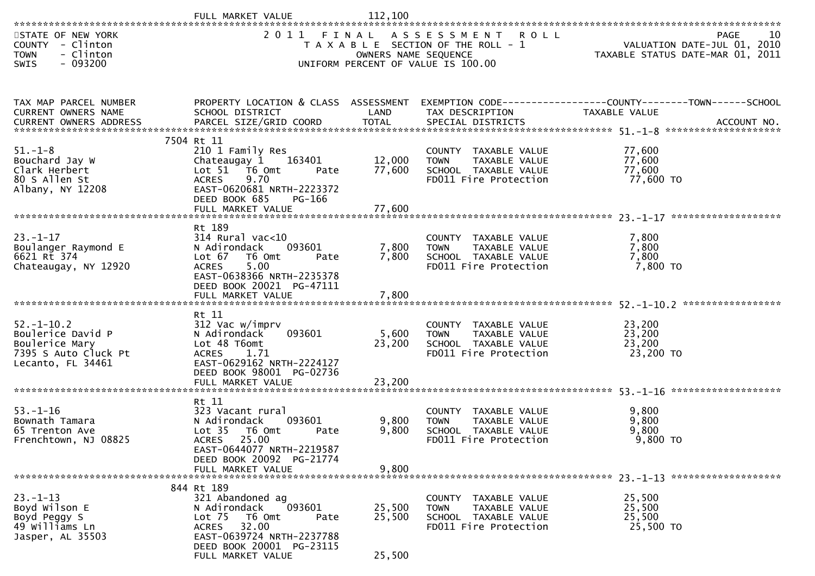|                                                                                                      | FULL MARKET VALUE                                                                                                                                                                                      | 112,100                    |                                                                                                                                                            |                                         |            |
|------------------------------------------------------------------------------------------------------|--------------------------------------------------------------------------------------------------------------------------------------------------------------------------------------------------------|----------------------------|------------------------------------------------------------------------------------------------------------------------------------------------------------|-----------------------------------------|------------|
| STATE OF NEW YORK<br>COUNTY - Clinton<br>- Clinton<br><b>TOWN</b><br>$-093200$<br>SWIS               | 2011 FINAL                                                                                                                                                                                             |                            | ASSESSMENT ROLL<br>T A X A B L E SECTION OF THE ROLL - 1<br>OWNERS NAME SEQUENCE<br>TAXABLE STATUS DATE-MAR 01, 2011<br>UNIFORM PERCENT OF VALUE IS 100.00 |                                         | 10<br>PAGE |
| TAX MAP PARCEL NUMBER<br>CURRENT OWNERS NAME                                                         | PROPERTY LOCATION & CLASS ASSESSMENT EXEMPTION CODE----------------COUNTY-------TOWN------SCHOOL<br>SCHOOL DISTRICT                                                                                    | LAND                       | TAX DESCRIPTION                                                                                                                                            | TAXABLE VALUE                           |            |
| $51. - 1 - 8$<br>Bouchard Jay W<br>Clark Herbert<br>80 S Allen St<br>Albany, NY 12208                | 7504 Rt 11<br>210 1 Family Res<br>Chateaugay 1 163401<br>Lot 51 76 0mt<br>Pate<br>9.70<br><b>ACRES</b><br>EAST-0620681 NRTH-2223372<br>DEED BOOK 685<br>PG-166                                         | 12,000<br>77,600           | COUNTY TAXABLE VALUE<br>TAXABLE VALUE<br>TOWN<br>SCHOOL TAXABLE VALUE<br>FD011 Fire Protection                                                             | 77,600<br>77,600<br>77,600<br>77,600 TO |            |
| $23 - 1 - 17$<br>Boulanger Raymond E<br>6621 Rt 374<br>Chateaugay, NY 12920                          | Rt 189<br>$314$ Rural vac<10<br>093601<br>N Adirondack<br>Lot 67 76 0mt<br>Pate<br>5.00<br><b>ACRES</b><br>EAST-0638366 NRTH-2235378<br>DEED BOOK 20021 PG-47111<br>FULL MARKET VALUE                  | 7,800<br>7,800<br>7,800    | COUNTY TAXABLE VALUE<br>TAXABLE VALUE<br><b>TOWN</b><br>SCHOOL TAXABLE VALUE<br>FD011 Fire Protection                                                      | 7,800<br>7,800<br>7,800<br>7,800 TO     |            |
| $52. - 1 - 10.2$<br>Boulerice David P<br>Boulerice Mary<br>7395 S Auto Cluck Pt<br>Lecanto, FL 34461 | Rt 11<br>312 Vac w/imprv<br>093601<br>N Adirondack<br>Lot 48 T6omt<br>ACRES 1.71<br>EAST-0629162 NRTH-2224127<br>DEED BOOK 98001 PG-02736<br>FULL MARKET VALUE                                         | 5,600<br>23,200<br>23,200  | COUNTY TAXABLE VALUE<br><b>TOWN</b><br>TAXABLE VALUE<br>SCHOOL TAXABLE VALUE<br>FD011 Fire Protection                                                      | 23,200<br>23,200<br>23,200<br>23,200 TO |            |
| $53. - 1 - 16$<br>Bownath Tamara<br>65 Trenton Ave<br>Frenchtown, NJ 08825                           | Rt 11<br>323 Vacant rural<br>093601<br>N Adirondack<br>Lot <sub>35</sub><br>T6 Omt<br>Pate<br><b>ACRES</b><br>25.00<br>EAST-0644077 NRTH-2219587<br>DEED BOOK 20092 PG-21774<br>FULL MARKET VALUE      | 9,800<br>9,800<br>9,800    | COUNTY TAXABLE VALUE<br>TAXABLE VALUE<br>TOWN<br>SCHOOL TAXABLE VALUE<br>FD011 Fire Protection                                                             | 9,800<br>9,800<br>9,800<br>9,800 TO     |            |
| $23. - 1 - 13$<br>Boyd Wilson E<br>Boyd Peggy S<br>49 Williams Ln<br>Jasper, AL 35503                | 844 Rt 189<br>321 Abandoned ag<br>093601<br>N Adirondack<br>Lot <sub>75</sub><br>T6 Omt<br>Pate<br>32.00<br><b>ACRES</b><br>EAST-0639724 NRTH-2237788<br>DEED BOOK 20001 PG-23115<br>FULL MARKET VALUE | 25,500<br>25,500<br>25,500 | COUNTY TAXABLE VALUE<br>TAXABLE VALUE<br><b>TOWN</b><br>SCHOOL TAXABLE VALUE<br>FD011 Fire Protection                                                      | 25,500<br>25,500<br>25,500<br>25,500 TO |            |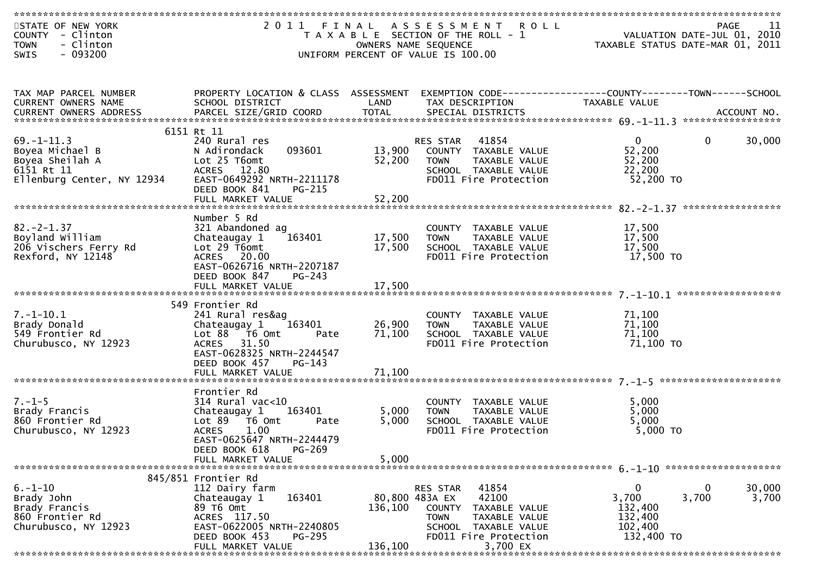| STATE OF NEW YORK<br>COUNTY - Clinton<br>- Clinton<br><b>TOWN</b> |                                                        | OWNERS NAME SEQUENCE | 2011 FINAL ASSESSMENT<br><b>ROLL</b><br>T A X A B L E SECTION OF THE ROLL - 1 | VALUATION DATE-JUL 01, 2010<br>TAXABLE STATUS DATE-MAR 01, 2011 | PAGE<br>11            |
|-------------------------------------------------------------------|--------------------------------------------------------|----------------------|-------------------------------------------------------------------------------|-----------------------------------------------------------------|-----------------------|
| $-093200$<br>SWIS                                                 |                                                        |                      | UNIFORM PERCENT OF VALUE IS 100.00                                            |                                                                 |                       |
|                                                                   |                                                        |                      |                                                                               |                                                                 |                       |
| TAX MAP PARCEL NUMBER                                             | PROPERTY LOCATION & CLASS ASSESSMENT                   |                      |                                                                               |                                                                 |                       |
| CURRENT OWNERS NAME                                               | SCHOOL DISTRICT                                        | LAND                 | TAX DESCRIPTION                                                               | <b>TAXABLE VALUE</b>                                            |                       |
|                                                                   |                                                        |                      |                                                                               |                                                                 |                       |
|                                                                   | 6151 Rt 11                                             |                      |                                                                               |                                                                 |                       |
| $69. - 1 - 11.3$<br>Boyea Michael B                               | 240 Rural res<br>093601<br>N Adirondack                | 13,900               | 41854<br>RES STAR<br>COUNTY TAXABLE VALUE                                     | $\mathbf{0}$<br>52,200                                          | $\mathbf 0$<br>30,000 |
| Boyea Sheilah A                                                   | Lot 25 T6omt                                           | 52,200               | <b>TOWN</b><br>TAXABLE VALUE                                                  | 52,200                                                          |                       |
| 6151 Rt 11                                                        | ACRES 12.80                                            |                      | SCHOOL TAXABLE VALUE                                                          | 22,200                                                          |                       |
| Ellenburg Center, NY 12934                                        | EAST-0649292 NRTH-2211178                              |                      | FD011 Fire Protection                                                         | 52,200 TO                                                       |                       |
|                                                                   | DEED BOOK 841<br>PG-215                                |                      |                                                                               |                                                                 |                       |
|                                                                   |                                                        |                      |                                                                               |                                                                 | *****************     |
|                                                                   | Number 5 Rd                                            |                      |                                                                               |                                                                 |                       |
| $82 - 2 - 1.37$                                                   | 321 Abandoned ag                                       |                      | COUNTY TAXABLE VALUE                                                          | 17,500                                                          |                       |
| Boyland William                                                   | 163401<br>Chateaugay 1                                 | 17,500               | <b>TOWN</b><br>TAXABLE VALUE                                                  | 17,500                                                          |                       |
| 206 Vischers Ferry Rd                                             | Lot $29$ T6omt                                         | 17,500               | SCHOOL TAXABLE VALUE                                                          | 17,500                                                          |                       |
| Rexford, NY 12148                                                 | ACRES 20.00                                            |                      | FD011 Fire Protection                                                         | 17,500 TO                                                       |                       |
|                                                                   | EAST-0626716 NRTH-2207187<br>DEED BOOK 847<br>$PG-243$ |                      |                                                                               |                                                                 |                       |
|                                                                   | FULL MARKET VALUE                                      | 17,500               |                                                                               |                                                                 |                       |
|                                                                   |                                                        |                      |                                                                               |                                                                 |                       |
|                                                                   | 549 Frontier Rd                                        |                      |                                                                               |                                                                 |                       |
| $7. - 1 - 10.1$                                                   | 241 Rural res&ag                                       |                      | COUNTY TAXABLE VALUE                                                          | 71,100                                                          |                       |
| Brady Donald<br>549 Frontier Rd                                   | Chateaugay 1<br>163401<br>Pate                         | 26,900<br>71,100     | <b>TOWN</b><br>TAXABLE VALUE<br>SCHOOL TAXABLE VALUE                          | 71,100<br>71,100                                                |                       |
| Churubusco, NY 12923                                              | ACRES 31.50                                            |                      | FD011 Fire Protection                                                         | 71,100 TO                                                       |                       |
|                                                                   | EAST-0628325 NRTH-2244547                              |                      |                                                                               |                                                                 |                       |
|                                                                   | DEED BOOK 457<br>PG-143                                |                      |                                                                               |                                                                 |                       |
|                                                                   | FULL MARKET VALUE                                      | 71,100               |                                                                               |                                                                 |                       |
|                                                                   | Frontier Rd                                            |                      |                                                                               |                                                                 |                       |
| $7. - 1 - 5$                                                      | $314$ Rural vac<10                                     |                      | COUNTY TAXABLE VALUE                                                          | 5,000                                                           |                       |
| Brady Francis                                                     | 163401<br>Chateaugay 1                                 | 5,000                | TAXABLE VALUE<br><b>TOWN</b>                                                  | 5,000                                                           |                       |
| 860 Frontier Rd                                                   | Lot 89  T6 Omt<br>Pate                                 | 5,000                | SCHOOL TAXABLE VALUE                                                          | 5,000                                                           |                       |
| Churubusco, NY 12923                                              | <b>ACRES</b><br>1.00                                   |                      | FD011 Fire Protection                                                         | 5,000 TO                                                        |                       |
|                                                                   | EAST-0625647 NRTH-2244479<br>PG-269                    |                      |                                                                               |                                                                 |                       |
|                                                                   | DEED BOOK 618<br>FULL MARKET VALUE                     | 5,000                |                                                                               |                                                                 |                       |
|                                                                   |                                                        |                      |                                                                               |                                                                 |                       |
|                                                                   | 845/851 Frontier Rd                                    |                      |                                                                               |                                                                 |                       |
| $6. - 1 - 10$                                                     | 112 Dairy farm                                         |                      | 41854<br><b>RES STAR</b>                                                      | $\bf{0}$                                                        | 30,000<br>0           |
| Brady John                                                        | 163401<br>Chateaugay 1                                 | 80,800 483A EX       | 42100                                                                         | 3,700                                                           | 3,700<br>3,700        |
| Brady Francis<br>860 Frontier Rd                                  | 89 T6 Omt<br>ACRES 117.50                              | 136,100              | COUNTY<br>TAXABLE VALUE<br><b>TOWN</b><br>TAXABLE VALUE                       | 132,400<br>132,400                                              |                       |
| Churubusco, NY 12923                                              | EAST-0622005 NRTH-2240805                              |                      | SCHOOL TAXABLE VALUE                                                          | 102,400                                                         |                       |
|                                                                   | DEED BOOK 453<br>PG-295                                |                      | FD011 Fire Protection                                                         | 132,400 TO                                                      |                       |
|                                                                   | FULL MARKET VALUE                                      | 136,100              | 3,700 EX                                                                      |                                                                 |                       |
|                                                                   |                                                        |                      |                                                                               |                                                                 |                       |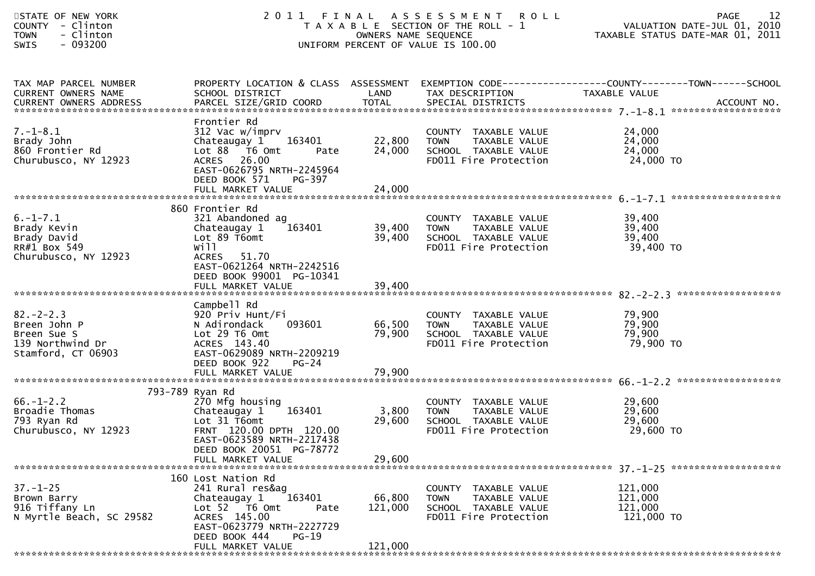| STATE OF NEW YORK<br>- Clinton<br><b>COUNTY</b><br>- Clinton<br><b>TOWN</b><br>$-093200$<br><b>SWIS</b> |                                                                                                                                                                                              |                              | 2011 FINAL ASSESSMENT ROLL<br>T A X A B L E SECTION OF THE ROLL - 1<br>OWNERS NAME SEQUENCE<br>UNIFORM PERCENT OF VALUE IS 100.00 | 12<br><b>PAGE</b><br>VALUATION DATE-JUL 01, 2010<br>TAXABLE STATUS DATE-MAR 01, 2011                              |
|---------------------------------------------------------------------------------------------------------|----------------------------------------------------------------------------------------------------------------------------------------------------------------------------------------------|------------------------------|-----------------------------------------------------------------------------------------------------------------------------------|-------------------------------------------------------------------------------------------------------------------|
| TAX MAP PARCEL NUMBER<br>CURRENT OWNERS NAME<br>CURRENT OWNERS ADDRESS                                  | SCHOOL DISTRICT                                                                                                                                                                              | LAND                         | TAX DESCRIPTION                                                                                                                   | PROPERTY LOCATION & CLASS ASSESSMENT EXEMPTION CODE----------------COUNTY-------TOWN------SCHOOL<br>TAXABLE VALUE |
| $7. - 1 - 8.1$<br>Brady John<br>860 Frontier Rd<br>Churubusco, NY 12923                                 | Frontier Rd<br>312 Vac w/imprv<br>Chateaugay 1<br>163401<br>Lot 88 T6 Omt<br>Pate<br>ACRES 26.00<br>EAST-0626795 NRTH-2245964<br>DEED BOOK 571<br>PG-397                                     | 22,800<br>24,000             | COUNTY TAXABLE VALUE<br>TAXABLE VALUE<br><b>TOWN</b><br>SCHOOL TAXABLE VALUE<br>FD011 Fire Protection                             | 24,000<br>24,000<br>24,000<br>24,000 TO                                                                           |
| $6. -1 - 7.1$<br>Brady Kevin<br>Brady David<br>RR#1 Box 549<br>Churubusco, NY 12923                     | 860 Frontier Rd<br>321 Abandoned ag<br>163401<br>Chateaugay 1<br>Lot 89 T6omt<br>will<br><b>ACRES</b><br>51.70<br>EAST-0621264 NRTH-2242516<br>DEED BOOK 99001 PG-10341<br>FULL MARKET VALUE | 39,400<br>39,400<br>39,400   | COUNTY TAXABLE VALUE<br>TAXABLE VALUE<br><b>TOWN</b><br>SCHOOL TAXABLE VALUE<br>FD011 Fire Protection                             | 39,400<br>39,400<br>39,400<br>39,400 TO                                                                           |
| $82 - 2 - 2.3$<br>Breen John P<br>Breen Sue S<br>139 Northwind Dr<br>Stamford, CT 06903                 | Campbell Rd<br>920 Priv Hunt/Fi<br>093601<br>N Adirondack<br>Lot 29 T6 Omt<br>ACRES 143.40<br>EAST-0629089 NRTH-2209219<br>DEED BOOK 922<br>$PG-24$                                          | 66,500<br>79,900             | COUNTY TAXABLE VALUE<br><b>TOWN</b><br>TAXABLE VALUE<br>SCHOOL TAXABLE VALUE<br>FD011 Fire Protection                             | 79,900<br>79,900<br>79,900<br>79,900 TO                                                                           |
| $66. - 1 - 2.2$<br>Broadie Thomas<br>793 Ryan Rd<br>Churubusco, NY 12923                                | 793-789 Ryan Rd<br>270 Mfg housing<br>163401<br>Chateaugay 1<br>Lot 31 T6omt<br>FRNT 120.00 DPTH 120.00<br>EAST-0623589 NRTH-2217438<br>DEED BOOK 20051 PG-78772<br>FULL MARKET VALUE        | 3,800<br>29,600<br>29,600    | COUNTY TAXABLE VALUE<br>TAXABLE VALUE<br><b>TOWN</b><br>SCHOOL TAXABLE VALUE<br>FD011 Fire Protection                             | 29,600<br>29,600<br>29,600<br>29,600 TO                                                                           |
| $37. - 1 - 25$<br>Brown Barry<br>916 Tiffany Ln<br>N Myrtle Beach, SC 29582                             | 160 Lost Nation Rd<br>241 Rural res&ag<br>163401<br>Chateaugay 1<br>Lot 52 T6 Omt<br>Pate<br>ACRES 145.00<br>EAST-0623779 NRTH-2227729<br>DEED BOOK 444<br>$PG-19$<br>FULL MARKET VALUE      | 66,800<br>121,000<br>121,000 | COUNTY TAXABLE VALUE<br><b>TAXABLE VALUE</b><br><b>TOWN</b><br>SCHOOL TAXABLE VALUE<br>FD011 Fire Protection                      | 121,000<br>121,000<br>121,000<br>121,000 TO                                                                       |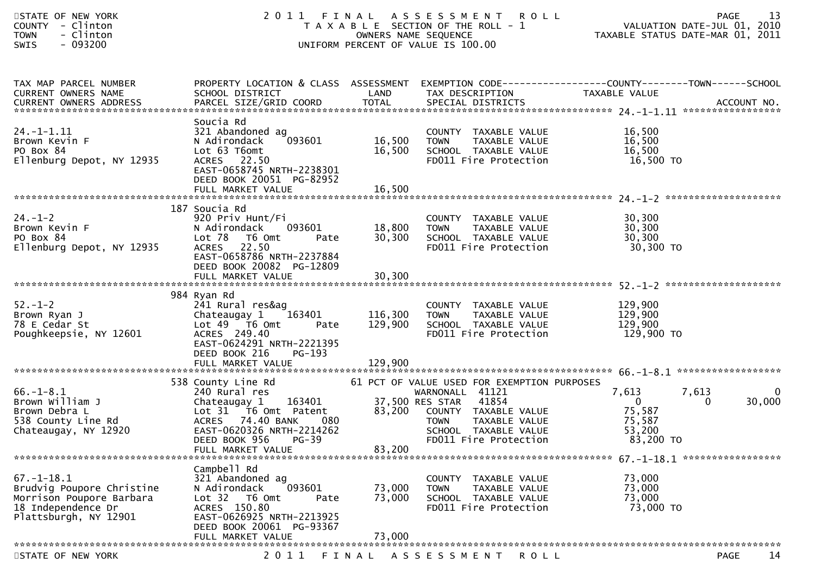| STATE OF NEW YORK<br>COUNTY - Clinton<br>- Clinton<br><b>TOWN</b><br>$-093200$<br>SWIS                                   |                                                                                                                                                                                                                                    |                                 | 2011 FINAL ASSESSMENT ROLL<br>T A X A B L E SECTION OF THE ROLL - 1<br>OWNERS NAME SEQUENCE<br>UNIFORM PERCENT OF VALUE IS 100.00                           | 21 FAGE<br>2010 VALUATION DATE-JUL 01, 2010<br>2011 TAXABLE STATUS DATE-MAR 01, 2011         | -13<br><b>PAGE</b> |
|--------------------------------------------------------------------------------------------------------------------------|------------------------------------------------------------------------------------------------------------------------------------------------------------------------------------------------------------------------------------|---------------------------------|-------------------------------------------------------------------------------------------------------------------------------------------------------------|----------------------------------------------------------------------------------------------|--------------------|
| TAX MAP PARCEL NUMBER<br>CURRENT OWNERS NAME                                                                             | SCHOOL DISTRICT                                                                                                                                                                                                                    | LAND                            | TAX DESCRIPTION                                                                                                                                             | TAXABLE VALUE                                                                                |                    |
| $24. - 1 - 1.11$<br>Brown Kevin F<br>PO Box 84<br>Ellenburg Depot, NY 12935                                              | Soucia Rd<br>321 Abandoned ag<br>N Adirondack<br>093601<br>Lot 63 T6omt<br>ACRES 22.50<br>EAST-0658745 NRTH-2238301<br>DEED BOOK 20051 PG-82952<br>FULL MARKET VALUE                                                               | 16,500<br>16,500<br>16,500      | COUNTY TAXABLE VALUE<br><b>TOWN</b><br>TAXABLE VALUE                                                                                                        | 16,500<br>16,500<br>16,500<br>16,500 TO                                                      |                    |
| $24. - 1 - 2$<br>Brown Kevin F<br>PO Box 84<br>Ellenburg Depot, NY 12935                                                 | 187 Soucia Rd<br>920 Priv Hunt/Fi<br>N Adirondack<br>093601<br>Lot 78 T6 Omt<br>Pate<br>ACRES 22.50<br>EAST-0658786 NRTH-2237884<br>DEED BOOK 20082 PG-12809<br>FULL MARKET VALUE                                                  | 18,800 TOWN<br>30,300<br>30,300 | COUNTY TAXABLE VALUE<br>TOWN     TAXABLE VALUE<br>SCHOOL  TAXABLE VALUE<br>FDO11 Fire Protection<br>FD011 Fire Protection                                   | 30,300<br>30,300<br>30,300<br>30,300 TO                                                      |                    |
| $52 - 1 - 2$<br>Brown Ryan J<br>78 E Cedar St<br>Poughkeepsie, NY 12601                                                  | 984 Ryan Rd<br>241 Rural res&ag<br>Chateaugay 1 163401<br>Lot $49$ $\overline{76}$ Omt<br>Pate<br>ACRES 249.40<br>EAST-0624291 NRTH-2221395<br>DEED BOOK 216<br>PG-193                                                             | 116,300<br>129,900              | COUNTY TAXABLE VALUE<br>TAXABLE VALUE<br><b>TOWN</b><br>SCHOOL TAXABLE VALUE<br>FD011 Fire Protection                                                       | 129,900<br>129,900<br>129,900<br>129,900 TO                                                  |                    |
| $66. - 1 - 8.1$<br>Brown William J<br>Brown Debra L<br>538 County Line Rd<br>Chateaugay, NY 12920                        | 538 County Line Rd<br>240 Rural res<br>Chateaugay 1 163401 37,500 RES STAR 41854<br>Lot 31 T6 Omt Patent 83,200 COUNTY TAXABLE<br>ACRES 74.40 BANK<br>080<br>EAST-0620326 NRTH-2214262<br>DEED BOOK 956 PG-39<br>FULL MARKET VALUE | 83,200                          | 61 PCT OF VALUE USED FOR EXEMPTION PURPOSES<br>83,200 COUNTY TAXABLE VALUE<br><b>TOWN</b><br>TAXABLE VALUE<br>SCHOOL TAXABLE VALUE<br>FD011 Fire Protection | 7,613<br>7,613<br>$\ddot{\mathbf{0}}$<br>$\Omega$<br>75,587<br>75,587<br>53,200<br>83,200 TO | 0<br>30,000        |
| $67. - 1 - 18.1$<br>Brudvig Poupore Christine<br>Morrison Poupore Barbara<br>18 Independence Dr<br>Plattsburgh, NY 12901 | Campbell Rd<br>321 Abandoned ag<br>093601<br>N Adirondack<br>Lot 32 T6 Omt<br>Pate<br>ACRES 150.80<br>EAST-0626925 NRTH-2213925<br>DEED BOOK 20061 PG-93367<br>FULL MARKET VALUE                                                   | 73,000<br>73,000<br>73,000      | COUNTY TAXABLE VALUE<br>TAXABLE VALUE<br><b>TOWN</b><br>SCHOOL TAXABLE VALUE<br>FD011 Fire Protection                                                       | 73,000<br>73,000<br>73,000<br>73,000 TO                                                      |                    |
| STATE OF NEW YORK                                                                                                        | 2 0 1 1                                                                                                                                                                                                                            |                                 | FINAL ASSESSMENT<br><b>ROLL</b>                                                                                                                             |                                                                                              | 14<br><b>PAGE</b>  |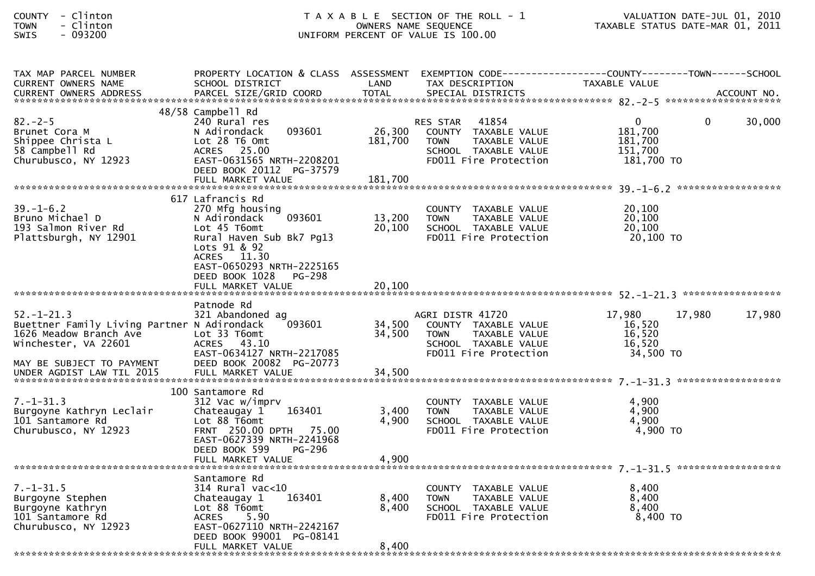| TAX MAP PARCEL NUMBER<br><b>CURRENT OWNERS NAME</b>                                                                                            | PROPERTY LOCATION & CLASS ASSESSMENT EXEMPTION CODE----------------COUNTY-------TOWN------SCHOOL<br>SCHOOL DISTRICT                         | LAND              | TAX DESCRIPTION                                                                                                           | TAXABLE VALUE                                                           |        |
|------------------------------------------------------------------------------------------------------------------------------------------------|---------------------------------------------------------------------------------------------------------------------------------------------|-------------------|---------------------------------------------------------------------------------------------------------------------------|-------------------------------------------------------------------------|--------|
|                                                                                                                                                |                                                                                                                                             |                   |                                                                                                                           |                                                                         |        |
|                                                                                                                                                | 48/58 Campbell Rd                                                                                                                           |                   |                                                                                                                           |                                                                         |        |
| $82 - 2 - 5$<br>Brunet Cora M<br>Shippee Christa L<br>58 Campbell Rd<br>Churubusco, NY 12923                                                   | 240 Rural res<br>093601<br>N Adirondack<br>Lot 28 T6 Omt<br>ACRES 25.00<br>EAST-0631565 NRTH-2208201<br>DEED BOOK 20112 PG-37579            | 26,300<br>181,700 | RES STAR 41854<br>COUNTY TAXABLE VALUE<br><b>TOWN</b><br>TAXABLE VALUE<br>SCHOOL TAXABLE VALUE<br>FD011 Fire Protection   | $\mathbf{0}$<br>$\Omega$<br>181,700<br>181,700<br>151,700<br>181,700 TO | 30,000 |
|                                                                                                                                                |                                                                                                                                             |                   |                                                                                                                           |                                                                         |        |
| $39. - 1 - 6.2$<br>Bruno Michael D<br>193 Salmon River Rd<br>Plattsburgh, NY 12901                                                             | 617 Lafrancis Rd<br>270 Mfg housing<br>093601<br>N Adirondack<br>Lot 45 T6omt<br>Rural Haven Sub Bk7 Pg13<br>Lots 91 & 92<br>ACRES 11.30    | 13,200<br>20,100  | COUNTY TAXABLE VALUE<br>TAXABLE VALUE<br><b>TOWN</b><br>SCHOOL TAXABLE VALUE<br>FD011 Fire Protection                     | 20,100<br>20,100<br>20,100<br>20,100 TO                                 |        |
|                                                                                                                                                | EAST-0650293 NRTH-2225165<br>DEED BOOK 1028<br>PG-298                                                                                       |                   |                                                                                                                           |                                                                         |        |
|                                                                                                                                                | Patnode Rd                                                                                                                                  |                   |                                                                                                                           |                                                                         |        |
| $52. - 1 - 21.3$<br>Buettner Family Living Partner N Adirondack<br>1626 Meadow Branch Ave<br>Winchester, VA 22601<br>MAY BE SUBJECT TO PAYMENT | 321 Abandoned ag<br>093601<br>Lot 33 T6omt<br>ACRES 43.10<br>EAST-0634127 NRTH-2217085<br>DEED BOOK 20082 PG-20773                          | 34,500<br>34,500  | AGRI DISTR 41720<br>COUNTY TAXABLE VALUE<br>TAXABLE VALUE<br><b>TOWN</b><br>SCHOOL TAXABLE VALUE<br>FD011 Fire Protection | 17,980<br>17,980<br>16,520<br>16,520<br>16,520<br>34,500 TO             | 17,980 |
|                                                                                                                                                |                                                                                                                                             |                   |                                                                                                                           |                                                                         |        |
|                                                                                                                                                | 100 Santamore Rd                                                                                                                            |                   |                                                                                                                           |                                                                         |        |
| $7. - 1 - 31.3$<br>Burgoyne Kathryn Leclair<br>101 Santamore Rd<br>Churubusco, NY 12923                                                        | 312 Vac w/imprv<br>163401<br>Chateaugay 1<br>Lot 88 T6omt<br>FRNT 250.00 DPTH 75.00<br>EAST-0627339 NRTH-2241968<br>DEED BOOK 599<br>PG-296 | 3,400<br>4,900    | COUNTY TAXABLE VALUE<br>TAXABLE VALUE<br>TOWN<br>SCHOOL TAXABLE VALUE<br>FD011 Fire Protection                            | 4.900<br>4,900<br>4,900<br>$4,900$ TO                                   |        |
|                                                                                                                                                | FULL MARKET VALUE                                                                                                                           | 4,900             |                                                                                                                           |                                                                         |        |
|                                                                                                                                                | Santamore Rd                                                                                                                                |                   |                                                                                                                           |                                                                         |        |
| $7. - 1 - 31.5$<br>Burgoyne Stephen<br>Burgoyne Kathryn<br>101 Santamore Rd<br>Churubusco, NY 12923                                            | $314$ Rural vac< $10$<br>163401<br>Chateaugay 1<br>Lot 88 T6omt<br>ACRES 5.90<br>EAST-0627110 NRTH-2242167<br>DEED BOOK 99001 PG-08141      | 8,400<br>8,400    | COUNTY TAXABLE VALUE<br>TAXABLE VALUE<br>TOWN<br>SCHOOL TAXABLE VALUE<br>FD011 Fire Protection                            | 8,400<br>8,400<br>8,400<br>$8,400$ TO                                   |        |
|                                                                                                                                                | FULL MARKET VALUE                                                                                                                           | 8,400             |                                                                                                                           |                                                                         |        |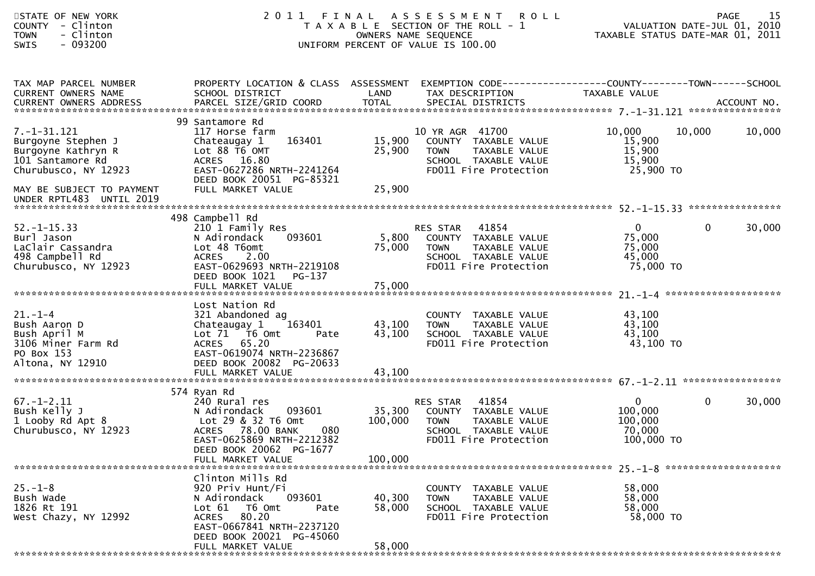| STATE OF NEW YORK<br>COUNTY - Clinton<br>- Clinton<br><b>TOWN</b><br>$-093200$<br><b>SWIS</b>                                                                    | 2011                                                                                                                                                                                    | FINAL                      | A S S E S S M E N T<br><b>ROLL</b><br>T A X A B L E SECTION OF THE ROLL - 1<br>OWNERS NAME SEQUENCE<br>UNIFORM PERCENT OF VALUE IS 100.00 | VALUATION DATE-JUL 01, 2010<br>TAXABLE STATUS DATE-MAR 01, 2011 | <b>PAGE</b> | 15     |
|------------------------------------------------------------------------------------------------------------------------------------------------------------------|-----------------------------------------------------------------------------------------------------------------------------------------------------------------------------------------|----------------------------|-------------------------------------------------------------------------------------------------------------------------------------------|-----------------------------------------------------------------|-------------|--------|
| TAX MAP PARCEL NUMBER<br>CURRENT OWNERS NAME                                                                                                                     | PROPERTY LOCATION & CLASS ASSESSMENT<br>SCHOOL DISTRICT                                                                                                                                 | LAND                       | EXEMPTION CODE------------------COUNTY--------TOWN------SCHOOL<br>TAX DESCRIPTION                                                         | TAXABLE VALUE                                                   |             |        |
| 7. -1 - 31. 121<br>Burgoyne Stephen J<br>Burgoyne Kathryn R<br>101 Santamore Rd<br>Churubusco, NY 12923<br>MAY BE SUBJECT TO PAYMENT<br>UNDER RPTL483 UNTIL 2019 | 99 Santamore Rd<br>117 Horse farm<br>163401<br>Chateaugay 1<br>Lot 88 T6 OMT<br>ACRES 16.80<br>EAST-0627286 NRTH-2241264<br>DEED BOOK 20051 PG-85321<br>FULL MARKET VALUE               | 15,900<br>25,900<br>25,900 | 10 YR AGR 41700<br>COUNTY TAXABLE VALUE<br>TAXABLE VALUE<br>TOWN<br>SCHOOL TAXABLE VALUE<br>FD011 Fire Protection                         | 10,000<br>15,900<br>15,900<br>15,900<br>25,900 TO               | 10,000      | 10,000 |
|                                                                                                                                                                  |                                                                                                                                                                                         |                            |                                                                                                                                           |                                                                 |             |        |
| $52. - 1 - 15.33$<br>Burl Jason<br>LaClair Cassandra<br>498 Campbell Rd<br>Churubusco, NY 12923                                                                  | 498 Campbell Rd<br>210 1 Family Res<br>093601<br>N Adirondack<br>Lot 48 T6omt<br><b>ACRES</b><br>2.00<br>EAST-0629693 NRTH-2219108<br>DEED BOOK 1021<br>PG-137                          | 5,800<br>75,000            | 41854<br>RES STAR<br>COUNTY TAXABLE VALUE<br><b>TOWN</b><br>TAXABLE VALUE<br>SCHOOL TAXABLE VALUE<br>FD011 Fire Protection                | $\mathbf{0}$<br>75,000<br>75,000<br>45,000<br>75,000 TO         | $\mathbf 0$ | 30,000 |
| $21. - 1 - 4$<br>Bush Aaron D<br>Bush April M<br>3106 Miner Farm Rd<br>PO Box 153<br>Altona, NY 12910                                                            | Lost Nation Rd<br>321 Abandoned ag<br>Chateaugay 1<br>163401<br>Lot $71$ T6 Omt<br>Pate<br>ACRES 65.20<br>EAST-0619074 NRTH-2236867<br>DEED BOOK 20082 PG-20633                         | 43,100<br>43,100           | COUNTY TAXABLE VALUE<br><b>TAXABLE VALUE</b><br><b>TOWN</b><br>SCHOOL TAXABLE VALUE<br>FD011 Fire Protection                              | 43,100<br>43,100<br>43,100<br>43,100 TO                         |             |        |
|                                                                                                                                                                  | 574 Ryan Rd                                                                                                                                                                             |                            |                                                                                                                                           |                                                                 |             |        |
| $67. - 1 - 2.11$<br>Bush Kelly J<br>1 Looby Rd Apt 8<br>Churubusco, NY 12923                                                                                     | 240 Rural res<br>093601<br>N Adirondack<br>Lot 29 & 32 T6 Omt<br>ACRES 78.00 BANK<br>080<br>EAST-0625869 NRTH-2212382<br>DEED BOOK 20062 PG-1677                                        | 35,300<br>100,000          | 41854<br>RES STAR<br>COUNTY TAXABLE VALUE<br><b>TOWN</b><br>TAXABLE VALUE<br>SCHOOL TAXABLE VALUE<br>FD011 Fire Protection                | $\mathbf{0}$<br>100,000<br>100,000<br>70,000<br>100,000 TO      | $\mathbf 0$ | 30,000 |
|                                                                                                                                                                  | FULL MARKET VALUE                                                                                                                                                                       | 100,000                    |                                                                                                                                           |                                                                 |             |        |
| $25. - 1 - 8$<br>Bush Wade<br>1826 Rt 191<br>West Chazy, NY 12992                                                                                                | Clinton Mills Rd<br>920 Priv Hunt/Fi<br>093601<br>N Adirondack<br>Lot 61<br>T6 Omt<br>Pate<br>ACRES 80.20<br>EAST-0667841 NRTH-2237120<br>DEED BOOK 20021 PG-45060<br>FULL MARKET VALUE | 40,300<br>58,000<br>58,000 | COUNTY TAXABLE VALUE<br><b>TOWN</b><br>TAXABLE VALUE<br>SCHOOL TAXABLE VALUE<br>FD011 Fire Protection                                     | 58,000<br>58,000<br>58,000<br>58,000 TO                         |             |        |
|                                                                                                                                                                  |                                                                                                                                                                                         |                            |                                                                                                                                           |                                                                 |             |        |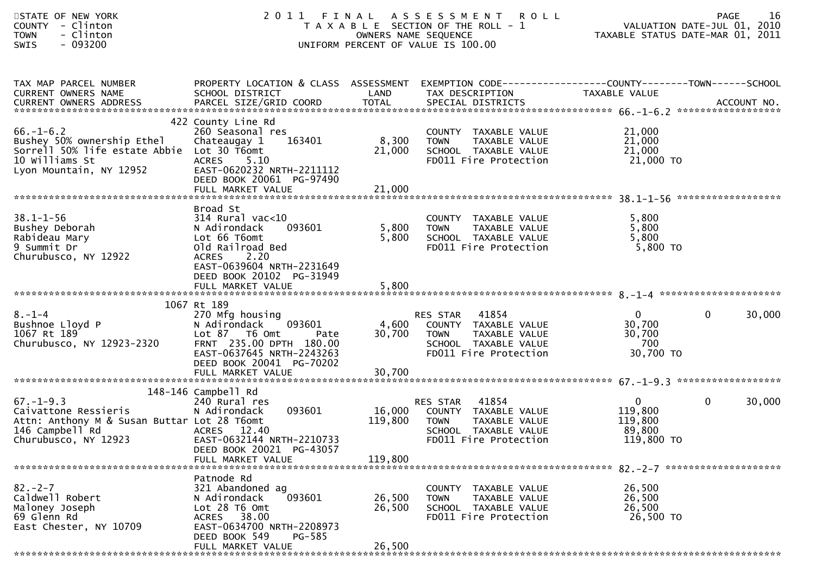| STATE OF NEW YORK<br>COUNTY - Clinton<br>- Clinton<br><b>TOWN</b><br>$-093200$<br><b>SWIS</b>                                     | 2011                                                                                                                                                                                   | FINAL                      | A S S E S S M E N T<br><b>ROLL</b><br>T A X A B L E SECTION OF THE ROLL - 1<br>OWNERS NAME SEQUENCE<br>UNIFORM PERCENT OF VALUE IS 100.00 | VALUATION DATE-JUL 01, 2010<br>TAXABLE STATUS DATE-MAR 01, 2011 | <b>PAGE</b>            | 16 |
|-----------------------------------------------------------------------------------------------------------------------------------|----------------------------------------------------------------------------------------------------------------------------------------------------------------------------------------|----------------------------|-------------------------------------------------------------------------------------------------------------------------------------------|-----------------------------------------------------------------|------------------------|----|
| TAX MAP PARCEL NUMBER<br>CURRENT OWNERS NAME                                                                                      | PROPERTY LOCATION & CLASS ASSESSMENT<br>SCHOOL DISTRICT                                                                                                                                | LAND                       | EXEMPTION CODE-----------------COUNTY--------TOWN------SCHOOL<br>TAX DESCRIPTION                                                          | TAXABLE VALUE                                                   |                        |    |
| $66. - 1 - 6.2$<br>Bushey 50% ownership Ethel<br>Sorrell 50% life estate Abbie<br>10 Williams St<br>Lyon Mountain, NY 12952       | 422 County Line Rd<br>260 Seasonal res<br>Chateaugay 1<br>163401<br>Lot 30 T6omt<br><b>ACRES</b><br>5.10<br>EAST-0620232 NRTH-2211112<br>DEED BOOK 20061 PG-97490<br>FULL MARKET VALUE | 8,300<br>21,000<br>21,000  | COUNTY TAXABLE VALUE<br>TAXABLE VALUE<br><b>TOWN</b><br>SCHOOL TAXABLE VALUE<br>FD011 Fire Protection                                     | 21,000<br>21,000<br>21,000<br>21,000 TO                         |                        |    |
| $38.1 - 1 - 56$<br>Bushey Deborah<br>Rabideau Mary<br>9 Summit Dr<br>Churubusco, NY 12922                                         | Broad St<br>$314$ Rural vac<10<br>093601<br>N Adirondack<br>Lot 66 T6omt<br>Old Railroad Bed<br>2.20<br><b>ACRES</b><br>EAST-0639604 NRTH-2231649<br>DEED BOOK 20102 PG-31949          | 5,800<br>5,800             | COUNTY TAXABLE VALUE<br>TAXABLE VALUE<br><b>TOWN</b><br>SCHOOL TAXABLE VALUE<br>FD011 Fire Protection                                     | 5,800<br>5,800<br>5,800<br>$5,800$ TO                           |                        |    |
|                                                                                                                                   |                                                                                                                                                                                        |                            |                                                                                                                                           |                                                                 |                        |    |
| $8. - 1 - 4$<br>Bushnoe Lloyd P<br>1067 Rt 189<br>Churubusco, NY 12923-2320                                                       | 1067 Rt 189<br>270 Mfg housing<br>N Adirondack<br>093601<br>Lot 87 T6 Omt<br>Pate<br>FRNT 235.00 DPTH 180.00<br>EAST-0637645 NRTH-2243263<br>DEED BOOK 20041 PG-70202                  | 4,600<br>30,700            | 41854<br>RES STAR<br>COUNTY TAXABLE VALUE<br>TAXABLE VALUE<br><b>TOWN</b><br>SCHOOL TAXABLE VALUE<br>FD011 Fire Protection                | $\mathbf{0}$<br>30,700<br>30,700<br>700<br>30,700 TO            | $\mathbf{0}$<br>30,000 |    |
|                                                                                                                                   |                                                                                                                                                                                        |                            |                                                                                                                                           |                                                                 |                        |    |
|                                                                                                                                   | 148-146 Campbell Rd                                                                                                                                                                    |                            |                                                                                                                                           |                                                                 |                        |    |
| $67. - 1 - 9.3$<br>Caivattone Ressieris<br>Attn: Anthony M & Susan Buttar Lot 28 T6omt<br>146 Campbell Rd<br>Churubusco, NY 12923 | 240 Rural res<br>093601<br>N Adirondack<br>ACRES 12.40<br>EAST-0632144 NRTH-2210733<br>DEED BOOK 20021 PG-43057                                                                        | 16,000<br>119,800          | 41854<br>RES STAR<br>COUNTY TAXABLE VALUE<br><b>TOWN</b><br>TAXABLE VALUE<br>SCHOOL TAXABLE VALUE<br>FD011 Fire Protection                | $\mathbf{0}$<br>119,800<br>119,800<br>89,800<br>119,800 TO      | $\mathbf{0}$<br>30,000 |    |
|                                                                                                                                   | FULL MARKET VALUE                                                                                                                                                                      | 119,800                    |                                                                                                                                           |                                                                 |                        |    |
| $82 - 2 - 7$<br>Caldwell Robert<br>Maloney Joseph<br>69 Glenn Rd<br>East Chester, NY 10709                                        | Patnode Rd<br>321 Abandoned ag<br>093601<br>N Adirondack<br>Lot 28 T6 Omt<br>ACRES 38.00<br>EAST-0634700 NRTH-2208973<br>DEED BOOK 549<br>PG-585<br>FULL MARKET VALUE                  | 26,500<br>26,500<br>26,500 | COUNTY TAXABLE VALUE<br><b>TOWN</b><br>TAXABLE VALUE<br>SCHOOL TAXABLE VALUE<br>FD011 Fire Protection                                     | 26,500<br>26,500<br>26,500<br>26,500 TO                         |                        |    |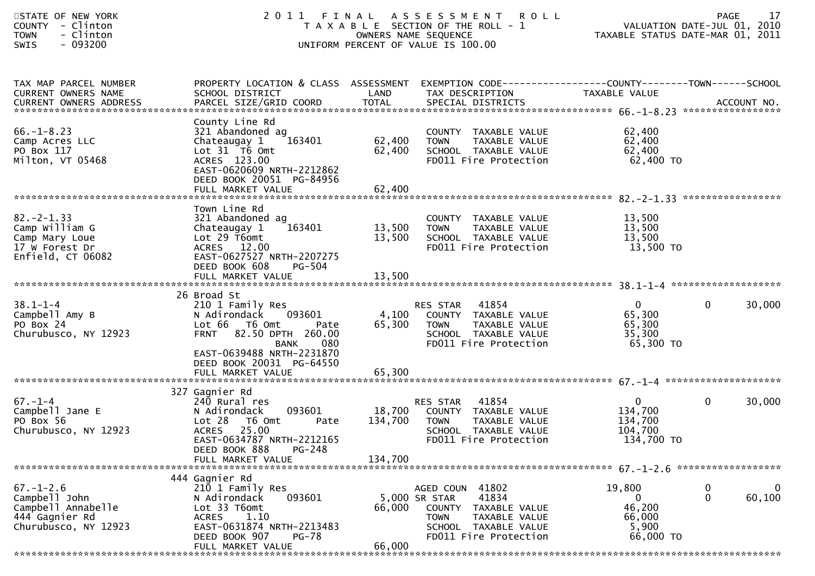| STATE OF NEW YORK<br>- Clinton<br><b>COUNTY</b><br>- Clinton<br><b>TOWN</b><br>$-093200$<br><b>SWIS</b> | 2011                                                                                                                                                                        |                            | FINAL ASSESSMENT<br><b>ROLL</b><br>T A X A B L E SECTION OF THE ROLL - 1<br>OWNERS NAME SEQUENCE<br>UNIFORM PERCENT OF VALUE IS 100.00                | VALUATION DATE-JUL 01, 2010<br>TAXABLE STATUS DATE-MAR 01, 2011    | <b>PAGE</b>       | 17                    |
|---------------------------------------------------------------------------------------------------------|-----------------------------------------------------------------------------------------------------------------------------------------------------------------------------|----------------------------|-------------------------------------------------------------------------------------------------------------------------------------------------------|--------------------------------------------------------------------|-------------------|-----------------------|
| TAX MAP PARCEL NUMBER<br>CURRENT OWNERS NAME<br><b>CURRENT OWNERS ADDRESS</b>                           | PROPERTY LOCATION & CLASS ASSESSMENT EXEMPTION CODE----------------COUNTY-------TOWN------SCHOOL<br>SCHOOL DISTRICT                                                         | LAND                       | TAX DESCRIPTION                                                                                                                                       | TAXABLE VALUE                                                      |                   |                       |
| $66. - 1 - 8.23$<br>Camp Acres LLC<br>PO Box 117<br>Milton, VT 05468                                    | County Line Rd<br>321 Abandoned ag<br>163401<br>Chateaugay 1<br>Lot 31 T6 Omt<br>ACRES 123.00<br>EAST-0620609 NRTH-2212862<br>DEED BOOK 20051 PG-84956<br>FULL MARKET VALUE | 62,400<br>62,400<br>62,400 | COUNTY TAXABLE VALUE<br><b>TOWN</b><br>TAXABLE VALUE<br>SCHOOL TAXABLE VALUE<br>FD011 Fire Protection                                                 | 62,400<br>62,400<br>62,400<br>62,400 TO                            |                   |                       |
|                                                                                                         |                                                                                                                                                                             |                            |                                                                                                                                                       |                                                                    |                   |                       |
| $82 - 2 - 1.33$<br>Camp William G<br>Camp Mary Loue<br>17 W Forest Dr<br>Enfield, CT 06082              | Town Line Rd<br>321 Abandoned ag<br>163401<br>Chateaugay 1<br>Lot 29 T6omt<br>ACRES 12.00<br>EAST-0627527 NRTH-2207275                                                      | 13,500<br>13,500           | COUNTY TAXABLE VALUE<br>TAXABLE VALUE<br>TOWN<br>SCHOOL TAXABLE VALUE<br>FD011 Fire Protection                                                        | 13,500<br>13,500<br>13,500<br>13,500 TO                            |                   |                       |
|                                                                                                         | DEED BOOK 608<br>PG-504<br>FULL MARKET VALUE                                                                                                                                | 13,500                     |                                                                                                                                                       |                                                                    |                   |                       |
|                                                                                                         | 26 Broad St                                                                                                                                                                 |                            |                                                                                                                                                       |                                                                    |                   |                       |
| $38.1 - 1 - 4$<br>Campbell Amy B<br>PO Box 24<br>Churubusco, NY 12923                                   | 210 1 Family Res<br>N Adirondack<br>093601<br>Lot 66 T6 Omt<br>Pate<br>82.50 DPTH 260.00<br><b>FRNT</b><br>080<br><b>BANK</b><br>EAST-0639488 NRTH-2231870                  | 4,100<br>65,300            | 41854<br>RES STAR<br>COUNTY TAXABLE VALUE<br><b>TOWN</b><br>TAXABLE VALUE<br>SCHOOL TAXABLE VALUE<br>FD011 Fire Protection                            | $\overline{0}$<br>65,300<br>65,300<br>35,300<br>65,300 TO          | $\mathbf{0}$      | 30,000                |
|                                                                                                         | DEED BOOK 20031 PG-64550                                                                                                                                                    |                            |                                                                                                                                                       |                                                                    |                   |                       |
|                                                                                                         | 327 Gagnier Rd                                                                                                                                                              |                            |                                                                                                                                                       |                                                                    |                   |                       |
| $67. - 1 - 4$<br>Campbell Jane E<br>PO Box 56<br>Churubusco, NY 12923                                   | 240 Rural res<br>093601<br>N Adirondack<br>T6 Omt<br>Lot 28<br>Pate<br>25.00<br><b>ACRES</b><br>EAST-0634787 NRTH-2212165<br>DEED BOOK 888<br>PG-248                        | 18,700<br>134,700          | 41854<br>RES STAR<br>COUNTY TAXABLE VALUE<br>TAXABLE VALUE<br><b>TOWN</b><br>SCHOOL TAXABLE VALUE<br>FD011 Fire Protection                            | $\mathbf{0}$<br>134,700<br>134,700<br>104,700<br>134,700 TO        | $\mathbf 0$       | 30,000                |
|                                                                                                         | FULL MARKET VALUE                                                                                                                                                           | 134,700                    |                                                                                                                                                       |                                                                    |                   |                       |
|                                                                                                         | 444 Gagnier Rd                                                                                                                                                              |                            |                                                                                                                                                       |                                                                    |                   |                       |
| $67. - 1 - 2.6$<br>Campbell John<br>Campbell Annabelle<br>444 Gagnier Rd<br>Churubusco, NY 12923        | 210 1 Family Res<br>093601<br>N Adirondack<br>Lot 33 T6omt<br>1.10<br><b>ACRES</b><br>EAST-0631874 NRTH-2213483<br>DEED BOOK 907<br>PG-78<br>FULL MARKET VALUE              | 66,000<br>66,000           | AGED COUN 41802<br>5,000 SR STAR<br>41834<br>COUNTY<br>TAXABLE VALUE<br><b>TOWN</b><br>TAXABLE VALUE<br>SCHOOL TAXABLE VALUE<br>FD011 Fire Protection | 19,800<br>$\overline{0}$<br>46,200<br>66,000<br>5,900<br>66,000 TO | 0<br>$\mathbf{0}$ | $\mathbf 0$<br>60,100 |
|                                                                                                         |                                                                                                                                                                             |                            |                                                                                                                                                       |                                                                    |                   |                       |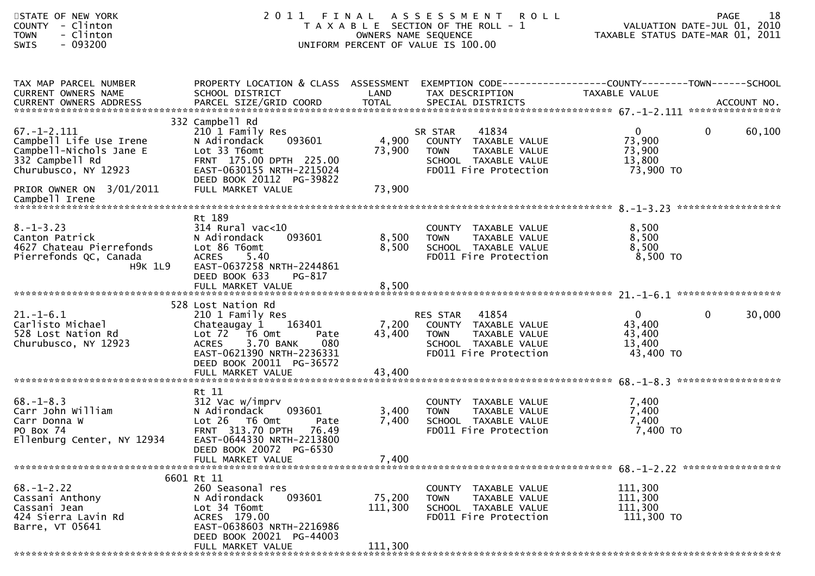| STATE OF NEW YORK<br><b>COUNTY</b><br>- Clinton<br>- Clinton<br><b>TOWN</b><br>$-093200$<br><b>SWIS</b>            | 2011                                                                                                                                                                        | FINAL                        | A S S E S S M E N T<br><b>ROLL</b><br>T A X A B L E SECTION OF THE ROLL - 1<br>OWNERS NAME SEQUENCE<br>UNIFORM PERCENT OF VALUE IS 100.00 | TAXABLE STATUS DATE-MAR 01, 2011                        | 18<br><b>PAGE</b><br>VALUATION DATE-JUL 01, 2010 |
|--------------------------------------------------------------------------------------------------------------------|-----------------------------------------------------------------------------------------------------------------------------------------------------------------------------|------------------------------|-------------------------------------------------------------------------------------------------------------------------------------------|---------------------------------------------------------|--------------------------------------------------|
| TAX MAP PARCEL NUMBER<br>CURRENT OWNERS NAME                                                                       | PROPERTY LOCATION & CLASS ASSESSMENT<br>SCHOOL DISTRICT                                                                                                                     | LAND                         | EXEMPTION CODE-----------------COUNTY-------TOWN------SCHOOL<br>TAX DESCRIPTION                                                           | TAXABLE VALUE                                           |                                                  |
| $67. - 1 - 2.111$<br>Campbell Life Use Irene<br>Campbell-Nichols Jane E<br>332 Campbell Rd<br>Churubusco, NY 12923 | 332 Campbell Rd<br>210 1 Family Res<br>093601<br>N Adirondack<br>Lot 33 T6omt<br>FRNT 175.00 DPTH 225.00<br>EAST-0630155 NRTH-2215024<br>DEED BOOK 20112 PG-39822           | 4,900<br>73,900              | 41834<br>SR STAR<br>COUNTY TAXABLE VALUE<br><b>TOWN</b><br>TAXABLE VALUE<br>SCHOOL TAXABLE VALUE<br>FD011 Fire Protection                 | $\mathbf{0}$<br>73,900<br>73,900<br>13,800<br>73,900 TO | $\mathbf{0}$<br>60,100                           |
| PRIOR OWNER ON 3/01/2011<br>Campbell Irene                                                                         | FULL MARKET VALUE                                                                                                                                                           | 73,900                       |                                                                                                                                           |                                                         |                                                  |
| $8. - 1 - 3.23$<br>Canton Patrick<br>4627 Chateau Pierrefonds<br>Pierrefonds QC, Canada<br><b>H9K 1L9</b>          | Rt 189<br>$314$ Rural vac<10<br>N Adirondack<br>093601<br>Lot 86 T6omt<br><b>ACRES</b><br>5.40<br>EAST-0637258 NRTH-2244861<br>DEED BOOK 633<br>PG-817<br>FULL MARKET VALUE | 8,500<br>8,500<br>8,500      | COUNTY TAXABLE VALUE<br>TAXABLE VALUE<br><b>TOWN</b><br>SCHOOL TAXABLE VALUE<br>FD011 Fire Protection                                     | 8,500<br>8,500<br>8,500<br>8,500 TO                     |                                                  |
|                                                                                                                    | 528 Lost Nation Rd                                                                                                                                                          |                              |                                                                                                                                           |                                                         |                                                  |
| $21. - 1 - 6.1$<br>Carlisto Michael<br>528 Lost Nation Rd<br>Churubusco, NY 12923                                  | 210 1 Family Res<br>Chateaugay 1<br>163401<br>Lot $72$ T6 Omt<br>Pate<br>3.70 BANK<br>080<br><b>ACRES</b><br>EAST-0621390 NRTH-2236331<br>DEED BOOK 20011 PG-36572          | 7,200<br>43,400              | 41854<br>RES STAR<br>COUNTY TAXABLE VALUE<br><b>TOWN</b><br>TAXABLE VALUE<br>SCHOOL TAXABLE VALUE<br>FD011 Fire Protection                | $\mathbf{0}$<br>43,400<br>43,400<br>13,400<br>43,400 TO | $\mathbf{0}$<br>30,000                           |
|                                                                                                                    |                                                                                                                                                                             |                              |                                                                                                                                           |                                                         | ******************                               |
| $68. - 1 - 8.3$<br>Carr John William<br>Carr Donna W<br>PO Box 74<br>Ellenburg Center, NY 12934                    | Rt 11<br>312 Vac w/imprv<br>093601<br>N Adirondack<br>Lot 26 T6 Omt<br>Pate<br>FRNT 313.70 DPTH<br>76.49<br>EAST-0644330 NRTH-2213800<br>DEED BOOK 20072 PG-6530            | 3,400<br>7,400               | COUNTY TAXABLE VALUE<br>TAXABLE VALUE<br><b>TOWN</b><br>SCHOOL TAXABLE VALUE<br>FD011 Fire Protection                                     | 7,400<br>7,400<br>7,400<br>7,400 TO                     |                                                  |
|                                                                                                                    | FULL MARKET VALUE                                                                                                                                                           | 7,400                        |                                                                                                                                           |                                                         |                                                  |
| $68. - 1 - 2.22$<br>Cassani Anthony<br>Cassani Jean<br>424 Sierra Lavin Rd<br>Barre, VT 05641                      | 6601 Rt 11<br>260 Seasonal res<br>093601<br>N Adirondack<br>Lot 34 T6omt<br>ACRES 179.00<br>EAST-0638603 NRTH-2216986<br>DEED BOOK 20021 PG-44003<br>FULL MARKET VALUE      | 75,200<br>111,300<br>111,300 | COUNTY TAXABLE VALUE<br><b>TOWN</b><br>TAXABLE VALUE<br>SCHOOL TAXABLE VALUE<br>FD011 Fire Protection                                     | 111,300<br>111,300<br>111,300<br>111,300 TO             |                                                  |
|                                                                                                                    |                                                                                                                                                                             |                              |                                                                                                                                           |                                                         |                                                  |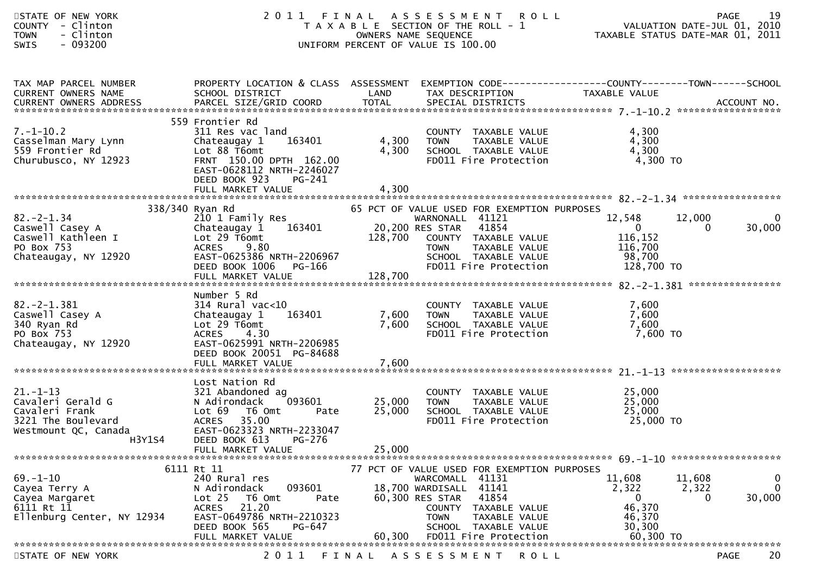| STATE OF NEW YORK<br>COUNTY - Clinton<br>- Clinton<br><b>TOWN</b><br><b>SWIS</b><br>- 093200                  | 2011<br>FINAL                                                                                                                                                                                      |                            | ASSESSMENT ROLL<br>T A X A B L E SECTION OF THE ROLL - 1<br>OWNERS NAME SEQUENCE<br>UNIFORM PERCENT OF VALUE IS 100.00                                                                                                           |                                                                              | 19<br><b>PAGE</b><br>VALUATION DATE-JUL 01, 2010<br>TAXABLE STATUS DATE-MAR 01, 2011 |
|---------------------------------------------------------------------------------------------------------------|----------------------------------------------------------------------------------------------------------------------------------------------------------------------------------------------------|----------------------------|----------------------------------------------------------------------------------------------------------------------------------------------------------------------------------------------------------------------------------|------------------------------------------------------------------------------|--------------------------------------------------------------------------------------|
| TAX MAP PARCEL NUMBER<br>CURRENT OWNERS NAME                                                                  | PROPERTY LOCATION & CLASS ASSESSMENT<br>SCHOOL DISTRICT                                                                                                                                            | LAND                       | EXEMPTION CODE-----------------COUNTY--------TOWN------SCHOOL<br>TAX DESCRIPTION                                                                                                                                                 | TAXABLE VALUE                                                                |                                                                                      |
| $7. - 1 - 10.2$<br>Casselman Mary Lynn<br>559 Frontier Rd<br>Churubusco, NY 12923                             | 559 Frontier Rd<br>311 Res vac land<br>Chateaugay 1<br>163401<br>Lot 88 T6omt<br>FRNT 150.00 DPTH 162.00<br>EAST-0628112 NRTH-2246027<br>DEED BOOK 923<br>PG-241<br>FULL MARKET VALUE              | 4,300<br>4,300<br>4,300    | COUNTY TAXABLE VALUE<br>TAXABLE VALUE<br><b>TOWN</b><br>SCHOOL TAXABLE VALUE<br>FD011 Fire Protection                                                                                                                            | 4,300<br>4,300<br>4,300<br>4,300 TO                                          |                                                                                      |
| $82 - 2 - 1.34$<br>Caswell Casey A<br>Caswell Kathleen I<br>PO Box 753<br>Chateaugay, NY 12920                | 338/340 Ryan Rd<br>210 1 Family Res<br>163401<br>Chateaugay 1<br>Lot 29 T6omt<br><b>ACRES</b><br>9.80<br>EAST-0625386 NRTH-2206967<br>DEED BOOK 1006<br>PG-166<br>FULL MARKET VALUE                | 20,200 RES STAR<br>128,700 | 65 PCT OF VALUE USED FOR EXEMPTION PURPOSES<br>WARNONALL 41121<br>41854<br>128,700 COUNTY TAXABLE VALUE<br>TAXABLE VALUE<br><b>TOWN</b><br>SCHOOL TAXABLE VALUE<br>FD011 Fire Protection                                         | 12,548<br>$\overline{0}$<br>116,152<br>116,700<br>98,700<br>128,700 TO       | 12,000<br>$\mathbf 0$<br>30,000<br>$\Omega$                                          |
| $82. -2 - 1.381$<br>Caswell Casey A<br>340 Ryan Rd<br>PO Box 753<br>Chateaugay, NY 12920                      | Number 5 Rd<br>$314$ Rural vac< $10$<br>Chateaugay 1<br>163401<br>Lot 29 T6omt<br><b>ACRES</b><br>4.30<br>EAST-0625991 NRTH-2206985<br>DEED BOOK 20051 PG-84688                                    | 7,600<br>7,600             | COUNTY TAXABLE VALUE<br>TAXABLE VALUE<br><b>TOWN</b><br>SCHOOL TAXABLE VALUE<br>FD011 Fire Protection                                                                                                                            | 7,600<br>7,600<br>7,600<br>7,600 TO                                          |                                                                                      |
| $21. - 1 - 13$<br>Cavaleri Gerald G<br>Cavaleri Frank<br>3221 The Boulevard<br>Westmount QC, Canada<br>H3Y1S4 | Lost Nation Rd<br>321 Abandoned ag<br>093601<br>N Adirondack<br>Lot 69<br>T6 Omt<br>Pate<br><b>ACRES</b><br>35.00<br>EAST-0623323 NRTH-2233047<br>DEED BOOK 613<br>PG-276<br>FULL MARKET VALUE     | 25,000<br>25,000<br>25,000 | COUNTY TAXABLE VALUE<br><b>TOWN</b><br>TAXABLE VALUE<br>SCHOOL TAXABLE VALUE<br>FD011 Fire Protection                                                                                                                            | 25,000<br>25,000<br>25,000<br>25,000 TO                                      |                                                                                      |
| $69. - 1 - 10$<br>Cayea Terry A<br>Cayea Margaret<br>6111 Rt 11<br>Ellenburg Center, NY 12934                 | 6111 Rt 11<br>240 Rural res<br>093601<br>N Adirondack<br>T6 Omt<br>Lot <sub>25</sub><br>Pate<br>21.20<br><b>ACRES</b><br>EAST-0649786 NRTH-2210323<br>DEED BOOK 565<br>PG-647<br>FULL MARKET VALUE | 60,300                     | 77 PCT OF VALUE USED FOR EXEMPTION PURPOSES<br>WARCOMALL 41131<br>18,700 WARDISALL 41141<br>60,300 RES STAR<br>41854<br>COUNTY<br>TAXABLE VALUE<br><b>TOWN</b><br>TAXABLE VALUE<br>SCHOOL TAXABLE VALUE<br>FD011 Fire Protection | 11,608<br>2,322<br>$\overline{0}$<br>46,370<br>46,370<br>30,300<br>60,300 TO | $\mathbf 0$<br>11,608<br>$\mathbf{0}$<br>2,322<br>30,000<br>$\Omega$                 |
| STATE OF NEW YORK                                                                                             | 2011                                                                                                                                                                                               | FINAL                      | A S S E S S M E N T<br><b>ROLL</b>                                                                                                                                                                                               |                                                                              | 20<br><b>PAGE</b>                                                                    |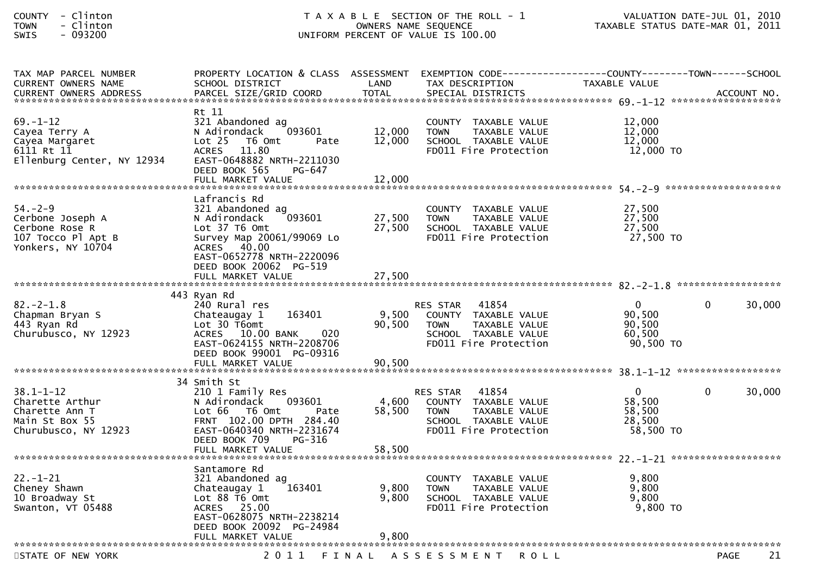| COUNTY      | Clinton   |
|-------------|-----------|
| <b>TOWN</b> | - Clinton |
|             | .         |

| TAX MAP PARCEL NUMBER<br><b>CURRENT OWNERS NAME</b>                                            | PROPERTY LOCATION & CLASS ASSESSMENT<br>SCHOOL DISTRICT                                                                                                                                     | LAND                       | EXEMPTION CODE---<br>TAX DESCRIPTION                                                                                    | ----------------COUNTY--------TOWN------SCHOOL<br>TAXABLE VALUE |                        |
|------------------------------------------------------------------------------------------------|---------------------------------------------------------------------------------------------------------------------------------------------------------------------------------------------|----------------------------|-------------------------------------------------------------------------------------------------------------------------|-----------------------------------------------------------------|------------------------|
| <b>CURRENT OWNERS ADDRESS</b>                                                                  | PARCEL SIZE/GRID COORD                                                                                                                                                                      | <b>TOTAL</b>               | SPECIAL DISTRICTS                                                                                                       |                                                                 | ACCOUNT NO.            |
| $69. - 1 - 12$<br>Cayea Terry A<br>Cayea Margaret<br>6111 Rt 11<br>Ellenburg Center, NY 12934  | Rt 11<br>321 Abandoned ag<br>N Adirondack<br>093601<br>Lot <sub>25</sub><br>T6 Omt<br>Pate<br>ACRES 11.80<br>EAST-0648882 NRTH-2211030<br>DEED BOOK 565<br>PG-647<br>FULL MARKET VALUE      | 12,000<br>12,000<br>12,000 | COUNTY TAXABLE VALUE<br>TAXABLE VALUE<br><b>TOWN</b><br>SCHOOL TAXABLE VALUE<br>FD011 Fire Protection                   | 12,000<br>12,000<br>12,000<br>12,000 TO                         |                        |
| $54. - 2 - 9$<br>Cerbone Joseph A                                                              | Lafrancis Rd<br>321 Abandoned ag<br>093601<br>N Adirondack                                                                                                                                  | 27,500                     | COUNTY TAXABLE VALUE<br><b>TOWN</b><br>TAXABLE VALUE                                                                    | 27,500<br>27,500                                                |                        |
| Cerbone Rose R<br>107 Tocco Pl Apt B<br>Yonkers, NY 10704                                      | Lot 37 T6 Omt<br>Survey Map 20061/99069 Lo<br>ACRES 40.00<br>EAST-0652778 NRTH-2220096<br>DEED BOOK 20062 PG-519                                                                            | 27,500                     | SCHOOL TAXABLE VALUE<br>FD011 Fire Protection                                                                           | 27,500<br>27,500 TO                                             |                        |
|                                                                                                | FULL MARKET VALUE                                                                                                                                                                           | 27,500                     |                                                                                                                         |                                                                 |                        |
| $82 - 2 - 1.8$<br>Chapman Bryan S<br>443 Ryan Rd<br>Churubusco, NY 12923                       | 443 Ryan Rd<br>240 Rural res<br>163401<br>Chateaugay 1<br>Lot 30 T6omt<br>ACRES 10.00 BANK<br>020<br>EAST-0624155 NRTH-2208706                                                              | 9,500<br>90,500            | 41854<br><b>RES STAR</b><br>COUNTY TAXABLE VALUE<br>TAXABLE VALUE<br><b>TOWN</b><br>SCHOOL TAXABLE VALUE                | $\mathbf{0}$<br>90,500<br>90,500<br>60,500<br>90,500 TO         | $\mathbf{0}$<br>30,000 |
|                                                                                                | DEED BOOK 99001 PG-09316<br>FULL MARKET VALUE                                                                                                                                               | 90,500                     | FD011 Fire Protection                                                                                                   |                                                                 |                        |
| $38.1 - 1 - 12$<br>Charette Arthur<br>Charette Ann T<br>Main St Box 55<br>Churubusco, NY 12923 | 34 Smith St<br>210 1 Family Res<br>093601<br>N Adirondack<br>Lot 66  T6 0mt<br>Pate<br>FRNT 102.00 DPTH 284.40<br>EAST-0640340 NRTH-2231674<br>DEED BOOK 709<br>PG-316<br>FULL MARKET VALUE | 4,600<br>58,500<br>58,500  | RES STAR 41854<br>COUNTY TAXABLE VALUE<br><b>TOWN</b><br>TAXABLE VALUE<br>SCHOOL TAXABLE VALUE<br>FD011 Fire Protection | $\Omega$<br>58,500<br>58,500<br>28,500<br>58,500 TO             | $\Omega$<br>30,000     |
|                                                                                                | Santamore Rd                                                                                                                                                                                |                            |                                                                                                                         |                                                                 |                        |
| $22 - 1 - 21$<br>Cheney Shawn<br>10 Broadway St<br>Swanton, VT 05488                           | 321 Abandoned ag<br>163401<br>Chateaugay 1<br>Lot 88 T6 Omt<br>ACRES 25.00<br>EAST-0628075 NRTH-2238214<br>DEED BOOK 20092 PG-24984<br>FULL MARKET VALUE                                    | 9,800<br>9,800<br>9,800    | COUNTY TAXABLE VALUE<br>TAXABLE VALUE<br><b>TOWN</b><br>SCHOOL TAXABLE VALUE<br>FD011 Fire Protection                   | 9,800<br>9,800<br>9,800<br>9,800 TO                             |                        |
| STATE OF NEW YORK                                                                              |                                                                                                                                                                                             |                            | 2011 FINAL ASSESSMENT ROLL                                                                                              |                                                                 | 21<br><b>PAGE</b>      |
|                                                                                                |                                                                                                                                                                                             |                            |                                                                                                                         |                                                                 |                        |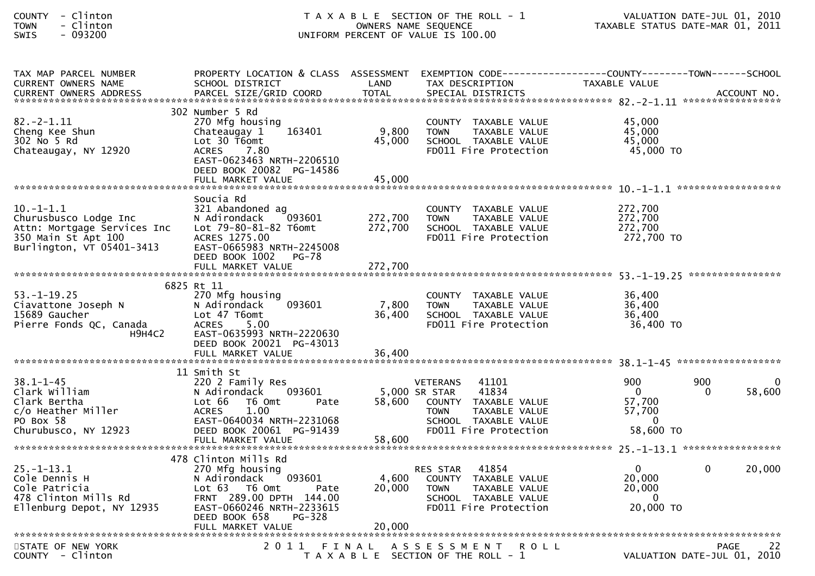| COUNTY       | $\overline{\phantom{0}}$ | Clinton |  |
|--------------|--------------------------|---------|--|
| TOWN         | -                        | Clinton |  |
| $C \cup T C$ |                          | . nadan |  |

| TAX MAP PARCEL NUMBER<br><b>CURRENT OWNERS NAME</b><br><b>CURRENT OWNERS ADDRESS</b>                                            | PROPERTY LOCATION & CLASS ASSESSMENT EXEMPTION CODE----------------COUNTY--------TOWN------SCHOOL<br>SCHOOL DISTRICT<br>PARCEL SIZE/GRID COORD                                       | LAND<br><b>TOTAL</b>      | TAX DESCRIPTION<br>SPECIAL DISTRICTS                                                                                                                        | TAXABLE VALUE                                                    |                 | ACCOUNT NO. |
|---------------------------------------------------------------------------------------------------------------------------------|--------------------------------------------------------------------------------------------------------------------------------------------------------------------------------------|---------------------------|-------------------------------------------------------------------------------------------------------------------------------------------------------------|------------------------------------------------------------------|-----------------|-------------|
|                                                                                                                                 |                                                                                                                                                                                      |                           |                                                                                                                                                             |                                                                  |                 |             |
| $82 - 2 - 1.11$<br>Cheng Kee Shun<br>302 No 5 Rd<br>Chateaugay, NY 12920                                                        | 302 Number 5 Rd<br>270 Mfg housing<br>163401<br>Chateaugay 1<br>Lot $30$ T6omt<br><b>ACRES</b><br>7.80<br>EAST-0623463 NRTH-2206510<br>DEED BOOK 20082 PG-14586<br>FULL MARKET VALUE | 9,800<br>45,000<br>45,000 | COUNTY TAXABLE VALUE<br>TAXABLE VALUE<br><b>TOWN</b><br>SCHOOL TAXABLE VALUE<br>FD011 Fire Protection                                                       | 45,000<br>45,000<br>45,000<br>45,000 TO                          |                 |             |
|                                                                                                                                 | Soucia Rd                                                                                                                                                                            |                           |                                                                                                                                                             |                                                                  |                 |             |
| $10.-1-1.1$<br>Churusbusco Lodge Inc<br>Attn: Mortgage Services Inc<br>350 Main St Apt 100<br>Burlington, VT 05401-3413         | 321 Abandoned ag<br>N Adirondack<br>093601<br>Lot 79-80-81-82 T6omt<br>ACRES 1275.00<br>EAST-0665983 NRTH-2245008<br>DEED BOOK 1002<br>$PG-78$                                       | 272,700<br>272,700        | COUNTY TAXABLE VALUE<br>TAXABLE VALUE<br><b>TOWN</b><br>SCHOOL TAXABLE VALUE<br>FD011 Fire Protection                                                       | 272,700<br>272,700<br>272,700<br>272,700 TO                      |                 |             |
|                                                                                                                                 |                                                                                                                                                                                      |                           |                                                                                                                                                             |                                                                  |                 |             |
|                                                                                                                                 | 6825 Rt 11                                                                                                                                                                           |                           |                                                                                                                                                             |                                                                  |                 |             |
| $53. - 1 - 19.25$<br>Ciavattone Joseph N<br>15689 Gaucher<br>Pierre Fonds QC, Canada<br><b>H9H4C2</b>                           | 270 Mfg housing<br>093601<br>N Adirondack<br>Lot 47 T6omt<br>5.00<br><b>ACRES</b><br>EAST-0635993 NRTH-2220630<br>DEED BOOK 20021 PG-43013                                           | 7,800<br>36,400           | COUNTY TAXABLE VALUE<br><b>TOWN</b><br>TAXABLE VALUE<br>SCHOOL TAXABLE VALUE<br>FD011 Fire Protection                                                       | 36,400<br>36,400<br>36,400<br>36,400 TO                          |                 |             |
|                                                                                                                                 |                                                                                                                                                                                      |                           |                                                                                                                                                             |                                                                  |                 |             |
|                                                                                                                                 |                                                                                                                                                                                      |                           |                                                                                                                                                             |                                                                  |                 |             |
| $38.1 - 1 - 45$<br>Clark William<br>Clark Bertha<br>c/o Heather Miller<br>PO Box 58<br>Churubusco, NY 12923                     | 11 Smith St<br>220 2 Family Res<br>N Adirondack<br>093601<br>Lot 66<br>T6 Omt<br>Pate<br>1.00<br><b>ACRES</b><br>EAST-0640034 NRTH-2231068<br>DEED BOOK 20061 PG-91439               | 58.600                    | <b>VETERANS</b><br>41101<br>5,000 SR STAR<br>41834<br>COUNTY TAXABLE VALUE<br><b>TOWN</b><br>TAXABLE VALUE<br>SCHOOL TAXABLE VALUE<br>FD011 Fire Protection | 900<br>$\mathbf{0}$<br>57,700<br>57,700<br>$\Omega$<br>58,600 TO | 900<br>$\Omega$ | 58,600      |
|                                                                                                                                 |                                                                                                                                                                                      |                           |                                                                                                                                                             |                                                                  |                 |             |
|                                                                                                                                 | 478 Clinton Mills Rd                                                                                                                                                                 |                           |                                                                                                                                                             |                                                                  |                 |             |
| $25. - 1 - 13.1$<br>Cole Dennis H<br>Cole Patricia<br>core ratricia<br>478 Clinton Mills Rd<br>-77<br>Ellenburg Depot, NY 12935 | 270 Mfg housing<br>N Adirondack<br>093601<br>Lot 63 T6 Omt<br>Pate<br>FRNT 289.00 DPTH 144.00<br>EAST-0660246 NRTH-2233615<br>PG-328<br>DEED BOOK 658                                | 4,600<br>20,000           | 41854<br><b>RES STAR</b><br>COUNTY TAXABLE VALUE<br>TAXABLE VALUE<br><b>TOWN</b><br>SCHOOL TAXABLE VALUE<br>FD011 Fire Protection                           | $\mathbf{0}$<br>20,000<br>20,000<br>$\Omega$<br>20,000 TO        | $\Omega$        | 20,000      |
|                                                                                                                                 |                                                                                                                                                                                      |                           |                                                                                                                                                             |                                                                  |                 |             |
| STATE OF NEW YORK<br>COUNTY - Clinton                                                                                           |                                                                                                                                                                                      |                           | 2011 FINAL ASSESSMENT<br><b>ROLL</b><br>T A X A B L E SECTION OF THE ROLL - 1                                                                               | VALUATION DATE-JUL 01, 2010                                      | PAGE            | 22          |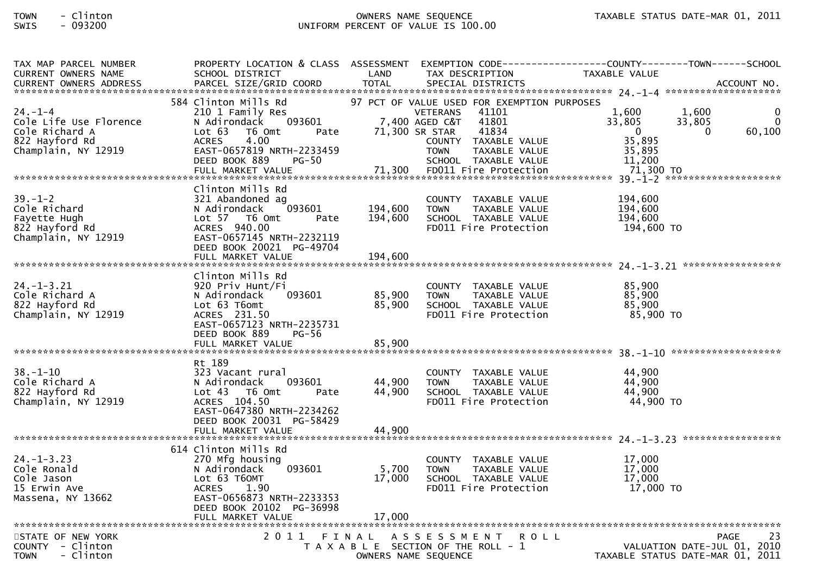| TAX MAP PARCEL NUMBER                                                                  |                                                                                                                                                                                         |                            |                                                                                                             | PROPERTY LOCATION & CLASS ASSESSMENT EXEMPTION CODE---------------COUNTY-------TOWN------SCHOOL     |
|----------------------------------------------------------------------------------------|-----------------------------------------------------------------------------------------------------------------------------------------------------------------------------------------|----------------------------|-------------------------------------------------------------------------------------------------------------|-----------------------------------------------------------------------------------------------------|
| <b>CURRENT OWNERS NAME</b>                                                             | SCHOOL DISTRICT                                                                                                                                                                         | LAND                       | TAX DESCRIPTION                                                                                             | TAXABLE VALUE                                                                                       |
|                                                                                        |                                                                                                                                                                                         |                            |                                                                                                             |                                                                                                     |
| $24. - 1 - 4$<br>Cole Life Use Florence<br>Cole Richard A                              | 584 Clinton Mills Rd<br>210 1 Family Res<br>093601<br>N Adirondack<br>Lot 63<br>T6 Omt<br>Pate                                                                                          | 71,300 SR STAR             | 97 PCT OF VALUE USED FOR EXEMPTION PURPOSES<br>41101<br><b>VETERANS</b><br>7,400 AGED C&T<br>41801<br>41834 | 1,600<br>1,600<br>33,805<br>33,805<br>$\Omega$<br>60,100<br>$\overline{\mathbf{0}}$<br>$\mathbf{0}$ |
| 822 Hayford Rd<br>Champlain, NY 12919                                                  | 4.00<br><b>ACRES</b><br>EAST-0657819 NRTH-2233459<br>DEED BOOK 889<br>PG-50                                                                                                             |                            | COUNTY TAXABLE VALUE<br>TAXABLE VALUE<br>TOWN<br>SCHOOL TAXABLE VALUE                                       | 35,895<br>35,895<br>11,200                                                                          |
|                                                                                        |                                                                                                                                                                                         |                            |                                                                                                             |                                                                                                     |
| $39. - 1 - 2$<br>Cole Richard<br>Fayette Hugh<br>822 Hayford Rd<br>Champlain, NY 12919 | Clinton Mills Rd<br>321 Abandoned ag<br>093601<br>N Adirondack<br>Lot 57 76 0mt<br>Pate<br>ACRES 940.00<br>EAST-0657145 NRTH-2232119<br>DEED BOOK 20021 PG-49704                        | 194,600<br>194,600         | COUNTY TAXABLE VALUE<br><b>TOWN</b><br>TAXABLE VALUE<br>SCHOOL TAXABLE VALUE<br>FD011 Fire Protection       | 194,600<br>194,600<br>194.600<br>194,600 TO                                                         |
|                                                                                        |                                                                                                                                                                                         |                            |                                                                                                             |                                                                                                     |
| $24. - 1 - 3.21$<br>Cole Richard A<br>822 Hayford Rd<br>Champlain, NY 12919            | Clinton Mills Rd<br>920 Priv Hunt/Fi<br>093601<br>N Adirondack<br>Lot 63 T6omt<br>ACRES 231.50<br>EAST-0657123 NRTH-2235731<br>DEED BOOK 889<br><b>PG-56</b><br>FULL MARKET VALUE       | 85,900<br>85,900<br>85,900 | COUNTY TAXABLE VALUE<br>TAXABLE VALUE<br><b>TOWN</b><br>SCHOOL TAXABLE VALUE<br>FD011 Fire Protection       | 85,900<br>85,900<br>85,900<br>85,900 TO                                                             |
| $38. - 1 - 10$<br>Cole Richard A<br>822 Hayford Rd<br>Champlain, NY 12919              | Rt 189<br>323 Vacant rural<br>093601<br>N Adirondack<br>Lot 43  T6 Omt<br>Pate<br>ACRES 104.50<br>EAST-0647380 NRTH-2234262<br>DEED BOOK 20031 PG-58429                                 | 44,900<br>44,900           | COUNTY TAXABLE VALUE<br><b>TOWN</b><br>TAXABLE VALUE<br>SCHOOL TAXABLE VALUE<br>FD011 Fire Protection       | 44,900<br>44,900<br>44,900<br>44,900 TO                                                             |
|                                                                                        |                                                                                                                                                                                         |                            |                                                                                                             |                                                                                                     |
| $24. - 1 - 3.23$<br>Cole Ronald<br>Cole Jason<br>15 Erwin Ave<br>Massena, NY 13662     | 614 Clinton Mills Rd<br>270 Mfg housing<br>093601<br>N Adirondack<br>Lot 63 T6OMT<br><b>ACRES</b><br>1.90<br>EAST-0656873 NRTH-2233353<br>DEED BOOK 20102 PG-36998<br>FULL MARKET VALUE | 5,700<br>17,000<br>17,000  | COUNTY TAXABLE VALUE<br><b>TOWN</b><br>TAXABLE VALUE<br>SCHOOL TAXABLE VALUE<br>FD011 Fire Protection       | 17,000<br>17,000<br>17,000<br>17,000 TO                                                             |
|                                                                                        |                                                                                                                                                                                         |                            |                                                                                                             |                                                                                                     |
| STATE OF NEW YORK<br>COUNTY - Clinton<br>- Clinton<br><b>TOWN</b>                      |                                                                                                                                                                                         | OWNERS NAME SEQUENCE       | 2011 FINAL ASSESSMENT<br><b>ROLL</b><br>T A X A B L E SECTION OF THE ROLL - 1                               | 23<br>PAGE<br>VALUATION DATE-JUL 01, 2010<br>TAXABLE STATUS DATE-MAR 01, 2011                       |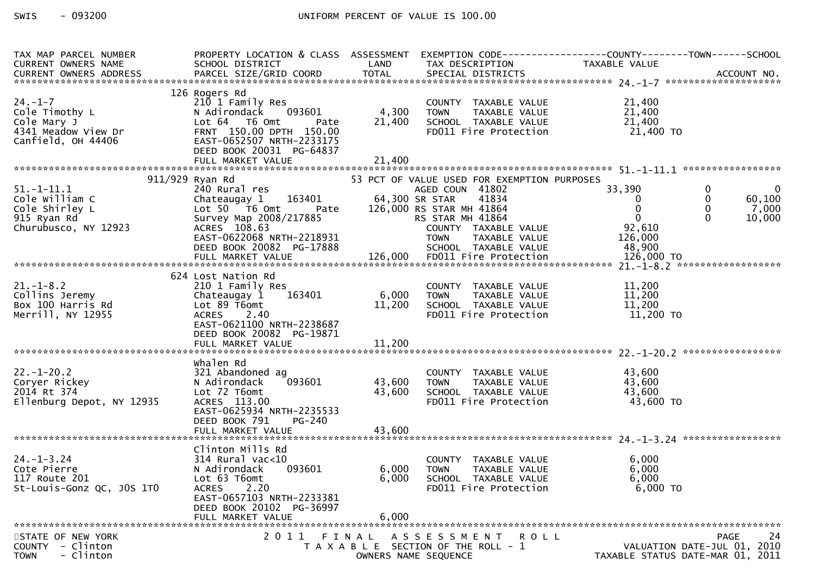| TAX MAP PARCEL NUMBER                                                      | PROPERTY LOCATION & CLASS ASSESSMENT EXEMPTION CODE---------------COUNTY-------TOWN------SCHOOL |            |                                                            |                                       |                             |
|----------------------------------------------------------------------------|-------------------------------------------------------------------------------------------------|------------|------------------------------------------------------------|---------------------------------------|-----------------------------|
| CURRENT OWNERS NAME                                                        | SCHOOL DISTRICT<br><b>Example 12 District LAND</b>                                              |            | TAX DESCRIPTION                                            | TAXABLE VALUE                         |                             |
|                                                                            |                                                                                                 |            |                                                            |                                       |                             |
|                                                                            |                                                                                                 |            |                                                            |                                       |                             |
|                                                                            | 126 Rogers Rd                                                                                   |            |                                                            |                                       |                             |
| $24. - 1 - 7$                                                              | 210 1 Family Res                                                                                |            | COUNTY TAXABLE VALUE<br>TOWN      TAXABLE VALUE            | 21,400                                |                             |
| Cole Timothy L                                                             | 093601<br>N Adirondack                                                                          | 4,300 TOWN |                                                            | 21,400                                |                             |
| Cole Mary J                                                                | Lot 64 T6 Omt<br>Pate                                                                           | 21,400     | SCHOOL TAXABLE VALUE                                       | 21,400                                |                             |
| 4341 Meadow View Dr                                                        | FRNT 150.00 DPTH 150.00                                                                         |            | FD011 Fire Protection                                      | 21,400 TO                             |                             |
| Canfield, OH 44406                                                         | EAST-0652507 NRTH-2233175                                                                       |            |                                                            |                                       |                             |
|                                                                            | DEED BOOK 20031 PG-64837                                                                        |            |                                                            |                                       |                             |
|                                                                            | FULL MARKET VALUE                                                                               | 21,400     |                                                            |                                       |                             |
|                                                                            |                                                                                                 |            |                                                            |                                       |                             |
|                                                                            | 911/929 Ryan Rd                                                                                 |            | 53 PCT OF VALUE USED FOR EXEMPTION PURPOSES                |                                       |                             |
| $51. - 1 - 11.1$                                                           | 240 Rural res                                                                                   |            | AGED COUN 41802                                            | 33,390                                | $\mathbf{0}$                |
| Cole William C<br>Cole Shirley L<br>915 Ryan Rd<br>Churubusco, NY 12923    |                                                                                                 |            | 41834                                                      | $\overline{0}$                        | $\mathbf{0}$<br>60,100      |
|                                                                            | Lot 50 T6 Omt Pate 126,000 RS STAR MH 41864                                                     |            |                                                            | $\mathbf 0$                           | $\mathbf 0$<br>7,000        |
|                                                                            |                                                                                                 |            |                                                            | $\mathbf 0$                           | 10,000                      |
|                                                                            | EUL JU<br>Survey Map 2008/217885<br>ACRES 108.63 COUNTY TAXABLE VALUE                           |            |                                                            | 92,610                                |                             |
|                                                                            | EAST-0622068 NRTH-2218931                                                                       |            | <b>TOWN</b>                                                |                                       |                             |
|                                                                            | DEED BOOK 20082 PG-17888                                                                        |            |                                                            |                                       |                             |
|                                                                            |                                                                                                 |            |                                                            |                                       |                             |
|                                                                            |                                                                                                 |            |                                                            |                                       |                             |
|                                                                            | 624 Lost Nation Rd                                                                              |            |                                                            |                                       |                             |
| $21. - 1 - 8.2$                                                            | 210 1 Family Res                                                                                |            | COUNTY TAXABLE VALUE                                       | 11,200                                |                             |
| Collins Jeremy<br>Collins Jeremy<br>Box 100 Harris Rd<br>Merrill, NY 12955 | Chateaugay 1 163401                                                                             | 6,000 TOWN | TOWN IMANULL<br>SCHOOL TAXABLE VALUE<br>In Time Protection | TAXABLE VALUE<br>TAXABLE VALUE 11,200 |                             |
|                                                                            | Lot 89 T6omt                                                                                    | 11,200     |                                                            |                                       |                             |
| Merrill, NY 12955                                                          | ACRES 2.40                                                                                      |            | FD011 Fire Protection                                      | 11,200 TO                             |                             |
|                                                                            | EAST-0621100 NRTH-2238687                                                                       |            |                                                            |                                       |                             |
|                                                                            | DEED BOOK 20082 PG-19871                                                                        |            |                                                            |                                       |                             |
|                                                                            | FULL MARKET VALUE                                                                               | 11,200     |                                                            |                                       |                             |
|                                                                            |                                                                                                 |            |                                                            |                                       |                             |
|                                                                            | whalen Rd                                                                                       |            |                                                            |                                       |                             |
| $22. - 1 - 20.2$                                                           | 321 Abandoned ag                                                                                |            | COUNTY TAXABLE VALUE                                       | 43,600                                |                             |
| Coryer Rickey                                                              | 093601<br>N Adirondack                                                                          | 43,600     | <b>TOWN</b><br>TAXABLE VALUE                               | 43,600                                |                             |
| 2014 Rt 374                                                                | Lot 72 T6omt                                                                                    | 43,600     | SCHOOL TAXABLE VALUE                                       | 43,600                                |                             |
| Ellenburg Depot, NY 12935                                                  | ACRES 113.00                                                                                    |            | FD011 Fire Protection                                      | 43,600 TO                             |                             |
|                                                                            | EAST-0625934 NRTH-2235533                                                                       |            |                                                            |                                       |                             |
|                                                                            | DEED BOOK 791<br>PG-240                                                                         |            |                                                            |                                       |                             |
|                                                                            |                                                                                                 |            |                                                            |                                       |                             |
|                                                                            |                                                                                                 |            |                                                            |                                       |                             |
|                                                                            | Clinton Mills Rd                                                                                |            |                                                            |                                       |                             |
| $24. - 1 - 3.24$                                                           | 314 Rural vac<10                                                                                |            | COUNTY TAXABLE VALUE                                       | 6,000                                 |                             |
| Cote Pierre                                                                | 093601<br>N Adirondack                                                                          |            | 6,000 TOWN<br>TAXABLE VALUE                                | 6,000                                 |                             |
| 117 Route 201                                                              | Lot 63 T6omt                                                                                    | 6,000      | SCHOOL TAXABLE VALUE                                       | 6,000                                 |                             |
| St-Louis-Gonz QC, JOS 1TO                                                  | ACRES<br>2.20                                                                                   |            | FD011 Fire Protection                                      | $6,000$ TO                            |                             |
|                                                                            | EAST-0657103 NRTH-2233381                                                                       |            |                                                            |                                       |                             |
|                                                                            | DEED BOOK 20102 PG-36997                                                                        |            |                                                            |                                       |                             |
|                                                                            | FULL MARKET VALUE                                                                               | 6,000      |                                                            |                                       |                             |
|                                                                            |                                                                                                 |            |                                                            |                                       |                             |
| STATE OF NEW YORK                                                          | 2011                                                                                            |            | FINAL ASSESSMENT ROLL                                      |                                       | 24<br><b>PAGE</b>           |
| - Clinton<br><b>COUNTY</b>                                                 |                                                                                                 |            | T A X A B L E SECTION OF THE ROLL - 1                      |                                       | VALUATION DATE-JUL 01, 2010 |
| - Clinton<br><b>TOWN</b>                                                   |                                                                                                 |            | OWNERS NAME SEQUENCE                                       | TAXABLE STATUS DATE-MAR 01, 2011      |                             |
|                                                                            |                                                                                                 |            |                                                            |                                       |                             |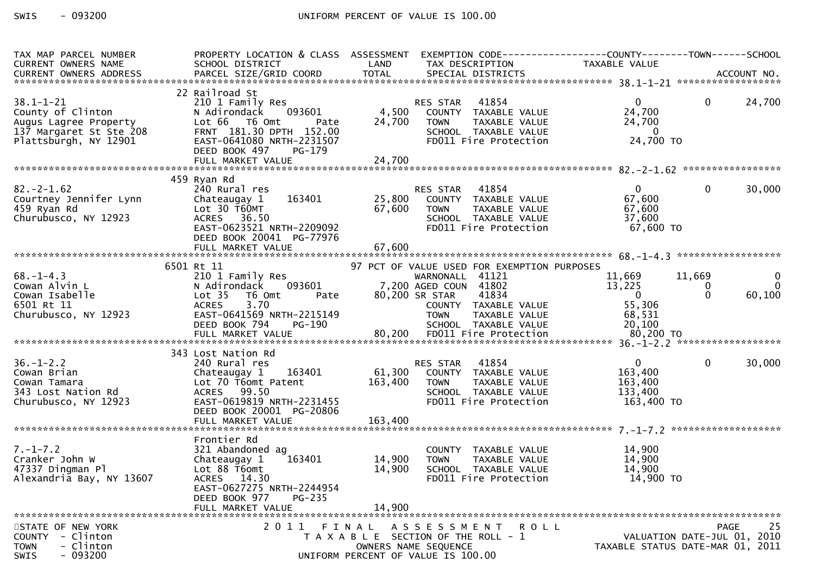| TAX MAP PARCEL NUMBER<br>CURRENT OWNERS NAME                                                                                                  | SCHOOL DISTRICT<br><b>Example 19 Service State LAND</b>                                                                                                                                                                                                                        |        | TAX DESCRIPTION                                                                                                                   | PROPERTY LOCATION & CLASS ASSESSMENT EXEMPTION CODE----------------COUNTY-------TOWN------SCHOOL<br>TAXABLE VALUE |                         |
|-----------------------------------------------------------------------------------------------------------------------------------------------|--------------------------------------------------------------------------------------------------------------------------------------------------------------------------------------------------------------------------------------------------------------------------------|--------|-----------------------------------------------------------------------------------------------------------------------------------|-------------------------------------------------------------------------------------------------------------------|-------------------------|
|                                                                                                                                               |                                                                                                                                                                                                                                                                                |        |                                                                                                                                   |                                                                                                                   |                         |
| 38.1-1-21<br>County of Clinton<br>38.1-1-21<br>County of Clinton<br>Augus Lagree Property<br>137 Margaret St Ste 208<br>Plattsburgh, NY 12901 | 22 Railroad St<br>Railroad St<br>210 1 Family Res<br>N Adirondack 093601 4,500 COUNTY TAXABLE VALUE<br>Lot 66 T6 Omt Pate 24,700 TOWN TAXABLE VALUE<br>FRNT 181.30 DPTH 152.00 SCHOOL TAXABLE VALUE<br>FAST-0641080 NRTH-2231507 FD011 Fire Protection<br>DEED BOOK 497 PG-179 |        |                                                                                                                                   | $\overline{0}$<br>$\overline{0}$<br>24,700<br>24,700<br>$\sim$ 0<br>24,700 TO                                     | 24,700                  |
|                                                                                                                                               |                                                                                                                                                                                                                                                                                |        |                                                                                                                                   |                                                                                                                   |                         |
|                                                                                                                                               |                                                                                                                                                                                                                                                                                |        |                                                                                                                                   |                                                                                                                   |                         |
| $82 - 2 - 1.62$<br>82.-2-1.62<br>Courtney Jennifer Lynn<br>459 Ryan Rd<br>Churubusco, NY 12923                                                | 459 Ryan Rd<br>240 Rural res<br>Chateaugay 1 163401 25,800 COUNTY TAXABLE VALUE 67,600<br>Lot 30 T60MT 67,600 TOWN TAXABLE VALUE 67,600<br>ACRES 36.50 SCHOOL TAXABLE VALUE 67,600<br>EAST-0623521 NRTH-2209092 FD011 Fire Protection 67,600 TO                                |        |                                                                                                                                   | $\mathbf 0$                                                                                                       | 30,000                  |
|                                                                                                                                               | DEED BOOK 20041 PG-77976                                                                                                                                                                                                                                                       |        |                                                                                                                                   |                                                                                                                   |                         |
|                                                                                                                                               | 6501 Rt 11                                                                                                                                                                                                                                                                     |        | 97 PCT OF VALUE USED FOR EXEMPTION PURPOSES                                                                                       |                                                                                                                   |                         |
|                                                                                                                                               | 210 1 Family Res                                                                                                                                                                                                                                                               |        | WARNONALL 41121                                                                                                                   | $\begin{array}{cccc} & 11,669 & & 11,669 \\ & 13,225 & & 0 \\ & & -0 & & 0 \end{array}$                           | $\overline{\mathbf{0}}$ |
|                                                                                                                                               |                                                                                                                                                                                                                                                                                |        |                                                                                                                                   |                                                                                                                   |                         |
|                                                                                                                                               |                                                                                                                                                                                                                                                                                |        |                                                                                                                                   |                                                                                                                   |                         |
| 68.-1-4.3<br>Cowan Alvin L<br>Cowan Isabelle<br>6501 Rt 11<br>Churubusco, NY 12923                                                            |                                                                                                                                                                                                                                                                                |        |                                                                                                                                   |                                                                                                                   |                         |
|                                                                                                                                               |                                                                                                                                                                                                                                                                                |        |                                                                                                                                   |                                                                                                                   |                         |
|                                                                                                                                               | 343 Lost Nation Rd                                                                                                                                                                                                                                                             |        |                                                                                                                                   |                                                                                                                   |                         |
| $36. - 1 - 2.2$<br>Cowan Tamara<br>343 Lost Nation Rd<br>Churubusco, NY 12923<br>12923                                                        | 240 Rural res<br>Chateaugay 1 163401 61,300 COUNTY TAXABLE VALUE<br>Lot 70 T6omt Patent 163,400 TOWN<br>ACRES 99.50<br>EAST-0619819 NRTH-2231455<br>DEED BOOK 20001 PG-20806                                                                                                   |        | TAXABLE VALUE<br>TOWN IAAADLL<br>SCHOOL TAXABLE VALUE<br>Fire Protection                                                          | $\overline{0}$<br>$\mathbf{0}$<br>163,400<br>163,400<br>133,400<br>163,400 TO                                     | 30,000                  |
|                                                                                                                                               |                                                                                                                                                                                                                                                                                |        |                                                                                                                                   |                                                                                                                   |                         |
|                                                                                                                                               |                                                                                                                                                                                                                                                                                |        |                                                                                                                                   |                                                                                                                   |                         |
| $7. - 1 - 7.2$<br>Cranker John W<br>47337 Dingman Pl<br>Alexandria Bay, NY 13607                                                              | Frontier Rd<br>321 Abandoned ag<br>163401 14,900<br>Chateaugay 1<br>Lot 88 T6omt<br>ACRES 14.30<br>EAST-0627275 NRTH-2244954<br>DEED BOOK 977<br>PG-235                                                                                                                        | 14,900 | COUNTY TAXABLE VALUE<br>TAXABLE VALUE<br><b>TOWN</b><br>SCHOOL TAXABLE VALUE<br>FD011 Fire Protection                             | 14, J<br>14, 900<br>14, 900<br>14,900 TO                                                                          |                         |
|                                                                                                                                               | FULL MARKET VALUE                                                                                                                                                                                                                                                              | 14,900 |                                                                                                                                   |                                                                                                                   |                         |
| STATE OF NEW YORK<br>COUNTY - Clinton<br>- Clinton<br><b>TOWN</b><br>$-093200$<br><b>SWIS</b>                                                 |                                                                                                                                                                                                                                                                                |        | 2011 FINAL ASSESSMENT ROLL<br>T A X A B L E SECTION OF THE ROLL - 1<br>OWNERS NAME SEQUENCE<br>UNIFORM PERCENT OF VALUE IS 100.00 | VALUATION DATE-JUL 01, 2010<br>TAXABLE STATUS DATE-MAR 01, 2011                                                   | 25<br><b>PAGE</b>       |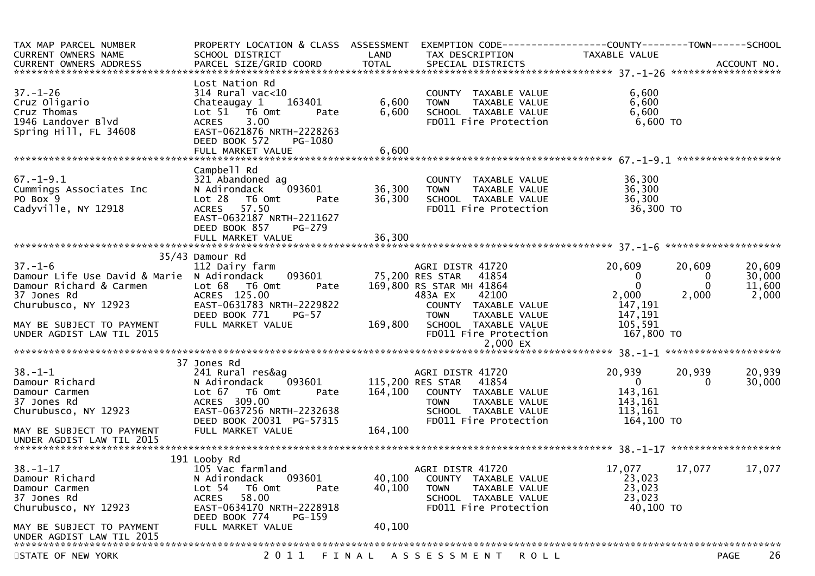| TAX MAP PARCEL NUMBER<br><b>CURRENT OWNERS NAME</b>                                                                                                        | PROPERTY LOCATION & CLASS ASSESSMENT<br>SCHOOL DISTRICT                                                                                                                  | LAND                       | TAX DESCRIPTION                                                                                                                                                              | TAXABLE VALUE                                              |                                  |                                     |
|------------------------------------------------------------------------------------------------------------------------------------------------------------|--------------------------------------------------------------------------------------------------------------------------------------------------------------------------|----------------------------|------------------------------------------------------------------------------------------------------------------------------------------------------------------------------|------------------------------------------------------------|----------------------------------|-------------------------------------|
| $37. - 1 - 26$<br>Cruz Oligario<br>Cruz Thomas<br>1946 Landover Blvd<br>Spring Hill, FL 34608                                                              | Lost Nation Rd<br>$314$ Rural vac<10<br>163401<br>Chateaugay 1<br>Lot 51 76 0mt<br>Pate<br>3.00<br><b>ACRES</b><br>EAST-0621876 NRTH-2228263<br>DEED BOOK 572<br>PG-1080 | 6,600<br>6,600             | COUNTY TAXABLE VALUE<br><b>TOWN</b><br>TAXABLE VALUE<br>SCHOOL TAXABLE VALUE<br>FD011 Fire Protection                                                                        | 6,600<br>6,600<br>6,600<br>6,600 TO                        |                                  |                                     |
|                                                                                                                                                            |                                                                                                                                                                          |                            |                                                                                                                                                                              |                                                            |                                  |                                     |
| $67. - 1 - 9.1$<br>Cummings Associates Inc<br>PO Box 9<br>Cadyville, NY 12918                                                                              | Campbell Rd<br>321 Abandoned ag<br>093601<br>N Adirondack<br>Lot 28 T6 Omt<br>Pate<br><b>ACRES</b><br>57.50<br>EAST-0632187 NRTH-2211627<br>DEED BOOK 857<br>PG-279      | 36,300<br>36,300<br>36,300 | COUNTY TAXABLE VALUE<br><b>TOWN</b><br>TAXABLE VALUE<br>SCHOOL TAXABLE VALUE<br>FD011 Fire Protection                                                                        | 36,300<br>36,300<br>36,300<br>36,300 TO                    |                                  |                                     |
|                                                                                                                                                            | FULL MARKET VALUE                                                                                                                                                        |                            |                                                                                                                                                                              |                                                            |                                  |                                     |
| $37. - 1 - 6$<br>Damour Life Use David & Marie N Adirondack<br>Damour Richard & Carmen<br>37 Jones Rd<br>Churubusco, NY 12923<br>MAY BE SUBJECT TO PAYMENT | 35/43 Damour Rd<br>112 Dairy farm<br>093601<br>Lot 68 T6 Omt<br>Pate<br>ACRES 125.00<br>EAST-0631783 NRTH-2229822<br>DEED BOOK 771<br><b>PG-57</b><br>FULL MARKET VALUE  | 169,800                    | AGRI DISTR 41720<br>41854<br>75,200 RES STAR<br>169,800 RS STAR MH 41864<br>483A EX<br>42100<br>COUNTY TAXABLE VALUE<br>TAXABLE VALUE<br><b>TOWN</b><br>SCHOOL TAXABLE VALUE | 20,609<br>0<br>0<br>2,000<br>147,191<br>147,191<br>105,591 | 20,609<br>0<br>$\Omega$<br>2,000 | 20,609<br>30,000<br>11,600<br>2,000 |
| UNDER AGDIST LAW TIL 2015                                                                                                                                  |                                                                                                                                                                          |                            | FD011 Fire Protection<br>2,000 EX                                                                                                                                            | 167,800 TO                                                 |                                  |                                     |
|                                                                                                                                                            |                                                                                                                                                                          |                            |                                                                                                                                                                              |                                                            |                                  |                                     |
| $38. - 1 - 1$<br>Damour Richard<br>Damour Carmen<br>37 Jones Rd<br>Churubusco, NY 12923                                                                    | 37 Jones Rd<br>241 Rural res&ag<br>093601<br>N Adirondack<br>Lot 67 T6 Omt<br>Pate<br>ACRES 309.00<br>EAST-0637256 NRTH-2232638                                          | 164,100                    | AGRI DISTR 41720<br>115,200 RES STAR<br>41854<br>COUNTY TAXABLE VALUE<br>TAXABLE VALUE<br><b>TOWN</b><br>SCHOOL TAXABLE VALUE                                                | 20,939<br>$\overline{0}$<br>143,161<br>143,161<br>113,161  | 20,939<br>0                      | 20,939<br>30,000                    |
| MAY BE SUBJECT TO PAYMENT<br>UNDER AGDIST LAW TIL 2015                                                                                                     | DEED BOOK 20031 PG-57315<br>FULL MARKET VALUE                                                                                                                            | 164,100                    | FD011 Fire Protection                                                                                                                                                        | 164,100 TO                                                 |                                  |                                     |
|                                                                                                                                                            | 191 Looby Rd                                                                                                                                                             |                            |                                                                                                                                                                              |                                                            |                                  |                                     |
| $38. - 1 - 17$<br>Damour Richard<br>Damour Carmen<br>37 Jones Rd<br>Churubusco, NY 12923                                                                   | 105 Vac farmland<br>093601<br>N Adirondack<br>Lot 54<br>T6 Omt<br>Pate<br>58.00<br><b>ACRES</b><br>EAST-0634170 NRTH-2228918<br>DEED BOOK 774<br>PG-159                  | 40,100<br>40,100           | AGRI DISTR 41720<br>COUNTY TAXABLE VALUE<br>TAXABLE VALUE<br><b>TOWN</b><br>SCHOOL TAXABLE VALUE<br>FD011 Fire Protection                                                    | 17,077<br>23,023<br>23,023<br>23,023<br>40,100 TO          | 17,077                           | 17,077                              |
| MAY BE SUBJECT TO PAYMENT<br>UNDER AGDIST LAW TIL 2015                                                                                                     | FULL MARKET VALUE                                                                                                                                                        | 40,100                     |                                                                                                                                                                              |                                                            |                                  |                                     |
| STATE OF NEW YORK                                                                                                                                          | 2011                                                                                                                                                                     |                            | FINAL ASSESSMENT<br>R O L L                                                                                                                                                  |                                                            |                                  | 26<br><b>PAGE</b>                   |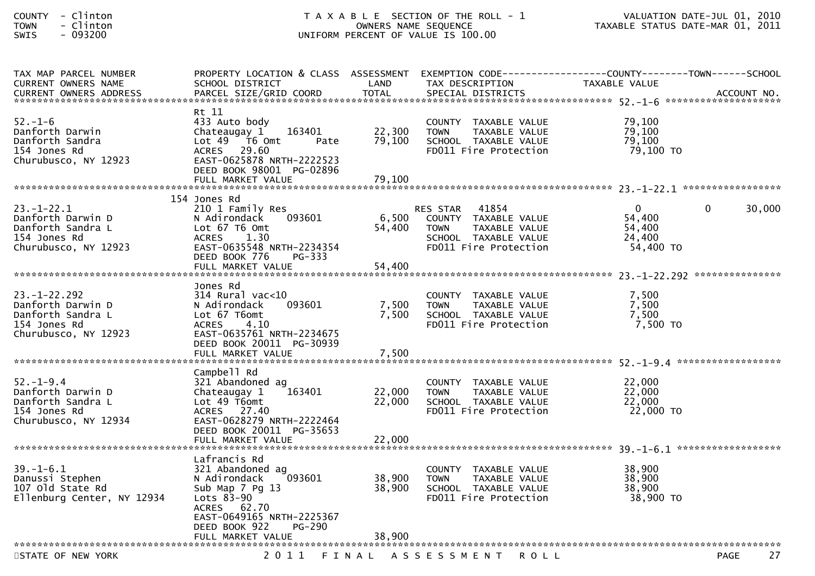| <b>COUNTY</b> | Clinton   |
|---------------|-----------|
| <b>TOWN</b>   | - Clinton |
|               |           |

| TAX MAP PARCEL NUMBER         | PROPERTY LOCATION & CLASS ASSESSMENT EXEMPTION CODE----------------COUNTY--------TOWN------SCHOOL |              |                                      |                  |             |             |
|-------------------------------|---------------------------------------------------------------------------------------------------|--------------|--------------------------------------|------------------|-------------|-------------|
| <b>CURRENT OWNERS NAME</b>    | SCHOOL DISTRICT                                                                                   | LAND         | TAX DESCRIPTION                      | TAXABLE VALUE    |             |             |
| <b>CURRENT OWNERS ADDRESS</b> | PARCEL SIZE/GRID COORD                                                                            | <b>TOTAL</b> | SPECIAL DISTRICTS                    |                  |             | ACCOUNT NO. |
|                               |                                                                                                   |              |                                      |                  |             |             |
|                               | Rt 11                                                                                             |              |                                      |                  |             |             |
| $52 - 1 - 6$                  | 433 Auto body                                                                                     |              | COUNTY TAXABLE VALUE                 | 79,100           |             |             |
| Danforth Darwin               | Chateaugay 1<br>163401                                                                            | 22,300       | TAXABLE VALUE<br><b>TOWN</b>         | 79,100           |             |             |
| Danforth Sandra               | Lot 49 76 0mt<br>Pate                                                                             | 79,100       | SCHOOL TAXABLE VALUE                 | 79,100           |             |             |
| 154 Jones Rd                  | ACRES 29.60                                                                                       |              | FD011 Fire Protection                | 79,100 TO        |             |             |
| Churubusco, NY 12923          | EAST-0625878 NRTH-2222523                                                                         |              |                                      |                  |             |             |
|                               | DEED BOOK 98001 PG-02896                                                                          |              |                                      |                  |             |             |
|                               | FULL MARKET VALUE                                                                                 | 79,100       |                                      |                  |             |             |
|                               |                                                                                                   |              |                                      |                  |             |             |
|                               | 154 Jones Rd                                                                                      |              |                                      |                  |             |             |
| $23. - 1 - 22.1$              | 210 1 Family Res                                                                                  |              | 41854<br><b>RES STAR</b>             | $\Omega$         | $\Omega$    | 30,000      |
| Danforth Darwin D             | 093601<br>N Adirondack                                                                            | 6,500        | COUNTY TAXABLE VALUE                 | 54,400           |             |             |
| Danforth Sandra L             | Lot 67 T6 Omt                                                                                     | 54,400       | TAXABLE VALUE<br>TOWN                | 54,400<br>24,400 |             |             |
| 154 Jones Rd                  | 1.30<br>ACRES                                                                                     |              | SCHOOL TAXABLE VALUE                 | 54,400 TO        |             |             |
| Churubusco, NY 12923          | EAST-0635548 NRTH-2234354<br>DEED BOOK 776<br>PG-333                                              |              | FD011 Fire Protection                |                  |             |             |
|                               |                                                                                                   |              |                                      |                  |             |             |
|                               |                                                                                                   |              |                                      |                  |             |             |
|                               | Jones Rd                                                                                          |              |                                      |                  |             |             |
| $23. - 1 - 22.292$            | 314 Rural vac<10                                                                                  |              | COUNTY TAXABLE VALUE                 | 7,500            |             |             |
| Danforth Darwin D             | 093601<br>N Adirondack                                                                            | 7,500        | TAXABLE VALUE<br><b>TOWN</b>         | 7,500            |             |             |
| Danforth Sandra L             | Lot 67 T6omt                                                                                      | 7.500        | SCHOOL TAXABLE VALUE                 | 7,500            |             |             |
| 154 Jones Rd                  | 4.10<br><b>ACRES</b>                                                                              |              | FD011 Fire Protection                | 7,500 TO         |             |             |
| Churubusco, NY 12923          | EAST-0635761 NRTH-2234675                                                                         |              |                                      |                  |             |             |
|                               | DEED BOOK 20011 PG-30939                                                                          |              |                                      |                  |             |             |
|                               |                                                                                                   | 7,500        |                                      |                  |             |             |
|                               |                                                                                                   |              |                                      |                  |             |             |
|                               | Campbell Rd                                                                                       |              |                                      |                  |             |             |
| $52. - 1 - 9.4$               | 321 Abandoned ag                                                                                  |              | COUNTY TAXABLE VALUE                 | 22,000           |             |             |
| Danforth Darwin D             | Chateaugay 1<br>163401                                                                            | 22,000       | <b>TOWN</b><br>TAXABLE VALUE         | 22,000           |             |             |
| Danforth Sandra L             | Lot 49 T6omt                                                                                      | 22,000       | SCHOOL TAXABLE VALUE                 | 22,000           |             |             |
| 154 Jones Rd                  | ACRES 27.40                                                                                       |              | FD011 Fire Protection                | 22,000 TO        |             |             |
| Churubusco, NY 12934          | EAST-0628279 NRTH-2222464                                                                         |              |                                      |                  |             |             |
|                               | DEED BOOK 20011 PG-35653                                                                          |              |                                      |                  |             |             |
|                               | FULL MARKET VALUE                                                                                 | 22,000       |                                      |                  |             |             |
|                               |                                                                                                   |              |                                      |                  |             |             |
|                               | Lafrancis Rd                                                                                      |              |                                      |                  |             |             |
| $39. - 1 - 6.1$               | 321 Abandoned ag                                                                                  |              | COUNTY TAXABLE VALUE                 | 38,900           |             |             |
| Danussi Stephen               | 093601<br>N Adirondack                                                                            | 38,900       | <b>TOWN</b><br>TAXABLE VALUE         | 38,900           |             |             |
| 107 old State Rd              | Sub Map 7 Pg 13                                                                                   | 38,900       | SCHOOL TAXABLE VALUE                 | 38,900           |             |             |
| Ellenburg Center, NY 12934    | Lots 83-90                                                                                        |              | FD011 Fire Protection                | 38,900 TO        |             |             |
|                               | ACRES 62.70                                                                                       |              |                                      |                  |             |             |
|                               | EAST-0649165 NRTH-2225367                                                                         |              |                                      |                  |             |             |
|                               | $PG-290$<br>DEED BOOK 922                                                                         |              |                                      |                  |             |             |
|                               | FULL MARKET VALUE                                                                                 | 38,900       |                                      |                  |             |             |
|                               |                                                                                                   |              |                                      |                  |             |             |
| STATE OF NEW YORK             |                                                                                                   |              | 2011 FINAL ASSESSMENT<br><b>ROLL</b> |                  | <b>PAGE</b> | 27          |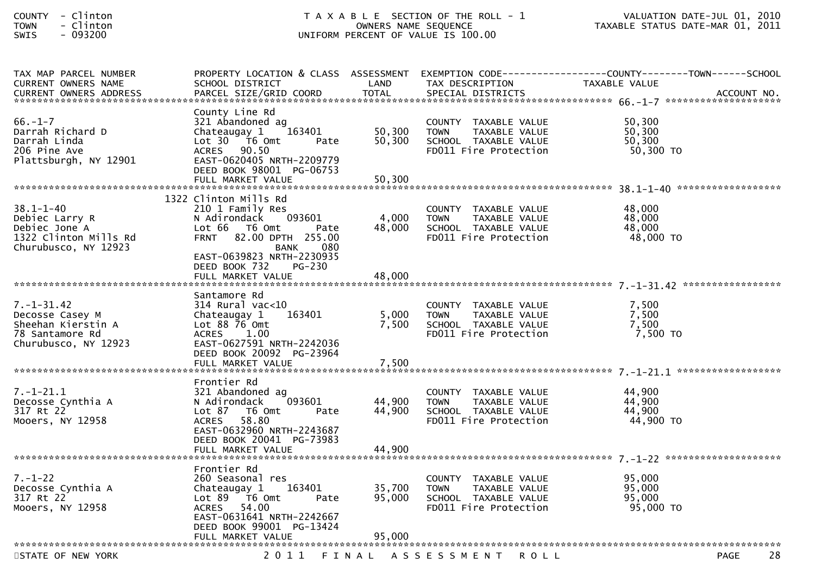| <b>COUNTY</b> |          | Clinton |
|---------------|----------|---------|
| <b>TOWN</b>   | $\equiv$ | Clinton |
| CUTC          |          | . _____ |

| TAX MAP PARCEL NUMBER<br><b>CURRENT OWNERS NAME</b> | SCHOOL DISTRICT                                       | LAND   | TAX DESCRIPTION                                      | PROPERTY LOCATION & CLASS ASSESSMENT EXEMPTION CODE-----------------COUNTY--------TOWN------SCHOOL<br>TAXABLE VALUE |
|-----------------------------------------------------|-------------------------------------------------------|--------|------------------------------------------------------|---------------------------------------------------------------------------------------------------------------------|
|                                                     |                                                       |        |                                                      |                                                                                                                     |
|                                                     | County Line Rd                                        |        |                                                      |                                                                                                                     |
| $66. - 1 - 7$                                       | 321 Abandoned ag                                      |        | COUNTY TAXABLE VALUE                                 | 50,300                                                                                                              |
| Darrah Richard D                                    | Chateaugay 1<br>163401                                | 50,300 | TAXABLE VALUE<br><b>TOWN</b>                         | 50,300                                                                                                              |
| Darrah Linda<br>206 Pine Ave                        | Lot 30 76 0mt<br>Pate<br>ACRES 90.50                  | 50,300 | SCHOOL TAXABLE VALUE<br>FD011 Fire Protection        | 50,300<br>50,300 TO                                                                                                 |
| Plattsburgh, NY 12901                               | EAST-0620405 NRTH-2209779                             |        |                                                      |                                                                                                                     |
|                                                     | DEED BOOK 98001 PG-06753                              |        |                                                      |                                                                                                                     |
|                                                     | FULL MARKET VALUE                                     | 50,300 |                                                      |                                                                                                                     |
|                                                     | 1322 Clinton Mills Rd                                 |        |                                                      |                                                                                                                     |
| $38.1 - 1 - 40$                                     | 210 1 Family Res                                      |        | COUNTY TAXABLE VALUE                                 | 48,000                                                                                                              |
| Debiec Larry R                                      | 093601<br>N Adirondack                                | 4,000  | TAXABLE VALUE<br><b>TOWN</b>                         | 48,000                                                                                                              |
| Debiec Jone A<br>1322 Clinton Mills Rd              | Lot 66  T6 0mt<br>Pate<br>FRNT 82.00 DPTH 255.00      | 48,000 | SCHOOL TAXABLE VALUE<br>FD011 Fire Protection        | 48,000<br>48,000 TO                                                                                                 |
| Churubusco, NY 12923                                | <b>BANK</b><br>080                                    |        |                                                      |                                                                                                                     |
|                                                     | EAST-0639823 NRTH-2230935                             |        |                                                      |                                                                                                                     |
|                                                     | DEED BOOK 732<br>$PG-230$<br>FULL MARKET VALUE        | 48,000 |                                                      |                                                                                                                     |
|                                                     |                                                       |        |                                                      |                                                                                                                     |
|                                                     | Santamore Rd                                          |        |                                                      |                                                                                                                     |
| $7. - 1 - 31.42$                                    | $314$ Rural vac< $10$                                 | 5,000  | COUNTY TAXABLE VALUE                                 | 7,500<br>7,500                                                                                                      |
| Decosse Casey M<br>Sheehan Kierstin A               | 163401<br>Chateaugay 1<br>Lot 88 76 Omt               | 7,500  | <b>TOWN</b><br>TAXABLE VALUE<br>SCHOOL TAXABLE VALUE | 7,500                                                                                                               |
| 78 Santamore Rd                                     | <b>ACRES</b><br>1.00                                  |        | FD011 Fire Protection                                | 7,500 TO                                                                                                            |
| Churubusco, NY 12923                                | EAST-0627591 NRTH-2242036                             |        |                                                      |                                                                                                                     |
|                                                     | DEED BOOK 20092 PG-23964<br>FULL MARKET VALUE         | 7,500  |                                                      |                                                                                                                     |
|                                                     |                                                       |        |                                                      |                                                                                                                     |
|                                                     | Frontier Rd                                           |        |                                                      |                                                                                                                     |
| $7. - 1 - 21.1$<br>Decosse Cynthia A                | 321 Abandoned ag<br>093601<br>N Adirondack            | 44,900 | COUNTY TAXABLE VALUE<br><b>TOWN</b><br>TAXABLE VALUE | 44,900<br>44,900                                                                                                    |
| 317 Rt 22                                           | Lot 87 76 0mt<br>Pate                                 | 44,900 | SCHOOL TAXABLE VALUE                                 | 44,900                                                                                                              |
| Mooers, NY 12958                                    | 58.80<br>ACRES                                        |        | FD011 Fire Protection                                | 44,900 TO                                                                                                           |
|                                                     | EAST-0632960 NRTH-2243687                             |        |                                                      |                                                                                                                     |
|                                                     | DEED BOOK 20041 PG-73983<br>FULL MARKET VALUE         | 44,900 |                                                      |                                                                                                                     |
|                                                     |                                                       |        |                                                      |                                                                                                                     |
|                                                     | Frontier Rd                                           |        |                                                      | 95,000                                                                                                              |
| $7. - 1 - 22$<br>Decosse Cynthia A                  | 260 Seasonal res<br>163401<br>Chateaugay 1            | 35,700 | COUNTY TAXABLE VALUE<br><b>TOWN</b><br>TAXABLE VALUE | 95,000                                                                                                              |
| 317 Rt 22                                           | Lot $89$ $\overline{76}$ Omt<br>Pate                  | 95,000 | SCHOOL TAXABLE VALUE                                 | 95,000                                                                                                              |
| Mooers, NY 12958                                    | ACRES 54.00                                           |        | FD011 Fire Protection                                | 95,000 TO                                                                                                           |
|                                                     | EAST-0631641 NRTH-2242667<br>DEED BOOK 99001 PG-13424 |        |                                                      |                                                                                                                     |
|                                                     | FULL MARKET VALUE                                     | 95,000 |                                                      |                                                                                                                     |
|                                                     |                                                       |        |                                                      |                                                                                                                     |
| STATE OF NEW YORK                                   |                                                       |        | 2011 FINAL ASSESSMENT<br><b>ROLL</b>                 | 28<br><b>PAGE</b>                                                                                                   |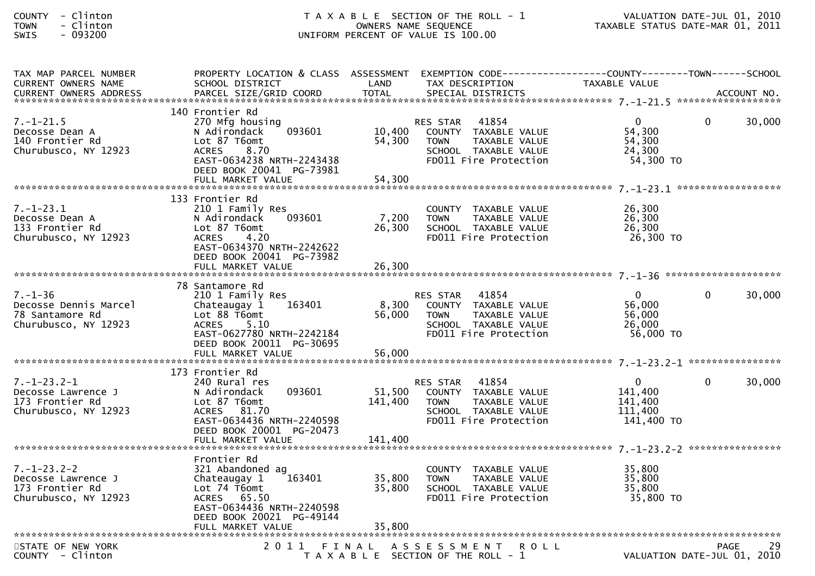| COUNTY       |                          | Clinton |
|--------------|--------------------------|---------|
| TOWN         | $\overline{\phantom{0}}$ | Clinton |
| $C \cup T C$ |                          | . nadan |

| TAX MAP PARCEL NUMBER<br><b>CURRENT OWNERS NAME</b><br><b>CURRENT OWNERS ADDRESS</b> | PROPERTY LOCATION & CLASS ASSESSMENT EXEMPTION CODE----------------COUNTY-------TOWN------SCHOOL<br>SCHOOL DISTRICT<br>PARCEL SIZE/GRID COORD                                      | LAND<br><b>TOTAL</b>       | TAX DESCRIPTION<br>SPECIAL DISTRICTS                                                                                       | TAXABLE VALUE                                               | ACCOUNT NO.                                      |  |
|--------------------------------------------------------------------------------------|------------------------------------------------------------------------------------------------------------------------------------------------------------------------------------|----------------------------|----------------------------------------------------------------------------------------------------------------------------|-------------------------------------------------------------|--------------------------------------------------|--|
|                                                                                      |                                                                                                                                                                                    |                            |                                                                                                                            |                                                             |                                                  |  |
| $7. - 1 - 21.5$<br>Decosse Dean A<br>140 Frontier Rd<br>Churubusco, NY 12923         | 140 Frontier Rd<br>270 Mfg housing<br>093601<br>N Adirondack<br>Lot 87 T6omt<br>8.70<br><b>ACRES</b><br>EAST-0634238 NRTH-2243438<br>DEED BOOK 20041 PG-73981<br>FULL MARKET VALUE | 10,400<br>54,300<br>54,300 | RES STAR 41854<br>COUNTY TAXABLE VALUE<br><b>TOWN</b><br>TAXABLE VALUE<br>SCHOOL TAXABLE VALUE<br>FD011 Fire Protection    | $\overline{0}$<br>54,300<br>54,300<br>24,300<br>54,300 TO   | $\Omega$<br>30,000                               |  |
|                                                                                      | 133 Frontier Rd                                                                                                                                                                    |                            |                                                                                                                            |                                                             |                                                  |  |
| $7. - 1 - 23.1$<br>Decosse Dean A<br>133 Frontier Rd<br>Churubusco, NY 12923         | 210 1 Family Res<br>093601<br>N Adirondack<br>Lot 87 T6omt<br><b>ACRES</b><br>4.20<br>EAST-0634370 NRTH-2242622<br>DEED BOOK 20041 PG-73982                                        | 7,200<br>26,300            | COUNTY TAXABLE VALUE<br>TAXABLE VALUE<br><b>TOWN</b><br>SCHOOL TAXABLE VALUE<br>FD011 Fire Protection                      | 26,300<br>26,300<br>26,300<br>26,300 TO                     |                                                  |  |
|                                                                                      |                                                                                                                                                                                    |                            |                                                                                                                            |                                                             |                                                  |  |
| $7. - 1 - 36$<br>Decosse Dennis Marcel<br>78 Santamore Rd<br>Churubusco, NY 12923    | 78 Santamore Rd<br>210 1 Family Res<br>163401<br>Chateaugay 1<br>Lot 88 T6omt<br><b>ACRES</b><br>5.10<br>EAST-0627780 NRTH-2242184<br>DEED BOOK 20011 PG-30695                     | 8,300<br>56,000            | RES STAR 41854<br>COUNTY TAXABLE VALUE<br><b>TOWN</b><br>TAXABLE VALUE<br>SCHOOL TAXABLE VALUE<br>FD011 Fire Protection    | $\mathbf{0}$<br>56,000<br>56,000<br>26,000<br>56,000 TO     | 30,000<br>$\Omega$                               |  |
|                                                                                      |                                                                                                                                                                                    |                            |                                                                                                                            |                                                             |                                                  |  |
|                                                                                      | 173 Frontier Rd                                                                                                                                                                    |                            |                                                                                                                            |                                                             |                                                  |  |
| $7. - 1 - 23.2 - 1$<br>Decosse Lawrence J<br>173 Frontier Rd<br>Churubusco, NY 12923 | 240 Rural res<br>093601<br>N Adirondack<br>Lot 87 T6omt<br>ACRES 81.70<br>EAST-0634436 NRTH-2240598<br>DEED BOOK 20001 PG-20473                                                    | 51,500<br>141,400          | 41854<br>RES STAR<br>COUNTY TAXABLE VALUE<br>TAXABLE VALUE<br><b>TOWN</b><br>SCHOOL TAXABLE VALUE<br>FD011 Fire Protection | $\mathbf{0}$<br>141,400<br>141,400<br>111,400<br>141,400 TO | 30,000<br>$\Omega$                               |  |
|                                                                                      |                                                                                                                                                                                    |                            |                                                                                                                            |                                                             |                                                  |  |
| $7. - 1 - 23.2 - 2$<br>Decosse Lawrence J<br>173 Frontier Rd<br>Churubusco, NY 12923 | Frontier Rd<br>321 Abandoned ag<br>163401<br>Chateaugay $1$<br>Lot 74 T6omt<br>ACRES 65.50<br>EAST-0634436 NRTH-2240598<br>DEED BOOK 20021 PG-49144                                | 35,800<br>35,800           | COUNTY TAXABLE VALUE<br><b>TOWN</b><br>TAXABLE VALUE<br>SCHOOL TAXABLE VALUE<br>FD011 Fire Protection                      | 35,800<br>35,800<br>35,800<br>35,800 TO                     |                                                  |  |
|                                                                                      |                                                                                                                                                                                    |                            |                                                                                                                            |                                                             |                                                  |  |
| STATE OF NEW YORK<br>COUNTY - Clinton                                                |                                                                                                                                                                                    |                            | 2011 FINAL ASSESSMENT<br><b>ROLL</b><br>T A X A B L E SECTION OF THE ROLL - 1                                              |                                                             | 29<br><b>PAGE</b><br>VALUATION DATE-JUL 01, 2010 |  |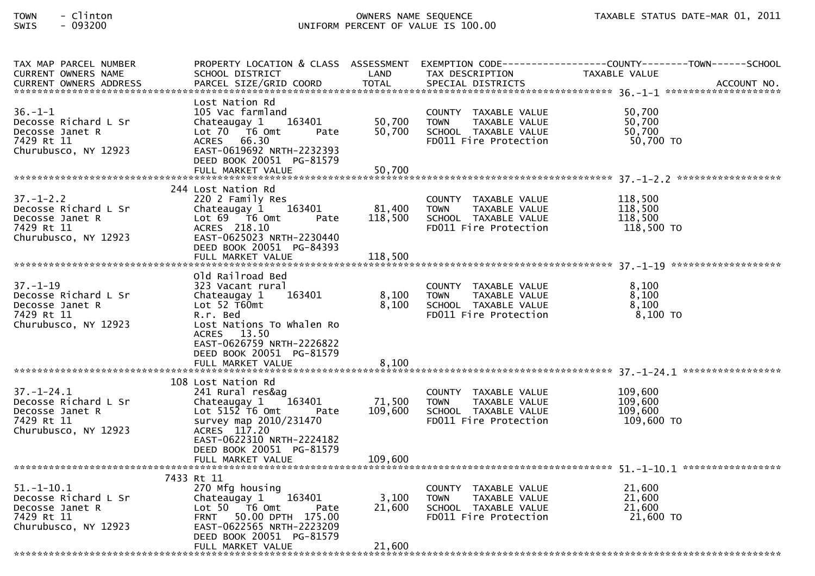| TAX MAP PARCEL NUMBER<br>CURRENT OWNERS NAME                                                      | SCHOOL DISTRICT                                                                                                                                                                                             | LAND                         | TAX DESCRIPTION                                                                                       | PROPERTY LOCATION & CLASS ASSESSMENT EXEMPTION CODE----------------COUNTY-------TOWN------SCHOOL<br>TAXABLE VALUE                                                                                                              |
|---------------------------------------------------------------------------------------------------|-------------------------------------------------------------------------------------------------------------------------------------------------------------------------------------------------------------|------------------------------|-------------------------------------------------------------------------------------------------------|--------------------------------------------------------------------------------------------------------------------------------------------------------------------------------------------------------------------------------|
|                                                                                                   |                                                                                                                                                                                                             |                              |                                                                                                       | .4CCOUNT NO . PARCEL SIZE/GRID COORD TOTAL SPECIAL DISTRICTS AND MERS ADDRESS PARCEL SIZE/GRID COORD TOTAL SPECIAL DISTRICTS AND MANUSIC MOLE TO A SERVER AND MALL TO A SERVER AND TO TALL THE SERVE AND TO A SERVER AND TO TA |
| $36. - 1 - 1$<br>Decosse Richard L Sr<br>Decosse Janet R<br>7429 Rt 11<br>Churubusco, NY 12923    | Lost Nation Rd<br>105 Vac farmland<br>163401<br>Chateaugay 1<br>Lot 70 T6 Omt<br>Pate<br>ACRES 66.30<br>EAST-0619692 NRTH-2232393<br>DEED BOOK 20051 PG-81579<br>FULL MARKET VALUE                          | 50,700<br>50,700<br>50,700   | COUNTY TAXABLE VALUE<br>TAXABLE VALUE<br><b>TOWN</b><br>SCHOOL TAXABLE VALUE<br>FD011 Fire Protection | 50,700<br>50,700<br>50,700<br>50,700 TO                                                                                                                                                                                        |
|                                                                                                   | 244 Lost Nation Rd                                                                                                                                                                                          |                              |                                                                                                       |                                                                                                                                                                                                                                |
| $37. - 1 - 2.2$<br>Decosse Richard L Sr<br>Decosse Janet R<br>7429 Rt 11<br>Churubusco, NY 12923  | 220 2 Family Res<br>Chateaugay 1 163401<br>Lot $69$ T6 Omt<br>Pate<br>ACRES 218.10<br>EAST-0625023 NRTH-2230440<br>DEED BOOK 20051 PG-84393<br>FULL MARKET VALUE                                            | 81,400<br>118,500<br>118,500 | COUNTY TAXABLE VALUE<br><b>TOWN</b><br>TAXABLE VALUE<br>SCHOOL TAXABLE VALUE<br>FD011 Fire Protection | 118,500<br>118,500<br>118,500<br>118,500 TO                                                                                                                                                                                    |
|                                                                                                   | Old Railroad Bed                                                                                                                                                                                            |                              |                                                                                                       |                                                                                                                                                                                                                                |
| $37. - 1 - 19$<br>Decosse Richard L Sr<br>Decosse Janet R<br>7429 Rt 11<br>Churubusco, NY 12923   | 323 Vacant rural<br>Chateaugay 1<br>163401<br>Lot 52 T60mt<br>R.r. Bed<br>Lost Nations To Whalen Ro<br>ACRES 13.50<br>EAST-0626759 NRTH-2226822<br>DEED BOOK 20051 PG-81579<br>FULL MARKET VALUE            | 8,100<br>8,100<br>8,100      | COUNTY TAXABLE VALUE<br><b>TOWN</b><br>TAXABLE VALUE<br>SCHOOL TAXABLE VALUE<br>FD011 Fire Protection | 8.100<br>8,100<br>8,100<br>$8,100$ TO                                                                                                                                                                                          |
|                                                                                                   |                                                                                                                                                                                                             |                              |                                                                                                       |                                                                                                                                                                                                                                |
| $37. - 1 - 24.1$<br>Decosse Richard L Sr<br>Decosse Janet R<br>7429 Rt 11<br>Churubusco, NY 12923 | 108 Lost Nation Rd<br>241 Rural res&ag<br>Chateaugay 1<br>163401<br>Lot $515\overline{2}$ T6 Omt<br>Pate<br>survey map 2010/231470<br>ACRES 117.20<br>EAST-0622310 NRTH-2224182<br>DEED BOOK 20051 PG-81579 | 71,500<br>109,600            | COUNTY TAXABLE VALUE<br><b>TOWN</b><br>TAXABLE VALUE<br>SCHOOL TAXABLE VALUE<br>FD011 Fire Protection | 109,600<br>109,600<br>109,600<br>109,600 TO                                                                                                                                                                                    |
|                                                                                                   |                                                                                                                                                                                                             |                              |                                                                                                       |                                                                                                                                                                                                                                |
| $51.-1-10.1$                                                                                      | 7433 Rt 11<br>270 Mfg housing                                                                                                                                                                               |                              |                                                                                                       | 21,600                                                                                                                                                                                                                         |
| Decosse Richard L Sr<br>Decosse Janet R<br>7429 Rt 11<br>Churubusco, NY 12923                     | 163401<br>Chateaugay 1<br>Lot $50$ $\overline{76}$ Omt<br>Pate<br>FRNT 50.00 DPTH 175.00<br>EAST-0622565 NRTH-2223209<br>DEED BOOK 20051 PG-81579<br>FULL MARKET VALUE                                      | 3,100<br>21,600<br>21,600    | COUNTY TAXABLE VALUE<br>TAXABLE VALUE<br><b>TOWN</b><br>SCHOOL TAXABLE VALUE<br>FD011 Fire Protection | 21,600<br>21,600<br>21,600 TO                                                                                                                                                                                                  |
|                                                                                                   |                                                                                                                                                                                                             |                              |                                                                                                       |                                                                                                                                                                                                                                |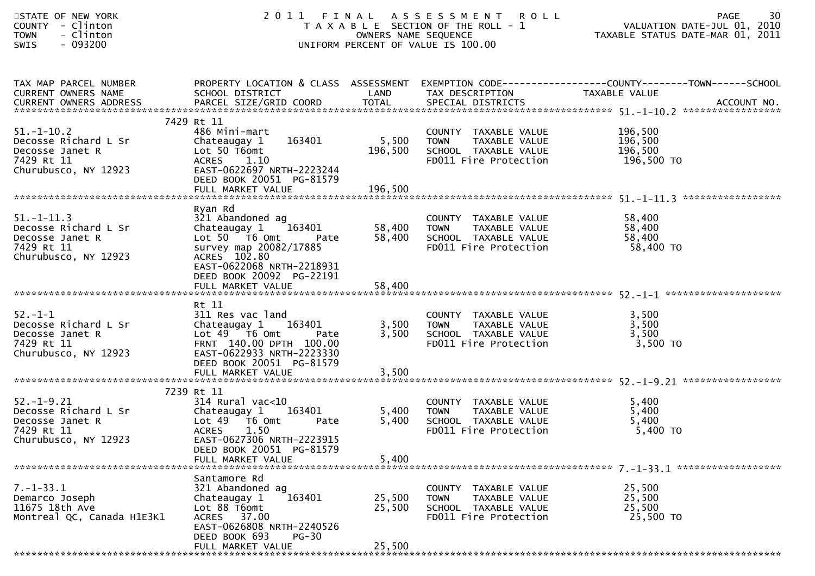| STATE OF NEW YORK<br>COUNTY - Clinton<br>- Clinton<br><b>TOWN</b><br>$-093200$<br><b>SWIS</b>     | 2011 FINAL ASSESSMENT<br>T A X A B L E SECTION OF THE ROLL - 1<br>UNIFORM PERCENT OF VALUE IS 100.00                                                                              | 30<br><b>PAGE</b><br>VALUATION DATE-JUL 01, 2010<br>TAXABLE STATUS DATE-MAR 01, 2011 |                                                                                                       |                                                                               |
|---------------------------------------------------------------------------------------------------|-----------------------------------------------------------------------------------------------------------------------------------------------------------------------------------|--------------------------------------------------------------------------------------|-------------------------------------------------------------------------------------------------------|-------------------------------------------------------------------------------|
| TAX MAP PARCEL NUMBER<br>CURRENT OWNERS NAME                                                      | PROPERTY LOCATION & CLASS ASSESSMENT<br>SCHOOL DISTRICT                                                                                                                           | LAND                                                                                 | TAX DESCRIPTION                                                                                       | EXEMPTION CODE-----------------COUNTY--------TOWN-----SCHOOL<br>TAXABLE VALUE |
|                                                                                                   | 7429 Rt 11                                                                                                                                                                        |                                                                                      |                                                                                                       |                                                                               |
| $51. - 1 - 10.2$<br>Decosse Richard L Sr<br>Decosse Janet R<br>7429 Rt 11<br>Churubusco, NY 12923 | 486 Mini-mart<br>163401<br>Chateaugay 1<br>Lot 50 T6omt<br><b>ACRES</b><br>1.10<br>EAST-0622697 NRTH-2223244                                                                      | 5,500<br>196,500                                                                     | COUNTY TAXABLE VALUE<br>TAXABLE VALUE<br><b>TOWN</b><br>SCHOOL TAXABLE VALUE<br>FD011 Fire Protection | 196,500<br>196,500<br>196,500<br>196,500 TO                                   |
|                                                                                                   | DEED BOOK 20051 PG-81579                                                                                                                                                          |                                                                                      |                                                                                                       |                                                                               |
|                                                                                                   |                                                                                                                                                                                   |                                                                                      |                                                                                                       |                                                                               |
| $51. - 1 - 11.3$<br>Decosse Richard L Sr<br>Decosse Janet R<br>7429 Rt 11<br>Churubusco, NY 12923 | Ryan Rd<br>321 Abandoned ag<br>163401<br>Chateaugay 1<br>Lot 50 T6 Omt<br>Pate<br>survey map 20082/17885<br>ACRES 102.80<br>EAST-0622068 NRTH-2218931<br>DEED BOOK 20092 PG-22191 | 58,400<br>58,400                                                                     | COUNTY TAXABLE VALUE<br><b>TOWN</b><br>TAXABLE VALUE<br>SCHOOL TAXABLE VALUE<br>FD011 Fire Protection | 58,400<br>58,400<br>58,400<br>58,400 TO                                       |
|                                                                                                   | FULL MARKET VALUE                                                                                                                                                                 | 58,400                                                                               |                                                                                                       |                                                                               |
| $52 - 1 - 1$<br>Decosse Richard L Sr<br>Decosse Janet R<br>7429 Rt 11<br>Churubusco, NY 12923     | Rt 11<br>311 Res vac land<br>Chateaugay 1<br>163401<br>Lot $49$ $\overline{76}$ Omt<br>Pate<br>FRNT 140.00 DPTH 100.00<br>EAST-0622933 NRTH-2223330<br>DEED BOOK 20051 PG-81579   | 3,500<br>3,500                                                                       | COUNTY TAXABLE VALUE<br><b>TOWN</b><br>TAXABLE VALUE<br>SCHOOL TAXABLE VALUE<br>FD011 Fire Protection | 3,500<br>3,500<br>3,500<br>3,500 TO                                           |
|                                                                                                   | FULL MARKET VALUE                                                                                                                                                                 | 3,500                                                                                |                                                                                                       |                                                                               |
| $52. - 1 - 9.21$<br>Decosse Richard L Sr<br>Decosse Janet R<br>7429 Rt 11<br>Churubusco, NY 12923 | 7239 Rt 11<br>314 Rural vac<10<br>Chateaugay 1<br>163401<br>Lot 49  T6 0mt<br>Pate<br><b>ACRES</b><br>1.50<br>EAST-0627306 NRTH-2223915<br>DEED BOOK 20051 PG-81579               | 5,400<br>5,400                                                                       | COUNTY TAXABLE VALUE<br><b>TOWN</b><br>TAXABLE VALUE<br>SCHOOL TAXABLE VALUE<br>FD011 Fire Protection | 5,400<br>5,400<br>5,400<br>$5,400$ TO                                         |
|                                                                                                   | FULL MARKET VALUE                                                                                                                                                                 | 5,400                                                                                |                                                                                                       |                                                                               |
| *******************************                                                                   |                                                                                                                                                                                   |                                                                                      |                                                                                                       |                                                                               |
| $7. - 1 - 33.1$<br>Demarco Joseph<br>11675 18th Ave<br>Montreal QC, Canada H1E3K1                 | Santamore Rd<br>321 Abandoned ag<br>163401<br>Chateaugay 1<br>Lot 88 T6omt<br>ACRES 37.00<br>EAST-0626808 NRTH-2240526<br>DEED BOOK 693<br><b>PG-30</b>                           | 25,500<br>25,500                                                                     | COUNTY TAXABLE VALUE<br><b>TOWN</b><br>TAXABLE VALUE<br>SCHOOL TAXABLE VALUE<br>FD011 Fire Protection | 25,500<br>25,500<br>25,500<br>25,500 TO                                       |
|                                                                                                   | FULL MARKET VALUE                                                                                                                                                                 | 25,500                                                                               |                                                                                                       |                                                                               |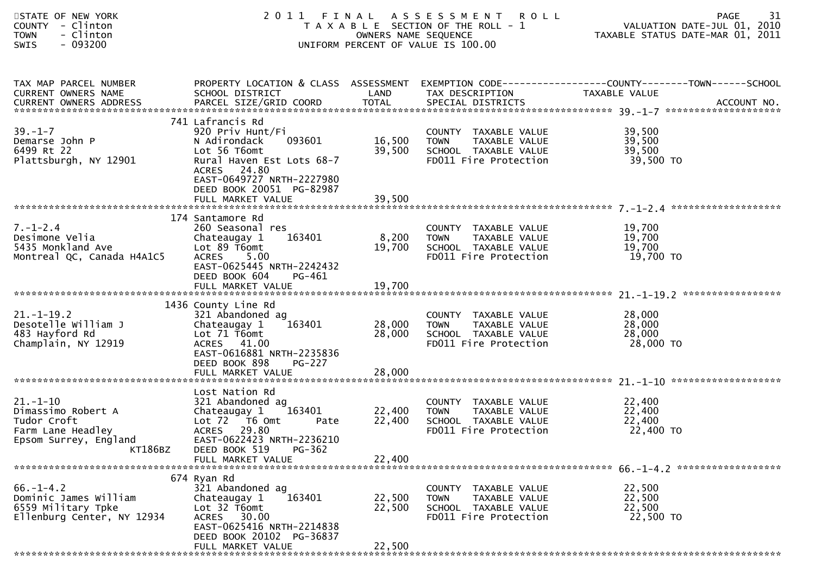| STATE OF NEW YORK<br><b>COUNTY</b><br>- Clinton<br>- Clinton<br><b>TOWN</b><br>SWIS<br>$-093200$                    |                                                                                                                                                                                     | OWNERS NAME SEQUENCE       | 2011 FINAL ASSESSMENT<br><b>ROLL</b><br>T A X A B L E SECTION OF THE ROLL - 1<br>UNIFORM PERCENT OF VALUE IS 100.00 | 31<br>PAGE<br>VALUATION DATE-JUL 01, 2010<br>TAXABLE STATUS DATE-MAR 01, 2011 |
|---------------------------------------------------------------------------------------------------------------------|-------------------------------------------------------------------------------------------------------------------------------------------------------------------------------------|----------------------------|---------------------------------------------------------------------------------------------------------------------|-------------------------------------------------------------------------------|
| TAX MAP PARCEL NUMBER<br>CURRENT OWNERS NAME                                                                        | PROPERTY LOCATION & CLASS ASSESSMENT<br>SCHOOL DISTRICT                                                                                                                             | LAND                       | TAX DESCRIPTION                                                                                                     | EXEMPTION CODE-----------------COUNTY--------TOWN-----SCHOOL<br>TAXABLE VALUE |
| $39. - 1 - 7$<br>Demarse John P<br>6499 Rt 22<br>Plattsburgh, NY 12901                                              | 741 Lafrancis Rd<br>920 Priv Hunt/Fi<br>093601<br>N Adirondack<br>Lot 56 T6omt<br>Rural Haven Est Lots 68-7<br>ACRES 24.80<br>EAST-0649727 NRTH-2227980<br>DEED BOOK 20051 PG-82987 | 16,500<br>39,500           | COUNTY TAXABLE VALUE<br>TAXABLE VALUE<br><b>TOWN</b><br>SCHOOL TAXABLE VALUE<br>FD011 Fire Protection               | 39,500<br>39,500<br>39,500<br>39,500 TO                                       |
|                                                                                                                     |                                                                                                                                                                                     |                            |                                                                                                                     |                                                                               |
| $7. - 1 - 2.4$<br>Desimone Velia<br>5435 Monkland Ave<br>Montreal QC, Canada H4A1C5                                 | 174 Santamore Rd<br>260 Seasonal res<br>Chateaugay 1<br>163401<br>Lot 89 T6omt<br><b>ACRES</b><br>5.00<br>EAST-0625445 NRTH-2242432<br>DEED BOOK 604<br>PG-461                      | 8,200<br>19,700            | COUNTY TAXABLE VALUE<br><b>TOWN</b><br>TAXABLE VALUE<br>SCHOOL TAXABLE VALUE<br>FD011 Fire Protection               | 19,700<br>19,700<br>19,700<br>19,700 TO                                       |
|                                                                                                                     | 1436 County Line Rd                                                                                                                                                                 |                            |                                                                                                                     |                                                                               |
| $21. - 1 - 19.2$<br>Desotelle William J<br>483 Hayford Rd<br>Champlain, NY 12919                                    | 321 Abandoned ag<br>Chateaugay 1<br>163401<br>Lot 71 T6omt<br>ACRES 41.00<br>EAST-0616881 NRTH-2235836<br>DEED BOOK 898<br><b>PG-227</b>                                            | 28,000<br>28,000           | COUNTY TAXABLE VALUE<br>TAXABLE VALUE<br><b>TOWN</b><br>SCHOOL TAXABLE VALUE<br>FD011 Fire Protection               | 28,000<br>28,000<br>28,000<br>28,000 TO                                       |
|                                                                                                                     |                                                                                                                                                                                     |                            |                                                                                                                     |                                                                               |
| $21. - 1 - 10$<br>Dimassimo Robert A<br>Tudor Croft<br>Farm Lane Headley<br>Epsom Surrey, England<br><b>KT186BZ</b> | Lost Nation Rd<br>321 Abandoned ag<br>Chateaugay 1<br>163401<br>Lot 72 T6 Omt<br>Pate<br><b>ACRES</b><br>29.80<br>EAST-0622423 NRTH-2236210<br>DEED BOOK 519<br>PG-362              | 22,400<br>22,400           | COUNTY TAXABLE VALUE<br>TAXABLE VALUE<br><b>TOWN</b><br>SCHOOL TAXABLE VALUE<br>FD011 Fire Protection               | 22,400<br>22,400<br>22,400<br>22,400 TO                                       |
|                                                                                                                     | FULL MARKET VALUE                                                                                                                                                                   | 22,400                     |                                                                                                                     |                                                                               |
| $66. - 1 - 4.2$<br>Dominic James William<br>6559 Military Tpke<br>Ellenburg Center, NY 12934                        | 674 Ryan Rd<br>321 Abandoned ag<br>163401<br>Chateaugay 1<br>Lot 32 T6omt<br>ACRES 30.00<br>EAST-0625416 NRTH-2214838<br>DEED BOOK 20102 PG-36837<br>FULL MARKET VALUE              | 22,500<br>22,500<br>22,500 | COUNTY TAXABLE VALUE<br><b>TOWN</b><br>TAXABLE VALUE<br>SCHOOL TAXABLE VALUE<br>FD011 Fire Protection               | 22,500<br>22,500<br>22,500<br>22,500 TO                                       |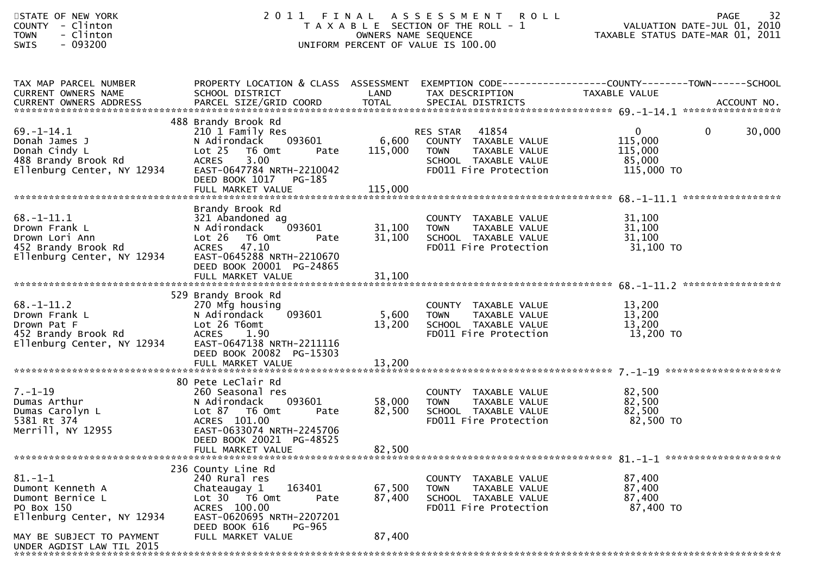| STATE OF NEW YORK<br>- Clinton<br><b>COUNTY</b><br>- Clinton<br><b>TOWN</b><br>- 093200<br><b>SWIS</b>                                                  |                                                                                                                                                                                               |                            | 2011 FINAL ASSESSMENT ROLL<br>T A X A B L E SECTION OF THE ROLL - 1<br>OWNERS NAME SEQUENCE<br>UNIFORM PERCENT OF VALUE IS 100.00  | 32<br>PAGE<br>VALUATION DATE-JUL 01, 2010<br>TAXABLE STATUS DATE-MAR 01, 2011                                     |
|---------------------------------------------------------------------------------------------------------------------------------------------------------|-----------------------------------------------------------------------------------------------------------------------------------------------------------------------------------------------|----------------------------|------------------------------------------------------------------------------------------------------------------------------------|-------------------------------------------------------------------------------------------------------------------|
| TAX MAP PARCEL NUMBER<br>CURRENT OWNERS NAME                                                                                                            | SCHOOL DISTRICT                                                                                                                                                                               | LAND                       | TAX DESCRIPTION                                                                                                                    | PROPERTY LOCATION & CLASS ASSESSMENT EXEMPTION CODE----------------COUNTY-------TOWN------SCHOOL<br>TAXABLE VALUE |
| $69. - 1 - 14.1$<br>Donah James J<br>Donah Cindy L<br>488 Brandy Brook Rd<br>Ellenburg Center, NY 12934                                                 | 488 Brandy Brook Rd<br>210 1 Family Res<br>093601<br>N Adirondack<br>Lot 25 T6 Omt<br>Pate<br><b>ACRES</b><br>3.00<br>EAST-0647784 NRTH-2210042<br>DEED BOOK 1017 PG-185                      | 6,600<br>115,000           | RES STAR 41854<br>COUNTY TAXABLE VALUE<br><b>TOWN</b><br>TAXABLE VALUE<br>SCHOOL TAXABLE VALUE<br>FD011 Fire Protection            | $\overline{0}$<br>$\mathbf{0}$<br>30,000<br>115,000<br>115,000<br>85,000<br>115,000 TO                            |
| $68. - 1 - 11.1$<br>Drown Frank L<br>Drown Lori Ann<br>452 Brandy Brook Rd<br>Ellenburg Center, NY 12934                                                | Brandy Brook Rd<br>321 Abandoned ag<br>093601<br>N Adirondack<br>Lot 26 T6 Omt<br>Pate<br><b>ACRES</b><br>47.10<br>EAST-0645288 NRTH-2210670<br>DEED BOOK 20001 PG-24865<br>FULL MARKET VALUE | 31,100<br>31,100<br>31,100 | COUNTY TAXABLE VALUE<br><b>TOWN</b><br>TAXABLE VALUE<br>TOWN IMANULL<br>SCHOOL TAXABLE VALUE<br>Intertion<br>FD011 Fire Protection | 31,100<br>31,100<br>31,100<br>31,100 TO                                                                           |
| $68. - 1 - 11.2$<br>Drown Frank L<br>Drown Pat F<br>452 Brandy Brook Rd<br>Ellenburg Center, NY 12934                                                   | 529 Brandy Brook Rd<br>270 Mfg housing<br>093601<br>N Adirondack<br>Lot 26 T6omt<br><b>ACRES</b><br>1.90<br>EAST-0647138 NRTH-2211116<br>DEED BOOK 20082 PG-15303                             | 5,600<br>13,200            | COUNTY TAXABLE VALUE<br>TAXABLE VALUE<br><b>TOWN</b><br>SCHOOL TAXABLE VALUE<br>FD011 Fire Protection                              | 13,200<br>13,200<br>13,200<br>13,200 TO                                                                           |
| $7. - 1 - 19$<br>Dumas Arthur<br>Dumas Carolyn L<br>5381 Rt 374<br>Merrill, NY 12955                                                                    | 80 Pete LeClair Rd<br>260 Seasonal res<br>093601<br>N Adirondack<br>Lot 87 T6 Omt<br>Pate<br>ACRES 101.00<br>EAST-0633074 NRTH-2245706<br>DEED BOOK 20021 PG-48525<br>FULL MARKET VALUE       | 58,000<br>82,500<br>82,500 | COUNTY TAXABLE VALUE<br>COUNTY TAXABLE VALUE<br>TOWN     TAXABLE VALUE<br>SCHOOL   TAXABLE VALUE<br>FD011 Fire Protection          | 82,500<br>82,500<br>82,500<br>82,500 TO                                                                           |
| $81.-1-1$<br>Dumont Kenneth A<br>Dumont Bernice L<br>PO Box 150<br>Ellenburg Center, NY 12934<br>MAY BE SUBJECT TO PAYMENT<br>UNDER AGDIST LAW TIL 2015 | 236 County Line Rd<br>240 Rural res<br>Chateaugay 1<br>163401<br>Lot $30 - 76$ Omt<br>Pate<br>ACRES 100.00<br>EAST-0620695 NRTH-2207201<br>DEED BOOK 616<br>PG-965<br>FULL MARKET VALUE       | 67,500<br>87,400<br>87,400 | COUNTY TAXABLE VALUE<br>TAXABLE VALUE<br>TOWN<br>SCHOOL TAXABLE VALUE<br>FD011 Fire Protection                                     | 87,400<br>87,400<br>87,400<br>87,400 TO                                                                           |

\*\*\*\*\*\*\*\*\*\*\*\*\*\*\*\*\*\*\*\*\*\*\*\*\*\*\*\*\*\*\*\*\*\*\*\*\*\*\*\*\*\*\*\*\*\*\*\*\*\*\*\*\*\*\*\*\*\*\*\*\*\*\*\*\*\*\*\*\*\*\*\*\*\*\*\*\*\*\*\*\*\*\*\*\*\*\*\*\*\*\*\*\*\*\*\*\*\*\*\*\*\*\*\*\*\*\*\*\*\*\*\*\*\*\*\*\*\*\*\*\*\*\*\*\*\*\*\*\*\*\*\*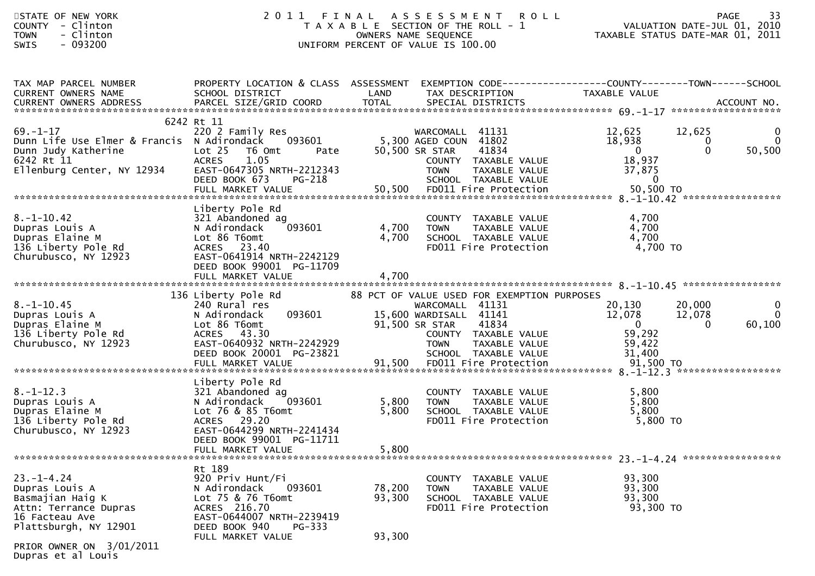| STATE OF NEW YORK<br>- Clinton<br>COUNTY<br>- Clinton<br><b>TOWN</b><br>$-093200$<br>SWIS                                                              | 2011                                                                                                                                                                            | FINAL                      | A S S E S S M E N T<br><b>ROLL</b><br>T A X A B L E SECTION OF THE ROLL - 1<br>OWNERS NAME SEQUENCE<br>UNIFORM PERCENT OF VALUE IS 100.00                                                                                    | PAGE 33<br>VALUATION DATE-JUL 01, 2010<br>TAXARLE STATUS BATE WAS 2010<br>TAXABLE STATUS DATE-MAR 01, 2011 |                                | -33<br>PAGE                   |
|--------------------------------------------------------------------------------------------------------------------------------------------------------|---------------------------------------------------------------------------------------------------------------------------------------------------------------------------------|----------------------------|------------------------------------------------------------------------------------------------------------------------------------------------------------------------------------------------------------------------------|------------------------------------------------------------------------------------------------------------|--------------------------------|-------------------------------|
| TAX MAP PARCEL NUMBER<br>CURRENT OWNERS NAME<br>CURRENT OWNERS ADDRESS                                                                                 | PROPERTY LOCATION & CLASS ASSESSMENT<br>SCHOOL DISTRICT                                                                                                                         | LAND                       | EXEMPTION CODE-----------------COUNTY-------TOWN-----SCHOOL<br>TAX DESCRIPTION                                                                                                                                               | TAXABLE VALUE                                                                                              |                                |                               |
| $69. - 1 - 17$<br>Dunn Life Use Elmer & Francis N Adirondack<br>Dunn Judy Katherine<br>6242 Rt 11<br>Ellenburg Center, NY 12934                        | 6242 Rt 11<br>220 2 Family Res<br>093601<br>Lot 25 T6 Omt<br>Pate<br><b>ACRES</b><br>1.05<br>EAST-0647305 NRTH-2212343<br>DEED BOOK 673<br>PG-218<br>FULL MARKET VALUE          |                            | WARCOMALL 41131<br>5,300 AGED COUN 41802<br>41834<br>50,500 SR STAR<br>COUNTY TAXABLE VALUE<br><b>TOWN</b><br>TAXABLE VALUE<br>SCHOOL TAXABLE VALUE<br>50,500 FD011 Fire Protection                                          | 12,625<br>18,938<br>$\overline{\mathbf{0}}$<br>18,937<br>37,875<br>$\overline{0}$<br>50,500 TO             | 12,625<br>$\bf{0}$<br>$\Omega$ | 0<br>$\overline{0}$<br>50,500 |
| $8. - 1 - 10.42$<br>Dupras Louis A<br>Dupras Elaine M<br>136 Liberty Pole Rd<br>Churubusco, NY 12923                                                   | Liberty Pole Rd<br>321 Abandoned ag<br>093601<br>N Adirondack<br>Lot 86 T6omt<br>ACRES 23.40<br>EAST-0641914 NRTH-2242129<br>DEED BOOK 99001 PG-11709<br>FULL MARKET VALUE      | 4,700<br>4,700<br>4,700    | COUNTY TAXABLE VALUE<br>TAXABLE VALUE<br><b>TOWN</b><br>SCHOOL TAXABLE VALUE<br>FD011 Fire Protection                                                                                                                        | 4,700<br>4,700<br>4,700<br>4,700 TO                                                                        |                                |                               |
| $8. - 1 - 10.45$<br>Dupras Louis A<br>Dupras Elaine M<br>136 Liberty Pole Rd<br>Churubusco, NY 12923                                                   | 136 Liberty Pole Rd<br>240 Rural res<br>093601<br>N Adirondack<br>Lot 86 T6omt<br>ACRES 43.30<br>EAST-0640932 NRTH-2242929<br>DEED BOOK 20001 PG-23821<br>FULL MARKET VALUE     | 91,500                     | 88 PCT OF VALUE USED FOR EXEMPTION PURPOSES<br>WARCOMALL 41131<br>15,600 WARDISALL 41141<br>41834<br>91,500 SR STAR<br>COUNTY TAXABLE VALUE<br><b>TOWN</b><br>TAXABLE VALUE<br>SCHOOL TAXABLE VALUE<br>FD011 Fire Protection | 20,130<br>12,078<br>$\overline{\mathbf{0}}$<br>59,292<br>59,422<br>31,400<br>91,500 TO                     | 20,000<br>12,078<br>$\Omega$   | 0<br>$\mathbf{0}$<br>60,100   |
| $8. -1 - 12.3$<br>Dupras Louis A<br>Dupras Elaine M<br>136 Liberty Pole Rd<br>Churubusco, NY 12923                                                     | Liberty Pole Rd<br>321 Abandoned ag<br>093601<br>N Adirondack<br>Lot 76 & 85 T6omt<br>ACRES 29.20<br>EAST-0644299 NRTH-2241434<br>DEED BOOK 99001 PG-11711<br>FULL MARKET VALUE | 5,800<br>5,800<br>5,800    | COUNTY TAXABLE VALUE<br><b>TOWN</b><br>TAXABLE VALUE<br>SCHOOL TAXABLE VALUE<br>FD011 Fire Protection                                                                                                                        | 5,800<br>5,800<br>5,800<br>$5,800$ TO                                                                      |                                |                               |
| $23. - 1 - 4.24$<br>Dupras Louis A<br>Basmajian Haig K<br>Attn: Terrance Dupras<br>16 Facteau Ave<br>Plattsburgh, NY 12901<br>DRIAD OWNER ON 2/01/2011 | Rt 189<br>920 Priv Hunt/Fi<br>N Adirondack<br>093601<br>Lot 75 & 76 T6omt<br>ACRES 216.70<br>EAST-0644007 NRTH-2239419<br>DEED BOOK 940<br>$PG-333$<br>FULL MARKET VALUE        | 78,200<br>93,300<br>93,300 | COUNTY TAXABLE VALUE<br><b>TAXABLE VALUE</b><br><b>TOWN</b><br>SCHOOL TAXABLE VALUE<br>FD011 Fire Protection                                                                                                                 | 93,300<br>93,300<br>93,300<br>93,300 TO                                                                    |                                |                               |

PRIOR OWNER ON 3/01/2011 Dupras et al Louis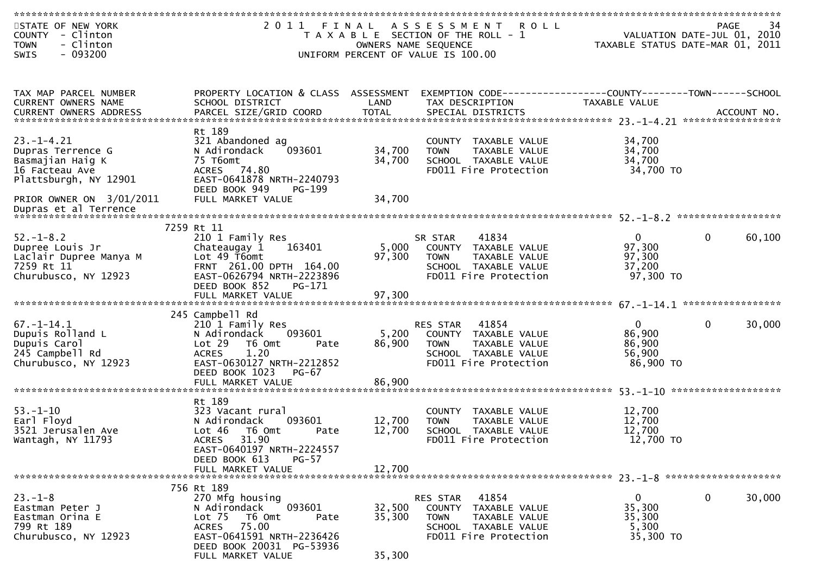| STATE OF NEW YORK        |                                      |                      | 2011 FINAL ASSESSMENT ROLL                                   |                                                                              | 34<br><b>PAGE</b>      |
|--------------------------|--------------------------------------|----------------------|--------------------------------------------------------------|------------------------------------------------------------------------------|------------------------|
| COUNTY - Clinton         |                                      |                      | T A X A B L E SECTION OF THE ROLL - 1                        | ۰۹ - ۲۹۵۰<br>VALUATION DATE-JUL 01, 2010<br>TAXABLE STATUS DATE-MAR 01, 2011 |                        |
| <b>TOWN</b><br>- Clinton |                                      | OWNERS NAME SEQUENCE |                                                              |                                                                              |                        |
| $-093200$<br>SWIS        |                                      |                      | UNIFORM PERCENT OF VALUE IS 100.00                           |                                                                              |                        |
|                          |                                      |                      |                                                              |                                                                              |                        |
|                          |                                      |                      |                                                              |                                                                              |                        |
|                          |                                      |                      |                                                              |                                                                              |                        |
| TAX MAP PARCEL NUMBER    | PROPERTY LOCATION & CLASS ASSESSMENT |                      | EXEMPTION CODE-----------------COUNTY-------TOWN------SCHOOL |                                                                              |                        |
| CURRENT OWNERS NAME      | SCHOOL DISTRICT                      | LAND                 | TAX DESCRIPTION                                              | TAXABLE VALUE                                                                |                        |
|                          |                                      |                      |                                                              |                                                                              |                        |
|                          |                                      |                      |                                                              |                                                                              |                        |
|                          | Rt 189                               |                      |                                                              |                                                                              |                        |
| $23. - 1 - 4.21$         | 321 Abandoned ag                     |                      | COUNTY TAXABLE VALUE                                         | 34,700                                                                       |                        |
| Dupras Terrence G        | N Adirondack<br>093601               | 34,700               | <b>TOWN</b><br>TAXABLE VALUE                                 | 34,700                                                                       |                        |
| Basmajian Haig K         | 75 T6omt                             | 34,700               | SCHOOL TAXABLE VALUE                                         | 34,700                                                                       |                        |
|                          |                                      |                      |                                                              |                                                                              |                        |
| 16 Facteau Ave           | ACRES 74.80                          |                      | FD011 Fire Protection                                        | 34,700 TO                                                                    |                        |
| Plattsburgh, NY 12901    | EAST-0641878 NRTH-2240793            |                      |                                                              |                                                                              |                        |
|                          | DEED BOOK 949<br>PG-199              |                      |                                                              |                                                                              |                        |
| PRIOR OWNER ON 3/01/2011 | FULL MARKET VALUE                    | 34,700               |                                                              |                                                                              |                        |
| Dupras et al Terrence    |                                      |                      |                                                              |                                                                              |                        |
|                          | 7259 Rt 11                           |                      |                                                              |                                                                              |                        |
| $52. - 1 - 8.2$          | 210 1 Family Res                     |                      | 41834                                                        | $\Omega$                                                                     | $\Omega$<br>60,100     |
|                          |                                      |                      | SR STAR                                                      |                                                                              |                        |
| Dupree Louis Jr          | 163401<br>Chateaugay 1               | 5,000                | COUNTY TAXABLE VALUE                                         | 97,300                                                                       |                        |
| Laclair Dupree Manya M   | Lot 49 T6omt                         | 97,300               | TAXABLE VALUE<br><b>TOWN</b>                                 | 97,300                                                                       |                        |
| 7259 Rt 11               | FRNT 261.00 DPTH 164.00              |                      | SCHOOL TAXABLE VALUE                                         | 37,200                                                                       |                        |
| Churubusco, NY 12923     | EAST-0626794 NRTH-2223896            |                      | FD011 Fire Protection                                        | 97,300 TO                                                                    |                        |
|                          | DEED BOOK 852<br>PG-171              |                      |                                                              |                                                                              |                        |
|                          |                                      |                      |                                                              |                                                                              |                        |
|                          |                                      |                      |                                                              |                                                                              |                        |
|                          | 245 Campbell Rd                      |                      |                                                              |                                                                              |                        |
| $67. - 1 - 14.1$         | 210 1 Family Res                     |                      | 41854<br>RES STAR                                            | $\overline{0}$                                                               | $\mathbf{0}$<br>30,000 |
| Dupuis Rolland L         | 093601<br>N Adirondack               | 5,200                | COUNTY TAXABLE VALUE                                         | 86,900                                                                       |                        |
| Dupuis Carol             | Lot 29 T6 Omt<br>Pate                | 86,900               | TAXABLE VALUE<br>TOWN                                        | 86,900                                                                       |                        |
| 245 Campbell Rd          | 1.20<br><b>ACRES</b>                 |                      | SCHOOL TAXABLE VALUE                                         | 56,900                                                                       |                        |
| Churubusco, NY 12923     | EAST-0630127 NRTH-2212852            |                      | FD011 Fire Protection                                        | 86,900 TO                                                                    |                        |
|                          | DEED BOOK 1023<br>$PG-67$            |                      |                                                              |                                                                              |                        |
|                          | FULL MARKET VALUE                    | 86,900               |                                                              |                                                                              |                        |
|                          |                                      |                      |                                                              |                                                                              |                        |
|                          | Rt 189                               |                      |                                                              |                                                                              |                        |
| $53. - 1 - 10$           | 323 Vacant rural                     |                      | COUNTY TAXABLE VALUE                                         | 12,700                                                                       |                        |
| Earl Floyd               | N Adirondack<br>093601               | 12,700               | <b>TOWN</b><br>TAXABLE VALUE                                 | 12,700                                                                       |                        |
| 3521 Jerusalen Ave       | Lot 46 T6 Omt<br>Pate                | 12,700               | SCHOOL TAXABLE VALUE                                         | 12,700                                                                       |                        |
| Wantagh, NY 11793        | <b>ACRES</b><br>31.90                |                      | FD011 Fire Protection                                        | 12,700 TO                                                                    |                        |
|                          | EAST-0640197 NRTH-2224557            |                      |                                                              |                                                                              |                        |
|                          | DEED BOOK 613<br>$PG-57$             |                      |                                                              |                                                                              |                        |
|                          | FULL MARKET VALUE                    | 12,700               |                                                              |                                                                              |                        |
|                          |                                      |                      |                                                              |                                                                              |                        |
|                          | 756 Rt 189                           |                      |                                                              |                                                                              |                        |
| $23 - 1 - 8$             | 270 Mfg housing                      |                      | 41854<br>RES STAR                                            | $\mathbf{0}$                                                                 | 0<br>30,000            |
| Eastman Peter J          | 093601<br>N Adirondack               | 32,500               | COUNTY TAXABLE VALUE                                         | 35,300                                                                       |                        |
| Eastman Orina E          | Lot <sub>75</sub><br>T6 Omt<br>Pate  | 35,300               | <b>TOWN</b><br>TAXABLE VALUE                                 | 35,300                                                                       |                        |
| 799 Rt 189               | ACRES 75.00                          |                      | SCHOOL TAXABLE VALUE                                         | 5,300                                                                        |                        |
| Churubusco, NY 12923     | EAST-0641591 NRTH-2236426            |                      | FD011 Fire Protection                                        | 35,300 TO                                                                    |                        |
|                          | DEED BOOK 20031 PG-53936             |                      |                                                              |                                                                              |                        |
|                          | FULL MARKET VALUE                    | 35,300               |                                                              |                                                                              |                        |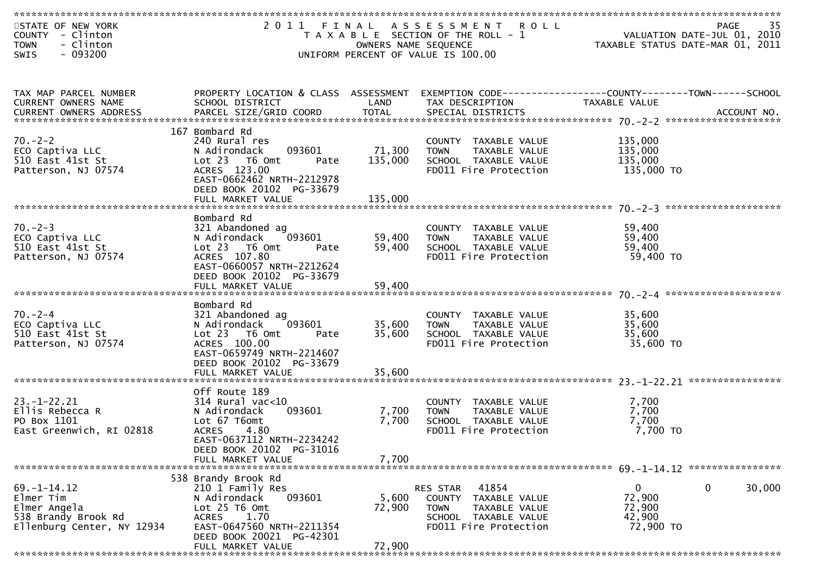| STATE OF NEW YORK<br>COUNTY - Clinton<br>- Clinton<br><b>TOWN</b>                                   |                                                                                                                                                                                            | OWNERS NAME SEQUENCE       | 2011 FINAL ASSESSMENT ROLL<br>T A X A B L E SECTION OF THE ROLL - 1                                                        | 35<br>PAGE<br>ری<br>101, 2010 VALUATION DATE-JUL<br>101, TAXABLE STATUS DATE-MAR |
|-----------------------------------------------------------------------------------------------------|--------------------------------------------------------------------------------------------------------------------------------------------------------------------------------------------|----------------------------|----------------------------------------------------------------------------------------------------------------------------|----------------------------------------------------------------------------------|
| $-093200$<br><b>SWIS</b>                                                                            |                                                                                                                                                                                            |                            | UNIFORM PERCENT OF VALUE IS 100.00                                                                                         |                                                                                  |
| TAX MAP PARCEL NUMBER<br>CURRENT OWNERS NAME                                                        | PROPERTY LOCATION & CLASS ASSESSMENT<br>SCHOOL DISTRICT                                                                                                                                    | LAND                       | TAX DESCRIPTION                                                                                                            | EXEMPTION CODE-----------------COUNTY-------TOWN------SCHOOL<br>TAXABLE VALUE    |
| $70. - 2 - 2$<br>ECO Captiva LLC<br>510 East 41st St<br>Patterson, NJ 07574                         | 167 Bombard Rd<br>240 Rural res<br>093601<br>N Adirondack<br>Lot 23  T6 Omt<br>Pate<br>ACRES 123.00<br>EAST-0662462 NRTH-2212978<br>DEED BOOK 20102 PG-33679                               | 71,300<br>135,000          | COUNTY TAXABLE VALUE<br><b>TOWN</b><br>TAXABLE VALUE<br>SCHOOL TAXABLE VALUE<br>FD011 Fire Protection                      | 135,000<br>135,000<br>135,000<br>135,000 TO                                      |
| $70 - 2 - 3$<br>ECO Captiva LLC<br>510 East 41st St<br>Patterson, NJ 07574                          | Bombard Rd<br>321 Abandoned ag<br>N Adirondack<br>093601<br>Lot 23  T6 Omt<br>Pate<br>ACRES 107.80<br>EAST-0660057 NRTH-2212624<br>DEED BOOK 20102 PG-33679                                | 59,400<br>59,400           | COUNTY TAXABLE VALUE<br><b>TOWN</b><br>TAXABLE VALUE<br>SCHOOL TAXABLE VALUE<br>FD011 Fire Protection                      | 59,400<br>59,400<br>59,400<br>59,400 TO                                          |
| $70 - 2 - 4$<br>ECO Captiva LLC<br>510 East 41st St<br>Patterson, NJ 07574                          | Bombard Rd<br>321 Abandoned ag<br>093601<br>N Adirondack<br>Lot 23  T6 Omt<br>Pate<br>ACRES 100.00<br>EAST-0659749 NRTH-2214607<br>DEED BOOK 20102 PG-33679<br>FULL MARKET VALUE           | 35,600<br>35,600<br>35,600 | COUNTY TAXABLE VALUE<br><b>TOWN</b><br>TAXABLE VALUE<br>SCHOOL TAXABLE VALUE<br>FD011 Fire Protection                      | 35,600<br>35,600<br>35,600<br>35,600 TO                                          |
| $23. - 1 - 22.21$<br>Ellis Rebecca R<br>PO Box 1101<br>East Greenwich, RI 02818                     | Off Route 189<br>$314$ Rural vac<10<br>093601<br>N Adirondack<br>Lot 67 T6omt<br><b>ACRES</b><br>4.80<br>EAST-0637112 NRTH-2234242<br>DEED BOOK 20102 PG-31016<br>FULL MARKET VALUE        | 7,700<br>7,700<br>7,700    | COUNTY TAXABLE VALUE<br>TAXABLE VALUE<br><b>TOWN</b><br>SCHOOL TAXABLE VALUE<br>FD011 Fire Protection                      | 7,700<br>7,700<br>7,700<br>7,700 TO                                              |
| $69. - 1 - 14.12$<br>Elmer Tim<br>Elmer Angela<br>538 Brandy Brook Rd<br>Ellenburg Center, NY 12934 | 538 Brandy Brook Rd<br>210 1 Family Res<br>093601<br>N Adirondack<br>Lot $25$ T6 Omt<br>1.70<br><b>ACRES</b><br>EAST-0647560 NRTH-2211354<br>DEED BOOK 20021 PG-42301<br>FULL MARKET VALUE | 5,600<br>72,900<br>72,900  | 41854<br>RES STAR<br>COUNTY TAXABLE VALUE<br>TAXABLE VALUE<br><b>TOWN</b><br>SCHOOL TAXABLE VALUE<br>FD011 Fire Protection | $\mathbf{0}$<br>30,000<br>0<br>72,900<br>72,900<br>42,900<br>72,900 TO           |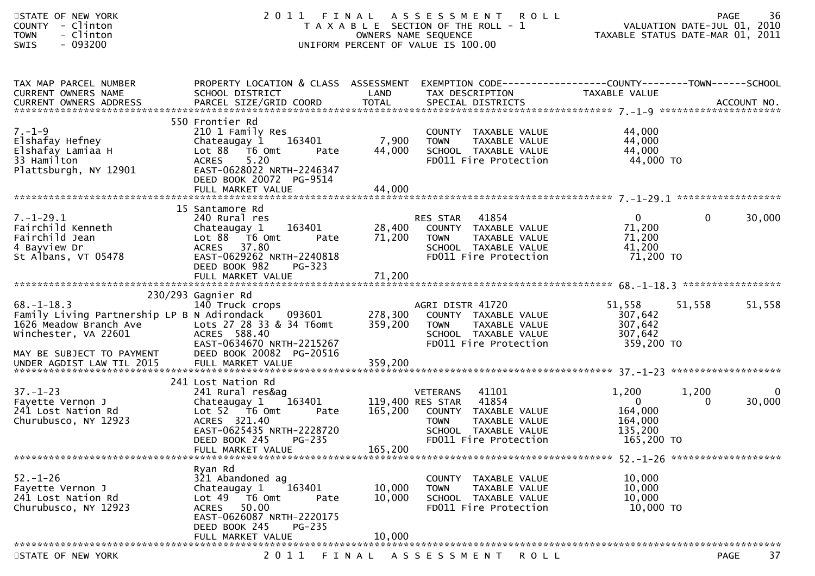| STATE OF NEW YORK<br>- Clinton<br><b>COUNTY</b><br>- Clinton<br><b>TOWN</b><br>SWIS<br>$-093200$                                               |                                                                                                                                                                                                            | OWNERS NAME SEQUENCE        | 2011 FINAL ASSESSMENT<br><b>ROLL</b><br>T A X A B L E SECTION OF THE ROLL - 1<br>UNIFORM PERCENT OF VALUE IS 100.00                                |                                                                      | 36<br>PAGE<br>VALUATION DATE-JUL 01, 2010<br>TAXABLE STATUS DATE-MAR 01, 2011 |
|------------------------------------------------------------------------------------------------------------------------------------------------|------------------------------------------------------------------------------------------------------------------------------------------------------------------------------------------------------------|-----------------------------|----------------------------------------------------------------------------------------------------------------------------------------------------|----------------------------------------------------------------------|-------------------------------------------------------------------------------|
| TAX MAP PARCEL NUMBER<br>CURRENT OWNERS NAME                                                                                                   | PROPERTY LOCATION & CLASS ASSESSMENT EXEMPTION CODE----------------COUNTY-------TOWN------SCHOOL<br>SCHOOL DISTRICT                                                                                        | LAND                        | TAX DESCRIPTION                                                                                                                                    | TAXABLE VALUE                                                        |                                                                               |
| $7. - 1 - 9$<br>Elshafay Hefney<br>Elshafay Lamiaa H<br>33 Hamilton<br>Plattsburgh, NY 12901                                                   | 550 Frontier Rd<br>210 1 Family Res<br>Chateaugay 1 163401<br>Lot 88 T6 Omt<br>Pate<br>5.20<br><b>ACRES</b><br>EAST-0628022 NRTH-2246347<br>DEED BOOK 20072 PG-9514<br>FULL MARKET VALUE                   | 7,900<br>44,000<br>44,000   | COUNTY TAXABLE VALUE<br><b>TOWN</b><br>TAXABLE VALUE<br>SCHOOL TAXABLE VALUE<br>FD011 Fire Protection                                              | 44,000<br>44,000<br>44,000<br>44,000 TO                              |                                                                               |
| $7. - 1 - 29.1$<br>Fairchild Kenneth<br>Fairchild Jean<br>4 Bayview Dr<br>St Albans, VT 05478                                                  | 15 Santamore Rd<br>240 Rural res<br>163401<br>Chateaugay 1<br>Lot 88 T6 Omt<br>Pate<br>ACRES 37.80<br>EAST-0629262 NRTH-2240818<br>DEED BOOK 982<br>PG-323<br>FULL MARKET VALUE                            | 71,200<br>71,200            | 41854<br>RES STAR<br>28,400 COUNTY TAXABLE VALUE<br><b>TOWN</b><br>TAXABLE VALUE<br>SCHOOL TAXABLE VALUE<br>FD011 Fire Protection                  | $\overline{0}$<br>71,200<br>71,200<br>41,200<br>71,200 TO            | 30,000<br>0                                                                   |
| $68. - 1 - 18.3$<br>Family Living Partnership LP B N Adirondack<br>1626 Meadow Branch Ave<br>Winchester, VA 22601<br>MAY BE SUBJECT TO PAYMENT | 230/293 Gagnier Rd<br>140 Truck crops<br>093601<br>Lots 27 28 33 & 34 T6omt<br>ACRES 588.40<br>EAST-0634670 NRTH-2215267<br>DEED BOOK 20082 PG-20516                                                       | 278,300<br>359,200          | AGRI DISTR 41720<br>COUNTY TAXABLE VALUE<br><b>TOWN</b><br>TAXABLE VALUE<br>SCHOOL TAXABLE VALUE<br>FD011 Fire Protection                          | 51,558<br>307,642<br>307,642<br>307,642<br>359,200 TO                | 51,558<br>51,558                                                              |
| $37. - 1 - 23$<br>Fayette Vernon J<br>241 Lost Nation Rd<br>Churubusco, NY 12923                                                               | 241 Lost Nation Rd<br>241 Rural res&ag<br>Chateaugay 1 163401<br>Lot 52  T6 0mt<br>Pate<br>ACRES 321.40<br>EAST-0625435 NRTH-2228720<br>DEED BOOK 245 PG-235<br>FULL MARKET VALUE                          | 119,400 RES STAR<br>165,200 | <b>VETERANS</b><br>41101<br>41854<br>165,200 COUNTY TAXABLE VALUE<br><b>TOWN</b><br>TAXABLE VALUE<br>SCHOOL TAXABLE VALUE<br>FD011 Fire Protection | 1,200<br>$\mathbf{0}$<br>164,000<br>164,000<br>135,200<br>165,200 TO | 1,200<br>0<br>30,000<br>$\Omega$                                              |
| $52. - 1 - 26$<br>Fayette Vernon J<br>241 Lost Nation Rd<br>Churubusco, NY 12923                                                               | Ryan Rd<br>321 Abandoned ag<br>163401<br>Chateaugay 1<br>Lot $49$ $\overline{76}$ Omt<br>Pate<br><b>ACRES</b><br>50.00<br>EAST-0626087 NRTH-2220175<br>DEED BOOK 245<br><b>PG-235</b><br>FULL MARKET VALUE | 10,000<br>10,000<br>10,000  | COUNTY TAXABLE VALUE<br><b>TOWN</b><br>TAXABLE VALUE<br>SCHOOL TAXABLE VALUE<br>FD011 Fire Protection                                              | 10,000<br>10,000<br>10,000<br>10,000 TO                              |                                                                               |
| STATE OF NEW YORK                                                                                                                              | 2011<br>FINAL                                                                                                                                                                                              |                             | A S S E S S M E N T<br><b>ROLL</b>                                                                                                                 |                                                                      | 37<br><b>PAGE</b>                                                             |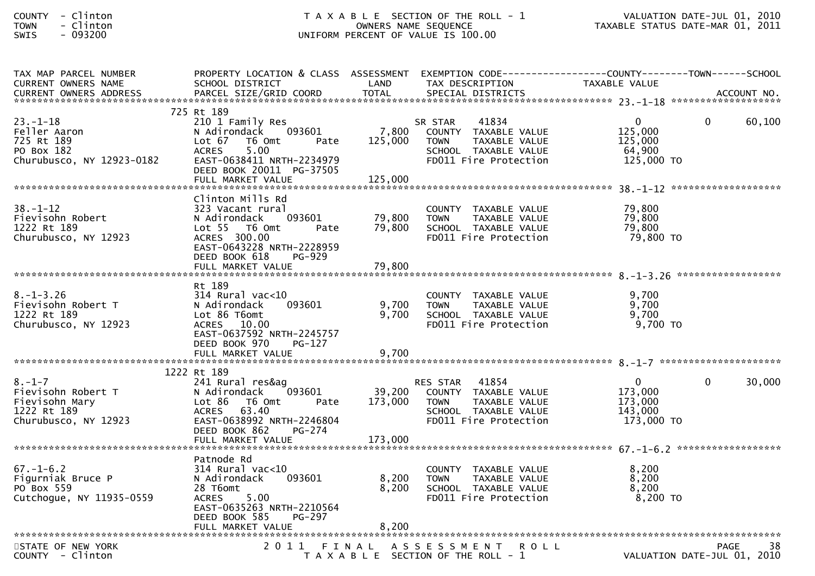| <b>COUNTY</b> | - | Clintor |
|---------------|---|---------|
| <b>TOWN</b>   | - | Clintor |
| $\sim$ $\sim$ |   | ,,,,,,, |

### COUNTY - Clinton T A X A B L E SECTION OF THE ROLL - 1 VALUATION DATE-JUL 01, 2010TOWN - Clinton OWNERS NAME SEQUENCE TAXABLE STATUS DATE-MAR 01, 2011SWIS - 093200 UNIFORM PERCENT OF VALUE IS 100.00

| TAX MAP PARCEL NUMBER<br>CURRENT OWNERS NAME                                                | PROPERTY LOCATION & CLASS ASSESSMENT EXEMPTION CODE----------------COUNTY-------TOWN------SCHOOL<br>SCHOOL DISTRICT                                                               | LAND                         | TAX DESCRIPTION                                                                                                                   | TAXABLE VALUE                                           |                    |
|---------------------------------------------------------------------------------------------|-----------------------------------------------------------------------------------------------------------------------------------------------------------------------------------|------------------------------|-----------------------------------------------------------------------------------------------------------------------------------|---------------------------------------------------------|--------------------|
|                                                                                             |                                                                                                                                                                                   |                              |                                                                                                                                   |                                                         |                    |
|                                                                                             | 725 Rt 189                                                                                                                                                                        |                              |                                                                                                                                   |                                                         |                    |
| $23 - 1 - 18$<br>Feller Aaron<br>725 Rt 189<br>PO Box 182                                   | 210 1 Family Res<br>093601<br>N Adirondack<br>Lot 67<br>T6 Omt<br>Pate<br>5.00<br><b>ACRES</b>                                                                                    | 7,800<br>125,000             | 41834<br>SR STAR<br>COUNTY TAXABLE VALUE<br><b>TOWN</b><br>TAXABLE VALUE<br>SCHOOL TAXABLE VALUE                                  | $\Omega$<br>125,000<br>125,000<br>64,900                | $\Omega$<br>60,100 |
| Churubusco, NY 12923-0182                                                                   | EAST-0638411 NRTH-2234979<br>DEED BOOK 20011 PG-37505                                                                                                                             |                              | FD011 Fire Protection                                                                                                             | 125,000 TO                                              |                    |
|                                                                                             |                                                                                                                                                                                   |                              |                                                                                                                                   |                                                         |                    |
| $38. - 1 - 12$<br>Fievisohn Robert<br>1222 Rt 189<br>Churubusco, NY 12923                   | Clinton Mills Rd<br>323 Vacant rural<br>093601<br>N Adirondack<br>Lot 55 T6 Omt<br>Pate<br>ACRES 300.00<br>EAST-0643228 NRTH-2228959<br>DEED BOOK 618<br>PG-929                   | 79,800<br>79,800             | COUNTY TAXABLE VALUE<br>TAXABLE VALUE<br><b>TOWN</b><br>SCHOOL TAXABLE VALUE<br>FD011 Fire Protection                             | 79,800<br>79,800<br>79,800<br>79,800 TO                 |                    |
|                                                                                             |                                                                                                                                                                                   |                              |                                                                                                                                   |                                                         |                    |
|                                                                                             | Rt 189                                                                                                                                                                            |                              |                                                                                                                                   |                                                         |                    |
| $8. - 1 - 3.26$<br>Fievisohn Robert T<br>1222 Rt 189<br>Churubusco, NY 12923                | $314$ Rural vac< $10$<br>093601<br>N Adirondack<br>Lot 86 T6omt<br>ACRES 10.00<br>EAST-0637592 NRTH-2245757<br>DEED BOOK 970<br>PG-127                                            | 9,700<br>9,700               | COUNTY TAXABLE VALUE<br><b>TOWN</b><br>TAXABLE VALUE<br>SCHOOL TAXABLE VALUE<br>FD011 Fire Protection                             | 9,700<br>9,700<br>9,700<br>9,700 TO                     |                    |
|                                                                                             |                                                                                                                                                                                   |                              |                                                                                                                                   |                                                         |                    |
|                                                                                             |                                                                                                                                                                                   |                              |                                                                                                                                   |                                                         |                    |
| $8. - 1 - 7$<br>Fievisohn Robert T<br>Fievisohn Mary<br>1222 Rt 189<br>Churubusco, NY 12923 | 1222 Rt 189<br>241 Rural res&ag<br>093601<br>N Adirondack<br>Lot 86<br>T6 Omt<br>Pate<br>ACRES 63.40<br>EAST-0638992 NRTH-2246804<br>DEED BOOK 862<br>PG-274<br>FULL MARKET VALUE | 39,200<br>173,000<br>173,000 | 41854<br><b>RES STAR</b><br>COUNTY TAXABLE VALUE<br><b>TOWN</b><br>TAXABLE VALUE<br>SCHOOL TAXABLE VALUE<br>FD011 Fire Protection | $\Omega$<br>173,000<br>173,000<br>143,000<br>173,000 TO | $\Omega$<br>30,000 |
|                                                                                             |                                                                                                                                                                                   |                              |                                                                                                                                   |                                                         |                    |
| $67. - 1 - 6.2$<br>Figurniak Bruce P<br>PO Box 559<br>Cutchogue, NY 11935-0559              | Patnode Rd<br>314 Rural vac<10<br>093601<br>N Adirondack<br>28 T6omt<br>ACRES 5.00<br>EAST-0635263 NRTH-2210564<br><b>PG-297</b><br>DEED BOOK 585                                 | 8,200<br>8,200               | COUNTY TAXABLE VALUE<br><b>TOWN</b><br>TAXABLE VALUE<br>SCHOOL TAXABLE VALUE<br>FD011 Fire Protection                             | 8,200<br>8,200<br>8,200<br>$8,200$ TO                   |                    |
|                                                                                             |                                                                                                                                                                                   |                              |                                                                                                                                   |                                                         |                    |
| STATE OF NEW YORK<br>COUNTY - Clinton                                                       |                                                                                                                                                                                   |                              | <b>ROLL</b><br>2011 FINAL ASSESSMENT<br>T A X A B L E SECTION OF THE ROLL - 1                                                     | VALUATION DATE-JUL 01, 2010                             | <b>PAGE</b><br>38  |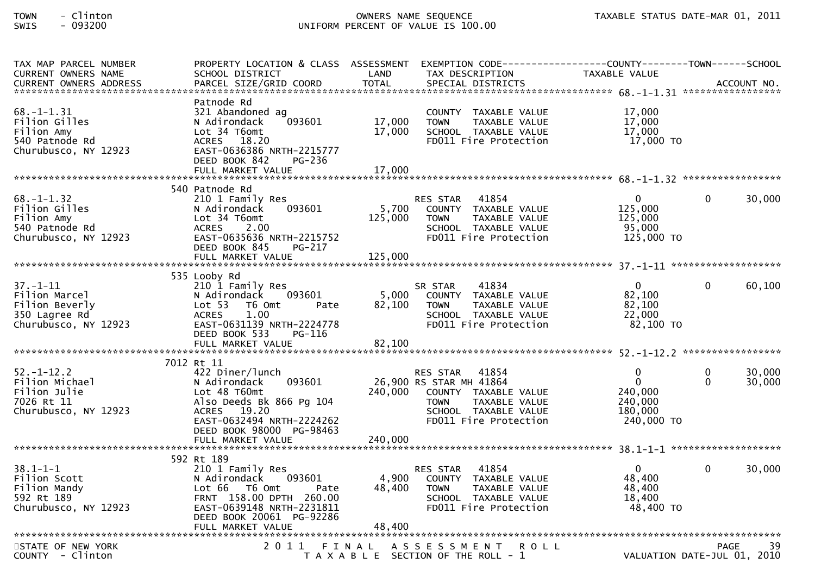# TOWN - Clinton OWNERS NAME SEQUENCE TAXABLE STATUS DATE-MAR 01, 2011SWIS - 093200 UNIFORM PERCENT OF VALUE IS 100.00

| TAX MAP PARCEL NUMBER<br><b>CURRENT OWNERS NAME</b>                                        | PROPERTY LOCATION & CLASS ASSESSMENT<br>SCHOOL DISTRICT                                                                                                                           | LAND                        | EXEMPTION        CODE-----------------COUNTY-------TOWN------SCHOOL<br>TAX DESCRIPTION                                                             | TAXABLE VALUE                                                          |                      |                  |
|--------------------------------------------------------------------------------------------|-----------------------------------------------------------------------------------------------------------------------------------------------------------------------------------|-----------------------------|----------------------------------------------------------------------------------------------------------------------------------------------------|------------------------------------------------------------------------|----------------------|------------------|
| $68. - 1 - 1.31$<br>Filion Gilles<br>Filion Amy<br>540 Patnode Rd<br>Churubusco, NY 12923  | Patnode Rd<br>321 Abandoned ag<br>N Adirondack<br>093601<br>Lot 34 T6omt<br>ACRES 18.20<br>EAST-0636386 NRTH-2215777                                                              | 17,000<br>17,000            | COUNTY TAXABLE VALUE<br><b>TOWN</b><br>TAXABLE VALUE<br>SCHOOL TAXABLE VALUE<br>FD011 Fire Protection                                              | 17,000<br>17,000<br>17,000<br>17,000 TO                                |                      |                  |
|                                                                                            | DEED BOOK 842<br>PG-236<br>FULL MARKET VALUE                                                                                                                                      | 17,000                      |                                                                                                                                                    |                                                                        |                      |                  |
| $68. - 1 - 1.32$<br>Filion Gilles<br>Filion Amy<br>540 Patnode Rd<br>Churubusco, NY 12923  | 540 Patnode Rd<br>210 1 Family Res<br>093601<br>N Adirondack<br>Lot 34 T6omt<br><b>ACRES</b><br>2.00<br>EAST-0635636 NRTH-2215752<br>DEED BOOK 845<br>PG-217<br>FULL MARKET VALUE | 5,700<br>125,000<br>125,000 | 41854<br><b>RES STAR</b><br>COUNTY TAXABLE VALUE<br><b>TOWN</b><br>TAXABLE VALUE<br>SCHOOL TAXABLE VALUE<br>FD011 Fire Protection                  | $\mathbf 0$<br>125,000<br>125,000<br>95,000<br>125,000 TO              | $\Omega$             | 30,000           |
| $37. - 1 - 11$<br>Filion Marcel<br>Filion Beverly<br>350 Lagree Rd<br>Churubusco, NY 12923 | 535 Looby Rd<br>210 1 Family Res<br>093601<br>N Adirondack<br>Lot <sub>53</sub><br>T6 Omt<br>Pate<br><b>ACRES</b><br>1.00<br>EAST-0631139 NRTH-2224778<br>DEED BOOK 533<br>PG-116 | 5,000<br>82,100             | 41834<br>SR STAR<br>COUNTY TAXABLE VALUE<br><b>TOWN</b><br>TAXABLE VALUE<br>SCHOOL TAXABLE VALUE<br>FD011 Fire Protection                          | $\mathbf{0}$<br>82,100<br>82,100<br>22,000<br>$82,100$ TO              | $\Omega$             | 60,100           |
|                                                                                            |                                                                                                                                                                                   |                             |                                                                                                                                                    |                                                                        |                      |                  |
| $52. - 1 - 12.2$<br>Filion Michael<br>Filion Julie<br>7026 Rt 11<br>Churubusco, NY 12923   | 7012 Rt 11<br>422 Diner/lunch<br>093601<br>N Adirondack<br>Lot 48 T60mt<br>Also Deeds Bk 866 Pg 104<br>ACRES 19.20<br>EAST-0632494 NRTH-2224262<br>DEED BOOK 98000 PG-98463       | 240,000                     | RES STAR 41854<br>26,900 RS STAR MH 41864<br>COUNTY TAXABLE VALUE<br>TAXABLE VALUE<br><b>TOWN</b><br>SCHOOL TAXABLE VALUE<br>FD011 Fire Protection | $\mathbf 0$<br>$\Omega$<br>240,000<br>240,000<br>180,000<br>240,000 TO | $\Omega$<br>$\Omega$ | 30,000<br>30,000 |
|                                                                                            | FULL MARKET VALUE                                                                                                                                                                 | 240,000                     |                                                                                                                                                    |                                                                        |                      |                  |
| $38.1 - 1 - 1$<br>Filion Scott<br>Filion Mandy<br>592 Rt 189<br>Churubusco, NY 12923       | 592 Rt 189<br>210 1 Family Res<br>093601<br>N Adirondack<br>Lot 66<br>T6 Omt<br>Pate<br>FRNT 158.00 DPTH 260.00<br>EAST-0639148 NRTH-2231811<br>DEED BOOK 20061 PG-92286          | 4,900<br>48,400             | 41854<br><b>RES STAR</b><br>COUNTY TAXABLE VALUE<br>TAXABLE VALUE<br><b>TOWN</b><br>SCHOOL TAXABLE VALUE<br>FD011 Fire Protection                  | $\overline{0}$<br>48,400<br>48,400<br>18,400<br>48,400 TO              | $\Omega$             | 30,000           |
|                                                                                            |                                                                                                                                                                                   |                             |                                                                                                                                                    |                                                                        |                      |                  |
| STATE OF NEW YORK<br>$COUNTY - Clinton$                                                    | 2011 FINAL                                                                                                                                                                        |                             | A S S E S S M E N T<br><b>ROLL</b><br>T A X A B L E SECTION OF THE ROLL - 1                                                                        | VALUATION DATE-JUL 01, 2010                                            | <b>PAGE</b>          | 39               |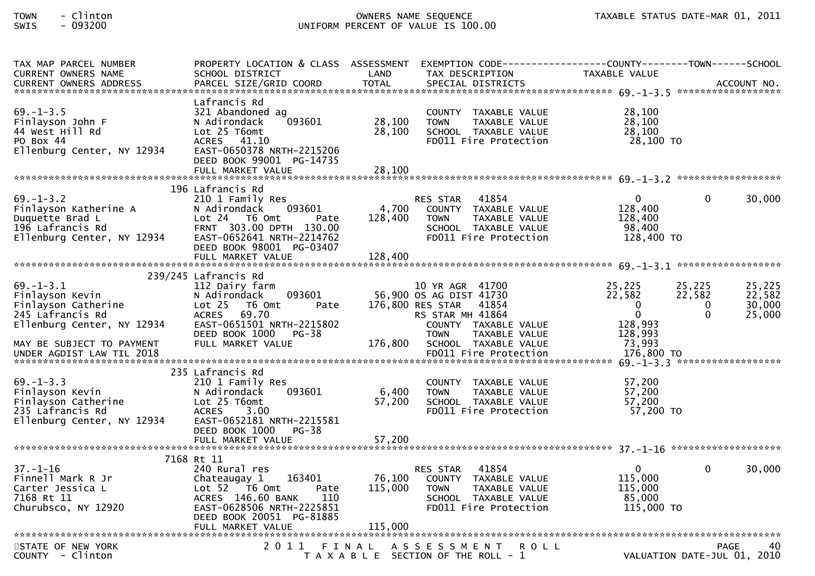# TOWN - Clinton OWNERS NAME SEQUENCE TAXABLE STATUS DATE-MAR 01, 2011SWIS - 093200 UNIFORM PERCENT OF VALUE IS 100.00

| TAX MAP PARCEL NUMBER<br>CURRENT OWNERS NAME                                                                  | PROPERTY LOCATION & CLASS ASSESSMENT<br>SCHOOL DISTRICT                                                                                                                     | LAND                       | TAX DESCRIPTION                                                                                                                                  | EXEMPTION CODE------------------COUNTY--------TOWN------SCHOOL<br>TAXABLE VALUE | ******************                | ACCOUNT NO.                          |
|---------------------------------------------------------------------------------------------------------------|-----------------------------------------------------------------------------------------------------------------------------------------------------------------------------|----------------------------|--------------------------------------------------------------------------------------------------------------------------------------------------|---------------------------------------------------------------------------------|-----------------------------------|--------------------------------------|
| $69. - 1 - 3.5$<br>Finlayson John F<br>44 West Hill Rd<br>PO Box 44<br>Ellenburg Center, NY 12934             | Lafrancis Rd<br>321 Abandoned ag<br>093601<br>N Adirondack<br>Lot 25 T6omt<br>ACRES 41.10<br>EAST-0650378 NRTH-2215206<br>DEED BOOK 99001 PG-14735<br>FULL MARKET VALUE     | 28,100<br>28,100<br>28,100 | COUNTY TAXABLE VALUE<br>TAXABLE VALUE<br><b>TOWN</b><br>SCHOOL TAXABLE VALUE<br>FD011 Fire Protection                                            | 28,100<br>28,100<br>28,100<br>28,100 TO                                         |                                   |                                      |
|                                                                                                               |                                                                                                                                                                             |                            |                                                                                                                                                  |                                                                                 |                                   |                                      |
| $69. - 1 - 3.2$<br>Finlayson Katherine A<br>Duquette Brad L<br>196 Lafrancis Rd<br>Ellenburg Center, NY 12934 | 196 Lafrancis Rd<br>210 1 Family Res<br>093601<br>N Adirondack<br>Lot 24 T6 Omt<br>Pate<br>FRNT 303.00 DPTH 130.00<br>EAST-0652641 NRTH-2214762<br>DEED BOOK 98001 PG-03407 | 4,700<br>128,400           | RES STAR 41854<br>COUNTY TAXABLE VALUE<br><b>TOWN</b><br>TAXABLE VALUE<br>SCHOOL TAXABLE VALUE<br>FD011 Fire Protection                          | $\mathbf{0}$<br>128,400<br>128,400<br>98,400<br>128,400 TO                      | 0                                 | 30,000                               |
|                                                                                                               | FULL MARKET VALUE                                                                                                                                                           | 128,400                    |                                                                                                                                                  |                                                                                 |                                   |                                      |
|                                                                                                               | 239/245 Lafrancis Rd                                                                                                                                                        |                            |                                                                                                                                                  |                                                                                 |                                   |                                      |
| $69. - 1 - 3.1$<br>Finlayson Kevin<br>Finlayson Catherine<br>245 Lafrancis Rd<br>Ellenburg Center, NY 12934   | 112 Dairy farm<br>093601<br>N Adirondack<br>$Lot 25$ T6 Omt<br>Pate<br><b>ACRES</b><br>69.70<br>EAST-0651501 NRTH-2215802<br>DEED BOOK 1000<br><b>PG-38</b>                 |                            | 10 YR AGR 41700<br>56,900 OS AG DIST 41730<br>176,800 RES STAR 41854<br>RS STAR MH 41864<br>COUNTY TAXABLE VALUE<br><b>TOWN</b><br>TAXABLE VALUE | 25,225<br>22,582<br>0<br>$\overline{0}$<br>128,993<br>128,993                   | 25,225<br>22,582<br>0<br>$\Omega$ | 25,225<br>22,582<br>30,000<br>25,000 |
| MAY BE SUBJECT TO PAYMENT<br>UNDER AGDIST LAW TIL 2018                                                        | FULL MARKET VALUE                                                                                                                                                           | 176,800                    | SCHOOL TAXABLE VALUE<br>FD011 Fire Protection                                                                                                    | 73,993<br>176,800 TO                                                            |                                   |                                      |
| $69. - 1 - 3.3$<br>Finlayson Kevin<br>Finlayson Catherine<br>235 Lafrancis Rd<br>Ellenburg Center, NY 12934   | 235 Lafrancis Rd<br>210 1 Family Res<br>093601<br>N Adirondack<br>Lot 25 T6omt<br><b>ACRES</b><br>3.00<br>EAST-0652181 NRTH-2215581<br>DEED BOOK 1000<br>$PG-38$            | 6,400<br>57,200            | COUNTY TAXABLE VALUE<br>TAXABLE VALUE<br><b>TOWN</b><br>SCHOOL TAXABLE VALUE<br>FD011 Fire Protection                                            | 57,200<br>57,200<br>57,200<br>57,200 TO                                         |                                   |                                      |
|                                                                                                               |                                                                                                                                                                             |                            |                                                                                                                                                  |                                                                                 |                                   |                                      |
| $37. - 1 - 16$<br>Finnell Mark R Jr<br>Carter Jessica L<br>7168 Rt 11<br>Churubsco, NY 12920                  | 7168 Rt 11<br>240 Rural res<br>163401<br>Chateaugay 1<br>Lot 52 T6 Omt<br>Pate<br>ACRES 146.60 BANK<br>110<br>EAST-0628506 NRTH-2225851<br>DEED BOOK 20051 PG-81885         |                            | 41854<br>RES STAR<br>76,100 COUNTY TAXABLE VALUE<br>115,000 TOWN<br>TAXABLE VALUE<br>SCHOOL TAXABLE VALUE<br>FD011 Fire Protection               | $\mathbf{0}$<br>115,000<br>115,000<br>85,000<br>115,000 TO                      | 0                                 | 30,000                               |
|                                                                                                               | FULL MARKET VALUE                                                                                                                                                           | 115,000                    |                                                                                                                                                  |                                                                                 |                                   |                                      |
| STATE OF NEW YORK<br>COUNTY - Clinton                                                                         | 2011                                                                                                                                                                        | FINAL                      | A S S E S S M E N T R O L L<br>T A X A B L E SECTION OF THE ROLL - 1                                                                             |                                                                                 | VALUATION DATE-JUL 01, 2010       | PAGE<br>40                           |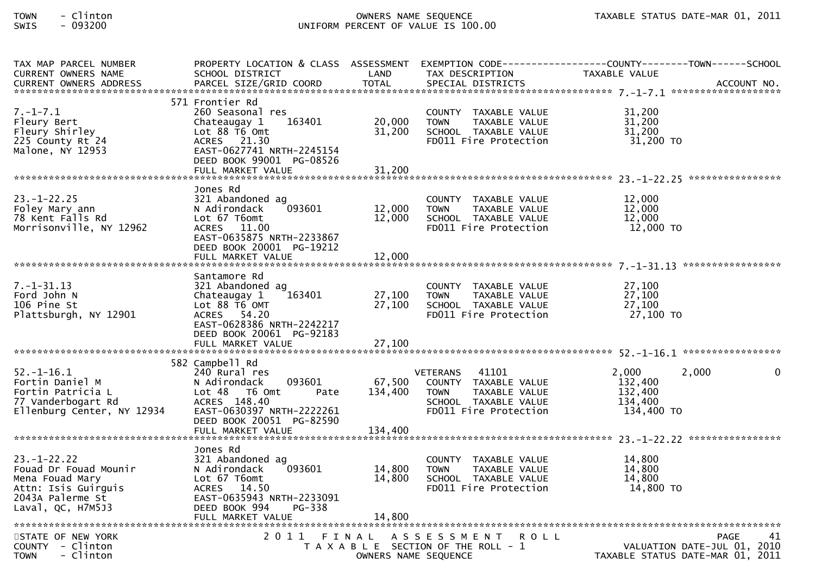# TOWN - Clinton OWNERS NAME SEQUENCE TAXABLE STATUS DATE-MAR 01, 2011SWIS - 093200 UNIFORM PERCENT OF VALUE IS 100.00

| TAX MAP PARCEL NUMBER<br><b>CURRENT OWNERS NAME</b>                                                                           | SCHOOL DISTRICT                                                                                                                                                          | LAND                       | TAX DESCRIPTION                                                                                                                          | PROPERTY LOCATION & CLASS ASSESSMENT EXEMPTION CODE----------------COUNTY--------TOWN------SCHOOL<br>TAXABLE VALUE |
|-------------------------------------------------------------------------------------------------------------------------------|--------------------------------------------------------------------------------------------------------------------------------------------------------------------------|----------------------------|------------------------------------------------------------------------------------------------------------------------------------------|--------------------------------------------------------------------------------------------------------------------|
|                                                                                                                               |                                                                                                                                                                          |                            |                                                                                                                                          |                                                                                                                    |
| $7. - 1 - 7.1$<br>Fleury Bert<br>Fleury Shirley<br>225 County Rt 24<br>Malone, NY 12953                                       | 571 Frontier Rd<br>260 Seasonal res<br>Chateaugay 1<br>163401<br>Lot 88 T6 Omt<br>ACRES 21.30<br>EAST-0627741 NRTH-2245154<br>DEED BOOK 99001 PG-08526                   | 20,000<br>31,200           | COUNTY TAXABLE VALUE<br>TAXABLE VALUE<br><b>TOWN</b><br>SCHOOL TAXABLE VALUE<br>FD011 Fire Protection                                    | 31,200<br>31,200<br>31,200<br>31,200 TO                                                                            |
|                                                                                                                               | FULL MARKET VALUE                                                                                                                                                        | 31,200                     |                                                                                                                                          |                                                                                                                    |
| $23. - 1 - 22.25$<br>Foley Mary ann<br>78 Kent Falls Rd<br>Morrisonville, NY 12962                                            | Jones Rd<br>321 Abandoned ag<br>093601<br>N Adirondack<br>Lot 67 T6omt<br>ACRES 11.00<br>EAST-0635875 NRTH-2233867<br>DEED BOOK 20001 PG-19212                           | 12,000<br>12,000           | COUNTY TAXABLE VALUE<br><b>TOWN</b><br>TAXABLE VALUE<br>SCHOOL TAXABLE VALUE<br>FD011 Fire Protection                                    | 12,000<br>12,000<br>12,000<br>12,000 TO                                                                            |
|                                                                                                                               | FULL MARKET VALUE                                                                                                                                                        | 12,000                     |                                                                                                                                          |                                                                                                                    |
| $7. - 1 - 31.13$<br>Ford John N<br>106 Pine St<br>Plattsburgh, NY 12901                                                       | Santamore Rd<br>321 Abandoned ag<br>163401<br>Chateaugay 1<br>Lot 88 T6 OMT<br>ACRES 54.20<br>EAST-0628386 NRTH-2242217<br>DEED BOOK 20061 PG-92183<br>FULL MARKET VALUE | 27,100<br>27,100<br>27,100 | COUNTY TAXABLE VALUE<br><b>TOWN</b><br>TAXABLE VALUE<br>SCHOOL TAXABLE VALUE<br>FD011 Fire Protection                                    | 27,100<br>27,100<br>27,100<br>27,100 TO                                                                            |
|                                                                                                                               | 582 Campbell Rd                                                                                                                                                          |                            |                                                                                                                                          |                                                                                                                    |
| $52. - 1 - 16.1$<br>Fortin Daniel M<br>Fortin Patricia L<br>77 Vanderbogart Rd<br>Ellenburg Center, NY 12934                  | 240 Rural res<br>093601<br>N Adirondack<br>Lot 48<br>T6 Omt<br>Pate<br>ACRES 148.40<br>EAST-0630397 NRTH-2222261<br>DEED BOOK 20051 PG-82590                             | 67,500<br>134,400          | 41101<br><b>VETERANS</b><br>COUNTY TAXABLE VALUE<br><b>TAXABLE VALUE</b><br><b>TOWN</b><br>SCHOOL TAXABLE VALUE<br>FD011 Fire Protection | 2,000<br>2,000<br>$\Omega$<br>132,400<br>132,400<br>134,400<br>134,400 TO                                          |
|                                                                                                                               |                                                                                                                                                                          |                            |                                                                                                                                          |                                                                                                                    |
| $23. - 1 - 22.22$<br>Fouad Dr Fouad Mounir<br>Mena Fouad Mary<br>Attn: Isis Guirguis<br>2043A Palerme St<br>Laval, QC, H7M5J3 | Jones Rd<br>321 Abandoned ag<br>N Adirondack<br>093601<br>Lot 67 T6omt<br>ACRES 14.50<br>EAST-0635943 NRTH-2233091<br>DEED BOOK 994<br>PG-338<br>FULL MARKET VALUE       | 14,800<br>14,800<br>14,800 | COUNTY TAXABLE VALUE<br><b>TOWN</b><br>TAXABLE VALUE<br>SCHOOL TAXABLE VALUE<br>FD011 Fire Protection                                    | 14,800<br>14,800<br>14,800<br>14,800 TO                                                                            |
| STATE OF NEW YORK<br>COUNTY - Clinton<br>- Clinton<br><b>TOWN</b>                                                             |                                                                                                                                                                          | OWNERS NAME SEQUENCE       | 2011 FINAL ASSESSMENT<br>R O L L<br>T A X A B L E SECTION OF THE ROLL - 1                                                                | 41<br><b>PAGE</b><br>VALUATION DATE-JUL 01, 2010<br>TAXABLE STATUS DATE-MAR 01, 2011                               |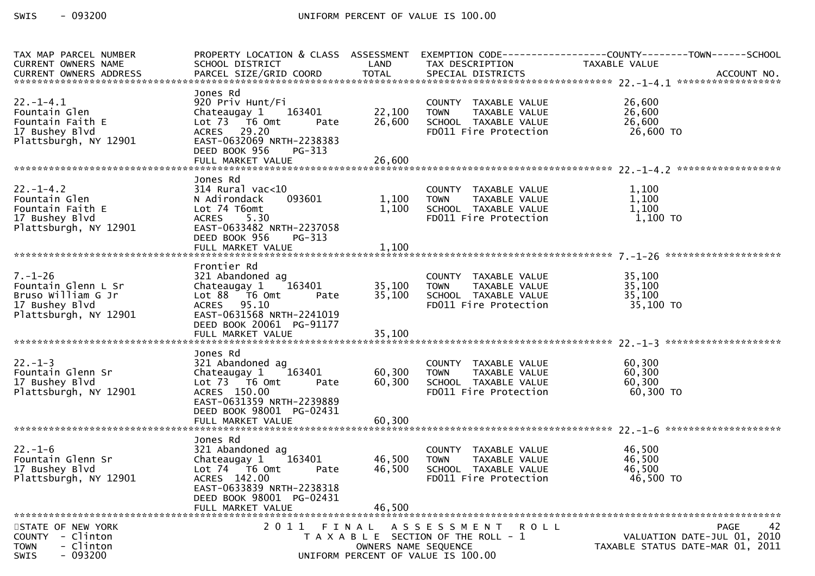| TAX MAP PARCEL NUMBER    |                                                                                                                                                |                      |                                                                                             | PROPERTY LOCATION & CLASS ASSESSMENT EXEMPTION CODE----------------COUNTY-------TOWN------SCHOOL |
|--------------------------|------------------------------------------------------------------------------------------------------------------------------------------------|----------------------|---------------------------------------------------------------------------------------------|--------------------------------------------------------------------------------------------------|
| CURRENT OWNERS NAME      | SCHOOL DISTRICT LAND                                                                                                                           |                      | TAX DESCRIPTION                                                                             | TAXABLE VALUE                                                                                    |
| CURRENT OWNERS ADDRESS   |                                                                                                                                                |                      |                                                                                             |                                                                                                  |
|                          |                                                                                                                                                |                      |                                                                                             |                                                                                                  |
|                          | Jones Rd                                                                                                                                       |                      |                                                                                             |                                                                                                  |
| $22. - 1 - 4.1$          | 920 Priv Hunt/Fi                                                                                                                               |                      | COUNTY TAXABLE VALUE<br>TOWN     TAXABLE VALUE                                              | 26,600                                                                                           |
| Fountain Glen            | Chateaugay 1 163401                                                                                                                            | 22,100 TOWN          |                                                                                             | 26,600                                                                                           |
| Fountain Faith E         | Lot 73 T6 Omt<br>Pate                                                                                                                          | 26,600               | SCHOOL TAXABLE VALUE                                                                        | 26,600                                                                                           |
| 17 Bushey Blvd           | ACRES 29.20                                                                                                                                    |                      | FD011 Fire Protection                                                                       | 26,600 TO                                                                                        |
| Plattsburgh, NY 12901    | EAST-0632069 NRTH-2238383                                                                                                                      |                      |                                                                                             |                                                                                                  |
|                          | DEED BOOK 956<br>PG-313                                                                                                                        |                      |                                                                                             |                                                                                                  |
|                          |                                                                                                                                                |                      |                                                                                             |                                                                                                  |
|                          |                                                                                                                                                |                      |                                                                                             |                                                                                                  |
|                          | Jones Rd                                                                                                                                       |                      |                                                                                             |                                                                                                  |
| $22. - 1 - 4.2$          | $314$ Rural vac<10                                                                                                                             |                      | 0<br>1,100 TOWN TAXABLE_VALUE<br>1,100 SCHOOL__TAXABLE_VALUE<br>1,100 SCHOOL__TAXABLE_VALUE | 1,100                                                                                            |
| Fountain Glen            | N Adirondack                                                                                                                                   |                      |                                                                                             | 1,100                                                                                            |
| Fountain Faith E         | Lot 74 T6omt                                                                                                                                   |                      |                                                                                             | 1,100                                                                                            |
| 17 Bushey Blvd           | <b>ACRES</b><br>5.30                                                                                                                           |                      | FD011 Fire Protection                                                                       | 1,100 TO                                                                                         |
| Plattsburgh, NY 12901    | EAST-0633482 NRTH-2237058                                                                                                                      |                      |                                                                                             |                                                                                                  |
|                          | DEED BOOK 956<br>PG-313                                                                                                                        |                      |                                                                                             |                                                                                                  |
|                          |                                                                                                                                                |                      |                                                                                             |                                                                                                  |
|                          |                                                                                                                                                |                      |                                                                                             |                                                                                                  |
|                          | Frontier Rd                                                                                                                                    |                      |                                                                                             |                                                                                                  |
| $7. - 1 - 26$            | 321 Abandoned ag                                                                                                                               |                      | COUNTY TAXABLE VALUE                                                                        | 35,100                                                                                           |
| Fountain Glenn L Sr      |                                                                                                                                                | 35,100 TOWN          |                                                                                             | 35,100                                                                                           |
| Bruso William G Jr       | Chateaugay 1 163401<br>Lot 88 T6 Omt Pate                                                                                                      | 35,100               | TOWN TAXABLE VALUE<br>SCHOOL TAXABLE VALUE                                                  | 35,100                                                                                           |
| 17 Bushey Blvd           | ACRES 95.10                                                                                                                                    |                      | FD011 Fire Protection                                                                       | 35,100 TO                                                                                        |
| Plattsburgh, NY 12901    | EAST-0631568 NRTH-2241019                                                                                                                      |                      |                                                                                             |                                                                                                  |
|                          | DEED BOOK 20061 PG-91177                                                                                                                       |                      |                                                                                             |                                                                                                  |
|                          |                                                                                                                                                |                      |                                                                                             |                                                                                                  |
|                          |                                                                                                                                                |                      |                                                                                             |                                                                                                  |
|                          | Jones Rd                                                                                                                                       |                      |                                                                                             |                                                                                                  |
| $22. - 1 - 3$            | 321 Abandoned ag                                                                                                                               |                      | COUNTY TAXABLE VALUE                                                                        | 60,300                                                                                           |
| Fountain Glenn Sr        |                                                                                                                                                |                      |                                                                                             | 60,300                                                                                           |
| 17 Bushey Blvd           |                                                                                                                                                |                      |                                                                                             |                                                                                                  |
| Plattsburgh, NY 12901    | Chateaugay 1 163401 60,300 TOWN TAXABLE VALUE<br>Lot 73 T6 Omt Pate 60,300 SCHOOL TAXABLE VALUE<br>ACRES 150.00 PRESCOPE FOULL Fire Protection |                      |                                                                                             | $60,300$ TO $60,300$ TO                                                                          |
|                          | EAST-0631359 NRTH-2239889                                                                                                                      |                      |                                                                                             |                                                                                                  |
|                          | DEED BOOK 98001 PG-02431                                                                                                                       |                      |                                                                                             |                                                                                                  |
|                          |                                                                                                                                                |                      |                                                                                             |                                                                                                  |
|                          |                                                                                                                                                |                      |                                                                                             |                                                                                                  |
|                          | Jones Rd                                                                                                                                       |                      |                                                                                             |                                                                                                  |
| $22. - 1 - 6$            | 321 Abandoned ag                                                                                                                               |                      | COUNTY TAXABLE VALUE                                                                        | 46,500                                                                                           |
| Fountain Glenn Sr        | Chateaugay 1<br>163401                                                                                                                         | 46,500 TOWN          |                                                                                             | 46,500                                                                                           |
| 17 Bushey Blvd           | Lot 74 T6 Omt<br>Pate                                                                                                                          | 46,500               | TAXABLE VALUE<br>TAXABLE VALUE<br>TAXABLE VALUE<br>SCHOOL TAXABLE VALUE                     | 46,500                                                                                           |
| Plattsburgh, NY 12901    | ACRES 142.00                                                                                                                                   |                      | FD011 Fire Protection                                                                       | 46,500 TO                                                                                        |
|                          | EAST-0633839 NRTH-2238318                                                                                                                      |                      |                                                                                             |                                                                                                  |
|                          | DEED BOOK 98001 PG-02431                                                                                                                       |                      |                                                                                             |                                                                                                  |
|                          | FULL MARKET VALUE                                                                                                                              | 46,500               |                                                                                             |                                                                                                  |
|                          |                                                                                                                                                |                      |                                                                                             |                                                                                                  |
| STATE OF NEW YORK        |                                                                                                                                                |                      | 2011 FINAL ASSESSMENT ROLL                                                                  | 42<br><b>PAGE</b>                                                                                |
| COUNTY - Clinton         |                                                                                                                                                |                      | T A X A B L E SECTION OF THE ROLL - 1                                                       | VALUATION DATE-JUL 01, 2010                                                                      |
| <b>TOWN</b><br>- Clinton |                                                                                                                                                | OWNERS NAME SEQUENCE |                                                                                             | TAXABLE STATUS DATE-MAR 01, 2011                                                                 |
| $-093200$<br><b>SWIS</b> |                                                                                                                                                |                      | UNIFORM PERCENT OF VALUE IS 100.00                                                          |                                                                                                  |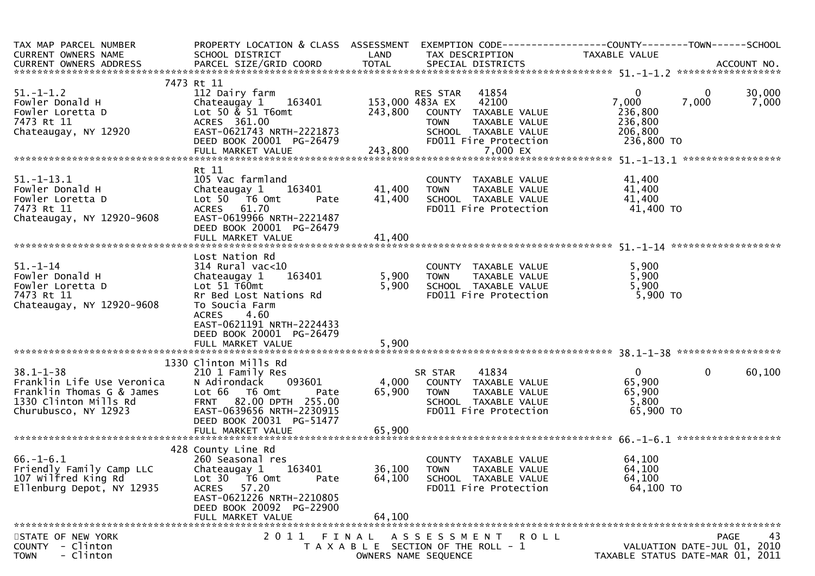| TAX MAP PARCEL NUMBER<br><b>CURRENT OWNERS NAME</b>                                                                         | PROPERTY LOCATION & CLASS ASSESSMENT<br>SCHOOL DISTRICT                                                                                                                                                       | LAND                       | EXEMPTION CODE------------------COUNTY--------TOWN------SCHOOL<br>TAX DESCRIPTION                                                   | <b>TAXABLE VALUE</b>                                      |                             |                 |
|-----------------------------------------------------------------------------------------------------------------------------|---------------------------------------------------------------------------------------------------------------------------------------------------------------------------------------------------------------|----------------------------|-------------------------------------------------------------------------------------------------------------------------------------|-----------------------------------------------------------|-----------------------------|-----------------|
|                                                                                                                             |                                                                                                                                                                                                               |                            |                                                                                                                                     |                                                           |                             |                 |
|                                                                                                                             | 7473 Rt 11                                                                                                                                                                                                    |                            |                                                                                                                                     |                                                           |                             |                 |
| $51. - 1 - 1.2$<br>Fowler Donald H<br>Fowler Loretta D<br>7473 Rt 11<br>Chateaugay, NY 12920                                | 112 Dairy farm<br>Chateaugay 1 163401<br>Lot 50 $\&$ 51 T6omt<br>ACRES 361.00<br>EAST-0621743 NRTH-2221873<br>DEED BOOK 20001 PG-26479                                                                        | 153,000 483A EX<br>243,800 | 41854<br>RES STAR<br>42100<br>COUNTY TAXABLE VALUE<br>TAXABLE VALUE<br><b>TOWN</b><br>SCHOOL TAXABLE VALUE<br>FD011 Fire Protection | 0<br>7,000<br>236,800<br>236,800<br>206,800<br>236,800 TO | 0<br>7,000                  | 30,000<br>7,000 |
|                                                                                                                             |                                                                                                                                                                                                               |                            |                                                                                                                                     |                                                           |                             |                 |
|                                                                                                                             |                                                                                                                                                                                                               |                            |                                                                                                                                     |                                                           |                             |                 |
| $51. - 1 - 13.1$<br>Fowler Donald H<br>Fowler Loretta D<br>7473 Rt 11<br>Chateaugay, NY 12920-9608                          | Rt 11<br>105 Vac farmland<br>163401<br>Chateaugay 1<br>Lot $50$ $\overline{76}$ Omt<br>Pate<br><b>ACRES</b><br>61.70<br>EAST-0619966 NRTH-2221487<br>DEED BOOK 20001 PG-26479                                 | 41,400<br>41,400           | COUNTY TAXABLE VALUE<br>TAXABLE VALUE<br>TOWN<br>SCHOOL TAXABLE VALUE<br>FD011 Fire Protection                                      | 41,400<br>41,400<br>41,400<br>41,400 TO                   |                             |                 |
|                                                                                                                             |                                                                                                                                                                                                               |                            |                                                                                                                                     |                                                           |                             |                 |
| $51 - 1 - 14$<br>Fowler Donald H<br>Fowler Loretta D<br>7473 Rt 11<br>Chateaugay, NY 12920-9608                             | Lost Nation Rd<br>$314$ Rural vac<10<br>163401<br>Chateaugay 1<br>Lot $51$ T60mt<br>Rr Bed Lost Nations Rd<br>To Soucia Farm<br><b>ACRES</b><br>4.60<br>EAST-0621191 NRTH-2224433<br>DEED BOOK 20001 PG-26479 | 5,900<br>5,900             | COUNTY TAXABLE VALUE<br>TAXABLE VALUE<br><b>TOWN</b><br>SCHOOL TAXABLE VALUE<br>FD011 Fire Protection                               | 5,900<br>5,900<br>5,900<br>$5,900$ TO                     |                             |                 |
|                                                                                                                             | FULL MARKET VALUE                                                                                                                                                                                             | 5,900                      |                                                                                                                                     |                                                           |                             |                 |
|                                                                                                                             | 1330 Clinton Mills Rd                                                                                                                                                                                         |                            |                                                                                                                                     |                                                           |                             |                 |
| $38.1 - 1 - 38$<br>Franklin Life Use Veronica<br>Franklin Thomas G & James<br>1330 Clinton Mills Rd<br>Churubusco, NY 12923 | 210 1 Family Res<br>093601<br>N Adirondack<br>Lot 66 T6 Omt<br>Pate<br>82.00 DPTH 255.00<br><b>FRNT</b><br>EAST-0639656 NRTH-2230915<br>DEED BOOK 20031 PG-51477                                              | 4,000<br>65,900            | 41834<br>SR STAR<br>COUNTY TAXABLE VALUE<br><b>TOWN</b><br>TAXABLE VALUE<br>SCHOOL TAXABLE VALUE<br>FD011 Fire Protection           | $\Omega$<br>65,900<br>65,900<br>5,800<br>65,900 TO        | 0                           | 60,100          |
|                                                                                                                             | FULL MARKET VALUE                                                                                                                                                                                             | 65,900                     |                                                                                                                                     |                                                           |                             |                 |
| $66. - 1 - 6.1$<br>Friendly Family Camp LLC<br>107 Wilfred King Rd<br>Ellenburg Depot, NY 12935                             | 428 County Line Rd<br>260 Seasonal res<br>Chateaugay 1<br>163401<br>Lot 30<br>T6 Omt<br>Pate<br>57.20<br><b>ACRES</b><br>EAST-0621226 NRTH-2210805<br>DEED BOOK 20092 PG-22900<br>FULL MARKET VALUE           | 36,100<br>64,100<br>64,100 | COUNTY TAXABLE VALUE<br><b>TOWN</b><br>TAXABLE VALUE<br>SCHOOL TAXABLE VALUE<br>FD011 Fire Protection                               | 64,100<br>64,100<br>64,100<br>64,100 TO                   |                             |                 |
| STATE OF NEW YORK                                                                                                           | 2011                                                                                                                                                                                                          | FINAL                      | A S S E S S M E N T<br>R O L L                                                                                                      |                                                           | <b>PAGE</b>                 | 43              |
| <b>COUNTY</b><br>- Clinton<br>- Clinton<br><b>TOWN</b>                                                                      |                                                                                                                                                                                                               |                            | T A X A B L E SECTION OF THE ROLL - 1<br>OWNERS NAME SEQUENCE                                                                       | TAXABLE STATUS DATE-MAR 01, 2011                          | VALUATION DATE-JUL 01, 2010 |                 |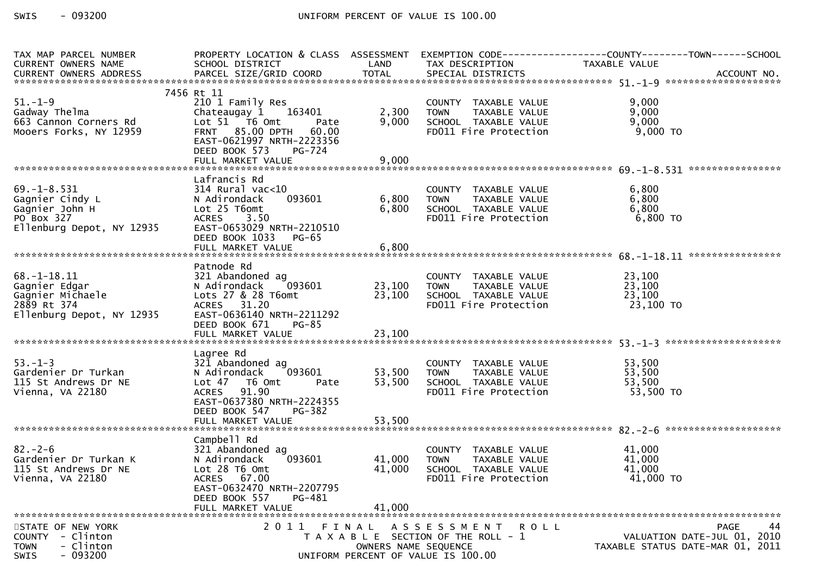SWIS  $-093200$ 

| CURRENT OWNERS NAME<br>SCHOOL DISTRICT<br><b>Example 12 DE LAND</b><br>TAX DESCRIPTION<br>TAXABLE VALUE<br>7456 Rt 11<br>$51. - 1 - 9$<br>210 1 Family Res<br>9,000<br>COUNTY TAXABLE VALUE<br>TOWN      TAXABLE VALUE<br>Gadway Thelma<br>Chateaugay 1 163401<br>9,000<br>2,300<br>9,000<br>663 Cannon Corners Rd<br>9,000<br>Lot 51 T6 Omt<br>SCHOOL TAXABLE VALUE<br>Pate<br>FRNT 85.00 DPTH 60.00<br>9,000 TO<br>Mooers Forks, NY 12959<br>FD011 Fire Protection<br>EAST-0621997 NRTH-2223356<br>DEED BOOK 573<br><b>PG-724</b> |
|-------------------------------------------------------------------------------------------------------------------------------------------------------------------------------------------------------------------------------------------------------------------------------------------------------------------------------------------------------------------------------------------------------------------------------------------------------------------------------------------------------------------------------------|
|                                                                                                                                                                                                                                                                                                                                                                                                                                                                                                                                     |
|                                                                                                                                                                                                                                                                                                                                                                                                                                                                                                                                     |
|                                                                                                                                                                                                                                                                                                                                                                                                                                                                                                                                     |
|                                                                                                                                                                                                                                                                                                                                                                                                                                                                                                                                     |
|                                                                                                                                                                                                                                                                                                                                                                                                                                                                                                                                     |
|                                                                                                                                                                                                                                                                                                                                                                                                                                                                                                                                     |
|                                                                                                                                                                                                                                                                                                                                                                                                                                                                                                                                     |
|                                                                                                                                                                                                                                                                                                                                                                                                                                                                                                                                     |
|                                                                                                                                                                                                                                                                                                                                                                                                                                                                                                                                     |
|                                                                                                                                                                                                                                                                                                                                                                                                                                                                                                                                     |
|                                                                                                                                                                                                                                                                                                                                                                                                                                                                                                                                     |
|                                                                                                                                                                                                                                                                                                                                                                                                                                                                                                                                     |
| Lafrancis Rd                                                                                                                                                                                                                                                                                                                                                                                                                                                                                                                        |
| $69. - 1 - 8.531$<br>$314$ Rural vac<10<br>6,800<br>COUNTY TAXABLE VALUE                                                                                                                                                                                                                                                                                                                                                                                                                                                            |
| TAXABLE VALUE<br>6,800<br>Gagnier Cindy L<br>093601<br>6,800<br>N Adirondack<br><b>TOWN</b>                                                                                                                                                                                                                                                                                                                                                                                                                                         |
| 6,800<br>6,800<br>Lot 25 T6omt<br>SCHOOL TAXABLE VALUE                                                                                                                                                                                                                                                                                                                                                                                                                                                                              |
| ACRES 3.50<br>FD011 Fire Protection<br>6,800 TO                                                                                                                                                                                                                                                                                                                                                                                                                                                                                     |
| Gagnier John H<br>PO Box 327<br>Ellenburg Depot, NY 12935<br>EAST-0653029 NRTH-2210510                                                                                                                                                                                                                                                                                                                                                                                                                                              |
| DEED BOOK 1033<br>PG-65                                                                                                                                                                                                                                                                                                                                                                                                                                                                                                             |
|                                                                                                                                                                                                                                                                                                                                                                                                                                                                                                                                     |
|                                                                                                                                                                                                                                                                                                                                                                                                                                                                                                                                     |
| Patnode Rd                                                                                                                                                                                                                                                                                                                                                                                                                                                                                                                          |
| $68. - 1 - 18.11$<br>321 Abandoned ag<br>23,100<br>COUNTY TAXABLE VALUE                                                                                                                                                                                                                                                                                                                                                                                                                                                             |
| 23,100 TOWN<br>TAXABLE VALUE<br>23,100<br>093601<br>Gagnier Edgar<br>N Adirondack                                                                                                                                                                                                                                                                                                                                                                                                                                                   |
| 23,100<br>23,100<br>Gagnier Michaele<br>Lots 27 & 28 T6omt<br>SCHOOL TAXABLE VALUE                                                                                                                                                                                                                                                                                                                                                                                                                                                  |
| ACRES 31.20<br>23,100 TO<br>2889 Rt 374<br>FD011 Fire Protection                                                                                                                                                                                                                                                                                                                                                                                                                                                                    |
| EAST-0636140 NRTH-2211292<br>Ellenburg Depot, NY 12935                                                                                                                                                                                                                                                                                                                                                                                                                                                                              |
| DEED BOOK 671<br>PG-85                                                                                                                                                                                                                                                                                                                                                                                                                                                                                                              |
|                                                                                                                                                                                                                                                                                                                                                                                                                                                                                                                                     |
|                                                                                                                                                                                                                                                                                                                                                                                                                                                                                                                                     |
| Lagree Rd                                                                                                                                                                                                                                                                                                                                                                                                                                                                                                                           |
| $53. - 1 - 3$<br>321 Abandoned ag<br>53,500<br>COUNTY TAXABLE VALUE                                                                                                                                                                                                                                                                                                                                                                                                                                                                 |
| 53,500<br>093601<br>53,500<br>Gardenier Dr Turkan<br>N Adirondack<br><b>TOWN</b><br>TAXABLE VALUE                                                                                                                                                                                                                                                                                                                                                                                                                                   |
| Lot 47 T6 Omt<br>53,500<br>SCHOOL TAXABLE VALUE<br>53,500<br>115 St Andrews Dr NE<br>Pate                                                                                                                                                                                                                                                                                                                                                                                                                                           |
| دد.<br>53,500 TO<br>ACRES 91.90<br>Vienna, VA 22180<br>FD011 Fire Protection                                                                                                                                                                                                                                                                                                                                                                                                                                                        |
| EAST-0637380 NRTH-2224355                                                                                                                                                                                                                                                                                                                                                                                                                                                                                                           |
| DEED BOOK 547<br><b>PG-382</b>                                                                                                                                                                                                                                                                                                                                                                                                                                                                                                      |
|                                                                                                                                                                                                                                                                                                                                                                                                                                                                                                                                     |
|                                                                                                                                                                                                                                                                                                                                                                                                                                                                                                                                     |
| Campbell Rd                                                                                                                                                                                                                                                                                                                                                                                                                                                                                                                         |
| $82 - 2 - 6$<br>321 Abandoned ag<br>COUNTY TAXABLE VALUE<br>41,000                                                                                                                                                                                                                                                                                                                                                                                                                                                                  |
| Gardenier Dr Turkan K<br>093601<br>41,000<br>TAXABLE VALUE<br>41,000<br>N Adirondack<br><b>TOWN</b>                                                                                                                                                                                                                                                                                                                                                                                                                                 |
| 41,000<br>115 St Andrews Dr NE<br>Lot 28 T6 Omt<br>41,000<br>SCHOOL TAXABLE VALUE                                                                                                                                                                                                                                                                                                                                                                                                                                                   |
| 41,000 TO<br>Vienna, VA 22180<br>ACRES 67.00<br>FD011 Fire Protection                                                                                                                                                                                                                                                                                                                                                                                                                                                               |
| EAST-0632470 NRTH-2207795                                                                                                                                                                                                                                                                                                                                                                                                                                                                                                           |
| DEED BOOK 557<br>PG-481                                                                                                                                                                                                                                                                                                                                                                                                                                                                                                             |
| FULL MARKET VALUE<br>41,000                                                                                                                                                                                                                                                                                                                                                                                                                                                                                                         |
|                                                                                                                                                                                                                                                                                                                                                                                                                                                                                                                                     |
| 44<br>2011 FINAL ASSESSMENT ROLL<br>STATE OF NEW YORK<br>PAGE                                                                                                                                                                                                                                                                                                                                                                                                                                                                       |
| - Clinton<br>VALUATION DATE-JUL 01, 2010<br>T A X A B L E SECTION OF THE ROLL - 1<br><b>COUNTY</b>                                                                                                                                                                                                                                                                                                                                                                                                                                  |
| - Clinton<br><b>TOWN</b><br>TAXABLE STATUS DATE-MAR 01, 2011<br>OWNERS NAME SEQUENCE                                                                                                                                                                                                                                                                                                                                                                                                                                                |
| $-093200$<br><b>SWIS</b><br>UNIFORM PERCENT OF VALUE IS 100.00                                                                                                                                                                                                                                                                                                                                                                                                                                                                      |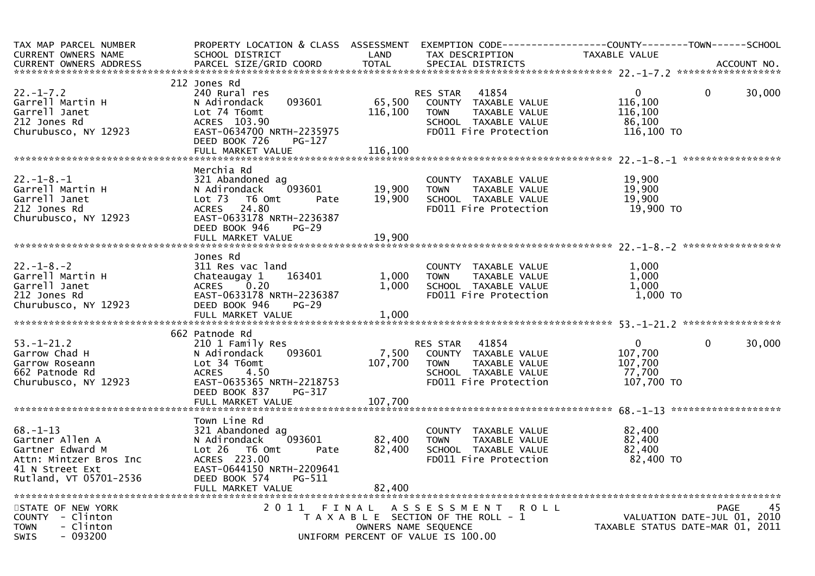| TAX MAP PARCEL NUMBER<br><b>CURRENT OWNERS NAME</b><br><b>CURRENT OWNERS ADDRESS</b>                                        | PROPERTY LOCATION & CLASS ASSESSMENT<br>SCHOOL DISTRICT<br>PARCEL SIZE/GRID COORD                                                                                                 | LAND<br><b>TOTAL</b>         | TAX DESCRIPTION<br>SPECIAL DISTRICTS                                                                                              | TAXABLE VALUE                                              | ACCOUNT NO.                                                             |
|-----------------------------------------------------------------------------------------------------------------------------|-----------------------------------------------------------------------------------------------------------------------------------------------------------------------------------|------------------------------|-----------------------------------------------------------------------------------------------------------------------------------|------------------------------------------------------------|-------------------------------------------------------------------------|
|                                                                                                                             |                                                                                                                                                                                   |                              |                                                                                                                                   |                                                            |                                                                         |
| $22. - 1 - 7.2$<br>Garrell Martin H<br>Garrell Janet<br>212 Jones Rd<br>Churubusco, NY 12923                                | 212 Jones Rd<br>240 Rural res<br>N Adirondack<br>093601<br>Lot 74 T6omt<br>ACRES 103.90<br>EAST-0634700 NRTH-2235975<br>DEED BOOK 726<br>PG-127<br>FULL MARKET VALUE              | 65,500<br>116,100<br>116,100 | 41854<br>RES STAR<br>COUNTY TAXABLE VALUE<br><b>TOWN</b><br>TAXABLE VALUE<br>SCHOOL TAXABLE VALUE<br>FD011 Fire Protection        | $\mathbf{0}$<br>116,100<br>116,100<br>86,100<br>116,100 TO | 0<br>30,000                                                             |
|                                                                                                                             |                                                                                                                                                                                   |                              |                                                                                                                                   |                                                            |                                                                         |
| $22. - 1 - 8. - 1$<br>Garrell Martin H<br>Garrell Janet<br>212 Jones Rd<br>Churubusco, NY 12923                             | Merchia Rd<br>321 Abandoned ag<br>093601<br>N Adirondack<br>Lot $73$<br>T6 Omt<br>Pate<br><b>ACRES</b><br>24.80<br>EAST-0633178 NRTH-2236387<br>DEED BOOK 946<br>$PG-29$          | 19,900<br>19,900             | COUNTY TAXABLE VALUE<br>TAXABLE VALUE<br><b>TOWN</b><br>SCHOOL TAXABLE VALUE<br>FD011 Fire Protection                             | 19,900<br>19,900<br>19,900<br>19,900 TO                    |                                                                         |
|                                                                                                                             |                                                                                                                                                                                   |                              |                                                                                                                                   |                                                            |                                                                         |
| $22. - 1 - 8. - 2$<br>Garrell Martin H<br>Garrell Janet<br>212 Jones Rd<br>Churubusco, NY 12923                             | Jones Rd<br>311 Res vac land<br>163401<br>Chateaugay 1<br>0.20<br><b>ACRES</b><br>EAST-0633178 NRTH-2236387<br>DEED BOOK 946<br>$PG-29$<br>FULL MARKET VALUE                      | 1,000<br>1,000<br>1,000      | COUNTY TAXABLE VALUE<br>TAXABLE VALUE<br><b>TOWN</b><br>SCHOOL TAXABLE VALUE<br>FD011 Fire Protection                             | 1,000<br>1,000<br>1,000<br>$1,000$ TO                      |                                                                         |
|                                                                                                                             |                                                                                                                                                                                   |                              |                                                                                                                                   |                                                            |                                                                         |
| $53. - 1 - 21.2$<br>Garrow Chad H<br>Garrow Roseann<br>662 Patnode Rd<br>Churubusco, NY 12923                               | 662 Patnode Rd<br>210 1 Family Res<br>093601<br>N Adirondack<br>Lot 34 T6omt<br>4.50<br><b>ACRES</b><br>EAST-0635365 NRTH-2218753<br>DEED BOOK 837<br>PG-317<br>FULL MARKET VALUE | 7,500<br>107,700<br>107,700  | 41854<br><b>RES STAR</b><br>COUNTY TAXABLE VALUE<br><b>TOWN</b><br>TAXABLE VALUE<br>SCHOOL TAXABLE VALUE<br>FD011 Fire Protection | $\mathbf{0}$<br>107,700<br>107,700<br>77,700<br>107,700 TO | $\mathbf{0}$<br>30,000                                                  |
|                                                                                                                             |                                                                                                                                                                                   |                              |                                                                                                                                   |                                                            |                                                                         |
| $68 - 1 - 13$<br>Gartner Allen A<br>Gartner Edward M<br>Attn: Mintzer Bros Inc<br>41 N Street Ext<br>Rutland, VT 05701-2536 | Town Line Rd<br>321 Abandoned ag<br>N Adirondack<br>093601<br>$Lot 26$ T6 Omt<br>Pate<br>ACRES 223.00<br>EAST-0644150 NRTH-2209641<br>DEED BOOK 574<br>PG-511                     | 82,400<br>82,400             | COUNTY TAXABLE VALUE<br>TAXABLE VALUE<br><b>TOWN</b><br>SCHOOL TAXABLE VALUE<br>FD011 Fire Protection                             | 82,400<br>82,400<br>82,400<br>82,400 TO                    |                                                                         |
|                                                                                                                             | FULL MARKET VALUE                                                                                                                                                                 | 82,400                       |                                                                                                                                   |                                                            |                                                                         |
| STATE OF NEW YORK<br>COUNTY - Clinton<br><b>TOWN</b><br>- Clinton<br>- 093200<br><b>SWIS</b>                                | 2011<br>FINAL                                                                                                                                                                     | OWNERS NAME SEQUENCE         | ASSESSMENT<br><b>ROLL</b><br>T A X A B L E SECTION OF THE ROLL - 1<br>UNIFORM PERCENT OF VALUE IS 100.00                          |                                                            | PAGE<br>VALUATION DATE-JUL 01, 2010<br>TAXABLE STATUS DATE-MAR 01, 2011 |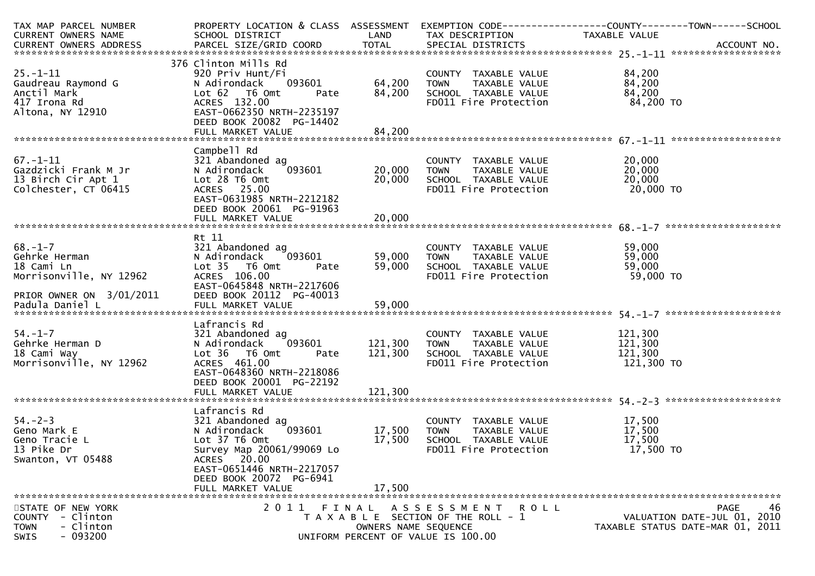| TAX MAP PARCEL NUMBER             | PROPERTY LOCATION & CLASS ASSESSMENT               |         | EXEMPTION CODE-----------------COUNTY-------TOWN------SCHOOL |                    |                                  |
|-----------------------------------|----------------------------------------------------|---------|--------------------------------------------------------------|--------------------|----------------------------------|
| CURRENT OWNERS NAME               | SCHOOL DISTRICT                                    | LAND    | TAX DESCRIPTION                                              | TAXABLE VALUE      |                                  |
|                                   |                                                    |         |                                                              |                    |                                  |
|                                   |                                                    |         |                                                              |                    |                                  |
| $25. - 1 - 11$                    | 376 Clinton Mills Rd                               |         |                                                              | 84,200             |                                  |
|                                   | 920 Priv Hunt/Fi<br>093601<br>N Adirondack         | 64,200  | COUNTY TAXABLE VALUE<br><b>TOWN</b><br>TAXABLE VALUE         | 84,200             |                                  |
| Gaudreau Raymond G<br>Anctil Mark | Lot 62 T6 Omt<br>Pate                              | 84,200  | SCHOOL TAXABLE VALUE                                         | 84,200             |                                  |
| 417 Irona Rd                      | ACRES 132.00                                       |         | FD011 Fire Protection                                        | 84,200 TO          |                                  |
| Altona, NY 12910                  | EAST-0662350 NRTH-2235197                          |         |                                                              |                    |                                  |
|                                   | DEED BOOK 20082 PG-14402                           |         |                                                              |                    |                                  |
|                                   |                                                    |         |                                                              |                    |                                  |
|                                   |                                                    |         |                                                              |                    |                                  |
|                                   | Campbell Rd                                        |         |                                                              |                    |                                  |
| $67 - 1 - 11$                     | 321 Abandoned ag                                   |         | COUNTY TAXABLE VALUE                                         | 20,000             |                                  |
| Gazdzicki Frank M Jr              | 093601<br>N Adirondack                             | 20,000  | <b>TOWN</b><br>TAXABLE VALUE                                 | 20,000             |                                  |
| 13 Birch Cir Apt 1                | Lot 28 T6 Omt                                      | 20,000  | SCHOOL TAXABLE VALUE                                         | 20,000             |                                  |
| Colchester, CT 06415              | ACRES 25.00                                        |         | FD011 Fire Protection                                        | 20,000 TO          |                                  |
|                                   | EAST-0631985 NRTH-2212182                          |         |                                                              |                    |                                  |
|                                   | DEED BOOK 20061 PG-91963                           |         |                                                              |                    |                                  |
|                                   |                                                    |         |                                                              |                    |                                  |
|                                   | Rt 11                                              |         |                                                              |                    |                                  |
| $68. - 1 - 7$                     | 321 Abandoned ag                                   |         | COUNTY TAXABLE VALUE                                         | 59,000             |                                  |
| Gehrke Herman                     | N Adirondack<br>093601                             | 59,000  | <b>TOWN</b><br>TAXABLE VALUE                                 | 59,000             |                                  |
| 18 Cami Ln                        | Lot 35 T6 Omt<br>Pate                              | 59,000  | SCHOOL TAXABLE VALUE                                         | 59,000             |                                  |
| Morrisonville, NY 12962           | ACRES 106.00                                       |         | FD011 Fire Protection                                        | 59,000 TO          |                                  |
|                                   | EAST-0645848 NRTH-2217606                          |         |                                                              |                    |                                  |
| PRIOR OWNER ON 3/01/2011          | DEED BOOK 20112 PG-40013                           |         |                                                              |                    |                                  |
|                                   |                                                    |         |                                                              |                    |                                  |
|                                   |                                                    |         |                                                              |                    |                                  |
| $54. - 1 - 7$                     | Lafrancis Rd                                       |         |                                                              |                    |                                  |
| Gehrke Herman D                   | 321 Abandoned ag<br>093601<br>N Adirondack         | 121,300 | COUNTY TAXABLE VALUE<br><b>TOWN</b><br>TAXABLE VALUE         | 121,300<br>121,300 |                                  |
| 18 Cami Way                       | Lot 36 T6 Omt<br>Pate                              | 121,300 | SCHOOL TAXABLE VALUE                                         | 121,300            |                                  |
| Morrisonville, NY 12962           | ACRES 461.00                                       |         | FD011 Fire Protection                                        | 121,300 TO         |                                  |
|                                   | EAST-0648360 NRTH-2218086                          |         |                                                              |                    |                                  |
|                                   | DEED BOOK 20001 PG-22192                           |         |                                                              |                    |                                  |
|                                   | FULL MARKET VALUE                                  | 121,300 |                                                              |                    |                                  |
|                                   |                                                    |         |                                                              |                    |                                  |
|                                   | Lafrancis Rd                                       |         |                                                              |                    |                                  |
| $54. - 2 - 3$                     | 321 Abandoned ag                                   |         | COUNTY TAXABLE VALUE                                         | 17,500             |                                  |
| Geno Mark E                       | N Adirondack<br>093601                             | 17,500  | <b>TOWN</b><br>TAXABLE VALUE                                 | 17,500             |                                  |
| Geno Tracie L                     | Lot 37 T6 Omt                                      | 17,500  | SCHOOL TAXABLE VALUE                                         | 17,500             |                                  |
| 13 Pike Dr<br>Swanton, VT 05488   | Survey Map 20061/99069 Lo<br><b>ACRES</b><br>20.00 |         | FD011 Fire Protection                                        | 17,500 TO          |                                  |
|                                   | EAST-0651446 NRTH-2217057                          |         |                                                              |                    |                                  |
|                                   | DEED BOOK 20072 PG-6941                            |         |                                                              |                    |                                  |
|                                   | FULL MARKET VALUE                                  | 17,500  |                                                              |                    |                                  |
|                                   |                                                    |         |                                                              |                    |                                  |
| STATE OF NEW YORK                 |                                                    |         | 2011 FINAL ASSESSMENT ROLL                                   |                    | 46<br><b>PAGE</b>                |
| - Clinton<br>COUNTY               |                                                    |         | T A X A B L E SECTION OF THE ROLL - 1                        |                    | VALUATION DATE-JUL 01, 2010      |
| - Clinton<br><b>TOWN</b>          |                                                    |         | OWNERS NAME SEQUENCE                                         |                    | TAXABLE STATUS DATE-MAR 01, 2011 |
| $-093200$<br>SWIS                 |                                                    |         | UNIFORM PERCENT OF VALUE IS 100.00                           |                    |                                  |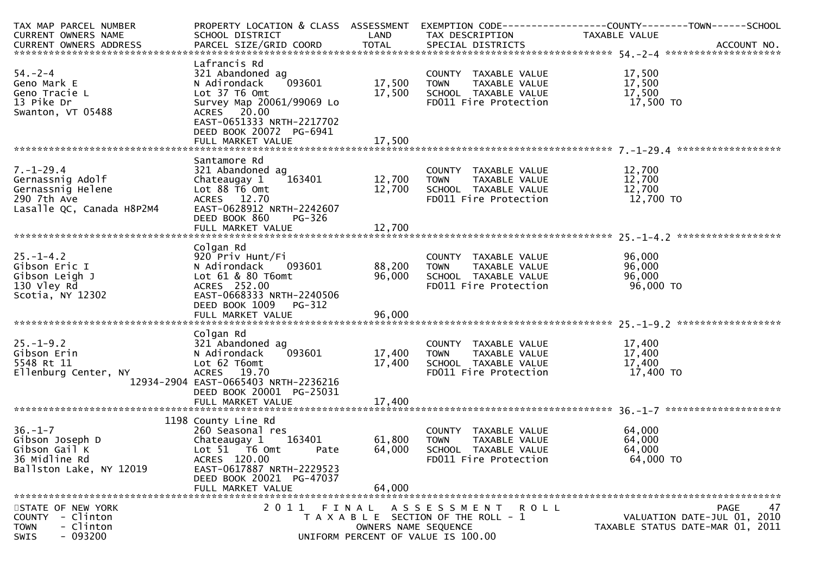| TAX MAP PARCEL NUMBER<br>CURRENT OWNERS NAME                                                         | PROPERTY LOCATION & CLASS ASSESSMENT EXEMPTION CODE---------------COUNTY-------TOWN------SCHOOL<br>SCHOOL DISTRICT<br><b>LAND</b>                                               |                       | TAX DESCRIPTION                                                                                                     | TAXABLE VALUE                           |                                                                               |
|------------------------------------------------------------------------------------------------------|---------------------------------------------------------------------------------------------------------------------------------------------------------------------------------|-----------------------|---------------------------------------------------------------------------------------------------------------------|-----------------------------------------|-------------------------------------------------------------------------------|
|                                                                                                      |                                                                                                                                                                                 |                       |                                                                                                                     |                                         |                                                                               |
| 54. – 2–4<br>Geno Mark E<br>Geno Tracie L<br>13 Pike Dr<br>Swanton, VT 05488                         | Lafrancis Rd<br>321 Abandoned ag<br>093601<br>N Adirondack<br>Lot 37 T6 Omt<br>Survey Map 20061/99069 Lo<br>ACRES 20.00<br>EAST-0651333 NRTH-2217702<br>DEED BOOK 20072 PG-6941 |                       | COUNTY TAXABLE VALUE<br>17,500 TOWN TAXABLE VALUE<br>17,500 SCHOOL TAXABLE VALUE<br>FD011 Fire Protection           | 17,500<br>17,500<br>17,500<br>17,500 TO |                                                                               |
|                                                                                                      |                                                                                                                                                                                 |                       |                                                                                                                     |                                         |                                                                               |
| $7. - 1 - 29.4$<br>Gernassnig Adolf<br>Gernassnig Helene<br>290 7th Ave<br>Lasalle QC, Canada H8P2M4 | Santamore Rd<br>321 Abandoned ag<br>163401<br>Chateaugay 1<br>Lot $88 \overline{16}$ Omt<br>ACRES 12.70<br>EAST-0628912 NRTH-2242607<br>DEED BOOK 860<br>PG-326                 | 12,700 TOWN<br>12,700 | COUNTY TAXABLE VALUE<br>TAXABLE VALUE<br>SCHOOL TAXABLE VALUE<br>FD011 Fire Protection                              | 12,700<br>12,700<br>12,700<br>12,700 TO |                                                                               |
|                                                                                                      | Colgan Rd                                                                                                                                                                       |                       |                                                                                                                     |                                         |                                                                               |
| $25. - 1 - 4.2$<br>Gibson Eric I<br>Gibson Leigh J<br>130 Vley Rd<br>Scotia, NY 12302                | 920 Priv Hunt/Fi<br>N Adirondack<br>093601<br>Lot 61 & 80 T6omt<br>ACRES 252.00<br>EAST-0668333 NRTH-2240506<br>DEED BOOK 1009 PG-312                                           | 88,200 TOWN           | COUNTY TAXABLE VALUE<br>88,200 TOWN TAXABLE VALUE<br>96,000 SCHOOL TAXABLE VALUE<br>FD011 Fire Protection           | 96,000<br>96,000<br>96,000<br>96,000 TO |                                                                               |
|                                                                                                      | Colgan Rd                                                                                                                                                                       |                       |                                                                                                                     |                                         |                                                                               |
| $25. - 1 - 9.2$<br>Gibson Erin<br>5548 Rt 11<br>Ellenburg Center, NY                                 | 321 Abandoned ag<br>N Adirondack<br>093601<br>Lot 62 T6omt<br>ACRES 19.70<br>12934-2904 EAST-0665403 NRTH-2236216<br>DEED BOOK 20001 PG-25031                                   | 17,400 TOWN<br>17,400 | COUNTY TAXABLE VALUE<br>TAXABLE VALUE<br>TAXABLE VALUE<br>SCHOOL TAXABLE VALUE<br>FD011 Fire Protection             | 17,400<br>17,400<br>17,400<br>17,400 TO |                                                                               |
|                                                                                                      | 1198 County Line Rd                                                                                                                                                             |                       |                                                                                                                     |                                         |                                                                               |
| 36.-1-7<br>Gibson Joseph D<br>Ann Cail K<br>36 Midline Rd<br>Ballston Lake, NY 12019                 | 260 Seasonal res<br>163401<br>Chateaugay 1<br>Lot 51 76 0mt<br>Pate<br>ACRES 120.00<br>EAST-0617887 NRTH-2229523<br>DEED BOOK 20021 PG-47037<br>FULL MARKET VALUE               | 61,800 TOWN<br>64,000 | COUNTY TAXABLE VALUE<br>TAXABLE VALUE<br>64,000 SCHOOL TAXABLE VALUE<br>FD011 Fire Protection                       | 64,000<br>64,000<br>64,000<br>64,000 TO |                                                                               |
| STATE OF NEW YORK<br>COUNTY - Clinton<br>- Clinton<br><b>TOWN</b><br>SWIS<br>$-093200$               |                                                                                                                                                                                 | OWNERS NAME SEQUENCE  | 2011 FINAL ASSESSMENT<br><b>ROLL</b><br>T A X A B L E SECTION OF THE ROLL - 1<br>UNIFORM PERCENT OF VALUE IS 100.00 |                                         | 47<br>PAGE<br>VALUATION DATE-JUL 01, 2010<br>TAXABLE STATUS DATE-MAR 01, 2011 |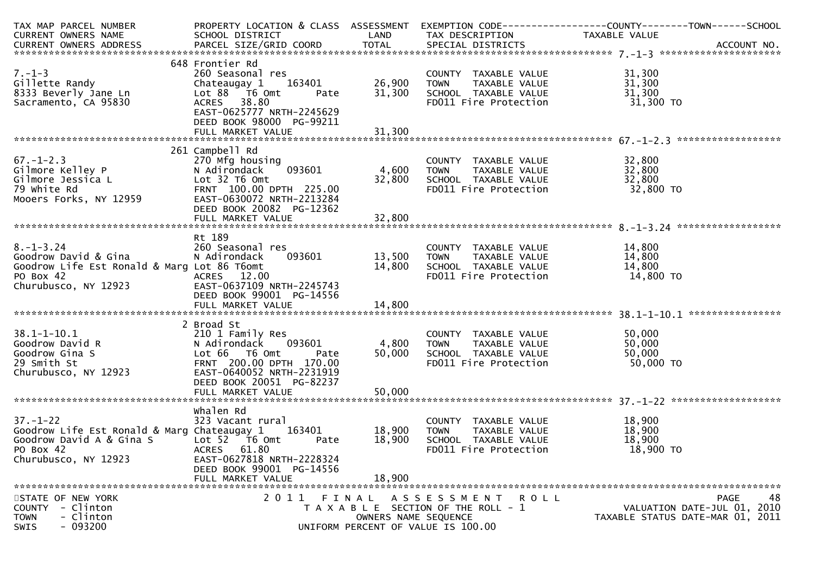| TAX MAP PARCEL NUMBER                       | PROPERTY LOCATION & CLASS ASSESSMENT |                      |                                       | EXEMPTION CODE-----------------COUNTY-------TOWN------SCHOOL |                  |
|---------------------------------------------|--------------------------------------|----------------------|---------------------------------------|--------------------------------------------------------------|------------------|
| CURRENT OWNERS NAME                         | SCHOOL DISTRICT                      | LAND                 | TAX DESCRIPTION                       | TAXABLE VALUE                                                |                  |
|                                             |                                      |                      |                                       |                                                              |                  |
|                                             |                                      |                      |                                       |                                                              |                  |
|                                             | 648 Frontier Rd                      |                      |                                       |                                                              |                  |
| $7. - 1 - 3$                                | 260 Seasonal res                     |                      | COUNTY TAXABLE VALUE                  | 31,300                                                       |                  |
| Gillette Randy                              | Chateaugay 1<br>163401               | 26,900               | TAXABLE VALUE<br>TOWN                 | 31,300                                                       |                  |
| 8333 Beverly Jane Ln                        | Lot 88 T6 Omt<br>Pate                | 31,300               | SCHOOL TAXABLE VALUE                  | 31,300                                                       |                  |
| Sacramento, CA 95830                        | ACRES 38.80                          |                      | FD011 Fire Protection                 | 31,300 TO                                                    |                  |
|                                             | EAST-0625777 NRTH-2245629            |                      |                                       |                                                              |                  |
|                                             | DEED BOOK 98000 PG-99211             |                      |                                       |                                                              |                  |
|                                             |                                      |                      |                                       |                                                              |                  |
|                                             |                                      |                      |                                       |                                                              |                  |
|                                             | 261 Campbell Rd                      |                      |                                       |                                                              |                  |
| $67. - 1 - 2.3$                             | 270 Mfg housing                      |                      | COUNTY TAXABLE VALUE                  | 32,800                                                       |                  |
| Gilmore Kelley P                            | 093601<br>N Adirondack               | 4,600                | TAXABLE VALUE<br><b>TOWN</b>          | 32,800                                                       |                  |
| Gilmore Jessica L                           | Lot 32 T6 Omt                        | 32,800               | SCHOOL TAXABLE VALUE                  | 32,800                                                       |                  |
| 79 white Rd                                 | FRNT 100.00 DPTH 225.00              |                      | FD011 Fire Protection                 | 32,800 TO                                                    |                  |
| Mooers Forks, NY 12959                      | EAST-0630072 NRTH-2213284            |                      |                                       |                                                              |                  |
|                                             | DEED BOOK 20082 PG-12362             |                      |                                       |                                                              |                  |
|                                             |                                      |                      |                                       |                                                              |                  |
|                                             |                                      |                      |                                       |                                                              |                  |
|                                             | Rt 189                               |                      |                                       |                                                              |                  |
| $8. - 1 - 3.24$                             | 260 Seasonal res                     |                      | COUNTY TAXABLE VALUE                  | 14,800                                                       |                  |
| Goodrow David & Gina                        | 093601<br>N Adirondack               | 13,500               | TAXABLE VALUE<br>TOWN                 | 14,800                                                       |                  |
| Goodrow Life Est Ronald & Marg Lot 86 T6omt |                                      | 14,800               | SCHOOL TAXABLE VALUE                  | 14,800                                                       |                  |
| PO Box 42                                   | ACRES 12.00                          |                      | FD011 Fire Protection                 | 14,800 TO                                                    |                  |
|                                             | EAST-0637109 NRTH-2245743            |                      |                                       |                                                              |                  |
| Churubusco, NY 12923                        | DEED BOOK 99001 PG-14556             |                      |                                       |                                                              |                  |
|                                             |                                      |                      |                                       |                                                              |                  |
|                                             | FULL MARKET VALUE                    | 14,800               |                                       |                                                              | **************** |
|                                             | 2 Broad St                           |                      |                                       |                                                              |                  |
| $38.1 - 1 - 10.1$                           |                                      |                      |                                       | 50,000                                                       |                  |
|                                             | 210 1 Family Res                     | 4,800                | COUNTY TAXABLE VALUE                  |                                                              |                  |
| Goodrow David R                             | 093601<br>N Adirondack               |                      | TAXABLE VALUE<br><b>TOWN</b>          | 50,000                                                       |                  |
| Goodrow Gina S                              | Lot 66 T6 Omt<br>Pate                | 50,000               | SCHOOL TAXABLE VALUE                  | 50,000                                                       |                  |
| 29 Smith St                                 | FRNT 200.00 DPTH 170.00              |                      | FD011 Fire Protection                 | 50,000 TO                                                    |                  |
| Churubusco, NY 12923                        | EAST-0640052 NRTH-2231919            |                      |                                       |                                                              |                  |
|                                             | DEED BOOK 20051 PG-82237             |                      |                                       |                                                              |                  |
|                                             | FULL MARKET VALUE                    | 50,000               |                                       |                                                              |                  |
|                                             |                                      |                      |                                       |                                                              |                  |
|                                             | whalen Rd                            |                      |                                       |                                                              |                  |
| $37. - 1 - 22$                              | 323 Vacant rural                     |                      | COUNTY TAXABLE VALUE                  | 18,900                                                       |                  |
| Goodrow Life Est Ronald & Marg Chateaugay 1 | 163401                               | 18,900               | TAXABLE VALUE<br><b>TOWN</b>          | 18,900                                                       |                  |
| Goodrow David A & Gina S                    | Lot 52  T6 0mt<br>Pate               | 18,900               | SCHOOL TAXABLE VALUE                  | 18,900                                                       |                  |
| PO Box 42                                   | <b>ACRES</b><br>61.80                |                      | FD011 Fire Protection                 | 18,900 TO                                                    |                  |
| Churubusco, NY 12923                        | EAST-0627818 NRTH-2228324            |                      |                                       |                                                              |                  |
|                                             | DEED BOOK 99001 PG-14556             |                      |                                       |                                                              |                  |
|                                             | FULL MARKET VALUE                    | 18,900               |                                       |                                                              |                  |
|                                             |                                      |                      |                                       |                                                              |                  |
| STATE OF NEW YORK                           |                                      |                      | 2011 FINAL ASSESSMENT ROLL            |                                                              | 48<br>PAGE       |
| - Clinton<br><b>COUNTY</b>                  |                                      |                      | T A X A B L E SECTION OF THE ROLL - 1 | VALUATION DATE-JUL 01, 2010                                  |                  |
| - Clinton<br><b>TOWN</b>                    |                                      | OWNERS NAME SEQUENCE |                                       | TAXABLE STATUS DATE-MAR 01, 2011                             |                  |
| $-093200$<br><b>SWIS</b>                    |                                      |                      | UNIFORM PERCENT OF VALUE IS 100.00    |                                                              |                  |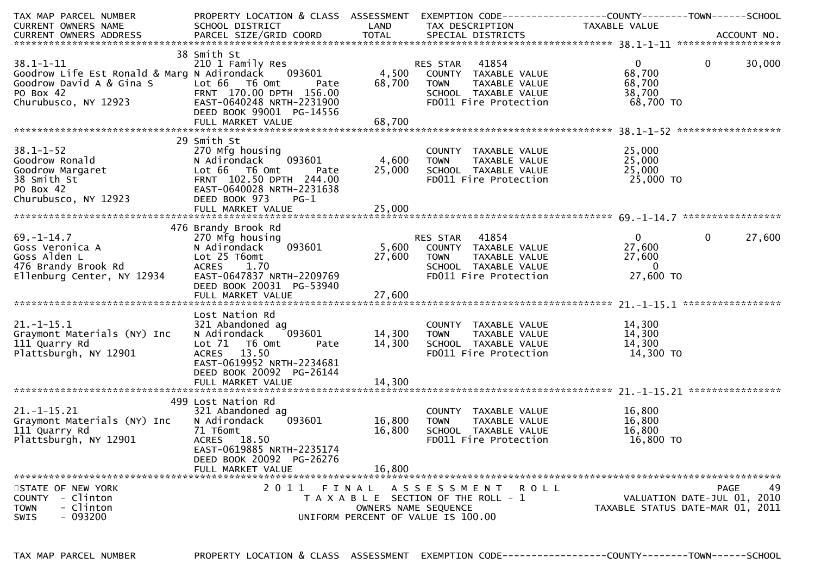| TAX MAP PARCEL NUMBER                                                                                                                                      | PROPERTY LOCATION & CLASS ASSESSMENT                  |        | EXEMPTION CODE-----------------COUNTY-------TOWN------SCHOOL              |                                  |                |                             |
|------------------------------------------------------------------------------------------------------------------------------------------------------------|-------------------------------------------------------|--------|---------------------------------------------------------------------------|----------------------------------|----------------|-----------------------------|
| CURRENT OWNERS NAME                                                                                                                                        | SCHOOL DISTRICT                                       | LAND   | TAX DESCRIPTION                                                           | TAXABLE VALUE                    |                |                             |
|                                                                                                                                                            |                                                       |        |                                                                           |                                  |                |                             |
|                                                                                                                                                            |                                                       |        |                                                                           |                                  |                |                             |
|                                                                                                                                                            | 38 Smith St                                           |        |                                                                           |                                  |                |                             |
| $38.1 - 1 - 11$                                                                                                                                            | 210 1 Family Res                                      |        | RES STAR 41854                                                            | $0 \qquad \qquad$                | $\overline{0}$ | 30,000                      |
| Goodrow Life Est Ronald & Marg N Adirondack 093601                                                                                                         |                                                       |        | 4,500 COUNTY TAXABLE VALUE                                                | 68,700                           |                |                             |
|                                                                                                                                                            | Pate                                                  | 68,700 | <b>TOWN</b><br>TAXABLE VALUE                                              | 68,700                           |                |                             |
|                                                                                                                                                            | FRNT 170.00 DPTH 156.00                               |        | SCHOOL TAXABLE VALUE                                                      | 38,700                           |                |                             |
| Goodrow David A & Gina S<br>PO Box 42<br>Churubusco, NY 12923<br>EAST-0640248 NRT                                                                          | EAST-0640248 NRTH-2231900<br>DEED BOOK 99001 PG-14556 |        | FD011 Fire Protection                                                     | 68,700 TO                        |                |                             |
|                                                                                                                                                            |                                                       |        |                                                                           |                                  |                |                             |
|                                                                                                                                                            |                                                       |        |                                                                           |                                  |                |                             |
|                                                                                                                                                            | 29 Smith St                                           |        |                                                                           |                                  |                |                             |
|                                                                                                                                                            |                                                       |        | COUNTY TAXABLE VALUE                                                      | 25,000                           |                |                             |
|                                                                                                                                                            | 1093601                                               | 4,600  | TAXABLE VALUE<br><b>TOWN</b>                                              | 25,000                           |                |                             |
|                                                                                                                                                            | Pate                                                  | 25,000 |                                                                           | 25,000                           |                |                             |
|                                                                                                                                                            | FRNT 102.50 DPTH 244.00                               |        | SCHOOL TAXABLE VALUE<br>FDO11 Fire Protection                             | 25,000<br>25,000 то              |                |                             |
|                                                                                                                                                            | EAST-0640028 NRTH-2231638                             |        |                                                                           |                                  |                |                             |
|                                                                                                                                                            | $PG-1$                                                |        |                                                                           |                                  |                |                             |
| COORNEL 270 MFg housing<br>Coodrow Ronald<br>Coodrow Margaret<br>38 Smith St<br>PO Box 42<br>Churubusco, NY 12923<br>Churubusco, NY 12923<br>DEED BOOK 973 |                                                       |        |                                                                           |                                  |                |                             |
|                                                                                                                                                            |                                                       |        | RES STAR 41854<br>5,600 COUNTY TAXABLE VALUE<br>27 600 TOWN TAXABLE VALUE |                                  |                |                             |
|                                                                                                                                                            | 476 Brandy Brook Rd                                   |        |                                                                           |                                  |                |                             |
| $69. - 1 - 14.7$                                                                                                                                           | 270 Mfg housing                                       |        |                                                                           | $0 \qquad \qquad$                | $\overline{0}$ | 27,600                      |
| Goss Veronica A                                                                                                                                            | 093601<br>N Adirondack                                |        |                                                                           | 27,600                           |                |                             |
| Goss Alden L                                                                                                                                               | Lot 25 T6omt                                          |        |                                                                           | 27,600                           |                |                             |
| 476 Brandy Brook Rd                                                                                                                                        | ACRES 1.70                                            |        |                                                                           | $\overline{0}$                   |                |                             |
| Ellenburg Center, NY 12934                                                                                                                                 | EAST-0647837 NRTH-2209769                             |        |                                                                           | 27,600 TO                        |                |                             |
|                                                                                                                                                            | DEED BOOK 20031 PG-53940                              |        |                                                                           |                                  |                |                             |
|                                                                                                                                                            |                                                       |        |                                                                           |                                  |                |                             |
|                                                                                                                                                            |                                                       |        |                                                                           |                                  |                |                             |
|                                                                                                                                                            | Lost Nation Rd                                        |        |                                                                           |                                  |                |                             |
| $21.-1-15.1$                                                                                                                                               |                                                       |        |                                                                           | 14,300                           |                |                             |
|                                                                                                                                                            | 321 Abandoned ag<br>093601                            | 14,300 | COUNTY TAXABLE VALUE<br>TAXABLE VALUE                                     | 14,300                           |                |                             |
| Graymont Materials (NY) Inc                                                                                                                                | N Adirondack                                          |        | <b>TOWN</b>                                                               |                                  |                |                             |
| 111 Quarry Rd                                                                                                                                              | Lot $71$<br>T6 Omt<br>Pate                            | 14,300 | SCHOOL TAXABLE VALUE                                                      | 14,300                           |                |                             |
| Plattsburgh, NY 12901                                                                                                                                      | ACRES 13.50                                           |        | FD011 Fire Protection                                                     | 14,300 TO                        |                |                             |
|                                                                                                                                                            | EAST-0619952 NRTH-2234681                             |        |                                                                           |                                  |                |                             |
|                                                                                                                                                            | DEED BOOK 20092 PG-26144                              |        |                                                                           |                                  |                |                             |
|                                                                                                                                                            | FULL MARKET VALUE                                     | 14,300 |                                                                           |                                  |                |                             |
|                                                                                                                                                            |                                                       |        |                                                                           |                                  |                |                             |
|                                                                                                                                                            | 499 Lost Nation Rd                                    |        |                                                                           |                                  |                |                             |
| $21. - 1 - 15.21$                                                                                                                                          | 321 Abandoned ag                                      |        | COUNTY TAXABLE VALUE                                                      | 16,800                           |                |                             |
| Graymont Materials (NY) Inc                                                                                                                                | N Adirondack<br>093601                                | 16,800 | TAXABLE VALUE<br>TOWN                                                     | 16,800                           |                |                             |
|                                                                                                                                                            | 71 T6omt                                              | 16,800 | SCHOOL TAXABLE VALUE                                                      | 16,800                           |                |                             |
| III Quarry Rd<br>Plattsburgh, NY 12901                                                                                                                     | ACRES 18.50                                           |        | FD011 Fire Protection                                                     | 16,800 TO                        |                |                             |
|                                                                                                                                                            | EAST-0619885 NRTH-2235174                             |        |                                                                           |                                  |                |                             |
|                                                                                                                                                            | DEED BOOK 20092 PG-26276                              |        |                                                                           |                                  |                |                             |
|                                                                                                                                                            | FULL MARKET VALUE                                     | 16,800 |                                                                           |                                  |                |                             |
|                                                                                                                                                            |                                                       |        |                                                                           |                                  |                |                             |
| STATE OF NEW YORK                                                                                                                                          | 2011 FINAL                                            |        | ASSESSMENT ROLL                                                           |                                  |                | 49<br>PAGE                  |
| - Clinton<br>COUNTY                                                                                                                                        |                                                       |        | T A X A B L E SECTION OF THE ROLL - 1                                     |                                  |                | VALUATION DATE-JUL 01, 2010 |
| <b>TOWN</b><br>- Clinton                                                                                                                                   |                                                       |        | OWNERS NAME SEOUENCE                                                      | TAXABLE STATUS DATE-MAR 01, 2011 |                |                             |
| $-093200$<br><b>SWIS</b>                                                                                                                                   |                                                       |        | UNIFORM PERCENT OF VALUE IS 100.00                                        |                                  |                |                             |
|                                                                                                                                                            |                                                       |        |                                                                           |                                  |                |                             |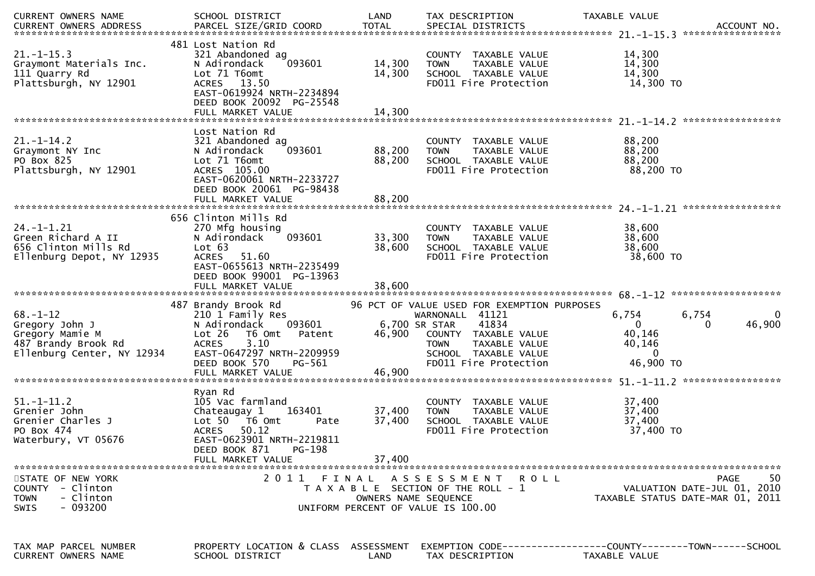| CURRENT OWNERS NAME                                                                                      | SCHOOL DISTRICT                                                                                                                                                                                      | LAND                       | TAX DESCRIPTION                                                                                                                                                                                   | TAXABLE VALUE<br>ACCOUNT NO.<br>*****************                                              |
|----------------------------------------------------------------------------------------------------------|------------------------------------------------------------------------------------------------------------------------------------------------------------------------------------------------------|----------------------------|---------------------------------------------------------------------------------------------------------------------------------------------------------------------------------------------------|------------------------------------------------------------------------------------------------|
| $21. - 1 - 15.3$<br>Graymont Materials Inc.<br>111 Quarry Rd<br>Plattsburgh, NY 12901                    | 481 Lost Nation Rd<br>321 Abandoned ag<br>093601<br>N Adirondack<br>Lot 71 T6omt<br>ACRES 13.50<br>EAST-0619924 NRTH-2234894<br>DEED BOOK 20092 PG-25548<br>FULL MARKET VALUE                        | 14,300<br>14,300<br>14,300 | COUNTY TAXABLE VALUE<br>TAXABLE VALUE<br><b>TOWN</b><br>SCHOOL TAXABLE VALUE<br>FD011 Fire Protection                                                                                             | 14,300<br>14,300<br>14,300<br>14,300 TO                                                        |
| $21. - 1 - 14.2$<br>Graymont NY Inc<br>PO Box 825<br>Plattsburgh, NY 12901                               | Lost Nation Rd<br>321 Abandoned ag<br>093601<br>N Adirondack<br>Lot 71 T6omt<br>ACRES 105.00<br>EAST-0620061 NRTH-2233727<br>DEED BOOK 20061 PG-98438<br>FULL MARKET VALUE                           | 88,200<br>88,200<br>88,200 | COUNTY TAXABLE VALUE<br>TAXABLE VALUE<br><b>TOWN</b><br>SCHOOL TAXABLE VALUE<br>FD011 Fire Protection                                                                                             | 88,200<br>88,200<br>88,200<br>88,200 TO                                                        |
| $24. - 1 - 1.21$<br>Green Richard A II<br>656 Clinton Mills Rd<br>Ellenburg Depot, NY 12935              | 656 Clinton Mills Rd<br>270 Mfg housing<br>093601<br>N Adirondack<br>Lot 63<br>ACRES 51.60<br>EAST-0655613 NRTH-2235499<br>DEED BOOK 99001 PG-13963                                                  | 33,300<br>38,600           | COUNTY<br>TAXABLE VALUE<br>TAXABLE VALUE<br><b>TOWN</b><br>SCHOOL TAXABLE VALUE<br>FD011 Fire Protection                                                                                          | 38,600<br>38,600<br>38,600<br>38,600 TO                                                        |
| $68. - 1 - 12$<br>Gregory John J<br>Gregory Mamie M<br>487 Brandy Brook Rd<br>Ellenburg Center, NY 12934 | 487 Brandy Brook Rd<br>210 1 Family Res<br>N Adirondack<br>093601<br>Lot 26<br>T6 Omt<br>Patent<br>3.10<br><b>ACRES</b><br>EAST-0647297 NRTH-2209959<br>DEED BOOK 570<br>PG-561<br>FULL MARKET VALUE | 46,900<br>46,900           | 96 PCT OF VALUE USED FOR EXEMPTION PURPOSES<br>WARNONALL 41121<br>6,700 SR STAR<br>41834<br>COUNTY TAXABLE VALUE<br><b>TOWN</b><br>TAXABLE VALUE<br>SCHOOL TAXABLE VALUE<br>FD011 Fire Protection | 6,754<br>6,754<br>0<br>46,900<br>$\mathbf 0$<br>0<br>40,146<br>40,146<br>$\Omega$<br>46,900 TO |
| $51. - 1 - 11.2$<br>Grenier John<br>Grenier Charles J<br>PO Box 474<br>Waterbury, VT 05676               | Ryan Rd<br>105 Vac farmland<br>Chateaugay 1<br>163401<br>Lot $50$ $\overline{76}$ Omt<br>Pate<br><b>ACRES</b><br>50.12<br>EAST-0623901 NRTH-2219811<br>DEED BOOK 871<br>PG-198<br>FULL MARKET VALUE  | 37,400<br>37,400<br>37,400 | COUNTY<br>TAXABLE VALUE<br>TAXABLE VALUE<br><b>TOWN</b><br>SCHOOL TAXABLE VALUE<br>FD011 Fire Protection                                                                                          | 37,400<br>37,400<br>37,400<br>37,400 TO                                                        |
| STATE OF NEW YORK<br>COUNTY - Clinton<br>- Clinton<br><b>TOWN</b><br>$-093200$<br><b>SWIS</b>            | 2011<br>FINAL                                                                                                                                                                                        | OWNERS NAME SEQUENCE       | ASSESSMENT ROLL<br>T A X A B L E SECTION OF THE ROLL - 1<br>UNIFORM PERCENT OF VALUE IS 100.00                                                                                                    | -50<br>PAGE<br>VALUATION DATE-JUL 01, 2010<br>TAXABLE STATUS DATE-MAR 01, 2011                 |
| TAX MAP PARCEL NUMBER<br>CURRENT OWNERS NAME                                                             | PROPERTY LOCATION & CLASS ASSESSMENT<br>SCHOOL DISTRICT                                                                                                                                              | LAND                       | TAX DESCRIPTION                                                                                                                                                                                   | EXEMPTION CODE-----------------COUNTY-------TOWN------SCHOOL<br>TAXABLE VALUE                  |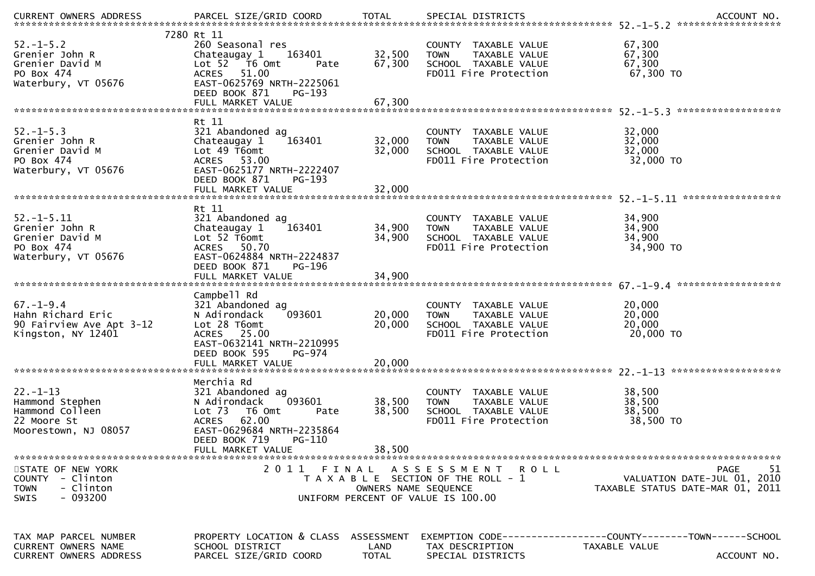|                                                                                              |                                                                                                                                                                                  |                               |                                                                                                       | .CURRENT OWNERS ADDRESS PARCEL SIZE/GRID COORD TOTAL SPECIAL DISTRICTS ACCOUNT NO ACCOUNT NO ACCOUNT NO AND ART AND A SERVERS AND RESERVE TO A SERVERS AND RESERVE TO A SERVERS AND RESERVE TO A SERVERS AND TO A SERVERS THAT |
|----------------------------------------------------------------------------------------------|----------------------------------------------------------------------------------------------------------------------------------------------------------------------------------|-------------------------------|-------------------------------------------------------------------------------------------------------|--------------------------------------------------------------------------------------------------------------------------------------------------------------------------------------------------------------------------------|
| $52. - 1 - 5.2$<br>Grenier John R<br>Grenier David M<br>PO Box 474<br>Waterbury, VT 05676    | 7280 Rt 11<br>260 Seasonal res<br>163401<br>Chateaugay 1<br>Lot 52  T6 Omt<br>Pate<br>51.00<br><b>ACRES</b><br>EAST-0625769 NRTH-2225061<br>DEED BOOK 871<br>PG-193              | 32,500<br>67,300              | COUNTY TAXABLE VALUE<br>TAXABLE VALUE<br><b>TOWN</b><br>SCHOOL TAXABLE VALUE<br>FD011 Fire Protection | 67,300<br>67,300<br>67,300<br>67,300 TO                                                                                                                                                                                        |
|                                                                                              |                                                                                                                                                                                  |                               |                                                                                                       |                                                                                                                                                                                                                                |
| $52. - 1 - 5.3$<br>Grenier John R<br>Grenier David M<br>PO Box 474<br>Waterbury, VT 05676    | Rt 11<br>321 Abandoned ag<br>Chateaugay 1<br>163401<br>Lot 49 T6omt<br>ACRES 53.00<br>EAST-0625177 NRTH-2222407                                                                  | 32,000<br>32,000              | COUNTY TAXABLE VALUE<br><b>TOWN</b><br>TAXABLE VALUE<br>SCHOOL TAXABLE VALUE<br>FD011 Fire Protection | 32,000<br>32,000<br>32,000<br>32,000 TO                                                                                                                                                                                        |
|                                                                                              | DEED BOOK 871<br>PG-193                                                                                                                                                          |                               |                                                                                                       |                                                                                                                                                                                                                                |
|                                                                                              | Rt 11                                                                                                                                                                            |                               |                                                                                                       |                                                                                                                                                                                                                                |
| $52. - 1 - 5.11$<br>Grenier John R<br>Grenier David M<br>PO Box 474<br>Waterbury, VT 05676   | 321 Abandoned ag<br>Chateaugay 1<br>163401<br>Lot 52 T6omt<br>ACRES 50.70<br>EAST-0624884 NRTH-2224837<br>DEED BOOK 871<br>PG-196                                                | 34,900<br>34,900<br>34,900    | COUNTY TAXABLE VALUE<br><b>TOWN</b><br>TAXABLE VALUE<br>SCHOOL TAXABLE VALUE<br>FD011 Fire Protection | 34,900<br>34,900<br>34,900<br>34,900 TO                                                                                                                                                                                        |
|                                                                                              | FULL MARKET VALUE                                                                                                                                                                |                               |                                                                                                       |                                                                                                                                                                                                                                |
| $67. - 1 - 9.4$<br>Hahn Richard Eric<br>90 Fairview Ave Apt 3-12<br>Kingston, NY 12401       | Campbell Rd<br>321 Abandoned ag<br>093601<br>N Adirondack<br>Lot 28 T6omt<br>ACRES 25.00<br>EAST-0632141 NRTH-2210995<br>DEED BOOK 595<br>PG-974                                 | 20,000<br>20,000              | COUNTY TAXABLE VALUE<br>TAXABLE VALUE<br><b>TOWN</b><br>SCHOOL TAXABLE VALUE<br>FD011 Fire Protection | 20,000<br>20,000<br>20,000<br>20,000 TO                                                                                                                                                                                        |
|                                                                                              |                                                                                                                                                                                  |                               |                                                                                                       | *******************                                                                                                                                                                                                            |
| $22. - 1 - 13$<br>Hammond Stephen<br>Hammond Colleen<br>22 Moore St<br>Moorestown, NJ 08057  | Merchia Rd<br>321 Abandoned ag<br>093601<br>N Adirondack<br>Lot <sub>73</sub><br>T6 Omt<br>Pate<br>62.00<br><b>ACRES</b><br>EAST-0629684 NRTH-2235864<br>DEED BOOK 719<br>PG-110 | 38,500<br>38,500              | COUNTY TAXABLE VALUE<br><b>TOWN</b><br>TAXABLE VALUE<br>SCHOOL TAXABLE VALUE<br>FD011 Fire Protection | 38,500<br>38,500<br>38,500<br>38,500 TO                                                                                                                                                                                        |
|                                                                                              | FULL MARKET VALUE                                                                                                                                                                | 38,500                        |                                                                                                       |                                                                                                                                                                                                                                |
| STATE OF NEW YORK<br>COUNTY - Clinton<br><b>TOWN</b><br>- Clinton<br>- 093200<br><b>SWIS</b> | 2011                                                                                                                                                                             | FINAL<br>OWNERS NAME SEOUENCE | ASSESSMENT ROLL<br>T A X A B L E SECTION OF THE ROLL - 1<br>UNIFORM PERCENT OF VALUE IS 100.00        | <b>PAGE</b><br>-51<br>VALUATION DATE-JUL 01, 2010<br>TAXABLE STATUS DATE-MAR 01, 2011                                                                                                                                          |
| TAX MAP PARCEL NUMBER<br>CURRENT OWNERS NAME<br><b>CURRENT OWNERS ADDRESS</b>                | PROPERTY LOCATION & CLASS ASSESSMENT<br>SCHOOL DISTRICT<br>PARCEL SIZE/GRID COORD                                                                                                | LAND<br><b>TOTAL</b>          | TAX DESCRIPTION<br>SPECIAL DISTRICTS                                                                  | EXEMPTION CODE------------------COUNTY--------TOWN------SCHOOL<br>TAXABLE VALUE<br>ACCOUNT NO.                                                                                                                                 |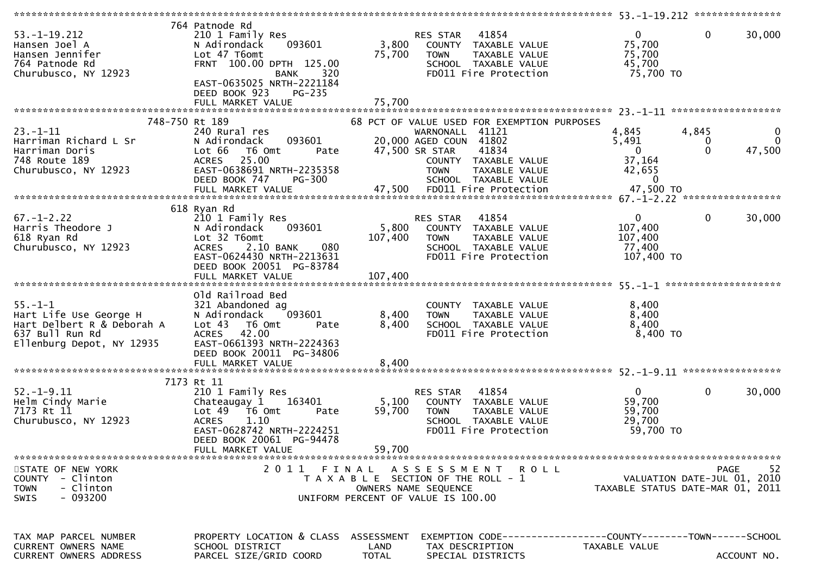| $53. - 1 - 19.212$<br>Hansen Joel A<br>Hansen Jennifer<br>764 Patnode Rd<br>Churubusco, NY 12923                      | 764 Patnode Rd<br>210 1 Family Res<br>093601<br>N Adirondack<br>Lot 47 T6omt<br>FRNT 100.00 DPTH 125.00<br><b>BANK</b><br>320<br>EAST-0635025 NRTH-2221184<br>DEED BOOK 923<br>PG-235          | 3,800<br>75,700         | <b>RES STAR 41854</b><br>COUNTY TAXABLE VALUE<br><b>TOWN</b><br>TAXABLE VALUE<br>SCHOOL TAXABLE VALUE<br>FD011 Fire Protection                                                                                                      | $\mathbf{0}$<br>75,700<br>75,700<br>45,700<br>75,700 TO                              | $\mathbf 0$<br>30,000                                 |
|-----------------------------------------------------------------------------------------------------------------------|------------------------------------------------------------------------------------------------------------------------------------------------------------------------------------------------|-------------------------|-------------------------------------------------------------------------------------------------------------------------------------------------------------------------------------------------------------------------------------|--------------------------------------------------------------------------------------|-------------------------------------------------------|
|                                                                                                                       |                                                                                                                                                                                                |                         |                                                                                                                                                                                                                                     |                                                                                      |                                                       |
|                                                                                                                       |                                                                                                                                                                                                |                         |                                                                                                                                                                                                                                     |                                                                                      |                                                       |
| 748-750 Rt 189<br>$23 - 1 - 11$<br>Harriman Richard L Sr<br>Harriman Doris<br>748 Route 189<br>Churubusco, NY 12923   | 240 Rural res<br>093601<br>N Adirondack<br>Lot 66 T6 Omt<br>Pate<br>ACRES 25.00<br>EAST-0638691 NRTH-2235358<br>PG-300<br>DEED BOOK 747<br>FULL MARKET VALUE                                   |                         | 68 PCT OF VALUE USED FOR EXEMPTION PURPOSES<br>WARNONALL 41121<br>20,000 AGED COUN 41802<br>47,500 SR STAR<br>41834<br>COUNTY TAXABLE VALUE<br><b>TOWN</b><br>TAXABLE VALUE<br>SCHOOL TAXABLE VALUE<br>47,500 FD011 Fire Protection | 4,845<br>4,845<br>5,491<br>$\Omega$<br>37,164<br>42,655<br>$\mathbf{0}$<br>47,500 TO | $\mathbf 0$<br>$\mathbf 0$<br>0<br>$\Omega$<br>47,500 |
|                                                                                                                       |                                                                                                                                                                                                |                         |                                                                                                                                                                                                                                     |                                                                                      |                                                       |
| $67. - 1 - 2.22$<br>Harris Theodore J<br>618 Ryan Rd<br>Churubusco, NY 12923                                          | 618 Ryan Rd<br>210 1 Family Res<br>N Adirondack<br>093601<br>Lot 32 T6omt<br>2.10 BANK<br>080<br><b>ACRES</b><br>EAST-0624430 NRTH-2213631<br>DEED BOOK 20051 PG-83784                         | 5,800<br>107,400        | 41854<br>RES STAR<br>COUNTY TAXABLE VALUE<br>TAXABLE VALUE<br><b>TOWN</b><br>SCHOOL TAXABLE VALUE<br>FD011 Fire Protection                                                                                                          | $\mathbf{0}$<br>107,400<br>107,400<br>77,400<br>107,400 TO                           | 30,000<br>$\overline{0}$                              |
|                                                                                                                       |                                                                                                                                                                                                |                         |                                                                                                                                                                                                                                     |                                                                                      |                                                       |
| $55. - 1 - 1$<br>Hart Life Use George H<br>Hart Delbert R & Deborah A<br>637 Bull Run Rd<br>Ellenburg Depot, NY 12935 | Old Railroad Bed<br>321 Abandoned ag<br>093601<br>N Adirondack<br>Lot 43 T6 Omt<br>Pate<br><b>ACRES</b><br>42.00<br>EAST-0661393 NRTH-2224363<br>DEED BOOK 20011 PG-34806<br>FULL MARKET VALUE | 8,400<br>8,400<br>8,400 | COUNTY TAXABLE VALUE<br><b>TOWN</b><br>TAXABLE VALUE<br>SCHOOL TAXABLE VALUE<br>FD011 Fire Protection                                                                                                                               | 8,400<br>8,400<br>8,400<br>8,400 TO                                                  |                                                       |
|                                                                                                                       | 7173 Rt 11                                                                                                                                                                                     |                         |                                                                                                                                                                                                                                     |                                                                                      |                                                       |
| $52. - 1 - 9.11$<br>Helm Cindy Marie<br>7173 Rt 11<br>Churubusco, NY 12923                                            | 210 1 Family Res<br>163401<br>Chateaugay 1<br>Lot 49 T6 Omt<br>Pate<br><b>ACRES</b><br>1.10<br>EAST-0628742 NRTH-2224251<br>DEED BOOK 20061 PG-94478                                           | 5,100<br>59,700         | 41854<br>RES STAR<br>COUNTY TAXABLE VALUE<br><b>TOWN</b><br>TAXABLE VALUE<br>SCHOOL TAXABLE VALUE<br>FD011 Fire Protection                                                                                                          | $\mathbf{0}$<br>59,700<br>59,700<br>29,700<br>59,700 TO                              | 30,000<br>$\mathbf{0}$                                |
|                                                                                                                       | FULL MARKET VALUE                                                                                                                                                                              | 59,700                  |                                                                                                                                                                                                                                     |                                                                                      |                                                       |
| STATE OF NEW YORK<br>COUNTY - Clinton<br>- Clinton<br><b>TOWN</b><br>SWIS<br>- 093200                                 |                                                                                                                                                                                                |                         | 2011 FINAL ASSESSMENT ROLL<br>T A X A B L E SECTION OF THE ROLL - 1<br>OWNERS NAME SEQUENCE<br>UNIFORM PERCENT OF VALUE IS 100.00                                                                                                   | TAXABLE STATUS DATE-MAR 01, 2011                                                     | -52<br>PAGE<br>VALUATION DATE-JUL 01, 2010            |
| TAX MAP PARCEL NUMBER<br>CURRENT OWNERS NAME<br><b>CURRENT OWNERS ADDRESS</b>                                         | PROPERTY LOCATION & CLASS ASSESSMENT<br>SCHOOL DISTRICT<br>PARCEL SIZE/GRID COORD                                                                                                              | LAND<br><b>TOTAL</b>    | TAX DESCRIPTION<br>SPECIAL DISTRICTS                                                                                                                                                                                                | EXEMPTION CODE-----------------COUNTY--------TOWN------SCHOOL<br>TAXABLE VALUE       | ACCOUNT NO.                                           |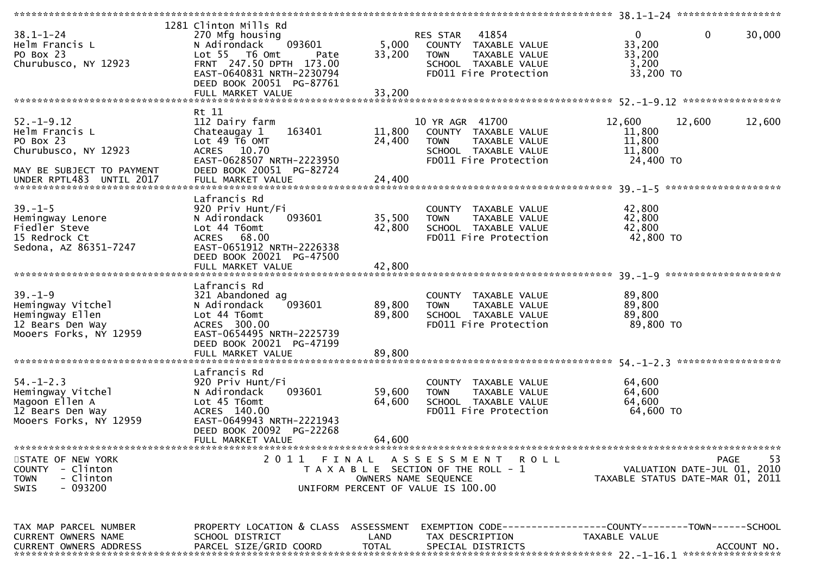| $38.1 - 1 - 24$<br>Helm Francis L<br>PO Box 23<br>Churubusco, NY 12923                                                           | 1281 Clinton Mills Rd<br>270 Mfg housing<br>N Adirondack<br>093601<br>Lot 55 T6 Omt<br>Pate<br>FRNT 247.50 DPTH 173.00<br>EAST-0640831 NRTH-2230794<br>DEED BOOK 20051 PG-87761<br>FULL MARKET VALUE | 5,000<br>33,200<br>33,200  | RES STAR 41854<br>COUNTY TAXABLE VALUE<br><b>TOWN</b><br>TAXABLE VALUE<br>SCHOOL TAXABLE VALUE<br>FD011 Fire Protection  | $\mathbf 0$<br>$\mathbf{0}$<br>33,200<br>33,200<br>3,200<br>33,200 TO               | 30,000             |
|----------------------------------------------------------------------------------------------------------------------------------|------------------------------------------------------------------------------------------------------------------------------------------------------------------------------------------------------|----------------------------|--------------------------------------------------------------------------------------------------------------------------|-------------------------------------------------------------------------------------|--------------------|
|                                                                                                                                  |                                                                                                                                                                                                      |                            |                                                                                                                          |                                                                                     |                    |
| $52. - 1 - 9.12$<br>Helm Francis L<br>PO Box 23<br>Churubusco, NY 12923<br>MAY BE SUBJECT TO PAYMENT<br>UNDER RPTL483 UNTIL 2017 | Rt 11<br>112 Dairy farm<br>Chateaugay 1<br>163401<br>Lot $49$ $\overline{16}$ OMT<br>ACRES 10.70<br>EAST-0628507 NRTH-2223950<br>DEED BOOK 20051 PG-82724<br>FULL MARKET VALUE                       | 11,800<br>24,400<br>24,400 | 10 YR AGR 41700<br>COUNTY TAXABLE VALUE<br><b>TOWN</b><br>TAXABLE VALUE<br>SCHOOL TAXABLE VALUE<br>FD011 Fire Protection | 12,600<br>12,600<br>11,800<br>11,800<br>11,800<br>24,400 TO<br>******************** | 12,600             |
| $39. - 1 - 5$<br>Hemingway Lenore<br>Fiedler Steve<br>15 Redrock Ct<br>Sedona, AZ 86351-7247                                     | Lafrancis Rd<br>920 Priv Hunt/Fi<br>093601<br>N Adirondack<br>Lot 44 T6omt<br>ACRES 68.00<br>EAST-0651912 NRTH-2226338<br>DEED BOOK 20021 PG-47500<br>FULL MARKET VALUE                              | 35,500<br>42,800<br>42,800 | COUNTY TAXABLE VALUE<br><b>TOWN</b><br>TAXABLE VALUE<br>SCHOOL TAXABLE VALUE<br>FD011 Fire Protection                    | 42,800<br>42,800<br>42,800<br>42,800 TO                                             |                    |
| $39. - 1 - 9$<br>Hemingway Vitchel<br>Hemingway Ellen<br>12 Bears Den Way<br>Mooers Forks, NY 12959                              | Lafrancis Rd<br>321 Abandoned ag<br>093601<br>N Adirondack<br>Lot 44 T6omt<br>ACRES 300.00<br>EAST-0654495 NRTH-2225739<br>DEED BOOK 20021 PG-47199<br>FULL MARKET VALUE                             | 89,800<br>89,800<br>89,800 | COUNTY TAXABLE VALUE<br><b>TOWN</b><br>TAXABLE VALUE<br>SCHOOL TAXABLE VALUE<br>FD011 Fire Protection                    | 89,800<br>89,800<br>89,800<br>89,800 TO                                             | ****************** |
| $54. - 1 - 2.3$<br>Hemingway Vitchel<br>Magoon Ellen A<br>12 Bears Den Way<br>Mooers Forks, NY 12959                             | Lafrancis Rd<br>920 Priv Hunt/Fi<br>093601<br>N Adirondack<br>Lot 45 T6omt<br>ACRES 140.00<br>EAST-0649943 NRTH-2221943<br>DEED BOOK 20092 PG-22268<br>FULL MARKET VALUE                             | 59,600<br>64,600<br>64,600 | COUNTY TAXABLE VALUE<br><b>TOWN</b><br>TAXABLE VALUE<br>SCHOOL TAXABLE VALUE<br>FD011 Fire Protection                    | 64,600<br>64,600<br>64,600<br>64,600 TO                                             |                    |
| STATE OF NEW YORK<br><b>COUNTY</b><br>- Clinton<br>- Clinton<br><b>TOWN</b><br>$-093200$<br>SWIS                                 |                                                                                                                                                                                                      | OWNERS NAME SEQUENCE       | 2011 FINAL ASSESSMENT<br>R O L L<br>T A X A B L E SECTION OF THE ROLL - 1<br>UNIFORM PERCENT OF VALUE IS 100.00          | VALUATION DATE-JUL 01, 2010<br>TAXABLE STATUS DATE-MAR 01, 2011                     | -53<br><b>PAGE</b> |
| TAX MAP PARCEL NUMBER<br>CURRENT OWNERS NAME<br><b>CURRENT OWNERS ADDRESS</b>                                                    | PROPERTY LOCATION & CLASS ASSESSMENT<br>SCHOOL DISTRICT<br>PARCEL SIZE/GRID COORD                                                                                                                    | LAND<br><b>TOTAL</b>       | TAX DESCRIPTION<br>SPECIAL DISTRICTS                                                                                     | EXEMPTION CODE-----------------COUNTY--------TOWN------SCHOOL<br>TAXABLE VALUE      | ACCOUNT NO.        |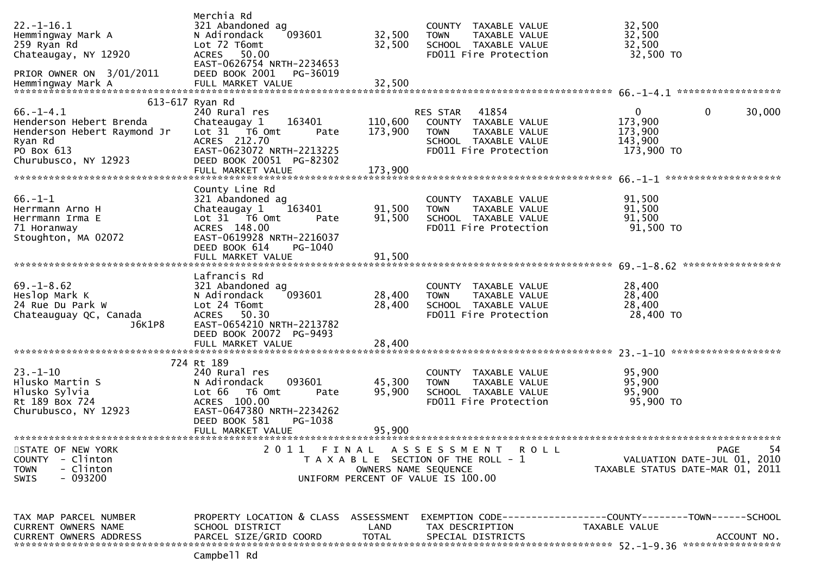| $22. - 1 - 16.1$<br>Hemmingway Mark A<br>259 Ryan Rd<br>Chateaugay, NY 12920<br>PRIOR OWNER ON 3/01/2011                   | Merchia Rd<br>321 Abandoned ag<br>N Adirondack<br>093601<br>Lot 72 T6omt<br>50.00<br><b>ACRES</b><br>EAST-0626754 NRTH-2234653<br>DEED BOOK 2001<br>PG-36019                     | 32,500<br>32,500           | COUNTY TAXABLE VALUE<br>TAXABLE VALUE<br><b>TOWN</b><br>SCHOOL TAXABLE VALUE<br>FD011 Fire Protection                             | 32,500<br>32,500<br>32,500<br>32,500 TO                                                             |
|----------------------------------------------------------------------------------------------------------------------------|----------------------------------------------------------------------------------------------------------------------------------------------------------------------------------|----------------------------|-----------------------------------------------------------------------------------------------------------------------------------|-----------------------------------------------------------------------------------------------------|
| $66. - 1 - 4.1$<br>Henderson Hebert Brenda<br>Henderson Hebert Raymond Jr<br>Ryan Rd<br>PO Box 613<br>Churubusco, NY 12923 | 613-617 Ryan Rd<br>240 Rural res<br>163401<br>Chateaugay 1<br>Lot 31 76 0mt<br>Pate<br>ACRES 212.70<br>EAST-0623072 NRTH-2213225<br>DEED BOOK 20051 PG-82302                     | 110,600<br>173,900         | 41854<br><b>RES STAR</b><br>COUNTY TAXABLE VALUE<br>TAXABLE VALUE<br><b>TOWN</b><br>SCHOOL TAXABLE VALUE<br>FD011 Fire Protection | 0<br>0<br>30,000<br>173,900<br>173,900<br>143,900<br>173,900 TO<br>********************             |
| $66. - 1 - 1$<br>Herrmann Arno H<br>Herrmann Irma E<br>71 Horanway<br>Stoughton, MA 02072                                  | County Line Rd<br>321 Abandoned ag<br>Chateaugay 1<br>163401<br>Lot 31 T6 Omt<br>Pate<br>ACRES 148.00<br>EAST-0619928 NRTH-2216037<br>DEED BOOK 614<br>PG-1040                   | 91,500<br>91,500           | COUNTY TAXABLE VALUE<br>TAXABLE VALUE<br><b>TOWN</b><br>SCHOOL TAXABLE VALUE<br>FD011 Fire Protection                             | 91,500<br>91,500<br>91,500<br>91,500 TO<br>*****************                                        |
| $69. - 1 - 8.62$<br>Heslop Mark K<br>24 Rue Du Park W<br>Chateauguay QC, Canada<br>J6K1P8                                  | Lafrancis Rd<br>321 Abandoned ag<br>093601<br>N Adirondack<br>Lot 24 T6omt<br><b>ACRES</b><br>50.30<br>EAST-0654210 NRTH-2213782<br>DEED BOOK 20072 PG-9493<br>FULL MARKET VALUE | 28,400<br>28,400<br>28,400 | COUNTY TAXABLE VALUE<br>TAXABLE VALUE<br><b>TOWN</b><br>SCHOOL TAXABLE VALUE<br>FD011 Fire Protection                             | 28,400<br>28,400<br>28,400<br>28,400 TO                                                             |
| $23 - 1 - 10$<br>Hlusko Martin S<br>Hlusko Sylvia<br>Rt 189 Box 724<br>Churubusco, NY 12923                                | 724 Rt 189<br>240 Rural res<br>093601<br>N Adirondack<br>Lot 66<br>T6 Omt<br>Pate<br>ACRES 100.00<br>EAST-0647380 NRTH-2234262<br>DEED BOOK 581<br>PG-1038<br>FULL MARKET VALUE  | 45,300<br>95,900<br>95,900 | COUNTY TAXABLE VALUE<br>TAXABLE VALUE<br><b>TOWN</b><br>SCHOOL TAXABLE VALUE<br>FD011 Fire Protection                             | 95,900<br>95,900<br>95,900<br>95,900 TO                                                             |
| STATE OF NEW YORK<br>- Clinton<br><b>COUNTY</b><br>- Clinton<br><b>TOWN</b><br>$-093200$<br><b>SWIS</b>                    |                                                                                                                                                                                  | OWNERS NAME SEQUENCE       | 2011 FINAL ASSESSMENT<br><b>ROLL</b><br>T A X A B L E SECTION OF THE ROLL - 1<br>UNIFORM PERCENT OF VALUE IS 100.00               | 54<br><b>PAGE</b><br>VALUATION DATE-JUL 01, 2010<br>TAXABLE STATUS DATE-MAR 01, 2011                |
| TAX MAP PARCEL NUMBER<br>CURRENT OWNERS NAME<br><b>CURRENT OWNERS ADDRESS</b>                                              | PROPERTY LOCATION & CLASS ASSESSMENT<br>SCHOOL DISTRICT<br>PARCEL SIZE/GRID COORD                                                                                                | LAND<br><b>TOTAL</b>       | TAX DESCRIPTION<br>SPECIAL DISTRICTS                                                                                              | EXEMPTION        CODE-----------------COUNTY-------TOWN------SCHOOL<br>TAXABLE VALUE<br>ACCOUNT NO. |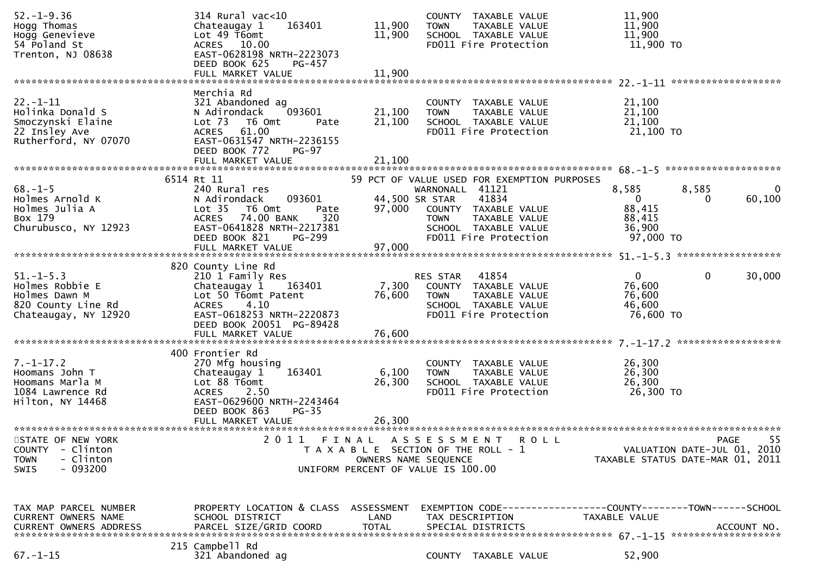| $52. - 1 - 9.36$<br>Hogg Thomas<br>Hogg Genevieve<br>54 Poland St<br>Trenton, NJ 08638            | 314 Rural vac<10<br>163401<br>Chateaugay 1<br>Lot 49 T6omt<br>ACRES 10.00<br>EAST-0628198 NRTH-2223073                                                                                               | COUNTY TAXABLE VALUE<br>11,900<br><b>TOWN</b><br>11,900<br>SCHOOL TAXABLE VALUE<br>FD011 Fire Protection                                                                                     | TAXABLE VALUE          | 11,900<br>11,900<br>11,900<br>11,900 TO                                                                       |
|---------------------------------------------------------------------------------------------------|------------------------------------------------------------------------------------------------------------------------------------------------------------------------------------------------------|----------------------------------------------------------------------------------------------------------------------------------------------------------------------------------------------|------------------------|---------------------------------------------------------------------------------------------------------------|
|                                                                                                   | DEED BOOK 625<br>PG-457<br>FULL MARKET VALUE                                                                                                                                                         | 11,900                                                                                                                                                                                       |                        |                                                                                                               |
| $22 - 1 - 11$<br>Holinka Donald S<br>Smoczynski Elaine<br>22 Insley Ave<br>Rutherford, NY 07070   | Merchia Rd<br>321 Abandoned ag<br>093601<br>N Adirondack<br>Lot <sub>73</sub><br>T6 Omt<br>Pate<br>ACRES 61.00<br>EAST-0631547 NRTH-2236155<br>DEED BOOK 772<br><b>PG-97</b><br>FULL MARKET VALUE    | COUNTY TAXABLE VALUE<br>21,100<br><b>TOWN</b><br>21,100<br>SCHOOL TAXABLE VALUE<br>FD011 Fire Protection<br>21,100                                                                           | TAXABLE VALUE          | 21,100<br>21,100<br>21,100<br>21,100 TO                                                                       |
|                                                                                                   |                                                                                                                                                                                                      |                                                                                                                                                                                              |                        |                                                                                                               |
| $68. - 1 - 5$<br>Holmes Arnold K<br>Holmes Julia A<br>Box 179<br>Churubusco, NY 12923             | 6514 Rt 11<br>240 Rural res<br>093601<br>N Adirondack<br>Lot <sub>35</sub><br>T6 Omt<br>Pate<br>ACRES 74.00 BANK<br>320<br>EAST-0641828 NRTH-2217381<br>DEED BOOK 821<br>PG-299<br>FULL MARKET VALUE | 59 PCT OF VALUE USED FOR EXEMPTION PURPOSES<br>WARNONALL 41121<br>44,500 SR STAR<br>97,000<br>COUNTY TAXABLE VALUE<br><b>TOWN</b><br>SCHOOL TAXABLE VALUE<br>FD011 Fire Protection<br>97,000 | 41834<br>TAXABLE VALUE | 8,585<br>8,585<br>$\overline{0}$<br>60, 100<br>$\overline{0}$<br>0<br>88,415<br>88,415<br>36,900<br>97,000 TO |
|                                                                                                   |                                                                                                                                                                                                      |                                                                                                                                                                                              |                        |                                                                                                               |
| $51. - 1 - 5.3$<br>Holmes Robbie E<br>Holmes Dawn M<br>820 County Line Rd<br>Chateaugay, NY 12920 | 820 County Line Rd<br>210 1 Family Res<br>163401<br>Chateaugay 1<br>Lot 50 T6omt Patent<br><b>ACRES</b><br>4.10<br>EAST-0618253 NRTH-2220873<br>DEED BOOK 20051 PG-89428<br>FULL MARKET VALUE        | RES STAR<br>7,300<br>COUNTY TAXABLE VALUE<br>76,600<br><b>TOWN</b><br>SCHOOL TAXABLE VALUE<br>FD011 Fire Protection<br>76,600                                                                | 41854<br>TAXABLE VALUE | $\mathbf{0}$<br>0<br>30,000<br>76,600<br>76,600<br>46,600<br>76,600 TO                                        |
|                                                                                                   | 400 Frontier Rd                                                                                                                                                                                      |                                                                                                                                                                                              |                        |                                                                                                               |
| $7. - 1 - 17.2$<br>Hoomans John T<br>Hoomans Marla M<br>1084 Lawrence Rd<br>Hilton, NY 14468      | 270 Mfg housing<br>163401<br>Chateaugay 1<br>Lot 88 T6omt<br>2.50<br><b>ACRES</b><br>EAST-0629600 NRTH-2243464<br>DEED BOOK 863<br>$PG-35$                                                           | COUNTY TAXABLE VALUE<br>6,100<br><b>TOWN</b><br>26,300<br>SCHOOL TAXABLE VALUE<br>FD011 Fire Protection                                                                                      | TAXABLE VALUE          | 26,300<br>26,300<br>26,300<br>26,300 TO                                                                       |
|                                                                                                   | FULL MARKET VALUE                                                                                                                                                                                    | 26,300                                                                                                                                                                                       |                        |                                                                                                               |
| STATE OF NEW YORK<br><b>COUNTY</b><br>- Clinton<br>- Clinton<br><b>TOWN</b><br>$-093200$<br>SWIS  | 2 0 1 1<br>FINAL                                                                                                                                                                                     | A S S E S S M E N T<br>T A X A B L E SECTION OF THE ROLL - 1<br>OWNERS NAME SEQUENCE<br>UNIFORM PERCENT OF VALUE IS 100.00                                                                   | <b>ROLL</b>            | 55<br>PAGE<br>VALUATION DATE-JUL 01, 2010<br>TAXABLE STATUS DATE-MAR 01, 2011                                 |
| TAX MAP PARCEL NUMBER<br>CURRENT OWNERS NAME<br><b>CURRENT OWNERS ADDRESS</b>                     | PROPERTY LOCATION & CLASS ASSESSMENT<br>SCHOOL DISTRICT<br>PARCEL SIZE/GRID COORD                                                                                                                    | LAND<br>TAX DESCRIPTION<br><b>TOTAL</b><br>SPECIAL DISTRICTS                                                                                                                                 |                        | EXEMPTION CODE-----------------COUNTY-------TOWN------SCHOOL<br>TAXABLE VALUE<br>ACCOUNT NO.                  |
| $67. - 1 - 15$                                                                                    | 215 Campbell Rd<br>321 Abandoned ag                                                                                                                                                                  | COUNTY TAXABLE VALUE                                                                                                                                                                         |                        | 52,900                                                                                                        |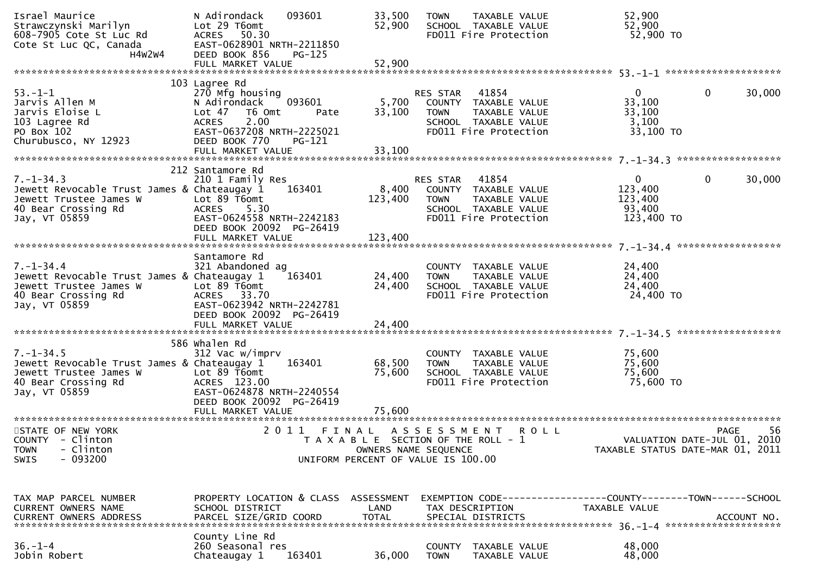| Israel Maurice<br>Strawczynski Marilyn<br>608-7905 Cote St Luc Rd<br>Cote St Luc QC, Canada<br>H4W2W4                            | 093601<br>N Adirondack<br>Lot 29 T6omt<br>ACRES 50.30<br>EAST-0628901 NRTH-2211850<br>DEED BOOK 856<br>PG-125<br>FULL MARKET VALUE                                                          | 33,500<br>52,900<br>52,900                                                                      | <b>TOWN</b>                          | TAXABLE VALUE<br>SCHOOL TAXABLE VALUE<br>FD011 Fire Protection                                  | 52,900<br>52,900<br>52,900 TO                                                 |                                                  |
|----------------------------------------------------------------------------------------------------------------------------------|---------------------------------------------------------------------------------------------------------------------------------------------------------------------------------------------|-------------------------------------------------------------------------------------------------|--------------------------------------|-------------------------------------------------------------------------------------------------|-------------------------------------------------------------------------------|--------------------------------------------------|
|                                                                                                                                  |                                                                                                                                                                                             |                                                                                                 |                                      |                                                                                                 |                                                                               |                                                  |
| $53. - 1 - 1$<br>Jarvis Allen M<br>Jarvis Eloise L<br>103 Lagree Rd<br>PO Box 102<br>Churubusco, NY 12923                        | 103 Lagree Rd<br>270 Mfg housing<br>093601<br>N Adirondack<br>Lot 47<br>T6 Omt<br>Pate<br>2.00<br><b>ACRES</b><br>EAST-0637208 NRTH-2225021<br>DEED BOOK 770<br>PG-121<br>FULL MARKET VALUE | 5,700<br>33,100<br>33,100                                                                       | RES STAR<br><b>TOWN</b>              | 41854<br>COUNTY TAXABLE VALUE<br>TAXABLE VALUE<br>SCHOOL TAXABLE VALUE<br>FD011 Fire Protection | $\mathbf{0}$<br>33,100<br>33,100<br>3,100<br>33,100 TO                        | 30,000<br>0                                      |
|                                                                                                                                  | 212 Santamore Rd                                                                                                                                                                            |                                                                                                 |                                      |                                                                                                 |                                                                               |                                                  |
| $7. - 1 - 34.3$<br>Jewett Revocable Trust James & Chateaugay 1<br>Jewett Trustee James W<br>40 Bear Crossing Rd<br>Jay, VT 05859 | 210 1 Family Res<br>163401<br>Lot 89 T6omt<br>ACRES 5.30<br>EAST-0624558 NRTH-2242183<br>DEED BOOK 20092 PG-26419<br>FULL MARKET VALUE                                                      | 8,400<br>123,400<br>123,400                                                                     | RES STAR<br><b>TOWN</b>              | 41854<br>COUNTY TAXABLE VALUE<br>TAXABLE VALUE<br>SCHOOL TAXABLE VALUE<br>FD011 Fire Protection | $\mathbf{0}$<br>123,400<br>123,400<br>93,400<br>123,400 TO                    | 30,000<br>0                                      |
|                                                                                                                                  |                                                                                                                                                                                             |                                                                                                 |                                      |                                                                                                 |                                                                               |                                                  |
| $7. - 1 - 34.4$<br>Jewett Revocable Trust James & Chateaugay 1<br>Jewett Trustee James W<br>40 Bear Crossing Rd<br>Jay, VT 05859 | Santamore Rd<br>321 Abandoned ag<br>163401<br>Lot 89 T6omt<br>ACRES 33.70<br>EAST-0623942 NRTH-2242781<br>DEED BOOK 20092 PG-26419                                                          | 24,400<br>24,400                                                                                | <b>TOWN</b>                          | COUNTY TAXABLE VALUE<br>TAXABLE VALUE<br>SCHOOL TAXABLE VALUE<br>FD011 Fire Protection          | 24,400<br>24,400<br>24,400<br>24,400 TO                                       |                                                  |
|                                                                                                                                  | FULL MARKET VALUE                                                                                                                                                                           | 24,400                                                                                          |                                      |                                                                                                 |                                                                               |                                                  |
| $7. - 1 - 34.5$<br>Jewett Revocable Trust James & Chateaugay 1<br>Jewett Trustee James W<br>40 Bear Crossing Rd<br>Jay, VT 05859 | 586 whalen Rd<br>312 Vac w/imprv<br>163401<br>Lot 89 T6omt<br>ACRES 123.00<br>EAST-0624878 NRTH-2240554<br>DEED BOOK 20092 PG-26419<br>FULL MARKET VALUE                                    | 68,500<br>75,600<br>75,600                                                                      | COUNTY<br><b>TOWN</b>                | TAXABLE VALUE<br>TAXABLE VALUE<br>SCHOOL TAXABLE VALUE<br>FD011 Fire Protection                 | 75,600<br>75,600<br>75,600<br>75,600 TO                                       |                                                  |
|                                                                                                                                  |                                                                                                                                                                                             |                                                                                                 |                                      |                                                                                                 |                                                                               |                                                  |
| STATE OF NEW YORK<br>COUNTY - Clinton<br>- Clinton<br><b>TOWN</b><br>$-093200$<br>SWIS                                           | 2011                                                                                                                                                                                        | FINAL ASSESSMENT<br>T A X A B L E SECTION OF THE ROLL - 1<br>UNIFORM PERCENT OF VALUE IS 100.00 | OWNERS NAME SEQUENCE                 | <b>ROLL</b>                                                                                     | TAXABLE STATUS DATE-MAR 01, 2011                                              | 56<br><b>PAGE</b><br>VALUATION DATE-JUL 01, 2010 |
| TAX MAP PARCEL NUMBER<br>CURRENT OWNERS NAME<br><b>CURRENT OWNERS ADDRESS</b>                                                    | PROPERTY LOCATION & CLASS ASSESSMENT<br>SCHOOL DISTRICT<br>PARCEL SIZE/GRID COORD                                                                                                           | LAND<br><b>TOTAL</b>                                                                            | TAX DESCRIPTION<br>SPECIAL DISTRICTS |                                                                                                 | EXEMPTION CODE-----------------COUNTY-------TOWN------SCHOOL<br>TAXABLE VALUE | ACCOUNT NO.                                      |
| $36. - 1 - 4$<br>Jobin Robert                                                                                                    | County Line Rd<br>260 Seasonal res<br>163401<br>Chateaugay 1                                                                                                                                | 36,000                                                                                          | COUNTY<br><b>TOWN</b>                | TAXABLE VALUE<br>TAXABLE VALUE                                                                  | 48,000<br>48,000                                                              |                                                  |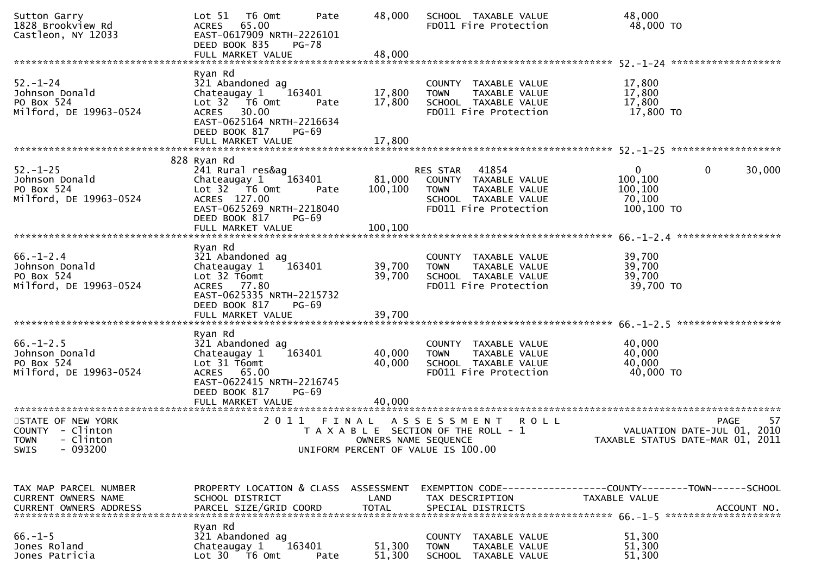| Sutton Garry<br>1828 Brookview Rd<br>Castleon, NY 12033                      | T6 Omt<br>Pate<br>Lot 51<br>ACRES 65.00<br>EAST-0617909 NRTH-2226101<br>DEED BOOK 835<br>PG-78<br>FULL MARKET VALUE                                             | 48,000<br>48,000              | SCHOOL TAXABLE VALUE<br>FD011 Fire Protection                                                                              | 48,000<br>48,000 TO                                    |                                                  |
|------------------------------------------------------------------------------|-----------------------------------------------------------------------------------------------------------------------------------------------------------------|-------------------------------|----------------------------------------------------------------------------------------------------------------------------|--------------------------------------------------------|--------------------------------------------------|
| $52 - 1 - 24$<br>Johnson Donald<br>PO Box 524<br>Milford, DE 19963-0524      | Ryan Rd<br>321 Abandoned ag<br>Chateaugay 1<br>163401<br>Lot 32 76 0mt<br>Pate<br>ACRES 30.00<br>EAST-0625164 NRTH-2216634                                      | 17,800<br>17,800              | COUNTY TAXABLE VALUE<br><b>TOWN</b><br>TAXABLE VALUE<br>SCHOOL TAXABLE VALUE<br>FD011 Fire Protection                      | 17,800<br>17,800<br>17,800<br>17,800 TO                |                                                  |
|                                                                              | DEED BOOK 817<br>$PG-69$<br>828 Ryan Rd                                                                                                                         |                               |                                                                                                                            |                                                        |                                                  |
| $52. - 1 - 25$<br>Johnson Donald<br>PO Box 524<br>Milford, DE 19963-0524     | 241 Rural res&ag<br>Chateaugay 1<br>163401<br>Lot 32 T6 Omt<br>Pate<br>ACRES 127.00<br>EAST-0625269 NRTH-2218040<br>DEED BOOK 817<br>PG-69<br>FULL MARKET VALUE | 81,000<br>100,100<br>100,100  | RES STAR<br>41854<br>COUNTY TAXABLE VALUE<br><b>TOWN</b><br>TAXABLE VALUE<br>SCHOOL TAXABLE VALUE<br>FD011 Fire Protection | $\Omega$<br>100,100<br>100,100<br>70,100<br>100,100 TO | $\mathbf 0$<br>30,000                            |
|                                                                              |                                                                                                                                                                 |                               |                                                                                                                            |                                                        |                                                  |
| $66. - 1 - 2.4$<br>Johnson Donald<br>PO Box 524<br>Milford, DE 19963-0524    | Ryan Rd<br>321 Abandoned ag<br>163401<br>Chateaugay 1<br>Lot 32 T6omt<br>ACRES 77.80<br>EAST-0625335 NRTH-2215732<br>DEED BOOK 817<br><b>PG-69</b>              | 39,700<br>39,700              | COUNTY TAXABLE VALUE<br>TAXABLE VALUE<br>TOWN<br>SCHOOL TAXABLE VALUE<br>FD011 Fire Protection                             | 39,700<br>39,700<br>39,700<br>39,700 TO                |                                                  |
|                                                                              | FULL MARKET VALUE                                                                                                                                               | 39,700                        |                                                                                                                            |                                                        | ******************                               |
| $66. - 1 - 2.5$<br>Johnson Donald<br>PO Box 524<br>Milford, DE 19963-0524    | Ryan Rd<br>321 Abandoned ag<br>163401<br>Chateaugay 1<br>Lot 31 T6omt<br>ACRES 65.00<br>EAST-0622415 NRTH-2216745<br>DEED BOOK 817<br><b>PG-69</b>              | 40,000<br>40,000              | COUNTY TAXABLE VALUE<br><b>TOWN</b><br>TAXABLE VALUE<br>SCHOOL TAXABLE VALUE<br>FD011 Fire Protection                      | 40,000<br>40,000<br>40,000<br>40,000 TO                |                                                  |
|                                                                              | FULL MARKET VALUE                                                                                                                                               | 40,000                        |                                                                                                                            |                                                        |                                                  |
| STATE OF NEW YORK<br>COUNTY - Clinton<br>TOWN - Clinton<br>$-093200$<br>SWIS | 2 0 1 1                                                                                                                                                         | FINAL<br>OWNERS NAME SEQUENCE | <b>ROLL</b><br>ASSESSMENT<br>T A X A B L E SECTION OF THE ROLL - 1<br>UNIFORM PERCENT OF VALUE IS 100.00                   | TAXABLE STATUS DATE-MAR 01, 2011                       | 57<br><b>PAGE</b><br>VALUATION DATE-JUL 01, 2010 |
| TAX MAP PARCEL NUMBER<br>CURRENT OWNERS NAME                                 | PROPERTY LOCATION & CLASS ASSESSMENT<br>SCHOOL DISTRICT                                                                                                         | LAND                          | EXEMPTION CODE-----------------COUNTY--------TOWN------SCHOOL<br>TAX DESCRIPTION                                           | <b>TAXABLE VALUE</b>                                   |                                                  |
| $66. -1 - 5$<br>Jones Roland<br>Jones Patricia                               | Ryan Rd<br>321 Abandoned ag<br>Chateaugay 1<br>163401<br>Lot $30 - 76$ Omt<br>Pate                                                                              | 51,300<br>51,300              | COUNTY TAXABLE VALUE<br><b>TOWN</b><br>TAXABLE VALUE<br>SCHOOL TAXABLE VALUE                                               | 51,300<br>51,300<br>51,300                             |                                                  |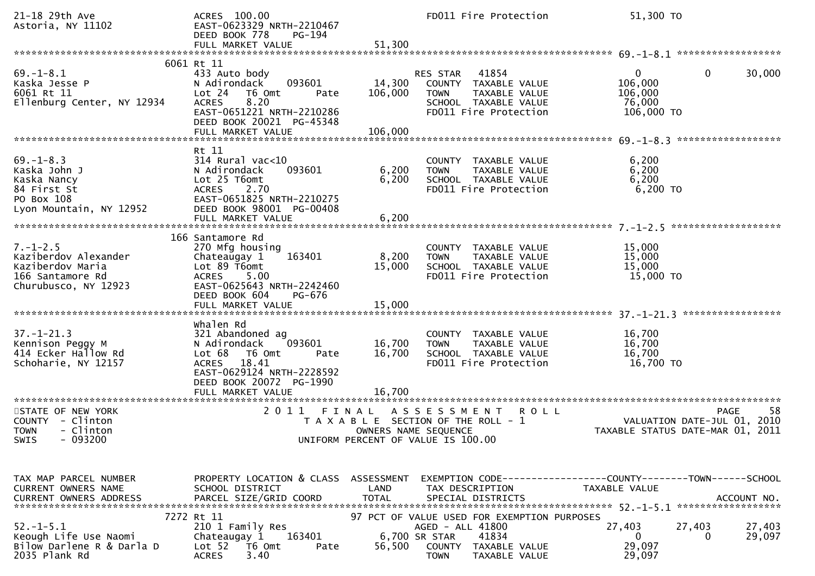| 21-18 29th Ave<br>Astoria, NY 11102                                                                           | ACRES 100.00<br>EAST-0623329 NRTH-2210467<br>DEED BOOK 778<br>PG-194<br>FULL MARKET VALUE                                                                                                                               | 51,300                       | FD011 Fire Protection                                                                                                               | 51,300 TO                                                    |                                                                                      |
|---------------------------------------------------------------------------------------------------------------|-------------------------------------------------------------------------------------------------------------------------------------------------------------------------------------------------------------------------|------------------------------|-------------------------------------------------------------------------------------------------------------------------------------|--------------------------------------------------------------|--------------------------------------------------------------------------------------|
|                                                                                                               | 6061 Rt 11                                                                                                                                                                                                              |                              |                                                                                                                                     |                                                              |                                                                                      |
| $69. - 1 - 8.1$<br>Kaska Jesse P<br>6061 Rt 11<br>Ellenburg Center, NY 12934                                  | 433 Auto body<br>093601<br>N Adirondack<br>Lot 24<br>T6 Omt<br>Pate<br>8.20<br><b>ACRES</b><br>EAST-0651221 NRTH-2210286<br>DEED BOOK 20021 PG-45348<br>FULL MARKET VALUE                                               | 14,300<br>106,000<br>106,000 | 41854<br><b>RES STAR</b><br>COUNTY TAXABLE VALUE<br>TAXABLE VALUE<br><b>TOWN</b><br>SCHOOL TAXABLE VALUE<br>FD011 Fire Protection   | $\overline{0}$<br>106,000<br>106,000<br>76,000<br>106,000 TO | 0<br>30,000                                                                          |
|                                                                                                               |                                                                                                                                                                                                                         |                              |                                                                                                                                     |                                                              |                                                                                      |
| $69 - 1 - 8.3$<br>Kaska John J<br>Kaska Nancy<br>84 First St<br>PO Box 108<br>Lyon Mountain, NY 12952         | Rt 11<br>$314$ Rural vac<10<br>093601<br>N Adirondack<br>Lot 25 T6omt<br><b>ACRES</b><br>2.70<br>EAST-0651825 NRTH-2210275<br>DEED BOOK 98001 PG-00408<br>FULL MARKET VALUE                                             | 6,200<br>6,200<br>6,200      | COUNTY TAXABLE VALUE<br>TAXABLE VALUE<br><b>TOWN</b><br>SCHOOL TAXABLE VALUE<br>FD011 Fire Protection                               | 6,200<br>6,200<br>6,200<br>6,200 TO                          |                                                                                      |
|                                                                                                               | 166 Santamore Rd                                                                                                                                                                                                        |                              |                                                                                                                                     |                                                              |                                                                                      |
| $7. - 1 - 2.5$<br>Kaziberdov Alexander<br>Kaziberdov Maria<br>166 Santamore Rd<br>Churubusco, NY 12923        | 270 Mfg housing<br>163401<br>Chateaugay 1<br>Lot 89 T6omt<br><b>ACRES</b><br>5.00<br>EAST-0625643 NRTH-2242460<br>DEED BOOK 604<br>PG-676                                                                               | 8,200<br>15,000              | COUNTY TAXABLE VALUE<br>TAXABLE VALUE<br><b>TOWN</b><br>SCHOOL TAXABLE VALUE<br>FD011 Fire Protection                               | 15,000<br>15,000<br>15,000<br>15,000 TO                      |                                                                                      |
|                                                                                                               |                                                                                                                                                                                                                         |                              |                                                                                                                                     |                                                              |                                                                                      |
| $37. - 1 - 21.3$<br>Kennison Peggy M<br>414 Ecker Hallow Rd<br>Schoharie, NY 12157<br>*********************** | Whalen Rd<br>321 Abandoned ag<br>093601<br>N Adirondack<br>Lot 68<br>T6 Omt<br>Pate<br><b>ACRES</b><br>18.41<br>EAST-0629124 NRTH-2228592<br>DEED BOOK 20072 PG-1990<br>FULL MARKET VALUE<br>************************** | 16,700<br>16,700<br>16,700   | COUNTY TAXABLE VALUE<br>TAXABLE VALUE<br><b>TOWN</b><br>SCHOOL TAXABLE VALUE<br>FD011 Fire Protection                               | 16,700<br>16,700<br>16,700<br>16,700 TO                      |                                                                                      |
| STATE OF NEW YORK<br>COUNTY - Clinton<br>- Clinton<br><b>TOWN</b><br>SWIS - 093200                            | 2011<br>FINAL                                                                                                                                                                                                           | OWNERS NAME SEQUENCE         | A S S E S S M E N T<br><b>ROLL</b><br>T A X A B L E SECTION OF THE ROLL - 1<br>UNIFORM PERCENT OF VALUE IS 100.00                   |                                                              | 58<br><b>PAGE</b><br>VALUATION DATE-JUL 01, 2010<br>TAXABLE STATUS DATE-MAR 01, 2011 |
|                                                                                                               |                                                                                                                                                                                                                         |                              |                                                                                                                                     |                                                              |                                                                                      |
| TAX MAP PARCEL NUMBER<br><b>CURRENT OWNERS NAME</b><br><b>CURRENT OWNERS ADDRESS</b>                          | PROPERTY LOCATION & CLASS ASSESSMENT<br>SCHOOL DISTRICT<br>PARCEL SIZE/GRID COORD                                                                                                                                       | LAND<br><b>TOTAL</b>         | EXEMPTION CODE-----------------COUNTY-------TOWN------SCHOOL<br>TAX DESCRIPTION<br>SPECIAL DISTRICTS                                | TAXABLE VALUE                                                | ACCOUNT NO.                                                                          |
| $52. - 1 - 5.1$<br>Keough Life Use Naomi<br>Bilow Darlene R & Darla D<br>2035 Plank Rd                        | 7272 Rt 11<br>210 1 Family Res<br>163401<br>Chateaugay 1<br>Lot 52 T6 Omt<br>Pate<br>3.40<br><b>ACRES</b>                                                                                                               | 6,700 SR STAR<br>56,500      | 97 PCT OF VALUE USED FOR EXEMPTION PURPOSES<br>AGED - ALL 41800<br>41834<br>COUNTY<br>TAXABLE VALUE<br><b>TOWN</b><br>TAXABLE VALUE | 27,403<br>0<br>29,097<br>29,097                              | 27,403<br>27,403<br>29,097<br>0                                                      |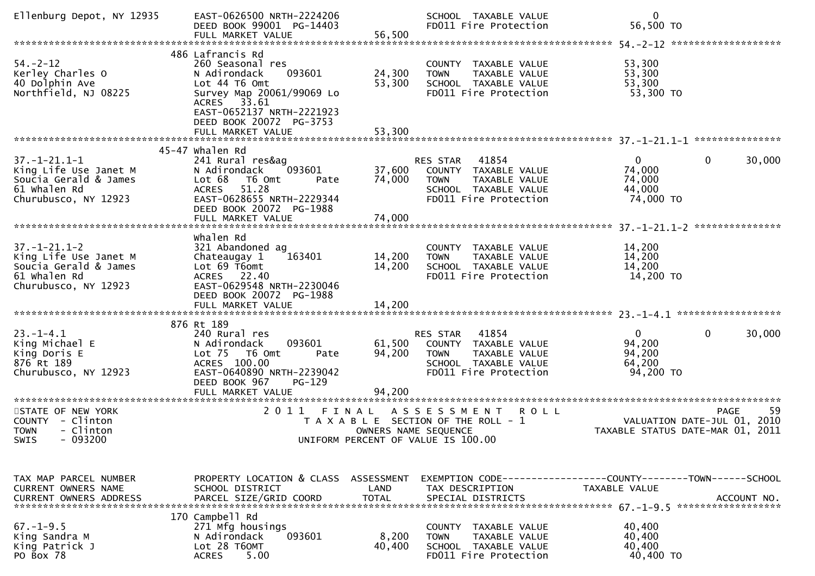| Ellenburg Depot, NY 12935                                                                                      | EAST-0626500 NRTH-2224206<br>DEED BOOK 99001 PG-14403<br>FULL MARKET VALUE                                                                                                          | 56,500                     | SCHOOL TAXABLE VALUE<br>FD011 Fire Protection                                                                                     | 0<br>56,500 TO                                            |                                                  |
|----------------------------------------------------------------------------------------------------------------|-------------------------------------------------------------------------------------------------------------------------------------------------------------------------------------|----------------------------|-----------------------------------------------------------------------------------------------------------------------------------|-----------------------------------------------------------|--------------------------------------------------|
|                                                                                                                |                                                                                                                                                                                     |                            |                                                                                                                                   |                                                           |                                                  |
| $54. - 2 - 12$<br>Kerley Charles O<br>40 Dolphin Ave<br>Northfield, NJ 08225                                   | 486 Lafrancis Rd<br>260 Seasonal res<br>093601<br>N Adirondack<br>Lot 44 T6 Omt<br>Survey Map 20061/99069 Lo<br>ACRES 33.61<br>EAST-0652137 NRTH-2221923<br>DEED BOOK 20072 PG-3753 | 24,300<br>53,300<br>53,300 | COUNTY TAXABLE VALUE<br>TAXABLE VALUE<br><b>TOWN</b><br>SCHOOL TAXABLE VALUE<br>FD011 Fire Protection                             | 53,300<br>53,300<br>53,300<br>53,300 TO                   |                                                  |
|                                                                                                                | FULL MARKET VALUE                                                                                                                                                                   |                            |                                                                                                                                   |                                                           |                                                  |
|                                                                                                                | 45-47 whalen Rd                                                                                                                                                                     |                            |                                                                                                                                   |                                                           |                                                  |
| $37. - 1 - 21.1 - 1$<br>King Life Use Janet M<br>Soucia Gerald & James<br>61 Whalen Rd<br>Churubusco, NY 12923 | 241 Rural res&ag<br>093601<br>N Adirondack<br>Lot 68<br>T6 Omt<br>Pate<br><b>ACRES</b><br>51.28<br>EAST-0628655 NRTH-2229344<br>DEED BOOK 20072 PG-1988<br>FULL MARKET VALUE        | 37,600<br>74,000<br>74,000 | 41854<br><b>RES STAR</b><br>COUNTY TAXABLE VALUE<br><b>TOWN</b><br>TAXABLE VALUE<br>SCHOOL TAXABLE VALUE<br>FD011 Fire Protection | $\overline{0}$<br>74,000<br>74,000<br>44,000<br>74,000 TO | $\mathbf{0}$<br>30,000                           |
|                                                                                                                |                                                                                                                                                                                     |                            |                                                                                                                                   |                                                           |                                                  |
| $37. - 1 - 21.1 - 2$<br>King Life Use Janet M<br>Soucia Gerald & James<br>61 Whalen Rd<br>Churubusco, NY 12923 | whalen Rd<br>321 Abandoned ag<br>Chateaugay 1<br>163401<br>Lot 69 T6omt<br>ACRES 22.40<br>EAST-0629548 NRTH-2230046<br>DEED BOOK 20072 PG-1988                                      | 14,200<br>14,200           | COUNTY<br>TAXABLE VALUE<br>TAXABLE VALUE<br><b>TOWN</b><br>SCHOOL TAXABLE VALUE<br>FD011 Fire Protection                          | 14,200<br>14,200<br>14,200<br>14,200 TO                   |                                                  |
|                                                                                                                |                                                                                                                                                                                     |                            |                                                                                                                                   |                                                           |                                                  |
| $23. - 1 - 4.1$<br>King Michael E<br>King Doris E<br>876 Rt 189<br>Churubusco, NY 12923                        | 876 Rt 189<br>240 Rural res<br>093601<br>N Adirondack<br>Lot 75 T6 Omt<br>Pate<br>ACRES 100.00<br>EAST-0640890 NRTH-2239042<br>DEED BOOK 967<br>PG-129<br>FULL MARKET VALUE         | 61,500<br>94,200<br>94,200 | 41854<br>RES STAR<br>COUNTY TAXABLE VALUE<br>TAXABLE VALUE<br><b>TOWN</b><br>SCHOOL TAXABLE VALUE<br>FD011 Fire Protection        | $\overline{0}$<br>94,200<br>94,200<br>64,200<br>94,200 TO | $\mathbf{0}$<br>30,000                           |
| *************************                                                                                      | ****************************                                                                                                                                                        |                            |                                                                                                                                   |                                                           |                                                  |
| STATE OF NEW YORK<br>COUNTY - Clinton<br>- Clinton<br><b>TOWN</b><br>SWIS<br>- 093200                          | 2 0 1 1<br>FINAL                                                                                                                                                                    | OWNERS NAME SEQUENCE       | ASSESSMENT<br><b>ROLL</b><br>T A X A B L E SECTION OF THE ROLL - 1<br>UNIFORM PERCENT OF VALUE IS 100.00                          | TAXABLE STATUS DATE-MAR 01, 2011                          | 59<br><b>PAGE</b><br>VALUATION DATE-JUL 01, 2010 |
|                                                                                                                |                                                                                                                                                                                     |                            |                                                                                                                                   |                                                           |                                                  |
| TAX MAP PARCEL NUMBER<br>CURRENT OWNERS NAME<br><b>CURRENT OWNERS ADDRESS</b>                                  | PROPERTY LOCATION & CLASS ASSESSMENT<br>SCHOOL DISTRICT<br>PARCEL SIZE/GRID COORD                                                                                                   | LAND<br><b>TOTAL</b>       | EXEMPTION CODE-----------------COUNTY-------TOWN------SCHOOL<br>TAX DESCRIPTION<br>SPECIAL DISTRICTS                              | TAXABLE VALUE                                             | ACCOUNT NO.<br>******************                |
| $67. - 1 - 9.5$<br>King Sandra M<br>King Patrick J<br>PO Box 78                                                | 170 Campbell Rd<br>271 Mfg housings<br>093601<br>N Adirondack<br>Lot 28 T60MT<br><b>ACRES</b><br>5.00                                                                               | 8,200<br>40,400            | COUNTY TAXABLE VALUE<br>TAXABLE VALUE<br><b>TOWN</b><br>SCHOOL TAXABLE VALUE<br>FD011 Fire Protection                             | 40,400<br>40,400<br>40,400<br>40,400 TO                   |                                                  |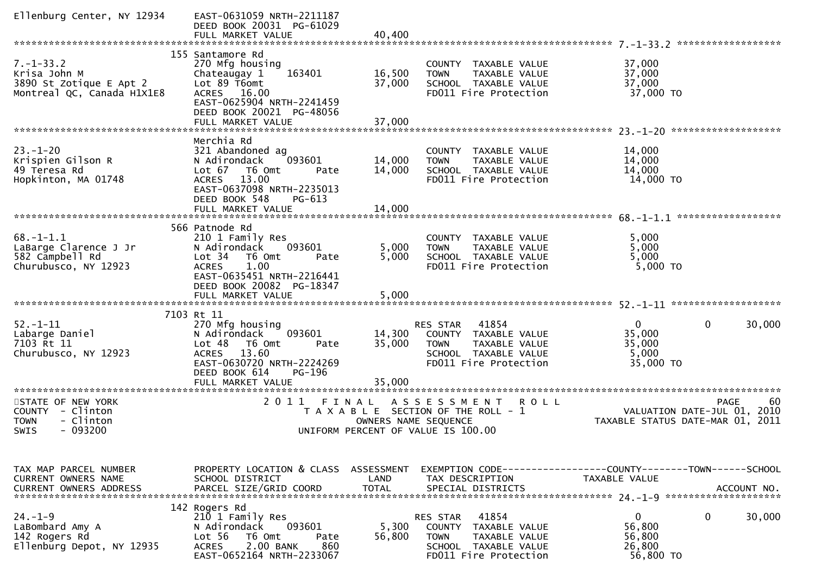| Ellenburg Center, NY 12934                                                                | EAST-0631059 NRTH-2211187<br>DEED BOOK 20031 PG-61029<br>FULL MARKET VALUE                                                                                                                                | 40,400                             |                                                                                                                                      |                                                                                |             |
|-------------------------------------------------------------------------------------------|-----------------------------------------------------------------------------------------------------------------------------------------------------------------------------------------------------------|------------------------------------|--------------------------------------------------------------------------------------------------------------------------------------|--------------------------------------------------------------------------------|-------------|
|                                                                                           |                                                                                                                                                                                                           |                                    |                                                                                                                                      |                                                                                |             |
| $7. - 1 - 33.2$<br>Krisa John M<br>3890 St Zotique E Apt 2<br>Montreal QC, Canada H1X1E8  | 155 Santamore Rd<br>270 Mfg housing<br>163401<br>Chateaugay 1<br>Lot 89 T6omt<br>ACRES 16.00<br>EAST-0625904 NRTH-2241459<br>DEED BOOK 20021 PG-48056<br>FULL MARKET VALUE                                | 16,500<br>37,000<br>37,000         | COUNTY TAXABLE VALUE<br><b>TOWN</b><br>TAXABLE VALUE<br>SCHOOL TAXABLE VALUE<br>FD011 Fire Protection                                | 37,000<br>37,000<br>37,000<br>37,000 TO                                        |             |
|                                                                                           |                                                                                                                                                                                                           |                                    |                                                                                                                                      |                                                                                |             |
| $23 - 1 - 20$<br>Krispien Gilson R<br>49 Teresa Rd<br>Hopkinton, MA 01748                 | Merchia Rd<br>321 Abandoned ag<br>093601<br>N Adirondack<br>Lot 67<br>T6 Omt<br>Pate<br>13.00<br><b>ACRES</b><br>EAST-0637098 NRTH-2235013<br>DEED BOOK 548<br>$PG-613$<br>FULL MARKET VALUE              | 14,000<br>14,000<br>14,000         | COUNTY TAXABLE VALUE<br><b>TOWN</b><br>TAXABLE VALUE<br>SCHOOL TAXABLE VALUE<br>FD011 Fire Protection                                | 14,000<br>14,000<br>14,000<br>14,000 TO                                        |             |
|                                                                                           |                                                                                                                                                                                                           |                                    |                                                                                                                                      | ******************                                                             |             |
| $68. - 1 - 1.1$<br>LaBarge Clarence J Jr<br>582 Campbell Rd<br>Churubusco, NY 12923       | 566 Patnode Rd<br>210 1 Family Res<br>093601<br>N Adirondack<br>Lot <sub>34</sub><br>T6 Omt<br>Pate<br>1.00<br><b>ACRES</b><br>EAST-0635451 NRTH-2216441<br>DEED BOOK 20082 PG-18347<br>FULL MARKET VALUE | 5,000<br>5,000<br>5,000            | COUNTY TAXABLE VALUE<br>TAXABLE VALUE<br><b>TOWN</b><br>SCHOOL TAXABLE VALUE<br>FD011 Fire Protection                                | 5,000<br>5,000<br>5,000<br>5,000 TO                                            |             |
|                                                                                           |                                                                                                                                                                                                           |                                    |                                                                                                                                      |                                                                                |             |
| $52. - 1 - 11$<br>Labarge Daniel<br>7103 Rt 11<br>Churubusco, NY 12923                    | 7103 Rt 11<br>270 Mfg housing<br>093601<br>N Adirondack<br>Lot 48<br>T6 Omt<br>Pate<br>13.60<br><b>ACRES</b><br>EAST-0630720 NRTH-2224269<br>DEED BOOK 614<br>PG-196<br>FULL MARKET VALUE                 | 14,300<br>35,000<br>35,000         | 41854<br>RES STAR<br>COUNTY TAXABLE VALUE<br>TAXABLE VALUE<br><b>TOWN</b><br>SCHOOL TAXABLE VALUE<br>FD011 Fire Protection           | $\mathbf{0}$<br>0<br>35,000<br>35,000<br>5,000<br>35,000 TO                    | 30,000      |
| **********************                                                                    | ***********************                                                                                                                                                                                   |                                    |                                                                                                                                      |                                                                                |             |
| STATE OF NEW YORK<br>COUNTY<br>- Clinton<br>- Clinton<br><b>TOWN</b><br>$-093200$<br>SWIS | 2011<br>FINAL                                                                                                                                                                                             | OWNERS NAME SEQUENCE               | A S S E S S M E N T<br><b>ROLL</b><br>T A X A B L E SECTION OF THE ROLL - 1<br>UNIFORM PERCENT OF VALUE IS 100.00                    | <b>PAGE</b><br>VALUATION DATE-JUL 01, 2010<br>TAXABLE STATUS DATE-MAR 01, 2011 | 60          |
|                                                                                           |                                                                                                                                                                                                           |                                    |                                                                                                                                      |                                                                                |             |
| TAX MAP PARCEL NUMBER<br><b>CURRENT OWNERS NAME</b><br><b>CURRENT OWNERS ADDRESS</b>      | PROPERTY LOCATION & CLASS<br>SCHOOL DISTRICT<br>PARCEL SIZE/GRID COORD                                                                                                                                    | ASSESSMENT<br>LAND<br><b>TOTAL</b> | TAX DESCRIPTION<br>SPECIAL DISTRICTS                                                                                                 | EXEMPTION CODE-----------------COUNTY-------TOWN------SCHOOL<br>TAXABLE VALUE  | ACCOUNT NO. |
| $24. - 1 - 9$<br>LaBombard Amy A<br>142 Rogers Rd<br>Ellenburg Depot, NY 12935            | 142 Rogers Rd<br>210 1 Family Res<br>N Adirondack<br>093601<br>Lot 56<br>T6 Omt<br>Pate<br>2.00 BANK<br><b>ACRES</b><br>860<br>EAST-0652164 NRTH-2233067                                                  | 5,300<br>56,800                    | 41854<br>RES STAR<br><b>COUNTY</b><br>TAXABLE VALUE<br><b>TOWN</b><br>TAXABLE VALUE<br>SCHOOL TAXABLE VALUE<br>FD011 Fire Protection | $\mathbf{0}$<br>0<br>56,800<br>56,800<br>26,800<br>56,800 TO                   | 30,000      |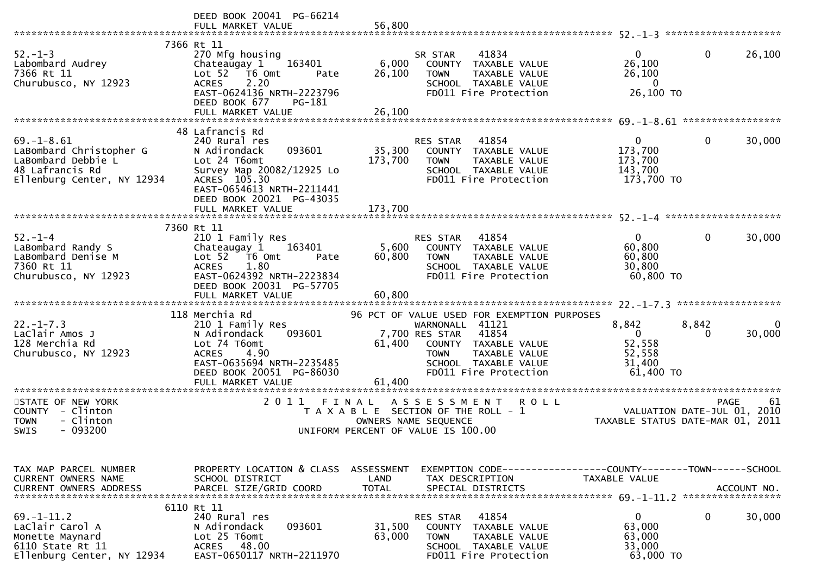|                                                                                                                          | DEED BOOK 20041 PG-66214<br>FULL MARKET VALUE                                                                                                                                                         | 56,800                        |                                                                                                                                                                                                    |                                                                               |                                                               |
|--------------------------------------------------------------------------------------------------------------------------|-------------------------------------------------------------------------------------------------------------------------------------------------------------------------------------------------------|-------------------------------|----------------------------------------------------------------------------------------------------------------------------------------------------------------------------------------------------|-------------------------------------------------------------------------------|---------------------------------------------------------------|
| $52 - 1 - 3$<br>Labombard Audrey<br>7366 Rt 11<br>Churubusco, NY 12923                                                   | 7366 Rt 11<br>270 Mfg housing<br>163401<br>Chateaugay 1<br>Lot 52  T6 Omt<br>Pate<br>2.20<br><b>ACRES</b><br>EAST-0624136 NRTH-2223796<br>DEED BOOK 677<br>PG-181<br>FULL MARKET VALUE                | 6,000<br>26,100<br>26,100     | 41834<br>SR STAR<br>COUNTY TAXABLE VALUE<br><b>TOWN</b><br>TAXABLE VALUE<br>SCHOOL TAXABLE VALUE<br>FD011 Fire Protection                                                                          | $\overline{0}$<br>26,100<br>26,100<br>$\overline{0}$<br>26,100 ТО             | $\mathbf{0}$<br>26,100                                        |
|                                                                                                                          |                                                                                                                                                                                                       |                               |                                                                                                                                                                                                    |                                                                               |                                                               |
| $69. - 1 - 8.61$<br>LaBombard Christopher G<br>LaBombard Debbie L<br>48 Lafrancis Rd<br>Ellenburg Center, NY 12934       | 48 Lafrancis Rd<br>240 Rural res<br>093601<br>N Adirondack<br>Lot 24 T6omt<br>Survey Map 20082/12925 Lo<br>ACRES 105.30<br>EAST-0654613 NRTH-2211441<br>DEED BOOK 20021 PG-43035<br>FULL MARKET VALUE | 35,300<br>173,700<br>173,700  | RES STAR<br>41854<br>COUNTY TAXABLE VALUE<br>TAXABLE VALUE<br><b>TOWN</b><br>SCHOOL TAXABLE VALUE<br>FD011 Fire Protection                                                                         | $\mathbf{0}$<br>173,700<br>173,700<br>143,700<br>173,700 TO                   | 30,000<br>0                                                   |
|                                                                                                                          |                                                                                                                                                                                                       |                               |                                                                                                                                                                                                    |                                                                               |                                                               |
| $52 - 1 - 4$<br>LaBombard Randy S<br>LaBombard Denise M<br>7360 Rt 11<br>Churubusco, NY 12923                            | 7360 Rt 11<br>210 1 Family Res<br>163401<br>Chateaugay 1<br>Lot 52  T6 Omt<br>Pate<br>1.80<br><b>ACRES</b><br>EAST-0624392 NRTH-2223834<br>DEED BOOK 20031 PG-57705                                   | 5,600<br>60,800               | 41854<br>RES STAR<br>COUNTY TAXABLE VALUE<br><b>TOWN</b><br>TAXABLE VALUE<br>SCHOOL TAXABLE VALUE<br>FD011 Fire Protection                                                                         | $\overline{0}$<br>60,800<br>60,800<br>30,800<br>60,800 TO                     | $\mathbf{0}$<br>30,000                                        |
|                                                                                                                          | 118 Merchia Rd                                                                                                                                                                                        |                               |                                                                                                                                                                                                    |                                                                               |                                                               |
| $22. - 1 - 7.3$<br>LaClair Amos J<br>128 Merchia Rd<br>Churubusco, NY 12923                                              | 210 1 Family Res<br>093601<br>N Adirondack<br>Lot 74 T6omt<br><b>ACRES</b><br>4.90<br>EAST-0635694 NRTH-2235485<br>DEED BOOK 20051 PG-86030<br>FULL MARKET VALUE                                      | 61,400<br>61,400              | 96 PCT OF VALUE USED FOR EXEMPTION PURPOSES<br>WARNONALL 41121<br>41854<br>7,700 RES STAR<br>COUNTY TAXABLE VALUE<br>TAXABLE VALUE<br><b>TOWN</b><br>SCHOOL TAXABLE VALUE<br>FD011 Fire Protection | 8,842<br>$\Omega$<br>52,558<br>52,558<br>31,400<br>61,400 TO                  | 8,842<br>0<br>30,000<br>$\Omega$                              |
| ***********************<br>STATE OF NEW YORK<br>COUNTY - Clinton<br>- Clinton<br><b>TOWN</b><br><b>SWIS</b><br>$-093200$ | 2011                                                                                                                                                                                                  | FINAL<br>OWNERS NAME SEQUENCE | ASSESSMENT ROLL<br>T A X A B L E SECTION OF THE ROLL - 1<br>UNIFORM PERCENT OF VALUE IS 100.00                                                                                                     | VALUATION DATE-JUL $01$ ,                                                     | <b>PAGE</b><br>61<br>2010<br>TAXABLE STATUS DATE-MAR 01, 2011 |
| TAX MAP PARCEL NUMBER<br>CURRENT OWNERS NAME<br><b>CURRENT OWNERS ADDRESS</b>                                            | PROPERTY LOCATION & CLASS ASSESSMENT<br>SCHOOL DISTRICT<br>PARCEL SIZE/GRID COORD                                                                                                                     | LAND<br><b>TOTAL</b>          | TAX DESCRIPTION<br>SPECIAL DISTRICTS                                                                                                                                                               | EXEMPTION CODE-----------------COUNTY-------TOWN------SCHOOL<br>TAXABLE VALUE | ACCOUNT NO.                                                   |
| $69. - 1 - 11.2$<br>LaClair Carol A<br>Monette Maynard<br>6110 State Rt 11<br>Ellenburg Center, NY 12934                 | 6110 Rt 11<br>240 Rural res<br>093601<br>N Adirondack<br>Lot 25 T6omt<br>48.00<br><b>ACRES</b><br>EAST-0650117 NRTH-2211970                                                                           | 31,500<br>63,000              | 41854<br>RES STAR<br>COUNTY TAXABLE VALUE<br><b>TOWN</b><br>TAXABLE VALUE<br>SCHOOL TAXABLE VALUE<br>FD011 Fire Protection                                                                         | 0<br>63,000<br>63,000<br>33,000<br>63,000 TO                                  | 0<br>30,000                                                   |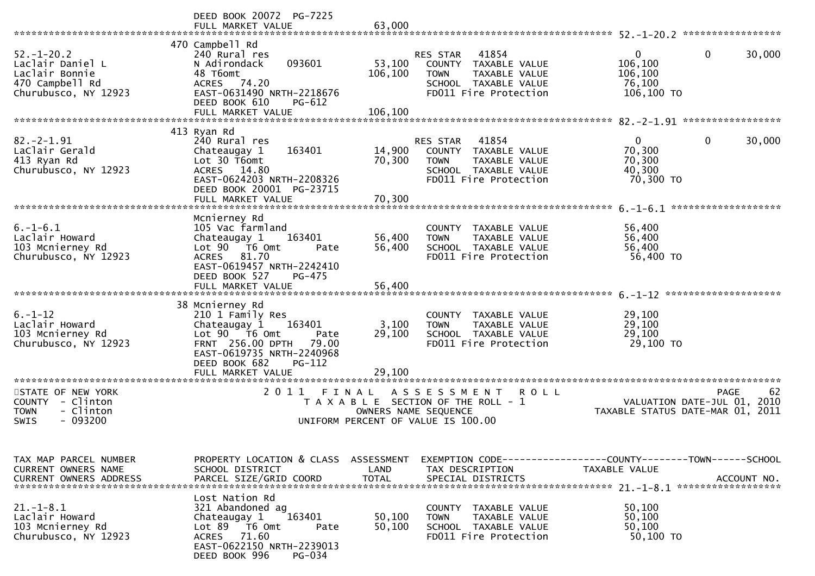|                                                                                                         | DEED BOOK 20072 PG-7225<br>FULL MARKET VALUE                                                                                                                                     | 63,000                                    |                                                                                                                               |                                                                                |             |
|---------------------------------------------------------------------------------------------------------|----------------------------------------------------------------------------------------------------------------------------------------------------------------------------------|-------------------------------------------|-------------------------------------------------------------------------------------------------------------------------------|--------------------------------------------------------------------------------|-------------|
| $52. - 1 - 20.2$<br>Laclair Daniel L<br>Laclair Bonnie<br>470 Campbell Rd<br>Churubusco, NY 12923       | 470 Campbell Rd<br>240 Rural res<br>093601<br>N Adirondack<br>48 T6omt<br>ACRES 74.20<br>EAST-0631490 NRTH-2218676<br>DEED BOOK 610<br>PG-612<br>FULL MARKET VALUE               | 53,100<br>106,100<br>106,100              | RES STAR<br>41854<br>COUNTY<br>TAXABLE VALUE<br><b>TOWN</b><br>TAXABLE VALUE<br>SCHOOL TAXABLE VALUE<br>FD011 Fire Protection | $\mathbf{0}$<br>0<br>106,100<br>106,100<br>76,100<br>106,100 TO                | 30,000      |
|                                                                                                         | 413 Ryan Rd                                                                                                                                                                      |                                           |                                                                                                                               |                                                                                |             |
| $82 - 2 - 1.91$<br>LaClair Gerald<br>413 Ryan Rd<br>Churubusco, NY 12923                                | 240 Rural res<br>163401<br>Chateaugay 1<br>Lot 30 T6omt<br>ACRES 14.80<br>EAST-0624203 NRTH-2208326<br>DEED BOOK 20001 PG-23715                                                  | 14,900<br>70,300                          | RES STAR<br>41854<br>COUNTY TAXABLE VALUE<br>TAXABLE VALUE<br><b>TOWN</b><br>SCHOOL TAXABLE VALUE<br>FD011 Fire Protection    | $\overline{0}$<br>0<br>70,300<br>70,300<br>40,300<br>70,300 TO                 | 30,000      |
| *******************************                                                                         | FULL MARKET VALUE                                                                                                                                                                | 70,300                                    |                                                                                                                               |                                                                                |             |
| $6. - 1 - 6.1$<br>Laclair Howard<br>103 Mcnierney Rd<br>Churubusco, NY 12923                            | Mcnierney Rd<br>105 Vac farmland<br>Chateaugay 1<br>163401<br>Lot 90  T6 0mt<br>Pate<br>81.70<br>ACRES<br>EAST-0619457 NRTH-2242410<br>DEED BOOK 527<br>PG-475                   | 56,400<br>56,400                          | COUNTY TAXABLE VALUE<br>TAXABLE VALUE<br><b>TOWN</b><br>SCHOOL TAXABLE VALUE<br>FD011 Fire Protection                         | 56,400<br>56,400<br>56,400<br>56,400 TO                                        |             |
|                                                                                                         | FULL MARKET VALUE                                                                                                                                                                | 56,400                                    |                                                                                                                               |                                                                                |             |
|                                                                                                         | 38 Mcnierney Rd                                                                                                                                                                  |                                           |                                                                                                                               |                                                                                |             |
| $6. - 1 - 12$<br>Laclair Howard<br>103 Mcnierney Rd<br>Churubusco, NY 12923                             | 210 1 Family Res<br>Chateaugay 1<br>163401<br>Lot 90 76 0<br>Pate<br>FRNT 256.00 DPTH<br>79.00<br>EAST-0619735 NRTH-2240968<br>DEED BOOK 682<br>PG-112                           | 3,100<br>29,100                           | COUNTY TAXABLE VALUE<br>TAXABLE VALUE<br><b>TOWN</b><br>SCHOOL TAXABLE VALUE<br>FD011 Fire Protection                         | 29,100<br>29,100<br>29,100<br>29,100 TO                                        |             |
|                                                                                                         | FULL MARKET VALUE<br>*********************                                                                                                                                       | 29,100                                    |                                                                                                                               |                                                                                |             |
| STATE OF NEW YORK<br>- Clinton<br><b>COUNTY</b><br>- Clinton<br><b>TOWN</b><br>$-093200$<br><b>SWIS</b> | 2 0 1 1                                                                                                                                                                          | FINAL<br>OWNERS NAME SEQUENCE             | A S S E S S M E N T<br><b>ROLL</b><br>T A X A B L E SECTION OF THE ROLL - 1<br>UNIFORM PERCENT OF VALUE IS 100.00             | PAGE<br>VALUATION DATE-JUL 01, 2010<br>TAXABLE STATUS DATE-MAR 01,             | 62<br>2011  |
| TAX MAP PARCEL NUMBER<br>CURRENT OWNERS NAME<br><b>CURRENT OWNERS ADDRESS</b>                           | PROPERTY LOCATION & CLASS<br>SCHOOL DISTRICT<br>PARCEL SIZE/GRID COORD                                                                                                           | <b>ASSESSMENT</b><br>LAND<br><b>TOTAL</b> | TAX DESCRIPTION<br>SPECIAL DISTRICTS                                                                                          | EXEMPTION CODE-----------------COUNTY--------TOWN------SCHOOL<br>TAXABLE VALUE | ACCOUNT NO. |
| $21.-1-8.1$<br>Laclair Howard<br>103 Mcnierney Rd<br>Churubusco, NY 12923                               | Lost Nation Rd<br>321 Abandoned ag<br>163401<br>Chateaugay 1<br>Lot 89<br>T6 Omt<br>Pate<br>71.60<br><b>ACRES</b><br>EAST-0622150 NRTH-2239013<br>DEED BOOK 996<br><b>PG-034</b> | 50,100<br>50,100                          | COUNTY TAXABLE VALUE<br>TAXABLE VALUE<br><b>TOWN</b><br>SCHOOL TAXABLE VALUE<br>FD011 Fire Protection                         | 50,100<br>50,100<br>50,100<br>50,100 TO                                        |             |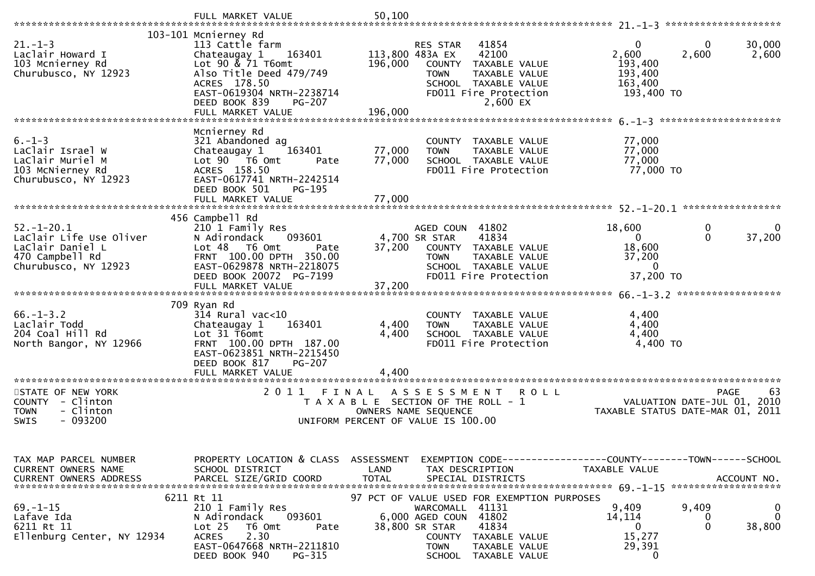|                                                                                                            | FULL MARKET VALUE                                                                                                                                                                      | 50,100                             |                                                                                                                                                                                                          |                                                                                 |                                                  |
|------------------------------------------------------------------------------------------------------------|----------------------------------------------------------------------------------------------------------------------------------------------------------------------------------------|------------------------------------|----------------------------------------------------------------------------------------------------------------------------------------------------------------------------------------------------------|---------------------------------------------------------------------------------|--------------------------------------------------|
|                                                                                                            | 103-101 Mcnierney Rd                                                                                                                                                                   |                                    |                                                                                                                                                                                                          |                                                                                 |                                                  |
| $21. - 1 - 3$<br>Laclair Howard I<br>103 Mcnierney Rd<br>Churubusco, NY 12923                              | 113 Cattle farm<br>Chateaugay 1<br>163401<br>Lot 90 & 71 T6omt<br>Also Title Deed 479/749<br>ACRES 178.50<br>EAST-0619304 NRTH-2238714<br>DEED BOOK 839<br>PG-207<br>FULL MARKET VALUE | 196,000<br>196,000                 | 41854<br><b>RES STAR</b><br>113,800 483A EX<br>42100<br>COUNTY<br>TAXABLE VALUE<br><b>TOWN</b><br>TAXABLE VALUE<br>SCHOOL TAXABLE VALUE<br>FD011 Fire Protection<br>2,600 EX                             | $\mathbf{0}$<br>2,600<br>2,600<br>193,400<br>193,400<br>163,400<br>193,400 TO   | 0<br>30,000<br>2,600                             |
|                                                                                                            |                                                                                                                                                                                        |                                    |                                                                                                                                                                                                          |                                                                                 |                                                  |
| $6. - 1 - 3$<br>LaClair Israel W<br>LaClair Muriel M<br>103 McNierney Rd<br>Churubusco, NY 12923           | Mcnierney Rd<br>321 Abandoned ag<br>Chateaugay 1<br>163401<br>Lot 90  T6 0mt<br>Pate<br>ACRES 158.50<br>EAST-0617741 NRTH-2242514<br>DEED BOOK 501<br>PG-195                           | 77,000<br>77,000                   | COUNTY TAXABLE VALUE<br><b>TOWN</b><br>TAXABLE VALUE<br>SCHOOL TAXABLE VALUE<br>FD011 Fire Protection                                                                                                    | 77,000<br>77,000<br>77,000<br>77,000 TO                                         |                                                  |
|                                                                                                            | FULL MARKET VALUE                                                                                                                                                                      | 77,000                             |                                                                                                                                                                                                          |                                                                                 |                                                  |
|                                                                                                            | 456 Campbell Rd                                                                                                                                                                        |                                    |                                                                                                                                                                                                          |                                                                                 |                                                  |
| $52. - 1 - 20.1$<br>LaClair Life Use Oliver<br>LaClair Daniel L<br>470 Campbell Rd<br>Churubusco, NY 12923 | 210 1 Family Res<br>N Adirondack<br>093601<br>Lot 48 T6 Omt<br>Pate<br>FRNT 100.00 DPTH 350.00<br>EAST-0629878 NRTH-2218075<br>DEED BOOK 20072 PG-7199                                 | 37,200                             | AGED COUN 41802<br>41834<br>4,700 SR STAR<br>COUNTY TAXABLE VALUE<br>TAXABLE VALUE<br><b>TOWN</b><br>SCHOOL TAXABLE VALUE<br>FD011 Fire Protection                                                       | 18,600<br>$\Omega$<br>18,600<br>37,200<br>$\Omega$<br>37,200 TO                 | 0<br>0<br>$\mathbf{0}$<br>37,200                 |
|                                                                                                            |                                                                                                                                                                                        |                                    |                                                                                                                                                                                                          |                                                                                 | ******************                               |
| $66. - 1 - 3.2$<br>Laclair Todd<br>204 Coal Hill Rd<br>North Bangor, NY 12966                              | 709 Ryan Rd<br>$314$ Rural vac<10<br>Chateaugay 1<br>163401<br>Lot 31 T6omt<br>FRNT 100.00 DPTH 187.00<br>EAST-0623851 NRTH-2215450<br>DEED BOOK 817<br>PG-207                         | 4,400<br>4,400                     | COUNTY<br>TAXABLE VALUE<br>TAXABLE VALUE<br><b>TOWN</b><br>SCHOOL TAXABLE VALUE<br>FD011 Fire Protection                                                                                                 | 4,400<br>4,400<br>4,400<br>4,400 TO                                             |                                                  |
| *********************                                                                                      | FULL MARKET VALUE<br>*********************                                                                                                                                             | 4,400                              |                                                                                                                                                                                                          |                                                                                 |                                                  |
| STATE OF NEW YORK<br>- Clinton<br><b>COUNTY</b><br>- Clinton<br><b>TOWN</b><br>$-093200$<br>SWIS           | 2011                                                                                                                                                                                   | FINAL                              | A S S E S S M E N T<br><b>ROLL</b><br>T A X A B L E SECTION OF THE ROLL - 1<br>OWNERS NAME SEQUENCE<br>UNIFORM PERCENT OF VALUE IS 100.00                                                                | TAXABLE STATUS DATE-MAR 01, 2011                                                | <b>PAGE</b><br>63<br>VALUATION DATE-JUL 01, 2010 |
| TAX MAP PARCEL NUMBER<br>CURRENT OWNERS NAME<br><b>CURRENT OWNERS ADDRESS</b>                              | PROPERTY LOCATION & CLASS<br>SCHOOL DISTRICT<br>PARCEL SIZE/GRID COORD                                                                                                                 | ASSESSMENT<br>LAND<br><b>TOTAL</b> | TAX DESCRIPTION<br>SPECIAL DISTRICTS                                                                                                                                                                     | EXEMPTION CODE------------------COUNTY--------TOWN------SCHOOL<br>TAXABLE VALUE | ACCOUNT NO.                                      |
| $69. - 1 - 15$<br>Lafave Ida<br>6211 Rt 11<br>Ellenburg Center, NY 12934                                   | 6211 Rt 11<br>210 1 Family Res<br>093601<br>N Adirondack<br>Lot <sub>25</sub><br>T6 Omt<br>Pate<br>2.30<br><b>ACRES</b><br>EAST-0647668 NRTH-2211810<br>DEED BOOK 940<br>PG-315        |                                    | 97 PCT OF VALUE USED FOR EXEMPTION PURPOSES<br>WARCOMALL 41131<br>6,000 AGED COUN<br>41802<br>41834<br>38,800 SR STAR<br>COUNTY<br>TAXABLE VALUE<br><b>TOWN</b><br>TAXABLE VALUE<br>SCHOOL TAXABLE VALUE | 9,409<br>9,409<br>14,114<br>0<br>15,277<br>29,391<br>0                          | 0<br>$\Omega$<br>0<br>$\mathbf 0$<br>38,800      |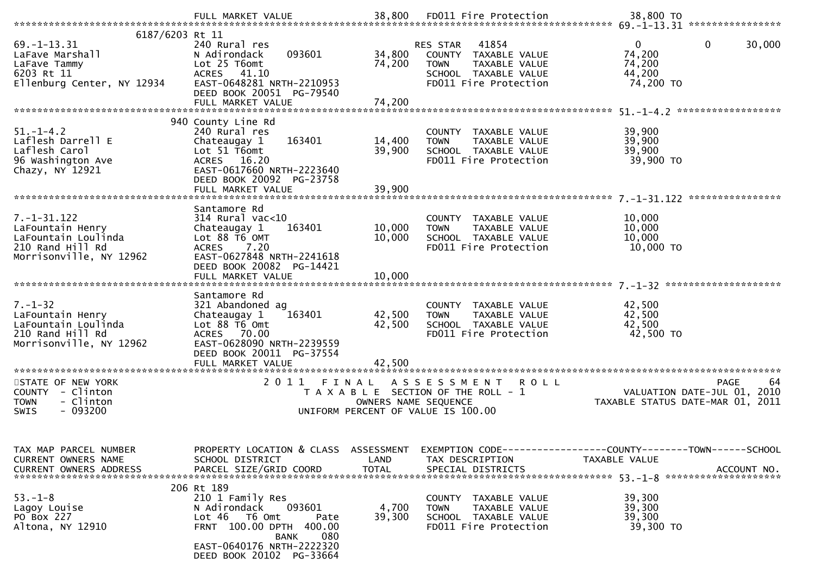| 6187/6203 Rt 11                                                                                             |                                                                                                                                                                                             |                            |                                                                                                                            |                                                                                              |
|-------------------------------------------------------------------------------------------------------------|---------------------------------------------------------------------------------------------------------------------------------------------------------------------------------------------|----------------------------|----------------------------------------------------------------------------------------------------------------------------|----------------------------------------------------------------------------------------------|
| $69. - 1 - 13.31$<br>LaFave Marshall<br>LaFave Tammy<br>6203 Rt 11<br>Ellenburg Center, NY 12934            | 240 Rural res<br>093601<br>N Adirondack<br>Lot 25 T6omt<br>ACRES 41.10<br>EAST-0648281 NRTH-2210953<br>DEED BOOK 20051 PG-79540                                                             | 34,800<br>74,200           | 41854<br>RES STAR<br>COUNTY TAXABLE VALUE<br>TAXABLE VALUE<br><b>TOWN</b><br>SCHOOL TAXABLE VALUE<br>FD011 Fire Protection | 0<br>$\mathbf{0}$<br>30,000<br>74,200<br>74,200<br>44,200<br>74,200 TO                       |
|                                                                                                             | 940 County Line Rd                                                                                                                                                                          |                            |                                                                                                                            |                                                                                              |
| $51. - 1 - 4.2$<br>Laflesh Darrell E<br>Laflesh Carol<br>96 Washington Ave<br>Chazy, NY 12921               | 240 Rural res<br>163401<br>Chateaugay 1<br>Lot 51 T6omt<br>ACRES 16.20<br>EAST-0617660 NRTH-2223640<br>DEED BOOK 20092 PG-23758                                                             | 14,400<br>39,900           | COUNTY TAXABLE VALUE<br><b>TOWN</b><br>TAXABLE VALUE<br>SCHOOL TAXABLE VALUE<br>FD011 Fire Protection                      | 39,900<br>39,900<br>39,900<br>39,900 TO                                                      |
|                                                                                                             |                                                                                                                                                                                             |                            |                                                                                                                            |                                                                                              |
| $7. - 1 - 31.122$<br>LaFountain Henry<br>LaFountain Loulinda<br>210 Rand Hill Rd<br>Morrisonville, NY 12962 | Santamore Rd<br>$314$ Rural vac<10<br>163401<br>Chateaugay 1<br>Lot 88 T6 OMT<br><b>ACRES</b><br>7.20<br>EAST-0627848 NRTH-2241618<br>DEED BOOK 20082 PG-14421<br>FULL MARKET VALUE         | 10,000<br>10,000<br>10,000 | COUNTY TAXABLE VALUE<br>TAXABLE VALUE<br><b>TOWN</b><br>SCHOOL TAXABLE VALUE<br>FD011 Fire Protection                      | 10,000<br>10,000<br>10,000<br>10,000 TO                                                      |
|                                                                                                             | Santamore Rd                                                                                                                                                                                |                            |                                                                                                                            |                                                                                              |
| $7. - 1 - 32$<br>LaFountain Henry<br>LaFountain Loulinda<br>210 Rand Hill Rd<br>Morrisonville, NY 12962     | 321 Abandoned ag<br>Chateaugay 1<br>163401<br>Lot 88 T6 Omt<br>ACRES 70.00<br>EAST-0628090 NRTH-2239559<br>DEED BOOK 20011 PG-37554                                                         | 42,500<br>42,500           | COUNTY TAXABLE VALUE<br>TAXABLE VALUE<br><b>TOWN</b><br>SCHOOL TAXABLE VALUE<br>FD011 Fire Protection                      | 42,500<br>42,500<br>42,500<br>42,500 TO                                                      |
| STATE OF NEW YORK                                                                                           | 2011<br>FINAL                                                                                                                                                                               |                            | ASSESSMENT ROLL                                                                                                            | 64<br><b>PAGE</b>                                                                            |
| COUNTY - Clinton<br>- Clinton<br><b>TOWN</b><br>$-093200$<br><b>SWIS</b>                                    |                                                                                                                                                                                             | OWNERS NAME SEQUENCE       | T A X A B L E SECTION OF THE ROLL - 1<br>UNIFORM PERCENT OF VALUE IS 100.00                                                | VALUATION DATE-JUL 01, 2010<br>TAXABLE STATUS DATE-MAR 01, 2011                              |
| TAX MAP PARCEL NUMBER<br>CURRENT OWNERS NAME<br><b>CURRENT OWNERS ADDRESS</b>                               | PROPERTY LOCATION & CLASS ASSESSMENT<br>SCHOOL DISTRICT<br>PARCEL SIZE/GRID COORD                                                                                                           | LAND<br><b>TOTAL</b>       | TAX DESCRIPTION<br>SPECIAL DISTRICTS                                                                                       | EXEMPTION CODE-----------------COUNTY-------TOWN------SCHOOL<br>TAXABLE VALUE<br>ACCOUNT NO. |
| $53. - 1 - 8$<br>Lagoy Louise<br>PO Box 227<br>Altona, NY 12910                                             | 206 Rt 189<br>210 1 Family Res<br>N Adirondack<br>093601<br>Lot 46 T6 Omt<br>Pate<br>FRNT 100.00 DPTH 400.00<br>080<br><b>BANK</b><br>EAST-0640176 NRTH-2222320<br>DEED BOOK 20102 PG-33664 | 4,700<br>39,300            | COUNTY TAXABLE VALUE<br><b>TOWN</b><br>TAXABLE VALUE<br>SCHOOL TAXABLE VALUE<br>FD011 Fire Protection                      | 39,300<br>39,300<br>39,300<br>39,300 TO                                                      |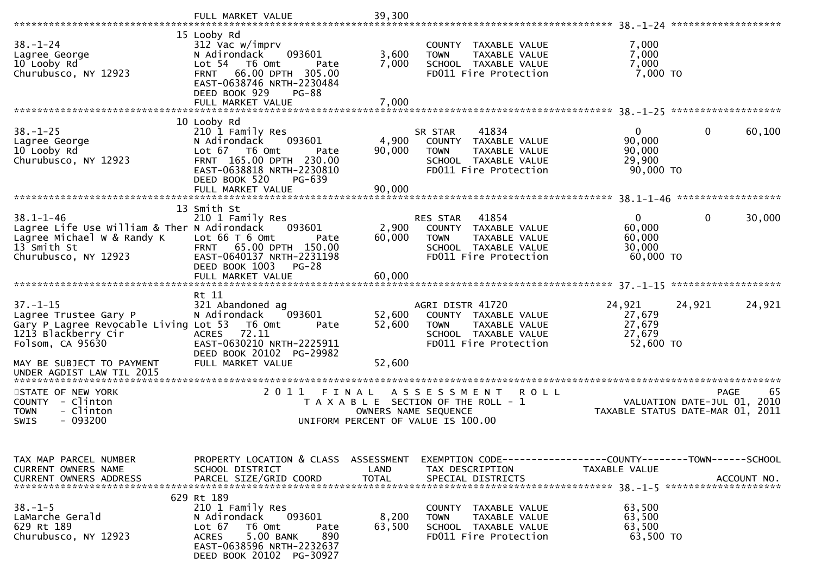|                                                                                                                                                          | FULL MARKET VALUE                                                                                                                                                                                                      | 39,300                        |                                                                                                                                      |                                                           |                                                                                      |
|----------------------------------------------------------------------------------------------------------------------------------------------------------|------------------------------------------------------------------------------------------------------------------------------------------------------------------------------------------------------------------------|-------------------------------|--------------------------------------------------------------------------------------------------------------------------------------|-----------------------------------------------------------|--------------------------------------------------------------------------------------|
| $38. - 1 - 24$<br>Lagree George<br>10 Looby Rd<br>Churubusco, NY 12923                                                                                   | 15 Looby Rd<br>312 Vac w/imprv<br>N Adirondack<br>093601<br>Lot <sub>54</sub><br>T6 Omt<br>Pate<br>66.00 DPTH 305.00<br><b>FRNT</b><br>EAST-0638746 NRTH-2230484<br>DEED BOOK 929<br><b>PG-88</b><br>FULL MARKET VALUE | 3,600<br>7,000<br>7,000       | COUNTY<br>TAXABLE VALUE<br>TAXABLE VALUE<br><b>TOWN</b><br>SCHOOL TAXABLE VALUE<br>FD011 Fire Protection                             | 7,000<br>7,000<br>7,000<br>$7,000$ TO                     |                                                                                      |
|                                                                                                                                                          |                                                                                                                                                                                                                        |                               |                                                                                                                                      |                                                           |                                                                                      |
| $38. - 1 - 25$<br>Lagree George<br>10 Looby Rd<br>Churubusco, NY 12923                                                                                   | 10 Looby Rd<br>210 1 Family Res<br>093601<br>N Adirondack<br>Lot $67$ T6 Omt<br>Pate<br>FRNT 165.00 DPTH 230.00<br>EAST-0638818 NRTH-2230810<br>DEED BOOK 520<br>PG-639                                                | 4,900<br>90,000               | SR STAR<br>41834<br>COUNTY<br>TAXABLE VALUE<br>TAXABLE VALUE<br><b>TOWN</b><br>SCHOOL TAXABLE VALUE<br>FD011 Fire Protection         | $\overline{0}$<br>90,000<br>90,000<br>29,900<br>90,000 TO | 0<br>60,100                                                                          |
|                                                                                                                                                          | FULL MARKET VALUE                                                                                                                                                                                                      | 90,000                        |                                                                                                                                      |                                                           | ******************                                                                   |
| $38.1 - 1 - 46$<br>Lagree Life Use William & Ther N Adirondack<br>Lagree Michael W & Randy K<br>13 <sup>Smith</sup> St<br>Churubusco, NY 12923           | 13 Smith St<br>210 1 Family Res<br>093601<br>Lot $66T6$ Omt<br>Pate<br>FRNT 65.00 DPTH 150.00<br>EAST-0640137 NRTH-2231198<br>DEED BOOK 1003<br>$PG-28$<br>FULL MARKET VALUE                                           | 2,900<br>60,000<br>60,000     | 41854<br><b>RES STAR</b><br>COUNTY<br>TAXABLE VALUE<br><b>TOWN</b><br>TAXABLE VALUE<br>SCHOOL TAXABLE VALUE<br>FD011 Fire Protection | $\Omega$<br>60,000<br>60,000<br>30,000<br>60,000 TO       | 0<br>30,000                                                                          |
|                                                                                                                                                          |                                                                                                                                                                                                                        |                               |                                                                                                                                      |                                                           |                                                                                      |
| $37. - 1 - 15$<br>Lagree Trustee Gary P<br>Gary P Lagree Revocable Living Lot 53<br>1213 Blackberry Cir<br>Folsom, CA 95630<br>MAY BE SUBJECT TO PAYMENT | Rt 11<br>321 Abandoned ag<br>093601<br>N Adirondack<br>T6 Omt<br>Pate<br>72.11<br><b>ACRES</b><br>EAST-0630210 NRTH-2225911<br>DEED BOOK 20102 PG-29982<br>FULL MARKET VALUE                                           | 52,600<br>52,600<br>52,600    | AGRI DISTR 41720<br>COUNTY TAXABLE VALUE<br>TAXABLE VALUE<br><b>TOWN</b><br>SCHOOL TAXABLE VALUE<br>FD011 Fire Protection            | 24,921<br>27,679<br>27,679<br>27,679<br>52,600 TO         | 24,921<br>24,921                                                                     |
| UNDER AGDIST LAW TIL 2015                                                                                                                                |                                                                                                                                                                                                                        |                               |                                                                                                                                      |                                                           |                                                                                      |
| STATE OF NEW YORK<br>- Clinton<br><b>COUNTY</b><br>- Clinton<br><b>TOWN</b><br>$-093200$<br><b>SWIS</b>                                                  | 2011                                                                                                                                                                                                                   | FINAL<br>OWNERS NAME SEQUENCE | ASSESSMENT<br><b>ROLL</b><br>T A X A B L E SECTION OF THE ROLL - 1<br>UNIFORM PERCENT OF VALUE IS 100.00                             |                                                           | <b>PAGE</b><br>65<br>VALUATION DATE-JUL 01, 2010<br>TAXABLE STATUS DATE-MAR 01, 2011 |
| TAX MAP PARCEL NUMBER<br>CURRENT OWNERS NAME<br><b>CURRENT OWNERS ADDRESS</b>                                                                            | PROPERTY LOCATION & CLASS ASSESSMENT<br>SCHOOL DISTRICT<br>PARCEL SIZE/GRID COORD                                                                                                                                      | LAND<br><b>TOTAL</b>          | EXEMPTION CODE------------------COUNTY--------TOWN------SCHOOL<br>TAX DESCRIPTION<br>SPECIAL DISTRICTS                               | TAXABLE VALUE                                             | ACCOUNT NO.                                                                          |
| $38. - 1 - 5$<br>LaMarche Gerald<br>629 Rt 189<br>Churubusco, NY 12923                                                                                   | 629 Rt 189<br>210 1 Family Res<br>093601<br>N Adirondack<br>Lot $67$<br>T6 Omt<br>Pate<br>5.00 BANK<br>890<br><b>ACRES</b><br>EAST-0638596 NRTH-2232637<br>DEED BOOK 20102 PG-30927                                    | 8,200<br>63,500               | COUNTY TAXABLE VALUE<br><b>TOWN</b><br>TAXABLE VALUE<br>SCHOOL TAXABLE VALUE<br>FD011 Fire Protection                                | 63,500<br>63,500<br>63,500<br>63,500 TO                   |                                                                                      |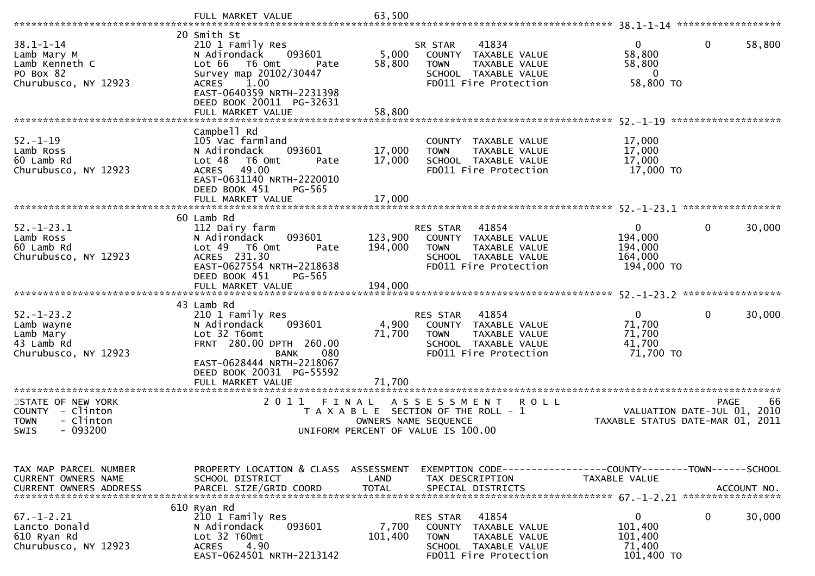|                                                                                                                        | FULL MARKET VALUE                                                                                                                                                                                                     | 63,500                             |                                                                                                                               |                                                         |                                                   |
|------------------------------------------------------------------------------------------------------------------------|-----------------------------------------------------------------------------------------------------------------------------------------------------------------------------------------------------------------------|------------------------------------|-------------------------------------------------------------------------------------------------------------------------------|---------------------------------------------------------|---------------------------------------------------|
| $38.1 - 1 - 14$<br>Lamb Mary M<br>Lamb Kenneth C<br>PO Box 82<br>Churubusco, NY 12923                                  | 20 Smith St<br>210 1 Family Res<br>093601<br>N Adirondack<br>Lot 66<br>T6 Omt<br>Pate<br>Survey map 20102/30447<br>1.00<br><b>ACRES</b><br>EAST-0640359 NRTH-2231398<br>DEED BOOK 20011 PG-32631<br>FULL MARKET VALUE | 5,000<br>58,800<br>58,800          | 41834<br>SR STAR<br>COUNTY<br>TAXABLE VALUE<br><b>TOWN</b><br>TAXABLE VALUE<br>SCHOOL TAXABLE VALUE<br>FD011 Fire Protection  | 0<br>58,800<br>58,800<br>0<br>58,800 TO                 | 0<br>58,800                                       |
|                                                                                                                        | Campbell Rd                                                                                                                                                                                                           |                                    |                                                                                                                               |                                                         | *******************                               |
| $52. - 1 - 19$<br>Lamb Ross<br>60 Lamb Rd<br>Churubusco, NY 12923                                                      | 105 Vac farmland<br>093601<br>N Adirondack<br>Lot 48<br>T6 Omt<br>Pate<br>49.00<br><b>ACRES</b><br>EAST-0631140 NRTH-2220010<br>DEED BOOK 451<br>PG-565                                                               | 17,000<br>17,000                   | COUNTY TAXABLE VALUE<br>TAXABLE VALUE<br><b>TOWN</b><br>SCHOOL TAXABLE VALUE<br>FD011 Fire Protection                         | 17,000<br>17,000<br>17,000<br>17,000 TO                 |                                                   |
|                                                                                                                        | FULL MARKET VALUE                                                                                                                                                                                                     | 17,000                             |                                                                                                                               |                                                         | *****************                                 |
| $52. - 1 - 23.1$<br>Lamb Ross<br>60 Lamb Rd<br>Churubusco, NY 12923                                                    | 60 Lamb Rd<br>112 Dairy farm<br>093601<br>N Adirondack<br>Lot 49<br>T6 Omt<br>Pate<br>ACRES 231.30<br>EAST-0627554 NRTH-2218638                                                                                       | 123,900<br>194,000                 | RES STAR<br>41854<br>COUNTY<br>TAXABLE VALUE<br><b>TOWN</b><br>TAXABLE VALUE<br>SCHOOL TAXABLE VALUE<br>FD011 Fire Protection | 0<br>194,000<br>194,000<br>164,000<br>194,000 TO        | 0<br>30,000                                       |
|                                                                                                                        | DEED BOOK 451<br>PG-565                                                                                                                                                                                               |                                    |                                                                                                                               |                                                         |                                                   |
|                                                                                                                        | FULL MARKET VALUE                                                                                                                                                                                                     | 194,000                            |                                                                                                                               |                                                         |                                                   |
|                                                                                                                        |                                                                                                                                                                                                                       |                                    |                                                                                                                               |                                                         |                                                   |
| $52. - 1 - 23.2$<br>Lamb Wayne<br>Lamb Mary<br>43 Lamb Rd<br>Churubusco, NY 12923                                      | 43 Lamb Rd<br>210 1 Family Res<br>093601<br>N Adirondack<br>Lot 32 T6omt<br>FRNT 280.00 DPTH 260.00<br>080<br><b>BANK</b><br>EAST-0628444 NRTH-2218067                                                                | 4,900<br>71,700                    | RES STAR<br>41854<br>TAXABLE VALUE<br>COUNTY<br><b>TOWN</b><br>TAXABLE VALUE<br>SCHOOL TAXABLE VALUE<br>FD011 Fire Protection | $\mathbf{0}$<br>71,700<br>71,700<br>41,700<br>71,700 TO | $\mathbf{0}$<br>30,000                            |
|                                                                                                                        | DEED BOOK 20031 PG-55592<br>FULL MARKET VALUE                                                                                                                                                                         | 71.700                             |                                                                                                                               |                                                         |                                                   |
| *********************<br>STATE OF NEW YORK<br>COUNTY - Clinton<br>- Clinton<br><b>TOWN</b><br>$-093200$<br><b>SWIS</b> | *********************************<br>2011<br>FINAL                                                                                                                                                                    | OWNERS NAME SEQUENCE               | ASSESSMENT<br><b>ROLL</b><br>T A X A B L E SECTION OF THE ROLL - 1<br>UNIFORM PERCENT OF VALUE IS 100.00                      | TAXABLE STATUS DATE-MAR 01, 2011                        | -66<br><b>PAGE</b><br>VALUATION DATE-JUL 01, 2010 |
|                                                                                                                        |                                                                                                                                                                                                                       |                                    |                                                                                                                               |                                                         |                                                   |
| TAX MAP PARCEL NUMBER<br><b>CURRENT OWNERS NAME</b><br><b>CURRENT OWNERS ADDRESS</b>                                   | PROPERTY LOCATION & CLASS<br>SCHOOL DISTRICT<br>PARCEL SIZE/GRID COORD                                                                                                                                                | ASSESSMENT<br>LAND<br><b>TOTAL</b> | TAX DESCRIPTION<br>SPECIAL DISTRICTS                                                                                          | TAXABLE VALUE                                           | ACCOUNT NO.                                       |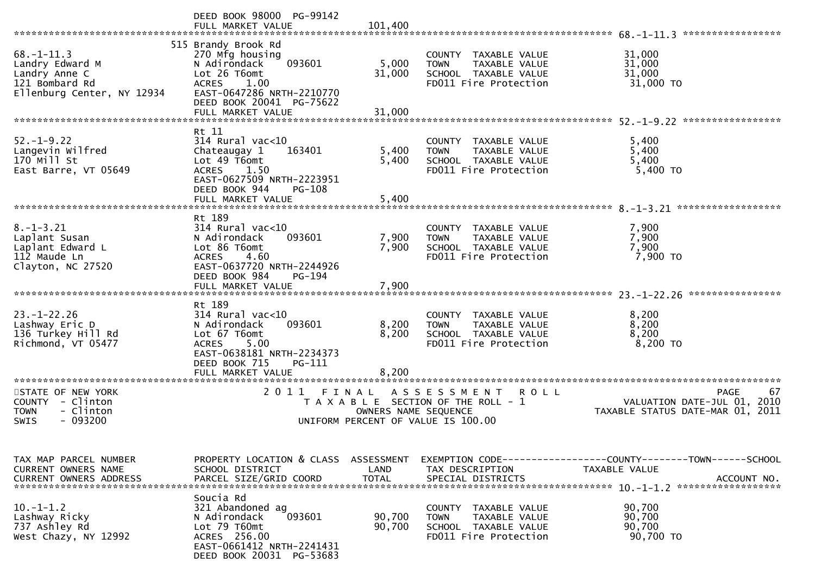|                                                                                                      | DEED BOOK 98000 PG-99142<br>FULL MARKET VALUE                                                                                                                                          | 101,400                   |                                                                                                               | *****************                                               |
|------------------------------------------------------------------------------------------------------|----------------------------------------------------------------------------------------------------------------------------------------------------------------------------------------|---------------------------|---------------------------------------------------------------------------------------------------------------|-----------------------------------------------------------------|
| $68. - 1 - 11.3$<br>Landry Edward M<br>Landry Anne C<br>121 Bombard Rd<br>Ellenburg Center, NY 12934 | 515 Brandy Brook Rd<br>270 Mfg housing<br>093601<br>N Adirondack<br>Lot 26 T6omt<br><b>ACRES</b><br>1.00<br>EAST-0647286 NRTH-2210770<br>DEED BOOK 20041 PG-75622<br>FULL MARKET VALUE | 5,000<br>31,000<br>31,000 | COUNTY TAXABLE VALUE<br>TAXABLE VALUE<br><b>TOWN</b><br>SCHOOL TAXABLE VALUE<br>FD011 Fire Protection         | 31,000<br>31,000<br>31,000<br>31,000 TO                         |
|                                                                                                      |                                                                                                                                                                                        |                           |                                                                                                               |                                                                 |
| $52. - 1 - 9.22$<br>Langevin Wilfred<br>170 Mill St<br>East Barre, VT 05649                          | Rt 11<br>$314$ Rural vac<10<br>Chateaugay 1<br>163401<br>Lot 49 T6omt<br><b>ACRES</b><br>1.50<br>EAST-0627509 NRTH-2223951<br>DEED BOOK 944<br>PG-108                                  | 5,400<br>5,400            | COUNTY TAXABLE VALUE<br>TAXABLE VALUE<br><b>TOWN</b><br>SCHOOL TAXABLE VALUE<br>FD011 Fire Protection         | 5,400<br>5,400<br>5,400<br>5,400 TO                             |
|                                                                                                      | FULL MARKET VALUE                                                                                                                                                                      | 5,400                     |                                                                                                               |                                                                 |
|                                                                                                      |                                                                                                                                                                                        |                           |                                                                                                               |                                                                 |
| $8. - 1 - 3.21$<br>Laplant Susan<br>Laplant Edward L<br>112 Maude Ln<br>Clayton, NC 27520            | Rt 189<br>$314$ Rural vac<10<br>093601<br>N Adirondack<br>Lot 86 T6omt<br>4.60<br><b>ACRES</b><br>EAST-0637720 NRTH-2244926                                                            | 7,900<br>7,900            | COUNTY TAXABLE VALUE<br>TAXABLE VALUE<br><b>TOWN</b><br>SCHOOL TAXABLE VALUE<br>FD011 Fire Protection         | 7,900<br>7,900<br>7,900<br>7,900 TO                             |
|                                                                                                      | DEED BOOK 984<br>$PG-194$                                                                                                                                                              |                           |                                                                                                               |                                                                 |
|                                                                                                      | FULL MARKET VALUE                                                                                                                                                                      | 7,900                     |                                                                                                               |                                                                 |
|                                                                                                      | Rt 189                                                                                                                                                                                 |                           |                                                                                                               |                                                                 |
| $23. - 1 - 22.26$<br>Lashway Eric D<br>136 Turkey Hill Rd<br>Richmond, VT 05477                      | 314 Rural vac<10<br>093601<br>N Adirondack<br>Lot 67 T6omt<br>5.00<br><b>ACRES</b><br>EAST-0638181 NRTH-2234373<br>DEED BOOK 715<br>PG-111<br>FULL MARKET VALUE                        | 8,200<br>8,200<br>8.200   | COUNTY TAXABLE VALUE<br><b>TOWN</b><br>TAXABLE VALUE<br>SCHOOL TAXABLE VALUE<br>FD011 Fire Protection         | 8,200<br>8,200<br>8,200<br>8,200 TO                             |
| *********************<br>STATE OF NEW YORK                                                           | ***********************<br>2011                                                                                                                                                        |                           |                                                                                                               | <b>PAGE</b><br>67                                               |
| COUNTY - Clinton<br>- Clinton<br><b>TOWN</b><br>$-093200$<br>SWIS                                    | FINAL                                                                                                                                                                                  | OWNERS NAME SEQUENCE      | A S S E S S M E N T<br>R O L L<br>T A X A B L E SECTION OF THE ROLL - 1<br>UNIFORM PERCENT OF VALUE IS 100.00 | VALUATION DATE-JUL 01, 2010<br>TAXABLE STATUS DATE-MAR 01, 2011 |
| TAX MAP PARCEL NUMBER<br>CURRENT OWNERS NAME                                                         | PROPERTY LOCATION & CLASS<br>SCHOOL DISTRICT                                                                                                                                           | ASSESSMENT<br>LAND        | TAX DESCRIPTION                                                                                               | TAXABLE VALUE                                                   |
| <b>CURRENT OWNERS ADDRESS</b>                                                                        | PARCEL SIZE/GRID COORD                                                                                                                                                                 | <b>TOTAL</b>              | SPECIAL DISTRICTS                                                                                             | ACCOUNT NO.                                                     |
| $10. -1 - 1.2$<br>Lashway Ricky<br>737 Ashley Rd<br>West Chazy, NY 12992                             | Soucia Rd<br>321 Abandoned ag<br>093601<br>N Adirondack<br>Lot 79 T60mt<br>ACRES 256.00<br>EAST-0661412 NRTH-2241431                                                                   | 90,700<br>90,700          | COUNTY TAXABLE VALUE<br><b>TOWN</b><br>TAXABLE VALUE<br>SCHOOL TAXABLE VALUE<br>FD011 Fire Protection         | 90,700<br>90,700<br>90,700<br>90,700 TO                         |
|                                                                                                      | DEED BOOK 20031 PG-53683                                                                                                                                                               |                           |                                                                                                               |                                                                 |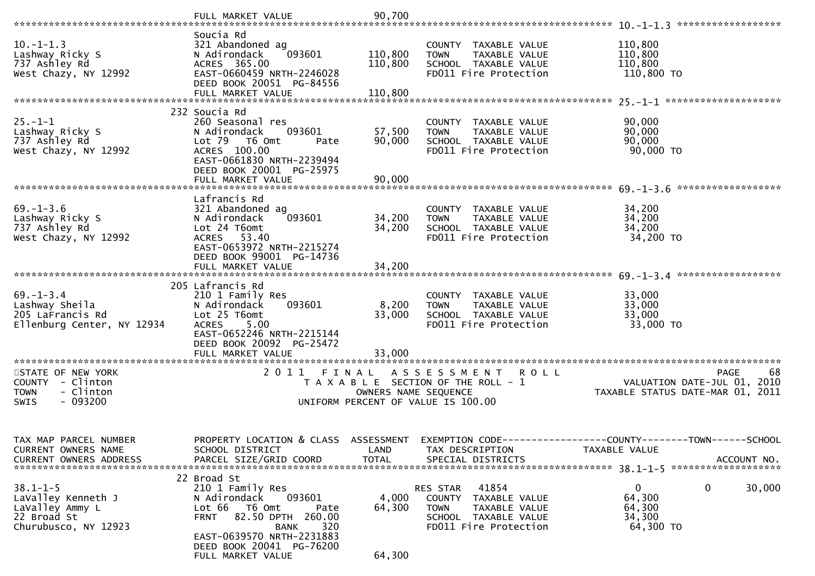| $10. -1 - 1.3$<br>Lashway Ricky S<br>737 Ashley Rd<br>West Chazy, NY 12992                     | Soucia Rd<br>321 Abandoned ag<br>093601<br>N Adirondack<br>ACRES 365.00<br>EAST-0660459 NRTH-2246028<br>DEED BOOK 20051 PG-84556<br>FULL MARKET VALUE                                                                         | 110,800<br>110,800<br>110,800 | COUNTY TAXABLE VALUE<br><b>TOWN</b><br>TAXABLE VALUE<br>SCHOOL TAXABLE VALUE<br>FD011 Fire Protection                                | 110,800<br>110,800<br>110,800<br>110,800 TO                                                  |
|------------------------------------------------------------------------------------------------|-------------------------------------------------------------------------------------------------------------------------------------------------------------------------------------------------------------------------------|-------------------------------|--------------------------------------------------------------------------------------------------------------------------------------|----------------------------------------------------------------------------------------------|
|                                                                                                |                                                                                                                                                                                                                               |                               |                                                                                                                                      |                                                                                              |
| $25. - 1 - 1$<br>Lashway Ricky S<br>737 Ashley Rd<br>West Chazy, NY 12992                      | 232 Soucia Rd<br>260 Seasonal res<br>N Adirondack<br>093601<br>Lot 79  T6 0mt<br>Pate<br>ACRES 100.00<br>EAST-0661830 NRTH-2239494<br>DEED BOOK 20001 PG-25975                                                                | 57,500<br>90,000              | COUNTY TAXABLE VALUE<br><b>TOWN</b><br>TAXABLE VALUE<br>SCHOOL TAXABLE VALUE<br>FD011 Fire Protection                                | 90,000<br>90,000<br>90,000<br>90,000 TO                                                      |
|                                                                                                |                                                                                                                                                                                                                               |                               |                                                                                                                                      |                                                                                              |
| $69. - 1 - 3.6$<br>Lashway Ricky S<br>737 Ashley Rd<br>West Chazy, NY 12992                    | Lafrancis Rd<br>321 Abandoned ag<br>093601<br>N Adirondack<br>Lot 24 T6omt<br>ACRES 53.40<br>EAST-0653972 NRTH-2215274                                                                                                        | 34,200<br>34,200              | COUNTY TAXABLE VALUE<br><b>TOWN</b><br>TAXABLE VALUE<br>SCHOOL TAXABLE VALUE<br>FD011 Fire Protection                                | 34,200<br>34,200<br>34,200<br>34,200 TO                                                      |
|                                                                                                | DEED BOOK 99001 PG-14736                                                                                                                                                                                                      |                               |                                                                                                                                      |                                                                                              |
| $69. - 1 - 3.4$<br>Lashway Sheila<br>205 LaFrancis Rd<br>Ellenburg Center, NY 12934            | 205 Lafrancis Rd<br>210 1 Family Res<br>N Adirondack<br>093601<br>Lot 25 T6omt<br><b>ACRES</b><br>5.00<br>EAST-0652246 NRTH-2215144<br>DEED BOOK 20092 PG-25472                                                               | 8,200<br>33,000               | COUNTY TAXABLE VALUE<br>TAXABLE VALUE<br><b>TOWN</b><br>SCHOOL TAXABLE VALUE<br>FD011 Fire Protection                                | 33,000<br>33,000<br>33,000<br>33,000 TO                                                      |
|                                                                                                |                                                                                                                                                                                                                               |                               |                                                                                                                                      |                                                                                              |
| STATE OF NEW YORK<br>COUNTY - Clinton<br>- Clinton<br><b>TOWN</b><br><b>SWIS</b><br>$-093200$  | 2011 FINAL                                                                                                                                                                                                                    | OWNERS NAME SEQUENCE          | A S S E S S M E N T<br><b>ROLL</b><br>T A X A B L E SECTION OF THE ROLL - 1<br>UNIFORM PERCENT OF VALUE IS 100.00                    | 68<br><b>PAGE</b><br>VALUATION DATE-JUL 01, 2010<br>TAXABLE STATUS DATE-MAR 01, 2011         |
| TAX MAP PARCEL NUMBER<br>CURRENT OWNERS NAME<br><b>CURRENT OWNERS ADDRESS</b>                  | PROPERTY LOCATION & CLASS ASSESSMENT<br>SCHOOL DISTRICT<br>PARCEL SIZE/GRID COORD                                                                                                                                             | LAND<br><b>TOTAL</b>          | TAX DESCRIPTION<br>SPECIAL DISTRICTS                                                                                                 | EXEMPTION CODE-----------------COUNTY-------TOWN------SCHOOL<br>TAXABLE VALUE<br>ACCOUNT NO. |
| $38.1 - 1 - 5$<br>LaValley Kenneth J<br>LaValley Ammy L<br>22 Broad St<br>Churubusco, NY 12923 | 22 Broad St<br>210 1 Family Res<br>N Adirondack<br>093601<br>Lot 66<br>T6 Omt<br>Pate<br>82.50 DPTH 260.00<br><b>FRNT</b><br>320<br><b>BANK</b><br>EAST-0639570 NRTH-2231883<br>DEED BOOK 20041 PG-76200<br>FULL MARKET VALUE | 4,000<br>64,300<br>64,300     | 41854<br>RES STAR<br><b>COUNTY</b><br>TAXABLE VALUE<br><b>TOWN</b><br>TAXABLE VALUE<br>SCHOOL TAXABLE VALUE<br>FD011 Fire Protection | 0<br>0<br>30,000<br>64,300<br>64,300<br>34,300<br>64,300 TO                                  |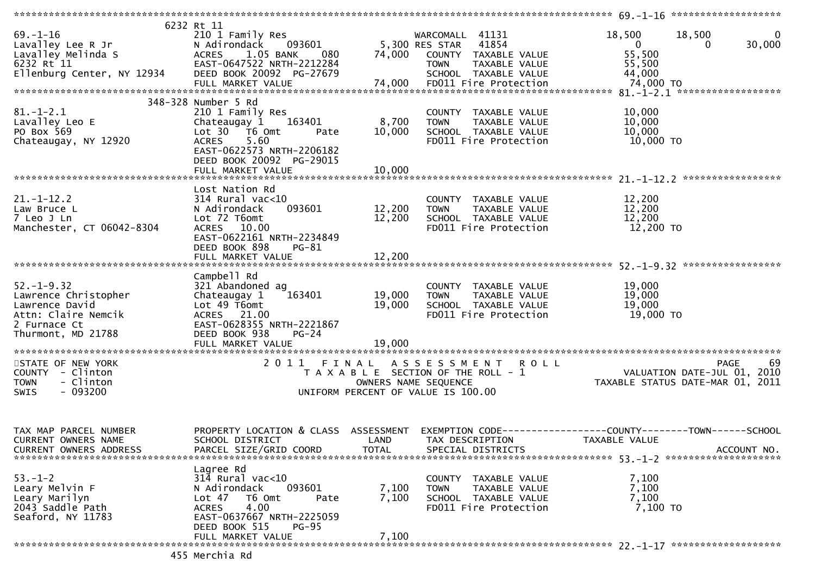| $69. - 1 - 16$<br>Lavalley Lee R Jr                 | 6232 Rt 11<br>210 1 Family Res<br>093601<br>N Adirondack |                                       | WARCOMALL 41131<br>5,300 RES STAR | 41854                                 | 18,500<br>$\mathbf{0}$                                         | 18,500<br>0 | 0<br>30,000 |
|-----------------------------------------------------|----------------------------------------------------------|---------------------------------------|-----------------------------------|---------------------------------------|----------------------------------------------------------------|-------------|-------------|
| Lavalley Melinda S                                  | 1.05 BANK<br><b>ACRES</b><br>080                         | 74,000                                |                                   | COUNTY TAXABLE VALUE                  | 55,500                                                         |             |             |
| 6232 Rt 11                                          | EAST-0647522 NRTH-2212284                                |                                       | <b>TOWN</b>                       | TAXABLE VALUE                         | 55,500                                                         |             |             |
| Ellenburg Center, NY 12934                          | DEED BOOK 20092 PG-27679                                 |                                       |                                   | SCHOOL TAXABLE VALUE                  | 44,000                                                         |             |             |
|                                                     |                                                          |                                       |                                   |                                       |                                                                |             |             |
|                                                     |                                                          |                                       |                                   |                                       |                                                                |             |             |
|                                                     | 348-328 Number 5 Rd                                      |                                       |                                   |                                       |                                                                |             |             |
| $81. - 1 - 2.1$<br>Lavalley Leo E                   | 210 1 Family Res<br>163401<br>Chateaugay 1               | 8,700                                 | <b>TOWN</b>                       | COUNTY TAXABLE VALUE<br>TAXABLE VALUE | 10,000<br>10,000                                               |             |             |
| PO Box 569                                          | Lot 30 T6 Omt<br>Pate                                    | 10,000                                |                                   | SCHOOL TAXABLE VALUE                  | 10,000                                                         |             |             |
| Chateaugay, NY 12920                                | <b>ACRES</b><br>5.60                                     |                                       |                                   | FD011 Fire Protection                 | 10,000 TO                                                      |             |             |
|                                                     | EAST-0622573 NRTH-2206182                                |                                       |                                   |                                       |                                                                |             |             |
|                                                     | DEED BOOK 20092 PG-29015                                 |                                       |                                   |                                       |                                                                |             |             |
|                                                     |                                                          |                                       |                                   |                                       |                                                                |             |             |
|                                                     |                                                          |                                       |                                   |                                       |                                                                |             |             |
|                                                     | Lost Nation Rd                                           |                                       |                                   |                                       |                                                                |             |             |
| $21. - 1 - 12.2$<br>Law Bruce L                     | $314$ Rural vac<10<br>093601<br>N Adirondack             | 12,200                                | <b>TOWN</b>                       | COUNTY TAXABLE VALUE<br>TAXABLE VALUE | 12,200<br>12,200                                               |             |             |
| 7 Leo J Ln                                          | Lot 72 T6omt                                             | 12,200                                |                                   | SCHOOL TAXABLE VALUE                  | 12,200                                                         |             |             |
| Manchester, CT 06042-8304                           | ACRES 10.00                                              |                                       |                                   | FD011 Fire Protection                 | 12,200 TO                                                      |             |             |
|                                                     | EAST-0622161 NRTH-2234849                                |                                       |                                   |                                       |                                                                |             |             |
|                                                     | DEED BOOK 898<br>$PG-81$                                 |                                       |                                   |                                       |                                                                |             |             |
|                                                     | FULL MARKET VALUE                                        | 12,200                                |                                   |                                       |                                                                |             |             |
|                                                     |                                                          |                                       |                                   |                                       |                                                                |             |             |
| $52. - 1 - 9.32$                                    | Campbell Rd<br>321 Abandoned ag                          |                                       |                                   | COUNTY TAXABLE VALUE                  | 19,000                                                         |             |             |
| Lawrence Christopher                                | 163401<br>Chateaugay 1                                   | 19,000                                | <b>TOWN</b>                       | TAXABLE VALUE                         | 19,000                                                         |             |             |
| Lawrence David                                      | Lot 49 T6omt                                             | 19,000                                |                                   | SCHOOL TAXABLE VALUE                  | 19,000                                                         |             |             |
| Attn: Claire Nemcik                                 | ACRES 21.00                                              |                                       |                                   | FD011 Fire Protection                 | 19,000 TO                                                      |             |             |
| 2 Furnace Ct                                        | EAST-0628355 NRTH-2221867                                |                                       |                                   |                                       |                                                                |             |             |
| Thurmont, MD 21788                                  | DEED BOOK 938<br>$PG-24$                                 |                                       |                                   |                                       |                                                                |             |             |
|                                                     | FULL MARKET VALUE                                        | 19,000                                |                                   |                                       |                                                                |             |             |
| STATE OF NEW YORK                                   | 2011 FINAL                                               |                                       |                                   | ASSESSMENT ROLL                       |                                                                | PAGE        | 69          |
| COUNTY - Clinton                                    |                                                          | T A X A B L E SECTION OF THE ROLL - 1 |                                   |                                       | PAGE<br>VALUATION DATE-JUL 01,<br>TAYABLE CTATUS CODE          |             | 2010        |
| - Clinton<br><b>TOWN</b>                            |                                                          | OWNERS NAME SEQUENCE                  |                                   |                                       | TAXABLE STATUS DATE-MAR 01, 2011                               |             |             |
| $-093200$<br><b>SWIS</b>                            |                                                          | UNIFORM PERCENT OF VALUE IS 100.00    |                                   |                                       |                                                                |             |             |
|                                                     |                                                          |                                       |                                   |                                       |                                                                |             |             |
|                                                     |                                                          |                                       |                                   |                                       |                                                                |             |             |
|                                                     |                                                          |                                       |                                   |                                       | EXEMPTION CODE------------------COUNTY--------TOWN------SCHOOL |             |             |
| TAX MAP PARCEL NUMBER<br><b>CURRENT OWNERS NAME</b> | PROPERTY LOCATION & CLASS<br>SCHOOL DISTRICT             | ASSESSMENT<br>LAND                    | TAX DESCRIPTION                   |                                       | TAXABLE VALUE                                                  |             |             |
| <b>CURRENT OWNERS ADDRESS</b>                       | PARCEL SIZE/GRID COORD                                   | TOTAL                                 |                                   | SPECIAL DISTRICTS                     |                                                                |             | ACCOUNT NO. |
|                                                     |                                                          |                                       |                                   |                                       |                                                                |             |             |
|                                                     | Lagree Rd                                                |                                       |                                   |                                       |                                                                |             |             |
| $53. - 1 - 2$                                       | $314$ Rural vac<10                                       |                                       |                                   | COUNTY TAXABLE VALUE                  | 7,100                                                          |             |             |
| Leary Melvin F                                      | N Adirondack<br>093601                                   | 7,100                                 | <b>TOWN</b>                       | TAXABLE VALUE                         | 7,100                                                          |             |             |
| Leary Marilyn<br>2043 Saddle Path                   | Lot 47<br>T6 Omt<br>Pate                                 | 7,100                                 |                                   | SCHOOL TAXABLE VALUE                  | 7,100                                                          |             |             |
| Seaford, NY 11783                                   | 4.00<br><b>ACRES</b><br>EAST-0637667 NRTH-2225059        |                                       |                                   | FD011 Fire Protection                 | 7,100 TO                                                       |             |             |
|                                                     | DEED BOOK 515<br><b>PG-95</b>                            |                                       |                                   |                                       |                                                                |             |             |
|                                                     | FULL MARKET VALUE                                        | 7,100                                 |                                   |                                       |                                                                |             |             |
|                                                     |                                                          |                                       |                                   |                                       |                                                                |             |             |
|                                                     | 455 Merchia Rd                                           |                                       |                                   |                                       |                                                                |             |             |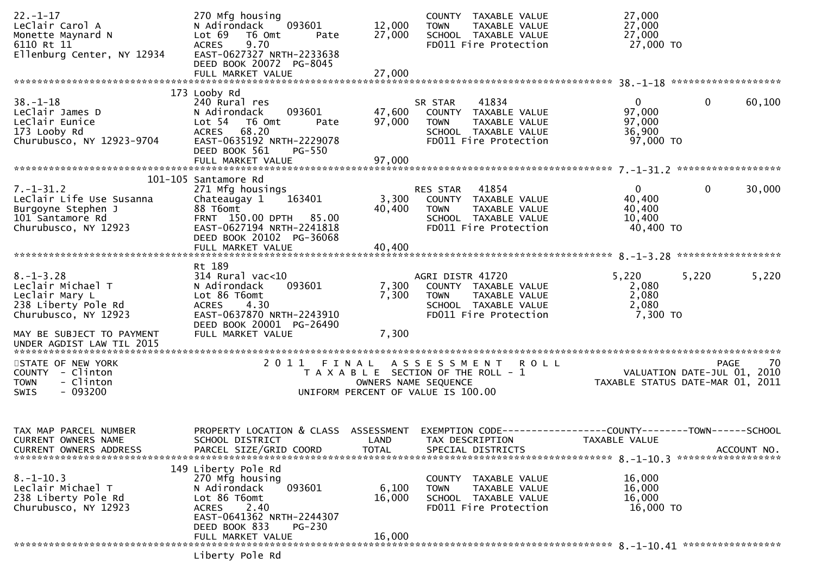| 173 Looby Rd<br>$38 - 1 - 18$<br>240 Rural res<br>41834<br>$\overline{0}$<br>0<br>60,100<br>SR STAR<br>093601<br>97,000<br>LeClair James D<br>N Adirondack<br>47,600<br>COUNTY TAXABLE VALUE<br>97,000<br>97,000<br>LeClair Eunice<br>Lot <sub>54</sub><br>T6 Omt<br>TAXABLE VALUE<br>Pate<br><b>TOWN</b><br>68.20<br>173 Looby Rd<br><b>ACRES</b><br>SCHOOL TAXABLE VALUE<br>36,900<br>EAST-0635192 NRTH-2229078<br>Churubusco, NY 12923-9704<br>FD011 Fire Protection<br>97,000 TO<br>DEED BOOK 561<br>PG-550<br>101-105 Santamore Rd<br>$\mathbf 0$<br>$\mathbf 0$<br>$7. - 1 - 31.2$<br>41854<br>30,000<br>271 Mfg housings<br>RES STAR<br>40,400<br>LeClair Life Use Susanna<br>Chateaugay 1<br>163401<br>3,300<br>COUNTY TAXABLE VALUE<br>40,400<br>Burgoyne Stephen J<br>88 T6omt<br>40,400<br><b>TOWN</b><br><b>TAXABLE VALUE</b><br>101 Santamore Rd<br>FRNT 150.00 DPTH 85.00<br>10,400<br>SCHOOL TAXABLE VALUE<br>FD011 Fire Protection<br>Churubusco, NY 12923<br>EAST-0627194 NRTH-2241818<br>40,400 TO<br>DEED BOOK 20102 PG-36068<br>40,400<br>FULL MARKET VALUE<br>Rt 189<br>5,220<br>$8. - 1 - 3.28$<br>314 Rural vac<10<br>AGRI DISTR 41720<br>5,220<br>5,220<br>Leclair Michael T<br>7,300<br>2,080<br>N Adirondack<br>093601<br>COUNTY TAXABLE VALUE<br>2,080<br>Leclair Mary L<br>Lot 86 T6omt<br>7,300<br><b>TOWN</b><br>TAXABLE VALUE<br>4.30<br>2,080<br>238 Liberty Pole Rd<br><b>ACRES</b><br>SCHOOL TAXABLE VALUE<br>Churubusco, NY 12923<br>EAST-0637870 NRTH-2243910<br>7,300 TO<br>FD011 Fire Protection<br>DEED BOOK 20001 PG-26490<br>7,300<br>FULL MARKET VALUE<br>MAY BE SUBJECT TO PAYMENT<br>UNDER AGDIST LAW TIL 2015<br>STATE OF NEW YORK<br>2011 FINAL<br>70<br>A S S E S S M E N T R O L L<br><b>PAGE</b><br>COUNTY - Clinton<br>T A X A B L E SECTION OF THE ROLL - 1<br>VALUATION DATE-JUL 01, 2010<br>- Clinton<br><b>TOWN</b><br>OWNERS NAME SEQUENCE<br>TAXABLE STATUS DATE-MAR 01, 2011<br>$-093200$<br>UNIFORM PERCENT OF VALUE IS 100.00<br>SWIS<br>PROPERTY LOCATION & CLASS<br>TAX MAP PARCEL NUMBER<br>ASSESSMENT<br>EXEMPTION CODE------------------COUNTY--------TOWN------SCHOOL<br>CURRENT OWNERS NAME<br>SCHOOL DISTRICT<br>LAND<br>TAX DESCRIPTION<br>TAXABLE VALUE<br>PARCEL SIZE/GRID COORD<br><b>TOTAL</b><br>ACCOUNT NO.<br><b>CURRENT OWNERS ADDRESS</b><br>SPECIAL DISTRICTS<br>149 Liberty Pole Rd<br>$8. -1 - 10.3$<br>270 Mfg housing<br>16,000<br><b>COUNTY</b><br>TAXABLE VALUE<br>093601<br>Leclair Michael T<br>N Adirondack<br>6,100<br>16,000<br>TAXABLE VALUE<br><b>TOWN</b><br>238 Liberty Pole Rd<br>Lot 86 T6omt<br>16,000<br>16,000<br>SCHOOL TAXABLE VALUE | $22. - 1 - 17$<br>LeClair Carol A<br>Monette Maynard N<br>6110 Rt 11<br>Ellenburg Center, NY 12934 | 270 Mfg housing<br>093601<br>N Adirondack<br>Lot 69<br>T6 Omt<br>Pate<br>9.70<br><b>ACRES</b><br>EAST-0627327 NRTH-2233638<br>DEED BOOK 20072 PG-8045<br>FULL MARKET VALUE | 12,000<br>27,000<br>27,000 | COUNTY TAXABLE VALUE<br>TAXABLE VALUE<br><b>TOWN</b><br>SCHOOL TAXABLE VALUE<br>FD011 Fire Protection | 27,000<br>27,000<br>27,000<br>27,000 TO |  |
|------------------------------------------------------------------------------------------------------------------------------------------------------------------------------------------------------------------------------------------------------------------------------------------------------------------------------------------------------------------------------------------------------------------------------------------------------------------------------------------------------------------------------------------------------------------------------------------------------------------------------------------------------------------------------------------------------------------------------------------------------------------------------------------------------------------------------------------------------------------------------------------------------------------------------------------------------------------------------------------------------------------------------------------------------------------------------------------------------------------------------------------------------------------------------------------------------------------------------------------------------------------------------------------------------------------------------------------------------------------------------------------------------------------------------------------------------------------------------------------------------------------------------------------------------------------------------------------------------------------------------------------------------------------------------------------------------------------------------------------------------------------------------------------------------------------------------------------------------------------------------------------------------------------------------------------------------------------------------------------------------------------------------------------------------------------------------------------------------------------------------------------------------------------------------------------------------------------------------------------------------------------------------------------------------------------------------------------------------------------------------------------------------------------------------------------------------------------------------------------------------------------------------------------------------------------------------------------------------------------------------------------|----------------------------------------------------------------------------------------------------|----------------------------------------------------------------------------------------------------------------------------------------------------------------------------|----------------------------|-------------------------------------------------------------------------------------------------------|-----------------------------------------|--|
|                                                                                                                                                                                                                                                                                                                                                                                                                                                                                                                                                                                                                                                                                                                                                                                                                                                                                                                                                                                                                                                                                                                                                                                                                                                                                                                                                                                                                                                                                                                                                                                                                                                                                                                                                                                                                                                                                                                                                                                                                                                                                                                                                                                                                                                                                                                                                                                                                                                                                                                                                                                                                                          |                                                                                                    |                                                                                                                                                                            |                            |                                                                                                       |                                         |  |
|                                                                                                                                                                                                                                                                                                                                                                                                                                                                                                                                                                                                                                                                                                                                                                                                                                                                                                                                                                                                                                                                                                                                                                                                                                                                                                                                                                                                                                                                                                                                                                                                                                                                                                                                                                                                                                                                                                                                                                                                                                                                                                                                                                                                                                                                                                                                                                                                                                                                                                                                                                                                                                          |                                                                                                    |                                                                                                                                                                            |                            |                                                                                                       |                                         |  |
|                                                                                                                                                                                                                                                                                                                                                                                                                                                                                                                                                                                                                                                                                                                                                                                                                                                                                                                                                                                                                                                                                                                                                                                                                                                                                                                                                                                                                                                                                                                                                                                                                                                                                                                                                                                                                                                                                                                                                                                                                                                                                                                                                                                                                                                                                                                                                                                                                                                                                                                                                                                                                                          |                                                                                                    |                                                                                                                                                                            |                            |                                                                                                       |                                         |  |
|                                                                                                                                                                                                                                                                                                                                                                                                                                                                                                                                                                                                                                                                                                                                                                                                                                                                                                                                                                                                                                                                                                                                                                                                                                                                                                                                                                                                                                                                                                                                                                                                                                                                                                                                                                                                                                                                                                                                                                                                                                                                                                                                                                                                                                                                                                                                                                                                                                                                                                                                                                                                                                          |                                                                                                    |                                                                                                                                                                            |                            |                                                                                                       |                                         |  |
|                                                                                                                                                                                                                                                                                                                                                                                                                                                                                                                                                                                                                                                                                                                                                                                                                                                                                                                                                                                                                                                                                                                                                                                                                                                                                                                                                                                                                                                                                                                                                                                                                                                                                                                                                                                                                                                                                                                                                                                                                                                                                                                                                                                                                                                                                                                                                                                                                                                                                                                                                                                                                                          |                                                                                                    |                                                                                                                                                                            |                            |                                                                                                       |                                         |  |
|                                                                                                                                                                                                                                                                                                                                                                                                                                                                                                                                                                                                                                                                                                                                                                                                                                                                                                                                                                                                                                                                                                                                                                                                                                                                                                                                                                                                                                                                                                                                                                                                                                                                                                                                                                                                                                                                                                                                                                                                                                                                                                                                                                                                                                                                                                                                                                                                                                                                                                                                                                                                                                          |                                                                                                    |                                                                                                                                                                            |                            |                                                                                                       |                                         |  |
|                                                                                                                                                                                                                                                                                                                                                                                                                                                                                                                                                                                                                                                                                                                                                                                                                                                                                                                                                                                                                                                                                                                                                                                                                                                                                                                                                                                                                                                                                                                                                                                                                                                                                                                                                                                                                                                                                                                                                                                                                                                                                                                                                                                                                                                                                                                                                                                                                                                                                                                                                                                                                                          |                                                                                                    |                                                                                                                                                                            |                            |                                                                                                       |                                         |  |
|                                                                                                                                                                                                                                                                                                                                                                                                                                                                                                                                                                                                                                                                                                                                                                                                                                                                                                                                                                                                                                                                                                                                                                                                                                                                                                                                                                                                                                                                                                                                                                                                                                                                                                                                                                                                                                                                                                                                                                                                                                                                                                                                                                                                                                                                                                                                                                                                                                                                                                                                                                                                                                          |                                                                                                    |                                                                                                                                                                            |                            |                                                                                                       |                                         |  |
|                                                                                                                                                                                                                                                                                                                                                                                                                                                                                                                                                                                                                                                                                                                                                                                                                                                                                                                                                                                                                                                                                                                                                                                                                                                                                                                                                                                                                                                                                                                                                                                                                                                                                                                                                                                                                                                                                                                                                                                                                                                                                                                                                                                                                                                                                                                                                                                                                                                                                                                                                                                                                                          |                                                                                                    |                                                                                                                                                                            |                            |                                                                                                       |                                         |  |
|                                                                                                                                                                                                                                                                                                                                                                                                                                                                                                                                                                                                                                                                                                                                                                                                                                                                                                                                                                                                                                                                                                                                                                                                                                                                                                                                                                                                                                                                                                                                                                                                                                                                                                                                                                                                                                                                                                                                                                                                                                                                                                                                                                                                                                                                                                                                                                                                                                                                                                                                                                                                                                          |                                                                                                    |                                                                                                                                                                            |                            |                                                                                                       |                                         |  |
| EAST-0641362 NRTH-2244307<br>DEED BOOK 833<br>$PG-230$                                                                                                                                                                                                                                                                                                                                                                                                                                                                                                                                                                                                                                                                                                                                                                                                                                                                                                                                                                                                                                                                                                                                                                                                                                                                                                                                                                                                                                                                                                                                                                                                                                                                                                                                                                                                                                                                                                                                                                                                                                                                                                                                                                                                                                                                                                                                                                                                                                                                                                                                                                                   | Churubusco, NY 12923                                                                               | 2.40<br><b>ACRES</b>                                                                                                                                                       |                            | FD011 Fire Protection                                                                                 | 16,000 TO                               |  |
| 16,000<br>FULL MARKET VALUE<br>hiherty Pole Rd                                                                                                                                                                                                                                                                                                                                                                                                                                                                                                                                                                                                                                                                                                                                                                                                                                                                                                                                                                                                                                                                                                                                                                                                                                                                                                                                                                                                                                                                                                                                                                                                                                                                                                                                                                                                                                                                                                                                                                                                                                                                                                                                                                                                                                                                                                                                                                                                                                                                                                                                                                                           |                                                                                                    |                                                                                                                                                                            |                            |                                                                                                       |                                         |  |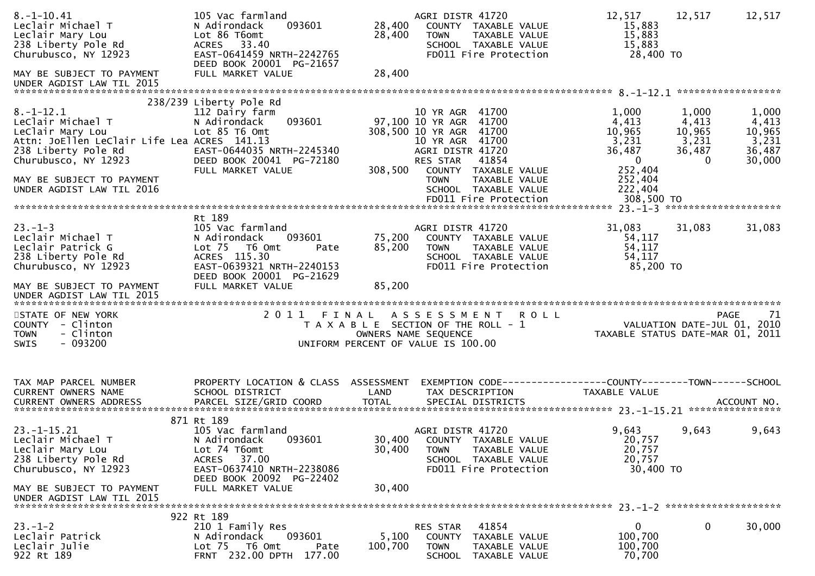| $8. -1 - 10.41$<br>Leclair Michael T<br>Leclair Mary Lou<br>238 Liberty Pole Rd<br>Churubusco, NY 12923<br>MAY BE SUBJECT TO PAYMENT                                                                             | 105 Vac farmland<br>N Adirondack<br>093601<br>Lot 86 T6omt<br>ACRES 33.40<br>EAST-0641459 NRTH-2242765<br>DEED BOOK 20001 PG-21657<br>FULL MARKET VALUE                                   | 28,400<br>28,400<br>28,400 | AGRI DISTR 41720<br>COUNTY TAXABLE VALUE<br><b>TOWN</b><br>TAXABLE VALUE<br>SCHOOL TAXABLE VALUE<br>FD011 Fire Protection                                                                                        | 12,517<br>15,883<br>15,883<br>15,883<br>28,400 TO                                           | 12,517<br>12,517                                                                                                 |    |
|------------------------------------------------------------------------------------------------------------------------------------------------------------------------------------------------------------------|-------------------------------------------------------------------------------------------------------------------------------------------------------------------------------------------|----------------------------|------------------------------------------------------------------------------------------------------------------------------------------------------------------------------------------------------------------|---------------------------------------------------------------------------------------------|------------------------------------------------------------------------------------------------------------------|----|
| UNDER AGDIST LAW TIL 2015                                                                                                                                                                                        |                                                                                                                                                                                           |                            |                                                                                                                                                                                                                  |                                                                                             |                                                                                                                  |    |
| $8. - 1 - 12.1$<br>LeClair Michael T<br>LeClair Mary Lou<br>Attn: JoEllen LeClair Life Lea ACRES 141.13<br>238 Liberty Pole Rd<br>Churubusco, NY 12923<br>MAY BE SUBJECT TO PAYMENT<br>UNDER AGDIST LAW TIL 2016 | 238/239 Liberty Pole Rd<br>112 Dairy farm<br>N Adirondack<br>093601<br>Lot 85 T6 Omt<br>EAST-0644035 NRTH-2245340<br>DEED BOOK 20041 PG-72180<br>FULL MARKET VALUE                        | 308,500                    | 10 YR AGR 41700<br>97,100 10 YR AGR 41700<br>308,500 10 YR AGR 41700<br>10 YR AGR 41700<br>AGRI DISTR 41720<br>RES STAR<br>41854<br>COUNTY TAXABLE VALUE<br>TAXABLE VALUE<br><b>TOWN</b><br>SCHOOL TAXABLE VALUE | 1,000<br>4,413<br>10,965<br>3,231<br>36,487<br>$\mathbf 0$<br>252,404<br>252,404<br>222,404 | 1,000<br>1,000<br>4,413<br>4,413<br>10,965<br>10,965<br>3,231<br>3,231<br>36,487<br>36,487<br>30,000<br>$\Omega$ |    |
| $23. - 1 - 3$<br>Leclair Michael T<br>Leclair Patrick G<br>238 Liberty Pole Rd<br>Churubusco, NY 12923<br>MAY BE SUBJECT TO PAYMENT<br>UNDER AGDIST LAW TIL 2015                                                 | Rt 189<br>105 Vac farmland<br>N Adirondack<br>093601<br>Lot <sub>75</sub><br>T6 Omt<br>Pate<br>ACRES 115.30<br>EAST-0639321 NRTH-2240153<br>DEED BOOK 20001 PG-21629<br>FULL MARKET VALUE | 75,200<br>85,200<br>85,200 | AGRI DISTR 41720<br>COUNTY TAXABLE VALUE<br><b>TOWN</b><br>TAXABLE VALUE<br>SCHOOL TAXABLE VALUE<br>FD011 Fire Protection                                                                                        | 31,083<br>54,117<br>54,117<br>54,117<br>85,200 TO                                           | 31,083<br>31,083                                                                                                 |    |
| STATE OF NEW YORK<br>COUNTY - Clinton<br>- Clinton<br><b>TOWN</b><br>$-093200$<br><b>SWIS</b>                                                                                                                    | 2011                                                                                                                                                                                      |                            | FINAL ASSESSMENT ROLL<br>T A X A B L E SECTION OF THE ROLL - 1<br>OWNERS NAME SEQUENCE<br>UNIFORM PERCENT OF VALUE IS 100.00                                                                                     |                                                                                             | <b>PAGE</b><br>VALUATION DATE-JUL 01, 2010<br>TAXABLE STATUS DATE-MAR 01, 2011                                   | 71 |
| TAX MAP PARCEL NUMBER<br>CURRENT OWNERS NAME                                                                                                                                                                     | PROPERTY LOCATION & CLASS<br>SCHOOL DISTRICT                                                                                                                                              | ASSESSMENT<br>LAND         | TAX DESCRIPTION                                                                                                                                                                                                  | TAXABLE VALUE                                                                               |                                                                                                                  |    |
| $23. - 1 - 15.21$<br>Leclair Michael T<br>Leclair Mary Lou<br>238 Liberty Pole Rd<br>Churubusco, NY 12923<br>MAY BE SUBJECT TO PAYMENT<br>UNDER AGDIST LAW TIL 2015                                              | 871 Rt 189<br>105 Vac farmland<br>093601<br>N Adirondack<br>Lot 74 T6omt<br>37.00<br>ACRES<br>EAST-0637410 NRTH-2238086<br>DEED BOOK 20092 PG-22402<br>FULL MARKET VALUE                  | 30,400<br>30,400<br>30,400 | AGRI DISTR 41720<br>COUNTY TAXABLE VALUE<br><b>TOWN</b><br>TAXABLE VALUE<br>SCHOOL TAXABLE VALUE<br>FD011 Fire Protection                                                                                        | 9,643<br>20,757<br>20,757<br>20,757<br>30,400 TO                                            | 9,643<br>9,643                                                                                                   |    |
| $23 - 1 - 2$<br>Leclair Patrick<br>Leclair Julie<br>922 Rt 189                                                                                                                                                   | 922 Rt 189<br>210 1 Family Res<br>093601<br>N Adirondack<br>Lot 75 T6 Omt<br>Pate<br>FRNT 232.00 DPTH 177.00                                                                              | 5,100<br>100,700           | 41854<br>RES STAR<br>COUNTY TAXABLE VALUE<br>TAXABLE VALUE<br><b>TOWN</b><br>TAXABLE VALUE<br>SCHOOL                                                                                                             | 0<br>100,700<br>100,700<br>70,700                                                           | 0<br>30,000                                                                                                      |    |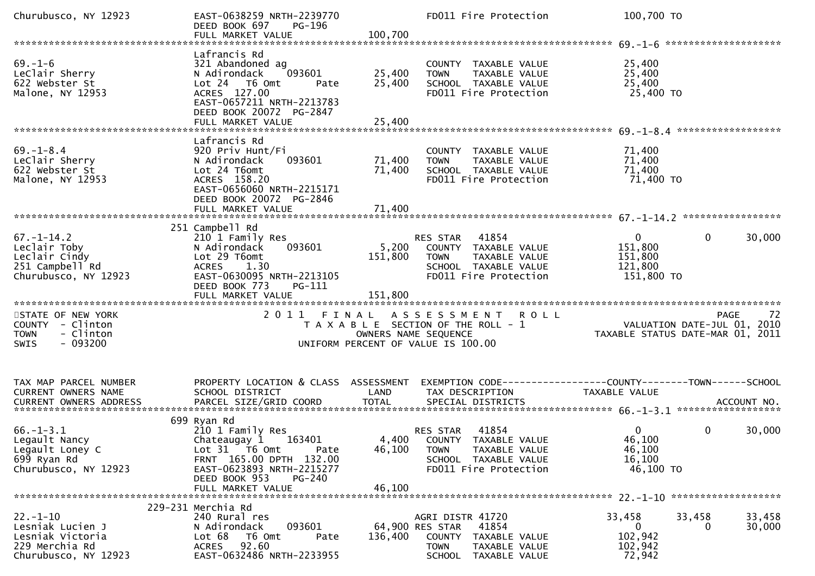| Churubusco, NY 12923                                                                             | EAST-0638259 NRTH-2239770<br>DEED BOOK 697<br>PG-196<br>FULL MARKET VALUE                                                                                                  | 100,700                     | FD011 Fire Protection                                                                                                                  | 100,700 TO                                                    |                                                                                           |
|--------------------------------------------------------------------------------------------------|----------------------------------------------------------------------------------------------------------------------------------------------------------------------------|-----------------------------|----------------------------------------------------------------------------------------------------------------------------------------|---------------------------------------------------------------|-------------------------------------------------------------------------------------------|
| $69. - 1 - 6$<br>LeClair Sherry<br>622 Webster St<br>Malone, NY 12953                            | Lafrancis Rd<br>321 Abandoned ag<br>093601<br>N Adirondack<br>Lot 24 T6 Omt<br>Pate<br>ACRES 127.00                                                                        | 25,400<br>25,400            | COUNTY TAXABLE VALUE<br><b>TOWN</b><br>TAXABLE VALUE<br>SCHOOL TAXABLE VALUE<br>FD011 Fire Protection                                  | 25,400<br>25,400<br>25,400<br>25,400 TO                       |                                                                                           |
|                                                                                                  | EAST-0657211 NRTH-2213783<br>DEED BOOK 20072 PG-2847                                                                                                                       |                             |                                                                                                                                        |                                                               |                                                                                           |
| $69. - 1 - 8.4$<br>LeClair Sherry<br>622 Webster St<br>Malone, NY 12953                          | Lafrancis Rd<br>920 Priv Hunt/Fi<br>093601<br>N Adirondack<br>Lot 24 T6omt<br>ACRES 158.20<br>EAST-0656060 NRTH-2215171<br>DEED BOOK 20072 PG-2846                         | 71,400<br>71,400            | COUNTY TAXABLE VALUE<br>TAXABLE VALUE<br>TOWN<br>SCHOOL TAXABLE VALUE<br>FD011 Fire Protection                                         | 71,400<br>71,400<br>71,400<br>71,400 TO                       |                                                                                           |
|                                                                                                  |                                                                                                                                                                            |                             |                                                                                                                                        |                                                               |                                                                                           |
| $67. - 1 - 14.2$<br>Leclair Toby<br>Leclair Cindy<br>251 Campbell Rd<br>Churubusco, NY 12923     | 251 Campbell Rd<br>210 1 Family Res<br>093601<br>N Adirondack<br>Lot 29 T6omt<br>ACRES 1.30<br>EAST-0630095 NRTH-2213105<br>DEED BOOK 773<br>$PG-111$<br>FULL MARKET VALUE | 5,200<br>151,800<br>151,800 | RES STAR 41854<br>COUNTY TAXABLE VALUE<br><b>TOWN</b><br>TAXABLE VALUE<br>SCHOOL TAXABLE VALUE<br>FD011 Fire Protection                | $\overline{0}$<br>151,800<br>151,800<br>121,800<br>151,800 TO | $\mathbf 0$<br>30,000                                                                     |
| STATE OF NEW YORK<br>COUNTY - Clinton<br>- Clinton<br><b>TOWN</b><br>$-093200$<br><b>SWIS</b>    |                                                                                                                                                                            |                             | 2011 FINAL ASSESSMENT<br>T A X A B L E SECTION OF THE ROLL - 1<br>OWNERS NAME SEQUENCE<br>UNIFORM PERCENT OF VALUE IS 100.00           | <b>ROLL</b>                                                   | 72<br>PAGE<br><br>10. VALUATION DATE-JUL 01, 2010<br>11. TAXABLE STATUS DATE-MAR 01, 2011 |
| TAX MAP PARCEL NUMBER<br>CURRENT OWNERS NAME                                                     | PROPERTY LOCATION & CLASS ASSESSMENT EXEMPTION CODE----------------COUNTY-------TOWN------SCHOOL<br>SCHOOL DISTRICT                                                        | LAND                        | TAX DESCRIPTION                                                                                                                        | TAXABLE VALUE                                                 |                                                                                           |
| $66. - 1 - 3.1$<br>Legault Nancy<br>Legault Loney C<br>699 Ryan Rd<br>Churubusco, NY 12923       | 699 Ryan Rd<br>210 1 Family Res<br>Chateaugay 1 163401<br>Lot 31 T6 Omt<br>Pate<br>FRNT 165.00 DPTH 132.00<br>EAST-0623893 NRTH-2215277<br>DEED BOOK 953<br>$PG-240$       | 46,100                      | RES STAR 41854<br>4,400 COUNTY TAXABLE VALUE<br><b>TOWN</b><br>TAXABLE VALUE<br>SCHOOL TAXABLE VALUE<br>FD011 Fire Protection          | $\mathbf{0}$<br>46,100<br>46,100<br>16,100<br>46,100 TO       | $\mathbf 0$<br>30,000                                                                     |
|                                                                                                  | FULL MARKET VALUE                                                                                                                                                          | 46,100                      |                                                                                                                                        |                                                               |                                                                                           |
|                                                                                                  | 229-231 Merchia Rd                                                                                                                                                         |                             |                                                                                                                                        |                                                               |                                                                                           |
| $22. - 1 - 10$<br>Lesniak Lucien J<br>Lesniak Victoria<br>229 Merchia Rd<br>Churubusco, NY 12923 | 240 Rural res<br>093601<br>N Adirondack<br>Lot 68<br>T6 Omt<br>Pate<br>ACRES 92.60<br>EAST-0632486 NRTH-2233955                                                            | 136,400                     | AGRI DISTR 41720<br>41854<br>64,900 RES STAR<br>COUNTY TAXABLE VALUE<br><b>TOWN</b><br>TAXABLE VALUE<br><b>SCHOOL</b><br>TAXABLE VALUE | 33,458<br>$\mathbf{0}$<br>102,942<br>102,942<br>72,942        | 33,458<br>33,458<br>30,000<br>0                                                           |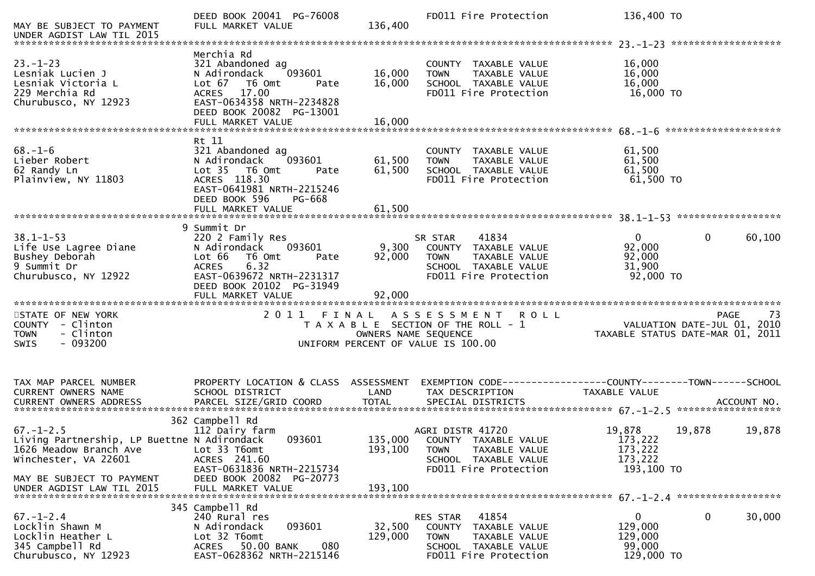| MAY BE SUBJECT TO PAYMENT<br>UNDER AGDIST LAW TIL 2015                                                                                        | DEED BOOK 20041 PG-76008<br>FULL MARKET VALUE                                                                                                                                                 | 136,400                    | FD011 Fire Protection                                                                                                             | 136,400 TO                                                 |                                                                                      |
|-----------------------------------------------------------------------------------------------------------------------------------------------|-----------------------------------------------------------------------------------------------------------------------------------------------------------------------------------------------|----------------------------|-----------------------------------------------------------------------------------------------------------------------------------|------------------------------------------------------------|--------------------------------------------------------------------------------------|
|                                                                                                                                               |                                                                                                                                                                                               |                            |                                                                                                                                   |                                                            |                                                                                      |
| $23. - 1 - 23$<br>Lesniak Lucien J<br>Lesniak Victoria L<br>229 Merchia Rd<br>Churubusco, NY 12923                                            | Merchia Rd<br>321 Abandoned ag<br>093601<br>N Adirondack<br>Lot $67$<br>T6 Omt<br>Pate<br>17.00<br><b>ACRES</b><br>EAST-0634358 NRTH-2234828<br>DEED BOOK 20082 PG-13001<br>FULL MARKET VALUE | 16,000<br>16,000<br>16,000 | COUNTY TAXABLE VALUE<br>TAXABLE VALUE<br><b>TOWN</b><br>SCHOOL TAXABLE VALUE<br>FD011 Fire Protection                             | 16,000<br>16,000<br>16,000<br>16,000 TO                    |                                                                                      |
|                                                                                                                                               |                                                                                                                                                                                               |                            |                                                                                                                                   |                                                            |                                                                                      |
| $68. - 1 - 6$<br>Lieber Robert<br>62 Randy Ln<br>Plainview, NY 11803                                                                          | Rt 11<br>321 Abandoned ag<br>093601<br>N Adirondack<br>Lot 35 T6 Omt<br>Pate<br>ACRES 118.30<br>EAST-0641981 NRTH-2215246<br>DEED BOOK 596<br>PG-668                                          | 61,500<br>61,500<br>61,500 | COUNTY TAXABLE VALUE<br>TAXABLE VALUE<br><b>TOWN</b><br>SCHOOL TAXABLE VALUE<br>FD011 Fire Protection                             | 61,500<br>61,500<br>61,500<br>61,500 TO                    |                                                                                      |
|                                                                                                                                               | FULL MARKET VALUE                                                                                                                                                                             |                            |                                                                                                                                   |                                                            |                                                                                      |
| $38.1 - 1 - 53$<br>Life Use Lagree Diane<br>Bushey Deborah<br>9 Summit Dr<br>Churubusco, NY 12922                                             | 9 Summit Dr<br>220 2 Family Res<br>093601<br>N Adirondack<br>Lot 66<br>T6 Omt<br>Pate<br>6.32<br><b>ACRES</b><br>EAST-0639672 NRTH-2231317<br>DEED BOOK 20102 PG-31949<br>FULL MARKET VALUE   | 9,300<br>92,000<br>92,000  | 41834<br>SR STAR<br>COUNTY TAXABLE VALUE<br><b>TOWN</b><br>TAXABLE VALUE<br>SCHOOL TAXABLE VALUE<br>FD011 Fire Protection         | $\mathbf{0}$<br>92,000<br>92,000<br>31,900<br>92,000 TO    | $\mathbf{0}$<br>60,100                                                               |
| 2011 FINAL ASSESSMENT                                                                                                                         |                                                                                                                                                                                               |                            |                                                                                                                                   |                                                            |                                                                                      |
| STATE OF NEW YORK<br>COUNTY - Clinton<br>- Clinton<br><b>TOWN</b><br>$-093200$<br>SWIS                                                        |                                                                                                                                                                                               | OWNERS NAME SEQUENCE       | <b>ROLL</b><br>T A X A B L E SECTION OF THE ROLL - 1<br>UNIFORM PERCENT OF VALUE IS 100.00                                        |                                                            | 73<br><b>PAGE</b><br>VALUATION DATE-JUL 01, 2010<br>TAXABLE STATUS DATE-MAR 01, 2011 |
| TAX MAP PARCEL NUMBER<br>CURRENT OWNERS NAME                                                                                                  | PROPERTY LOCATION & CLASS ASSESSMENT<br>SCHOOL DISTRICT                                                                                                                                       | LAND                       | TAX DESCRIPTION                                                                                                                   | TAXABLE VALUE                                              |                                                                                      |
| $67. - 1 - 2.5$<br>Living Partnership, LP Buettne N Adirondack<br>1626 Meadow Branch Ave<br>Winchester, VA 22601<br>MAY BE SUBJECT TO PAYMENT | 362 Campbell Rd<br>112 Dairy farm<br>093601<br>Lot 33 T6omt<br>ACRES 241.60<br>EAST-0631836 NRTH-2215734<br>DEED BOOK 20082 PG-20773                                                          | 193,100                    | AGRI DISTR 41720<br>135,000 COUNTY TAXABLE VALUE<br><b>TOWN</b><br>TAXABLE VALUE<br>SCHOOL TAXABLE VALUE<br>FD011 Fire Protection | 19,878<br>173,222<br>173,222<br>173,222<br>193,100 TO      | 19,878<br>19,878                                                                     |
|                                                                                                                                               |                                                                                                                                                                                               |                            |                                                                                                                                   |                                                            |                                                                                      |
| $67. - 1 - 2.4$<br>Locklin Shawn M<br>Locklin Heather L<br>345 Campbell Rd<br>Churubusco, NY 12923                                            | 345 Campbell Rd<br>240 Rural res<br>093601<br>N Adirondack<br>Lot 32 T6omt<br>ACRES 50.00 BANK<br>080<br>EAST-0628362 NRTH-2215146                                                            | 32,500<br>129,000          | 41854<br>RES STAR<br>COUNTY TAXABLE VALUE<br><b>TOWN</b><br>TAXABLE VALUE<br>SCHOOL TAXABLE VALUE<br>FD011 Fire Protection        | $\mathbf{0}$<br>129,000<br>129,000<br>99,000<br>129,000 TO | 0<br>30,000                                                                          |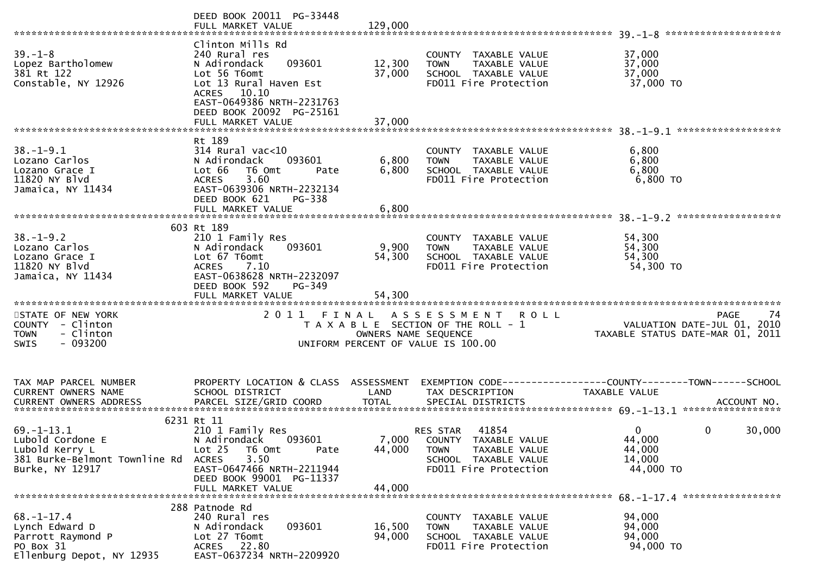|                                                                                                            | DEED BOOK 20011 PG-33448<br>FULL MARKET VALUE                                                                                                                                                         | 129,000                    |                                                                                                                                           |                                                                         | ******************** |
|------------------------------------------------------------------------------------------------------------|-------------------------------------------------------------------------------------------------------------------------------------------------------------------------------------------------------|----------------------------|-------------------------------------------------------------------------------------------------------------------------------------------|-------------------------------------------------------------------------|----------------------|
| $39 - 1 - 8$<br>Lopez Bartholomew<br>381 Rt 122<br>Constable, NY 12926                                     | Clinton Mills Rd<br>240 Rural res<br>093601<br>N Adirondack<br>Lot 56 T6omt<br>Lot 13 Rural Haven Est<br>ACRES 10.10<br>EAST-0649386 NRTH-2231763<br>DEED BOOK 20092 PG-25161<br>FULL MARKET VALUE    | 12,300<br>37,000<br>37,000 | COUNTY TAXABLE VALUE<br>TAXABLE VALUE<br><b>TOWN</b><br>SCHOOL TAXABLE VALUE<br>FD011 Fire Protection                                     | 37,000<br>37,000<br>37,000<br>37,000 TO                                 |                      |
|                                                                                                            | Rt 189                                                                                                                                                                                                |                            |                                                                                                                                           |                                                                         |                      |
| $38. - 1 - 9.1$<br>Lozano Carlos<br>Lozano Grace I<br>11820 NY Blvd<br>Jamaica, NY 11434                   | $314$ Rural vac<10<br>N Adirondack<br>093601<br>Lot 66<br>T6 Omt<br>Pate<br>3.60<br><b>ACRES</b><br>EAST-0639306 NRTH-2232134<br>DEED BOOK 621<br>PG-338                                              | 6,800<br>6,800             | COUNTY TAXABLE VALUE<br>TAXABLE VALUE<br><b>TOWN</b><br>SCHOOL TAXABLE VALUE<br>FD011 Fire Protection                                     | 6,800<br>6,800<br>6,800<br>6,800 TO                                     |                      |
|                                                                                                            | FULL MARKET VALUE                                                                                                                                                                                     | 6,800                      |                                                                                                                                           |                                                                         | ******************   |
| $38. - 1 - 9.2$<br>Lozano Carlos<br>Lozano Grace I<br>11820 NY Blvd<br>Jamaica, NY 11434                   | 603 Rt 189<br>210 1 Family Res<br>N Adirondack<br>093601<br>Lot 67 T6omt<br>ACRES 7.10<br>EAST-0638628 NRTH-2232097<br>DEED BOOK 592<br>$PG-349$<br>FULL MARKET VALUE                                 | 9,900<br>54,300<br>54,300  | COUNTY TAXABLE VALUE<br><b>TOWN</b><br>TAXABLE VALUE<br>SCHOOL TAXABLE VALUE<br>FD011 Fire Protection                                     | 54,300<br>54,300<br>54,300<br>54,300 TO                                 |                      |
| STATE OF NEW YORK<br>COUNTY - Clinton<br>- Clinton<br><b>TOWN</b><br>$-093200$<br><b>SWIS</b>              | 2011 FINAL                                                                                                                                                                                            |                            | A S S E S S M E N T<br><b>ROLL</b><br>T A X A B L E SECTION OF THE ROLL - 1<br>OWNERS NAME SEQUENCE<br>UNIFORM PERCENT OF VALUE IS 100.00 | VALUATION DATE-JUL 01, 2010<br>TAXABLE STATUS DATE-MAR 01, 2011         | 74<br>PAGE           |
|                                                                                                            |                                                                                                                                                                                                       |                            |                                                                                                                                           |                                                                         |                      |
| TAX MAP PARCEL NUMBER<br>CURRENT OWNERS NAME<br>CURRENT OWNERS ADDRESS                                     | PROPERTY LOCATION & CLASS ASSESSMENT<br>SCHOOL DISTRICT<br>PARCEL SIZE/GRID COORD                                                                                                                     | LAND<br><b>TOTAL</b>       | TAX DESCRIPTION<br>SPECIAL DISTRICTS                                                                                                      | TAXABLE VALUE                                                           | ACCOUNT NO.          |
| $69. - 1 - 13.1$<br>Lubold Cordone E<br>Lubold Kerry L<br>381 Burke-Belmont Townline Rd<br>Burke, NY 12917 | 6231 Rt 11<br>210 1 Family Res<br>093601<br>N Adirondack<br>Lot <sub>25</sub><br>T6 Omt<br>Pate<br>3.50<br><b>ACRES</b><br>EAST-0647466 NRTH-2211944<br>DEED BOOK 99001 PG-11337<br>FULL MARKET VALUE | 44,000<br>44,000           | 41854<br>RES STAR<br>7,000 COUNTY TAXABLE VALUE<br><b>TOWN</b><br>TAXABLE VALUE<br>SCHOOL TAXABLE VALUE<br>FD011 Fire Protection          | $\mathbf{0}$<br>$\mathbf{0}$<br>44,000<br>44,000<br>14,000<br>44,000 TO | 30,000               |
| $68. - 1 - 17.4$<br>Lynch Edward D<br>Parrott Raymond P<br>PO Box 31<br>Ellenburg Depot, NY 12935          | 288 Patnode Rd<br>240 Rural res<br>093601<br>N Adirondack<br>Lot 27 T6omt<br>ACRES 22.80<br>EAST-0637234 NRTH-2209920                                                                                 | 16,500<br>94,000           | COUNTY TAXABLE VALUE<br>TAXABLE VALUE<br><b>TOWN</b><br>SCHOOL TAXABLE VALUE<br>FD011 Fire Protection                                     | 94,000<br>94,000<br>94,000<br>94,000 TO                                 |                      |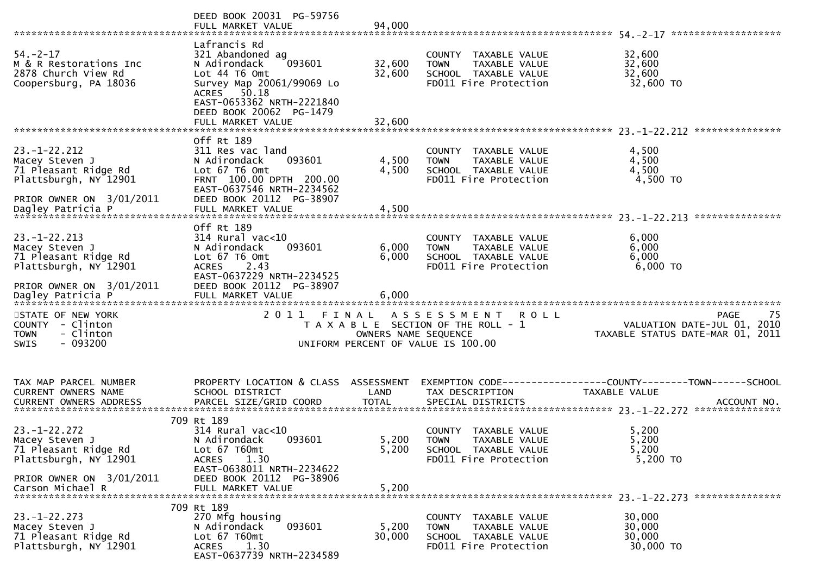|                                                                                                                                        | DEED BOOK 20031 PG-59756<br>FULL MARKET VALUE                                                                                                                                                        | 94,000                     |                                                                                                                   |                                                                                              |
|----------------------------------------------------------------------------------------------------------------------------------------|------------------------------------------------------------------------------------------------------------------------------------------------------------------------------------------------------|----------------------------|-------------------------------------------------------------------------------------------------------------------|----------------------------------------------------------------------------------------------|
| $54. - 2 - 17$<br>M & R Restorations Inc<br>2878 Church View Rd<br>Coopersburg, PA 18036                                               | Lafrancis Rd<br>321 Abandoned ag<br>093601<br>N Adirondack<br>Lot 44 T6 Omt<br>Survey Map 20061/99069 Lo<br>ACRES 50.18<br>EAST-0653362 NRTH-2221840<br>DEED BOOK 20062 PG-1479<br>FULL MARKET VALUE | 32,600<br>32,600<br>32,600 | COUNTY TAXABLE VALUE<br>TAXABLE VALUE<br><b>TOWN</b><br>SCHOOL TAXABLE VALUE<br>FD011 Fire Protection             | 32,600<br>32,600<br>32,600<br>32,600 TO                                                      |
| $23. - 1 - 22.212$<br>Macey Steven J<br>71 Pleasant Ridge Rd<br>Plattsburgh, NY 12901<br>PRIOR OWNER ON 3/01/2011<br>Dagley Patricia P | Off Rt 189<br>311 Res vac land<br>093601<br>N Adirondack<br>Lot 67 T6 Omt<br>FRNT 100.00 DPTH 200.00<br>EAST-0637546 NRTH-2234562<br>DEED BOOK 20112 PG-38907<br>FULL MARKET VALUE                   | 4,500<br>4,500<br>4,500    | COUNTY TAXABLE VALUE<br>TAXABLE VALUE<br><b>TOWN</b><br>SCHOOL TAXABLE VALUE<br>FD011 Fire Protection             | 4,500<br>4,500<br>4,500<br>4,500 TO                                                          |
| $23. - 1 - 22.213$<br>Macey Steven J<br>71 Pleasant Ridge Rd<br>Plattsburgh, NY 12901<br>PRIOR OWNER ON 3/01/2011                      | Off Rt 189<br>$314$ Rural vac<10<br>N Adirondack<br>093601<br>Lot 67 T6 Omt<br><b>ACRES</b><br>2.43<br>EAST-0637229 NRTH-2234525<br>DEED BOOK 20112 PG-38907                                         | 6,000<br>6,000             | COUNTY<br>TAXABLE VALUE<br><b>TOWN</b><br>TAXABLE VALUE<br>SCHOOL TAXABLE VALUE<br>FD011 Fire Protection          | ***************<br>6,000<br>6,000<br>6,000<br>6,000 TO                                       |
| STATE OF NEW YORK<br>COUNTY - Clinton<br>- Clinton<br><b>TOWN</b><br>$-093200$<br><b>SWIS</b>                                          | 2011 FINAL                                                                                                                                                                                           | OWNERS NAME SEQUENCE       | A S S E S S M E N T<br><b>ROLL</b><br>T A X A B L E SECTION OF THE ROLL - 1<br>UNIFORM PERCENT OF VALUE IS 100.00 | -75<br><b>PAGE</b><br>VALUATION DATE-JUL 01, 2010<br>TAXABLE STATUS DATE-MAR 01, 2011        |
| TAX MAP PARCEL NUMBER<br>CURRENT OWNERS NAME<br><b>CURRENT OWNERS ADDRESS</b>                                                          | PROPERTY LOCATION & CLASS ASSESSMENT<br>SCHOOL DISTRICT<br>PARCEL SIZE/GRID COORD                                                                                                                    | LAND<br><b>TOTAL</b>       | TAX DESCRIPTION<br>SPECIAL DISTRICTS                                                                              | EXEMPTION CODE-----------------COUNTY-------TOWN------SCHOOL<br>TAXABLE VALUE<br>ACCOUNT NO. |
| $23. - 1 - 22.272$<br>Macey Steven J<br>71 Pleasant Ridge Rd<br>Plattsburgh, NY 12901<br>PRIOR OWNER ON 3/01/2011<br>Carson Michael R  | 709 Rt 189<br>$314$ Rural vac<10<br>093601<br>N Adirondack<br>Lot 67 T60mt<br>1.30<br><b>ACRES</b><br>EAST-0638011 NRTH-2234622<br>DEED BOOK 20112 PG-38906<br>FULL MARKET VALUE                     | 5,200<br>5,200<br>5,200    | COUNTY TAXABLE VALUE<br><b>TOWN</b><br>TAXABLE VALUE<br>SCHOOL TAXABLE VALUE<br>FD011 Fire Protection             | 5,200<br>5,200<br>5,200<br>5,200 TO                                                          |
| $23. - 1 - 22.273$<br>Macey Steven J<br>71 Pleasant Ridge Rd<br>Plattsburgh, NY 12901                                                  | 709 Rt 189<br>270 Mfg housing<br>093601<br>N Adirondack<br>Lot 67 T60mt<br>1.30<br>ACRES<br>EAST-0637739 NRTH-2234589                                                                                | 5,200<br>30,000            | COUNTY TAXABLE VALUE<br>TAXABLE VALUE<br><b>TOWN</b><br>SCHOOL TAXABLE VALUE<br>FD011 Fire Protection             | 30,000<br>30,000<br>30,000<br>30,000 TO                                                      |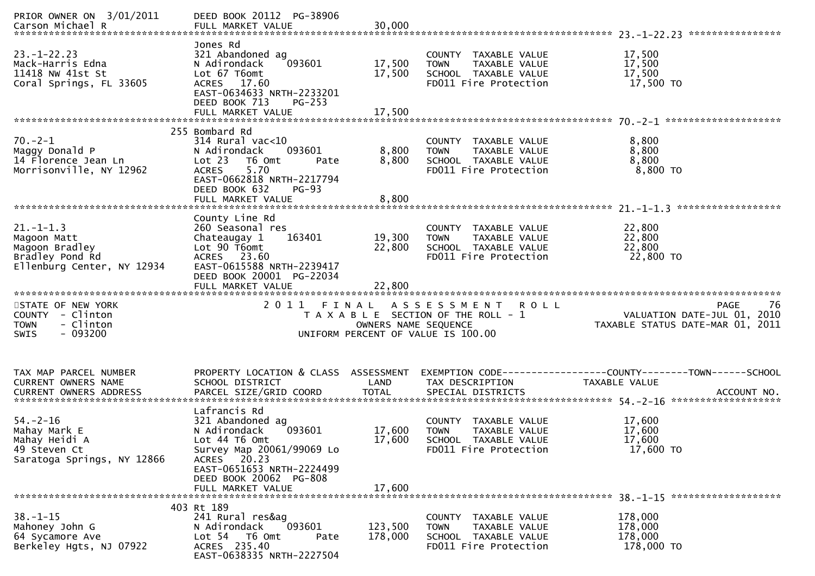| PRIOR OWNER ON 3/01/2011<br>Carson Michael R                                                      | DEED BOOK 20112 PG-38906<br>FULL MARKET VALUE                                                                                                                                                       | 30,000                     |                                                                                                              |                                                                                      |
|---------------------------------------------------------------------------------------------------|-----------------------------------------------------------------------------------------------------------------------------------------------------------------------------------------------------|----------------------------|--------------------------------------------------------------------------------------------------------------|--------------------------------------------------------------------------------------|
| $23. - 1 - 22.23$<br>Mack-Harris Edna<br>11418 NW 41st St<br>Coral Springs, FL 33605              | Jones Rd<br>321 Abandoned ag<br>093601<br>N Adirondack<br>Lot 67 T6omt<br>ACRES 17.60<br>EAST-0634633 NRTH-2233201<br>DEED BOOK 713<br>$PG-253$<br>FULL MARKET VALUE                                | 17,500<br>17,500<br>17,500 | COUNTY TAXABLE VALUE<br>TAXABLE VALUE<br><b>TOWN</b><br>SCHOOL TAXABLE VALUE<br>FD011 Fire Protection        | 17,500<br>17,500<br>17,500<br>17,500 TO                                              |
| $70. -2 - 1$<br>Maggy Donald P<br>14 Florence Jean Ln<br>Morrisonville, NY 12962                  | 255 Bombard Rd<br>$314$ Rural vac<10<br>093601<br>N Adirondack<br>Lot 23<br>T6 Omt<br>Pate<br>5.70<br><b>ACRES</b><br>EAST-0662818 NRTH-2217794<br>DEED BOOK 632<br>$PG-93$                         | 8,800<br>8,800             | COUNTY TAXABLE VALUE<br>TAXABLE VALUE<br><b>TOWN</b><br>SCHOOL TAXABLE VALUE<br>FD011 Fire Protection        | 8,800<br>8,800<br>8,800<br>8,800 TO                                                  |
| $21. - 1 - 1.3$<br>Magoon Matt<br>Magoon Bradley<br>Bradley Pond Rd<br>Ellenburg Center, NY 12934 | County Line Rd<br>260 Seasonal res<br>Chateaugay 1<br>163401<br>Lot 90 T6omt<br>ACRES 23.60<br>EAST-0615588 NRTH-2239417<br>DEED BOOK 20001 PG-22034<br>FULL MARKET VALUE                           | 19,300<br>22,800<br>22,800 | COUNTY TAXABLE VALUE<br>TAXABLE VALUE<br><b>TOWN</b><br>SCHOOL TAXABLE VALUE<br>FD011 Fire Protection        | 22,800<br>22,800<br>22,800<br>22,800 TO                                              |
| STATE OF NEW YORK<br>COUNTY - Clinton<br>- Clinton<br><b>TOWN</b><br>$-093200$<br><b>SWIS</b>     | 2011<br>FINAL                                                                                                                                                                                       | OWNERS NAME SEQUENCE       | A S S E S S M E N T R O L L<br>T A X A B L E SECTION OF THE ROLL - 1<br>UNIFORM PERCENT OF VALUE IS 100.00   | <b>PAGE</b><br>76<br>VALUATION DATE-JUL 01, 2010<br>TAXABLE STATUS DATE-MAR 01, 2011 |
| TAX MAP PARCEL NUMBER<br>CURRENT OWNERS NAME                                                      | PROPERTY LOCATION & CLASS ASSESSMENT<br>SCHOOL DISTRICT                                                                                                                                             | LAND                       | TAX DESCRIPTION                                                                                              | EXEMPTION CODE-----------------COUNTY--------TOWN------SCHOOL<br>TAXABLE VALUE       |
| $54. - 2 - 16$                                                                                    |                                                                                                                                                                                                     |                            |                                                                                                              |                                                                                      |
| Mahay Mark E<br>Mahay Heidi A<br>49 Steven Ct<br>Saratoga Springs, NY 12866                       | Lafrancis Rd<br>321 Abandoned ag<br>N Adirondack<br>093601<br>Lot 44 T6 Omt<br>Survey Map 20061/99069 Lo<br>ACRES 20.23<br>EAST-0651653 NRTH-2224499<br>DEED BOOK 20062 PG-808<br>FULL MARKET VALUE | 17,600<br>17,600<br>17,600 | COUNTY TAXABLE VALUE<br><b>TOWN</b><br><b>TAXABLE VALUE</b><br>SCHOOL TAXABLE VALUE<br>FD011 Fire Protection | 17,600<br>17,600<br>17,600<br>17,600 TO                                              |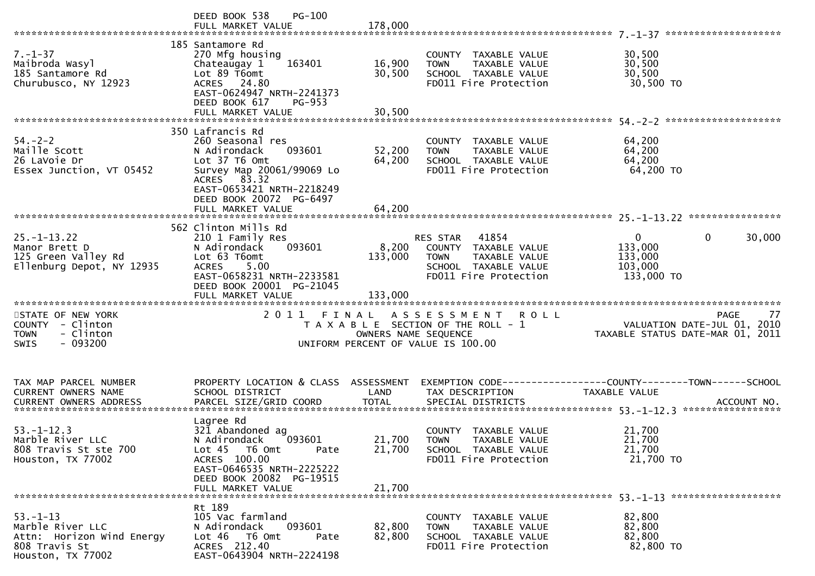|                                                                                                       | <b>PG-100</b><br>DEED BOOK 538                                                                                                                                                      |                            |                                                                                                                            |                                                                                                                          |        |
|-------------------------------------------------------------------------------------------------------|-------------------------------------------------------------------------------------------------------------------------------------------------------------------------------------|----------------------------|----------------------------------------------------------------------------------------------------------------------------|--------------------------------------------------------------------------------------------------------------------------|--------|
| $7. - 1 - 37$<br>Maibroda Wasyl<br>185 Santamore Rd<br>Churubusco, NY 12923                           | 185 Santamore Rd<br>270 Mfg housing<br>163401<br>Chateaugay 1<br>Lot 89 T6omt<br>ACRES 24.80<br>EAST-0624947 NRTH-2241373<br>DEED BOOK 617<br>PG-953<br>FULL MARKET VALUE           | 16,900<br>30,500<br>30,500 | COUNTY TAXABLE VALUE<br><b>TOWN</b><br>TAXABLE VALUE<br>SCHOOL TAXABLE VALUE<br>FD011 Fire Protection                      | 30,500<br>30,500<br>30,500<br>30,500 TO                                                                                  |        |
|                                                                                                       |                                                                                                                                                                                     |                            |                                                                                                                            |                                                                                                                          |        |
| $54. - 2 - 2$<br>Maille Scott<br>26 LaVoie Dr<br>Essex Junction, VT 05452                             | 350 Lafrancis Rd<br>260 Seasonal res<br>093601<br>N Adirondack<br>Lot 37 T6 Omt<br>Survey Map 20061/99069 Lo<br>ACRES 83.32<br>EAST-0653421 NRTH-2218249<br>DEED BOOK 20072 PG-6497 | 52,200<br>64,200           | COUNTY TAXABLE VALUE<br>TAXABLE VALUE<br><b>TOWN</b><br>SCHOOL TAXABLE VALUE<br>FD011 Fire Protection                      | 64,200<br>64,200<br>64,200<br>64,200 TO                                                                                  |        |
|                                                                                                       | FULL MARKET VALUE                                                                                                                                                                   | 64,200                     |                                                                                                                            |                                                                                                                          |        |
|                                                                                                       |                                                                                                                                                                                     |                            |                                                                                                                            |                                                                                                                          |        |
| $25. - 1 - 13.22$<br>Manor Brett D<br>125 Green Valley Rd<br>Ellenburg Depot, NY 12935                | 562 Clinton Mills Rd<br>210 1 Family Res<br>093601<br>N Adirondack<br>Lot 63 T6omt<br><b>ACRES</b><br>5.00<br>EAST-0658231 NRTH-2233581<br>DEED BOOK 20001 PG-21045                 | 8,200<br>133,000           | RES STAR<br>41854<br>COUNTY TAXABLE VALUE<br><b>TOWN</b><br>TAXABLE VALUE<br>SCHOOL TAXABLE VALUE<br>FD011 Fire Protection | $\overline{0}$<br>$\mathbf{0}$<br>133,000<br>133,000<br>103,000<br>133,000 TO                                            | 30,000 |
|                                                                                                       |                                                                                                                                                                                     |                            |                                                                                                                            |                                                                                                                          | 77     |
| STATE OF NEW YORK<br>COUNTY - Clinton<br>- Clinton<br><b>TOWN</b><br>- 093200<br><b>SWIS</b>          |                                                                                                                                                                                     | OWNERS NAME SEQUENCE       | 2011 FINAL ASSESSMENT ROLL<br>T A X A B L E SECTION OF THE ROLL - 1<br>UNIFORM PERCENT OF VALUE IS 100.00                  | <b>PAGE</b><br>VALUATION DATE-JUL $\overline{01}$ , 2010<br>TAXABLE STATUS DATE-MAR 01, 2011                             |        |
| TAX MAP PARCEL NUMBER<br><b>CURRENT OWNERS NAME</b>                                                   | SCHOOL DISTRICT                                                                                                                                                                     | LAND                       | TAX DESCRIPTION                                                                                                            | PROPERTY LOCATION & CLASS ASSESSMENT EXEMPTION CODE----------------COUNTY-------TOWN------SCHOOL<br><b>TAXABLE VALUE</b> |        |
| $53. - 1 - 12.3$<br>Marble River LLC<br>808 Travis St ste 700<br>Houston, TX 77002                    | Lagree Rd<br>321 Abandoned ag<br>093601<br>N Adirondack<br>Lot 45  T6 0mt<br>Pate<br>ACRES 100.00<br>EAST-0646535 NRTH-2225222<br>DEED BOOK 20082 PG-19515<br>FULL MARKET VALUE     | 21,700<br>21,700           | COUNTY TAXABLE VALUE<br>21,700 TOWN<br>TAXABLE VALUE<br>SCHOOL TAXABLE VALUE<br>FD011 Fire Protection                      | 21,700<br>21,700<br>21,700<br>21,700 TO                                                                                  |        |
|                                                                                                       | Rt 189                                                                                                                                                                              |                            |                                                                                                                            |                                                                                                                          |        |
| $53. - 1 - 13$<br>Marble River LLC<br>Attn: Horizon Wind Energy<br>808 Travis St<br>Houston, TX 77002 | 105 Vac farmland<br>093601<br>N Adirondack<br>Lot 46 T6 Omt<br>Pate<br>ACRES 212.40<br>EAST-0643904 NRTH-2224198                                                                    | 82,800<br>82,800           | COUNTY TAXABLE VALUE<br>TAXABLE VALUE<br><b>TOWN</b><br>SCHOOL TAXABLE VALUE<br>FD011 Fire Protection                      | 82,800<br>82,800<br>82,800<br>82,800 TO                                                                                  |        |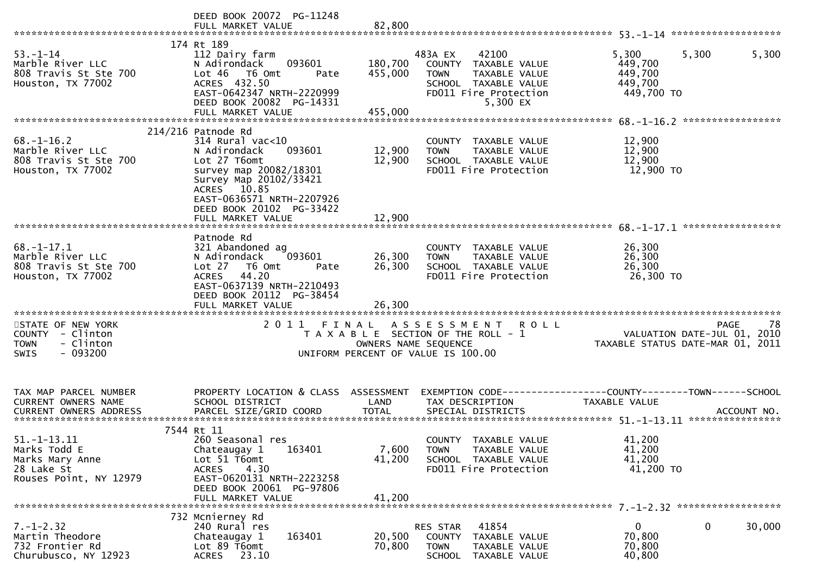|                                                                                              | DEED BOOK 20072 PG-11248<br>FULL MARKET VALUE                                                                                                                                                                    | 82,800                        |                                                                                                                                       |                                                                 |                   |
|----------------------------------------------------------------------------------------------|------------------------------------------------------------------------------------------------------------------------------------------------------------------------------------------------------------------|-------------------------------|---------------------------------------------------------------------------------------------------------------------------------------|-----------------------------------------------------------------|-------------------|
| $53. - 1 - 14$<br>Marble River LLC<br>808 Travis St Ste 700<br>Houston, TX 77002             | 174 Rt 189<br>112 Dairy farm<br>093601<br>N Adirondack<br>Lot 46<br>T6 Omt<br>Pate<br>ACRES 432.50<br>EAST-0642347 NRTH-2220999<br>DEED BOOK 20082 PG-14331<br>FULL MARKET VALUE                                 | 180,700<br>455,000<br>455,000 | 483A EX<br>42100<br>COUNTY TAXABLE VALUE<br><b>TOWN</b><br>TAXABLE VALUE<br>SCHOOL TAXABLE VALUE<br>FD011 Fire Protection<br>5,300 EX | 5,300<br>5,300<br>449,700<br>449,700<br>449,700<br>449,700 TO   | 5,300             |
|                                                                                              |                                                                                                                                                                                                                  |                               |                                                                                                                                       |                                                                 |                   |
| $68. - 1 - 16.2$<br>Marble River LLC<br>808 Travis St Ste 700<br>Houston, TX 77002           | $214/216$ Patnode Rd<br>$314$ Rural vac<10<br>093601<br>N Adirondack<br>Lot 27 T6omt<br>survey map 20082/18301<br>Survey Map 20102/33421<br>ACRES 10.85<br>EAST-0636571 NRTH-2207926<br>DEED BOOK 20102 PG-33422 | 12,900<br>12,900              | COUNTY TAXABLE VALUE<br>TAXABLE VALUE<br>TOWN<br>SCHOOL TAXABLE VALUE<br>FD011 Fire Protection                                        | 12,900<br>12,900<br>12,900<br>12,900 TO                         |                   |
|                                                                                              | FULL MARKET VALUE                                                                                                                                                                                                | 12.900                        |                                                                                                                                       |                                                                 |                   |
|                                                                                              |                                                                                                                                                                                                                  |                               |                                                                                                                                       |                                                                 |                   |
| $68. - 1 - 17.1$<br>Marble River LLC<br>808 Travis St Ste 700<br>Houston, TX 77002           | Patnode Rd<br>321 Abandoned ag<br>N Adirondack<br>093601<br>Lot 27 76 0mt<br>Pate<br>ACRES 44.20<br>EAST-0637139 NRTH-2210493<br>DEED BOOK 20112 PG-38454<br>FULL MARKET VALUE                                   | 26,300<br>26,300<br>26,300    | COUNTY TAXABLE VALUE<br>TAXABLE VALUE<br><b>TOWN</b><br>SCHOOL TAXABLE VALUE<br>FD011 Fire Protection                                 | 26,300<br>26,300<br>26,300<br>26,300 TO                         |                   |
| STATE OF NEW YORK<br>COUNTY - Clinton<br>- Clinton<br><b>TOWN</b><br>$-093200$<br>SWIS       | 2011 FINAL                                                                                                                                                                                                       | OWNERS NAME SEQUENCE          | A S S E S S M E N T<br><b>ROLL</b><br>T A X A B L E SECTION OF THE ROLL - 1<br>UNIFORM PERCENT OF VALUE IS 100.00                     | VALUATION DATE-JUL 01, 2010<br>TAXABLE STATUS DATE-MAR 01, 2011 | 78<br><b>PAGE</b> |
| TAX MAP PARCEL NUMBER<br><b>CURRENT OWNERS NAME</b><br><b>CURRENT OWNERS ADDRESS</b>         | PROPERTY LOCATION & CLASS ASSESSMENT<br>SCHOOL DISTRICT<br>PARCEL SIZE/GRID COORD                                                                                                                                | LAND<br><b>TOTAL</b>          | EXEMPTION CODE-----------------COUNTY--------TOWN------SCHOOL<br>TAX DESCRIPTION<br>SPECIAL DISTRICTS                                 | TAXABLE VALUE                                                   | ACCOUNT NO.       |
| $51. - 1 - 13.11$<br>Marks Todd E<br>Marks Mary Anne<br>28 Lake St<br>Rouses Point, NY 12979 | 7544 Rt 11<br>260 Seasonal res<br>163401<br>Chateaugay 1<br>Lot 51 T6omt<br>4.30<br><b>ACRES</b><br>EAST-0620131 NRTH-2223258<br>DEED BOOK 20061 PG-97806<br>FULL MARKET VALUE                                   | 7,600<br>41,200<br>41,200     | COUNTY TAXABLE VALUE<br><b>TOWN</b><br>TAXABLE VALUE<br>SCHOOL TAXABLE VALUE<br>FD011 Fire Protection                                 | 41,200<br>41,200<br>41,200<br>41,200 TO                         |                   |
| $7. - 1 - 2.32$<br>Martin Theodore<br>732 Frontier Rd<br>Churubusco, NY 12923                | 732 Mcnierney Rd<br>240 Rural res<br>163401<br>Chateaugay 1<br>Lot 89 T6omt<br>ACRES 23.10                                                                                                                       | 20,500<br>70,800              | 41854<br>RES STAR<br>COUNTY TAXABLE VALUE<br><b>TOWN</b><br>TAXABLE VALUE<br>SCHOOL TAXABLE VALUE                                     | 0<br>0<br>70,800<br>70,800<br>40,800                            | 30,000            |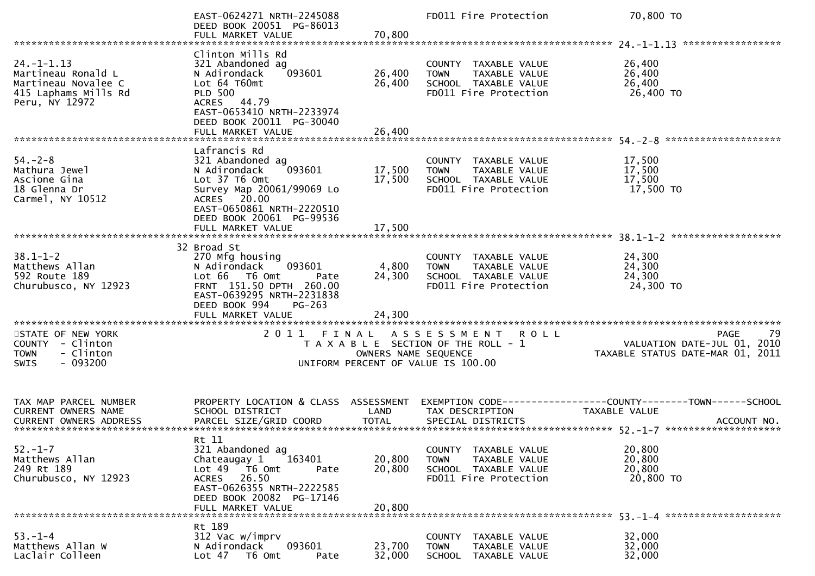|                                                                                                        | EAST-0624271 NRTH-2245088<br>DEED BOOK 20051 PG-86013<br>FULL MARKET VALUE                                                                                                                            | 70,800                     | FD011 Fire Protection                                                                                                  | 70,800 TO                                                                            |
|--------------------------------------------------------------------------------------------------------|-------------------------------------------------------------------------------------------------------------------------------------------------------------------------------------------------------|----------------------------|------------------------------------------------------------------------------------------------------------------------|--------------------------------------------------------------------------------------|
| $24. -1 - 1.13$<br>Martineau Ronald L<br>Martineau Novalee C<br>415 Laphams Mills Rd<br>Peru, NY 12972 | Clinton Mills Rd<br>321 Abandoned ag<br>093601<br>N Adirondack<br>Lot 64 T60mt<br><b>PLD 500</b><br>ACRES 44.79<br>EAST-0653410 NRTH-2233974<br>DEED BOOK 20011 PG-30040<br>FULL MARKET VALUE         | 26,400<br>26,400<br>26,400 | COUNTY TAXABLE VALUE<br>TAXABLE VALUE<br><b>TOWN</b><br>SCHOOL TAXABLE VALUE<br>FD011 Fire Protection                  | *****************<br>26,400<br>26,400<br>26,400<br>26,400 TO                         |
| $54. - 2 - 8$<br>Mathura Jewel<br>Ascione Gina<br>18 Glenna Dr<br>Carmel, NY 10512                     | Lafrancis Rd<br>321 Abandoned ag<br>093601<br>N Adirondack<br>Lot 37 T6 Omt<br>Survey Map 20061/99069 Lo<br>ACRES 20.00<br>EAST-0650861 NRTH-2220510<br>DEED BOOK 20061 PG-99536<br>FULL MARKET VALUE | 17,500<br>17,500<br>17,500 | COUNTY TAXABLE VALUE<br><b>TOWN</b><br>TAXABLE VALUE<br>SCHOOL TAXABLE VALUE<br>FD011 Fire Protection                  | 17,500<br>17,500<br>17,500<br>17,500 TO                                              |
|                                                                                                        | 32 Broad St                                                                                                                                                                                           |                            |                                                                                                                        |                                                                                      |
| $38.1 - 1 - 2$<br>Matthews Allan<br>592 Route 189<br>Churubusco, NY 12923                              | 270 Mfg housing<br>093601<br>N Adirondack<br>Lot 66  T6 0mt<br>Pate<br>FRNT 151.50 DPTH 260.00<br>EAST-0639295 NRTH-2231838<br>DEED BOOK 994<br>$PG-263$<br>FULL MARKET VALUE                         | 4,800<br>24,300<br>24,300  | COUNTY TAXABLE VALUE<br>TAXABLE VALUE<br><b>TOWN</b><br>SCHOOL TAXABLE VALUE<br>FD011 Fire Protection                  | 24,300<br>24,300<br>24,300<br>24,300 TO                                              |
| **********************                                                                                 |                                                                                                                                                                                                       |                            |                                                                                                                        |                                                                                      |
| STATE OF NEW YORK<br>COUNTY - Clinton<br>- Clinton<br><b>TOWN</b><br><b>SWIS</b><br>- 093200           | 2011 FINAL                                                                                                                                                                                            | OWNERS NAME SEQUENCE       | A S S E S S M E N T<br><b>ROLL</b><br>T A X A B L E SECTION OF THE ROLL - 1<br>UNIFORM PERCENT OF VALUE IS 100.00      | 79<br><b>PAGE</b><br>VALUATION DATE-JUL 01, 2010<br>TAXABLE STATUS DATE-MAR 01, 2011 |
| TAX MAP PARCEL NUMBER<br><b>CURRENT OWNERS NAME</b><br><b>CURRENT OWNERS ADDRESS</b>                   | PROPERTY LOCATION & CLASS ASSESSMENT<br>SCHOOL DISTRICT                                                                                                                                               | LAND                       | TAX DESCRIPTION                                                                                                        | EXEMPTION CODE------------------COUNTY--------TOWN------SCHOOL<br>TAXABLE VALUE      |
| $52. - 1 - 7$<br>Matthews Allan<br>249 Rt 189<br>Churubusco, NY 12923                                  | Rt 11<br>321 Abandoned ag<br>Chateaugay 1<br>163401<br>Lot 49  T6 0mt<br>Pate<br>26.50<br>ACRES<br>EAST-0626355 NRTH-2222585<br>DEED BOOK 20082 PG-17146<br>FULL MARKET VALUE                         | 20,800<br>20,800<br>20,800 | <b>COUNTY</b><br>TAXABLE VALUE<br><b>TOWN</b><br><b>TAXABLE VALUE</b><br>SCHOOL TAXABLE VALUE<br>FD011 Fire Protection | 20,800<br>20,800<br>20,800<br>20,800 TO                                              |
|                                                                                                        | Rt 189                                                                                                                                                                                                |                            |                                                                                                                        |                                                                                      |
| $53. - 1 - 4$<br>Matthews Allan W<br>Laclair Colleen                                                   | 312 Vac w/imprv<br>093601<br>N Adirondack<br>Lot 47 T6 Omt<br>Pate                                                                                                                                    | 23,700<br>32,000           | <b>COUNTY</b><br>TAXABLE VALUE<br>TAXABLE VALUE<br>TOWN<br><b>SCHOOL</b><br>TAXABLE VALUE                              | 32,000<br>32,000<br>32,000                                                           |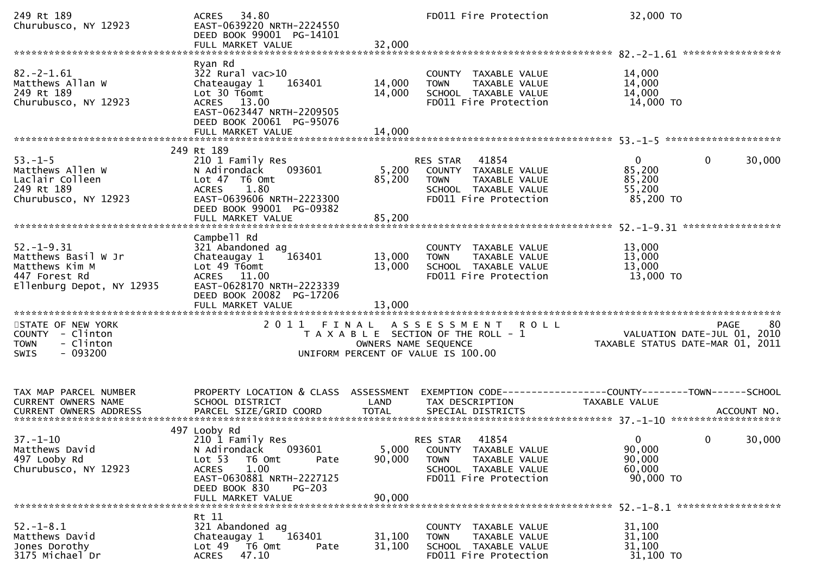| 249 Rt 189<br>Churubusco, NY 12923                                                                      | 34.80<br>ACRES<br>EAST-0639220 NRTH-2224550<br>DEED BOOK 99001 PG-14101<br>FULL MARKET VALUE                                                                                                       | 32,000                     | FD011 Fire Protection                                                                                                      | 32,000 TO                                                       |                        |
|---------------------------------------------------------------------------------------------------------|----------------------------------------------------------------------------------------------------------------------------------------------------------------------------------------------------|----------------------------|----------------------------------------------------------------------------------------------------------------------------|-----------------------------------------------------------------|------------------------|
| $82. -2 - 1.61$<br>Matthews Allan W<br>249 Rt 189<br>Churubusco, NY 12923                               | Ryan Rd<br>$322$ Rural vac $>10$<br>Chateaugay 1<br>163401<br>Lot 30 T6omt<br>ACRES 13.00<br>EAST-0623447 NRTH-2209505<br>DEED BOOK 20061 PG-95076<br>FULL MARKET VALUE                            | 14,000<br>14,000<br>14,000 | COUNTY TAXABLE VALUE<br>TAXABLE VALUE<br><b>TOWN</b><br>SCHOOL TAXABLE VALUE<br>FD011 Fire Protection                      | 14,000<br>14,000<br>14,000<br>14,000 TO                         |                        |
| $53. - 1 - 5$<br>Matthews Allen W<br>Laclair Colleen<br>249 Rt 189<br>Churubusco, NY 12923              | 249 Rt 189<br>210 1 Family Res<br>N Adirondack<br>093601<br>Lot 47 T6 Omt<br>1.80<br><b>ACRES</b><br>EAST-0639606 NRTH-2223300<br>DEED BOOK 99001 PG-09382                                         | 5,200<br>85,200            | 41854<br>RES STAR<br>COUNTY TAXABLE VALUE<br>TAXABLE VALUE<br><b>TOWN</b><br>SCHOOL TAXABLE VALUE<br>FD011 Fire Protection | $\mathbf{0}$<br>85,200<br>85,200<br>55,200<br>85,200 TO         | 0<br>30,000            |
| $52. - 1 - 9.31$<br>Matthews Basil W Jr<br>Matthews Kim M<br>447 Forest Rd<br>Ellenburg Depot, NY 12935 | Campbell Rd<br>321 Abandoned ag<br>Chateaugay 1<br>163401<br>Lot 49 T6omt<br>ACRES 11.00<br>EAST-0628170 NRTH-2223339<br>DEED BOOK 20082 PG-17206<br>FULL MARKET VALUE                             | 13,000<br>13,000<br>13,000 | COUNTY TAXABLE VALUE<br>TAXABLE VALUE<br><b>TOWN</b><br>SCHOOL TAXABLE VALUE<br>FD011 Fire Protection                      | 13,000<br>13,000<br>13,000<br>13,000 TO                         |                        |
| STATE OF NEW YORK<br>COUNTY - Clinton<br>- Clinton<br><b>TOWN</b><br>$-093200$<br>SWIS                  | 2011                                                                                                                                                                                               | OWNERS NAME SEQUENCE       | FINAL ASSESSMENT ROLL<br>T A X A B L E SECTION OF THE ROLL - 1<br>UNIFORM PERCENT OF VALUE IS 100.00                       | VALUATION DATE-JUL 01, 2010<br>TAXABLE STATUS DATE-MAR 01, 2011 | <b>PAGE</b><br>80      |
| TAX MAP PARCEL NUMBER<br>CURRENT OWNERS NAME                                                            | PROPERTY LOCATION & CLASS ASSESSMENT<br>SCHOOL DISTRICT                                                                                                                                            | LAND                       | EXEMPTION        CODE-----------------COUNTY-------TOWN------SCHOOL<br>TAX DESCRIPTION                                     | <b>TAXABLE VALUE</b>                                            |                        |
| $37. - 1 - 10$<br>Matthews David<br>497 Looby Rd<br>Churubusco, NY 12923                                | 497 Looby Rd<br>210 1 Family Res<br>093601<br>N Adirondack<br>Lot 53<br>T6 Omt<br>Pate<br><b>ACRES</b><br>1.00<br>EAST-0630881 NRTH-2227125<br>DEED BOOK 830<br><b>PG-203</b><br>FULL MARKET VALUE | 5,000<br>90,000<br>90,000  | 41854<br>RES STAR<br>COUNTY TAXABLE VALUE<br>TAXABLE VALUE<br><b>TOWN</b><br>SCHOOL TAXABLE VALUE<br>FD011 Fire Protection | $\overline{0}$<br>90,000<br>90,000<br>60,000<br>90,000 TO       | 30,000<br>$\mathbf{0}$ |
| $52. - 1 - 8.1$<br>Matthews David<br>Jones Dorothy<br>3175 Michael Dr                                   | Rt 11<br>321 Abandoned ag<br>163401<br>Chateaugay 1<br>Lot 49  T6 Omt<br>Pate<br>47.10<br>ACRES                                                                                                    | 31,100<br>31,100           | COUNTY TAXABLE VALUE<br>TAXABLE VALUE<br><b>TOWN</b><br>SCHOOL TAXABLE VALUE<br>FD011 Fire Protection                      | 31,100<br>31,100<br>31,100<br>31,100 TO                         |                        |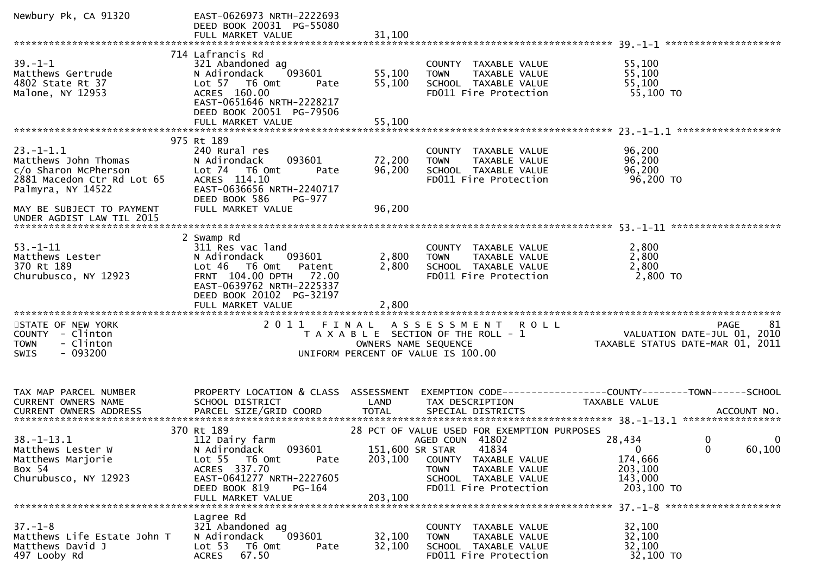| Newbury Pk, CA 91320                   | EAST-0626973 NRTH-2222693<br>DEED BOOK 20031 PG-55080<br>FULL MARKET VALUE | 31,100               |                                                      |                                                                                                                                                                                                                                |        |
|----------------------------------------|----------------------------------------------------------------------------|----------------------|------------------------------------------------------|--------------------------------------------------------------------------------------------------------------------------------------------------------------------------------------------------------------------------------|--------|
|                                        |                                                                            |                      |                                                      |                                                                                                                                                                                                                                |        |
|                                        | 714 Lafrancis Rd                                                           |                      |                                                      |                                                                                                                                                                                                                                |        |
| $39. - 1 - 1$                          | 321 Abandoned ag                                                           |                      | COUNTY TAXABLE VALUE                                 | 55,100                                                                                                                                                                                                                         |        |
| Matthews Gertrude                      | 093601<br>N Adirondack                                                     | 55,100               | TAXABLE VALUE<br><b>TOWN</b>                         | 55,100                                                                                                                                                                                                                         |        |
| 4802 State Rt 37<br>Malone, NY 12953   | Lot 57 T6 Omt<br>Pate<br>ACRES 160.00                                      | 55,100               | SCHOOL TAXABLE VALUE<br>FD011 Fire Protection        | 55,100<br>55,100 TO                                                                                                                                                                                                            |        |
|                                        | EAST-0651646 NRTH-2228217                                                  |                      |                                                      |                                                                                                                                                                                                                                |        |
|                                        | DEED BOOK 20051 PG-79506                                                   |                      |                                                      |                                                                                                                                                                                                                                |        |
|                                        | FULL MARKET VALUE                                                          | 55,100               |                                                      |                                                                                                                                                                                                                                |        |
|                                        |                                                                            |                      |                                                      |                                                                                                                                                                                                                                |        |
|                                        | 975 Rt 189                                                                 |                      |                                                      |                                                                                                                                                                                                                                |        |
| $23. -1 - 1.1$<br>Matthews John Thomas | 240 Rural res<br>093601<br>N Adirondack                                    | 72,200               | COUNTY TAXABLE VALUE<br>TAXABLE VALUE<br><b>TOWN</b> | 96,200<br>96,200                                                                                                                                                                                                               |        |
| c/o Sharon McPherson                   | Lot 74 T6 Omt<br>Pate                                                      | 96,200               | SCHOOL TAXABLE VALUE                                 | 96,200                                                                                                                                                                                                                         |        |
| 2881 Macedon Ctr Rd Lot 65             | ACRES 114.10                                                               |                      | FD011 Fire Protection                                | 96,200 TO                                                                                                                                                                                                                      |        |
| Palmyra, NY 14522                      | EAST-0636656 NRTH-2240717                                                  |                      |                                                      |                                                                                                                                                                                                                                |        |
|                                        | DEED BOOK 586<br>PG-977                                                    |                      |                                                      |                                                                                                                                                                                                                                |        |
| MAY BE SUBJECT TO PAYMENT              | FULL MARKET VALUE                                                          | 96,200               |                                                      |                                                                                                                                                                                                                                |        |
|                                        |                                                                            |                      |                                                      |                                                                                                                                                                                                                                |        |
|                                        | 2 Swamp Rd                                                                 |                      |                                                      |                                                                                                                                                                                                                                |        |
| $53 - 1 - 11$                          | 311 Res vac land                                                           |                      | COUNTY TAXABLE VALUE                                 | 2,800                                                                                                                                                                                                                          |        |
| Matthews Lester                        | 093601<br>N Adirondack                                                     | 2,800                | TAXABLE VALUE<br><b>TOWN</b>                         | 2,800                                                                                                                                                                                                                          |        |
| 370 Rt 189                             | Lot 46 T6 Omt<br>Patent                                                    | 2,800                | SCHOOL TAXABLE VALUE                                 | 2,800                                                                                                                                                                                                                          |        |
| Churubusco, NY 12923                   | FRNT 104.00 DPTH 72.00                                                     |                      | FD011 Fire Protection                                | $2,800$ TO                                                                                                                                                                                                                     |        |
|                                        | EAST-0639762 NRTH-2225337<br>DEED BOOK 20102 PG-32197                      |                      |                                                      |                                                                                                                                                                                                                                |        |
|                                        | FULL MARKET VALUE                                                          | 2,800                |                                                      |                                                                                                                                                                                                                                |        |
|                                        |                                                                            |                      |                                                      |                                                                                                                                                                                                                                |        |
| STATE OF NEW YORK                      | 2011 FINAL                                                                 |                      | ASSESSMENT ROLL                                      | <b>PAGE</b>                                                                                                                                                                                                                    | 81     |
| COUNTY - Clinton                       |                                                                            |                      | T A X A B L E SECTION OF THE ROLL - 1                | VALUATION DATE-JUL 01, 2010                                                                                                                                                                                                    |        |
| - Clinton<br><b>TOWN</b>               |                                                                            | OWNERS NAME SEQUENCE |                                                      | TAXABLE STATUS DATE-MAR 01, 2011                                                                                                                                                                                               |        |
| $-093200$<br><b>SWIS</b>               |                                                                            |                      | UNIFORM PERCENT OF VALUE IS 100.00                   |                                                                                                                                                                                                                                |        |
|                                        |                                                                            |                      |                                                      |                                                                                                                                                                                                                                |        |
|                                        |                                                                            |                      |                                                      |                                                                                                                                                                                                                                |        |
| TAX MAP PARCEL NUMBER                  | PROPERTY LOCATION & CLASS ASSESSMENT                                       |                      |                                                      | EXEMPTION CODE------------------COUNTY--------TOWN------SCHOOL                                                                                                                                                                 |        |
| CURRENT OWNERS NAME                    | SCHOOL DISTRICT                                                            | LAND                 | TAX DESCRIPTION                                      | TAXABLE VALUE                                                                                                                                                                                                                  |        |
|                                        |                                                                            |                      |                                                      | .4CCOUNT NO . PARCEL SIZE/GRID COORD TOTAL SPECIAL DISTRICTS SPERE SERVIT ACCOUNT NO . AND ARE SERVIT AND . AND REST AND TO . AND . AND . A SERVIT AS . AND . A SERVIT AS . A SERVIT AS . A SERVIT AND . A SERVIT AND . A SERV |        |
|                                        | 370 Rt 189                                                                 |                      | 28 PCT OF VALUE USED FOR EXEMPTION PURPOSES          |                                                                                                                                                                                                                                |        |
| $38. - 1 - 13.1$                       | 112 Dairy farm                                                             |                      | AGED COUN 41802                                      | 28,434<br>0                                                                                                                                                                                                                    | 0      |
| Matthews Lester W                      | N Adirondack<br>093601                                                     | 151,600 SR STAR      | 41834                                                | $\mathbf 0$<br>$\mathbf{0}$                                                                                                                                                                                                    | 60,100 |
| Matthews Marjorie                      | Lot 55 T6 Omt<br>Pate                                                      | 203,100              | COUNTY TAXABLE VALUE                                 | 174,666                                                                                                                                                                                                                        |        |
| Box 54                                 | ACRES 337.70                                                               |                      | <b>TOWN</b><br>TAXABLE VALUE                         | 203,100                                                                                                                                                                                                                        |        |
| Churubusco, NY 12923                   | EAST-0641277 NRTH-2227605                                                  |                      | SCHOOL TAXABLE VALUE                                 | 143,000                                                                                                                                                                                                                        |        |
|                                        | DEED BOOK 819<br>PG-164<br>FULL MARKET VALUE                               | 203,100              | FD011 Fire Protection                                | 203,100 TO                                                                                                                                                                                                                     |        |
|                                        |                                                                            |                      |                                                      |                                                                                                                                                                                                                                |        |
|                                        | Lagree Rd                                                                  |                      |                                                      |                                                                                                                                                                                                                                |        |
| $37. - 1 - 8$                          |                                                                            |                      | COUNTY TAXABLE VALUE                                 | 32,100                                                                                                                                                                                                                         |        |
| Matthews Life Estate John T            | 321 Abandoned ag                                                           |                      |                                                      |                                                                                                                                                                                                                                |        |
|                                        | 093601<br>N Adirondack                                                     | 32,100               | <b>TOWN</b><br>TAXABLE VALUE                         | 32,100                                                                                                                                                                                                                         |        |
| Matthews David J<br>497 Looby Rd       | Lot 53<br>T6 Omt<br>Pate<br>67.50<br><b>ACRES</b>                          | 32,100               | SCHOOL TAXABLE VALUE<br>FD011 Fire Protection        | 32,100<br>32,100 TO                                                                                                                                                                                                            |        |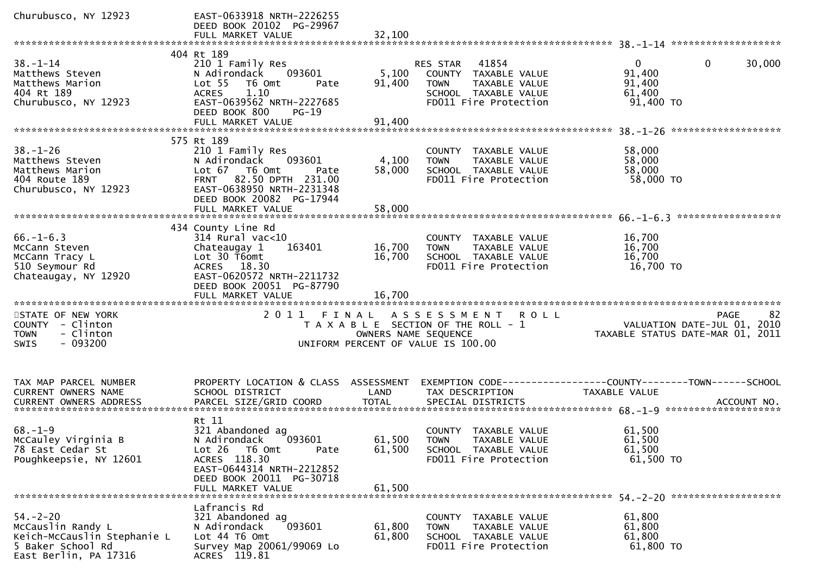| Churubusco, NY 12923                                                                                             | EAST-0633918 NRTH-2226255<br>DEED BOOK 20102 PG-29967<br>FULL MARKET VALUE                                                                                                                | 32,100                     |                                                                                                                                             |                                                                 |                        |
|------------------------------------------------------------------------------------------------------------------|-------------------------------------------------------------------------------------------------------------------------------------------------------------------------------------------|----------------------------|---------------------------------------------------------------------------------------------------------------------------------------------|-----------------------------------------------------------------|------------------------|
|                                                                                                                  |                                                                                                                                                                                           |                            |                                                                                                                                             |                                                                 |                        |
| $38 - 1 - 14$<br>Matthews Steven<br>Matthews Marion<br>404 Rt 189<br>Churubusco, NY 12923                        | 404 Rt 189<br>210 1 Family Res<br>093601<br>N Adirondack<br>Lot <sub>55</sub><br>T6 Omt<br>Pate<br>1.10<br><b>ACRES</b><br>EAST-0639562 NRTH-2227685<br>DEED BOOK 800<br>$PG-19$          | 5,100<br>91,400            | 41854<br>RES STAR<br>COUNTY TAXABLE VALUE<br><b>TOWN</b><br>TAXABLE VALUE<br>SCHOOL TAXABLE VALUE<br>FD011 Fire Protection                  | $\overline{0}$<br>91,400<br>91,400<br>61,400<br>91,400 TO       | $\mathbf{0}$<br>30,000 |
|                                                                                                                  | FULL MARKET VALUE                                                                                                                                                                         | 91,400                     |                                                                                                                                             |                                                                 |                        |
| $38. - 1 - 26$<br>Matthews Steven<br>Matthews Marion<br>404 Route 189<br>Churubusco, NY 12923                    | 575 Rt 189<br>210 1 Family Res<br>093601<br>N Adirondack<br>Lot 67 76 0mt<br>Pate<br>FRNT 82.50 DPTH 231.00<br>EAST-0638950 NRTH-2231348<br>DEED BOOK 20082 PG-17944<br>FULL MARKET VALUE | 4,100<br>58,000<br>58,000  | COUNTY TAXABLE VALUE<br><b>TOWN</b><br>TAXABLE VALUE<br>SCHOOL TAXABLE VALUE<br>FD011 Fire Protection                                       | 58,000<br>58,000<br>58,000<br>58,000 TO                         |                        |
|                                                                                                                  | 434 County Line Rd                                                                                                                                                                        |                            |                                                                                                                                             |                                                                 |                        |
| $66. - 1 - 6.3$<br>McCann Steven<br>McCann Tracy L<br>510 Seymour Rd<br>Chateaugay, NY 12920                     | 314 Rural vac<10<br>163401<br>Chateaugay 1<br>Lot 30 T6omt<br>ACRES 18.30<br>EAST-0620572 NRTH-2211732<br>DEED BOOK 20051 PG-87790<br>FULL MARKET VALUE                                   | 16,700<br>16,700<br>16,700 | COUNTY TAXABLE VALUE<br>TAXABLE VALUE<br><b>TOWN</b><br>SCHOOL TAXABLE VALUE<br>FD011 Fire Protection                                       | 16,700<br>16,700<br>16,700<br>16,700 TO                         |                        |
| STATE OF NEW YORK<br>COUNTY - Clinton<br>- Clinton<br><b>TOWN</b><br>$-093200$<br><b>SWIS</b>                    |                                                                                                                                                                                           |                            | 2011 FINAL ASSESSMENT<br><b>ROLL</b><br>T A X A B L E SECTION OF THE ROLL - 1<br>OWNERS NAME SEQUENCE<br>UNIFORM PERCENT OF VALUE IS 100.00 | VALUATION DATE-JUL 01, 2010<br>TAXABLE STATUS DATE-MAR 01, 2011 | 82<br>PAGE             |
| TAX MAP PARCEL NUMBER<br>CURRENT OWNERS NAME<br><b>CURRENT OWNERS ADDRESS</b>                                    | PROPERTY LOCATION & CLASS ASSESSMENT<br>SCHOOL DISTRICT<br>PARCEL SIZE/GRID COORD                                                                                                         | LAND<br><b>TOTAL</b>       | TAX DESCRIPTION<br>SPECIAL DISTRICTS                                                                                                        | <b>TAXABLE VALUE</b>                                            | ACCOUNT NO.            |
| $68. - 1 - 9$<br>McCauley Virginia B<br>78 East Cedar St<br>Poughkeepsie, NY 12601                               | Rt 11<br>321 Abandoned ag<br>N Adirondack<br>093601<br>Lot 26 T6 Omt<br>Pate<br>ACRES 118.30<br>EAST-0644314 NRTH-2212852<br>DEED BOOK 20011 PG-30718<br>FULL MARKET VALUE                | 61,500<br>61,500           | COUNTY TAXABLE VALUE<br>61,500 TOWN<br>TAXABLE VALUE<br>SCHOOL TAXABLE VALUE<br>FD011 Fire Protection                                       | 61,500<br>61,500<br>61,500<br>61,500 TO                         |                        |
| $54. - 2 - 20$<br>McCauslin Randy L<br>Keich-McCauslin Stephanie L<br>5 Baker School Rd<br>East Berlin, PA 17316 | Lafrancis Rd<br>321 Abandoned ag<br>093601<br>N Adirondack<br>Lot 44 76 0mt<br>Survey Map 20061/99069 Lo<br>ACRES 119.81                                                                  | 61,800<br>61,800           | COUNTY TAXABLE VALUE<br>TAXABLE VALUE<br><b>TOWN</b><br>SCHOOL TAXABLE VALUE<br>FD011 Fire Protection                                       | 61,800<br>61,800<br>61,800<br>61,800 TO                         |                        |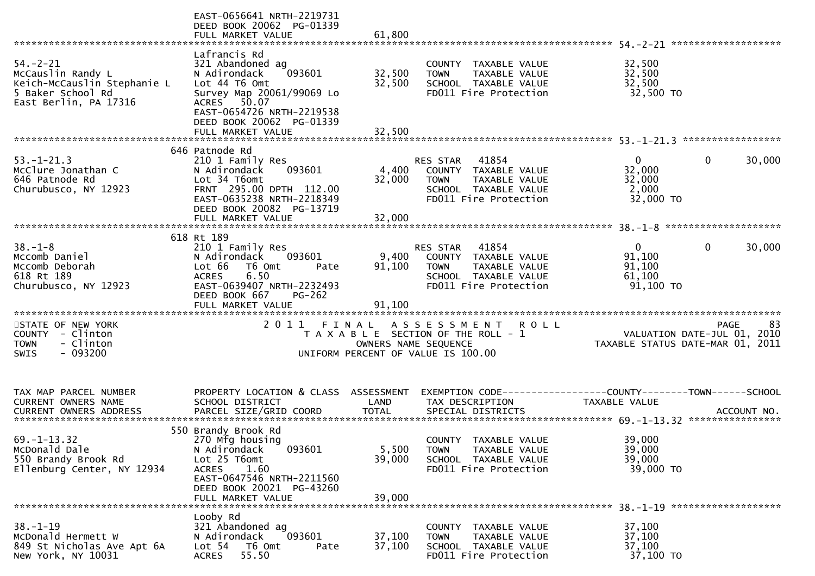|                                                                                                                  | EAST-0656641 NRTH-2219731<br>DEED BOOK 20062 PG-01339<br>FULL MARKET VALUE                                                                                                                            | 61,800                     |                                                                                                                                   |                                                         |                                                  |
|------------------------------------------------------------------------------------------------------------------|-------------------------------------------------------------------------------------------------------------------------------------------------------------------------------------------------------|----------------------------|-----------------------------------------------------------------------------------------------------------------------------------|---------------------------------------------------------|--------------------------------------------------|
| $54. - 2 - 21$<br>McCauslin Randy L<br>Keich-McCauslin Stephanie L<br>5 Baker School Rd<br>East Berlin, PA 17316 | Lafrancis Rd<br>321 Abandoned ag<br>093601<br>N Adirondack<br>Lot 44 T6 Omt<br>Survey Map 20061/99069 Lo<br>ACRES 50.07<br>EAST-0654726 NRTH-2219538<br>DEED BOOK 20062 PG-01339<br>FULL MARKET VALUE | 32,500<br>32,500<br>32,500 | COUNTY<br>TAXABLE VALUE<br><b>TOWN</b><br>TAXABLE VALUE<br>SCHOOL TAXABLE VALUE<br>FD011 Fire Protection                          | 32,500<br>32,500<br>32,500<br>32,500 TO                 |                                                  |
| $53. - 1 - 21.3$<br>McClure Jonathan C<br>646 Patnode Rd<br>Churubusco, NY 12923                                 | 646 Patnode Rd<br>210 1 Family Res<br>093601<br>N Adirondack<br>Lot 34 T6omt<br>FRNT 295.00 DPTH 112.00<br>EAST-0635238 NRTH-2218349<br>DEED BOOK 20082 PG-13719                                      | 4,400<br>32,000            | 41854<br><b>RES STAR</b><br>COUNTY TAXABLE VALUE<br>TAXABLE VALUE<br><b>TOWN</b><br>SCHOOL TAXABLE VALUE<br>FD011 Fire Protection | $\Omega$<br>32,000<br>32,000<br>2,000<br>32,000 TO      | 30,000<br>0                                      |
| $38. - 1 - 8$<br>Mccomb Daniel<br>Mccomb Deborah<br>618 Rt 189<br>Churubusco, NY 12923                           | 618 Rt 189<br>210 1 Family Res<br>N Adirondack<br>093601<br>T6 Omt<br>Lot 66<br>Pate<br>6.50<br><b>ACRES</b><br>EAST-0639407 NRTH-2232493<br>DEED BOOK 667<br>$PG-262$<br>FULL MARKET VALUE           | 9,400<br>91,100<br>91,100  | 41854<br>RES STAR<br>COUNTY TAXABLE VALUE<br><b>TOWN</b><br>TAXABLE VALUE<br>SCHOOL TAXABLE VALUE<br>FD011 Fire Protection        | $\mathbf{0}$<br>91,100<br>91,100<br>61,100<br>91,100 TO | $\mathbf{0}$<br>30,000                           |
| STATE OF NEW YORK<br>COUNTY - Clinton<br>- Clinton<br><b>TOWN</b><br>$-093200$<br><b>SWIS</b>                    |                                                                                                                                                                                                       | OWNERS NAME SEQUENCE       | 2011 FINAL ASSESSMENT ROLL<br>T A X A B L E SECTION OF THE ROLL - 1<br>UNIFORM PERCENT OF VALUE IS 100.00                         | TAXABLE STATUS DATE-MAR 01, 2011                        | 83<br><b>PAGE</b><br>VALUATION DATE-JUL 01, 2010 |
| TAX MAP PARCEL NUMBER<br><b>CURRENT OWNERS NAME</b>                                                              | PROPERTY LOCATION & CLASS ASSESSMENT<br>SCHOOL DISTRICT                                                                                                                                               | <b>LAND</b>                | TAX DESCRIPTION                                                                                                                   | TAXABLE VALUE                                           |                                                  |
| $69. - 1 - 13.32$<br>McDonald Dale<br>550 Brandy Brook Rd<br>Ellenburg Center, NY 12934                          | 550 Brandy Brook Rd<br>270 Mfg housing<br>093601<br>N Adirondack<br>Lot 25 T6omt<br><b>ACRES</b><br>1.60<br>EAST-0647546 NRTH-2211560<br>DEED BOOK 20021 PG-43260<br>FULL MARKET VALUE                | 5,500<br>39,000<br>39,000  | COUNTY TAXABLE VALUE<br>TAXABLE VALUE<br><b>TOWN</b><br>SCHOOL TAXABLE VALUE<br>FD011 Fire Protection                             | 39,000<br>39,000<br>39,000<br>39,000 TO                 |                                                  |
| $38. - 1 - 19$<br>McDonald Hermett W<br>849 St Nicholas Ave Apt 6A<br>New York, NY 10031                         | Looby Rd<br>321 Abandoned ag<br>093601<br>N Adirondack<br>Lot 54 T6 Omt<br>Pate<br><b>ACRES</b><br>55.50                                                                                              | 37,100<br>37,100           | COUNTY TAXABLE VALUE<br><b>TOWN</b><br>TAXABLE VALUE<br>SCHOOL TAXABLE VALUE<br>FD011 Fire Protection                             | 37,100<br>37,100<br>37,100<br>37,100 TO                 |                                                  |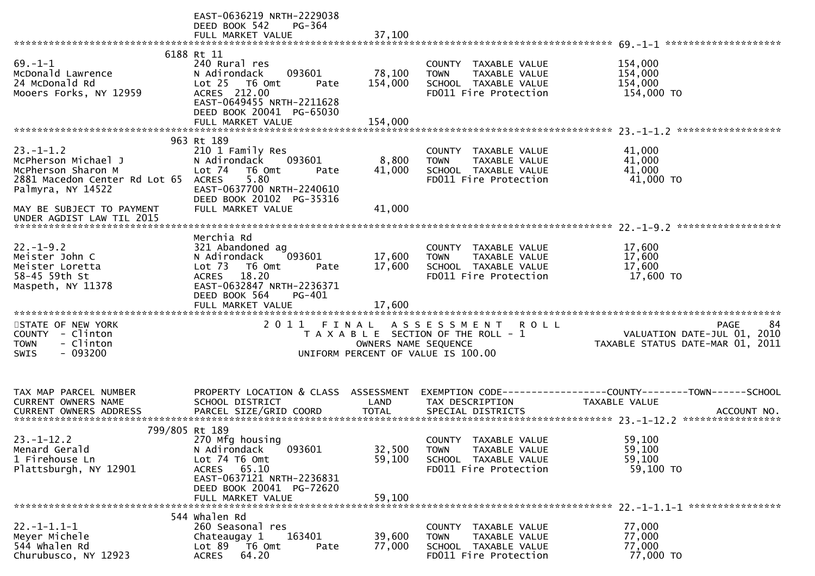|                                                                                                                                                                              | EAST-0636219 NRTH-2229038<br>DEED BOOK 542<br>PG-364<br>FULL MARKET VALUE                                                                                                               | 37,100                     |                                                                                                                     |                                                                                      |
|------------------------------------------------------------------------------------------------------------------------------------------------------------------------------|-----------------------------------------------------------------------------------------------------------------------------------------------------------------------------------------|----------------------------|---------------------------------------------------------------------------------------------------------------------|--------------------------------------------------------------------------------------|
|                                                                                                                                                                              |                                                                                                                                                                                         |                            |                                                                                                                     |                                                                                      |
| $69. - 1 - 1$<br>McDonald Lawrence<br>24 McDonald Rd<br>Mooers Forks, NY 12959                                                                                               | 6188 Rt 11<br>240 Rural res<br>093601<br>N Adirondack<br>Lot 25 T6 Omt<br>Pate<br>ACRES 212.00<br>EAST-0649455 NRTH-2211628<br>DEED BOOK 20041 PG-65030                                 | 78,100<br>154,000          | COUNTY TAXABLE VALUE<br><b>TOWN</b><br>TAXABLE VALUE<br>SCHOOL TAXABLE VALUE<br>FD011 Fire Protection               | 154,000<br>154,000<br>154,000<br>154,000 TO                                          |
|                                                                                                                                                                              | FULL MARKET VALUE                                                                                                                                                                       | 154,000                    |                                                                                                                     |                                                                                      |
| $23. - 1 - 1.2$<br>McPherson Michael J<br>McPherson Sharon M<br>2881 Macedon Center Rd Lot 65<br>Palmyra, NY 14522<br>MAY BE SUBJECT TO PAYMENT<br>UNDER AGDIST LAW TIL 2015 | 963 Rt 189<br>210 1 Family Res<br>093601<br>N Adirondack<br>Lot 74 T6 Omt<br>Pate<br>5.80<br><b>ACRES</b><br>EAST-0637700 NRTH-2240610<br>DEED BOOK 20102 PG-35316<br>FULL MARKET VALUE | 8,800<br>41,000<br>41,000  | COUNTY TAXABLE VALUE<br><b>TOWN</b><br>TAXABLE VALUE<br>SCHOOL TAXABLE VALUE<br>FD011 Fire Protection               | 41,000<br>41,000<br>41,000<br>41,000 TO                                              |
|                                                                                                                                                                              |                                                                                                                                                                                         |                            |                                                                                                                     |                                                                                      |
| $22. - 1 - 9.2$<br>Meister John C<br>Meister Loretta<br>58-45 59th St<br>Maspeth, NY 11378                                                                                   | Merchia Rd<br>321 Abandoned ag<br>N Adirondack<br>093601<br>Lot <sub>73</sub><br>T6 Omt<br>Pate<br>ACRES 18.20<br>EAST-0632847 NRTH-2236371<br>DEED BOOK 564<br>PG-401                  | 17,600<br>17,600           | COUNTY TAXABLE VALUE<br>TAXABLE VALUE<br><b>TOWN</b><br>SCHOOL TAXABLE VALUE<br>FD011 Fire Protection               | 17,600<br>17,600<br>17,600<br>17,600 TO                                              |
| STATE OF NEW YORK<br>COUNTY - Clinton<br>- Clinton<br><b>TOWN</b><br>$-093200$<br>SWIS                                                                                       |                                                                                                                                                                                         | OWNERS NAME SEQUENCE       | 2011 FINAL ASSESSMENT<br><b>ROLL</b><br>T A X A B L E SECTION OF THE ROLL - 1<br>UNIFORM PERCENT OF VALUE IS 100.00 | 84<br><b>PAGE</b><br>VALUATION DATE-JUL 01, 2010<br>TAXABLE STATUS DATE-MAR 01, 2011 |
| TAX MAP PARCEL NUMBER<br>CURRENT OWNERS NAME                                                                                                                                 | PROPERTY LOCATION & CLASS ASSESSMENT<br>SCHOOL DISTRICT                                                                                                                                 | LAND                       | TAX DESCRIPTION                                                                                                     | EXEMPTION CODE-----------------COUNTY-------TOWN------SCHOOL<br>TAXABLE VALUE        |
| 799/805 Rt 189<br>$23. - 1 - 12.2$<br>Menard Gerald<br>1 Firehouse Ln<br>Plattsburgh, NY 12901                                                                               | 270 Mfg housing<br>093601<br>N Adirondack<br>Lot 74 T6 Omt<br>ACRES 65.10<br>EAST-0637121 NRTH-2236831<br>DEED BOOK 20041 PG-72620<br>FULL MARKET VALUE                                 | 32,500<br>59,100<br>59,100 | COUNTY TAXABLE VALUE<br><b>TOWN</b><br>TAXABLE VALUE<br>SCHOOL TAXABLE VALUE<br>FD011 Fire Protection               | 59,100<br>59,100<br>59,100<br>59,100 TO                                              |
| $22. -1 - 1.1 - 1$<br>Meyer Michele<br>544 whalen Rd<br>Churubusco, NY 12923                                                                                                 | 544 Whalen Rd<br>260 Seasonal res<br>163401<br>Chateaugay 1<br>Lot 89 T6 Omt<br>Pate<br>64.20<br><b>ACRES</b>                                                                           | 39,600<br>77,000           | COUNTY TAXABLE VALUE<br>TAXABLE VALUE<br>TOWN<br>SCHOOL TAXABLE VALUE<br>FD011 Fire Protection                      | 77,000<br>77,000<br>77,000<br>77,000 TO                                              |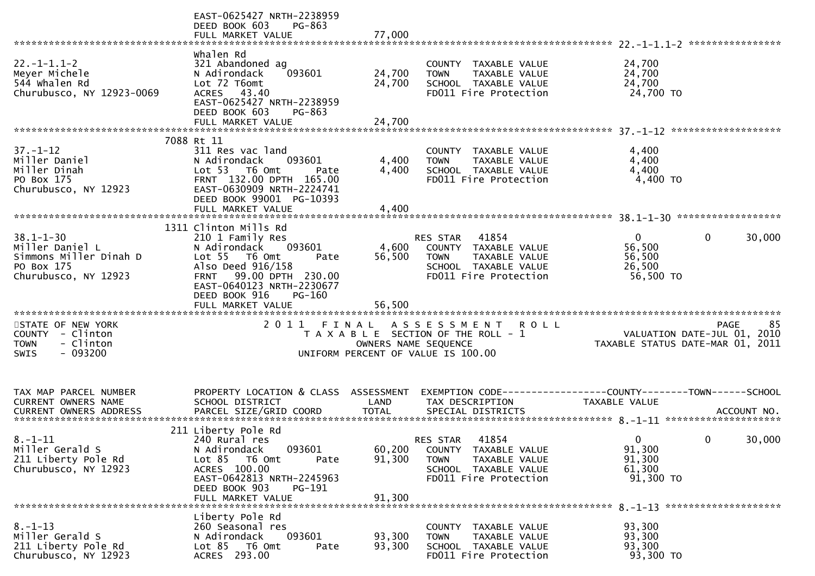|                                                                                                    | EAST-0625427 NRTH-2238959<br>DEED BOOK 603<br>PG-863<br>FULL MARKET VALUE                                                                                                            | 77,000                        |                                                                                                                                   |                                                                 |                        |
|----------------------------------------------------------------------------------------------------|--------------------------------------------------------------------------------------------------------------------------------------------------------------------------------------|-------------------------------|-----------------------------------------------------------------------------------------------------------------------------------|-----------------------------------------------------------------|------------------------|
|                                                                                                    |                                                                                                                                                                                      |                               |                                                                                                                                   |                                                                 | ****************       |
| $22. - 1 - 1.1 - 2$<br>Meyer Michele<br>544 whalen Rd<br>Churubusco, NY 12923-0069                 | whalen Rd<br>321 Abandoned ag<br>093601<br>N Adirondack<br>Lot 72 T6omt<br>ACRES 43.40<br>EAST-0625427 NRTH-2238959<br>DEED BOOK 603<br>PG-863                                       | 24,700<br>24,700              | COUNTY TAXABLE VALUE<br>TAXABLE VALUE<br><b>TOWN</b><br>SCHOOL TAXABLE VALUE<br>FD011 Fire Protection                             | 24,700<br>24,700<br>24,700<br>24,700 TO                         |                        |
|                                                                                                    | FULL MARKET VALUE                                                                                                                                                                    | 24,700                        |                                                                                                                                   |                                                                 |                        |
|                                                                                                    |                                                                                                                                                                                      |                               |                                                                                                                                   |                                                                 |                        |
| $37. - 1 - 12$<br>Miller Daniel<br>Miller Dinah<br>PO Box 175<br>Churubusco, NY 12923              | 7088 Rt 11<br>311 Res vac land<br>093601<br>N Adirondack<br>Lot 53 T6 Omt<br>Pate<br>FRNT 132.00 DPTH 165.00<br>EAST-0630909 NRTH-2224741<br>DEED BOOK 99001 PG-10393                | 4,400<br>4,400                | COUNTY TAXABLE VALUE<br>TAXABLE VALUE<br><b>TOWN</b><br>SCHOOL TAXABLE VALUE<br>FD011 Fire Protection                             | 4,400<br>4,400<br>4,400<br>4,400 TO                             |                        |
|                                                                                                    | FULL MARKET VALUE                                                                                                                                                                    | 4,400                         |                                                                                                                                   |                                                                 |                        |
|                                                                                                    | 1311 Clinton Mills Rd                                                                                                                                                                |                               |                                                                                                                                   |                                                                 |                        |
| $38.1 - 1 - 30$<br>Miller Daniel L<br>Simmons Miller Dinah D<br>PO Box 175<br>Churubusco, NY 12923 | 210 1 Family Res<br>093601<br>N Adirondack<br>Lot 55 T6 Omt<br>Pate<br>Also Deed 916/158<br>FRNT 99.00 DPTH 230.00<br>EAST-0640123 NRTH-2230677<br>DEED BOOK 916<br>PG-160           | 4,600<br>56,500               | RES STAR<br>41854<br>COUNTY TAXABLE VALUE<br>TAXABLE VALUE<br><b>TOWN</b><br>SCHOOL TAXABLE VALUE<br>FD011 Fire Protection        | $\Omega$<br>56,500<br>56,500<br>26,500<br>56,500 TO             | $\mathbf{0}$<br>30,000 |
|                                                                                                    | FULL MARKET VALUE                                                                                                                                                                    | 56,500                        |                                                                                                                                   |                                                                 |                        |
| STATE OF NEW YORK<br>COUNTY - Clinton<br>- Clinton<br><b>TOWN</b><br>$-093200$<br>SWIS             | 2011                                                                                                                                                                                 | FINAL<br>OWNERS NAME SEQUENCE | A S S E S S M E N T<br><b>ROLL</b><br>T A X A B L E SECTION OF THE ROLL - 1<br>UNIFORM PERCENT OF VALUE IS 100.00                 | VALUATION DATE-JUL 01, 2010<br>TAXABLE STATUS DATE-MAR 01, 2011 | 85<br><b>PAGE</b>      |
| TAX MAP PARCEL NUMBER<br><b>CURRENT OWNERS NAME</b>                                                | PROPERTY LOCATION & CLASS ASSESSMENT<br>SCHOOL DISTRICT                                                                                                                              | LAND                          | TAX DESCRIPTION                                                                                                                   | <b>TAXABLE VALUE</b>                                            |                        |
|                                                                                                    |                                                                                                                                                                                      |                               |                                                                                                                                   |                                                                 |                        |
| $8. - 1 - 11$<br>Miller Gerald S<br>211 Liberty Pole Rd<br>Churubusco, NY 12923                    | 211 Liberty Pole Rd<br>240 Rural res<br>093601<br>N Adirondack<br>Lot 85 T6 Omt<br>Pate<br>ACRES 100.00<br>EAST-0642813 NRTH-2245963<br>DEED BOOK 903<br>PG-191<br>FULL MARKET VALUE | 60,200<br>91,300<br>91,300    | 41854<br>RES STAR<br>COUNTY TAXABLE VALUE<br><b>TOWN</b><br><b>TAXABLE VALUE</b><br>SCHOOL TAXABLE VALUE<br>FD011 Fire Protection | $\mathbf{0}$<br>91,300<br>91,300<br>61,300<br>91,300 TO         | 30,000<br>$\mathbf{0}$ |
|                                                                                                    | Liberty Pole Rd                                                                                                                                                                      |                               |                                                                                                                                   |                                                                 |                        |
| $8. - 1 - 13$<br>Miller Gerald S<br>211 Liberty Pole Rd<br>Churubusco, NY 12923                    | 260 Seasonal res<br>093601<br>N Adirondack<br>Lot 85 T6 Omt<br>Pate<br>ACRES 293.00                                                                                                  | 93,300<br>93,300              | COUNTY TAXABLE VALUE<br><b>TOWN</b><br>TAXABLE VALUE<br>SCHOOL TAXABLE VALUE<br>FD011 Fire Protection                             | 93,300<br>93,300<br>93,300<br>93,300 TO                         |                        |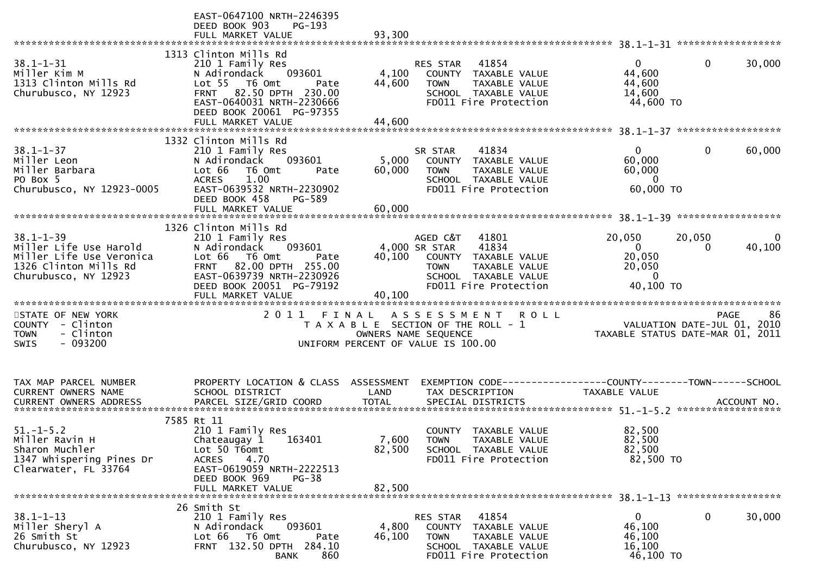|                                                                                                                        | EAST-0647100 NRTH-2246395<br>DEED BOOK 903<br>PG-193<br>FULL MARKET VALUE                                                                                                                               | 93,300                             |                                                                                                                                                      |                                                                        |                                                                 |
|------------------------------------------------------------------------------------------------------------------------|---------------------------------------------------------------------------------------------------------------------------------------------------------------------------------------------------------|------------------------------------|------------------------------------------------------------------------------------------------------------------------------------------------------|------------------------------------------------------------------------|-----------------------------------------------------------------|
| $38.1 - 1 - 31$<br>Miller Kim M<br>1313 Clinton Mills Rd<br>Churubusco, NY 12923                                       | 1313 Clinton Mills Rd<br>210 1 Family Res<br>093601<br>N Adirondack<br>Lot 55  T6 Omt<br>Pate<br>FRNT 82.50 DPTH 230.00<br>EAST-0640031 NRTH-2230666<br>DEED BOOK 20061 PG-97355<br>FULL MARKET VALUE   | 4,100<br>44,600<br>44,600          | 41854<br>RES STAR<br>COUNTY TAXABLE VALUE<br><b>TOWN</b><br><b>TAXABLE VALUE</b><br>SCHOOL TAXABLE VALUE<br>FD011 Fire Protection                    | $\Omega$<br>44,600<br>44,600<br>14,600<br>44,600 TO                    | $\mathbf{0}$<br>30,000                                          |
|                                                                                                                        | 1332 Clinton Mills Rd                                                                                                                                                                                   |                                    |                                                                                                                                                      |                                                                        |                                                                 |
| $38.1 - 1 - 37$<br>Miller Leon<br>Miller Barbara<br>PO Box 5<br>Churubusco, NY 12923-0005                              | 210 1 Family Res<br>093601<br>N Adirondack<br>Lot 66<br>T6 Omt<br>Pate<br>1.00<br><b>ACRES</b><br>EAST-0639532 NRTH-2230902<br>DEED BOOK 458<br>PG-589                                                  | 5,000<br>60,000                    | 41834<br>SR STAR<br>COUNTY TAXABLE VALUE<br><b>TOWN</b><br>TAXABLE VALUE<br>SCHOOL TAXABLE VALUE<br>FD011 Fire Protection                            | 0<br>60,000<br>60,000<br>0<br>60,000 TO                                | 60,000<br>0                                                     |
|                                                                                                                        | FULL MARKET VALUE                                                                                                                                                                                       | 60,000                             |                                                                                                                                                      |                                                                        |                                                                 |
| $38.1 - 1 - 39$<br>Miller Life Use Harold<br>Miller Life Use Veronica<br>1326 Clinton Mills Rd<br>Churubusco, NY 12923 | 1326 Clinton Mills Rd<br>210 1 Family Res<br>093601<br>N Adirondack<br>Lot 66<br>T6 Omt<br>Pate<br>FRNT 82.00 DPTH 255.00<br>EAST-0639739 NRTH-2230926<br>DEED BOOK 20051 PG-79192<br>FULL MARKET VALUE | 40,100<br>40,100                   | AGED C&T<br>41801<br>4,000 SR STAR<br>41834<br>COUNTY TAXABLE VALUE<br><b>TAXABLE VALUE</b><br>TOWN<br>SCHOOL TAXABLE VALUE<br>FD011 Fire Protection | 20,050<br>$\mathbf{0}$<br>20,050<br>20,050<br>$\mathbf 0$<br>40,100 TO | 20,050<br>0<br>40,100<br>0                                      |
| STATE OF NEW YORK                                                                                                      |                                                                                                                                                                                                         |                                    | 2011 FINAL ASSESSMENT<br><b>ROLL</b>                                                                                                                 |                                                                        | 86<br><b>PAGE</b>                                               |
| COUNTY - Clinton<br>- Clinton<br><b>TOWN</b><br>$-093200$<br>SWIS                                                      |                                                                                                                                                                                                         | OWNERS NAME SEQUENCE               | T A X A B L E SECTION OF THE ROLL - 1<br>UNIFORM PERCENT OF VALUE IS 100.00                                                                          |                                                                        | VALUATION DATE-JUL 01, 2010<br>TAXABLE STATUS DATE-MAR 01, 2011 |
| TAX MAP PARCEL NUMBER<br><b>CURRENT OWNERS NAME</b><br><b>CURRENT OWNERS ADDRESS</b>                                   | PROPERTY LOCATION & CLASS<br>SCHOOL DISTRICT<br>PARCEL SIZE/GRID COORD                                                                                                                                  | ASSESSMENT<br>LAND<br><b>TOTAL</b> | EXEMPTION CODE-----------------COUNTY-------TOWN------SCHOOL<br>TAX DESCRIPTION<br>SPECIAL DISTRICTS                                                 | <b>TAXABLE VALUE</b>                                                   | ACCOUNT NO.                                                     |
| $51 - 1 - 5.2$<br>Miller Ravin H<br>Sharon Muchler<br>1347 Whispering Pines Dr<br>Clearwater, FL 33764                 | 7585 Rt 11<br>210 1 Family Res<br>163401<br>Chateaugay 1<br>Lot 50 T6omt<br>4.70<br><b>ACRES</b><br>EAST-0619059 NRTH-2222513<br>DEED BOOK 969<br>PG-38<br>FULL MARKET VALUE                            | 7,600<br>82,500<br>82,500          | COUNTY TAXABLE VALUE<br><b>TOWN</b><br><b>TAXABLE VALUE</b><br>SCHOOL TAXABLE VALUE<br>FD011 Fire Protection                                         | 82,500<br>82,500<br>82,500<br>82,500 TO                                |                                                                 |
| $38.1 - 1 - 13$<br>Miller Sheryl A<br>26 Smith St<br>Churubusco, NY 12923                                              | 26 Smith St<br>210 1 Family Res<br>N Adirondack<br>093601<br>Lot 66<br>T6 Omt<br>Pate<br>FRNT 132.50 DPTH 284.10<br>860<br><b>BANK</b>                                                                  | 4,800<br>46,100                    | RES STAR<br>41854<br>COUNTY TAXABLE VALUE<br><b>TOWN</b><br>TAXABLE VALUE<br>SCHOOL TAXABLE VALUE<br>FD011 Fire Protection                           | $\mathbf{0}$<br>46,100<br>46,100<br>16,100<br>46,100 TO                | 0<br>30,000                                                     |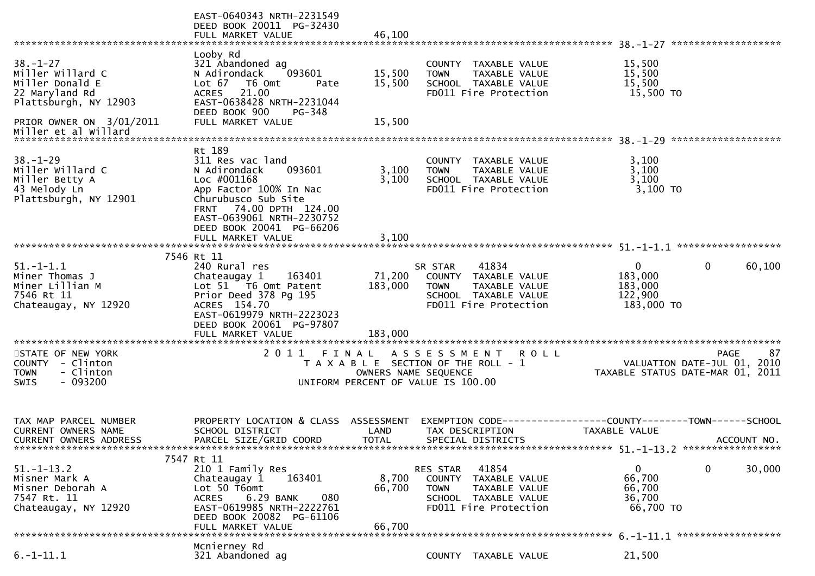|                                                                                                 | EAST-0640343 NRTH-2231549<br>DEED BOOK 20011 PG-32430<br>FULL MARKET VALUE                                                                                                                                                   | 46,100                             |                                                                                                                                        |                                                             |                                                                                      |
|-------------------------------------------------------------------------------------------------|------------------------------------------------------------------------------------------------------------------------------------------------------------------------------------------------------------------------------|------------------------------------|----------------------------------------------------------------------------------------------------------------------------------------|-------------------------------------------------------------|--------------------------------------------------------------------------------------|
|                                                                                                 |                                                                                                                                                                                                                              |                                    |                                                                                                                                        |                                                             |                                                                                      |
| $38 - 1 - 27$<br>Miller Willard C<br>Miller Donald E<br>22 Maryland Rd<br>Plattsburgh, NY 12903 | Looby Rd<br>321 Abandoned ag<br>093601<br>N Adirondack<br>Lot $67$<br>T6 Omt<br>Pate<br>21.00<br><b>ACRES</b><br>EAST-0638428 NRTH-2231044<br>DEED BOOK 900<br>PG-348                                                        | 15,500<br>15,500                   | COUNTY TAXABLE VALUE<br>TAXABLE VALUE<br><b>TOWN</b><br>SCHOOL TAXABLE VALUE<br>FD011 Fire Protection                                  | 15,500<br>15,500<br>15,500<br>15,500 TO                     |                                                                                      |
| PRIOR OWNER ON 3/01/2011<br>Miller et al Willard                                                | FULL MARKET VALUE                                                                                                                                                                                                            | 15,500                             |                                                                                                                                        |                                                             |                                                                                      |
| $38. - 1 - 29$<br>Miller Willard C<br>Miller Betty A<br>43 Melody Ln<br>Plattsburgh, NY 12901   | Rt 189<br>311 Res vac land<br>093601<br>N Adirondack<br>Loc #001168<br>App Factor 100% In Nac<br>Churubusco Sub Site<br>FRNT 74.00 DPTH 124.00<br>EAST-0639061 NRTH-2230752<br>DEED BOOK 20041 PG-66206<br>FULL MARKET VALUE | 3,100<br>3,100<br>3,100            | COUNTY TAXABLE VALUE<br>TAXABLE VALUE<br><b>TOWN</b><br>SCHOOL TAXABLE VALUE<br>FD011 Fire Protection                                  | 3,100<br>3,100<br>3,100<br>3,100 TO                         |                                                                                      |
|                                                                                                 |                                                                                                                                                                                                                              |                                    |                                                                                                                                        |                                                             |                                                                                      |
| $51. - 1 - 1.1$<br>Miner Thomas J<br>Miner Lillian M<br>7546 Rt 11<br>Chateaugay, NY 12920      | 7546 Rt 11<br>240 Rural res<br>Chateaugay 1<br>163401<br>Lot 51 T6 Omt Patent<br>Prior Deed 378 Pg 195<br>ACRES 154.70<br>EAST-0619979 NRTH-2223023<br>DEED BOOK 20061 PG-97807<br>FULL MARKET VALUE                         | 71,200<br>183,000<br>183,000       | 41834<br>SR STAR<br>COUNTY TAXABLE VALUE<br><b>TOWN</b><br>TAXABLE VALUE<br>SCHOOL TAXABLE VALUE<br>FD011 Fire Protection              | $\mathbf{0}$<br>183,000<br>183,000<br>122,900<br>183,000 TO | 60,100<br>0                                                                          |
|                                                                                                 |                                                                                                                                                                                                                              |                                    |                                                                                                                                        |                                                             |                                                                                      |
| STATE OF NEW YORK<br>COUNTY - Clinton<br>- Clinton<br><b>TOWN</b><br>$-093200$<br><b>SWIS</b>   | 2011                                                                                                                                                                                                                         |                                    | FINAL ASSESSMENT<br><b>ROLL</b><br>T A X A B L E SECTION OF THE ROLL - 1<br>OWNERS NAME SEQUENCE<br>UNIFORM PERCENT OF VALUE IS 100.00 |                                                             | <b>PAGE</b><br>87<br>VALUATION DATE-JUL 01, 2010<br>TAXABLE STATUS DATE-MAR 01, 2011 |
| TAX MAP PARCEL NUMBER<br><b>CURRENT OWNERS NAME</b><br>CURRENT OWNERS ADDRESS                   | PROPERTY LOCATION & CLASS<br>SCHOOL DISTRICT<br>PARCEL SIZE/GRID COORD                                                                                                                                                       | ASSESSMENT<br>LAND<br><b>TOTAL</b> | EXEMPTION CODE----<br>TAX DESCRIPTION<br>SPECIAL DISTRICTS                                                                             | --------COUNTY--------TOWN------SCHOOL<br>TAXABLE VALUE     | ACCOUNT NO.                                                                          |
| $51. - 1 - 13.2$<br>Misner Mark A<br>Misner Deborah A<br>7547 Rt. 11<br>Chateaugay, NY 12920    | 7547 Rt 11<br>210 1 Family Res<br>163401<br>Chateaugay 1<br>Lot 50 T6omt<br>6.29 BANK<br>080<br>ACRES<br>EAST-0619985 NRTH-2222761<br>DEED BOOK 20082 PG-61106<br>FULL MARKET VALUE                                          | 8,700<br>66,700<br>66.700          | 41854<br>RES STAR<br>COUNTY TAXABLE VALUE<br><b>TOWN</b><br>TAXABLE VALUE<br>SCHOOL TAXABLE VALUE<br>FD011 Fire Protection             | $\mathbf{0}$<br>66,700<br>66,700<br>36,700<br>66,700 TO     | 30,000<br>0                                                                          |
|                                                                                                 | Mcnierney Rd                                                                                                                                                                                                                 |                                    |                                                                                                                                        |                                                             |                                                                                      |
| $6. -1 - 11.1$                                                                                  | 321 Abandoned ag                                                                                                                                                                                                             |                                    | COUNTY TAXABLE VALUE                                                                                                                   | 21,500                                                      |                                                                                      |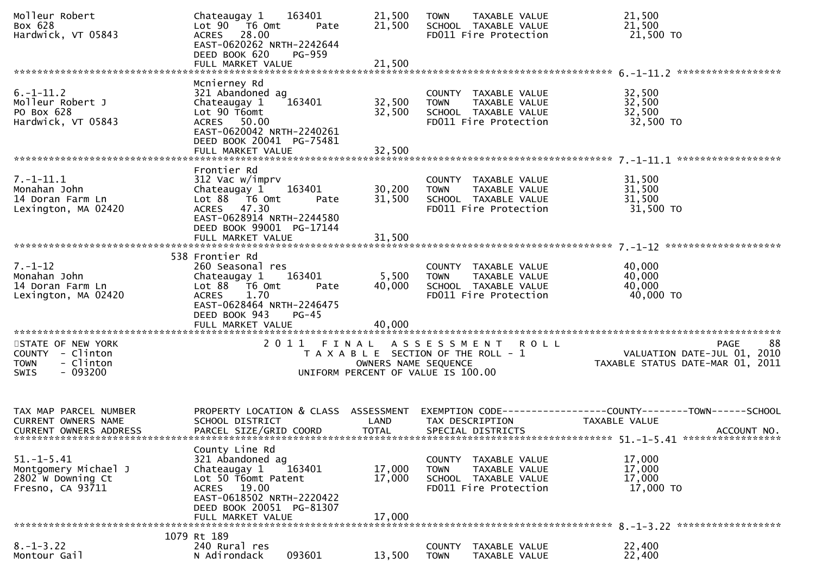| Molleur Robert<br>Box 628<br>Hardwick, VT 05843                                        | Chateaugay 1<br>Lot 90  T6 0mt<br>ACRES 28.00<br>EAST-0620262 NRTH-2242644<br>DEED BOOK 620<br>FULL MARKET VALUE                                                       | 163401<br>Pate<br><b>PG-959</b>                                                                           | 21,500<br>21,500<br>21,500 | <b>TOWN</b>           | TAXABLE VALUE<br>SCHOOL TAXABLE VALUE<br>FD011 Fire Protection                         | 21,500<br>21,500<br>21,500 TO                                                    |             |
|----------------------------------------------------------------------------------------|------------------------------------------------------------------------------------------------------------------------------------------------------------------------|-----------------------------------------------------------------------------------------------------------|----------------------------|-----------------------|----------------------------------------------------------------------------------------|----------------------------------------------------------------------------------|-------------|
|                                                                                        |                                                                                                                                                                        |                                                                                                           |                            |                       |                                                                                        |                                                                                  |             |
| $6. -1 - 11.2$<br>Molleur Robert J<br>PO Box 628<br>Hardwick, VT 05843                 | Mcnierney Rd<br>321 Abandoned ag<br>Chateaugay 1<br>Lot 90 T6omt<br>ACRES 50.00<br>EAST-0620042 NRTH-2240261<br>DEED BOOK 20041 PG-75481<br>FULL MARKET VALUE          | 163401                                                                                                    | 32,500<br>32,500<br>32,500 | <b>TOWN</b>           | COUNTY TAXABLE VALUE<br>TAXABLE VALUE<br>SCHOOL TAXABLE VALUE<br>FD011 Fire Protection | 32,500<br>32,500<br>32,500<br>32,500 TO                                          |             |
|                                                                                        |                                                                                                                                                                        |                                                                                                           |                            |                       |                                                                                        |                                                                                  |             |
| $7. - 1 - 11.1$<br>Monahan John<br>14 Doran Farm Ln<br>Lexington, MA 02420             | Frontier Rd<br>312 Vac w/imprv<br>Chateaugay 1<br>Lot 88 T6 Omt<br>ACRES 47.30<br>EAST-0628914 NRTH-2244580<br>DEED BOOK 99001 PG-17144                                | 163401<br>Pate                                                                                            | 30,200<br>31,500           | <b>TOWN</b>           | COUNTY TAXABLE VALUE<br>TAXABLE VALUE<br>SCHOOL TAXABLE VALUE<br>FD011 Fire Protection | 31,500<br>31,500<br>31,500<br>31,500 TO                                          |             |
|                                                                                        |                                                                                                                                                                        |                                                                                                           |                            |                       |                                                                                        |                                                                                  |             |
| $7. - 1 - 12$<br>Monahan John<br>14 Doran Farm Ln<br>Lexington, MA 02420               | 538 Frontier Rd<br>260 Seasonal res<br>Chateaugay 1<br>Lot 88 T6 Omt<br>1.70<br><b>ACRES</b><br>EAST-0628464 NRTH-2246475<br>DEED BOOK 943<br>FULL MARKET VALUE        | 163401<br>Pate<br>$PG-45$                                                                                 | 5,500<br>40,000<br>40,000  | <b>TOWN</b>           | COUNTY TAXABLE VALUE<br>TAXABLE VALUE<br>SCHOOL TAXABLE VALUE<br>FD011 Fire Protection | 40,000<br>40,000<br>40,000<br>40,000 TO                                          |             |
|                                                                                        |                                                                                                                                                                        |                                                                                                           |                            |                       |                                                                                        |                                                                                  |             |
| STATE OF NEW YORK<br>COUNTY - Clinton<br>- Clinton<br><b>TOWN</b><br>$-093200$<br>SWIS |                                                                                                                                                                        | 2011 FINAL ASSESSMENT ROLL<br>T A X A B L E SECTION OF THE ROLL - 1<br>UNIFORM PERCENT OF VALUE IS 100.00 | OWNERS NAME SEQUENCE       |                       |                                                                                        | <b>PAGE</b><br>oo<br>10, 2010 VALUATION DATE-JUL<br>101, TAXABLE STATUS DATE-MAR | 88          |
| TAX MAP PARCEL NUMBER<br>CURRENT OWNERS NAME<br><b>CURRENT OWNERS ADDRESS</b>          | PROPERTY LOCATION & CLASS ASSESSMENT<br>SCHOOL DISTRICT<br>PARCEL SIZE/GRID COORD                                                                                      |                                                                                                           | LAND<br><b>TOTAL</b>       |                       | TAX DESCRIPTION<br>SPECIAL DISTRICTS                                                   | EXEMPTION CODE-----------------COUNTY--------TOWN------SCHOOL<br>TAXABLE VALUE   | ACCOUNT NO. |
| $51. - 1 - 5.41$<br>Montgomery Michael J<br>2802 W Downing Ct<br>Fresno, CA 93711      | County Line Rd<br>321 Abandoned ag<br>Chateaugay 1<br>Lot 50 T6omt Patent<br>ACRES 19.00<br>EAST-0618502 NRTH-2220422<br>DEED BOOK 20051 PG-81307<br>FULL MARKET VALUE | 163401                                                                                                    | 17,000<br>17,000<br>17,000 | <b>TOWN</b>           | COUNTY TAXABLE VALUE<br>TAXABLE VALUE<br>SCHOOL TAXABLE VALUE<br>FD011 Fire Protection | 17,000<br>17,000<br>17,000<br>17,000 TO                                          |             |
|                                                                                        | 1079 Rt 189                                                                                                                                                            |                                                                                                           |                            |                       |                                                                                        |                                                                                  |             |
| $8. - 1 - 3.22$<br>Montour Gail                                                        | 240 Rural res<br>N Adirondack                                                                                                                                          | 093601                                                                                                    | 13,500                     | COUNTY<br><b>TOWN</b> | TAXABLE VALUE<br>TAXABLE VALUE                                                         | 22,400<br>22,400                                                                 |             |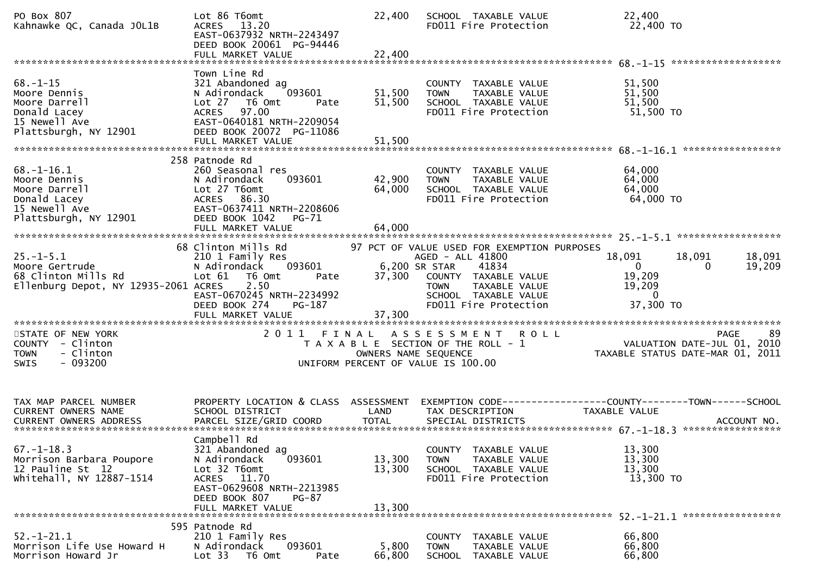| PO Box 807<br>Kahnawke QC, Canada JOL1B                                                                                 | Lot 86 T6omt<br><b>ACRES</b><br>13.20<br>EAST-0637932 NRTH-2243497<br>DEED BOOK 20061 PG-94446<br>FULL MARKET VALUE                                   | 22,400<br>22,400 | SCHOOL TAXABLE VALUE<br>FD011 Fire Protection                                                                                                                             | 22,400<br>22,400 TO                                                            |                  |
|-------------------------------------------------------------------------------------------------------------------------|-------------------------------------------------------------------------------------------------------------------------------------------------------|------------------|---------------------------------------------------------------------------------------------------------------------------------------------------------------------------|--------------------------------------------------------------------------------|------------------|
|                                                                                                                         | Town Line Rd                                                                                                                                          |                  |                                                                                                                                                                           |                                                                                |                  |
| $68. - 1 - 15$<br>Moore Dennis<br>Moore Darrell<br>Donald Lacey<br>15 Newell Ave<br>Plattsburgh, NY 12901               | 321 Abandoned ag<br>N Adirondack<br>093601<br>Lot 27 76 0mt<br>Pate<br>97.00<br><b>ACRES</b><br>EAST-0640181 NRTH-2209054<br>DEED BOOK 20072 PG-11086 | 51,500<br>51,500 | COUNTY TAXABLE VALUE<br>TAXABLE VALUE<br><b>TOWN</b><br>SCHOOL TAXABLE VALUE<br>FD011 Fire Protection                                                                     | 51,500<br>51,500<br>51,500<br>51,500 TO                                        |                  |
|                                                                                                                         | FULL MARKET VALUE                                                                                                                                     | 51,500           |                                                                                                                                                                           | ************                                                                   |                  |
|                                                                                                                         | 258 Patnode Rd                                                                                                                                        |                  |                                                                                                                                                                           |                                                                                |                  |
| $68. - 1 - 16.1$<br>Moore Dennis<br>Moore Darrell<br>Donald Lacey<br>15 Newell Ave                                      | 260 Seasonal res<br>093601<br>N Adirondack<br>Lot 27 T6omt<br><b>ACRES</b><br>86.30<br>EAST-0637411 NRTH-2208606                                      | 42,900<br>64,000 | COUNTY TAXABLE VALUE<br><b>TOWN</b><br>TAXABLE VALUE<br>SCHOOL TAXABLE VALUE<br>FD011 Fire Protection                                                                     | 64,000<br>64,000<br>64,000<br>64,000 TO                                        |                  |
| Plattsburgh, NY 12901                                                                                                   | DEED BOOK 1042<br>PG-71<br>FULL MARKET VALUE                                                                                                          | 64,000           |                                                                                                                                                                           |                                                                                |                  |
|                                                                                                                         |                                                                                                                                                       |                  |                                                                                                                                                                           |                                                                                |                  |
| $25. - 1 - 5.1$<br>Moore Gertrude<br>68 Clinton Mills Rd<br>Ellenburg Depot, NY 12935-2061 ACRES                        | 68 Clinton Mills Rd<br>210 1 Family Res<br>N Adirondack<br>093601<br>T6 Omt<br>Lot 61<br>Pate<br>2.50<br>EAST-0670245 NRTH-2234992                    | 37,300           | 97 PCT OF VALUE USED FOR EXEMPTION PURPOSES<br>AGED - ALL 41800<br>6,200 SR STAR<br>41834<br>COUNTY TAXABLE VALUE<br>TAXABLE VALUE<br><b>TOWN</b><br>SCHOOL TAXABLE VALUE | 18,091<br>18,091<br>$\mathbf{0}$<br>0<br>19,209<br>19,209<br>$\mathbf 0$       | 18,091<br>19,209 |
|                                                                                                                         | DEED BOOK 274<br>PG-187<br>FULL MARKET VALUE                                                                                                          | 37,300           | FD011 Fire Protection                                                                                                                                                     | 37,300 TO                                                                      |                  |
| ***********************<br>STATE OF NEW YORK<br>COUNTY - Clinton<br>- Clinton<br><b>TOWN</b><br><b>SWIS</b><br>- 093200 | 2011<br>FINAL                                                                                                                                         |                  | A S S E S S M E N T<br><b>ROLL</b><br>T A X A B L E SECTION OF THE ROLL - 1<br>OWNERS NAME SEQUENCE<br>UNIFORM PERCENT OF VALUE IS 100.00                                 | <b>PAGE</b><br>VALUATION DATE-JUL 01, 2010<br>TAXABLE STATUS DATE-MAR 01, 2011 | -89              |
|                                                                                                                         |                                                                                                                                                       |                  |                                                                                                                                                                           |                                                                                |                  |
| TAX MAP PARCEL NUMBER<br>CURRENT OWNERS NAME                                                                            | PROPERTY LOCATION & CLASS ASSESSMENT<br>SCHOOL DISTRICT                                                                                               | LAND             | TAX DESCRIPTION                                                                                                                                                           | EXEMPTION CODE-----------------COUNTY-------TOWN------SCHOOL<br>TAXABLE VALUE  |                  |
| $67. - 1 - 18.3$<br>Morrison Barbara Poupore<br>12 Pauline St 12                                                        | Campbell Rd<br>321 Abandoned ag<br>N Adirondack<br>093601<br>Lot 32 T6omt                                                                             | 13,300<br>13,300 | TAXABLE VALUE<br>COUNTY<br>TAXABLE VALUE<br><b>TOWN</b><br>SCHOOL TAXABLE VALUE                                                                                           | 13,300<br>13,300<br>13,300                                                     |                  |
| whitehall, NY 12887-1514                                                                                                | ACRES 11.70<br>EAST-0629608 NRTH-2213985<br>DEED BOOK 807<br>PG-87<br>FULL MARKET VALUE                                                               | 13,300           | FD011 Fire Protection                                                                                                                                                     | 13,300 TO                                                                      |                  |
|                                                                                                                         | 595 Patnode Rd                                                                                                                                        |                  |                                                                                                                                                                           |                                                                                |                  |
| $52. - 1 - 21.1$<br>Morrison Life Use Howard H<br>Morrison Howard Jr                                                    | 210 1 Family Res<br>093601<br>N Adirondack<br>Lot 33 T6 Omt<br>Pate                                                                                   | 5,800<br>66,800  | COUNTY TAXABLE VALUE<br><b>TOWN</b><br>TAXABLE VALUE<br><b>SCHOOL</b><br>TAXABLE VALUE                                                                                    | 66,800<br>66,800<br>66,800                                                     |                  |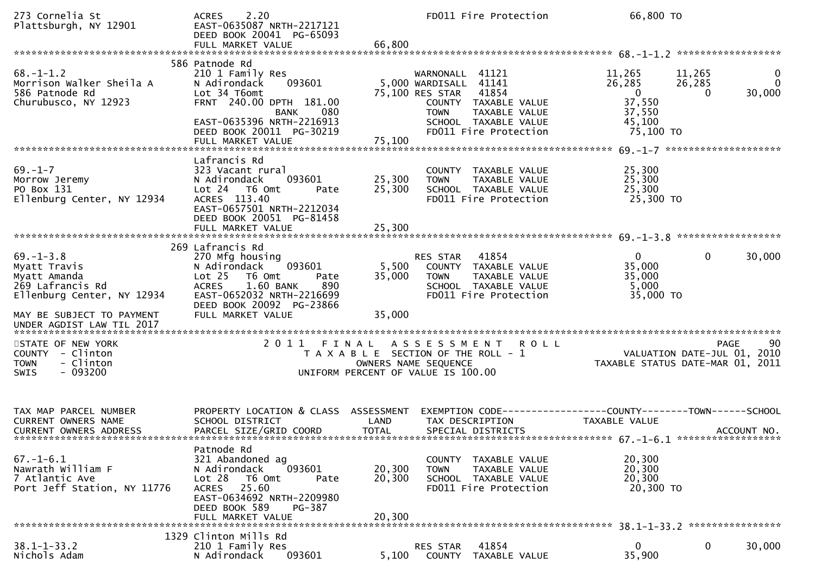| 273 Cornelia St<br>Plattsburgh, NY 12901                                                                                       | 2.20<br>ACRES<br>EAST-0635087 NRTH-2217121<br>DEED BOOK 20041 PG-65093                                                                                                                                   |                                    |                                                                                  | FD011 Fire Protection                                                                       | 66,800 TO                                                                              |                              |                             |
|--------------------------------------------------------------------------------------------------------------------------------|----------------------------------------------------------------------------------------------------------------------------------------------------------------------------------------------------------|------------------------------------|----------------------------------------------------------------------------------|---------------------------------------------------------------------------------------------|----------------------------------------------------------------------------------------|------------------------------|-----------------------------|
|                                                                                                                                |                                                                                                                                                                                                          |                                    |                                                                                  |                                                                                             |                                                                                        |                              |                             |
| $68. - 1 - 1.2$<br>Morrison Walker Sheila A<br>586 Patnode Rd<br>586 Patnode Rd<br>Churubusco, NY 12923                        | 586 Patnode Rd<br>210 1 Family Res<br>093601<br>N Adirondack<br>Lot 34 T6omt<br>FRNT 240.00 DPTH 181.00<br>080<br>BANK<br>EAST-0635396 NRTH-2216913<br>DEED BOOK 20011 PG-30219<br>FULL MARKET VALUE     | 75,100                             | WARNONALL 41121<br>5,000 WARDISALL 41141<br>75,100 RES STAR 41854<br><b>TOWN</b> | COUNTY TAXABLE VALUE<br>TAXABLE VALUE<br>SCHOOL TAXABLE VALUE<br>FD011 Fire Protection      | 11,265<br>26,285<br>$\overline{\mathbf{0}}$<br>37,550<br>37,550<br>45,100<br>75,100 TO | 11,265<br>26,285<br>$\Omega$ | 0<br>$\mathbf{0}$<br>30,000 |
|                                                                                                                                |                                                                                                                                                                                                          |                                    |                                                                                  |                                                                                             |                                                                                        |                              |                             |
| $69. - 1 - 7$<br>Morrow Jeremy<br>PO Box 131<br>Ellenburg Center, NY 12934                                                     | Lafrancis Rd<br>323 Vacant rural<br>093601<br>N Adirondack<br>Lot 24 T6 Omt<br>Pate<br>ACRES 113.40<br>EAST-0657501 NRTH-2212034<br>DEED BOOK 20051 PG-81458                                             | 25,300<br>25,300                   | <b>TOWN</b>                                                                      | COUNTY TAXABLE VALUE<br>TAXABLE VALUE<br>SCHOOL TAXABLE VALUE<br>FD011 Fire Protection      | 25,300<br>25,300<br>25,300<br>25,300 TO                                                |                              |                             |
|                                                                                                                                |                                                                                                                                                                                                          |                                    |                                                                                  |                                                                                             |                                                                                        |                              |                             |
| $69. - 1 - 3.8$<br>Myatt Travis<br>Myatt Amanda<br>269 Lafrancis Rd<br>Ellenburg Center, NY 12934<br>MAY BE SUBJECT TO PAYMENT | 269 Lafrancis Rd<br>270 Mfg housing<br>093601<br>N Adirondack<br>Lot 25 T6 Omt<br>Pate<br><b>ACRES</b><br>1.60 BANK<br>890<br>EAST-0652032 NRTH-2216699<br>DEED BOOK 20092 PG-23866<br>FULL MARKET VALUE | 5,500<br>35,000<br>35,000          | RES STAR 41854<br><b>TOWN</b>                                                    | COUNTY TAXABLE VALUE<br>TAXABLE VALUE<br>SCHOOL TAXABLE VALUE<br>FD011 Fire Protection      | $\overline{0}$<br>35,000<br>35,000<br>5,000<br>35,000 TO                               | $\Omega$                     | 30,000                      |
|                                                                                                                                |                                                                                                                                                                                                          |                                    |                                                                                  |                                                                                             |                                                                                        |                              |                             |
| STATE OF NEW YORK<br>COUNTY - Clinton<br><b>TOWN</b><br>- Clinton<br>$-093200$<br>SWIS                                         |                                                                                                                                                                                                          | UNIFORM PERCENT OF VALUE IS 100.00 |                                                                                  | 2011 FINAL ASSESSMENT ROLL<br>T A X A B L E SECTION OF THE ROLL - 1<br>OWNERS NAME SEQUENCE | VALUATION DATE-JUL 01, 2010<br>TAXABLE STATUS DATE-MAR 01, 2011                        |                              | 90<br><b>PAGE</b>           |
| TAX MAP PARCEL NUMBER<br>CURRENT OWNERS NAME<br>CURRENT OWNERS ADDRESS                                                         | PROPERTY LOCATION & CLASS ASSESSMENT<br>SCHOOL DISTRICT<br>PARCEL SIZE/GRID COORD                                                                                                                        | LAND<br><b>TOTAL</b>               | TAX DESCRIPTION                                                                  | SPECIAL DISTRICTS                                                                           | EXEMPTION CODE-----------------COUNTY-------TOWN------SCHOOL<br>TAXABLE VALUE          |                              | ACCOUNT NO.                 |
| $67. - 1 - 6.1$<br>Nawrath William F<br>7 Atlantic Ave<br>Port Jeff Station, NY 11776                                          | Patnode Rd<br>321 Abandoned ag<br>N Adirondack<br>093601<br>Lot <sub>28</sub><br>T6 Omt<br>Pate<br>25.60<br><b>ACRES</b><br>EAST-0634692 NRTH-2209980<br>DEED BOOK 589<br>PG-387<br>FULL MARKET VALUE    | 20,300<br>20,300<br>20,300         | <b>TOWN</b>                                                                      | COUNTY TAXABLE VALUE<br>TAXABLE VALUE<br>SCHOOL TAXABLE VALUE<br>FD011 Fire Protection      | 20,300<br>20,300<br>20,300<br>20,300 TO                                                |                              |                             |
|                                                                                                                                | 1329 Clinton Mills Rd                                                                                                                                                                                    |                                    |                                                                                  |                                                                                             |                                                                                        |                              |                             |
| $38.1 - 1 - 33.2$<br>Nichols Adam                                                                                              | 210 1 Family Res<br>093601<br>N Adirondack                                                                                                                                                               | 5,100                              | RES STAR<br>COUNTY                                                               | 41854<br>TAXABLE VALUE                                                                      | $\mathbf{0}$<br>35,900                                                                 | 0                            | 30,000                      |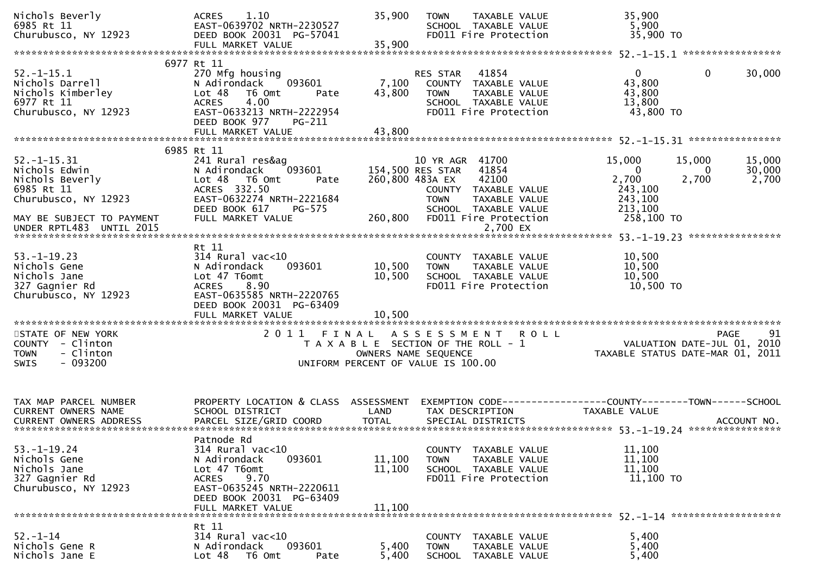| Nichols Beverly<br>6985 Rt 11<br>Churubusco, NY 12923                                                                    | 1.10<br><b>ACRES</b><br>EAST-0639702 NRTH-2230527<br>DEED BOOK 20031 PG-57041<br>FULL MARKET VALUE                                                                             | 35,900<br>35,900           | <b>TOWN</b><br>TAXABLE VALUE<br>SCHOOL TAXABLE VALUE<br>FD011 Fire Protection                                                                                                     | 35,900<br>5,900<br>35,900 TO                                                                             |                           |
|--------------------------------------------------------------------------------------------------------------------------|--------------------------------------------------------------------------------------------------------------------------------------------------------------------------------|----------------------------|-----------------------------------------------------------------------------------------------------------------------------------------------------------------------------------|----------------------------------------------------------------------------------------------------------|---------------------------|
|                                                                                                                          |                                                                                                                                                                                |                            |                                                                                                                                                                                   |                                                                                                          |                           |
| $52. - 1 - 15.1$<br>Nichols Darrell<br>Nichols Kimberley<br>6977 Rt 11<br>Churubusco, NY 12923                           | 6977 Rt 11<br>270 Mfg housing<br>N Adirondack<br>093601<br>Lot <sub>48</sub><br>T6 Omt<br>Pate<br><b>ACRES</b><br>4.00<br>EAST-0633213 NRTH-2222954<br>DEED BOOK 977<br>PG-211 | 7,100<br>43,800            | 41854<br>RES STAR<br>COUNTY<br>TAXABLE VALUE<br><b>TOWN</b><br>TAXABLE VALUE<br>SCHOOL TAXABLE VALUE<br>FD011 Fire Protection                                                     | $\mathbf{0}$<br>$\mathbf{0}$<br>43,800<br>43,800<br>13,800<br>43,800 TO                                  | 30,000                    |
|                                                                                                                          |                                                                                                                                                                                |                            |                                                                                                                                                                                   |                                                                                                          |                           |
|                                                                                                                          |                                                                                                                                                                                |                            |                                                                                                                                                                                   |                                                                                                          |                           |
| $52. - 1 - 15.31$<br>Nichols Edwin<br>Nichols Beverly<br>6985 Rt 11<br>Churubusco, NY 12923<br>MAY BE SUBJECT TO PAYMENT | 6985 Rt 11<br>241 Rural res&ag<br>093601<br>N Adirondack<br>Lot 48 T6 Omt<br>Pate<br>ACRES 332.50<br>EAST-0632274 NRTH-2221684<br>DEED BOOK 617<br>PG-575<br>FULL MARKET VALUE | 260,800                    | 10 YR AGR 41700<br>41854<br>154,500 RES STAR<br>260,800 483A EX<br>42100<br>COUNTY TAXABLE VALUE<br><b>TOWN</b><br>TAXABLE VALUE<br>SCHOOL TAXABLE VALUE<br>FD011 Fire Protection | 15,000<br>15,000<br>$\overline{0}$<br>0<br>2,700<br>2,700<br>243,100<br>243,100<br>213,100<br>258,100 TO | 15,000<br>30,000<br>2,700 |
| UNDER RPTL483 UNTIL 2015                                                                                                 |                                                                                                                                                                                |                            | 2,700 EX                                                                                                                                                                          |                                                                                                          |                           |
|                                                                                                                          |                                                                                                                                                                                |                            |                                                                                                                                                                                   |                                                                                                          |                           |
| $53. - 1 - 19.23$<br>Nichols Gene<br>Nichols Jane<br>327 Gagnier Rd<br>Churubusco, NY 12923                              | Rt 11<br>314 Rural vac<10<br>093601<br>N Adirondack<br>Lot 47 T6omt<br>8.90<br><b>ACRES</b><br>EAST-0635585 NRTH-2220765<br>DEED BOOK 20031 PG-63409<br>FULL MARKET VALUE      | 10,500<br>10,500<br>10,500 | COUNTY TAXABLE VALUE<br>TAXABLE VALUE<br><b>TOWN</b><br>SCHOOL TAXABLE VALUE<br>FD011 Fire Protection                                                                             | 10,500<br>10,500<br>10,500<br>10,500 TO                                                                  |                           |
|                                                                                                                          |                                                                                                                                                                                |                            |                                                                                                                                                                                   |                                                                                                          |                           |
| STATE OF NEW YORK<br>COUNTY - Clinton<br>- Clinton<br><b>TOWN</b><br>$-093200$<br><b>SWIS</b>                            | 2011<br>FINAL                                                                                                                                                                  |                            | A S S E S S M E N T<br><b>ROLL</b><br>T A X A B L E SECTION OF THE ROLL - 1<br>OWNERS NAME SEQUENCE<br>UNIFORM PERCENT OF VALUE IS 100.00                                         | VALUATION DATE-JUL 01, 2010<br>TAXABLE STATUS DATE-MAR 01, 2011                                          | 91<br>PAGE                |
| TAX MAP PARCEL NUMBER<br><b>CURRENT OWNERS NAME</b>                                                                      | PROPERTY LOCATION & CLASS ASSESSMENT<br>SCHOOL DISTRICT                                                                                                                        | LAND                       | TAX DESCRIPTION                                                                                                                                                                   | EXEMPTION CODE-----------------COUNTY-------TOWN------SCHOOL<br>TAXABLE VALUE                            |                           |
| $53. - 1 - 19.24$<br>Nichols Gene<br>Nichols Jane<br>327 Gagnier Rd<br>Churubusco, NY 12923                              | Patnode Rd<br>314 Rural vac<10<br>093601<br>N Adirondack<br>Lot 47 T6omt<br>9.70<br><b>ACRES</b><br>EAST-0635245 NRTH-2220611<br>DEED BOOK 20031 PG-63409<br>FULL MARKET VALUE | 11,100<br>11,100<br>11,100 | COUNTY TAXABLE VALUE<br>TAXABLE VALUE<br><b>TOWN</b><br>SCHOOL TAXABLE VALUE<br>FD011 Fire Protection                                                                             | 11,100<br>11,100<br>11,100<br>11,100 TO                                                                  |                           |
|                                                                                                                          | Rt 11                                                                                                                                                                          |                            |                                                                                                                                                                                   |                                                                                                          |                           |
| $52. - 1 - 14$<br>Nichols Gene R<br>Nichols Jane E                                                                       | $314$ Rural vac<10<br>093601<br>N Adirondack<br>Lot 48 T6 Omt<br>Pate                                                                                                          | 5,400<br>5,400             | COUNTY TAXABLE VALUE<br><b>TOWN</b><br>TAXABLE VALUE<br><b>SCHOOL</b><br>TAXABLE VALUE                                                                                            | 5,400<br>5,400<br>5,400                                                                                  |                           |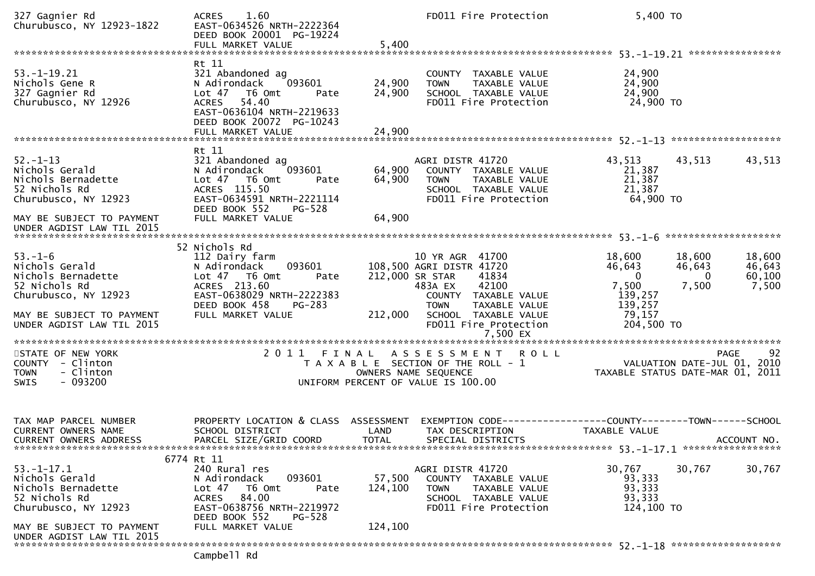| 327 Gagnier Rd<br>Churubusco, NY 12923-1822                                                                                                                 | 1.60<br><b>ACRES</b><br>EAST-0634526 NRTH-2222364<br>DEED BOOK 20001 PG-19224<br>FULL MARKET VALUE                                                                            | 5,400                        | FD011 Fire Protection                                                                                                                                                                                            | 5,400 TO                                                                                  |                                       |                                     |
|-------------------------------------------------------------------------------------------------------------------------------------------------------------|-------------------------------------------------------------------------------------------------------------------------------------------------------------------------------|------------------------------|------------------------------------------------------------------------------------------------------------------------------------------------------------------------------------------------------------------|-------------------------------------------------------------------------------------------|---------------------------------------|-------------------------------------|
|                                                                                                                                                             |                                                                                                                                                                               |                              |                                                                                                                                                                                                                  |                                                                                           |                                       |                                     |
| $53. - 1 - 19.21$<br>Nichols Gene R<br>327 Gagnier Rd<br>Churubusco, NY 12926                                                                               | Rt 11<br>321 Abandoned ag<br>093601<br>N Adirondack<br>Lot <sub>47</sub><br>T6 Omt<br>Pate<br><b>ACRES</b><br>54.40<br>EAST-0636104 NRTH-2219633<br>DEED BOOK 20072 PG-10243  | 24,900<br>24,900             | COUNTY TAXABLE VALUE<br><b>TOWN</b><br>TAXABLE VALUE<br>SCHOOL TAXABLE VALUE<br>FD011 Fire Protection                                                                                                            | 24,900<br>24,900<br>24,900<br>24,900 TO                                                   |                                       |                                     |
|                                                                                                                                                             |                                                                                                                                                                               |                              |                                                                                                                                                                                                                  |                                                                                           |                                       |                                     |
| $52. - 1 - 13$<br>Nichols Gerald<br>Nichols Bernadette<br>52 Nichols Rd<br>Churubusco, NY 12923                                                             | Rt 11<br>321 Abandoned ag<br>093601<br>N Adirondack<br>Lot 47 T6 Omt<br>Pate<br>ACRES 115.50<br>EAST-0634591 NRTH-2221114<br>DEED BOOK 552<br>PG-528                          | 64,900<br>64,900             | AGRI DISTR 41720<br>COUNTY TAXABLE VALUE<br>TAXABLE VALUE<br><b>TOWN</b><br>SCHOOL TAXABLE VALUE<br>FD011 Fire Protection                                                                                        | 43,513<br>21,387<br>21,387<br>21,387<br>64,900 TO                                         | 43,513                                | 43,513                              |
| MAY BE SUBJECT TO PAYMENT                                                                                                                                   | FULL MARKET VALUE                                                                                                                                                             | 64,900                       |                                                                                                                                                                                                                  |                                                                                           |                                       |                                     |
| UNDER AGDIST LAW TIL 2015                                                                                                                                   |                                                                                                                                                                               |                              |                                                                                                                                                                                                                  |                                                                                           |                                       |                                     |
|                                                                                                                                                             | 52 Nichols Rd                                                                                                                                                                 |                              |                                                                                                                                                                                                                  |                                                                                           |                                       |                                     |
| $53. - 1 - 6$<br>Nichols Gerald<br>Nichols Bernadette<br>52 Nichols Rd<br>Churubusco, NY 12923<br>MAY BE SUBJECT TO PAYMENT<br>UNDER AGDIST LAW TIL 2015    | 112 Dairy farm<br>093601<br>N Adirondack<br>Lot 47 T6 Omt<br>Pate<br>ACRES 213.60<br>EAST-0638029 NRTH-2222383<br>DEED BOOK 458<br>PG-283<br>FULL MARKET VALUE                | 212,000                      | 10 YR AGR 41700<br>108,500 AGRI DISTR 41720<br>212,000 SR STAR<br>41834<br>42100<br>483A EX<br>COUNTY TAXABLE VALUE<br>TAXABLE VALUE<br><b>TOWN</b><br>SCHOOL TAXABLE VALUE<br>FD011 Fire Protection<br>7,500 EX | 18,600<br>46,643<br>$\overline{0}$<br>7,500<br>139,257<br>139,257<br>79,157<br>204,500 TO | 18,600<br>46,643<br>$\Omega$<br>7,500 | 18,600<br>46,643<br>60,100<br>7,500 |
|                                                                                                                                                             |                                                                                                                                                                               |                              |                                                                                                                                                                                                                  |                                                                                           |                                       |                                     |
| STATE OF NEW YORK<br>COUNTY - Clinton<br>- Clinton<br><b>TOWN</b><br>$-093200$<br><b>SWIS</b>                                                               | 2011                                                                                                                                                                          |                              | FINAL ASSESSMENT<br><b>ROLL</b><br>T A X A B L E SECTION OF THE ROLL - 1<br>OWNERS NAME SEQUENCE<br>UNIFORM PERCENT OF VALUE IS 100.00                                                                           | TAXABLE STATUS DATE-MAR 01, 2011                                                          | PAGE<br>VALUATION DATE-JUL 01, 2010   | 92                                  |
| TAX MAP PARCEL NUMBER<br><b>CURRENT OWNERS NAME</b><br><b>CURRENT OWNERS ADDRESS</b>                                                                        | PROPERTY LOCATION & CLASS ASSESSMENT<br>SCHOOL DISTRICT<br>PARCEL SIZE/GRID COORD                                                                                             | LAND<br><b>TOTAL</b>         | EXEMPTION CODE-----------------COUNTY-------TOWN------SCHOOL<br>TAX DESCRIPTION<br>SPECIAL DISTRICTS                                                                                                             | TAXABLE VALUE                                                                             | ACCOUNT NO.                           |                                     |
| $53. - 1 - 17.1$<br>Nichols Gerald<br>Nichols Bernadette<br>52 Nichols Rd<br>Churubusco, NY 12923<br>MAY BE SUBJECT TO PAYMENT<br>UNDER AGDIST LAW TIL 2015 | 6774 Rt 11<br>240 Rural res<br>093601<br>N Adirondack<br>Lot 47 76 0mt<br>Pate<br>84.00<br>ACRES<br>EAST-0638756 NRTH-2219972<br>DEED BOOK 552<br>PG-528<br>FULL MARKET VALUE | 57,500<br>124,100<br>124,100 | AGRI DISTR 41720<br>COUNTY TAXABLE VALUE<br><b>TOWN</b><br>TAXABLE VALUE<br>SCHOOL TAXABLE VALUE<br>FD011 Fire Protection                                                                                        | 30,767<br>93,333<br>93,333<br>93,333<br>124,100 TO                                        | 30,767                                | 30,767                              |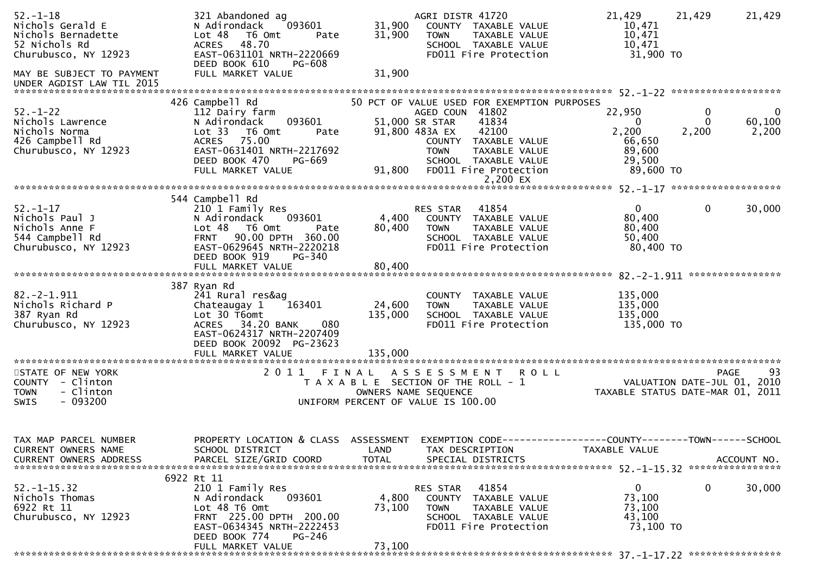| $52. - 1 - 18$<br>Nichols Gerald E<br>Nichols Bernadette<br>52 Nichols Rd<br>Churubusco, NY 12923       | 321 Abandoned ag<br>093601<br>N Adirondack<br>Lot 48 T6 Omt<br>Pate<br><b>ACRES</b><br>48.70<br>EAST-0631101 NRTH-2220669<br>DEED BOOK 610<br>PG-608                                                    | 31,900<br>31,900          | AGRI DISTR 41720<br>COUNTY TAXABLE VALUE<br>TAXABLE VALUE<br><b>TOWN</b><br>SCHOOL TAXABLE VALUE<br>FD011 Fire Protection                                                                                                                 | 21,429<br>10,471<br>10,471<br>10,471<br>31,900 TO                      | 21,429<br>21,429                                      |
|---------------------------------------------------------------------------------------------------------|---------------------------------------------------------------------------------------------------------------------------------------------------------------------------------------------------------|---------------------------|-------------------------------------------------------------------------------------------------------------------------------------------------------------------------------------------------------------------------------------------|------------------------------------------------------------------------|-------------------------------------------------------|
| MAY BE SUBJECT TO PAYMENT<br>UNDER AGDIST LAW TIL 2015                                                  | FULL MARKET VALUE                                                                                                                                                                                       | 31,900                    |                                                                                                                                                                                                                                           |                                                                        |                                                       |
| $52. - 1 - 22$<br>Nichols Lawrence<br>Nichols Norma<br>426 Campbell Rd<br>Churubusco, NY 12923          | 426 Campbell Rd<br>112 Dairy farm<br>093601<br>N Adirondack<br>Lot 33 T6 Omt<br>Pate<br>75.00<br><b>ACRES</b><br>EAST-0631401 NRTH-2217692<br>DEED BOOK 470<br>PG-669<br>FULL MARKET VALUE              | 91,800                    | 50 PCT OF VALUE USED FOR EXEMPTION PURPOSES<br>AGED COUN 41802<br>51,000 SR STAR<br>41834<br>91,800 483A EX<br>42100<br>COUNTY TAXABLE VALUE<br><b>TOWN</b><br>TAXABLE VALUE<br>SCHOOL TAXABLE VALUE<br>FD011 Fire Protection<br>2,200 EX | 22,950<br>$\Omega$<br>2,200<br>66,650<br>89,600<br>29,500<br>89,600 TO | 0<br>$\bf{0}$<br>60,100<br>$\Omega$<br>2,200<br>2,200 |
|                                                                                                         |                                                                                                                                                                                                         |                           |                                                                                                                                                                                                                                           |                                                                        |                                                       |
| $52. - 1 - 17$<br>Nichols Paul J<br>Nichols Anne F<br>544 Campbell Rd<br>Churubusco, NY 12923           | 544 Campbell Rd<br>210 1 Family Res<br>N Adirondack<br>093601<br>Lot 48 T6 Omt<br>Pate<br>90.00 DPTH 360.00<br><b>FRNT</b><br>EAST-0629645 NRTH-2220218<br>DEED BOOK 919<br>PG-340<br>FULL MARKET VALUE | 4,400<br>80,400<br>80,400 | 41854<br>RES STAR<br>COUNTY TAXABLE VALUE<br><b>TOWN</b><br>TAXABLE VALUE<br>SCHOOL TAXABLE VALUE<br>FD011 Fire Protection                                                                                                                | $\Omega$<br>80,400<br>80,400<br>50,400<br>80,400 TO                    | $\mathbf{0}$<br>30,000                                |
|                                                                                                         |                                                                                                                                                                                                         |                           |                                                                                                                                                                                                                                           |                                                                        |                                                       |
| $82 - 2 - 1.911$<br>Nichols Richard P<br>387 Ryan Rd<br>Churubusco, NY 12923                            | 387 Ryan Rd<br>241 Rural res&ag<br>Chateaugay 1<br>163401<br>Lot 30 T6omt<br>080<br>34.20 BANK<br><b>ACRES</b><br>EAST-0624317 NRTH-2207409<br>DEED BOOK 20092 PG-23623                                 | 24,600<br>135,000         | COUNTY<br>TAXABLE VALUE<br><b>TOWN</b><br><b>TAXABLE VALUE</b><br>SCHOOL TAXABLE VALUE<br>FD011 Fire Protection                                                                                                                           | 135,000<br>135,000<br>135,000<br>135,000 TO                            |                                                       |
|                                                                                                         |                                                                                                                                                                                                         |                           |                                                                                                                                                                                                                                           |                                                                        |                                                       |
| STATE OF NEW YORK<br>- Clinton<br><b>COUNTY</b><br>- Clinton<br><b>TOWN</b><br>$-093200$<br><b>SWIS</b> |                                                                                                                                                                                                         |                           | 2011 FINAL ASSESSMENT<br><b>ROLL</b><br>T A X A B L E SECTION OF THE ROLL - 1<br>OWNERS NAME SEQUENCE<br>UNIFORM PERCENT OF VALUE IS 100.00                                                                                               | VALUATION DATE-JUL 01, 2010                                            | 93<br>PAGE<br>TAXABLE STATUS DATE-MAR 01, 2011        |
| TAX MAP PARCEL NUMBER<br>CURRENT OWNERS NAME<br><b>CURRENT OWNERS ADDRESS</b>                           | PROPERTY LOCATION & CLASS ASSESSMENT<br>SCHOOL DISTRICT<br>PARCEL SIZE/GRID COORD                                                                                                                       | LAND<br><b>TOTAL</b>      | EXEMPTION CODE-----------------COUNTY-------TOWN-----SCHOOL<br>TAX DESCRIPTION<br>SPECIAL DISTRICTS                                                                                                                                       | TAXABLE VALUE                                                          | ACCOUNT NO.                                           |
| $52. - 1 - 15.32$<br>Nichols Thomas<br>6922 Rt 11<br>Churubusco, NY 12923                               | 6922 Rt 11<br>210 1 Family Res<br>093601<br>N Adirondack<br>Lot 48 T6 Omt<br>FRNT 225.00 DPTH 200.00<br>EAST-0634345 NRTH-2222453<br>DEED BOOK 774<br>$PG-246$<br>FULL MARKET VALUE                     | 4,800<br>73,100<br>73,100 | 41854<br>RES STAR<br>COUNTY<br>TAXABLE VALUE<br>TAXABLE VALUE<br><b>TOWN</b><br>SCHOOL TAXABLE VALUE<br>FD011 Fire Protection                                                                                                             | $\mathbf 0$<br>73,100<br>73,100<br>43,100<br>73,100 TO                 | 0<br>30,000                                           |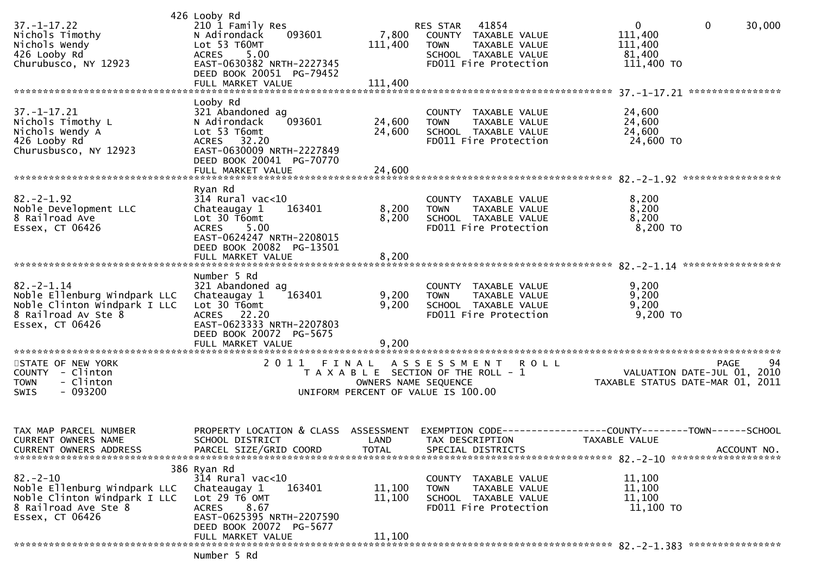| $37. - 1 - 17.22$<br>Nichols Timothy<br>Nichols Wendy<br>426 Looby Rd<br>Churubusco, NY 12923                              | 426 Looby Rd<br>210 1 Family Res<br>N Adirondack<br>093601<br>Lot 53 T60MT<br><b>ACRES</b><br>5.00<br>EAST-0630382 NRTH-2227345<br>DEED BOOK 20051 PG-79452<br>FULL MARKET VALUE                 | 7,800<br>111,400<br>111,400                                                          | RES STAR<br><b>TOWN</b>            | 41854<br>COUNTY TAXABLE VALUE<br><b>TAXABLE VALUE</b><br>SCHOOL TAXABLE VALUE<br>FD011 Fire Protection | $\mathbf 0$<br>111,400<br>111,400<br>81,400<br>111,400 TO    | $\mathbf{0}$<br>30,000                    |  |
|----------------------------------------------------------------------------------------------------------------------------|--------------------------------------------------------------------------------------------------------------------------------------------------------------------------------------------------|--------------------------------------------------------------------------------------|------------------------------------|--------------------------------------------------------------------------------------------------------|--------------------------------------------------------------|-------------------------------------------|--|
| $37. - 1 - 17.21$                                                                                                          | Looby Rd<br>321 Abandoned ag                                                                                                                                                                     |                                                                                      | COUNTY                             | TAXABLE VALUE                                                                                          | 24,600                                                       |                                           |  |
| Nichols Timothy L<br>Nichols Wendy A<br>426 Looby Rd<br>Churusbusco, NY 12923                                              | N Adirondack<br>093601<br>Lot 53 T6omt<br>32.20<br>ACRES<br>EAST-0630009 NRTH-2227849<br>DEED BOOK 20041 PG-70770                                                                                | 24,600<br>24,600                                                                     | <b>TOWN</b>                        | TAXABLE VALUE<br>SCHOOL TAXABLE VALUE<br>FD011 Fire Protection                                         | 24,600<br>24,600<br>24,600 TO                                |                                           |  |
|                                                                                                                            | FULL MARKET VALUE                                                                                                                                                                                | 24,600                                                                               |                                    |                                                                                                        |                                                              |                                           |  |
| $82. - 2 - 1.92$<br>Noble Development LLC<br>8 Railroad Ave<br>Essex, CT 06426                                             | Ryan Rd<br>$314$ Rural vac<10<br>Chateaugay 1<br>163401<br>Lot 30 T6omt<br>5.00<br><b>ACRES</b><br>EAST-0624247 NRTH-2208015                                                                     | 8,200<br>8,200                                                                       | <b>TOWN</b>                        | COUNTY TAXABLE VALUE<br>TAXABLE VALUE<br>SCHOOL TAXABLE VALUE<br>FD011 Fire Protection                 | 8,200<br>8,200<br>8,200<br>$8,200$ TO                        |                                           |  |
|                                                                                                                            | DEED BOOK 20082 PG-13501<br>FULL MARKET VALUE                                                                                                                                                    | 8,200                                                                                |                                    |                                                                                                        |                                                              |                                           |  |
|                                                                                                                            | Number 5 Rd                                                                                                                                                                                      |                                                                                      |                                    |                                                                                                        |                                                              |                                           |  |
| $82. - 2 - 1.14$<br>Noble Ellenburg Windpark LLC<br>Noble Clinton Windpark I LLC<br>8 Railroad Av Ste 8<br>Essex, CT 06426 | 321 Abandoned ag<br>Chateaugay 1<br>163401<br>Lot 30 T6omt<br>ACRES 22.20<br>EAST-0623333 NRTH-2207803<br>DEED BOOK 20072 PG-5675                                                                | 9,200<br>9,200                                                                       | <b>TOWN</b>                        | COUNTY TAXABLE VALUE<br>TAXABLE VALUE<br>SCHOOL TAXABLE VALUE<br>FD011 Fire Protection                 | 9,200<br>9,200<br>9,200<br>9,200 TO                          |                                           |  |
|                                                                                                                            | FULL MARKET VALUE                                                                                                                                                                                | 9,200                                                                                |                                    |                                                                                                        |                                                              |                                           |  |
| STATE OF NEW YORK<br>COUNTY - Clinton<br>- Clinton<br><b>TOWN</b><br>$-093200$<br><b>SWIS</b>                              | 2011                                                                                                                                                                                             | FINAL<br>T A X A B L E SECTION OF THE ROLL - 1<br>UNIFORM PERCENT OF VALUE IS 100.00 | OWNERS NAME SEQUENCE               | ASSESSMENT ROLL                                                                                        | TAXABLE STATUS DATE-MAR 01, 2011                             | 94<br>PAGE<br>VALUATION DATE-JUL 01, 2010 |  |
| TAX MAP PARCEL NUMBER<br><b>CURRENT OWNERS NAME</b><br>CURRENT OWNERS ADDRESS                                              | PROPERTY LOCATION & CLASS<br>SCHOOL DISTRICT<br>PARCEL SIZE/GRID COORD                                                                                                                           | ASSESSMENT<br>LAND<br><b>TOTAL</b>                                                   | EXEMPTION CODE-<br>TAX DESCRIPTION | SPECIAL DISTRICTS                                                                                      | -------------COUNTY--------TOWN------SCHOOL<br>TAXABLE VALUE | ACCOUNT NO.                               |  |
| $82 - 2 - 10$<br>Noble Ellenburg Windpark LLC<br>Noble Clinton Windpark I LLC<br>8 Railroad Ave Ste 8<br>Essex, CT 06426   | 386 Ryan Rd<br>$314$ Rural vac<10<br>Chateaugay 1<br>163401<br>Lot $29$ $\overline{16}$ OMT<br>8.67<br><b>ACRES</b><br>EAST-0625395 NRTH-2207590<br>DEED BOOK 20072 PG-5677<br>FULL MARKET VALUE | 11,100<br>11,100<br>11,100                                                           | COUNTY<br><b>TOWN</b>              | TAXABLE VALUE<br>TAXABLE VALUE<br>SCHOOL TAXABLE VALUE<br>FD011 Fire Protection                        | 11,100<br>11,100<br>11,100<br>11,100 TO                      |                                           |  |
|                                                                                                                            | Numhar 5 Pd                                                                                                                                                                                      |                                                                                      |                                    |                                                                                                        |                                                              |                                           |  |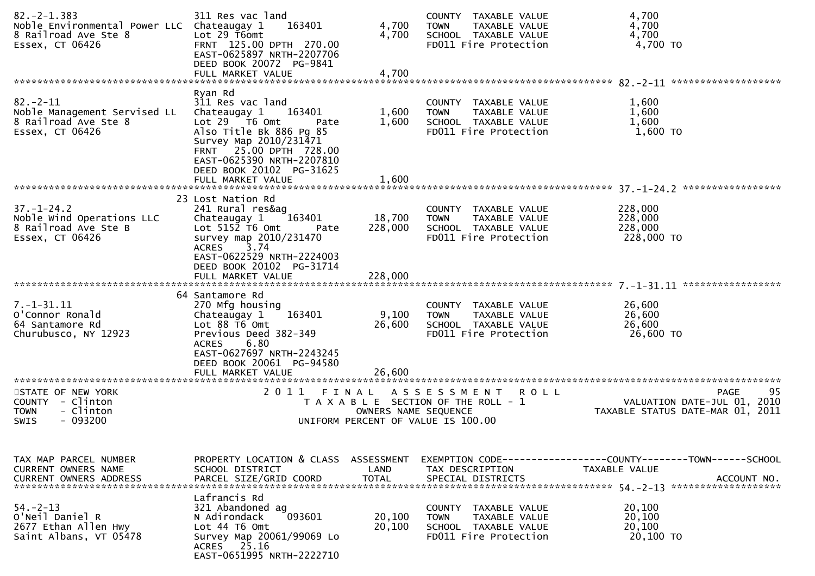| $82 - 2 - 1.383$<br>Noble Environmental Power LLC Chateaugay 1<br>8 Railroad Ave Ste 8<br>Essex, CT 06426 | 311 Res vac land<br>163401<br>Lot 29 T6omt<br>FRNT 125.00 DPTH 270.00<br>EAST-0625897 NRTH-2207706<br>DEED BOOK 20072 PG-9841                                                                                                               | 4,700<br>4,700                     | COUNTY TAXABLE VALUE<br>TAXABLE VALUE<br><b>TOWN</b><br>SCHOOL TAXABLE VALUE<br>FD011 Fire Protection             | 4,700<br>4,700<br>4,700<br>4,700 TO                                                            |
|-----------------------------------------------------------------------------------------------------------|---------------------------------------------------------------------------------------------------------------------------------------------------------------------------------------------------------------------------------------------|------------------------------------|-------------------------------------------------------------------------------------------------------------------|------------------------------------------------------------------------------------------------|
|                                                                                                           | FULL MARKET VALUE                                                                                                                                                                                                                           | 4,700                              |                                                                                                                   |                                                                                                |
| $82 - 2 - 11$<br>Noble Management Servised LL<br>8 Railroad Ave Ste 8<br>Essex, CT 06426                  | Ryan Rd<br>311 Res vac land<br>Chateaugay 1<br>163401<br>Lot 29 T6 Omt<br>Pate<br>Also Title Bk 886 Pg 85<br>Survey Map 2010/231471<br>FRNT 25.00 DPTH 728.00<br>EAST-0625390 NRTH-2207810<br>DEED BOOK 20102 PG-31625<br>FULL MARKET VALUE | 1,600<br>1,600<br>1,600            | COUNTY TAXABLE VALUE<br><b>TOWN</b><br>TAXABLE VALUE<br>SCHOOL TAXABLE VALUE<br>FD011 Fire Protection             | 1,600<br>1,600<br>1,600<br>1,600 TO                                                            |
|                                                                                                           |                                                                                                                                                                                                                                             |                                    |                                                                                                                   |                                                                                                |
| $37. - 1 - 24.2$<br>Noble Wind Operations LLC<br>8 Railroad Ave Ste B<br>Essex, CT 06426                  | 23 Lost Nation Rd<br>241 Rural res&ag<br>163401<br>Chateaugay 1<br>Lot 5152  T6  Omt<br>Pate<br>survey map 2010/231470<br>3.74<br><b>ACRES</b><br>EAST-0622529 NRTH-2224003<br>DEED BOOK 20102 PG-31714                                     | 18,700<br>228,000                  | COUNTY TAXABLE VALUE<br>TAXABLE VALUE<br><b>TOWN</b><br>SCHOOL TAXABLE VALUE<br>FD011 Fire Protection             | 228,000<br>228,000<br>228,000<br>228,000 TO                                                    |
|                                                                                                           | FULL MARKET VALUE                                                                                                                                                                                                                           | 228,000                            |                                                                                                                   |                                                                                                |
| $7. - 1 - 31.11$<br>O'Connor Ronald<br>64 Santamore Rd<br>Churubusco, NY 12923                            | 64 Santamore Rd<br>270 Mfg housing<br>163401<br>Chateaugay 1<br>Lot 88 T6 Omt<br>Previous Deed 382-349<br>6.80<br><b>ACRES</b><br>EAST-0627697 NRTH-2243245<br>DEED BOOK 20061 PG-94580                                                     | 9,100<br>26,600                    | COUNTY TAXABLE VALUE<br>TAXABLE VALUE<br><b>TOWN</b><br>SCHOOL TAXABLE VALUE<br>FD011 Fire Protection             | 26,600<br>26,600<br>26,600<br>26,600 TO                                                        |
| ************************                                                                                  | FULL MARKET VALUE<br>****************************                                                                                                                                                                                           | 26,600                             |                                                                                                                   |                                                                                                |
| STATE OF NEW YORK<br>COUNTY - Clinton<br>- Clinton<br><b>TOWN</b><br>$-093200$<br>SWIS                    | 2011 FINAL                                                                                                                                                                                                                                  | OWNERS NAME SEQUENCE               | A S S E S S M E N T<br><b>ROLL</b><br>T A X A B L E SECTION OF THE ROLL - 1<br>UNIFORM PERCENT OF VALUE IS 100.00 | 95<br><b>PAGE</b><br>VALUATION DATE-JUL 01, 2010<br>TAXABLE STATUS DATE-MAR 01, 2011           |
| TAX MAP PARCEL NUMBER<br>CURRENT OWNERS NAME<br><b>CURRENT OWNERS ADDRESS</b>                             | PROPERTY LOCATION & CLASS<br>SCHOOL DISTRICT<br>PARCEL SIZE/GRID COORD                                                                                                                                                                      | ASSESSMENT<br>LAND<br><b>TOTAL</b> | TAX DESCRIPTION<br>SPECIAL DISTRICTS                                                                              | EXEMPTION CODE------------------COUNTY--------TOWN------SCHOOL<br>TAXABLE VALUE<br>ACCOUNT NO. |
| $54. - 2 - 13$<br>O'Neil Daniel R<br>2677 Ethan Allen Hwy<br>Saint Albans, VT 05478                       | Lafrancis Rd<br>321 Abandoned ag<br>093601<br>N Adirondack<br>Lot 44 T6 Omt<br>Survey Map 20061/99069 Lo<br>ACRES 25.16<br>EAST-0651995 NRTH-2222710                                                                                        | 20,100<br>20,100                   | COUNTY TAXABLE VALUE<br><b>TOWN</b><br>TAXABLE VALUE<br>SCHOOL TAXABLE VALUE<br>FD011 Fire Protection             | 20,100<br>20,100<br>20,100<br>20,100 TO                                                        |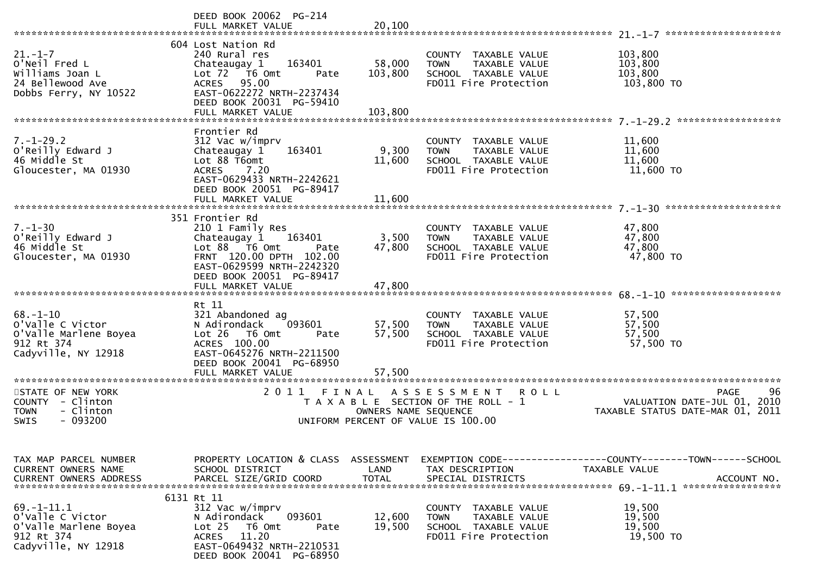|                                                                                                                            | DEED BOOK 20062 PG-214<br>FULL MARKET VALUE                                                                                                                                                                    | 20,100                             |                                                                                                                   |                                                                                                |
|----------------------------------------------------------------------------------------------------------------------------|----------------------------------------------------------------------------------------------------------------------------------------------------------------------------------------------------------------|------------------------------------|-------------------------------------------------------------------------------------------------------------------|------------------------------------------------------------------------------------------------|
| $21 - 1 - 7$<br>O'Neil Fred L<br>Williams Joan L<br>24 Bellewood Ave<br>Dobbs Ferry, NY 10522                              | 604 Lost Nation Rd<br>240 Rural res<br>163401<br>Chateaugay 1<br>Lot 72  T6 Omt<br>Pate<br>95.00<br>ACRES<br>EAST-0622272 NRTH-2237434<br>DEED BOOK 20031 PG-59410<br>FULL MARKET VALUE                        | 58,000<br>103,800<br>103,800       | COUNTY TAXABLE VALUE<br>TAXABLE VALUE<br><b>TOWN</b><br>SCHOOL TAXABLE VALUE<br>FD011 Fire Protection             | 103,800<br>103,800<br>103,800<br>103,800 TO                                                    |
| $7. - 1 - 29.2$<br>O'Reilly Edward J<br>46 Middle St<br>Gloucester, MA 01930                                               | Frontier Rd<br>312 Vac w/imprv<br>163401<br>Chateaugay 1<br>Lot 88 T6omt<br><b>ACRES</b><br>7.20<br>EAST-0629433 NRTH-2242621<br>DEED BOOK 20051 PG-89417<br>FULL MARKET VALUE                                 | 9,300<br>11,600<br>11,600          | COUNTY TAXABLE VALUE<br><b>TOWN</b><br>TAXABLE VALUE<br>SCHOOL TAXABLE VALUE<br>FD011 Fire Protection             | 11,600<br>11,600<br>11,600<br>11,600 TO                                                        |
| $7. - 1 - 30$<br>O'Reilly Edward J<br>46 Middle St<br>Gloucester, MA 01930                                                 | 351 Frontier Rd<br>210 1 Family Res<br>Chateaugay 1<br>163401<br>Lot $88$ $\overline{76}$ Omt<br>Pate<br>FRNT 120.00 DPTH 102.00<br>EAST-0629599 NRTH-2242320<br>DEED BOOK 20051 PG-89417<br>FULL MARKET VALUE | 3,500<br>47,800<br>47,800          | COUNTY TAXABLE VALUE<br>TAXABLE VALUE<br><b>TOWN</b><br>SCHOOL TAXABLE VALUE<br>FD011 Fire Protection             | 47,800<br>47,800<br>47,800<br>47,800 TO                                                        |
| $68. - 1 - 10$<br>o'valle C Victor<br>O'Valle Marlene Boyea<br>912 Rt 374<br>Cadyville, NY 12918<br>********************** | Rt 11<br>321 Abandoned ag<br>093601<br>N Adirondack<br>$Lot 26$ T6 Omt<br>Pate<br>ACRES 100.00<br>EAST-0645276 NRTH-2211500<br>DEED BOOK 20041 PG-68950<br>FULL MARKET VALUE<br>**********************         | 57,500<br>57,500<br>57,500         | COUNTY TAXABLE VALUE<br>TAXABLE VALUE<br><b>TOWN</b><br>SCHOOL TAXABLE VALUE<br>FD011 Fire Protection             | 57,500<br>57,500<br>57,500<br>57,500 TO                                                        |
| STATE OF NEW YORK<br>COUNTY - Clinton<br>- Clinton<br><b>TOWN</b><br>$-093200$<br><b>SWIS</b>                              | 2011                                                                                                                                                                                                           | FINAL<br>OWNERS NAME SEQUENCE      | A S S E S S M E N T<br><b>ROLL</b><br>T A X A B L E SECTION OF THE ROLL - 1<br>UNIFORM PERCENT OF VALUE IS 100.00 | 96<br><b>PAGE</b><br>VALUATION DATE-JUL 01, 2010<br>TAXABLE STATUS DATE-MAR 01, 2011           |
| TAX MAP PARCEL NUMBER<br>CURRENT OWNERS NAME<br><b>CURRENT OWNERS ADDRESS</b>                                              | PROPERTY LOCATION & CLASS<br>SCHOOL DISTRICT<br>PARCEL SIZE/GRID COORD                                                                                                                                         | ASSESSMENT<br>LAND<br><b>TOTAL</b> | TAX DESCRIPTION<br>SPECIAL DISTRICTS                                                                              | EXEMPTION CODE------------------COUNTY--------TOWN------SCHOOL<br>TAXABLE VALUE<br>ACCOUNT NO. |
| $69. - 1 - 11.1$<br>o'valle C Victor<br>O'Valle Marlene Boyea<br>912 Rt 374<br>Cadyville, NY 12918                         | 6131 Rt 11<br>312 Vac w/imprv<br>093601<br>N Adirondack<br>Lot <sub>25</sub><br>T6 Omt<br>Pate<br>11.20<br><b>ACRES</b><br>EAST-0649432 NRTH-2210531<br>DEED BOOK 20041 PG-68950                               | 12,600<br>19,500                   | COUNTY TAXABLE VALUE<br><b>TOWN</b><br>TAXABLE VALUE<br>SCHOOL TAXABLE VALUE<br>FD011 Fire Protection             | 19,500<br>19,500<br>19,500<br>19,500 TO                                                        |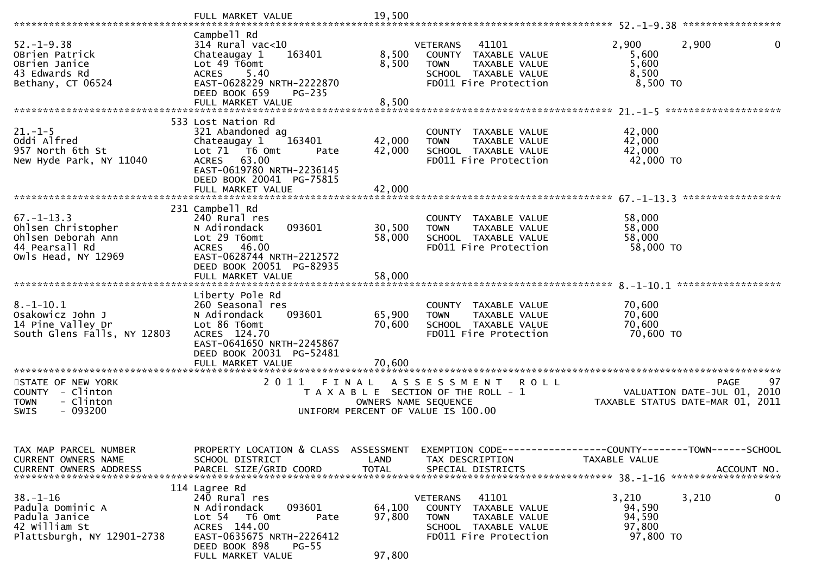|                                                                                                                      | FULL MARKET VALUE                                                                                                                                                                       | 19,500                     |                                                                                                                                   |                                                                                               |
|----------------------------------------------------------------------------------------------------------------------|-----------------------------------------------------------------------------------------------------------------------------------------------------------------------------------------|----------------------------|-----------------------------------------------------------------------------------------------------------------------------------|-----------------------------------------------------------------------------------------------|
| $52. - 1 - 9.38$<br>OBrien Patrick<br>OBrien Janice<br>43 Edwards Rd<br>Bethany, CT 06524                            | Campbell Rd<br>314 Rural vac<10<br>163401<br>Chateaugay 1<br>Lot 49 T6omt<br>5.40<br><b>ACRES</b><br>EAST-0628229 NRTH-2222870<br>DEED BOOK 659<br>$PG-235$                             | 8,500<br>8,500             | <b>VETERANS</b><br>41101<br>COUNTY TAXABLE VALUE<br>TAXABLE VALUE<br><b>TOWN</b><br>SCHOOL TAXABLE VALUE<br>FD011 Fire Protection | 2,900<br>2,900<br>0<br>5,600<br>5,600<br>8,500<br>8,500 TO                                    |
| $21. - 1 - 5$<br>Oddi Alfred<br>957 North 6th St<br>New Hyde Park, NY 11040                                          | 533 Lost Nation Rd<br>321 Abandoned ag<br>163401<br>Chateaugay 1<br>Lot 71  T6 0mt<br>Pate<br>ACRES 63.00<br>EAST-0619780 NRTH-2236145<br>DEED BOOK 20041 PG-75815<br>FULL MARKET VALUE | 42,000<br>42,000<br>42,000 | COUNTY TAXABLE VALUE<br>TAXABLE VALUE<br><b>TOWN</b><br>SCHOOL TAXABLE VALUE<br>FD011 Fire Protection                             | 42,000<br>42,000<br>42,000<br>42,000 TO<br>*************                                      |
| $67. - 1 - 13.3$<br>Ohlsen Christopher<br>Ohlsen Deborah Ann<br>44 Pearsall Rd<br>Owls Head, NY 12969                | 231 Campbell Rd<br>240 Rural res<br>093601<br>N Adirondack<br>Lot 29 T6omt<br>ACRES 46.00<br>EAST-0628744 NRTH-2212572<br>DEED BOOK 20051 PG-82935<br>FULL MARKET VALUE                 | 30,500<br>58,000<br>58,000 | COUNTY TAXABLE VALUE<br><b>TOWN</b><br>TAXABLE VALUE<br>SCHOOL TAXABLE VALUE<br>FD011 Fire Protection                             | 58,000<br>58,000<br>58,000<br>58,000 TO                                                       |
| $8. - 1 - 10.1$<br>Osakowicz John J<br>14 Pine Valley Dr<br>South Glens Falls, NY 12803<br>************************* | Liberty Pole Rd<br>260 Seasonal res<br>N Adirondack<br>093601<br>Lot 86 T6omt<br>ACRES 124.70<br>EAST-0641650 NRTH-2245867<br>DEED BOOK 20031 PG-52481<br>FULL MARKET VALUE             | 65,900<br>70,600<br>70,600 | COUNTY TAXABLE VALUE<br>TAXABLE VALUE<br><b>TOWN</b><br>SCHOOL TAXABLE VALUE<br>FD011 Fire Protection                             | 70,600<br>70,600<br>70,600<br>70,600 TO                                                       |
| STATE OF NEW YORK<br>COUNTY - Clinton<br>- Clinton<br><b>TOWN</b><br>$-093200$<br><b>SWIS</b>                        | 2011<br>FINAL                                                                                                                                                                           |                            | ASSESSMENT ROLL<br>T A X A B L E SECTION OF THE ROLL - 1<br>OWNERS NAME SEQUENCE<br>UNIFORM PERCENT OF VALUE IS 100.00            | 97<br><b>PAGE</b><br>VALUATION DATE-JUL 01, 2010<br>TAXABLE STATUS DATE-MAR 01,<br>-2011      |
| TAX MAP PARCEL NUMBER<br>CURRENT OWNERS NAME<br>CURRENT OWNERS ADDRESS                                               | PROPERTY LOCATION & CLASS ASSESSMENT<br>SCHOOL DISTRICT<br>PARCEL SIZE/GRID COORD                                                                                                       | LAND<br><b>TOTAL</b>       | TAX DESCRIPTION<br>SPECIAL DISTRICTS                                                                                              | EXEMPTION CODE------------------COUNTY-------TOWN------SCHOOL<br>TAXABLE VALUE<br>ACCOUNT NO. |
| $38. - 1 - 16$<br>Padula Dominic A<br>Padula Janice<br>42 William St<br>Plattsburgh, NY 12901-2738                   | 114 Lagree Rd<br>240 Rural res<br>093601<br>N Adirondack<br>Lot 54 76 0mt<br>Pate<br>ACRES 144.00<br>EAST-0635675 NRTH-2226412<br>DEED BOOK 898<br>$PG-55$<br>FULL MARKET VALUE         | 64,100<br>97,800<br>97,800 | 41101<br><b>VETERANS</b><br>COUNTY TAXABLE VALUE<br>TAXABLE VALUE<br><b>TOWN</b><br>SCHOOL TAXABLE VALUE<br>FD011 Fire Protection | 3,210<br>3,210<br>0<br>94,590<br>94,590<br>97,800<br>97,800 TO                                |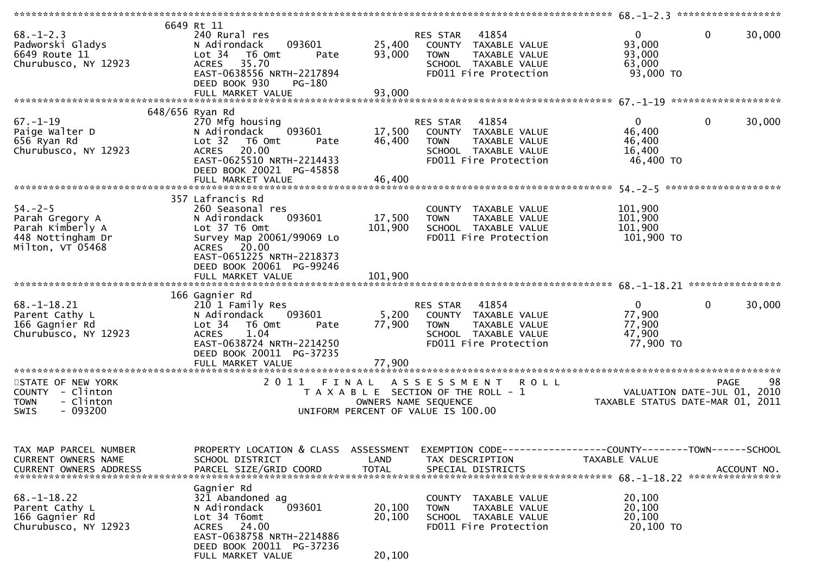| $68. - 1 - 2.3$<br>Padworski Gladys<br>6649 Route 11<br>Churubusco, NY 12923                  | 6649 Rt 11<br>240 Rural res<br>093601<br>N Adirondack<br>Lot <sub>34</sub><br>T6 Omt<br>Pate<br><b>ACRES</b><br>35.70<br>EAST-0638556 NRTH-2217894<br>DEED BOOK 930<br>PG-180                                                           | 25,400<br>93,000                                     | 41854<br>RES STAR<br>COUNTY TAXABLE VALUE<br>TAXABLE VALUE<br><b>TOWN</b><br>SCHOOL TAXABLE VALUE<br>FD011 Fire Protection | $\mathbf{0}$<br>93,000<br>93,000<br>63,000<br>93,000 TO   | $\mathbf{0}$<br>30,000      |
|-----------------------------------------------------------------------------------------------|-----------------------------------------------------------------------------------------------------------------------------------------------------------------------------------------------------------------------------------------|------------------------------------------------------|----------------------------------------------------------------------------------------------------------------------------|-----------------------------------------------------------|-----------------------------|
|                                                                                               | 648/656 Ryan Rd                                                                                                                                                                                                                         |                                                      |                                                                                                                            |                                                           |                             |
| $67. - 1 - 19$<br>Paige Walter D<br>656 Ryan Rd<br>Churubusco, NY 12923                       | 270 Mfg housing<br>N Adirondack<br>093601<br>Lot 32 T6 Omt<br>Pate<br>ACRES 20.00<br>EAST-0625510 NRTH-2214433<br>DEED BOOK 20021 PG-45858                                                                                              | 17,500<br>46,400                                     | 41854<br>RES STAR<br>COUNTY TAXABLE VALUE<br>TAXABLE VALUE<br><b>TOWN</b><br>SCHOOL TAXABLE VALUE<br>FD011 Fire Protection | $\mathbf{0}$<br>46,400<br>46,400<br>16,400<br>46,400 TO   | $\mathbf 0$<br>30,000       |
|                                                                                               | 357 Lafrancis Rd                                                                                                                                                                                                                        |                                                      |                                                                                                                            |                                                           |                             |
| $54. - 2 - 5$<br>Parah Gregory A<br>Parah Kimberly A<br>448 Nottingham Dr<br>Milton, VT 05468 | 260 Seasonal res<br>093601<br>N Adirondack<br>Lot 37 T6 Omt<br>Survey Map 20061/99069 Lo<br>ACRES 20.00<br>EAST-0651225 NRTH-2218373<br>DEED BOOK 20061 PG-99246<br>FULL MARKET VALUE                                                   | 17,500<br>101,900<br>101,900                         | COUNTY TAXABLE VALUE<br><b>TOWN</b><br>TAXABLE VALUE<br>SCHOOL TAXABLE VALUE<br>FD011 Fire Protection                      | 101,900<br>101,900<br>101,900<br>101,900 TO               |                             |
|                                                                                               |                                                                                                                                                                                                                                         |                                                      |                                                                                                                            |                                                           |                             |
| $68. - 1 - 18.21$<br>Parent Cathy L<br>166 Gagnier Rd<br>Churubusco, NY 12923                 | 166 Gagnier Rd<br>210 1 Family Res<br>093601<br>N Adirondack<br>Lot <sub>34</sub><br>T6 Omt<br>Pate<br>1.04<br><b>ACRES</b><br>EAST-0638724 NRTH-2214250<br>DEED BOOK 20011 PG-37235<br>FULL MARKET VALUE<br>************************** | 5,200<br>77,900<br>77,900<br>*********************** | 41854<br>RES STAR<br>COUNTY TAXABLE VALUE<br>TAXABLE VALUE<br><b>TOWN</b><br>SCHOOL TAXABLE VALUE<br>FD011 Fire Protection | $\overline{0}$<br>77,900<br>77,900<br>47,900<br>77,900 TO | $\Omega$<br>30,000          |
| STATE OF NEW YORK                                                                             | 2011 FINAL                                                                                                                                                                                                                              |                                                      | A S S E S S M E N T<br><b>ROLL</b>                                                                                         |                                                           | 98<br><b>PAGE</b>           |
| COUNTY - Clinton<br><b>TOWN</b><br>- Clinton<br>$-093200$<br><b>SWIS</b>                      |                                                                                                                                                                                                                                         | OWNERS NAME SEQUENCE                                 | T A X A B L E SECTION OF THE ROLL - 1<br>UNIFORM PERCENT OF VALUE IS 100.00                                                | TAXABLE STATUS DATE-MAR 01, 2011                          | VALUATION DATE-JUL 01, 2010 |
| TAX MAP PARCEL NUMBER<br>CURRENT OWNERS NAME<br><b>CURRENT OWNERS ADDRESS</b>                 | PROPERTY LOCATION & CLASS ASSESSMENT<br>SCHOOL DISTRICT<br>PARCEL SIZE/GRID COORD                                                                                                                                                       | LAND<br><b>TOTAL</b>                                 | EXEMPTION CODE-----------------COUNTY-------TOWN------SCHOOL<br>TAX DESCRIPTION<br>SPECIAL DISTRICTS                       | TAXABLE VALUE                                             | ACCOUNT NO.                 |
| $68. - 1 - 18.22$<br>Parent Cathy L<br>166 Gagnier Rd<br>Churubusco, NY 12923                 | Gagnier Rd<br>321 Abandoned ag<br>N Adirondack<br>093601<br>Lot 34 T6omt<br>ACRES 24.00<br>EAST-0638758 NRTH-2214886<br>DEED BOOK 20011 PG-37236<br>FULL MARKET VALUE                                                                   | 20,100<br>20,100<br>20,100                           | COUNTY TAXABLE VALUE<br>TAXABLE VALUE<br><b>TOWN</b><br>SCHOOL TAXABLE VALUE<br>FD011 Fire Protection                      | 20,100<br>20,100<br>20,100<br>20,100 TO                   |                             |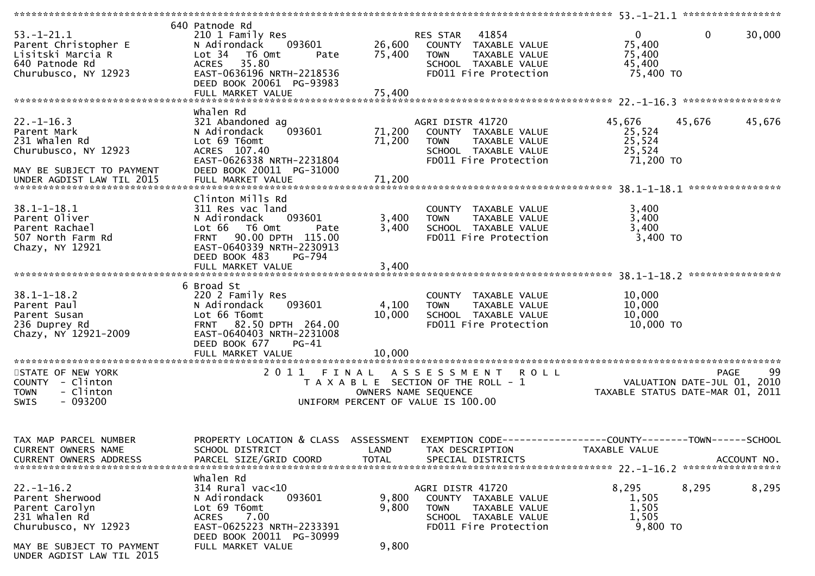| $53. - 1 - 21.1$<br>Parent Christopher E<br>Lisitski Marcia R<br>640 Patnode Rd<br>Churubusco, NY 12923                            | 640 Patnode Rd<br>210 1 Family Res<br>093601<br>N Adirondack<br>Lot 34<br>T6 Omt<br>Pate<br>35.80<br><b>ACRES</b><br>EAST-0636196 NRTH-2218536<br>DEED BOOK 20061 PG-93983<br>FULL MARKET VALUE   | 26,600<br>75,400<br>75,400 | RES STAR<br>41854<br>COUNTY TAXABLE VALUE<br><b>TOWN</b><br>TAXABLE VALUE<br>SCHOOL TAXABLE VALUE<br>FD011 Fire Protection | $\mathbf 0$<br>$\mathbf{0}$<br>30,000<br>75,400<br>75,400<br>45,400<br>75,400 TO          |    |
|------------------------------------------------------------------------------------------------------------------------------------|---------------------------------------------------------------------------------------------------------------------------------------------------------------------------------------------------|----------------------------|----------------------------------------------------------------------------------------------------------------------------|-------------------------------------------------------------------------------------------|----|
| $22. - 1 - 16.3$<br>Parent Mark<br>231 whalen Rd<br>Churubusco, NY 12923<br>MAY BE SUBJECT TO PAYMENT<br>UNDER AGDIST LAW TIL 2015 | Whalen Rd<br>321 Abandoned ag<br>093601<br>N Adirondack<br>Lot 69 T6omt<br>ACRES 107.40<br>EAST-0626338 NRTH-2231804<br>DEED BOOK 20011 PG-31000<br>FULL MARKET VALUE                             | 71,200<br>71,200<br>71,200 | AGRI DISTR 41720<br>COUNTY TAXABLE VALUE<br>TAXABLE VALUE<br><b>TOWN</b><br>SCHOOL TAXABLE VALUE<br>FD011 Fire Protection  | 45,676<br>45,676<br>45,676<br>25,524<br>25,524<br>25,524<br>71,200 TO<br>**************** |    |
| $38.1 - 1 - 18.1$<br>Parent Oliver<br>Parent Rachael<br>507 North Farm Rd<br>Chazy, NY 12921                                       | Clinton Mills Rd<br>311 Res vac land<br>N Adirondack<br>093601<br>Lot 66<br>T6 Omt<br>Pate<br>FRNT 90.00 DPTH 115.00<br>EAST-0640339 NRTH-2230913<br>DEED BOOK 483<br>PG-794<br>FULL MARKET VALUE | 3,400<br>3,400<br>3,400    | COUNTY TAXABLE VALUE<br>TAXABLE VALUE<br><b>TOWN</b><br>SCHOOL TAXABLE VALUE<br>FD011 Fire Protection                      | 3,400<br>3,400<br>3,400<br>3,400 TO                                                       |    |
| $38.1 - 1 - 18.2$<br>Parent Paul<br>Parent Susan<br>236 Duprey Rd<br>Chazy, NY 12921-2009                                          | 6 Broad St<br>220 2 Family Res<br>093601<br>N Adirondack<br>Lot 66 T6omt<br>FRNT 82.50 DPTH 264.00<br>EAST-0640403 NRTH-2231008<br>DEED BOOK 677<br>$PG-41$<br>FULL MARKET VALUE                  | 4,100<br>10,000<br>10,000  | COUNTY TAXABLE VALUE<br><b>TOWN</b><br>TAXABLE VALUE<br>SCHOOL TAXABLE VALUE<br>FD011 Fire Protection                      | 10,000<br>10,000<br>10,000<br>10,000 TO                                                   |    |
| STATE OF NEW YORK<br>COUNTY - Clinton<br><b>TOWN</b><br>- Clinton<br>$-093200$<br><b>SWIS</b>                                      | 2011 FINAL                                                                                                                                                                                        | OWNERS NAME SEQUENCE       | A S S E S S M E N T<br><b>ROLL</b><br>T A X A B L E SECTION OF THE ROLL - 1<br>UNIFORM PERCENT OF VALUE IS 100.00          | PAGE<br>VALUATION DATE-JUL 01, 2010<br>TAXABLE STATUS DATE-MAR 01, 2011                   | 99 |
| TAX MAP PARCEL NUMBER<br>CURRENT OWNERS NAME                                                                                       | PROPERTY LOCATION & CLASS ASSESSMENT<br>SCHOOL DISTRICT                                                                                                                                           | LAND                       | TAX DESCRIPTION                                                                                                            | EXEMPTION CODE-----------------COUNTY-------TOWN------SCHOOL<br>TAXABLE VALUE             |    |
| $22. - 1 - 16.2$<br>Parent Sherwood<br>Parent Carolyn<br>231 whalen Rd<br>Churubusco, NY 12923                                     | whalen Rd<br>314 Rural vac<10<br>N Adirondack<br>093601<br>Lot 69 T6omt<br><b>ACRES</b><br>7.00<br>EAST-0625223 NRTH-2233391<br>DEED BOOK 20011 PG-30999                                          | 9,800<br>9,800             | AGRI DISTR 41720<br>COUNTY TAXABLE VALUE<br>TAXABLE VALUE<br><b>TOWN</b><br>SCHOOL TAXABLE VALUE<br>FD011 Fire Protection  | 8,295<br>8,295<br>8,295<br>1,505<br>1,505<br>1,505<br>9,800 TO                            |    |
| MAY BE SUBJECT TO PAYMENT<br>UNDER AGDIST LAW TIL 2015                                                                             | FULL MARKET VALUE                                                                                                                                                                                 | 9,800                      |                                                                                                                            |                                                                                           |    |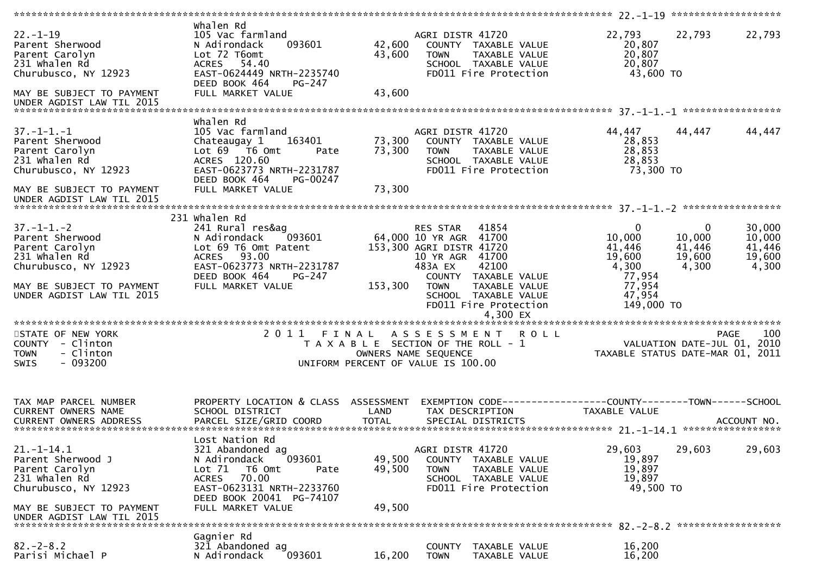| $22. - 1 - 19$<br>Parent Sherwood<br>Parent Carolyn<br>231 Whalen Rd<br>Churubusco, NY 12923<br>MAY BE SUBJECT TO PAYMENT<br>UNDER AGDIST LAW TIL 2015     | Whalen Rd<br>105 Vac farmland<br>093601<br>N Adirondack<br>Lot 72 T6omt<br>ACRES 54.40<br>EAST-0624449 NRTH-2235740<br>DEED BOOK 464<br>PG-247<br>FULL MARKET VALUE                             | 42,600<br>43,600<br>43,600                                          | AGRI DISTR 41720<br>COUNTY TAXABLE VALUE<br>TAXABLE VALUE<br><b>TOWN</b><br>SCHOOL TAXABLE VALUE<br>FD011 Fire Protection                                                                                                           | 22,793<br>20,807<br>20,807<br>20,807<br>43,600 TO                                                 | 22,793                                              | 22,793                                        |
|------------------------------------------------------------------------------------------------------------------------------------------------------------|-------------------------------------------------------------------------------------------------------------------------------------------------------------------------------------------------|---------------------------------------------------------------------|-------------------------------------------------------------------------------------------------------------------------------------------------------------------------------------------------------------------------------------|---------------------------------------------------------------------------------------------------|-----------------------------------------------------|-----------------------------------------------|
| $37. - 1 - 1. - 1$<br>Parent Sherwood<br>Parent Carolyn<br>231 whalen Rd<br>Churubusco, NY 12923<br>MAY BE SUBJECT TO PAYMENT<br>UNDER AGDIST LAW TIL 2015 | Whalen Rd<br>105 Vac farmland<br>Chateaugay 1<br>163401<br>Lot $69$ $\overline{76}$ Omt<br>Pate<br>ACRES 120.60<br>EAST-0623773 NRTH-2231787<br>DEED BOOK 464<br>PG-00247<br>FULL MARKET VALUE  | 73,300<br>73,300<br>73,300                                          | AGRI DISTR 41720<br>COUNTY TAXABLE VALUE<br><b>TOWN</b><br>TAXABLE VALUE<br>SCHOOL TAXABLE VALUE<br>FD011 Fire Protection                                                                                                           | 44,447<br>28,853<br>28,853<br>28,853<br>73,300 TO                                                 | 44,447                                              | 44,447                                        |
|                                                                                                                                                            |                                                                                                                                                                                                 |                                                                     |                                                                                                                                                                                                                                     |                                                                                                   |                                                     |                                               |
| $37. - 1 - 1. - 2$<br>Parent Sherwood<br>Parent Carolyn<br>231 whalen Rd<br>Churubusco, NY 12923<br>MAY BE SUBJECT TO PAYMENT<br>UNDER AGDIST LAW TIL 2015 | 231 Whalen Rd<br>241 Rural res&ag<br>N Adirondack<br>093601<br>Lot 69 T6 Omt Patent<br>ACRES 93.00<br>EAST-0623773 NRTH-2231787<br>DEED BOOK 464<br>PG-247<br>FULL MARKET VALUE                 | 153,300                                                             | 41854<br>RES STAR<br>64,000 10 YR AGR 41700<br>153,300 AGRI DISTR 41720<br>10 YR AGR 41700<br>483A EX<br>42100<br>COUNTY TAXABLE VALUE<br><b>TOWN</b><br>TAXABLE VALUE<br>SCHOOL TAXABLE VALUE<br>FD011 Fire Protection<br>4,300 EX | $\overline{0}$<br>10,000<br>41,446<br>19,600<br>4,300<br>77,954<br>77,954<br>47,954<br>149,000 TO | $\mathbf{0}$<br>10,000<br>41,446<br>19,600<br>4,300 | 30,000<br>10,000<br>41,446<br>19,600<br>4,300 |
| STATE OF NEW YORK<br>COUNTY - Clinton<br>- Clinton<br><b>TOWN</b><br>$-093200$<br>SWIS                                                                     | 2 0 1 1                                                                                                                                                                                         | FINAL<br>OWNERS NAME SEQUENCE<br>UNIFORM PERCENT OF VALUE IS 100.00 | ASSESSMENT<br><b>ROLL</b><br>T A X A B L E SECTION OF THE ROLL - 1                                                                                                                                                                  | VALUATION DATE-JUL 01, 2010<br>TAXABLE STATUS DATE-MAR 01, 2011                                   |                                                     | <b>PAGE</b><br>100                            |
| TAX MAP PARCEL NUMBER<br>CURRENT OWNERS NAME<br><b>CURRENT OWNERS ADDRESS</b>                                                                              | PROPERTY LOCATION & CLASS ASSESSMENT<br>SCHOOL DISTRICT<br>PARCEL SIZE/GRID COORD                                                                                                               | LAND<br><b>TOTAL</b>                                                | TAX DESCRIPTION<br>SPECIAL DISTRICTS                                                                                                                                                                                                | TAXABLE VALUE                                                                                     |                                                     | ACCOUNT NO.                                   |
| $21. - 1 - 14.1$<br>Parent Sherwood J<br>Parent Carolyn<br>231 whalen Rd<br>Churubusco, NY 12923<br>MAY BE SUBJECT TO PAYMENT<br>UNDER AGDIST LAW TIL 2015 | Lost Nation Rd<br>321 Abandoned ag<br>093601<br>N Adirondack<br>Lot 71<br>T6 Omt<br>Pate<br>70.00<br><b>ACRES</b><br>EAST-0623131 NRTH-2233760<br>DEED BOOK 20041 PG-74107<br>FULL MARKET VALUE | 49,500<br>49,500<br>49,500                                          | AGRI DISTR 41720<br>COUNTY TAXABLE VALUE<br><b>TOWN</b><br>TAXABLE VALUE<br>SCHOOL TAXABLE VALUE<br>FD011 Fire Protection                                                                                                           | 29,603<br>19,897<br>19,897<br>19,897<br>49,500 TO                                                 | 29,603                                              | 29,603                                        |
| $82 - 2 - 8.2$<br>Parisi Michael P                                                                                                                         | Gagnier Rd<br>321 Abandoned ag<br>N Adirondack<br>093601                                                                                                                                        | 16,200                                                              | COUNTY TAXABLE VALUE<br>TAXABLE VALUE<br><b>TOWN</b>                                                                                                                                                                                | 16,200<br>16,200                                                                                  |                                                     |                                               |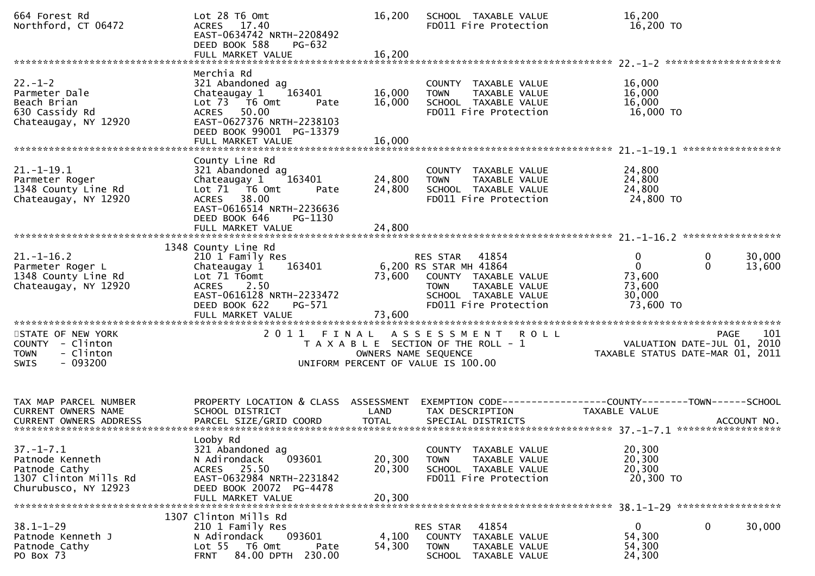| 664 Forest Rd<br>Northford, CT 06472                                                                            | Lot 28 T6 Omt<br>ACRES 17.40<br>EAST-0634742 NRTH-2208492<br>DEED BOOK 588<br>PG-632<br>FULL MARKET VALUE                                                                | 16,200<br>16,200           | SCHOOL TAXABLE VALUE<br>FD011 Fire Protection                                                                                                     | 16,200<br>16,200 TO                                                     |                                   |
|-----------------------------------------------------------------------------------------------------------------|--------------------------------------------------------------------------------------------------------------------------------------------------------------------------|----------------------------|---------------------------------------------------------------------------------------------------------------------------------------------------|-------------------------------------------------------------------------|-----------------------------------|
|                                                                                                                 |                                                                                                                                                                          |                            |                                                                                                                                                   |                                                                         |                                   |
| $22. - 1 - 2$<br>Parmeter Dale<br>Beach Brian<br>630 Cassidy Rd<br>Chateaugay, NY 12920                         | Merchia Rd<br>321 Abandoned ag<br>163401<br>Chateaugay 1<br>Lot $73$ $\overline{76}$ Omt<br>Pate<br>ACRES 50.00<br>EAST-0627376 NRTH-2238103<br>DEED BOOK 99001 PG-13379 | 16,000<br>16,000           | COUNTY TAXABLE VALUE<br>TAXABLE VALUE<br><b>TOWN</b><br>SCHOOL TAXABLE VALUE<br>FD011 Fire Protection                                             | 16,000<br>16,000<br>16,000<br>16,000 TO                                 |                                   |
|                                                                                                                 |                                                                                                                                                                          |                            |                                                                                                                                                   |                                                                         |                                   |
| $21. - 1 - 19.1$<br>Parmeter Roger<br>1348 County Line Rd<br>Chateaugay, NY 12920                               | County Line Rd<br>321 Abandoned ag<br>163401<br>Chateaugay 1<br>Lot 71 T6 Omt<br>Pate<br>ACRES 38.00<br>EAST-0616514 NRTH-2236636<br>DEED BOOK 646<br>PG-1130            | 24,800<br>24,800           | COUNTY TAXABLE VALUE<br>TAXABLE VALUE<br><b>TOWN</b><br>SCHOOL TAXABLE VALUE<br>FD011 Fire Protection                                             | 24,800<br>24,800<br>24,800<br>24,800 TO                                 |                                   |
|                                                                                                                 |                                                                                                                                                                          |                            |                                                                                                                                                   |                                                                         |                                   |
| $21. - 1 - 16.2$<br>Parmeter Roger L<br>1348 County Line Rd<br>Chateaugay, NY 12920<br>************************ | 1348 County Line Rd<br>210 1 Family Res<br>163401<br>Chateaugay 1<br>Lot 71 T6omt<br><b>ACRES</b><br>2.50<br>EAST-0616128 NRTH-2233472<br>DEED BOOK 622<br>PG-571        | 73,600                     | RES STAR 41854<br>6,200 RS STAR MH 41864<br>COUNTY TAXABLE VALUE<br><b>TOWN</b><br>TAXABLE VALUE<br>SCHOOL TAXABLE VALUE<br>FD011 Fire Protection | $\mathbf{0}$<br>$\mathbf{0}$<br>73,600<br>73,600<br>30,000<br>73,600 TO | 0<br>30,000<br>$\Omega$<br>13,600 |
| STATE OF NEW YORK                                                                                               | 2011 FINAL                                                                                                                                                               |                            | A S S E S S M E N T R O L L                                                                                                                       |                                                                         | 101<br><b>PAGE</b>                |
| COUNTY - Clinton<br>- Clinton<br><b>TOWN</b><br><b>SWIS</b><br>- 093200                                         |                                                                                                                                                                          |                            | T A X A B L E SECTION OF THE ROLL - 1<br>OWNERS NAME SEQUENCE<br>UNIFORM PERCENT OF VALUE IS 100.00                                               | VALUATION DATE-JUL 01, 2010<br>TAXABLE STATUS DATE-MAR 01, 2011         |                                   |
| TAX MAP PARCEL NUMBER<br>CURRENT OWNERS NAME<br>CURRENT OWNERS ADDRESS                                          | PROPERTY LOCATION & CLASS ASSESSMENT<br>SCHOOL DISTRICT                                                                                                                  | LAND                       | TAX DESCRIPTION                                                                                                                                   | TAXABLE VALUE                                                           |                                   |
| $37. - 1 - 7.1$<br>Patnode Kenneth<br>Patnode Cathy<br>1307 Clinton Mills Rd<br>Churubusco, NY 12923            | Looby Rd<br>321 Abandoned ag<br>N Adirondack<br>093601<br>ACRES 25.50<br>EAST-0632984 NRTH-2231842<br>DEED BOOK 20072 PG-4478<br>FULL MARKET VALUE                       | 20,300<br>20,300<br>20,300 | TAXABLE VALUE<br><b>COUNTY</b><br>TAXABLE VALUE<br><b>TOWN</b><br>SCHOOL TAXABLE VALUE<br>FD011 Fire Protection                                   | 20,300<br>20,300<br>20,300<br>20,300 TO                                 |                                   |
|                                                                                                                 | 1307 Clinton Mills Rd                                                                                                                                                    |                            |                                                                                                                                                   |                                                                         |                                   |
| $38.1 - 1 - 29$<br>Patnode Kenneth J<br>Patnode Cathy<br>PO Box 73                                              | 210 1 Family Res<br>093601<br>N Adirondack<br>Lot <sub>55</sub><br>T6 Omt<br>Pate<br>84.00 DPTH 230.00<br><b>FRNT</b>                                                    | 4,100<br>54,300            | RES STAR<br>41854<br><b>COUNTY</b><br>TAXABLE VALUE<br><b>TOWN</b><br>TAXABLE VALUE<br><b>SCHOOL</b><br>TAXABLE VALUE                             | $\overline{0}$<br>54,300<br>54,300<br>24,300                            | 30,000<br>0                       |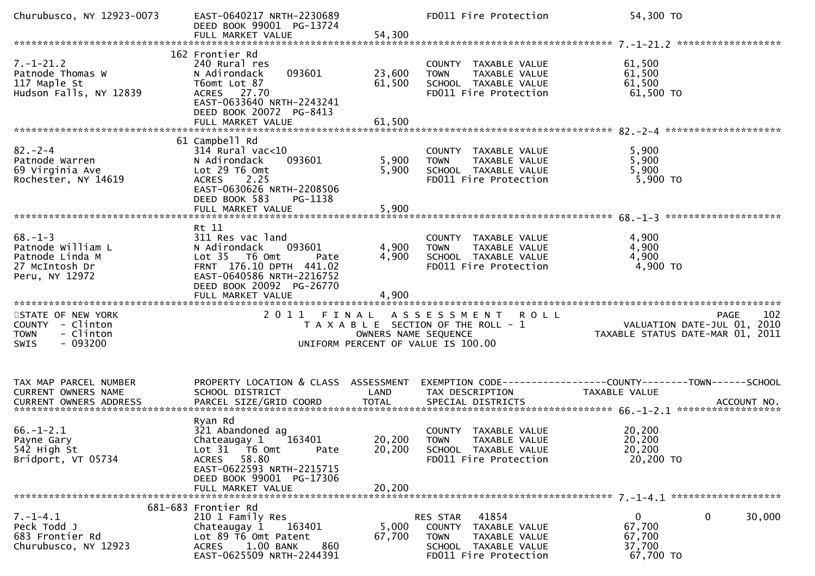| Churubusco, NY 12923-0073                                                                     | EAST-0640217 NRTH-2230689<br>DEED BOOK 99001 PG-13724                                                                                                                              |                            | FD011 Fire Protection                                                                                                      | 54,300 TO                                                                                                         |
|-----------------------------------------------------------------------------------------------|------------------------------------------------------------------------------------------------------------------------------------------------------------------------------------|----------------------------|----------------------------------------------------------------------------------------------------------------------------|-------------------------------------------------------------------------------------------------------------------|
|                                                                                               |                                                                                                                                                                                    |                            |                                                                                                                            |                                                                                                                   |
| $7. - 1 - 21.2$<br>Patnode Thomas W<br>117 Maple St<br>Hudson Falls, NY 12839                 | 162 Frontier Rd<br>240 Rural res<br>093601<br>N Adirondack<br>T6omt Lot 87<br>ACRES 27.70<br>EAST-0633640 NRTH-2243241<br>DEED BOOK 20072 PG-8413<br>FULL MARKET VALUE             | 23,600<br>61,500<br>61,500 | COUNTY TAXABLE VALUE<br>TAXABLE VALUE<br><b>TOWN</b><br>SCHOOL TAXABLE VALUE<br>FD011 Fire Protection                      | 61,500<br>61,500<br>61,500<br>61,500 TO                                                                           |
|                                                                                               |                                                                                                                                                                                    |                            |                                                                                                                            |                                                                                                                   |
| $82 - 2 - 4$<br>Patnode Warren<br>69 Virginia Ave<br>Rochester, NY 14619                      | 61 Campbell Rd<br>$314$ Rural vac<10<br>N Adirondack<br>093601<br>Lot 29 T6 Omt<br>ACRES 2.25<br>EAST-0630626 NRTH-2208506<br>DEED BOOK 583<br>PG-1138                             | 5,900<br>5,900             | COUNTY TAXABLE VALUE<br><b>TOWN</b><br>TAXABLE VALUE<br>SCHOOL TAXABLE VALUE<br>FD011 Fire Protection                      | 5,900<br>5,900<br>5,900<br>$5,900$ TO                                                                             |
|                                                                                               | Rt 11                                                                                                                                                                              |                            |                                                                                                                            |                                                                                                                   |
| $68. - 1 - 3$<br>Patnode William L<br>Patnode Linda M<br>27 McIntosh Dr<br>Peru, NY 12972     | 311 Res vac land<br>N Adirondack<br>093601<br>Lot 35  T6 0mt<br>Pate<br>FRNT 176.10 DPTH 441.02<br>EAST-0640586 NRTH-2216752<br>DEED BOOK 20092 PG-26770<br>FULL MARKET VALUE      | 4,900<br>4,900<br>4,900    | COUNTY TAXABLE VALUE<br><b>TOWN</b><br>TAXABLE VALUE<br>SCHOOL TAXABLE VALUE<br>FD011 Fire Protection                      | 4,900<br>4,900<br>4,900<br>4,900 TO                                                                               |
| STATE OF NEW YORK<br>COUNTY - Clinton<br>- Clinton<br><b>TOWN</b><br>$-093200$<br><b>SWIS</b> |                                                                                                                                                                                    | OWNERS NAME SEQUENCE       | 2011 FINAL ASSESSMENT ROLL<br>T A X A B L E SECTION OF THE ROLL - 1<br>UNIFORM PERCENT OF VALUE IS 100.00                  | 102<br><b>PAGE</b><br><br>101, VALUATION DATE-JUL 01, 2010<br>101, TAXABLE STATUS DATE-MAR 01, 2011               |
|                                                                                               |                                                                                                                                                                                    |                            |                                                                                                                            |                                                                                                                   |
| TAX MAP PARCEL NUMBER<br>CURRENT OWNERS NAME                                                  | SCHOOL DISTRICT                                                                                                                                                                    | LAND                       | TAX DESCRIPTION                                                                                                            | PROPERTY LOCATION & CLASS ASSESSMENT EXEMPTION CODE----------------COUNTY-------TOWN------SCHOOL<br>TAXABLE VALUE |
| $66. - 1 - 2.1$<br>Payne Gary<br>542 High St<br>Bridport, VT 05734                            | Ryan Rd<br>321 Abandoned ag<br>Chateaugay 1 163401<br>Lot 31 76 0mt<br>Pate<br>58.80<br><b>ACRES</b><br>EAST-0622593 NRTH-2215715<br>DEED BOOK 99001 PG-17306<br>FULL MARKET VALUE | 20,200<br>20,200           | COUNTY TAXABLE VALUE<br>20,200 TOWN TAXABLE VALUE<br>SCHOOL TAXABLE VALUE<br>FD011 Fire Protection                         | 20,200<br>20,200<br>20,200<br>20,200 TO                                                                           |
|                                                                                               |                                                                                                                                                                                    |                            |                                                                                                                            |                                                                                                                   |
| $7. - 1 - 4.1$<br>Peck Todd J<br>683 Frontier Rd<br>Churubusco, NY 12923                      | 681-683 Frontier Rd<br>210 1 Family Res<br>163401<br>Chateaugay 1<br>Lot 89 T6 Omt Patent<br>1.00 BANK<br><b>ACRES</b><br>860<br>EAST-0625509 NRTH-2244391                         | 5,000<br>67,700            | RES STAR<br>41854<br>COUNTY TAXABLE VALUE<br><b>TOWN</b><br>TAXABLE VALUE<br>SCHOOL TAXABLE VALUE<br>FD011 Fire Protection | 0<br>$\overline{0}$<br>30,000<br>67,700<br>67,700<br>37,700<br>67,700 TO                                          |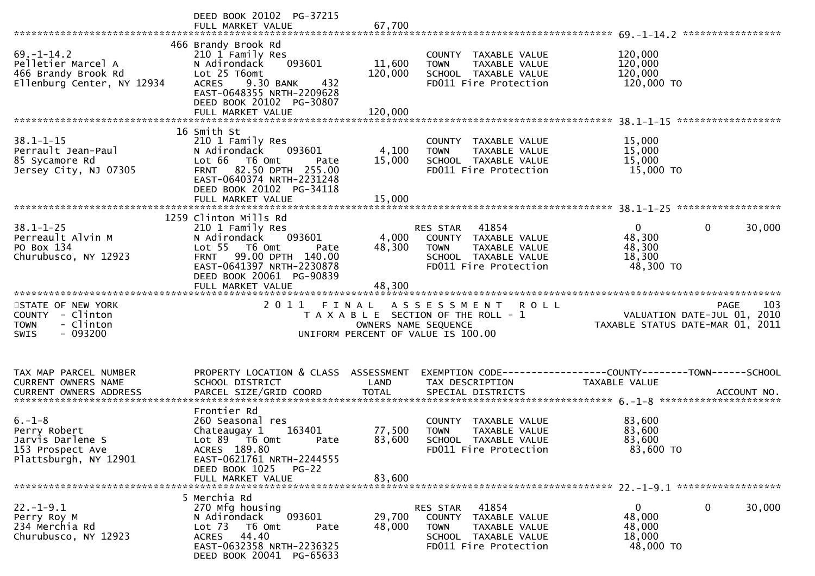|                                                                                               | DEED BOOK 20102 PG-37215<br>FULL MARKET VALUE                                                                                                                                                         | 67,700                       |                                                                                                                         |                                                                                                             |
|-----------------------------------------------------------------------------------------------|-------------------------------------------------------------------------------------------------------------------------------------------------------------------------------------------------------|------------------------------|-------------------------------------------------------------------------------------------------------------------------|-------------------------------------------------------------------------------------------------------------|
| $69. - 1 - 14.2$<br>Pelletier Marcel A<br>466 Brandy Brook Rd<br>Ellenburg Center, NY 12934   | 466 Brandy Brook Rd<br>210 1 Family Res<br>093601<br>N Adirondack<br>Lot 25 T6omt<br><b>ACRES</b><br>9.30 BANK<br>432<br>EAST-0648355 NRTH-2209628<br>DEED BOOK 20102 PG-30807<br>FULL MARKET VALUE   | 11,600<br>120,000<br>120,000 | COUNTY TAXABLE VALUE<br>TAXABLE VALUE<br><b>TOWN</b><br>SCHOOL TAXABLE VALUE<br>FD011 Fire Protection                   | 120,000<br>120,000<br>120,000<br>120,000 TO                                                                 |
| $38.1 - 1 - 15$                                                                               | 16 Smith St<br>210 1 Family Res                                                                                                                                                                       |                              | COUNTY TAXABLE VALUE                                                                                                    | 15,000                                                                                                      |
| Perrault Jean-Paul<br>85 Sycamore Rd<br>Jersey City, NJ 07305                                 | 093601<br>N Adirondack<br>Lot 66 T6 Omt<br>Pate<br>FRNT 82.50 DPTH 255.00<br>EAST-0640374 NRTH-2231248<br>DEED BOOK 20102 PG-34118                                                                    | 4,100<br>15,000              | TAXABLE VALUE<br><b>TOWN</b><br>SCHOOL TAXABLE VALUE<br>FD011 Fire Protection                                           | 15,000<br>15,000<br>15,000 TO                                                                               |
|                                                                                               |                                                                                                                                                                                                       |                              |                                                                                                                         |                                                                                                             |
| $38.1 - 1 - 25$<br>Perreault Alvin M<br>PO Box 134<br>Churubusco, NY 12923                    | 1259 Clinton Mills Rd<br>210 1 Family Res<br>093601<br>N Adirondack<br>Lot 55  T6 Omt<br>Pate<br>FRNT 99.00 DPTH 140.00<br>EAST-0641397 NRTH-2230878<br>DEED BOOK 20061 PG-90839<br>FULL MARKET VALUE | 4,000<br>48,300<br>48,300    | RES STAR 41854<br>COUNTY TAXABLE VALUE<br><b>TOWN</b><br>TAXABLE VALUE<br>SCHOOL TAXABLE VALUE<br>FD011 Fire Protection | $\mathbf{0}$<br>$\mathbf 0$<br>30,000<br>48,300<br>48,300<br>18,300<br>48,300 TO                            |
|                                                                                               |                                                                                                                                                                                                       |                              |                                                                                                                         |                                                                                                             |
| STATE OF NEW YORK<br>COUNTY - Clinton<br>- Clinton<br><b>TOWN</b><br>$-093200$<br><b>SWIS</b> | 2011<br>FINAL                                                                                                                                                                                         | OWNERS NAME SEQUENCE         | ASSESSMENT ROLL<br>T A X A B L E SECTION OF THE ROLL - 1<br>UNIFORM PERCENT OF VALUE IS 100.00                          | PAGE 103<br>VALUATION DATE-JUL 01, 2010<br>TAXABLE STATUS DATE USE 2010<br>TAXABLE STATUS DATE-MAR 01, 2011 |
| TAX MAP PARCEL NUMBER                                                                         | PROPERTY LOCATION & CLASS ASSESSMENT                                                                                                                                                                  |                              |                                                                                                                         | EXEMPTION CODE-----------------COUNTY-------TOWN------SCHOOL                                                |
| CURRENT OWNERS NAME                                                                           | SCHOOL DISTRICT                                                                                                                                                                                       | LAND                         | TAX DESCRIPTION                                                                                                         | <b>TAXABLE VALUE</b>                                                                                        |
|                                                                                               | Frontier Rd                                                                                                                                                                                           |                              |                                                                                                                         |                                                                                                             |
| $6. - 1 - 8$<br>Perry Robert<br>Jarvis Darlene S<br>153 Prospect Ave<br>Plattsburgh, NY 12901 | 260 Seasonal res<br>163401<br>Chateaugay 1<br>Lot $89$ $\overline{76}$ Omt<br>Pate<br>ACRES 189.80<br>EAST-0621761 NRTH-2244555<br>DEED BOOK 1025<br>$PG-22$                                          | 77,500<br>83,600             | COUNTY TAXABLE VALUE<br><b>TOWN</b><br><b>TAXABLE VALUE</b><br>SCHOOL TAXABLE VALUE<br>FD011 Fire Protection            | 83,600<br>83,600<br>83,600<br>83,600 TO                                                                     |
|                                                                                               | FULL MARKET VALUE                                                                                                                                                                                     | 83.600                       |                                                                                                                         |                                                                                                             |
|                                                                                               | 5 Merchia Rd                                                                                                                                                                                          |                              |                                                                                                                         |                                                                                                             |
| $22. - 1 - 9.1$<br>Perry Roy M<br>234 Merchia Rd<br>Churubusco, NY 12923                      | 270 Mfg housing<br>093601<br>N Adirondack<br>Lot 73<br>T6 Omt<br>Pate<br>ACRES 44.40<br>EAST-0632358 NRTH-2236325<br>DEED BOOK 20041 PG-65633                                                         | 29,700<br>48,000             | RES STAR<br>41854<br>COUNTY TAXABLE VALUE<br>TAXABLE VALUE<br>TOWN<br>SCHOOL TAXABLE VALUE<br>FD011 Fire Protection     | $\mathbf 0$<br>30,000<br>$\overline{0}$<br>48,000<br>48,000<br>18,000<br>48,000 TO                          |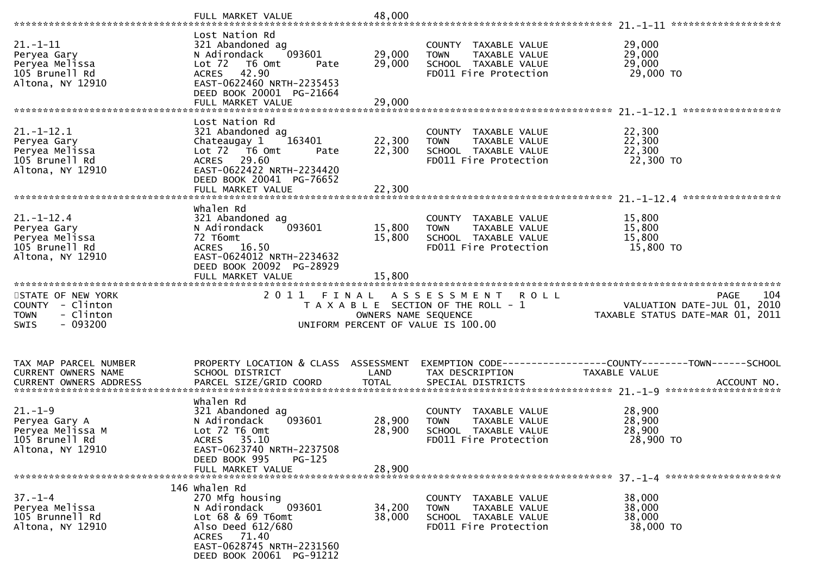|                                                                                               | FULL MARKET VALUE                                                                                                                                                                   | 48,000                     |                                                                                                                   |                                                                                       |
|-----------------------------------------------------------------------------------------------|-------------------------------------------------------------------------------------------------------------------------------------------------------------------------------------|----------------------------|-------------------------------------------------------------------------------------------------------------------|---------------------------------------------------------------------------------------|
| $21. - 1 - 11$<br>Peryea Gary<br>Peryea Melissa<br>105 Brunell Rd<br>Altona, NY 12910         | Lost Nation Rd<br>321 Abandoned ag<br>093601<br>N Adirondack<br>Lot 72  T6 0mt<br>Pate<br>ACRES 42.90<br>EAST-0622460 NRTH-2235453<br>DEED BOOK 20001 PG-21664<br>FULL MARKET VALUE | 29,000<br>29,000<br>29,000 | COUNTY TAXABLE VALUE<br><b>TOWN</b><br>TAXABLE VALUE<br>SCHOOL TAXABLE VALUE<br>FD011 Fire Protection             | 29,000<br>29,000<br>29,000<br>29,000 TO                                               |
| $21. - 1 - 12.1$<br>Peryea Gary<br>Peryea Melissa<br>105 Brunell Rd<br>Altona, NY 12910       | Lost Nation Rd<br>321 Abandoned ag<br>163401<br>Chateaugay 1<br>Lot 72  T6 Omt<br>Pate<br>ACRES 29.60<br>EAST-0622422 NRTH-2234420<br>DEED BOOK 20041 PG-76652                      | 22,300<br>22,300           | COUNTY TAXABLE VALUE<br>TAXABLE VALUE<br><b>TOWN</b><br>SCHOOL TAXABLE VALUE<br>FD011 Fire Protection             | 22,300<br>22,300<br>22,300<br>22,300 TO                                               |
| $21. - 1 - 12.4$<br>Peryea Gary<br>Peryea Melissa<br>105 Brunell Rd<br>Altona, NY 12910       | whalen Rd<br>321 Abandoned ag<br>093601<br>N Adirondack<br>72 T6omt<br>ACRES 16.50<br>EAST-0624012 NRTH-2234632<br>DEED BOOK 20092 PG-28929<br>FULL MARKET VALUE                    | 15,800<br>15,800<br>15,800 | COUNTY TAXABLE VALUE<br>TAXABLE VALUE<br><b>TOWN</b><br>SCHOOL TAXABLE VALUE<br>FD011 Fire Protection             | 15,800<br>15,800<br>15,800<br>15,800 TO                                               |
|                                                                                               |                                                                                                                                                                                     |                            |                                                                                                                   |                                                                                       |
| STATE OF NEW YORK<br>COUNTY - Clinton<br>- Clinton<br><b>TOWN</b><br>$-093200$<br><b>SWIS</b> | 2011 FINAL                                                                                                                                                                          | OWNERS NAME SEQUENCE       | A S S E S S M E N T<br><b>ROLL</b><br>T A X A B L E SECTION OF THE ROLL - 1<br>UNIFORM PERCENT OF VALUE IS 100.00 | 104<br><b>PAGE</b><br>VALUATION DATE-JUL 01, 2010<br>TAXABLE STATUS DATE-MAR 01, 2011 |
| TAX MAP PARCEL NUMBER<br>CURRENT OWNERS NAME<br>CURRENT OWNERS ADDRESS                        | PROPERTY LOCATION & CLASS ASSESSMENT<br>SCHOOL DISTRICT<br>PARCEL SIZE/GRID COORD                                                                                                   | LAND<br><b>TOTAL</b>       | TAX DESCRIPTION<br>SPECIAL DISTRICTS                                                                              | TAXABLE VALUE<br>ACCOUNT NO.                                                          |
| $21. - 1 - 9$<br>Peryea Gary A<br>Peryea Melissa M<br>105 Brunell Rd<br>Altona, NY 12910      | whalen Rd<br>321 Abandoned ag<br>093601<br>N Adirondack<br>$Lot$ $72$ $T6$ $Omt$<br>ACRES 35.10<br>EAST-0623740 NRTH-2237508<br>DEED BOOK 995<br>$PG-125$<br>FULL MARKET VALUE      | 28,900<br>28,900<br>28,900 | COUNTY TAXABLE VALUE<br>TAXABLE VALUE<br><b>TOWN</b><br>SCHOOL TAXABLE VALUE<br>FD011 Fire Protection             | 28,900<br>28,900<br>28,900<br>28,900 TO                                               |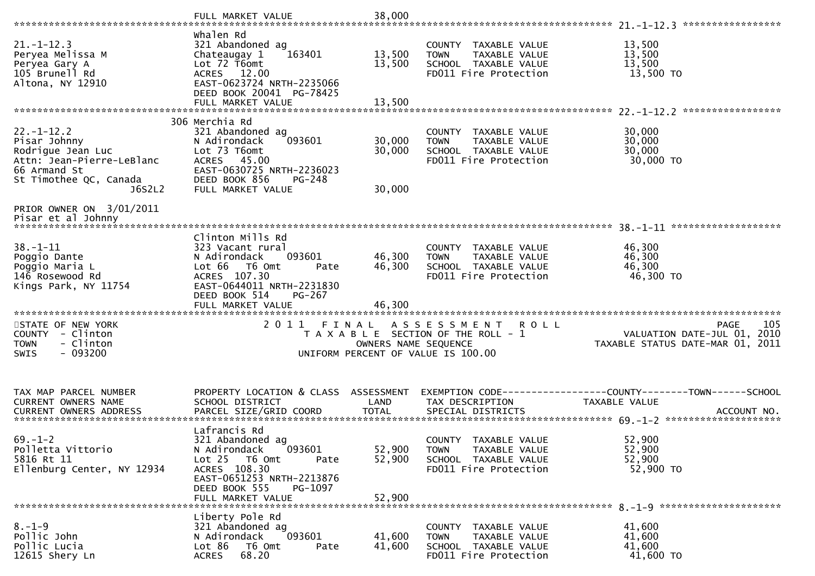| $21. - 1 - 12.3$<br>Peryea Melissa M<br>Peryea Gary A<br>105 Brunell Rd<br>Altona, NY 12910                                  | whalen Rd<br>321 Abandoned ag<br>163401<br>Chateaugay 1<br>Lot 72 T6omt<br>ACRES 12.00<br>EAST-0623724 NRTH-2235066<br>DEED BOOK 20041 PG-78425<br>FULL MARKET VALUE | 13,500<br>13,500<br>13,500 | COUNTY TAXABLE VALUE<br>TAXABLE VALUE<br><b>TOWN</b><br>SCHOOL TAXABLE VALUE<br>FD011 Fire Protection | 13,500<br>13,500<br>13,500<br>13,500 TO                                                  |
|------------------------------------------------------------------------------------------------------------------------------|----------------------------------------------------------------------------------------------------------------------------------------------------------------------|----------------------------|-------------------------------------------------------------------------------------------------------|------------------------------------------------------------------------------------------|
|                                                                                                                              | 306 Merchia Rd                                                                                                                                                       |                            |                                                                                                       |                                                                                          |
| $22. - 1 - 12.2$<br>Pisar Johnny<br>Rodrigue Jean Luc<br>Attn: Jean-Pierre-LeBlanc<br>66 Armand St<br>St Timothee QC, Canada | 321 Abandoned ag<br>093601<br>N Adirondack<br>Lot 73 T6omt<br>ACRES 45.00<br>EAST-0630725 NRTH-2236023<br>DEED BOOK 856<br>PG-248                                    | 30,000<br>30,000           | COUNTY TAXABLE VALUE<br>TAXABLE VALUE<br><b>TOWN</b><br>SCHOOL TAXABLE VALUE<br>FD011 Fire Protection | 30,000<br>30,000<br>30,000<br>30,000 TO                                                  |
| J6S2L2                                                                                                                       | FULL MARKET VALUE                                                                                                                                                    | 30,000                     |                                                                                                       |                                                                                          |
| PRIOR OWNER ON 3/01/2011<br>Pisar et al Johnny                                                                               |                                                                                                                                                                      |                            |                                                                                                       |                                                                                          |
|                                                                                                                              | Clinton Mills Rd                                                                                                                                                     |                            |                                                                                                       |                                                                                          |
| $38. - 1 - 11$<br>Poggio Dante                                                                                               | 323 Vacant rural<br>N Adirondack<br>093601                                                                                                                           | 46,300                     | COUNTY TAXABLE VALUE<br>TAXABLE VALUE<br><b>TOWN</b>                                                  | 46,300<br>46,300                                                                         |
| Poggio Maria L<br>146 Rosewood Rd<br>Kings Park, NY 11754                                                                    | Lot 66 T6 Omt<br>Pate<br>ACRES 107.30<br>EAST-0644011 NRTH-2231830<br>DEED BOOK 514<br>PG-267                                                                        | 46,300                     | SCHOOL TAXABLE VALUE<br>FD011 Fire Protection                                                         | 46,300<br>46,300 TO                                                                      |
|                                                                                                                              |                                                                                                                                                                      |                            |                                                                                                       |                                                                                          |
| STATE OF NEW YORK<br>COUNTY - Clinton<br>- Clinton<br>TOWN<br>$-093200$<br>SWIS                                              | 2011 FINAL                                                                                                                                                           | OWNERS NAME SEQUENCE       | ASSESSMENT ROLL<br>T A X A B L E SECTION OF THE ROLL - 1<br>UNIFORM PERCENT OF VALUE IS 100.00        | 105<br><b>PAGE</b><br>2010<br>VALUATION DATE-JUL 01,<br>TAXABLE STATUS DATE-MAR 01, 2011 |
| TAX MAP PARCEL NUMBER                                                                                                        | PROPERTY LOCATION & CLASS ASSESSMENT                                                                                                                                 |                            |                                                                                                       |                                                                                          |
| <b>CURRENT OWNERS NAME</b>                                                                                                   | SCHOOL DISTRICT                                                                                                                                                      | LAND                       | TAX DESCRIPTION                                                                                       | TAXABLE VALUE                                                                            |
|                                                                                                                              | Lafrancis Rd                                                                                                                                                         |                            |                                                                                                       |                                                                                          |
| $69. - 1 - 2$<br>Polletta Vittorio<br>5816 Rt 11<br>Ellenburg Center, NY 12934                                               | 321 Abandoned ag<br>093601<br>N Adirondack<br>Lot 25 T6 Omt<br>Pate<br>ACRES 108.30<br>EAST-0651253 NRTH-2213876<br>DEED BOOK 555<br>PG-1097                         | 52,900<br>52,900           | COUNTY TAXABLE VALUE<br><b>TOWN</b><br>TAXABLE VALUE<br>SCHOOL TAXABLE VALUE<br>FD011 Fire Protection | 52,900<br>52,900<br>52,900<br>52,900 TO                                                  |
|                                                                                                                              | FULL MARKET VALUE                                                                                                                                                    | 52,900                     |                                                                                                       |                                                                                          |
| $8. - 1 - 9$<br>Pollic John<br>Pollic Lucia<br>12615 Shery Ln                                                                | Liberty Pole Rd<br>321 Abandoned ag<br>093601<br>N Adirondack<br>Lot 86 T6 Omt<br>Pate<br>68.20<br><b>ACRES</b>                                                      | 41,600<br>41,600           | COUNTY TAXABLE VALUE<br><b>TOWN</b><br>TAXABLE VALUE<br>SCHOOL TAXABLE VALUE<br>FD011 Fire Protection | 41,600<br>41,600<br>41,600<br>41,600 TO                                                  |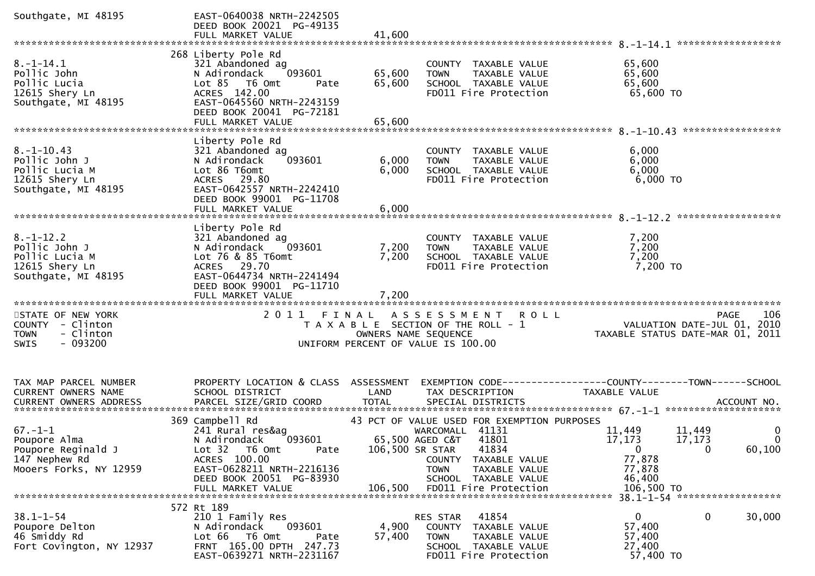| Southgate, MI 48195                                                                            | EAST-0640038 NRTH-2242505<br>DEED BOOK 20021 PG-49135<br>FULL MARKET VALUE                                                                                                                 | 41,600                     |                                                                                                                                                                                                           |                                                                                                                |                                 |
|------------------------------------------------------------------------------------------------|--------------------------------------------------------------------------------------------------------------------------------------------------------------------------------------------|----------------------------|-----------------------------------------------------------------------------------------------------------------------------------------------------------------------------------------------------------|----------------------------------------------------------------------------------------------------------------|---------------------------------|
|                                                                                                |                                                                                                                                                                                            |                            |                                                                                                                                                                                                           |                                                                                                                | ******************              |
| $8. - 1 - 14.1$<br>Pollic John<br>Pollic Lucia<br>12615 Shery Ln<br>Southgate, MI 48195        | 268 Liberty Pole Rd<br>321 Abandoned ag<br>N Adirondack<br>093601<br>$Lot 85$ T6 Omt<br>Pate<br>ACRES 142.00<br>EAST-0645560 NRTH-2243159<br>DEED BOOK 20041 PG-72181<br>FULL MARKET VALUE | 65,600<br>65,600<br>65,600 | COUNTY TAXABLE VALUE<br>TAXABLE VALUE<br><b>TOWN</b><br>SCHOOL TAXABLE VALUE<br>FD011 Fire Protection                                                                                                     | 65,600<br>65,600<br>65,600<br>65,600 TO                                                                        |                                 |
|                                                                                                |                                                                                                                                                                                            |                            |                                                                                                                                                                                                           |                                                                                                                |                                 |
| $8. - 1 - 10.43$<br>Pollic John J<br>Pollic Lucia M<br>12615 Shery Ln<br>Southgate, MI 48195   | Liberty Pole Rd<br>321 Abandoned ag<br>093601<br>N Adirondack<br>Lot 86 T6omt<br>ACRES 29.80<br>EAST-0642557 NRTH-2242410<br>DEED BOOK 99001 PG-11708<br>FULL MARKET VALUE                 | 6,000<br>6,000<br>6,000    | COUNTY TAXABLE VALUE<br>TAXABLE VALUE<br>TOWN<br>SCHOOL TAXABLE VALUE<br>FD011 Fire Protection                                                                                                            | 6,000<br>6,000<br>6,000<br>$6,000$ TO                                                                          |                                 |
|                                                                                                | Liberty Pole Rd                                                                                                                                                                            |                            |                                                                                                                                                                                                           |                                                                                                                |                                 |
| $8. - 1 - 12.2$<br>Pollic John J<br>Pollic Lucia M<br>12615 Shery Ln<br>Southgate, MI 48195    | 321 Abandoned ag<br>093601<br>N Adirondack<br>Lot 76 & 85 T6omt<br>ACRES 29.70<br>EAST-0644734 NRTH-2241494<br>DEED BOOK 99001 PG-11710<br>FULL MARKET VALUE                               | 7,200<br>7,200<br>7,200    | COUNTY TAXABLE VALUE<br>TAXABLE VALUE<br><b>TOWN</b><br>SCHOOL TAXABLE VALUE<br>FD011 Fire Protection                                                                                                     | 7,200<br>7,200<br>7,200<br>7,200 TO                                                                            |                                 |
|                                                                                                |                                                                                                                                                                                            |                            |                                                                                                                                                                                                           |                                                                                                                |                                 |
| STATE OF NEW YORK<br>COUNTY - Clinton<br><b>TOWN</b><br>- Clinton<br>$-093200$<br><b>SWIS</b>  |                                                                                                                                                                                            |                            | 2011 FINAL ASSESSMENT<br><b>ROLL</b><br>T A X A B L E SECTION OF THE ROLL - 1<br>OWNERS NAME SEQUENCE<br>UNIFORM PERCENT OF VALUE IS 100.00                                                               | VALUATION DATE-JUL 01, 2010<br>TAXABLE STATUS DATE-MAR 01, 2011                                                | 106<br>PAGE                     |
| TAX MAP PARCEL NUMBER<br>CURRENT OWNERS NAME                                                   | PROPERTY LOCATION & CLASS ASSESSMENT<br>SCHOOL DISTRICT                                                                                                                                    | LAND                       | TAX DESCRIPTION                                                                                                                                                                                           | TAXABLE VALUE                                                                                                  |                                 |
| $67. - 1 - 1$<br>Poupore Alma<br>Poupore Reginald J<br>147 Nephew Rd<br>Mooers Forks, NY 12959 | 369 Campbell Rd<br>241 Rural res&ag<br>093601<br>N Adirondack<br>Lot 32 T6 Omt<br>Pate<br>ACRES 100.00<br>EAST-0628211 NRTH-2216136<br>DEED BOOK 20051 PG-83930<br>FULL MARKET VALUE       | 106,500 SR STAR<br>106,500 | 43 PCT OF VALUE USED FOR EXEMPTION PURPOSES<br>WARCOMALL 41131<br>65,500 AGED C&T 41801<br>41834<br>COUNTY TAXABLE VALUE<br><b>TOWN</b><br>TAXABLE VALUE<br>SCHOOL TAXABLE VALUE<br>FD011 Fire Protection | 11,449<br>11,449<br>17,173<br>17,173<br>$\overline{0}$<br>$\Omega$<br>77,878<br>77,878<br>46,400<br>106,500 TO | 0<br>$\boldsymbol{0}$<br>60,100 |
| $38.1 - 1 - 54$<br>Poupore Delton<br>46 Smiddy Rd<br>Fort Covington, NY 12937                  | 572 Rt 189<br>210 1 Family Res<br>093601<br>N Adirondack<br>Lot 66<br>T6 Omt<br>Pate<br>FRNT 165.00 DPTH 247.73<br>EAST-0639271 NRTH-2231167                                               | 4,900<br>57,400            | 41854<br>RES STAR<br>COUNTY<br>TAXABLE VALUE<br><b>TOWN</b><br>TAXABLE VALUE<br>SCHOOL TAXABLE VALUE<br>FD011 Fire Protection                                                                             | $\overline{0}$<br>0<br>57,400<br>57,400<br>27,400<br>57,400 TO                                                 | 30,000                          |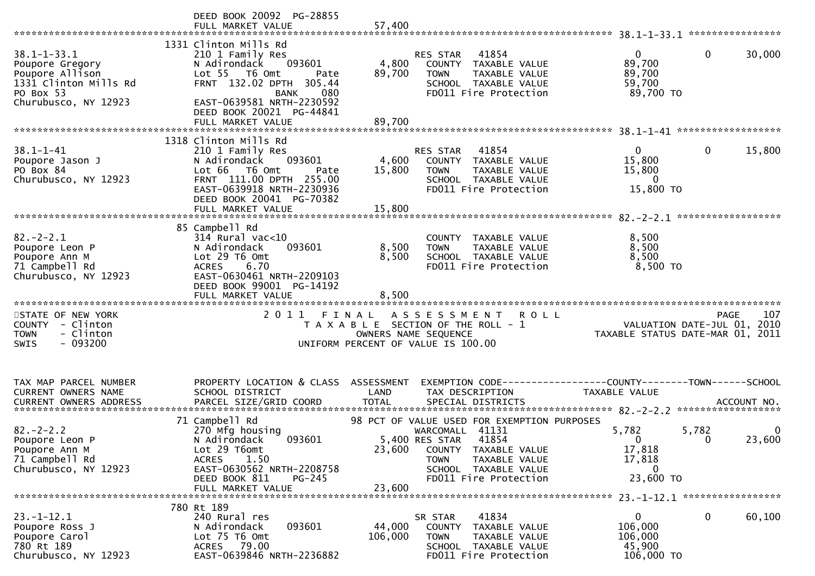|                                                                                                                       | DEED BOOK 20092 PG-28855<br>FULL MARKET VALUE                                                                                                                                                                               | 57,400                    |                                                                                                                                              |                                                                                                       |
|-----------------------------------------------------------------------------------------------------------------------|-----------------------------------------------------------------------------------------------------------------------------------------------------------------------------------------------------------------------------|---------------------------|----------------------------------------------------------------------------------------------------------------------------------------------|-------------------------------------------------------------------------------------------------------|
| $38.1 - 1 - 33.1$<br>Poupore Gregory<br>Poupore Allison<br>1331 Clinton Mills Rd<br>PO Box 53<br>Churubusco, NY 12923 | 1331 Clinton Mills Rd<br>210 1 Family Res<br>N Adirondack<br>093601<br>Lot 55 T6 Omt<br>Pate<br>FRNT 132.02 DPTH 305.44<br><b>BANK</b><br>080<br>EAST-0639581 NRTH-2230592<br>DEED BOOK 20021 PG-44841<br>FULL MARKET VALUE | 4,800<br>89,700<br>89,700 | 41854<br><b>RES STAR</b><br>COUNTY TAXABLE VALUE<br>TAXABLE VALUE<br><b>TOWN</b><br>SCHOOL TAXABLE VALUE<br>FD011 Fire Protection            | $\mathbf{0}$<br>$\mathbf 0$<br>30,000<br>89,700<br>89,700<br>59,700<br>89,700 TO                      |
|                                                                                                                       | 1318 Clinton Mills Rd                                                                                                                                                                                                       |                           |                                                                                                                                              |                                                                                                       |
| $38.1 - 1 - 41$<br>Poupore Jason J<br>PO Box 84<br>Churubusco, NY 12923                                               | 210 1 Family Res<br>093601<br>N Adirondack<br>Lot 66 T6 Omt<br>Pate<br>FRNT 111.00 DPTH 255.00<br>EAST-0639918 NRTH-2230936<br>DEED BOOK 20041 PG-70382                                                                     | 4,600<br>15,800           | RES STAR<br>41854<br>COUNTY TAXABLE VALUE<br><b>TOWN</b><br>TAXABLE VALUE<br>SCHOOL TAXABLE VALUE<br>FD011 Fire Protection                   | 15,800<br>$\Omega$<br>0<br>15,800<br>15,800<br>0<br>15,800 TO                                         |
|                                                                                                                       | FULL MARKET VALUE                                                                                                                                                                                                           | 15,800                    |                                                                                                                                              |                                                                                                       |
|                                                                                                                       | 85 Campbell Rd                                                                                                                                                                                                              |                           |                                                                                                                                              |                                                                                                       |
| $82 - 2 - 2.1$<br>Poupore Leon P<br>Poupore Ann M<br>71 Campbell Rd<br>Churubusco, NY 12923                           | $314$ Rural vac<10<br>N Adirondack<br>093601<br>Lot 29 T6 Omt<br>6.70<br><b>ACRES</b><br>EAST-0630461 NRTH-2209103<br>DEED BOOK 99001 PG-14192<br>FULL MARKET VALUE                                                         | 8,500<br>8,500<br>8,500   | COUNTY<br>TAXABLE VALUE<br>TAXABLE VALUE<br><b>TOWN</b><br>SCHOOL TAXABLE VALUE<br>FD011 Fire Protection                                     | 8,500<br>8,500<br>8,500<br>8,500 TO                                                                   |
|                                                                                                                       |                                                                                                                                                                                                                             |                           |                                                                                                                                              |                                                                                                       |
| STATE OF NEW YORK<br>COUNTY - Clinton<br>- Clinton<br><b>TOWN</b><br>$-093200$<br><b>SWIS</b>                         | 2011 FINAL                                                                                                                                                                                                                  |                           | A S S E S S M E N T<br>R O L L<br>T A X A B L E SECTION OF THE ROLL - 1<br>OWNERS NAME SEQUENCE<br>UNIFORM PERCENT OF VALUE IS 100.00        | 107<br><b>PAGE</b><br>VALUATION DATE-JUL 01, 2010<br>TAXABLE STATUS DATE-MAR 01, 2011                 |
| TAX MAP PARCEL NUMBER<br>CURRENT OWNERS NAME<br><b>CURRENT OWNERS ADDRESS</b>                                         | PROPERTY LOCATION & CLASS ASSESSMENT<br>SCHOOL DISTRICT<br>PARCEL SIZE/GRID COORD                                                                                                                                           | LAND<br><b>TOTAL</b>      | TAX DESCRIPTION<br>SPECIAL DISTRICTS                                                                                                         | EXEMPTION CODE------------------COUNTY--------TOWN------SCHOOL<br><b>TAXABLE VALUE</b><br>ACCOUNT NO. |
|                                                                                                                       | 71 Campbell Rd                                                                                                                                                                                                              |                           | 98 PCT OF VALUE USED FOR EXEMPTION PURPOSES                                                                                                  |                                                                                                       |
| $82 - 2 - 2.2$<br>Poupore Leon P<br>Poupore Ann M<br>71 Campbell Rd<br>Churubusco, NY 12923                           | 270 Mfg housing<br>093601<br>N Adirondack<br>Lot 29 T6omt<br>1.50<br><b>ACRES</b><br>EAST-0630562 NRTH-2208758<br>DEED BOOK 811<br>PG-245<br>FULL MARKET VALUE                                                              | 23,600<br>23,600          | WARCOMALL 41131<br>5,400 RES STAR<br>41854<br>COUNTY TAXABLE VALUE<br>TAXABLE VALUE<br>TOWN<br>SCHOOL TAXABLE VALUE<br>FD011 Fire Protection | 5,782<br>5,782<br>0<br>23,600<br>$\Omega$<br>$\Omega$<br>17,818<br>17,818<br>0<br>23,600 TO           |
|                                                                                                                       |                                                                                                                                                                                                                             |                           |                                                                                                                                              |                                                                                                       |
| $23. - 1 - 12.1$<br>Poupore Ross J<br>Poupore Carol<br>780 Rt 189<br>Churubusco, NY 12923                             | 780 Rt 189<br>240 Rural res<br>093601<br>N Adirondack<br>$Lot$ 75 T6 Omt<br>ACRES 79.00<br>EAST-0639846 NRTH-2236882                                                                                                        | 44,000<br>106,000         | 41834<br>SR STAR<br>COUNTY TAXABLE VALUE<br><b>TOWN</b><br>TAXABLE VALUE<br>SCHOOL TAXABLE VALUE<br>FD011 Fire Protection                    | $\mathbf{0}$<br>0<br>60,100<br>106,000<br>106,000<br>45,900<br>106,000 TO                             |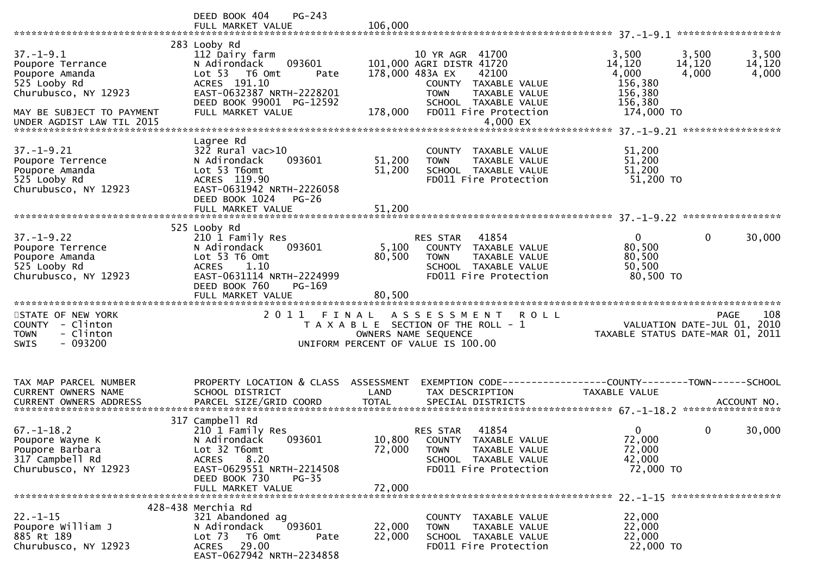|                                                                                                                                                         | PG-243<br>DEED BOOK 404<br>FULL MARKET VALUE                                                                                                                                                  | 106,000                            |                                                                                                                                                                           |                                                                                                                                 |
|---------------------------------------------------------------------------------------------------------------------------------------------------------|-----------------------------------------------------------------------------------------------------------------------------------------------------------------------------------------------|------------------------------------|---------------------------------------------------------------------------------------------------------------------------------------------------------------------------|---------------------------------------------------------------------------------------------------------------------------------|
| $37. - 1 - 9.1$<br>Poupore Terrance<br>Poupore Amanda<br>525 Looby Rd<br>Churubusco, NY 12923<br>MAY BE SUBJECT TO PAYMENT<br>UNDER AGDIST LAW TIL 2015 | 283 Looby Rd<br>112 Dairy farm<br>093601<br>N Adirondack<br>Lot <sub>53</sub><br>T6 Omt<br>Pate<br>ACRES 191.10<br>EAST-0632387 NRTH-2228201<br>DEED BOOK 99001 PG-12592<br>FULL MARKET VALUE | 178,000 483A EX<br>178,000         | 10 YR AGR 41700<br>101,000 AGRI DISTR 41720<br>42100<br>COUNTY TAXABLE VALUE<br>TAXABLE VALUE<br><b>TOWN</b><br>SCHOOL TAXABLE VALUE<br>FD011 Fire Protection<br>4,000 EX | 3,500<br>3,500<br>3,500<br>14,120<br>14,120<br>14,120<br>4,000<br>4,000<br>4,000<br>156,380<br>156,380<br>156,380<br>174,000 TO |
| $37. - 1 - 9.21$<br>Poupore Terrence<br>Poupore Amanda<br>525 Looby Rd<br>Churubusco, NY 12923                                                          | Lagree Rd<br>$322$ Rural vac $>10$<br>093601<br>N Adirondack<br>Lot 53 T6omt<br>ACRES 119.90<br>EAST-0631942 NRTH-2226058<br>DEED BOOK 1024<br>$PG-26$<br>FULL MARKET VALUE                   | 51,200<br>51,200<br>51,200         | COUNTY TAXABLE VALUE<br>TAXABLE VALUE<br><b>TOWN</b><br>SCHOOL TAXABLE VALUE<br>FD011 Fire Protection                                                                     | 51,200<br>51,200<br>51,200<br>51,200 TO                                                                                         |
| $37. - 1 - 9.22$<br>Poupore Terrence<br>Poupore Amanda<br>525 Looby Rd<br>Churubusco, NY 12923                                                          | 525 Looby Rd<br>210 1 Family Res<br>093601<br>N Adirondack<br>Lot 53 T6 Omt<br>1.10<br><b>ACRES</b><br>EAST-0631114 NRTH-2224999<br>DEED BOOK 760<br>$PG-169$<br>FULL MARKET VALUE            | 5,100<br>80,500<br>80,500          | 41854<br>RES STAR<br>COUNTY TAXABLE VALUE<br><b>TOWN</b><br>TAXABLE VALUE<br>SCHOOL TAXABLE VALUE<br>FD011 Fire Protection                                                | $\overline{0}$<br>$\mathbf{0}$<br>30,000<br>80,500<br>80,500<br>50,500<br>80,500 TO                                             |
| STATE OF NEW YORK<br>COUNTY - Clinton<br>- Clinton<br><b>TOWN</b><br>$-093200$<br><b>SWIS</b>                                                           | 2011 FINAL                                                                                                                                                                                    |                                    | A S S E S S M E N T<br><b>ROLL</b><br>T A X A B L E SECTION OF THE ROLL - 1<br>OWNERS NAME SEQUENCE<br>UNIFORM PERCENT OF VALUE IS 100.00                                 | 108<br><b>PAGE</b><br>VALUATION DATE-JUL 01, 2010<br>TAXABLE STATUS DATE-MAR 01,<br>2011                                        |
| TAX MAP PARCEL NUMBER<br>CURRENT OWNERS NAME<br><b>CURRENT OWNERS ADDRESS</b>                                                                           | PROPERTY LOCATION & CLASS<br>SCHOOL DISTRICT<br>PARCEL SIZE/GRID COORD                                                                                                                        | ASSESSMENT<br>LAND<br><b>TOTAL</b> | TAX DESCRIPTION<br>SPECIAL DISTRICTS                                                                                                                                      | EXEMPTION CODE------------------COUNTY--------TOWN------SCHOOL<br>TAXABLE VALUE<br>ACCOUNT NO.                                  |
| $67. - 1 - 18.2$<br>Poupore Wayne K<br>Poupore Barbara<br>317 Campbell Rd<br>Churubusco, NY 12923                                                       | 317 Campbell Rd<br>210 1 Family Res<br>093601<br>N Adirondack<br>Lot 32 T6omt<br>8.20<br><b>ACRES</b><br>EAST-0629551 NRTH-2214508<br>DEED BOOK 730<br>PG-35<br>FULL MARKET VALUE             | 10,800<br>72,000<br>72,000         | 41854<br>RES STAR<br>COUNTY TAXABLE VALUE<br>TAXABLE VALUE<br><b>TOWN</b><br>SCHOOL TAXABLE VALUE<br>FD011 Fire Protection                                                | $\mathbf{0}$<br>0<br>30,000<br>72,000<br>72,000<br>42,000<br>72,000 TO                                                          |
| $22. - 1 - 15$<br>Poupore William J<br>885 Rt 189<br>Churubusco, NY 12923                                                                               | 428-438 Merchia Rd<br>321 Abandoned ag<br>093601<br>N Adirondack<br>Lot 73<br>T6 Omt<br>Pate<br>29.00<br><b>ACRES</b><br>EAST-0627942 NRTH-2234858                                            | 22,000<br>22,000                   | COUNTY TAXABLE VALUE<br>TAXABLE VALUE<br><b>TOWN</b><br>SCHOOL TAXABLE VALUE<br>FD011 Fire Protection                                                                     | 22,000<br>22,000<br>22,000<br>22,000 TO                                                                                         |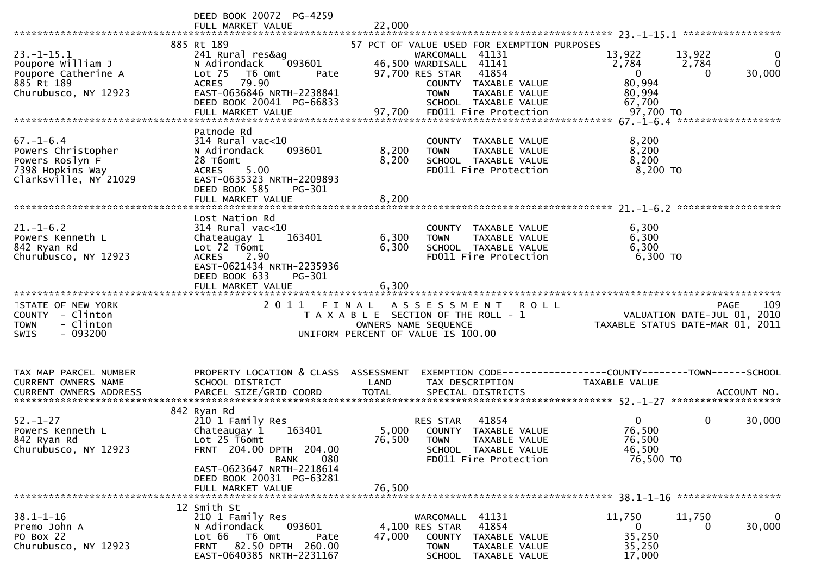|                                                                                                       | DEED BOOK 20072 PG-4259<br>FULL MARKET VALUE                                                                                                                                                           | 22,000                  |                                                                                                                                                                                                                               |                                                                                                      |                         |
|-------------------------------------------------------------------------------------------------------|--------------------------------------------------------------------------------------------------------------------------------------------------------------------------------------------------------|-------------------------|-------------------------------------------------------------------------------------------------------------------------------------------------------------------------------------------------------------------------------|------------------------------------------------------------------------------------------------------|-------------------------|
| $23. - 1 - 15.1$<br>Poupore William J<br>Poupore Catherine A<br>885 Rt 189<br>Churubusco, NY 12923    | 885 Rt 189<br>241 Rural res&ag<br>093601<br>N Adirondack<br>Lot <sub>75</sub><br>T6 Omt<br>Pate<br>79.90<br><b>ACRES</b><br>EAST-0636846 NRTH-2238841<br>DEED BOOK 20041 PG-66833<br>FULL MARKET VALUE | 97,700                  | 57 PCT OF VALUE USED FOR EXEMPTION PURPOSES<br>WARCOMALL 41131<br>46,500 WARDISALL 41141<br>97,700 RES STAR<br>41854<br>COUNTY TAXABLE VALUE<br>TAXABLE VALUE<br><b>TOWN</b><br>SCHOOL TAXABLE VALUE<br>FD011 Fire Protection | 13,922<br>13,922<br>2,784<br>2,784<br>$\overline{0}$<br>0<br>80,994<br>80,994<br>67,700<br>97,700 TO | 0<br>$\Omega$<br>30,000 |
|                                                                                                       | Patnode Rd                                                                                                                                                                                             |                         |                                                                                                                                                                                                                               |                                                                                                      |                         |
| $67. - 1 - 6.4$<br>Powers Christopher<br>Powers Roslyn F<br>7398 Hopkins Way<br>Clarksville, NY 21029 | $314$ Rural vac<10<br>093601<br>N Adirondack<br>28 T6omt<br>5.00<br><b>ACRES</b><br>EAST-0635323 NRTH-2209893<br>DEED BOOK 585<br>PG-301<br>FULL MARKET VALUE                                          | 8,200<br>8,200<br>8,200 | COUNTY TAXABLE VALUE<br>TAXABLE VALUE<br><b>TOWN</b><br>SCHOOL TAXABLE VALUE<br>FD011 Fire Protection                                                                                                                         | 8,200<br>8,200<br>8,200<br>8,200 TO                                                                  |                         |
|                                                                                                       |                                                                                                                                                                                                        |                         |                                                                                                                                                                                                                               | ******************                                                                                   |                         |
| $21. - 1 - 6.2$<br>Powers Kenneth L<br>842 Ryan Rd<br>Churubusco, NY 12923                            | Lost Nation Rd<br>$314$ Rural vac<10<br>Chateaugay 1<br>163401<br>Lot 72 T6omt<br>ACRES 2.90<br>EAST-0621434 NRTH-2235936<br>DEED BOOK 633<br>PG-301                                                   | 6,300<br>6,300          | COUNTY TAXABLE VALUE<br>TAXABLE VALUE<br><b>TOWN</b><br>SCHOOL TAXABLE VALUE<br>FD011 Fire Protection                                                                                                                         | 6,300<br>6,300<br>6,300<br>6,300 TO                                                                  |                         |
|                                                                                                       | FULL MARKET VALUE                                                                                                                                                                                      | 6.300                   |                                                                                                                                                                                                                               |                                                                                                      |                         |
|                                                                                                       |                                                                                                                                                                                                        |                         |                                                                                                                                                                                                                               |                                                                                                      |                         |
| STATE OF NEW YORK<br>COUNTY - Clinton<br>- Clinton<br><b>TOWN</b><br>$-093200$<br>SWIS                | 2011 FINAL                                                                                                                                                                                             | OWNERS NAME SEQUENCE    | A S S E S S M E N T<br><b>ROLL</b><br>T A X A B L E SECTION OF THE ROLL - 1<br>UNIFORM PERCENT OF VALUE IS 100.00                                                                                                             | VALUATION DATE-JUL 01, 2010<br>TAXABLE STATUS DATE-MAR 01, 2011                                      | 109<br><b>PAGE</b>      |
| TAX MAP PARCEL NUMBER<br>CURRENT OWNERS NAME                                                          | PROPERTY LOCATION & CLASS ASSESSMENT<br>SCHOOL DISTRICT                                                                                                                                                | LAND                    | TAX DESCRIPTION                                                                                                                                                                                                               | EXEMPTION CODE------------------COUNTY--------TOWN------SCHOOL<br><b>TAXABLE VALUE</b>               |                         |
|                                                                                                       |                                                                                                                                                                                                        |                         |                                                                                                                                                                                                                               |                                                                                                      |                         |
| $52. - 1 - 27$<br>Powers Kenneth L<br>842 Ryan Rd<br>Churubusco, NY 12923                             | 842 Ryan Rd<br>210 1 Family Res<br>Chateaugay 1<br>163401<br>Lot 25 T6omt<br>FRNT 204.00 DPTH 204.00                                                                                                   | 5,000<br>76,500         | 41854<br><b>RES STAR</b><br>COUNTY TAXABLE VALUE<br><b>TOWN</b><br>TAXABLE VALUE<br>SCHOOL TAXABLE VALUE                                                                                                                      | $\overline{0}$<br>$\mathbf 0$<br>76,500<br>76,500<br>46,500                                          | 30,000                  |
|                                                                                                       | 080<br><b>BANK</b><br>EAST-0623647 NRTH-2218614<br>DEED BOOK 20031 PG-63281<br>FULL MARKET VALUE                                                                                                       | 76,500                  | FD011 Fire Protection                                                                                                                                                                                                         | 76,500 TO                                                                                            |                         |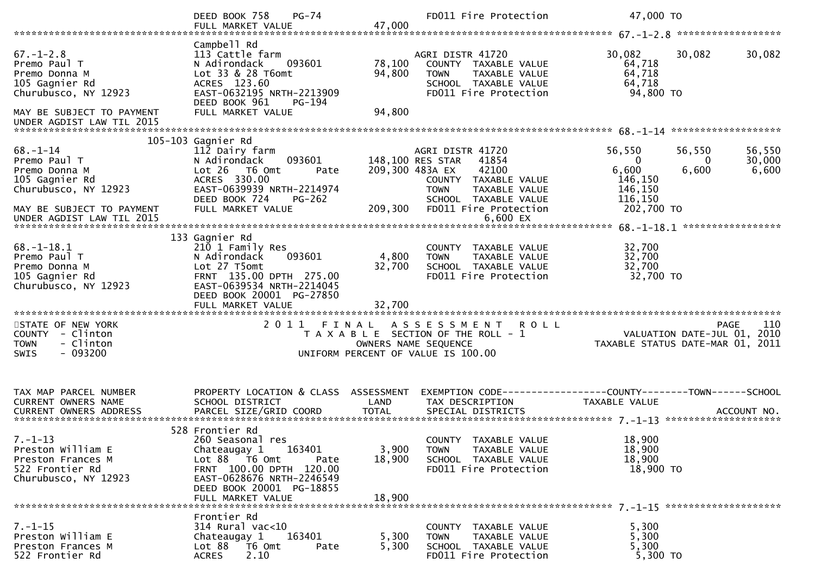|                                                                                                                         | DEED BOOK 758<br>$PG-74$<br>FULL MARKET VALUE                                                                                                                                                   | 47,000                     | FD011 Fire Protection                                                                                                                                                              | 47,000 TO                                                                                                       |                           |
|-------------------------------------------------------------------------------------------------------------------------|-------------------------------------------------------------------------------------------------------------------------------------------------------------------------------------------------|----------------------------|------------------------------------------------------------------------------------------------------------------------------------------------------------------------------------|-----------------------------------------------------------------------------------------------------------------|---------------------------|
|                                                                                                                         |                                                                                                                                                                                                 |                            |                                                                                                                                                                                    |                                                                                                                 |                           |
| $67. - 1 - 2.8$<br>Premo Paul T<br>Premo Donna M<br>105 Gagnier Rd<br>Churubusco, NY 12923<br>MAY BE SUBJECT TO PAYMENT | Campbell Rd<br>113 Cattle farm<br>N Adirondack<br>093601<br>Lot 33 & 28 T6omt<br>ACRES 123.60<br>EAST-0632195 NRTH-2213909<br>DEED BOOK 961<br>PG-194<br>FULL MARKET VALUE                      | 78,100<br>94,800<br>94,800 | AGRI DISTR 41720<br>COUNTY TAXABLE VALUE<br>TAXABLE VALUE<br><b>TOWN</b><br>SCHOOL TAXABLE VALUE<br>FD011 Fire Protection                                                          | 30,082<br>30,082<br>64,718<br>64,718<br>64,718<br>94,800 TO                                                     | 30,082                    |
| UNDER AGDIST LAW TIL 2015                                                                                               |                                                                                                                                                                                                 |                            |                                                                                                                                                                                    |                                                                                                                 |                           |
|                                                                                                                         |                                                                                                                                                                                                 |                            |                                                                                                                                                                                    |                                                                                                                 |                           |
|                                                                                                                         | 105-103 Gagnier Rd                                                                                                                                                                              |                            |                                                                                                                                                                                    |                                                                                                                 |                           |
| $68 - 1 - 14$<br>Premo Paul T<br>Premo Donna M<br>105 Gagnier Rd<br>Churubusco, NY 12923<br>MAY BE SUBJECT TO PAYMENT   | 112 Dairy farm<br>N Adirondack<br>093601<br>Lot 26 T6 Omt<br>Pate<br>ACRES 330.00<br>EAST-0639939 NRTH-2214974<br>DEED BOOK 724<br>$PG-262$<br>FULL MARKET VALUE                                | 209,300                    | AGRI DISTR 41720<br>148,100 RES STAR<br>41854<br>42100<br>209,300 483A EX<br>COUNTY TAXABLE VALUE<br><b>TOWN</b><br>TAXABLE VALUE<br>SCHOOL TAXABLE VALUE<br>FD011 Fire Protection | 56,550<br>56,550<br>$\overline{0}$<br>$\Omega$<br>6,600<br>6,600<br>146,150<br>146,150<br>116,150<br>202,700 TO | 56,550<br>30,000<br>6,600 |
|                                                                                                                         |                                                                                                                                                                                                 |                            |                                                                                                                                                                                    |                                                                                                                 |                           |
|                                                                                                                         |                                                                                                                                                                                                 |                            |                                                                                                                                                                                    |                                                                                                                 | *****************         |
| $68. - 1 - 18.1$<br>Premo Paul T<br>Premo Donna M<br>105 Gagnier Rd<br>Churubusco, NY 12923                             | 133 Gagnier Rd<br>210 1 Family Res<br>093601<br>N Adirondack<br>Lot 27 T5omt<br>FRNT 135.00 DPTH 275.00<br>EAST-0639534 NRTH-2214045<br>DEED BOOK 20001 PG-27850                                | 4,800<br>32,700            | COUNTY<br>TAXABLE VALUE<br>TAXABLE VALUE<br><b>TOWN</b><br>SCHOOL TAXABLE VALUE<br>FD011 Fire Protection                                                                           | 32,700<br>32,700<br>32,700<br>32,700 TO                                                                         |                           |
|                                                                                                                         | FULL MARKET VALUE                                                                                                                                                                               | 32,700                     |                                                                                                                                                                                    |                                                                                                                 |                           |
| STATE OF NEW YORK<br>COUNTY - Clinton<br>- Clinton<br><b>TOWN</b><br>$-093200$<br><b>SWIS</b>                           |                                                                                                                                                                                                 |                            | 2011 FINAL ASSESSMENT<br><b>ROLL</b><br>T A X A B L E SECTION OF THE ROLL - 1<br>OWNERS NAME SEQUENCE<br>UNIFORM PERCENT OF VALUE IS 100.00                                        | VALUATION DATE-JUL 01, 2010<br>TAXABLE STATUS DATE-MAR 01, 2011                                                 | <b>PAGE</b><br>110        |
| TAX MAP PARCEL NUMBER<br>CURRENT OWNERS NAME<br><b>CURRENT OWNERS ADDRESS</b>                                           | PROPERTY LOCATION & CLASS ASSESSMENT<br>SCHOOL DISTRICT<br>PARCEL SIZE/GRID COORD                                                                                                               | LAND<br><b>TOTAL</b>       | TAX DESCRIPTION<br>SPECIAL DISTRICTS                                                                                                                                               | EXEMPTION        CODE-----------------COUNTY-------TOWN------SCHOOL<br>TAXABLE VALUE                            | ACCOUNT NO.               |
| $7. - 1 - 13$<br>Preston William E<br>Preston Frances M<br>522 Frontier Rd<br>Churubusco, NY 12923                      | 528 Frontier Rd<br>260 Seasonal res<br>163401<br>Chateaugay 1<br>Lot 88 T6 Omt<br>Pate<br>FRNT 100.00 DPTH 120.00<br>EAST-0628676 NRTH-2246549<br>DEED BOOK 20001 PG-18855<br>FULL MARKET VALUE | 3,900<br>18,900<br>18,900  | COUNTY TAXABLE VALUE<br>TAXABLE VALUE<br>TOWN<br>SCHOOL TAXABLE VALUE<br>FD011 Fire Protection                                                                                     | 18,900<br>18,900<br>18,900<br>18,900 TO                                                                         |                           |
| $7. - 1 - 15$<br>Preston William E<br>Preston Frances M<br>522 Frontier Rd                                              | Frontier Rd<br>$314$ Rural vac<10<br>163401<br>Chateaugay 1<br>Lot 88<br>T6 Omt<br>Pate<br>2.10<br><b>ACRES</b>                                                                                 | 5,300<br>5,300             | COUNTY TAXABLE VALUE<br>TAXABLE VALUE<br><b>TOWN</b><br>SCHOOL TAXABLE VALUE<br>FD011 Fire Protection                                                                              | 5,300<br>5,300<br>5,300<br>$5,300$ TO                                                                           |                           |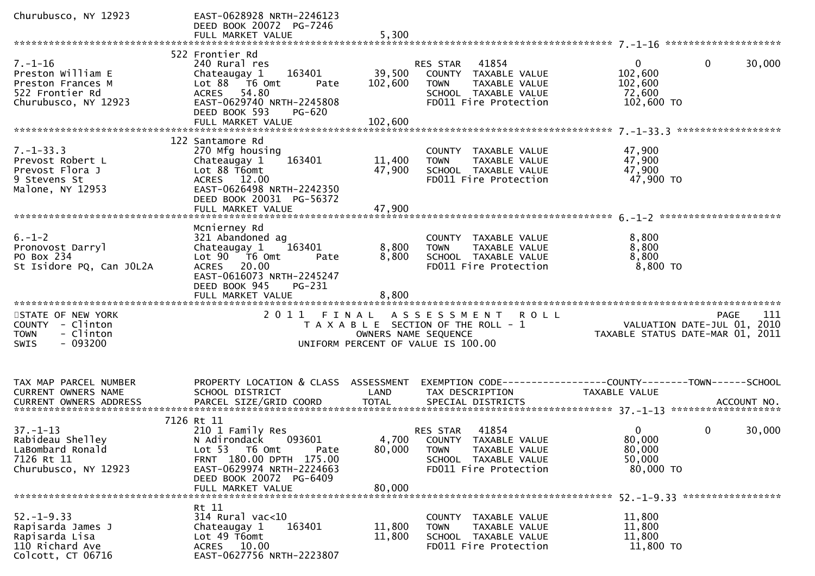| Churubusco, NY 12923                                                                               | EAST-0628928 NRTH-2246123<br>DEED BOOK 20072 PG-7246<br>FULL MARKET VALUE                                                                                                       | 5,300                        |                                                                                                                                  |                                                                 |                        |
|----------------------------------------------------------------------------------------------------|---------------------------------------------------------------------------------------------------------------------------------------------------------------------------------|------------------------------|----------------------------------------------------------------------------------------------------------------------------------|-----------------------------------------------------------------|------------------------|
|                                                                                                    |                                                                                                                                                                                 |                              |                                                                                                                                  |                                                                 |                        |
| $7. - 1 - 16$<br>Preston William E<br>Preston Frances M<br>522 Frontier Rd<br>Churubusco, NY 12923 | 522 Frontier Rd<br>240 Rural res<br>163401<br>Chateaugay 1<br>Lot 88 T6 Omt<br>Pate<br>ACRES 54.80<br>EAST-0629740 NRTH-2245808<br>DEED BOOK 593<br>PG-620<br>FULL MARKET VALUE | 39,500<br>102,600<br>102,600 | RES STAR 41854<br>COUNTY TAXABLE VALUE<br><b>TOWN</b><br>TAXABLE VALUE<br>SCHOOL TAXABLE VALUE<br>FD011 Fire Protection          | $\mathbf{0}$<br>102,600<br>102,600<br>72,600<br>102,600 TO      | $\mathbf{0}$<br>30,000 |
|                                                                                                    | 122 Santamore Rd                                                                                                                                                                |                              |                                                                                                                                  |                                                                 |                        |
| $7. - 1 - 33.3$<br>Prevost Robert L<br>Prevost Flora J<br>9 Stevens St<br>Malone, NY 12953         | 270 Mfg housing<br>163401<br>Chateaugay 1<br>Lot 88 T6omt<br>ACRES 12.00<br>EAST-0626498 NRTH-2242350<br>DEED BOOK 20031 PG-56372<br>FULL MARKET VALUE                          | 11,400<br>47,900<br>47,900   | COUNTY TAXABLE VALUE<br><b>TOWN</b><br>TAXABLE VALUE<br>SCHOOL TAXABLE VALUE<br>FD011 Fire Protection                            | 47,900<br>47,900<br>47,900<br>47,900 TO                         |                        |
|                                                                                                    | Mcnierney Rd                                                                                                                                                                    |                              |                                                                                                                                  |                                                                 |                        |
| $6. - 1 - 2$<br>Pronovost Darryl<br>PO Box 234<br>St Isidore PQ, Can JOL2A                         | 321 Abandoned ag<br>163401<br>Chateaugay 1<br>Lot 90 T6 Omt<br>Pate<br>ACRES 20.00<br>EAST-0616073 NRTH-2245247<br>DEED BOOK 945<br>PG-231<br>FULL MARKET VALUE                 | 8,800<br>8,800<br>8,800      | COUNTY TAXABLE VALUE<br>TAXABLE VALUE<br><b>TOWN</b><br>SCHOOL TAXABLE VALUE<br>FD011 Fire Protection                            | 8,800<br>8,800<br>8,800<br>8,800 TO                             |                        |
| STATE OF NEW YORK                                                                                  |                                                                                                                                                                                 |                              | 2011 FINAL ASSESSMENT<br><b>ROLL</b>                                                                                             |                                                                 | 111<br>PAGE            |
| COUNTY - Clinton<br>- Clinton<br><b>TOWN</b><br>$-093200$<br><b>SWIS</b>                           |                                                                                                                                                                                 | OWNERS NAME SEQUENCE         | T A X A B L E SECTION OF THE ROLL - 1<br>UNIFORM PERCENT OF VALUE IS 100.00                                                      | VALUATION DATE-JUL 01, 2010<br>TAXABLE STATUS DATE-MAR 01, 2011 |                        |
|                                                                                                    |                                                                                                                                                                                 |                              |                                                                                                                                  |                                                                 |                        |
| TAX MAP PARCEL NUMBER<br>CURRENT OWNERS NAME<br><b>CURRENT OWNERS ADDRESS</b>                      | PROPERTY LOCATION & CLASS ASSESSMENT<br>SCHOOL DISTRICT                                                                                                                         | LAND                         | TAX DESCRIPTION                                                                                                                  | <b>TAXABLE VALUE</b>                                            |                        |
|                                                                                                    | 7126 Rt 11                                                                                                                                                                      |                              |                                                                                                                                  |                                                                 |                        |
| $37. - 1 - 13$<br>Rabideau Shelley<br>LaBombard Ronald<br>7126 Rt 11<br>Churubusco, NY 12923       | 210 1 Family Res<br>093601<br>N Adirondack<br>Lot 53  T6 Omt<br>Pate<br>FRNT 180.00 DPTH 175.00<br>EAST-0629974 NRTH-2224663<br>DEED BOOK 20072 PG-6409                         | 80,000                       | 41854<br>RES STAR<br>4,700 COUNTY TAXABLE VALUE<br><b>TOWN</b><br>TAXABLE VALUE<br>SCHOOL TAXABLE VALUE<br>FD011 Fire Protection | $\overline{0}$<br>80,000<br>80,000<br>50,000<br>80,000 TO       | $\mathbf{0}$<br>30,000 |
|                                                                                                    | FULL MARKET VALUE                                                                                                                                                               | 80,000                       |                                                                                                                                  |                                                                 |                        |
| $52. - 1 - 9.33$<br>Rapisarda James J<br>Rapisarda Lisa<br>110 Richard Ave<br>Colcott, CT 06716    | Rt 11<br>314 Rural vac<10<br>163401<br>Chateaugay 1<br>Lot 49 T6omt<br>ACRES 10.00<br>EAST-0627756 NRTH-2223807                                                                 | 11,800<br>11,800             | COUNTY TAXABLE VALUE<br><b>TAXABLE VALUE</b><br><b>TOWN</b><br>SCHOOL TAXABLE VALUE<br>FD011 Fire Protection                     | 11,800<br>11,800<br>11,800<br>11,800 TO                         |                        |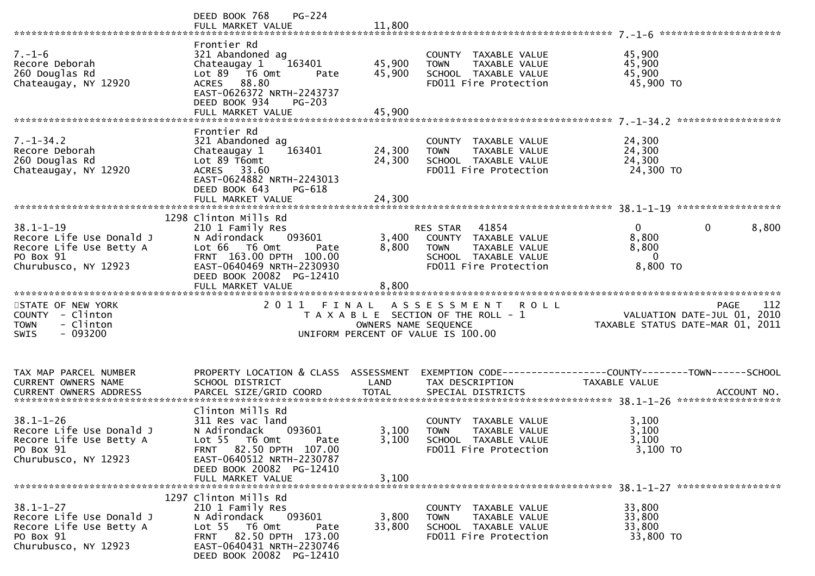|                                                                                                             | <b>PG-224</b><br>DEED BOOK 768                                                                                                                                                                  |                         |                                                                                                                            |                                                                                                                   |       |
|-------------------------------------------------------------------------------------------------------------|-------------------------------------------------------------------------------------------------------------------------------------------------------------------------------------------------|-------------------------|----------------------------------------------------------------------------------------------------------------------------|-------------------------------------------------------------------------------------------------------------------|-------|
| $7. - 1 - 6$<br>Recore Deborah<br>260 Douglas Rd<br>Chateaugay, NY 12920                                    | Frontier Rd<br>321 Abandoned ag<br>Chateaugay 1<br>163401<br>Lot 89  T6 Omt<br>Pate<br>ACRES 88.80<br>EAST-0626372 NRTH-2243737<br>DEED BOOK 934<br><b>PG-203</b>                               | 45,900<br>45,900        | COUNTY TAXABLE VALUE<br><b>TOWN</b><br>TAXABLE VALUE<br>SCHOOL TAXABLE VALUE<br>FD011 Fire Protection                      | 45,900<br>45,900<br>45,900<br>45,900 TO                                                                           |       |
|                                                                                                             |                                                                                                                                                                                                 |                         |                                                                                                                            |                                                                                                                   |       |
| $7. - 1 - 34.2$<br>Recore Deborah<br>260 Douglas Rd<br>Chateaugay, NY 12920                                 | Frontier Rd<br>321 Abandoned ag<br>Chateaugay 1<br>163401<br>Lot 89 T6omt<br>ACRES 33.60<br>EAST-0624882 NRTH-2243013<br>DEED BOOK 643<br>PG-618                                                | 24,300<br>24,300        | COUNTY TAXABLE VALUE<br>TAXABLE VALUE<br><b>TOWN</b><br>SCHOOL TAXABLE VALUE<br>FD011 Fire Protection                      | 24,300<br>24,300<br>24,300<br>24,300 TO                                                                           |       |
|                                                                                                             |                                                                                                                                                                                                 |                         |                                                                                                                            |                                                                                                                   |       |
| $38.1 - 1 - 19$<br>Recore Life Use Donald J<br>Recore Life Use Betty A<br>PO Box 91<br>Churubusco, NY 12923 | 1298 Clinton Mills Rd<br>210 1 Family Res<br>N Adirondack<br>093601<br>Lot 66 T6 Omt<br>Pate<br>FRNT 163.00 DPTH 100.00<br>EAST-0640469 NRTH-2230930                                            | 3,400<br>8,800          | 41854<br>RES STAR<br>COUNTY TAXABLE VALUE<br><b>TOWN</b><br>TAXABLE VALUE<br>SCHOOL TAXABLE VALUE<br>FD011 Fire Protection | $\Omega$<br>$\mathbf{0}$<br>8,800<br>8,800<br>$\Omega$<br>8,800 TO                                                | 8,800 |
|                                                                                                             | DEED BOOK 20082 PG-12410<br>FULL MARKET VALUE                                                                                                                                                   | 8,800                   |                                                                                                                            |                                                                                                                   |       |
| STATE OF NEW YORK<br>COUNTY - Clinton<br>- Clinton<br><b>TOWN</b><br>$-093200$<br><b>SWIS</b>               |                                                                                                                                                                                                 | OWNERS NAME SEQUENCE    | 2011 FINAL ASSESSMENT ROLL<br>T A X A B L E SECTION OF THE ROLL - 1<br>UNIFORM PERCENT OF VALUE IS 100.00                  | <b>PAGE</b><br>ـــد<br>10 VALUATION DATE-JUL 01, 2010<br>101 TAXABLE STATUS DATE-MAR 01, 20                       | 112   |
| TAX MAP PARCEL NUMBER<br>CURRENT OWNERS NAME                                                                | SCHOOL DISTRICT                                                                                                                                                                                 | LAND                    | TAX DESCRIPTION                                                                                                            | PROPERTY LOCATION & CLASS ASSESSMENT EXEMPTION CODE----------------COUNTY-------TOWN------SCHOOL<br>TAXABLE VALUE |       |
| $38.1 - 1 - 26$<br>Recore Life Use Donald J<br>Recore Life Use Betty A<br>PO Box 91<br>Churubusco, NY 12923 | Clinton Mills Rd<br>311 Res vac land<br>093601<br>N Adirondack<br>Lot 55 T6 Omt<br>Pate<br>FRNT 82.50 DPTH 107.00<br>EAST-0640512 NRTH-2230787<br>DEED BOOK 20082 PG-12410<br>FULL MARKET VALUE | 3,100<br>3,100<br>3,100 | COUNTY TAXABLE VALUE<br><b>TOWN</b><br>TAXABLE VALUE<br>SCHOOL TAXABLE VALUE<br>FD011 Fire Protection                      | 3,100<br>3,100<br>3,100<br>$3,100$ TO                                                                             |       |
|                                                                                                             |                                                                                                                                                                                                 |                         |                                                                                                                            |                                                                                                                   |       |
| $38.1 - 1 - 27$<br>Recore Life Use Donald J<br>Recore Life Use Betty A<br>PO Box 91<br>Churubusco, NY 12923 | 1297 Clinton Mills Rd<br>210 1 Family Res<br>N Adirondack<br>093601<br>Lot 55 T6 Omt<br>Pate<br>FRNT 82.50 DPTH 173.00<br>EAST-0640431 NRTH-2230746<br>DEED BOOK 20082 PG-12410                 | 3,800<br>33,800         | COUNTY TAXABLE VALUE<br>TAXABLE VALUE<br><b>TOWN</b><br>SCHOOL TAXABLE VALUE<br>FD011 Fire Protection                      | 33,800<br>33,800<br>33,800<br>33,800 TO                                                                           |       |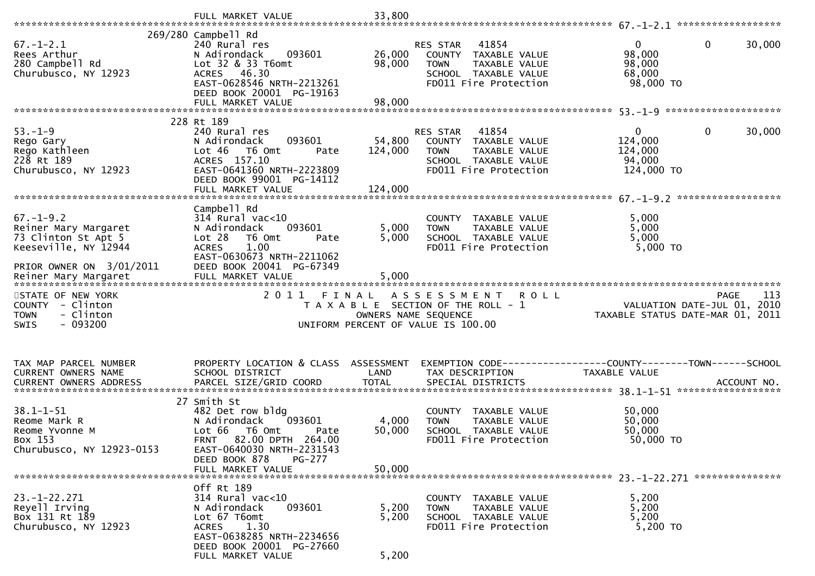| $67. - 1 - 2.1$                              | 269/280 Campbell Rd<br>240 Rural res          |                      | 41854<br><b>RES STAR</b>                             | 30,000<br>$\overline{0}$<br>0                                      |
|----------------------------------------------|-----------------------------------------------|----------------------|------------------------------------------------------|--------------------------------------------------------------------|
| Rees Arthur                                  | 093601<br>N Adirondack                        | 26,000               | COUNTY TAXABLE VALUE                                 | 98,000                                                             |
| 280 Campbell Rd                              | Lot 32 & 33 T6omt                             | 98,000               | TAXABLE VALUE<br><b>TOWN</b>                         | 98,000                                                             |
| Churubusco, NY 12923                         | ACRES 46.30                                   |                      | SCHOOL TAXABLE VALUE                                 | 68,000                                                             |
|                                              | EAST-0628546 NRTH-2213261                     |                      | FD011 Fire Protection                                | 98,000 TO                                                          |
|                                              | DEED BOOK 20001 PG-19163                      |                      |                                                      |                                                                    |
|                                              | FULL MARKET VALUE                             | 98,000               |                                                      |                                                                    |
|                                              |                                               |                      |                                                      |                                                                    |
|                                              | 228 Rt 189                                    |                      |                                                      |                                                                    |
| $53. - 1 - 9$                                | 240 Rural res                                 |                      | 41854<br>RES STAR                                    | $\Omega$<br>$\mathbf{0}$<br>30,000                                 |
| Rego Gary<br>Rego Kathleen                   | 093601<br>N Adirondack<br>Lot 46<br>T6 Omt    | 54,800<br>124,000    | COUNTY TAXABLE VALUE<br>TAXABLE VALUE<br><b>TOWN</b> | 124,000<br>124,000                                                 |
| 228 Rt 189                                   | Pate<br>ACRES 157.10                          |                      | SCHOOL TAXABLE VALUE                                 | 94,000                                                             |
| Churubusco, NY 12923                         | EAST-0641360 NRTH-2223809                     |                      | FD011 Fire Protection                                | 124,000 TO                                                         |
|                                              | DEED BOOK 99001 PG-14112                      |                      |                                                      |                                                                    |
|                                              | FULL MARKET VALUE                             | 124,000              |                                                      |                                                                    |
|                                              |                                               |                      |                                                      | ******************                                                 |
|                                              | Campbell Rd                                   |                      |                                                      |                                                                    |
| $67. - 1 - 9.2$                              | $314$ Rural vac<10                            |                      | COUNTY TAXABLE VALUE                                 | 5,000                                                              |
| Reiner Mary Margaret                         | N Adirondack<br>093601                        | 5,000                | TAXABLE VALUE<br><b>TOWN</b>                         | 5,000                                                              |
| 73 Clinton St Apt 5                          | Lot 28<br>T6 Omt<br>Pate                      | 5,000                | SCHOOL TAXABLE VALUE                                 | 5,000                                                              |
| Keeseville, NY 12944                         | 1.00<br><b>ACRES</b>                          |                      | FD011 Fire Protection                                | 5,000 TO                                                           |
|                                              | EAST-0630673 NRTH-2211062                     |                      |                                                      |                                                                    |
| PRIOR OWNER ON 3/01/2011                     | DEED BOOK 20041 PG-67349                      |                      |                                                      |                                                                    |
|                                              |                                               |                      |                                                      |                                                                    |
|                                              |                                               |                      |                                                      |                                                                    |
|                                              |                                               |                      |                                                      |                                                                    |
| STATE OF NEW YORK                            | 2011                                          | FINAL                | A S S E S S M E N T<br><b>ROLL</b>                   | 113<br><b>PAGE</b>                                                 |
| COUNTY - Clinton<br>- Clinton<br><b>TOWN</b> |                                               | OWNERS NAME SEQUENCE | T A X A B L E SECTION OF THE ROLL - 1                | 2010<br>VALUATION DATE-JUL 01,<br>TAXABLE STATUS DATE-MAR 01, 2011 |
| $-093200$<br>SWIS                            |                                               |                      | UNIFORM PERCENT OF VALUE IS 100.00                   |                                                                    |
|                                              |                                               |                      |                                                      |                                                                    |
|                                              |                                               |                      |                                                      |                                                                    |
|                                              |                                               |                      |                                                      |                                                                    |
| TAX MAP PARCEL NUMBER                        | PROPERTY LOCATION & CLASS                     | ASSESSMENT           |                                                      |                                                                    |
| CURRENT OWNERS NAME                          | SCHOOL DISTRICT                               | LAND                 | TAX DESCRIPTION                                      | TAXABLE VALUE                                                      |
| <b>CURRENT OWNERS ADDRESS</b>                | PARCEL SIZE/GRID COORD                        | <b>TOTAL</b>         | SPECIAL DISTRICTS                                    | ACCOUNT NO.                                                        |
|                                              | 27 Smith St                                   |                      |                                                      |                                                                    |
| $38.1 - 1 - 51$                              | 482 Det row bldg                              |                      | <b>COUNTY</b><br>TAXABLE VALUE                       | 50,000                                                             |
| Reome Mark R                                 | 093601<br>N Adirondack                        | 4,000                | TAXABLE VALUE<br><b>TOWN</b>                         | 50,000                                                             |
| Reome Yvonne M                               | Lot 66<br>T6 Omt<br>Pate                      | 50,000               | SCHOOL TAXABLE VALUE                                 | 50,000                                                             |
| Box 153                                      | 82.00 DPTH 264.00<br><b>FRNT</b>              |                      | FD011 Fire Protection                                | 50,000 TO                                                          |
| Churubusco, NY 12923-0153                    | EAST-0640030 NRTH-2231543                     |                      |                                                      |                                                                    |
|                                              | DEED BOOK 878<br>PG-277                       |                      |                                                      |                                                                    |
|                                              | FULL MARKET VALUE                             | 50,000               |                                                      |                                                                    |
|                                              |                                               |                      |                                                      |                                                                    |
|                                              | Off Rt 189                                    |                      |                                                      |                                                                    |
| $23. - 1 - 22.271$                           | $314$ Rural vac<10                            |                      | COUNTY TAXABLE VALUE<br>TAXABLE VALUE<br>TOWN        | 5,200                                                              |
| Reyell Irving<br>Box 131 Rt 189              | N Adirondack<br>093601<br>Lot 67 T6omt        | 5,200<br>5,200       | SCHOOL TAXABLE VALUE                                 | 5,200<br>5,200                                                     |
| Churubusco, NY 12923                         | 1.30<br><b>ACRES</b>                          |                      | FD011 Fire Protection                                | 5,200 TO                                                           |
|                                              | EAST-0638285 NRTH-2234656                     |                      |                                                      |                                                                    |
|                                              | DEED BOOK 20001 PG-27660<br>FULL MARKET VALUE | 5,200                |                                                      |                                                                    |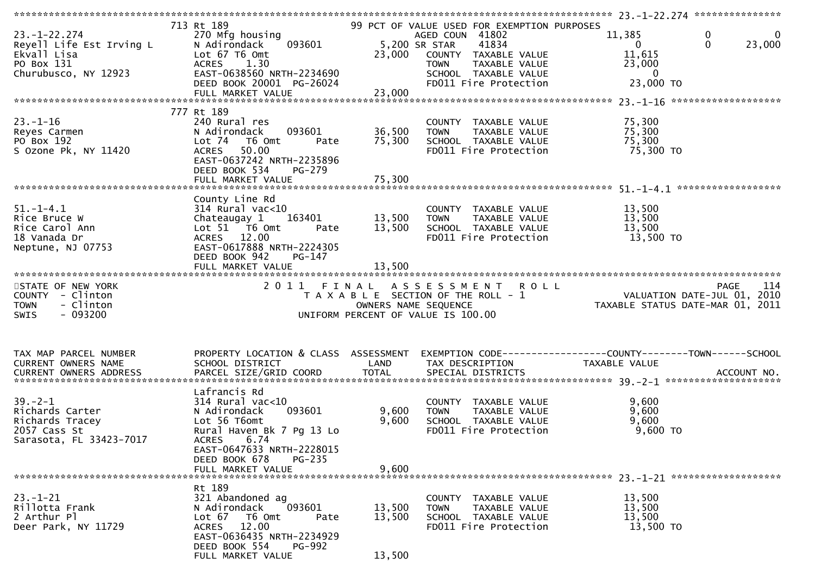| $23. - 1 - 22.274$<br>Reyell Life Est Irving L<br>Ekvall Lisa<br>PO Box 131<br>Churubusco, NY 12923 | 713 Rt 189<br>270 Mfg housing<br>093601<br>N Adirondack<br>Lot 67 T6 Omt<br>ACRES 1.30<br>EAST-0638560 NRTH-2234690<br>DEED BOOK 20001 PG-26024                                             | 5,200 SR STAR<br>23,000    | 99 PCT OF VALUE USED FOR EXEMPTION PURPOSES<br>AGED COUN 41802<br>41834<br>COUNTY TAXABLE VALUE<br>TAXABLE VALUE<br><b>TOWN</b><br>SCHOOL TAXABLE VALUE<br>FD011 Fire Protection | 11,385<br>0<br>0<br>$\mathbf 0$<br>23,000<br>$\mathbf{0}$<br>11,615<br>23,000<br>$\mathbf 0$<br>23,000 TO |
|-----------------------------------------------------------------------------------------------------|---------------------------------------------------------------------------------------------------------------------------------------------------------------------------------------------|----------------------------|----------------------------------------------------------------------------------------------------------------------------------------------------------------------------------|-----------------------------------------------------------------------------------------------------------|
|                                                                                                     |                                                                                                                                                                                             |                            |                                                                                                                                                                                  |                                                                                                           |
| $23. - 1 - 16$<br>Reyes Carmen<br>PO Box 192<br>S Ozone Pk, NY 11420                                | 777 Rt 189<br>240 Rural res<br>093601<br>N Adirondack<br>Lot 74 T6 Omt<br>Pate<br>ACRES 50.00<br>EAST-0637242 NRTH-2235896<br>DEED BOOK 534<br>PG-279                                       | 36,500<br>75,300           | COUNTY TAXABLE VALUE<br>TAXABLE VALUE<br><b>TOWN</b><br>SCHOOL TAXABLE VALUE<br>FD011 Fire Protection                                                                            | 75,300<br>75,300<br>75,300<br>75,300 TO                                                                   |
|                                                                                                     |                                                                                                                                                                                             |                            |                                                                                                                                                                                  |                                                                                                           |
| $51. - 1 - 4.1$<br>Rice Bruce W<br>Rice Carol Ann<br>18 Vanada Dr<br>Neptune, NJ 07753              | County Line Rd<br>$314$ Rural vac<10<br>Chateaugay 1 163401<br>Lot 51 76 0mt<br>Pate<br>ACRES 12.00<br>EAST-0617888 NRTH-2224305<br>DEED BOOK 942<br>PG-147<br>FULL MARKET VALUE            | 13,500<br>13,500<br>13,500 | COUNTY TAXABLE VALUE<br>TAXABLE VALUE<br><b>TOWN</b><br>SCHOOL TAXABLE VALUE<br>FD011 Fire Protection                                                                            | 13,500<br>13,500<br>13,500<br>13,500 TO                                                                   |
|                                                                                                     |                                                                                                                                                                                             |                            |                                                                                                                                                                                  |                                                                                                           |
| STATE OF NEW YORK<br>COUNTY - Clinton<br>- Clinton<br><b>TOWN</b><br>$-093200$<br><b>SWIS</b>       | 2011 FINAL                                                                                                                                                                                  | OWNERS NAME SEQUENCE       | ASSESSMENT ROLL<br>T A X A B L E SECTION OF THE ROLL - 1<br>OWNERS NAME SEQUENCE<br>UNIFORM PERCENT OF VALUE IS 100.00                                                           | 114<br><b>PAGE</b><br>PAGE II4<br>VALUATION DATE-JUL 01, 2010<br>TAXABLE STATUS DATE-MAR 01, 2011         |
| TAX MAP PARCEL NUMBER<br>CURRENT OWNERS NAME                                                        | PROPERTY LOCATION & CLASS ASSESSMENT<br>SCHOOL DISTRICT                                                                                                                                     | LAND                       | TAX DESCRIPTION                                                                                                                                                                  | EXEMPTION CODE------------------COUNTY--------TOWN------SCHOOL<br>TAXABLE VALUE                           |
| $39 - 2 - 1$<br>Richards Carter<br>Richards Tracey<br>2057 Cass St<br>Sarasota, FL 33423-7017       | Lafrancis Rd<br>$314$ Rural vac<10<br>093601<br>N Adirondack<br>Lot 56 T6omt<br>Rural Haven Bk 7 Pg 13 Lo<br><b>ACRES</b><br>6.74<br>EAST-0647633 NRTH-2228015<br>DEED BOOK 678<br>$PG-235$ | 9,600<br>9,600             | COUNTY TAXABLE VALUE<br>TAXABLE VALUE<br><b>TOWN</b><br>SCHOOL TAXABLE VALUE<br>FD011 Fire Protection                                                                            | 9,600<br>9,600<br>9,600<br>$9,600$ TO                                                                     |
|                                                                                                     | FULL MARKET VALUE                                                                                                                                                                           | 9,600                      |                                                                                                                                                                                  |                                                                                                           |
| $23 - 1 - 21$<br>Rillotta Frank<br>2 Arthur Pl<br>Deer Park, NY 11729                               | Rt 189<br>321 Abandoned ag<br>N Adirondack<br>093601<br>T6 Omt<br>Lot $67$<br>Pate<br>ACRES 12.00<br>EAST-0636435 NRTH-2234929<br>DEED BOOK 554<br><b>PG-992</b><br>FULL MARKET VALUE       | 13,500<br>13,500<br>13,500 | COUNTY TAXABLE VALUE<br>TAXABLE VALUE<br><b>TOWN</b><br>SCHOOL TAXABLE VALUE<br>FD011 Fire Protection                                                                            | 13,500<br>13,500<br>13,500<br>13,500 TO                                                                   |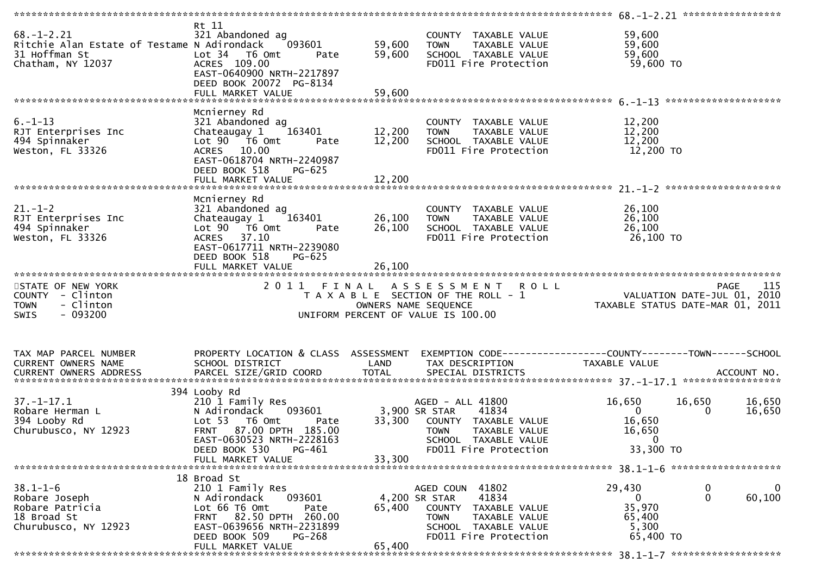| $68. - 1 - 2.21$<br>Ritchie Alan Estate of Testame N Adirondack<br>31 Hoffman St<br>Chatham, NY 12037 | Rt 11<br>321 Abandoned ag<br>093601<br>Lot 34 T6 Omt<br>Pate<br>ACRES 109.00<br>EAST-0640900 NRTH-2217897 | 59,600<br>59,600 | COUNTY TAXABLE VALUE<br><b>TOWN</b><br>TAXABLE VALUE<br>SCHOOL TAXABLE VALUE<br>FD011 Fire Protection | 59,600<br>59,600<br>59,600<br>59,600 TO                         |             |                    |
|-------------------------------------------------------------------------------------------------------|-----------------------------------------------------------------------------------------------------------|------------------|-------------------------------------------------------------------------------------------------------|-----------------------------------------------------------------|-------------|--------------------|
|                                                                                                       | DEED BOOK 20072 PG-8134                                                                                   |                  |                                                                                                       |                                                                 |             |                    |
|                                                                                                       | FULL MARKET VALUE                                                                                         | 59,600           |                                                                                                       |                                                                 |             |                    |
|                                                                                                       | Mcnierney Rd                                                                                              |                  |                                                                                                       |                                                                 |             |                    |
| $6. - 1 - 13$<br>RJT Enterprises Inc                                                                  | 321 Abandoned ag<br>163401<br>Chateaugay 1                                                                | 12,200           | COUNTY TAXABLE VALUE<br>TAXABLE VALUE<br><b>TOWN</b>                                                  | 12,200<br>12,200                                                |             |                    |
| 494 Spinnaker                                                                                         | Lot 90  T6 0mt<br>Pate                                                                                    | 12,200           | SCHOOL TAXABLE VALUE                                                                                  | 12,200                                                          |             |                    |
| Weston, FL 33326                                                                                      | ACRES 10.00<br>EAST-0618704 NRTH-2240987<br>DEED BOOK 518<br>PG-625                                       |                  | FD011 Fire Protection                                                                                 | 12,200 TO                                                       |             |                    |
|                                                                                                       |                                                                                                           |                  |                                                                                                       |                                                                 |             |                    |
|                                                                                                       |                                                                                                           |                  |                                                                                                       |                                                                 |             |                    |
| $21. - 1 - 2$                                                                                         | Mcnierney Rd<br>321 Abandoned ag                                                                          |                  | COUNTY TAXABLE VALUE                                                                                  | 26,100                                                          |             |                    |
| RJT Enterprises Inc                                                                                   | 163401<br>Chateaugay 1                                                                                    | 26,100           | <b>TOWN</b><br>TAXABLE VALUE                                                                          | 26,100                                                          |             |                    |
| 494 Spinnaker                                                                                         | Lot 90  T6 0mt<br>Pate                                                                                    | 26,100           | SCHOOL TAXABLE VALUE                                                                                  | 26,100                                                          |             |                    |
| Weston, FL 33326                                                                                      | ACRES 37.10<br>EAST-0617711 NRTH-2239080<br>DEED BOOK 518<br>$PG-625$                                     |                  | FD011 Fire Protection                                                                                 | 26,100 TO                                                       |             |                    |
|                                                                                                       | FULL MARKET VALUE                                                                                         | 26,100           |                                                                                                       |                                                                 |             |                    |
| STATE OF NEW YORK                                                                                     | 2 0 1 1<br>FINAL                                                                                          |                  | A S S E S S M E N T<br><b>ROLL</b>                                                                    |                                                                 |             | 115<br><b>PAGE</b> |
| COUNTY - Clinton<br>- Clinton<br><b>TOWN</b><br>$-093200$<br><b>SWIS</b>                              |                                                                                                           |                  | T A X A B L E SECTION OF THE ROLL - 1<br>OWNERS NAME SEQUENCE<br>UNIFORM PERCENT OF VALUE IS 100.00   | VALUATION DATE-JUL 01, 2010<br>TAXABLE STATUS DATE-MAR 01, 2011 |             |                    |
|                                                                                                       |                                                                                                           |                  |                                                                                                       |                                                                 |             |                    |
| TAX MAP PARCEL NUMBER                                                                                 | PROPERTY LOCATION & CLASS ASSESSMENT                                                                      |                  |                                                                                                       |                                                                 |             |                    |
| CURRENT OWNERS NAME                                                                                   | SCHOOL DISTRICT                                                                                           | LAND             | TAX DESCRIPTION                                                                                       | TAXABLE VALUE                                                   |             |                    |
|                                                                                                       |                                                                                                           |                  |                                                                                                       |                                                                 |             |                    |
|                                                                                                       | 394 Looby Rd                                                                                              |                  |                                                                                                       |                                                                 |             |                    |
| $37. - 1 - 17.1$<br>Robare Herman L                                                                   | 210 1 Family Res<br>N Adirondack<br>093601                                                                |                  | AGED - ALL 41800<br>41834<br>3,900 SR STAR                                                            | 16,650<br>$\mathbf{0}$                                          | 16,650<br>0 | 16,650<br>16,650   |
| 394 Looby Rd                                                                                          | Lot 53 T6 Omt<br>Pate                                                                                     | 33,300           | COUNTY TAXABLE VALUE                                                                                  | 16,650                                                          |             |                    |
| Churubusco, NY 12923                                                                                  | FRNT 87.00 DPTH 185.00                                                                                    |                  | <b>TOWN</b><br>TAXABLE VALUE                                                                          | 16,650                                                          |             |                    |
|                                                                                                       | EAST-0630523 NRTH-2228163                                                                                 |                  | SCHOOL TAXABLE VALUE                                                                                  | $\mathbf 0$                                                     |             |                    |
|                                                                                                       | DEED BOOK 530<br>PG-461                                                                                   |                  | FD011 Fire Protection                                                                                 | 33,300 TO                                                       |             |                    |
|                                                                                                       | FULL MARKET VALUE                                                                                         | 33,300           |                                                                                                       |                                                                 |             |                    |
|                                                                                                       | 18 Broad St                                                                                               |                  |                                                                                                       |                                                                 |             |                    |
| $38.1 - 1 - 6$                                                                                        | 210 1 Family Res                                                                                          |                  | AGED COUN 41802                                                                                       | 29,430                                                          | 0           | 0                  |
| Robare Joseph                                                                                         | N Adirondack<br>093601<br>Lot 66 T6 Omt                                                                   |                  | 41834<br>4,200 SR STAR                                                                                | 0<br>35,970                                                     | 0           | 60,100             |
| Robare Patricia<br>18 Broad St                                                                        | Pate<br>FRNT 82.50 DPTH 260.00                                                                            | 65,400           | COUNTY<br>TAXABLE VALUE<br><b>TOWN</b><br>TAXABLE VALUE                                               | 65,400                                                          |             |                    |
| Churubusco, NY 12923                                                                                  | EAST-0639656 NRTH-2231899                                                                                 |                  | SCHOOL TAXABLE VALUE                                                                                  | 5,300                                                           |             |                    |
|                                                                                                       | DEED BOOK 509<br>PG-268                                                                                   |                  | FD011 Fire Protection                                                                                 | 65,400 TO                                                       |             |                    |
|                                                                                                       | FULL MARKET VALUE                                                                                         | 65,400           |                                                                                                       |                                                                 |             |                    |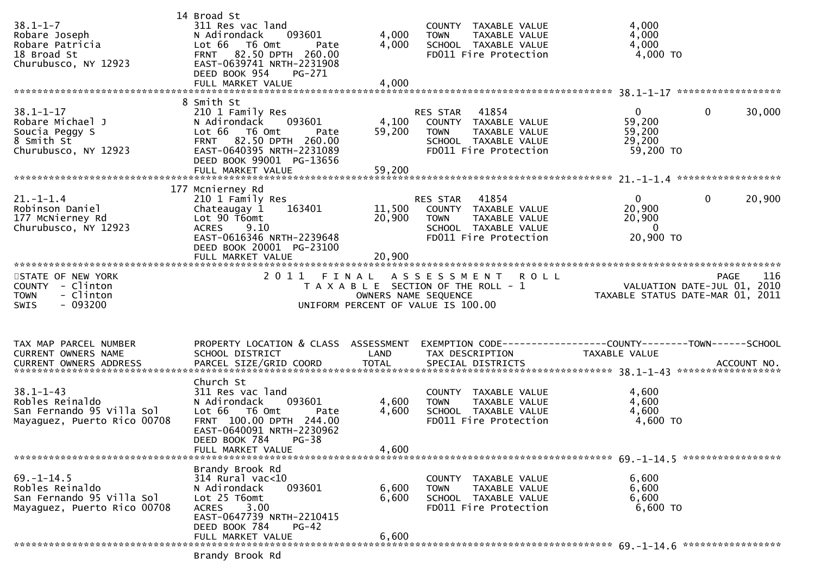| $38.1 - 1 - 7$<br>Robare Joseph<br>Robare Patricia<br>18 Broad St<br>Churubusco, NY 12923       | 14 Broad St<br>311 Res vac land<br>N Adirondack<br>093601<br>Lot 66 T6 Omt<br>Pate<br>82.50 DPTH 260.00<br><b>FRNT</b><br>EAST-0639741 NRTH-2231908<br>DEED BOOK 954<br>PG-271<br>FULL MARKET VALUE | 4,000<br>4,000<br>4,000       | COUNTY TAXABLE VALUE<br><b>TOWN</b><br>TAXABLE VALUE<br>SCHOOL TAXABLE VALUE<br>FD011 Fire Protection                   | 4,000<br>4,000<br>4,000<br>$4,000$ TO                                            |                       |
|-------------------------------------------------------------------------------------------------|-----------------------------------------------------------------------------------------------------------------------------------------------------------------------------------------------------|-------------------------------|-------------------------------------------------------------------------------------------------------------------------|----------------------------------------------------------------------------------|-----------------------|
|                                                                                                 | 8 Smith St                                                                                                                                                                                          |                               |                                                                                                                         |                                                                                  |                       |
| $38.1 - 1 - 17$<br>Robare Michael J<br>Soucia Peggy S<br>8 Smith St<br>Churubusco, NY 12923     | 210 1 Family Res<br>N Adirondack<br>093601<br>Lot 66 T6 Omt<br>Pate<br>FRNT 82.50 DPTH 260.00<br>EAST-0640395 NRTH-2231089<br>DEED BOOK 99001 PG-13656<br>FULL MARKET VALUE                         | 4,100<br>59,200<br>59,200     | RES STAR 41854<br>COUNTY TAXABLE VALUE<br>TAXABLE VALUE<br><b>TOWN</b><br>SCHOOL TAXABLE VALUE<br>FD011 Fire Protection | $\overline{0}$<br>59,200<br>59,200<br>29,200<br>59,200 TO                        | $\mathbf 0$<br>30,000 |
|                                                                                                 |                                                                                                                                                                                                     |                               |                                                                                                                         |                                                                                  |                       |
| $21. - 1 - 1.4$<br>Robinson Daniel<br>177 McNierney Rd<br>Churubusco, NY 12923                  | 177 Mcnierney Rd<br>210 1 Family Res<br>163401<br>Chateaugay 1<br>Lot 90 T6omt<br><b>ACRES</b><br>9.10<br>EAST-0616346 NRTH-2239648<br>DEED BOOK 20001 PG-23100<br>FULL MARKET VALUE                | 11,500<br>20,900<br>20,900    | 41854<br>RES STAR<br>COUNTY TAXABLE VALUE<br>TAXABLE VALUE<br>TOWN<br>SCHOOL TAXABLE VALUE<br>FD011 Fire Protection     | $\overline{0}$<br>$\mathbf 0$<br>20,900<br>20,900<br>$\overline{0}$<br>20,900 ТО | 20,900                |
|                                                                                                 |                                                                                                                                                                                                     |                               |                                                                                                                         |                                                                                  |                       |
| STATE OF NEW YORK<br>COUNTY - Clinton<br>- Clinton<br><b>TOWN</b><br>SWIS<br>$-093200$          | 2011                                                                                                                                                                                                | FINAL<br>OWNERS NAME SEQUENCE | A S S E S S M E N T<br><b>ROLL</b><br>T A X A B L E SECTION OF THE ROLL - 1<br>UNIFORM PERCENT OF VALUE IS 100.00       | VALUATION DATE-JUL 01, 2010<br>TAXABLE STATUS DATE-MAR 01, 2011                  | <b>PAGE</b><br>116    |
| TAX MAP PARCEL NUMBER                                                                           | PROPERTY LOCATION & CLASS ASSESSMENT                                                                                                                                                                |                               | EXEMPTION CODE------------------COUNTY--------TOWN------SCHOOL                                                          |                                                                                  |                       |
| CURRENT OWNERS NAME<br><b>CURRENT OWNERS ADDRESS</b>                                            | SCHOOL DISTRICT                                                                                                                                                                                     | LAND                          | TAX DESCRIPTION                                                                                                         | TAXABLE VALUE                                                                    |                       |
|                                                                                                 | Church St                                                                                                                                                                                           |                               |                                                                                                                         |                                                                                  |                       |
| $38.1 - 1 - 43$<br>Robles Reinaldo<br>San Fernando 95 Villa Sol<br>Mayaquez, Puerto Rico 00708  | 311 Res vac land<br>093601<br>N Adirondack<br>Lot 66 T6 Omt<br>Pate<br>FRNT 100.00 DPTH 244.00<br>EAST-0640091 NRTH-2230962<br>DEED BOOK 784<br>$PG-38$<br>FULL MARKET VALUE                        | 4,600<br>4,600<br>4,600       | COUNTY TAXABLE VALUE<br>TAXABLE VALUE<br><b>TOWN</b><br>SCHOOL TAXABLE VALUE<br>FD011 Fire Protection                   | 4,600<br>4,600<br>4,600<br>4,600 TO                                              |                       |
|                                                                                                 |                                                                                                                                                                                                     |                               |                                                                                                                         |                                                                                  |                       |
| $69. - 1 - 14.5$<br>Robles Reinaldo<br>San Fernando 95 Villa Sol<br>Mayaguez, Puerto Rico 00708 | Brandy Brook Rd<br>$314$ Rural vac<10<br>093601<br>N Adirondack<br>Lot 25 T6omt<br>3.00<br><b>ACRES</b><br>EAST-0647739 NRTH-2210415<br>DEED BOOK 784<br>$PG-42$                                    | 6,600<br>6,600                | COUNTY TAXABLE VALUE<br>TAXABLE VALUE<br><b>TOWN</b><br>SCHOOL TAXABLE VALUE<br>FD011 Fire Protection                   | 6,600<br>6,600<br>6,600<br>6,600 TO                                              |                       |
|                                                                                                 |                                                                                                                                                                                                     |                               |                                                                                                                         |                                                                                  |                       |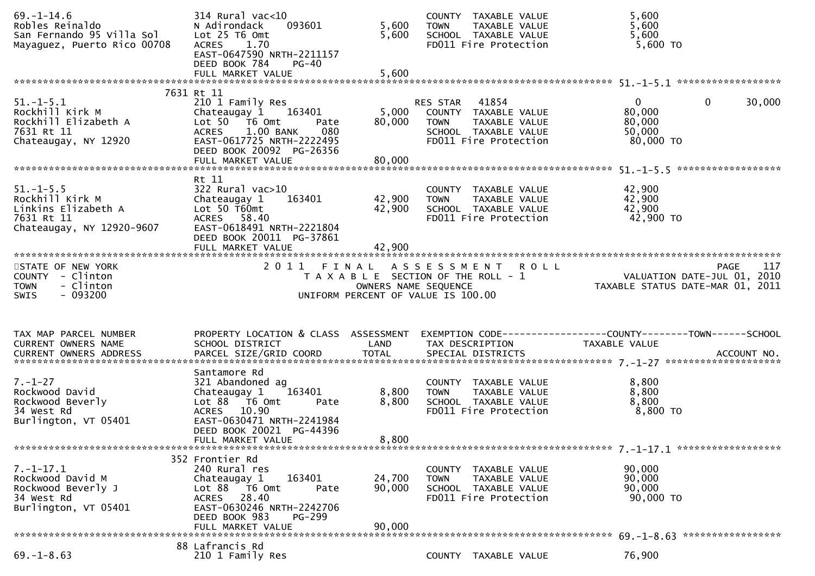| $69. - 1 - 14.6$<br>Robles Reinaldo<br>San Fernando 95 Villa Sol<br>Mayaguez, Puerto Rico 00708      | 314 Rural vac<10<br>093601<br>N Adirondack<br>Lot 25 T6 Omt<br><b>ACRES</b><br>1.70<br>EAST-0647590 NRTH-2211157<br>DEED BOOK 784<br><b>PG-40</b><br>FULL MARKET VALUE                            | 5,600<br>5,600<br>5,600   | COUNTY TAXABLE VALUE<br><b>TOWN</b><br>TAXABLE VALUE<br>SCHOOL TAXABLE VALUE<br>FD011 Fire Protection                   | 5,600<br>5,600<br>5,600<br>5,600 TO                                               |  |
|------------------------------------------------------------------------------------------------------|---------------------------------------------------------------------------------------------------------------------------------------------------------------------------------------------------|---------------------------|-------------------------------------------------------------------------------------------------------------------------|-----------------------------------------------------------------------------------|--|
|                                                                                                      |                                                                                                                                                                                                   |                           |                                                                                                                         |                                                                                   |  |
| $51. - 1 - 5.1$<br>Rockhill Kirk M<br>Rockhill Elizabeth A<br>7631 Rt 11<br>Chateaugay, NY 12920     | 7631 Rt 11<br>210 1 Family Res<br>Chateaugay 1 163401<br>Lot 50  T6 0mt<br>Pate<br>1.00 BANK<br>080<br><b>ACRES</b><br>EAST-0617725 NRTH-2222495<br>DEED BOOK 20092 PG-26356<br>FULL MARKET VALUE | 5,000<br>80,000<br>80,000 | RES STAR 41854<br>COUNTY TAXABLE VALUE<br><b>TOWN</b><br>TAXABLE VALUE<br>SCHOOL TAXABLE VALUE<br>FD011 Fire Protection | $\mathbf{0}$<br>$\mathbf{0}$<br>30,000<br>80,000<br>80,000<br>50,000<br>80,000 TO |  |
|                                                                                                      | Rt 11                                                                                                                                                                                             |                           |                                                                                                                         |                                                                                   |  |
| $51. - 1 - 5.5$<br>Rockhill Kirk M<br>Linkins Elizabeth A<br>7631 Rt 11<br>Chateaugay, NY 12920-9607 | $322$ Rural vac $>10$<br>Chateaugay 1<br>163401<br>Lot $50$ $\bar{t}60$ mt<br>ACRES 58.40<br>EAST-0618491 NRTH-2221804<br>DEED BOOK 20011 PG-37861                                                | 42,900<br>42,900          | COUNTY TAXABLE VALUE<br><b>TOWN</b><br>TAXABLE VALUE<br>SCHOOL TAXABLE VALUE<br>FD011 Fire Protection                   | 42,900<br>42,900<br>42,900<br>42,900 TO                                           |  |
|                                                                                                      |                                                                                                                                                                                                   |                           |                                                                                                                         |                                                                                   |  |
| STATE OF NEW YORK<br>COUNTY - Clinton<br>- Clinton<br><b>TOWN</b>                                    | 2011 FINAL                                                                                                                                                                                        | OWNERS NAME SEQUENCE      | ASSESSMENT ROLL<br>T A X A B L E SECTION OF THE ROLL - 1                                                                | PAGE 117<br>VALUATION DATE-JUL 01, 2010<br>TAXARLE STATUS DATE USE 101, 2010      |  |
| $-093200$<br><b>SWIS</b>                                                                             |                                                                                                                                                                                                   |                           | UNIFORM PERCENT OF VALUE IS 100.00                                                                                      | TAXABLE STATUS DATE-MAR 01, 2011                                                  |  |
|                                                                                                      |                                                                                                                                                                                                   |                           |                                                                                                                         |                                                                                   |  |
| TAX MAP PARCEL NUMBER<br>CURRENT OWNERS NAME                                                         | PROPERTY LOCATION & CLASS ASSESSMENT<br>SCHOOL DISTRICT                                                                                                                                           | LAND                      | TAX DESCRIPTION                                                                                                         | EXEMPTION CODE------------------COUNTY--------TOWN------SCHOOL<br>TAXABLE VALUE   |  |
|                                                                                                      |                                                                                                                                                                                                   |                           |                                                                                                                         |                                                                                   |  |
| $7. - 1 - 27$<br>Rockwood David<br>Rockwood Beverly<br>34 West Rd<br>Burlington, VT 05401            | Santamore Rd<br>321 Abandoned ag<br>163401<br>Chateaugay 1<br>Lot $88$ $\overline{76}$ Omt<br>Pate<br>ACRES 10.90<br>EAST-0630471 NRTH-2241984<br>DEED BOOK 20021 PG-44396                        | 8,800<br>8,800            | COUNTY TAXABLE VALUE<br><b>TOWN</b><br>TAXABLE VALUE<br>SCHOOL TAXABLE VALUE<br>FD011 Fire Protection                   | 8,800<br>8,800<br>8,800<br>8,800 TO                                               |  |
|                                                                                                      | FULL MARKET VALUE                                                                                                                                                                                 | 8,800                     |                                                                                                                         |                                                                                   |  |
|                                                                                                      |                                                                                                                                                                                                   |                           |                                                                                                                         |                                                                                   |  |
| $7. - 1 - 17.1$<br>Rockwood David M<br>Rockwood Beverly J<br>34 West Rd<br>Burlington, VT 05401      | 352 Frontier Rd<br>240 Rural res<br>163401<br>Chateaugay 1<br>Lot 88 T6 Omt<br>Pate<br>28.40<br><b>ACRES</b><br>EAST-0630246 NRTH-2242706<br>DEED BOOK 983<br><b>PG-299</b>                       | 24,700<br>90,000          | COUNTY TAXABLE VALUE<br>TAXABLE VALUE<br><b>TOWN</b><br>SCHOOL TAXABLE VALUE<br>FD011 Fire Protection                   | 90,000<br>90,000<br>90,000<br>90,000 TO                                           |  |
|                                                                                                      | FULL MARKET VALUE<br>88 Lafrancis Rd                                                                                                                                                              | 90,000                    |                                                                                                                         |                                                                                   |  |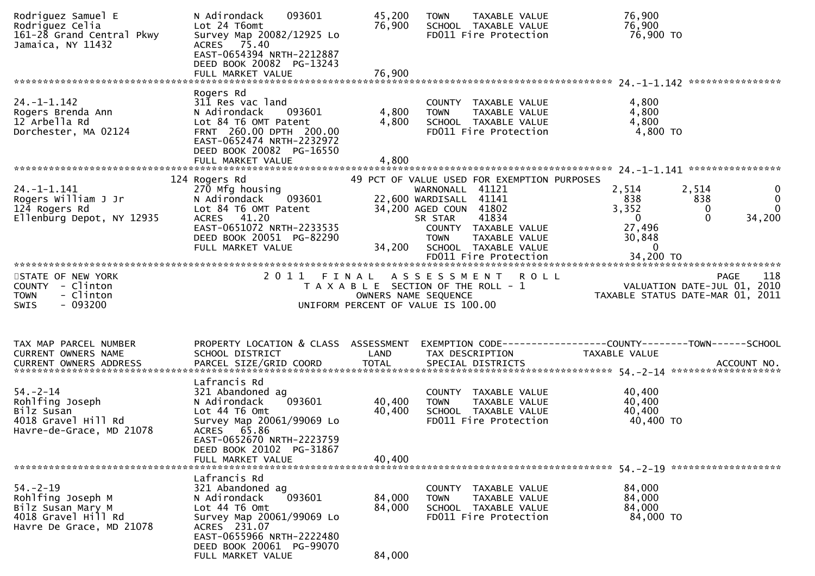| Rodriguez Samuel E<br>Rodriguez Celia<br>161-28 Grand Central Pkwy<br>Jamaica, NY 11432                                               | 093601<br>N Adirondack<br>Lot 24 T6omt<br>Survey Map 20082/12925 Lo<br>ACRES 75.40<br>EAST-0654394 NRTH-2212887<br>DEED BOOK 20082 PG-13243<br>FULL MARKET VALUE                                       | 45,200<br>76,900<br>76,900 | TAXABLE VALUE<br><b>TOWN</b><br>SCHOOL TAXABLE VALUE<br>FD011 Fire Protection                                                                                                                    | 76,900<br>76,900<br>76,900 TO                                                      |                                                                                               |
|---------------------------------------------------------------------------------------------------------------------------------------|--------------------------------------------------------------------------------------------------------------------------------------------------------------------------------------------------------|----------------------------|--------------------------------------------------------------------------------------------------------------------------------------------------------------------------------------------------|------------------------------------------------------------------------------------|-----------------------------------------------------------------------------------------------|
|                                                                                                                                       | Rogers Rd                                                                                                                                                                                              |                            |                                                                                                                                                                                                  |                                                                                    |                                                                                               |
| $24. - 1 - 1.142$<br>Rogers Brenda Ann<br>12 Arbella Rd<br>Dorchester, MA 02124                                                       | 311 Res vac land<br>N Adirondack<br>093601<br>Lot 84 T6 OMT Patent<br>FRNT 260.00 DPTH 200.00<br>EAST-0652474 NRTH-2232972<br>DEED BOOK 20082 PG-16550<br>FULL MARKET VALUE                            | 4,800<br>4,800<br>4,800    | COUNTY TAXABLE VALUE<br><b>TOWN</b><br>TAXABLE VALUE<br>SCHOOL TAXABLE VALUE<br>FD011 Fire Protection                                                                                            | 4,800<br>4,800<br>4,800<br>4,800 TO                                                |                                                                                               |
|                                                                                                                                       | 124 Rogers Rd                                                                                                                                                                                          |                            | 49 PCT OF VALUE USED FOR EXEMPTION PURPOSES                                                                                                                                                      |                                                                                    |                                                                                               |
| $24. - 1 - 1.141$<br>Rogers William J Jr<br>124 Rogers Rd<br>Ellenburg Depot, NY 12935                                                | 270 Mfg housing<br>N Adirondack<br>093601<br>Lot 84 T6 OMT Patent<br>ACRES 41.20<br>EAST-0651072 NRTH-2233535<br>DEED BOOK 20051 PG-82290<br>FULL MARKET VALUE                                         | 34,200                     | WARNONALL 41121<br>22,600 WARDISALL 41141<br>34,200 AGED COUN 41802<br>41834<br>SR STAR<br>COUNTY TAXABLE VALUE<br>TAXABLE VALUE<br><b>TOWN</b><br>SCHOOL TAXABLE VALUE<br>FD011 Fire Protection | 2,514<br>838<br>3,352<br>$\mathbf{0}$<br>27,496<br>30,848<br>$\Omega$<br>34,200 TO | 2,514<br>$\mathbf{0}$<br>$\mathbf 0$<br>838<br>$\mathbf{0}$<br>$\Omega$<br>$\Omega$<br>34,200 |
| STATE OF NEW YORK                                                                                                                     |                                                                                                                                                                                                        |                            | 2011 FINAL ASSESSMENT<br><b>ROLL</b>                                                                                                                                                             |                                                                                    |                                                                                               |
| COUNTY - Clinton<br><b>TOWN</b><br>- Clinton<br>$-093200$<br><b>SWIS</b>                                                              |                                                                                                                                                                                                        |                            | T A X A B L E SECTION OF THE ROLL - 1<br>OWNERS NAME SEQUENCE<br>UNIFORM PERCENT OF VALUE IS 100.00                                                                                              | PAGE 118<br>VALUATION DATE-JUL 01, 2010<br>TAXABLE STATUS DATE 115 2010            |                                                                                               |
| TAX MAP PARCEL NUMBER<br>CURRENT OWNERS NAME                                                                                          | PROPERTY LOCATION & CLASS ASSESSMENT<br>SCHOOL DISTRICT                                                                                                                                                | LAND                       | EXEMPTION CODE------------------COUNTY--------TOWN------SCHOOL<br>TAX DESCRIPTION                                                                                                                | TAXABLE VALUE                                                                      |                                                                                               |
| $54. - 2 - 14$<br>Rohlfing Joseph<br>Bilz Susan<br>4018 Gravel Hill Rd<br>Havre-de-Grace, MD 21078<br>******************************* | Lafrancis Rd<br>321 Abandoned ag<br>093601<br>N Adirondack<br>Lot 44 T6 Omt<br>Survey Map 20061/99069 Lo<br>ACRES 65.86<br>EAST-0652670 NRTH-2223759<br>DEED BOOK 20102 PG-31867<br>FULL MARKET VALUE  | 40,400<br>40,400<br>40,400 | COUNTY TAXABLE VALUE<br>TAXABLE VALUE<br>TOWN<br>SCHOOL TAXABLE VALUE<br>FD011 Fire Protection                                                                                                   | 40,400<br>40,400<br>40,400<br>40,400 TO                                            |                                                                                               |
| $54. - 2 - 19$<br>Rohlfing Joseph M<br>Bilz Susan Mary M<br>4018 Gravel Hill Rd<br>Havre De Grace, MD 21078                           | Lafrancis Rd<br>321 Abandoned ag<br>093601<br>N Adirondack<br>Lot 44 T6 Omt<br>Survey Map 20061/99069 Lo<br>ACRES 231.07<br>EAST-0655966 NRTH-2222480<br>DEED BOOK 20061 PG-99070<br>FULL MARKET VALUE | 84,000<br>84,000<br>84,000 | COUNTY<br>TAXABLE VALUE<br><b>TOWN</b><br>TAXABLE VALUE<br>SCHOOL TAXABLE VALUE<br>FD011 Fire Protection                                                                                         | 84,000<br>84,000<br>84,000<br>84,000 TO                                            |                                                                                               |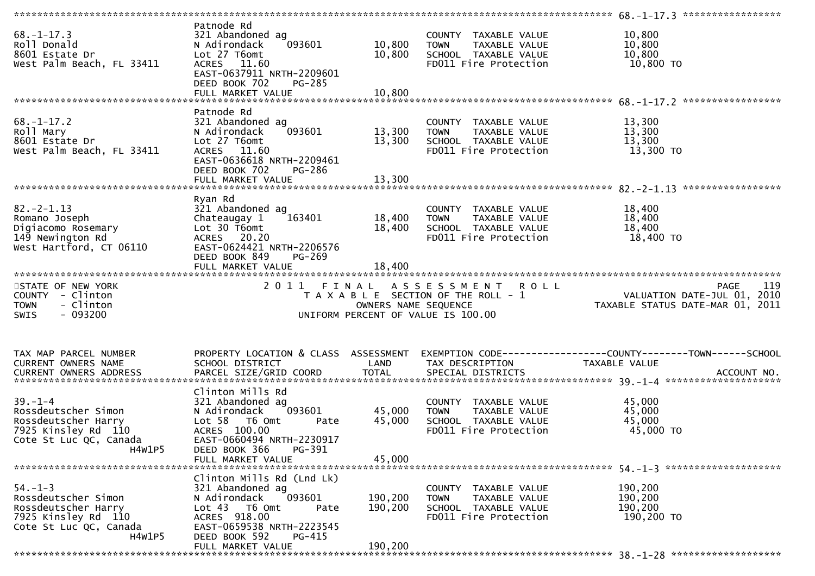| $68. - 1 - 17.3$<br>Roll Donald<br>8601 Estate Dr<br>West Palm Beach, FL 33411                               | Patnode Rd<br>321 Abandoned ag<br>093601<br>N Adirondack<br>Lot 27 T6omt<br>ACRES 11.60<br>EAST-0637911 NRTH-2209601<br>DEED BOOK 702<br>PG-285<br>FULL MARKET VALUE | 10,800<br>10,800<br>10,800    | COUNTY TAXABLE VALUE<br><b>TOWN</b><br>TAXABLE VALUE<br>SCHOOL TAXABLE VALUE<br>FD011 Fire Protection    | 10,800<br>10,800<br>10,800<br>10,800 TO                                               |
|--------------------------------------------------------------------------------------------------------------|----------------------------------------------------------------------------------------------------------------------------------------------------------------------|-------------------------------|----------------------------------------------------------------------------------------------------------|---------------------------------------------------------------------------------------|
|                                                                                                              |                                                                                                                                                                      |                               |                                                                                                          |                                                                                       |
| $68. - 1 - 17.2$<br>Roll Mary<br>8601 Estate Dr<br>West Palm Beach, FL 33411                                 | Patnode Rd<br>321 Abandoned ag<br>093601<br>N Adirondack<br>Lot 27 T6omt<br>ACRES 11.60<br>EAST-0636618 NRTH-2209461<br>DEED BOOK 702<br>PG-286                      | 13,300<br>13,300              | COUNTY TAXABLE VALUE<br>TAXABLE VALUE<br>TOWN<br>SCHOOL TAXABLE VALUE<br>FD011 Fire Protection           | 13,300<br>13,300<br>13,300<br>13,300 TO                                               |
|                                                                                                              |                                                                                                                                                                      |                               |                                                                                                          |                                                                                       |
| $82 - 2 - 1.13$<br>Romano Joseph<br>Digiacomo Rosemary<br>149 Newington Rd<br>West Hartford, CT 06110        | Ryan Rd<br>321 Abandoned ag<br>163401<br>Chateaugay 1<br>Lot 30 T6omt<br>ACRES 20.20<br>EAST-0624421 NRTH-2206576<br>DEED BOOK 849<br>$PG-269$                       | 18,400<br>18,400              | COUNTY TAXABLE VALUE<br><b>TOWN</b><br>TAXABLE VALUE<br>SCHOOL TAXABLE VALUE<br>FD011 Fire Protection    | 18,400<br>18,400<br>18,400<br>18,400 TO                                               |
|                                                                                                              |                                                                                                                                                                      |                               |                                                                                                          |                                                                                       |
| STATE OF NEW YORK<br>COUNTY - Clinton<br>- Clinton<br><b>TOWN</b><br>$-093200$<br><b>SWIS</b>                | 2011                                                                                                                                                                 | FINAL<br>OWNERS NAME SEQUENCE | ASSESSMENT<br><b>ROLL</b><br>T A X A B L E SECTION OF THE ROLL - 1<br>UNIFORM PERCENT OF VALUE IS 100.00 | 119<br><b>PAGE</b><br>VALUATION DATE-JUL 01, 2010<br>TAXABLE STATUS DATE-MAR 01, 2011 |
| TAX MAP PARCEL NUMBER<br>CURRENT OWNERS NAME<br><b>CURRENT OWNERS ADDRESS</b>                                | PROPERTY LOCATION & CLASS ASSESSMENT<br>SCHOOL DISTRICT                                                                                                              | LAND                          | TAX DESCRIPTION                                                                                          | TAXABLE VALUE                                                                         |
|                                                                                                              |                                                                                                                                                                      |                               |                                                                                                          |                                                                                       |
| $39. - 1 - 4$<br>Rossdeutscher Simon<br>Rossdeutscher Harry<br>7925 Kinsley Rd 110<br>Cote St Luc QC, Canada | Clinton Mills Rd<br>321 Abandoned ag<br>N Adirondack<br>093601<br>Lot 58 T6 Omt<br>Pate<br>ACRES 100.00<br>EAST-0660494 NRTH-2230917                                 | 45,000<br>45,000              | COUNTY TAXABLE VALUE<br>TAXABLE VALUE<br><b>TOWN</b><br>SCHOOL TAXABLE VALUE<br>FD011 Fire Protection    | 45,000<br>45,000<br>45,000<br>45,000 TO                                               |
| <b>H4W1P5</b>                                                                                                | PG-391<br>DEED BOOK 366                                                                                                                                              |                               |                                                                                                          |                                                                                       |
|                                                                                                              | FULL MARKET VALUE                                                                                                                                                    | 45,000                        |                                                                                                          |                                                                                       |
| $54. - 1 - 3$<br>Rossdeutscher Simon<br>Rossdeutscher Harry<br>7925 Kinsley Rd 110<br>Cote St Luc QC, Canada | Clinton Mills Rd (Lnd Lk)<br>321 Abandoned ag<br>N Adirondack<br>093601<br>Lot $43$ T6 Omt<br>Pate<br>ACRES 918.00<br>EAST-0659538 NRTH-2223545                      | 190,200<br>190,200            | COUNTY TAXABLE VALUE<br>TAXABLE VALUE<br><b>TOWN</b><br>SCHOOL TAXABLE VALUE<br>FD011 Fire Protection    | 190,200<br>190,200<br>190,200<br>190,200 TO                                           |
| H4W1P5                                                                                                       | DEED BOOK 592<br>PG-415<br>FULL MARKET VALUE                                                                                                                         | 190,200                       |                                                                                                          |                                                                                       |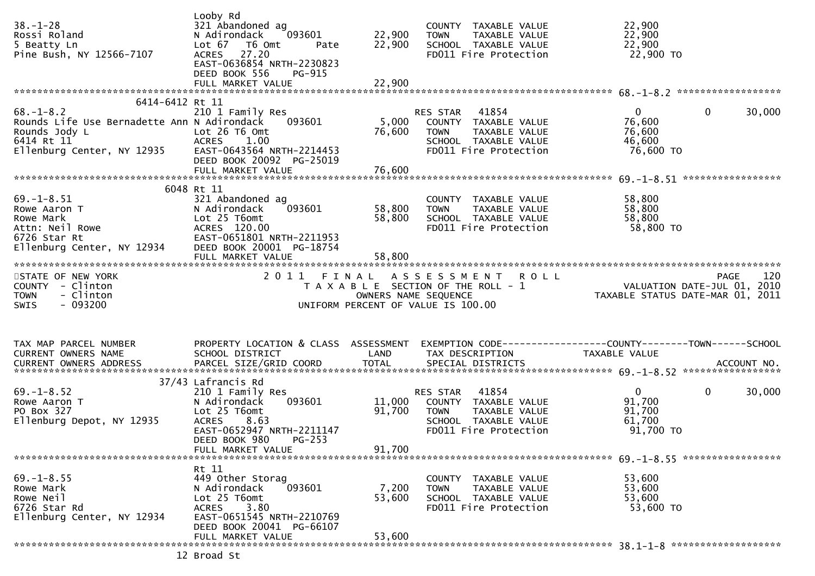| $38. - 1 - 28$<br>Rossi Roland<br>5 Beatty Ln<br>Pine Bush, NY 12566-7107                                                                      | Looby Rd<br>321 Abandoned ag<br>N Adirondack<br>093601<br>Lot 67<br>T6 Omt<br>Pate<br><b>ACRES</b><br>27.20<br>EAST-0636854 NRTH-2230823<br>DEED BOOK 556<br>PG-915                   | 22,900<br>22,900                                           | COUNTY TAXABLE VALUE<br><b>TOWN</b><br>TAXABLE VALUE<br>SCHOOL TAXABLE VALUE<br>FD011 Fire Protection                      | 22,900<br>22,900<br>22,900<br>22,900 TO                                        |        |
|------------------------------------------------------------------------------------------------------------------------------------------------|---------------------------------------------------------------------------------------------------------------------------------------------------------------------------------------|------------------------------------------------------------|----------------------------------------------------------------------------------------------------------------------------|--------------------------------------------------------------------------------|--------|
|                                                                                                                                                |                                                                                                                                                                                       |                                                            |                                                                                                                            |                                                                                |        |
| 6414-6412 Rt 11<br>$68. - 1 - 8.2$<br>Rounds Life Use Bernadette Ann N Adirondack<br>Rounds Jody L<br>6414 Rt 11<br>Ellenburg Center, NY 12935 | 210 1 Family Res<br>093601<br>Lot 26 T6 Omt<br><b>ACRES</b><br>1.00<br>EAST-0643564 NRTH-2214453<br>DEED BOOK 20092 PG-25019<br>FULL MARKET VALUE                                     | 5,000<br>76,600<br>76,600                                  | RES STAR<br>41854<br>COUNTY TAXABLE VALUE<br><b>TOWN</b><br>TAXABLE VALUE<br>SCHOOL TAXABLE VALUE<br>FD011 Fire Protection | $\mathbf 0$<br>0<br>76,600<br>76,600<br>46,600<br>76,600 TO                    | 30,000 |
|                                                                                                                                                |                                                                                                                                                                                       |                                                            |                                                                                                                            |                                                                                |        |
| $69. - 1 - 8.51$<br>Rowe Aaron T<br>Rowe Mark<br>Attn: Neil Rowe<br>6726 Star Rt<br>Ellenburg Center, NY 12934                                 | 6048 Rt 11<br>321 Abandoned ag<br>093601<br>N Adirondack<br>Lot 25 T6omt<br>ACRES 120.00<br>EAST-0651801 NRTH-2211953<br>DEED BOOK 20001 PG-18754                                     | 58,800<br>58,800                                           | COUNTY<br>TAXABLE VALUE<br>TAXABLE VALUE<br><b>TOWN</b><br>SCHOOL TAXABLE VALUE<br>FD011 Fire Protection                   | 58,800<br>58,800<br>58,800<br>58,800 TO                                        |        |
| STATE OF NEW YORK<br>COUNTY - Clinton<br>- Clinton<br><b>TOWN</b><br>$-093200$<br><b>SWIS</b>                                                  | 2011 FINAL                                                                                                                                                                            | OWNERS NAME SEQUENCE<br>UNIFORM PERCENT OF VALUE IS 100.00 | A S S E S S M E N T<br><b>ROLL</b><br>T A X A B L E SECTION OF THE ROLL - 1                                                | <b>PAGE</b><br>VALUATION DATE-JUL 01, 2010<br>TAXABLE STATUS DATE-MAR 01, 2011 | 120    |
|                                                                                                                                                |                                                                                                                                                                                       |                                                            |                                                                                                                            |                                                                                |        |
| TAX MAP PARCEL NUMBER<br>CURRENT OWNERS NAME                                                                                                   | PROPERTY LOCATION & CLASS ASSESSMENT<br>SCHOOL DISTRICT                                                                                                                               | LAND                                                       | TAX DESCRIPTION                                                                                                            | TAXABLE VALUE                                                                  |        |
| $69. - 1 - 8.52$<br>Rowe Aaron T<br>PO Box 327<br>Ellenburg Depot, NY 12935                                                                    | 37/43 Lafrancis Rd<br>210 1 Family Res<br>093601<br>N Adirondack<br>Lot 25 T6omt<br>8.63<br><b>ACRES</b><br>EAST-0652947 NRTH-2211147<br>DEED BOOK 980<br>PG-253<br>FULL MARKET VALUE | 11,000<br>91,700<br>91,700                                 | 41854<br>RES STAR<br>COUNTY TAXABLE VALUE<br><b>TOWN</b><br>TAXABLE VALUE<br>SCHOOL TAXABLE VALUE<br>FD011 Fire Protection | $\overline{0}$<br>$\Omega$<br>91,700<br>91,700<br>61,700<br>91,700 TO          | 30,000 |
|                                                                                                                                                |                                                                                                                                                                                       |                                                            |                                                                                                                            |                                                                                |        |
| $69. - 1 - 8.55$<br>Rowe Mark<br>Rowe Neil<br>6726 Star Rd<br>Ellenburg Center, NY 12934                                                       | Rt 11<br>449 Other Storag<br>093601<br>N Adirondack<br>Lot 25 T6omt<br>3.80<br>ACRES<br>EAST-0651545 NRTH-2210769<br>DEED BOOK 20041 PG-66107                                         | 7,200<br>53,600                                            | COUNTY TAXABLE VALUE<br>TAXABLE VALUE<br><b>TOWN</b><br>SCHOOL TAXABLE VALUE<br>FD011 Fire Protection                      | 53,600<br>53,600<br>53,600<br>53,600 TO                                        |        |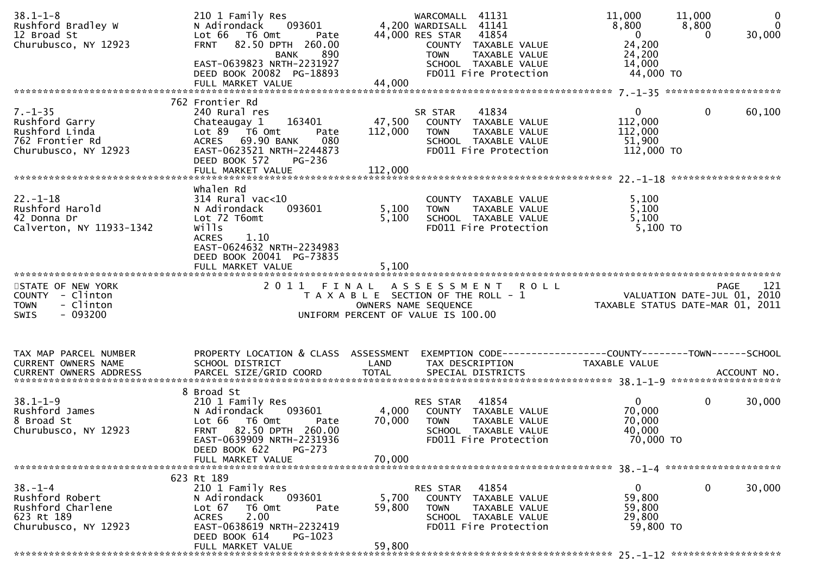| $38.1 - 1 - 8$<br>Rushford Bradley W<br>12 Broad St<br>Churubusco, NY 12923                  | 210 1 Family Res<br>093601<br>N Adirondack<br>Lot 66 T6 Omt<br>Pate<br>FRNT 82.50 DPTH 260.00<br>890<br><b>BANK</b>                                                                         |                           | WARCOMALL 41131<br>4,200 WARDISALL 41141<br>44,000 RES STAR<br>41854<br>COUNTY TAXABLE VALUE<br>TAXABLE VALUE<br><b>TOWN</b>      | 11,000<br>8,800<br>$\mathbf{0}$<br>24,200<br>24,200          | 11,000<br>8,800<br>30,000<br>$\Omega$                           | $\mathbf 0$<br>$\mathbf{0}$ |
|----------------------------------------------------------------------------------------------|---------------------------------------------------------------------------------------------------------------------------------------------------------------------------------------------|---------------------------|-----------------------------------------------------------------------------------------------------------------------------------|--------------------------------------------------------------|-----------------------------------------------------------------|-----------------------------|
|                                                                                              | EAST-0639823 NRTH-2231927<br>DEED BOOK 20082 PG-18893<br>FULL MARKET VALUE                                                                                                                  | 44,000                    | SCHOOL TAXABLE VALUE<br>FD011 Fire Protection                                                                                     | 14,000<br>44,000 TO                                          |                                                                 |                             |
|                                                                                              | 762 Frontier Rd                                                                                                                                                                             |                           |                                                                                                                                   |                                                              |                                                                 |                             |
| $7. - 1 - 35$<br>Rushford Garry<br>Rushford Linda<br>762 Frontier Rd<br>Churubusco, NY 12923 | 240 Rural res<br>163401<br>Chateaugay 1<br>Lot $89$ $\overline{76}$ Omt<br>Pate<br>ACRES 69.90 BANK<br>080<br>EAST-0623521 NRTH-2244873<br>DEED BOOK 572<br>PG-236                          | 47,500<br>112,000         | 41834<br>SR STAR<br>COUNTY TAXABLE VALUE<br><b>TOWN</b><br>TAXABLE VALUE<br>SCHOOL TAXABLE VALUE<br>FD011 Fire Protection         | $\overline{0}$<br>112,000<br>112,000<br>51,900<br>112,000 TO | $\mathbf{0}$<br>60,100                                          |                             |
|                                                                                              |                                                                                                                                                                                             |                           |                                                                                                                                   |                                                              |                                                                 |                             |
| $22. - 1 - 18$<br>Rushford Harold<br>42 Donna Dr<br>Calverton, NY 11933-1342                 | whalen Rd<br>$314$ Rural vac< $10$<br>093601<br>N Adirondack<br>Lot 72 T6omt<br>wills<br><b>ACRES</b><br>1.10<br>EAST-0624632 NRTH-2234983<br>DEED BOOK 20041 PG-73835<br>FULL MARKET VALUE | 5,100<br>5,100<br>5,100   | COUNTY TAXABLE VALUE<br><b>TOWN</b><br>TAXABLE VALUE<br>SCHOOL TAXABLE VALUE<br>FD011 Fire Protection                             | 5,100<br>5,100<br>5,100<br>$5,100$ TO                        |                                                                 |                             |
| STATE OF NEW YORK                                                                            | 2011                                                                                                                                                                                        | FINAL                     | <b>ROLL</b>                                                                                                                       |                                                              | <b>PAGE</b>                                                     | 121                         |
| COUNTY - Clinton<br>- Clinton<br><b>TOWN</b><br><b>SWIS</b><br>$-093200$                     |                                                                                                                                                                                             |                           | A S S E S S M E N T<br>T A X A B L E SECTION OF THE ROLL - 1<br>OWNERS NAME SEQUENCE<br>UNIFORM PERCENT OF VALUE IS 100.00        |                                                              | VALUATION DATE-JUL 01, 2010<br>TAXABLE STATUS DATE-MAR 01, 2011 |                             |
| TAX MAP PARCEL NUMBER                                                                        | PROPERTY LOCATION & CLASS ASSESSMENT                                                                                                                                                        |                           | EXEMPTION CODE-----------------COUNTY--------TOWN------SCHOOL                                                                     |                                                              |                                                                 |                             |
| <b>CURRENT OWNERS NAME</b>                                                                   | SCHOOL DISTRICT                                                                                                                                                                             | LAND                      | TAX DESCRIPTION                                                                                                                   | TAXABLE VALUE                                                |                                                                 |                             |
| $38.1 - 1 - 9$<br>Rushford James<br>8 Broad St<br>Churubusco, NY 12923                       | 8 Broad St<br>210 1 Family Res<br>N Adirondack<br>093601<br>Lot 66 T6 Omt<br>Pate<br><b>FRNT</b><br>82.50 DPTH 260.00<br>EAST-0639909 NRTH-2231936<br>DEED BOOK 622<br>PG-273               | 4,000<br>70,000           | 41854<br><b>RES STAR</b><br>COUNTY TAXABLE VALUE<br><b>TOWN</b><br>TAXABLE VALUE<br>SCHOOL TAXABLE VALUE<br>FD011 Fire Protection | $\mathbf{0}$<br>70,000<br>70,000<br>40,000<br>70,000 TO      | $\mathbf{0}$<br>30,000                                          |                             |
|                                                                                              | FULL MARKET VALUE                                                                                                                                                                           | 70,000                    |                                                                                                                                   |                                                              |                                                                 |                             |
|                                                                                              | 623 Rt 189                                                                                                                                                                                  |                           |                                                                                                                                   |                                                              |                                                                 |                             |
| $38. - 1 - 4$<br>Rushford Robert<br>Rushford Charlene<br>623 Rt 189<br>Churubusco, NY 12923  | 210 1 Family Res<br>N Adirondack<br>093601<br>T6 Omt<br>Lot 67<br>Pate<br>2.00<br><b>ACRES</b><br>EAST-0638619 NRTH-2232419<br>DEED BOOK 614<br>PG-1023                                     | 5,700<br>59,800<br>59,800 | 41854<br>RES STAR<br>COUNTY TAXABLE VALUE<br>TAXABLE VALUE<br><b>TOWN</b><br>SCHOOL TAXABLE VALUE<br>FD011 Fire Protection        | $\mathbf{0}$<br>59,800<br>59,800<br>29,800<br>59,800 TO      | $\mathbf{0}$<br>30,000                                          |                             |
|                                                                                              | FULL MARKET VALUE                                                                                                                                                                           |                           |                                                                                                                                   |                                                              |                                                                 |                             |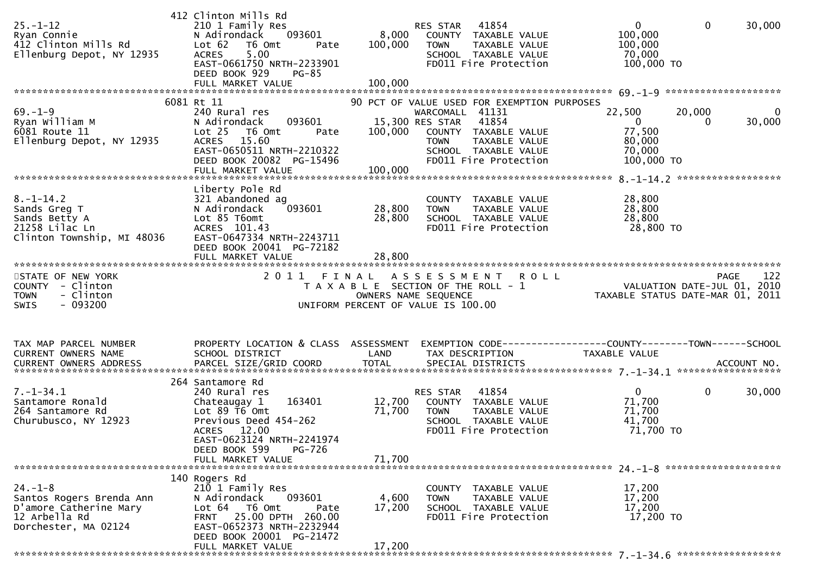| $25. - 1 - 12$<br>Ryan Connie<br>412 Clinton Mills Rd<br>Ellenburg Depot, NY 12935                           | 412 Clinton Mills Rd<br>210 1 Family Res<br>093601<br>N Adirondack<br>Lot 62<br>T6 Omt<br>Pate<br><b>ACRES</b><br>5.00<br>EAST-0661750 NRTH-2233901<br>DEED BOOK 929<br><b>PG-85</b>                | 8,000<br>100,000          | 41854<br>RES STAR<br>COUNTY TAXABLE VALUE<br>TAXABLE VALUE<br><b>TOWN</b><br>SCHOOL TAXABLE VALUE<br>FD011 Fire Protection                                                                          | $\mathbf{0}$<br>100,000<br>100,000<br>70,000<br>100,000 TO                                         | $\mathbf 0$<br>30,000      |
|--------------------------------------------------------------------------------------------------------------|-----------------------------------------------------------------------------------------------------------------------------------------------------------------------------------------------------|---------------------------|-----------------------------------------------------------------------------------------------------------------------------------------------------------------------------------------------------|----------------------------------------------------------------------------------------------------|----------------------------|
|                                                                                                              |                                                                                                                                                                                                     |                           |                                                                                                                                                                                                     |                                                                                                    |                            |
| $69. - 1 - 9$<br>Ryan William M<br>6081 Route 11<br>Ellenburg Depot, NY 12935                                | 6081 Rt 11<br>240 Rural res<br>093601<br>N Adirondack<br>Lot <sub>25</sub><br>T6 Omt<br>Pate<br><b>ACRES</b><br>15.60<br>EAST-0650511 NRTH-2210322<br>DEED BOOK 20082 PG-15496<br>FULL MARKET VALUE | 100,000<br>100,000        | 90 PCT OF VALUE USED FOR EXEMPTION PURPOSES<br>WARCOMALL 41131<br>41854<br>15,300 RES STAR<br>COUNTY TAXABLE VALUE<br><b>TOWN</b><br>TAXABLE VALUE<br>SCHOOL TAXABLE VALUE<br>FD011 Fire Protection | 22,500<br>$\overline{0}$<br>77,500<br>80,000<br>70,000<br>100,000 TO                               | 20,000<br>0<br>30,000<br>0 |
|                                                                                                              | Liberty Pole Rd                                                                                                                                                                                     |                           |                                                                                                                                                                                                     |                                                                                                    |                            |
| $8. - 1 - 14.2$<br>Sands Greg T<br>Sands Betty A<br>21258 Lilac Ln<br>Clinton Township, MI 48036             | 321 Abandoned ag<br>093601<br>N Adirondack<br>Lot 85 T6omt<br>ACRES 101.43<br>EAST-0647334 NRTH-2243711<br>DEED BOOK 20041 PG-72182                                                                 | 28,800<br>28,800          | COUNTY TAXABLE VALUE<br>TAXABLE VALUE<br>TOWN<br>SCHOOL TAXABLE VALUE<br>FD011 Fire Protection                                                                                                      | 28,800<br>28,800<br>28,800<br>28,800 TO                                                            |                            |
|                                                                                                              |                                                                                                                                                                                                     |                           |                                                                                                                                                                                                     |                                                                                                    |                            |
| STATE OF NEW YORK<br>COUNTY - Clinton<br>- Clinton<br><b>TOWN</b><br>$-093200$<br><b>SWIS</b>                | 2011 FINAL                                                                                                                                                                                          |                           | ASSESSMENT ROLL<br>T A X A B L E SECTION OF THE ROLL - 1<br>OWNERS NAME SEQUENCE<br>UNIFORM PERCENT OF VALUE IS 100.00                                                                              | PAGE 122<br>VALUATION DATE-JUL 01, 2010<br>TAXARLE STATUS DATE<br>TAXABLE STATUS DATE-MAR 01, 2011 | 122<br><b>PAGE</b>         |
| TAX MAP PARCEL NUMBER<br>CURRENT OWNERS NAME<br>CURRENT OWNERS ADDRESS                                       | PROPERTY LOCATION & CLASS ASSESSMENT<br>SCHOOL DISTRICT                                                                                                                                             | LAND                      | TAX DESCRIPTION                                                                                                                                                                                     | TAXABLE VALUE                                                                                      |                            |
|                                                                                                              | 264 Santamore Rd                                                                                                                                                                                    |                           |                                                                                                                                                                                                     |                                                                                                    |                            |
| $7. - 1 - 34.1$<br>Santamore Ronald<br>264 Santamore Rd<br>Churubusco, NY 12923                              | 240 Rural res<br>163401<br>Chateaugay 1<br>Lot 89 T6 Omt<br>Previous Deed 454-262<br>ACRES 12.00<br>EAST-0623124 NRTH-2241974<br>DEED BOOK 599<br><b>PG-726</b>                                     | 12,700<br>71,700          | 41854<br>RES STAR<br>COUNTY TAXABLE VALUE<br>TAXABLE VALUE<br>TOWN<br>SCHOOL TAXABLE VALUE<br>FD011 Fire Protection                                                                                 | $\mathbf{0}$<br>71,700<br>71,700<br>41,700<br>71,700 TO                                            | $\mathbf{0}$<br>30,000     |
|                                                                                                              |                                                                                                                                                                                                     |                           |                                                                                                                                                                                                     |                                                                                                    |                            |
| $24. - 1 - 8$<br>Santos Rogers Brenda Ann<br>D'amore Catherine Mary<br>12 Arbella Rd<br>Dorchester, MA 02124 | 140 Rogers Rd<br>210 1 Family Res<br>093601<br>N Adirondack<br>Lot 64 76 0mt<br>Pate<br>FRNT 25.00 DPTH 260.00<br>EAST-0652373 NRTH-2232944<br>DEED BOOK 20001 PG-21472<br>FULL MARKET VALUE        | 4,600<br>17,200<br>17,200 | COUNTY TAXABLE VALUE<br>TAXABLE VALUE<br>TOWN<br>SCHOOL TAXABLE VALUE<br>FD011 Fire Protection                                                                                                      | 17,200<br>17,200<br>17,200<br>17,200 TO                                                            |                            |
|                                                                                                              |                                                                                                                                                                                                     |                           |                                                                                                                                                                                                     |                                                                                                    |                            |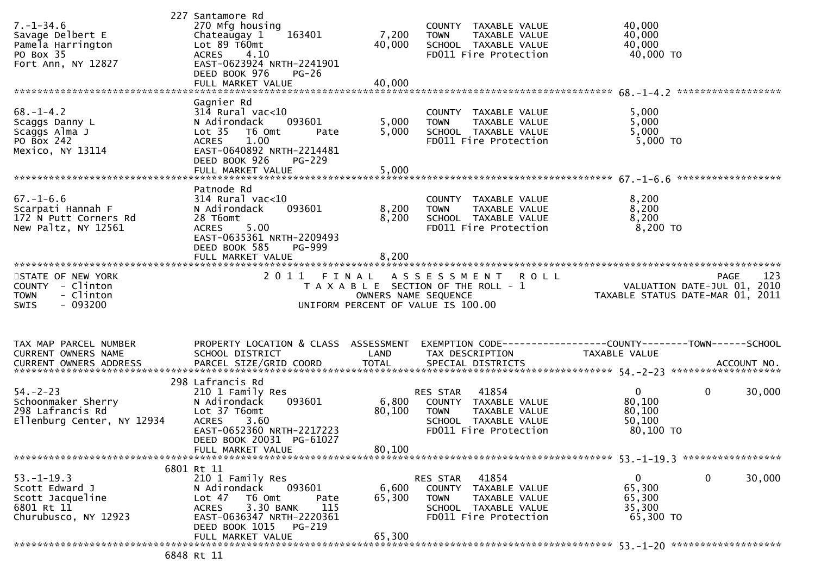| $7. - 1 - 34.6$<br>Savage Delbert E<br>Pamela Harrington<br>PO Box 35<br>Fort Ann, NY 12827   | 227 Santamore Rd<br>270 Mfg housing<br>163401<br>Chateaugay 1<br>Lot $89$ T60mt<br><b>ACRES</b><br>4.10<br>EAST-0623924 NRTH-2241901<br>DEED BOOK 976<br>$PG-26$                     | 7,200<br>40,000               | COUNTY TAXABLE VALUE<br>TAXABLE VALUE<br><b>TOWN</b><br>SCHOOL TAXABLE VALUE<br>FD011 Fire Protection                      | 40,000<br>40,000<br>40,000<br>40,000 TO                                                                |                        |
|-----------------------------------------------------------------------------------------------|--------------------------------------------------------------------------------------------------------------------------------------------------------------------------------------|-------------------------------|----------------------------------------------------------------------------------------------------------------------------|--------------------------------------------------------------------------------------------------------|------------------------|
|                                                                                               |                                                                                                                                                                                      |                               |                                                                                                                            |                                                                                                        |                        |
| $68. - 1 - 4.2$<br>Scaggs Danny L<br>Scaggs Alma J<br>PO BOX 242<br>Mexico, NY 13114          | Gagnier Rd<br>$314$ Rural vac<10<br>N Adirondack<br>093601<br>T6 Omt<br>Lot <sub>35</sub><br>Pate<br>1.00<br><b>ACRES</b><br>EAST-0640892 NRTH-2214481<br>DEED BOOK 926<br>$PG-229$  | 5,000<br>5,000                | COUNTY TAXABLE VALUE<br>TAXABLE VALUE<br><b>TOWN</b><br>SCHOOL TAXABLE VALUE<br>FD011 Fire Protection                      | 5,000<br>5,000<br>5,000<br>$5,000$ TO                                                                  |                        |
|                                                                                               |                                                                                                                                                                                      |                               |                                                                                                                            |                                                                                                        |                        |
| $67. - 1 - 6.6$<br>Scarpati Hannah F<br>172 N Putt Corners Rd<br>New Paltz, NY 12561          | Patnode Rd<br>$314$ Rural vac< $10$<br>093601<br>N Adirondack<br>28 T6omt<br><b>ACRES</b><br>5.00<br>EAST-0635361 NRTH-2209493<br>DEED BOOK 585<br>PG-999                            | 8,200<br>8,200                | COUNTY TAXABLE VALUE<br>TAXABLE VALUE<br><b>TOWN</b><br>SCHOOL TAXABLE VALUE<br>FD011 Fire Protection                      | 8,200<br>8,200<br>8,200<br>$8,200$ TO                                                                  |                        |
|                                                                                               | FULL MARKET VALUE                                                                                                                                                                    | 8,200                         |                                                                                                                            |                                                                                                        |                        |
| STATE OF NEW YORK<br>COUNTY - Clinton<br>- Clinton<br><b>TOWN</b><br>$-093200$<br><b>SWIS</b> | 2011                                                                                                                                                                                 | FINAL<br>OWNERS NAME SEQUENCE | ASSESSMENT<br><b>ROLL</b><br>T A X A B L E SECTION OF THE ROLL - 1<br>UNIFORM PERCENT OF VALUE IS 100.00                   | PAGE 123<br>VALUATION DATE-JUL 01, 2010<br>TAXARLE STATUS DATE !!!<br>TAXABLE STATUS DATE-MAR 01, 2011 | 123                    |
| TAX MAP PARCEL NUMBER<br>CURRENT OWNERS NAME<br><b>CURRENT OWNERS ADDRESS</b>                 | PROPERTY LOCATION & CLASS ASSESSMENT<br>SCHOOL DISTRICT<br>PARCEL SIZE/GRID COORD                                                                                                    | LAND<br><b>TOTAL</b>          | EXEMPTION CODE------------------COUNTY--------TOWN------SCHOOL<br>TAX DESCRIPTION<br>SPECIAL DISTRICTS                     | TAXABLE VALUE                                                                                          | ACCOUNT NO.            |
| $54. - 2 - 23$<br>Schoonmaker Sherry<br>298 Lafrancis Rd<br>Ellenburg Center, NY 12934        | 298 Lafrancis Rd<br>210 1 Family Res<br>093601<br>N Adirondack<br>Lot 37 T6omt<br><b>ACRES</b><br>3.60<br>EAST-0652360 NRTH-2217223<br>DEED BOOK 20031 PG-61027<br>FULL MARKET VALUE | 6,800<br>80,100<br>80,100     | 41854<br>RES STAR<br>COUNTY TAXABLE VALUE<br>TAXABLE VALUE<br><b>TOWN</b><br>SCHOOL TAXABLE VALUE<br>FD011 Fire Protection | $\mathbf{0}$<br>80,100<br>80,100<br>50,100<br>80,100 TO                                                | $\mathbf 0$<br>30,000  |
|                                                                                               |                                                                                                                                                                                      |                               |                                                                                                                            |                                                                                                        |                        |
| $53. - 1 - 19.3$<br>Scott Edward J<br>Scott Jacqueline<br>6801 Rt 11<br>Churubusco, NY 12923  | 6801 Rt 11<br>210 1 Family Res<br>093601<br>N Adirondack<br>Lot 47<br>T6 Omt<br>Pate<br>3.30 BANK<br>115<br><b>ACRES</b><br>EAST-0636347 NRTH-2220361<br>DEED BOOK 1015<br>PG-219    | 6,600<br>65,300<br>65,300     | 41854<br>RES STAR<br>COUNTY TAXABLE VALUE<br>TAXABLE VALUE<br><b>TOWN</b><br>SCHOOL TAXABLE VALUE<br>FD011 Fire Protection | $\mathbf{0}$<br>65,300<br>65,300<br>35,300<br>65,300 TO                                                | $\mathbf{0}$<br>30,000 |
|                                                                                               | FULL MARKET VALUE                                                                                                                                                                    |                               |                                                                                                                            |                                                                                                        |                        |
|                                                                                               |                                                                                                                                                                                      |                               |                                                                                                                            |                                                                                                        |                        |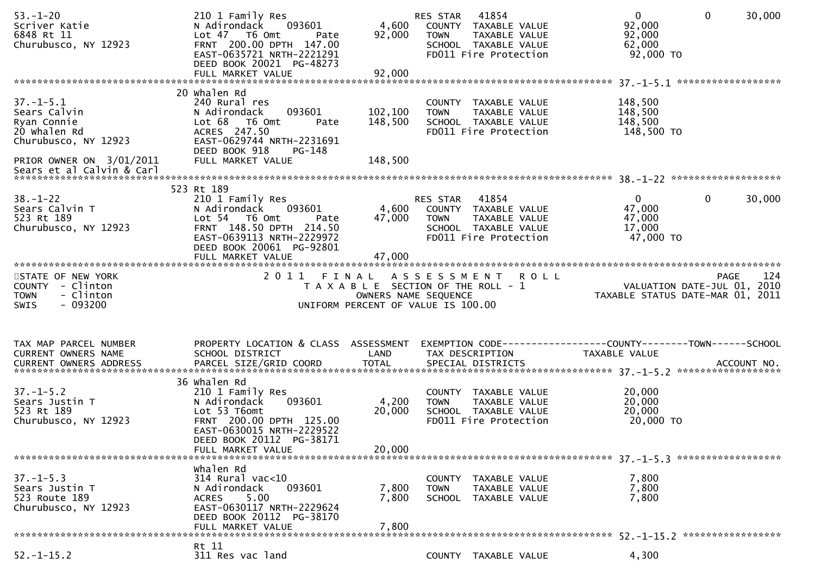| $53. - 1 - 20$<br>Scriver Katie<br>6848 Rt 11<br>Churubusco, NY 12923                                              | 210 1 Family Res<br>093601<br>N Adirondack<br>Lot 47 T6 Omt<br>Pate<br>FRNT 200.00 DPTH 147.00<br>EAST-0635721 NRTH-2221291<br>DEED BOOK 20021 PG-48273<br>FULL MARKET VALUE        | 4,600<br>92,000<br>92,000     | 41854<br>RES STAR<br>COUNTY TAXABLE VALUE<br><b>TOWN</b><br>TAXABLE VALUE<br>SCHOOL TAXABLE VALUE<br>FD011 Fire Protection | $\overline{0}$<br>92,000<br>92,000<br>62,000<br>92,000 TO                       | $\mathbf 0$    | 30,000 |
|--------------------------------------------------------------------------------------------------------------------|-------------------------------------------------------------------------------------------------------------------------------------------------------------------------------------|-------------------------------|----------------------------------------------------------------------------------------------------------------------------|---------------------------------------------------------------------------------|----------------|--------|
| $37. - 1 - 5.1$<br>Sears Calvin<br>Ryan Connie<br>20 Whalen Rd<br>Churubusco, NY 12923<br>PRIOR OWNER ON 3/01/2011 | 20 Whalen Rd<br>240 Rural res<br>093601<br>N Adirondack<br>Lot 68<br>T6 Omt<br>Pate<br>ACRES 247.50<br>EAST-0629744 NRTH-2231691<br>DEED BOOK 918<br>$PG-148$<br>FULL MARKET VALUE  | 102,100<br>148,500<br>148,500 | COUNTY TAXABLE VALUE<br>TAXABLE VALUE<br><b>TOWN</b><br>SCHOOL TAXABLE VALUE<br>FD011 Fire Protection                      | 148,500<br>148,500<br>148,500<br>148,500 TO                                     |                |        |
|                                                                                                                    | 523 Rt 189                                                                                                                                                                          |                               |                                                                                                                            |                                                                                 |                |        |
| $38 - 1 - 22$<br>Sears Calvin T<br>523 Rt 189<br>Churubusco, NY 12923                                              | 210 1 Family Res<br>093601<br>N Adirondack<br>Lot 54 T6 Omt<br>Pate<br>FRNT 148.50 DPTH 214.50<br>EAST-0639113 NRTH-2229972<br>DEED BOOK 20061 PG-92801                             | 4,600<br>47,000               | 41854<br>RES STAR<br>COUNTY TAXABLE VALUE<br><b>TOWN</b><br>TAXABLE VALUE<br>SCHOOL TAXABLE VALUE<br>FD011 Fire Protection | $\overline{0}$<br>47,000<br>47,000<br>17,000<br>47,000 TO                       | $\overline{0}$ | 30,000 |
|                                                                                                                    | FULL MARKET VALUE                                                                                                                                                                   | 47,000                        |                                                                                                                            |                                                                                 |                |        |
| STATE OF NEW YORK                                                                                                  | 2011 FINAL                                                                                                                                                                          |                               | ASSESSMENT ROLL                                                                                                            |                                                                                 | <b>PAGE</b>    | 124    |
| COUNTY - Clinton<br>- Clinton<br><b>TOWN</b><br>$-093200$<br>SWIS                                                  |                                                                                                                                                                                     | OWNERS NAME SEQUENCE          | T A X A B L E SECTION OF THE ROLL - 1<br>UNIFORM PERCENT OF VALUE IS 100.00                                                | VALUATION DATE-JUL 01, 2010<br>TAXABLE STATUS DATE-MAR 01, 2011                 |                |        |
| TAX MAP PARCEL NUMBER<br>CURRENT OWNERS NAME                                                                       | PROPERTY LOCATION & CLASS ASSESSMENT<br>SCHOOL DISTRICT                                                                                                                             | LAND                          | TAX DESCRIPTION                                                                                                            | EXEMPTION CODE------------------COUNTY--------TOWN------SCHOOL<br>TAXABLE VALUE |                |        |
| $37. - 1 - 5.2$<br>Sears Justin T<br>523 Rt 189<br>Churubusco, NY 12923                                            | 36 Whalen Rd<br>210 1 Family Res<br>093601<br>N Adirondack<br>Lot 53 T6omt<br>FRNT 200.00 DPTH 125.00<br>EAST-0630015 NRTH-2229522<br>DEED BOOK 20112 PG-38171<br>FULL MARKET VALUE | 4,200<br>20,000<br>20,000     | COUNTY TAXABLE VALUE<br>TAXABLE VALUE<br><b>TOWN</b><br>SCHOOL TAXABLE VALUE<br>FD011 Fire Protection                      | 20,000<br>20,000<br>20,000<br>20,000 TO                                         |                |        |
|                                                                                                                    |                                                                                                                                                                                     |                               |                                                                                                                            |                                                                                 |                |        |
| $37. - 1 - 5.3$<br>Sears Justin T<br>523 Route 189<br>Churubusco, NY 12923                                         | Whalen Rd<br>$314$ Rural vac<10<br>N Adirondack<br>093601<br>5.00<br><b>ACRES</b><br>EAST-0630117 NRTH-2229624<br>DEED BOOK 20112 PG-38170<br>FULL MARKET VALUE                     | 7,800<br>7,800<br>7,800       | COUNTY<br>TAXABLE VALUE<br><b>TOWN</b><br><b>TAXABLE VALUE</b><br>SCHOOL TAXABLE VALUE                                     | 7,800<br>7,800<br>7,800                                                         |                |        |
| $52. - 1 - 15.2$                                                                                                   | Rt 11                                                                                                                                                                               |                               |                                                                                                                            | 4,300                                                                           |                |        |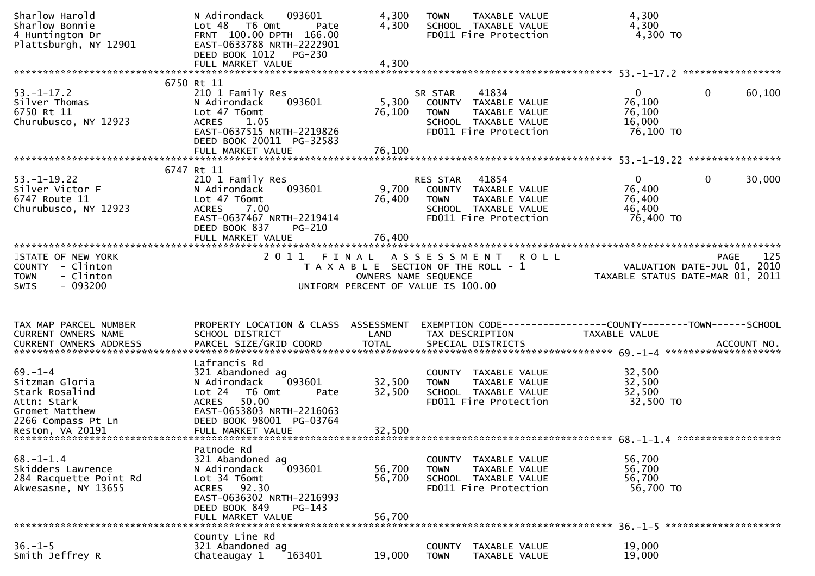| Sharlow Harold<br>Sharlow Bonnie<br>4 Huntington Dr<br>Plattsburgh, NY 12901                                                 | N Adirondack<br>093601<br>Lot 48 T6 Omt<br>Pate<br>FRNT 100.00 DPTH 166.00<br>EAST-0633788 NRTH-2222901<br>DEED BOOK 1012<br>PG-230                                                        | 4,300<br>4,300             | <b>TAXABLE VALUE</b><br><b>TOWN</b><br>SCHOOL TAXABLE VALUE<br>FD011 Fire Protection                                       | 4,300<br>4,300<br>4,300 TO                                      |                        |
|------------------------------------------------------------------------------------------------------------------------------|--------------------------------------------------------------------------------------------------------------------------------------------------------------------------------------------|----------------------------|----------------------------------------------------------------------------------------------------------------------------|-----------------------------------------------------------------|------------------------|
|                                                                                                                              |                                                                                                                                                                                            |                            |                                                                                                                            |                                                                 |                        |
| $53. - 1 - 17.2$<br>Silver Thomas<br>6750 Rt 11<br>Churubusco, NY 12923                                                      | 6750 Rt 11<br>210 1 Family Res<br>093601<br>N Adirondack<br>Lot 47 T6omt<br><b>ACRES</b><br>1.05<br>EAST-0637515 NRTH-2219826<br>DEED BOOK 20011 PG-32583                                  | 5,300<br>76,100            | 41834<br>SR STAR<br>COUNTY TAXABLE VALUE<br>TAXABLE VALUE<br><b>TOWN</b><br>SCHOOL TAXABLE VALUE<br>FD011 Fire Protection  | $\mathbf{0}$<br>76,100<br>76,100<br>16,000<br>76,100 TO         | $\mathbf{0}$<br>60,100 |
|                                                                                                                              |                                                                                                                                                                                            |                            |                                                                                                                            |                                                                 |                        |
| $53. - 1 - 19.22$<br>Silver Victor F<br>6747 Route 11<br>Churubusco, NY 12923                                                | 6747 Rt 11<br>210 1 Family Res<br>N Adirondack<br>093601<br>Lot 47 T6omt<br>7.00<br><b>ACRES</b><br>EAST-0637467 NRTH-2219414<br>DEED BOOK 837<br><b>PG-210</b>                            | 9,700<br>76,400            | 41854<br>RES STAR<br>COUNTY TAXABLE VALUE<br><b>TOWN</b><br>TAXABLE VALUE<br>SCHOOL TAXABLE VALUE<br>FD011 Fire Protection | $\overline{0}$<br>76,400<br>76,400<br>46,400<br>76,400 TO       | $\mathbf{0}$<br>30,000 |
| *************************                                                                                                    |                                                                                                                                                                                            |                            |                                                                                                                            |                                                                 |                        |
| STATE OF NEW YORK<br>COUNTY - Clinton<br>- Clinton<br><b>TOWN</b><br>$-093200$<br><b>SWIS</b>                                | 2011                                                                                                                                                                                       | OWNERS NAME SEQUENCE       | FINAL ASSESSMENT<br><b>ROLL</b><br>T A X A B L E SECTION OF THE ROLL - 1<br>UNIFORM PERCENT OF VALUE IS 100.00             | VALUATION DATE-JUL 01, 2010<br>TAXABLE STATUS DATE-MAR 01, 2011 | 125<br><b>PAGE</b>     |
| TAX MAP PARCEL NUMBER<br><b>CURRENT OWNERS NAME</b>                                                                          | PROPERTY LOCATION & CLASS ASSESSMENT<br>SCHOOL DISTRICT                                                                                                                                    | LAND                       | EXEMPTION CODE-----------------COUNTY-------TOWN------SCHOOL<br>TAX DESCRIPTION                                            | TAXABLE VALUE                                                   |                        |
| $69. - 1 - 4$<br>Sitzman Gloria<br>Stark Rosalind<br>Attn: Stark<br>Gromet Matthew<br>2266 Compass Pt Ln<br>Reston, VA 20191 | Lafrancis Rd<br>321 Abandoned ag<br>093601<br>N Adirondack<br>Lot 24 T6 Omt<br>Pate<br>50.00<br><b>ACRES</b><br>EAST-0653803 NRTH-2216063<br>DEED BOOK 98001 PG-03764<br>FULL MARKET VALUE | 32,500<br>32,500<br>32,500 | COUNTY TAXABLE VALUE<br><b>TOWN</b><br>TAXABLE VALUE<br>SCHOOL TAXABLE VALUE<br>FD011 Fire Protection                      | 32,500<br>32,500<br>32,500<br>32,500 TO                         |                        |
| $68. - 1 - 1.4$<br>Skidders Lawrence<br>284 Racquette Point Rd<br>Akwesasne, NY 13655                                        | Patnode Rd<br>321 Abandoned ag<br>093601<br>N Adirondack<br>Lot 34 T6omt<br>ACRES 92.30<br>EAST-0636302 NRTH-2216993<br>DEED BOOK 849<br>PG-143<br>FULL MARKET VALUE                       | 56,700<br>56,700<br>56,700 | COUNTY TAXABLE VALUE<br>TAXABLE VALUE<br><b>TOWN</b><br>SCHOOL TAXABLE VALUE<br>FD011 Fire Protection                      | 56,700<br>56,700<br>56,700<br>56,700 TO                         |                        |
|                                                                                                                              | County Line Rd                                                                                                                                                                             |                            |                                                                                                                            |                                                                 |                        |
| $36. - 1 - 5$<br>Smith Jeffrey R                                                                                             | 321 Abandoned ag<br>163401<br>Chateaugay 1                                                                                                                                                 | 19,000                     | <b>COUNTY</b><br>TAXABLE VALUE<br><b>TOWN</b><br>TAXABLE VALUE                                                             | 19,000<br>19,000                                                |                        |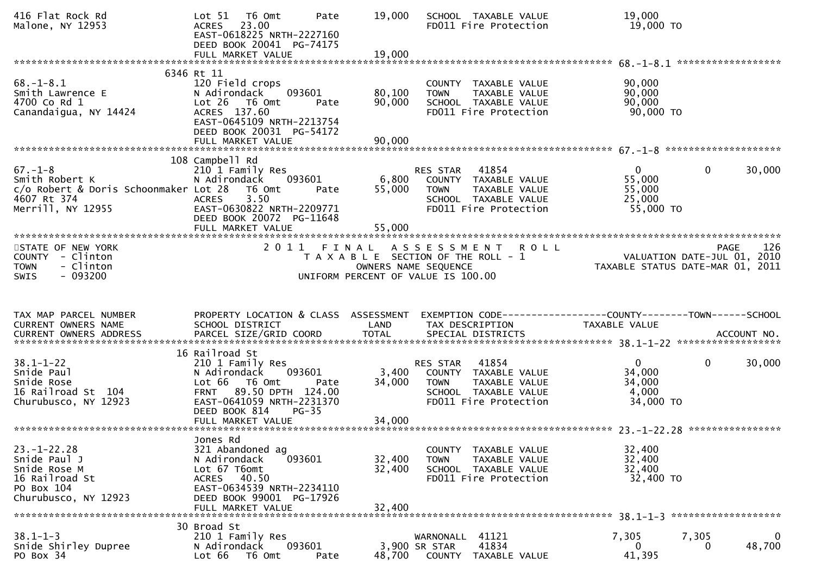| 416 Flat Rock Rd<br>Malone, NY 12953                                                                         | T6 Omt<br>Lot 51<br>Pate<br>23.00<br><b>ACRES</b><br>EAST-0618225 NRTH-2227160<br>DEED BOOK 20041 PG-74175<br>FULL MARKET VALUE                                                       | 19,000<br>19,000           | SCHOOL TAXABLE VALUE<br>FD011 Fire Protection                                                                                             | 19,000<br>19,000 TO                                                                   |
|--------------------------------------------------------------------------------------------------------------|---------------------------------------------------------------------------------------------------------------------------------------------------------------------------------------|----------------------------|-------------------------------------------------------------------------------------------------------------------------------------------|---------------------------------------------------------------------------------------|
|                                                                                                              |                                                                                                                                                                                       |                            |                                                                                                                                           |                                                                                       |
| $68. - 1 - 8.1$<br>Smith Lawrence E<br>4700 Co Rd 1<br>Canandaigua, NY 14424                                 | 6346 Rt 11<br>120 Field crops<br>N Adirondack<br>093601<br>Lot 26<br>T6 Omt<br>Pate<br>ACRES 137.60<br>EAST-0645109 NRTH-2213754<br>DEED BOOK 20031 PG-54172                          | 80,100<br>90,000           | COUNTY TAXABLE VALUE<br><b>TOWN</b><br>TAXABLE VALUE<br>SCHOOL TAXABLE VALUE<br>FD011 Fire Protection                                     | 90,000<br>90,000<br>90,000<br>90,000 TO                                               |
|                                                                                                              |                                                                                                                                                                                       |                            |                                                                                                                                           |                                                                                       |
| $67. - 1 - 8$<br>Smith Robert K<br>c/o Robert & Doris Schoonmaker Lot 28<br>4607 Rt 374<br>Merrill, NY 12955 | 108 Campbell Rd<br>210 1 Family Res<br>N Adirondack<br>093601<br>T6 Omt<br>Pate<br>3.50<br><b>ACRES</b><br>EAST-0630822 NRTH-2209771<br>DEED BOOK 20072 PG-11648<br>FULL MARKET VALUE | 6,800<br>55,000<br>55,000  | RES STAR<br>41854<br>COUNTY TAXABLE VALUE<br><b>TOWN</b><br>TAXABLE VALUE<br>SCHOOL TAXABLE VALUE<br>FD011 Fire Protection                | $\mathbf{0}$<br>$\mathbf 0$<br>30,000<br>55,000<br>55,000<br>25,000<br>55,000 TO      |
|                                                                                                              |                                                                                                                                                                                       |                            |                                                                                                                                           |                                                                                       |
| STATE OF NEW YORK<br>COUNTY - Clinton<br>- Clinton<br><b>TOWN</b><br>$-093200$<br><b>SWIS</b>                | 2 0 1 1                                                                                                                                                                               | FINAL                      | <b>ROLL</b><br>A S S E S S M E N T<br>T A X A B L E SECTION OF THE ROLL - 1<br>OWNERS NAME SEQUENCE<br>UNIFORM PERCENT OF VALUE IS 100.00 | 126<br><b>PAGE</b><br>VALUATION DATE-JUL 01, 2010<br>TAXABLE STATUS DATE-MAR 01, 2011 |
|                                                                                                              |                                                                                                                                                                                       |                            |                                                                                                                                           |                                                                                       |
|                                                                                                              |                                                                                                                                                                                       |                            |                                                                                                                                           |                                                                                       |
| TAX MAP PARCEL NUMBER<br>CURRENT OWNERS NAME                                                                 | PROPERTY LOCATION & CLASS ASSESSMENT<br>SCHOOL DISTRICT                                                                                                                               | LAND                       | TAX DESCRIPTION                                                                                                                           | EXEMPTION CODE------------------COUNTY--------TOWN------SCHOOL<br>TAXABLE VALUE       |
|                                                                                                              |                                                                                                                                                                                       |                            |                                                                                                                                           |                                                                                       |
| $38.1 - 1 - 22$<br>Snide Paul<br>Snide Rose<br>16 Railroad St 104<br>Churubusco, NY 12923                    | 16 Railroad St<br>210 1 Family Res<br>093601<br>N Adirondack<br>Lot 66  T6 0mt<br>Pate<br>FRNT 89.50 DPTH 124.00<br>EAST-0641059 NRTH-2231370                                         | 3,400<br>34,000            | 41854<br>RES STAR<br>COUNTY TAXABLE VALUE<br><b>TOWN</b><br>TAXABLE VALUE<br>SCHOOL TAXABLE VALUE<br>FD011 Fire Protection                | $\overline{0}$<br>$\mathbf 0$<br>30,000<br>34,000<br>34,000<br>4,000<br>34,000 TO     |
|                                                                                                              | DEED BOOK 814<br>$PG-35$                                                                                                                                                              |                            |                                                                                                                                           |                                                                                       |
|                                                                                                              |                                                                                                                                                                                       |                            |                                                                                                                                           |                                                                                       |
| $23. - 1 - 22.28$<br>Snide Paul J<br>Snide Rose M<br>16 Railroad St<br>PO Box 104<br>Churubusco, NY 12923    | Jones Rd<br>321 Abandoned ag<br>N Adirondack<br>093601<br>Lot 67 T6omt<br>ACRES 40.50<br>EAST-0634539 NRTH-2234110<br>DEED BOOK 99001 PG-17926<br>FULL MARKET VALUE                   | 32,400<br>32,400<br>32,400 | COUNTY TAXABLE VALUE<br><b>TOWN</b><br>TAXABLE VALUE<br>SCHOOL TAXABLE VALUE<br>FD011 Fire Protection                                     | 32,400<br>32,400<br>32,400<br>32,400 TO                                               |
|                                                                                                              | 30 Broad St                                                                                                                                                                           |                            |                                                                                                                                           |                                                                                       |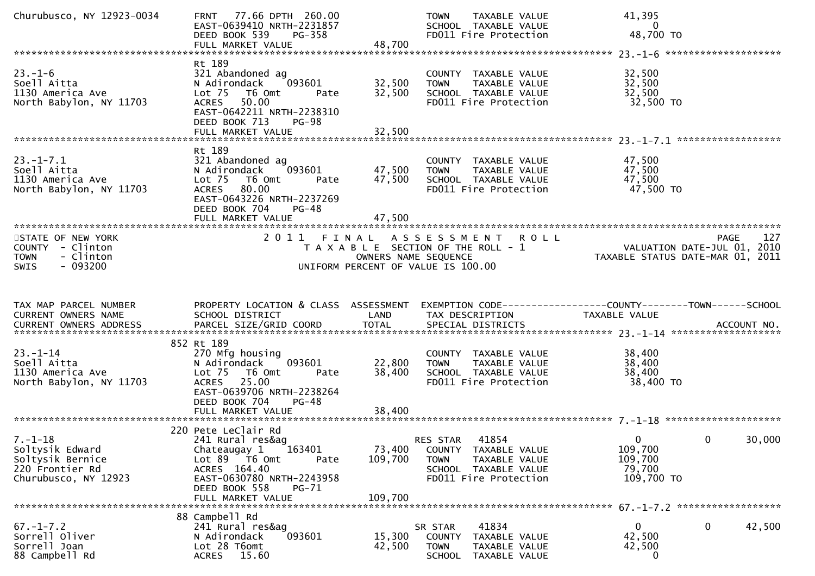| Churubusco, NY 12923-0034                                                                       | FRNT 77.66 DPTH 260.00<br>EAST-0639410 NRTH-2231857<br>DEED BOOK 539<br>PG-358<br>FULL MARKET VALUE                                                                                    | 48,700                       | <b>TOWN</b><br>TAXABLE VALUE<br>SCHOOL TAXABLE VALUE<br>FD011 Fire Protection                                                             | 41,395<br>0<br>48,700 TO                                        |                    |
|-------------------------------------------------------------------------------------------------|----------------------------------------------------------------------------------------------------------------------------------------------------------------------------------------|------------------------------|-------------------------------------------------------------------------------------------------------------------------------------------|-----------------------------------------------------------------|--------------------|
| $23 - 1 - 6$<br>Soell Aitta<br>1130 America Ave<br>North Babylon, NY 11703                      | Rt 189<br>321 Abandoned ag<br>N Adirondack<br>093601<br>Lot 75 T6 Omt<br>Pate<br>ACRES 50.00<br>EAST-0642211 NRTH-2238310<br>DEED BOOK 713<br><b>PG-98</b>                             | 32,500<br>32,500             | COUNTY TAXABLE VALUE<br>TAXABLE VALUE<br><b>TOWN</b><br>SCHOOL TAXABLE VALUE<br>FD011 Fire Protection                                     | 32,500<br>32,500<br>32,500<br>32,500 TO                         |                    |
| $23. - 1 - 7.1$<br>Soell Aitta<br>1130 America Ave<br>North Babylon, NY 11703                   | Rt 189<br>321 Abandoned ag<br>093601<br>N Adirondack<br>Lot 75<br>T6 Omt<br>Pate<br>80.00<br><b>ACRES</b><br>EAST-0643226 NRTH-2237269<br>DEED BOOK 704<br>PG-48<br>FULL MARKET VALUE  | 47,500<br>47,500<br>47,500   | COUNTY TAXABLE VALUE<br><b>TOWN</b><br>TAXABLE VALUE<br>SCHOOL TAXABLE VALUE<br>FD011 Fire Protection                                     | 47,500<br>47,500<br>47,500<br>47,500 TO                         |                    |
| STATE OF NEW YORK<br>COUNTY - Clinton<br>- Clinton<br><b>TOWN</b><br>$-093200$<br><b>SWIS</b>   | 2011<br>FINAL                                                                                                                                                                          |                              | <b>ROLL</b><br>A S S E S S M E N T<br>T A X A B L E SECTION OF THE ROLL - 1<br>OWNERS NAME SEQUENCE<br>UNIFORM PERCENT OF VALUE IS 100.00 | VALUATION DATE-JUL 01, 2010<br>TAXABLE STATUS DATE-MAR 01, 2011 | 127<br><b>PAGE</b> |
|                                                                                                 |                                                                                                                                                                                        |                              |                                                                                                                                           |                                                                 |                    |
| TAX MAP PARCEL NUMBER<br>CURRENT OWNERS NAME                                                    | PROPERTY LOCATION & CLASS ASSESSMENT<br>SCHOOL DISTRICT                                                                                                                                | LAND                         | EXEMPTION CODE-----------------COUNTY-------TOWN------SCHOOL<br>TAX DESCRIPTION                                                           | TAXABLE VALUE                                                   |                    |
| $23. - 1 - 14$<br>Soell Aitta<br>1130 America Ave<br>North Babylon, NY 11703                    | 852 Rt 189<br>270 Mfg housing<br>093601<br>N Adirondack<br>Lot 75 T6 Omt<br>Pate<br>ACRES 25.00<br>EAST-0639706 NRTH-2238264<br>DEED BOOK 704<br>PG-48<br>FULL MARKET VALUE            | 22,800<br>38,400<br>38,400   | COUNTY TAXABLE VALUE<br>TAXABLE VALUE<br><b>TOWN</b><br>SCHOOL TAXABLE VALUE<br>FD011 Fire Protection                                     | 38,400<br>38,400<br>38,400<br>38,400 TO                         |                    |
| $7. - 1 - 18$<br>Soltysik Edward<br>Soltysik Bernice<br>220 Frontier Rd<br>Churubusco, NY 12923 | 220 Pete LeClair Rd<br>241 Rural res&ag<br>163401<br>Chateaugay 1<br>Lot 89 T6 Omt<br>Pate<br>ACRES 164.40<br>EAST-0630780 NRTH-2243958<br>DEED BOOK 558<br>PG-71<br>FULL MARKET VALUE | 73,400<br>109,700<br>109,700 | 41854<br><b>RES STAR</b><br>COUNTY TAXABLE VALUE<br><b>TOWN</b><br>TAXABLE VALUE<br>SCHOOL TAXABLE VALUE<br>FD011 Fire Protection         | $\overline{0}$<br>109,700<br>109,700<br>79,700<br>109,700 TO    | 30,000<br>0        |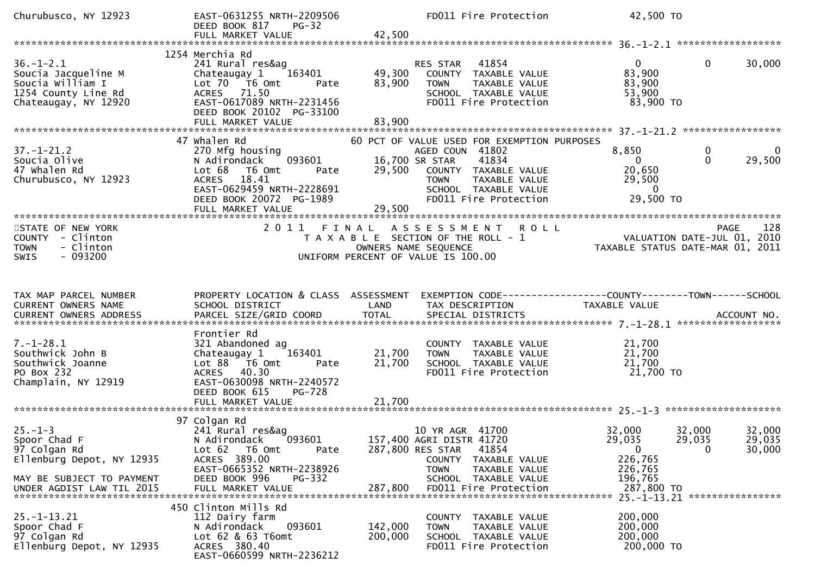| Churubusco, NY 12923                                                                                      | EAST-0631255 NRTH-2209506<br>DEED BOOK 817<br><b>PG-32</b>                                                                                                                        |                  | FD011 Fire Protection                                                                                                                                                                           | 42,500 TO                                                              |                                          |
|-----------------------------------------------------------------------------------------------------------|-----------------------------------------------------------------------------------------------------------------------------------------------------------------------------------|------------------|-------------------------------------------------------------------------------------------------------------------------------------------------------------------------------------------------|------------------------------------------------------------------------|------------------------------------------|
|                                                                                                           |                                                                                                                                                                                   |                  |                                                                                                                                                                                                 |                                                                        |                                          |
| $36. - 1 - 2.1$<br>Soucia Jacqueline M<br>Soucia William I<br>1254 County Line Rd<br>Chateaugay, NY 12920 | 1254 Merchia Rd<br>241 Rural res&ag<br>163401<br>Chateaugay 1<br>Lot 70 T6 Omt<br>Pate<br>ACRES 71.50<br>EAST-0617089 NRTH-2231456<br>DEED BOOK 20102 PG-33100                    | 49,300<br>83,900 | RES STAR 41854<br>COUNTY TAXABLE VALUE<br><b>TOWN</b><br>TAXABLE VALUE<br>SCHOOL TAXABLE VALUE<br>FD011 Fire Protection                                                                         | $\mathbf{0}$<br>83,900<br>83,900<br>53,900<br>83,900 TO                | $\mathbf{0}$<br>30,000                   |
|                                                                                                           | FULL MARKET VALUE                                                                                                                                                                 | 83,900           |                                                                                                                                                                                                 |                                                                        |                                          |
|                                                                                                           |                                                                                                                                                                                   |                  |                                                                                                                                                                                                 |                                                                        |                                          |
| $37. - 1 - 21.2$<br>Soucia Olive<br>47 Whalen Rd<br>Churubusco, NY 12923                                  | 47 whalen Rd<br>270 Mfg housing<br>093601<br>N Adirondack<br>Lot 68<br>T6 Omt<br>Pate<br>ACRES 18.41<br>EAST-0629459 NRTH-2228691<br>DEED BOOK 20072 PG-1989<br>FULL MARKET VALUE | 29,500           | 60 PCT OF VALUE USED FOR EXEMPTION PURPOSES<br>AGED COUN 41802<br>16,700 SR STAR<br>41834<br>29,500 COUNTY TAXABLE VALUE<br>TOWN TAXABLE VALUE<br>SCHOOL TAXABLE VALUE<br>FD011 Fire Protection | 8,850<br>0<br>20,650<br>29,500<br>$\overline{\mathbf{0}}$<br>29,500 TO | $\mathbf 0$<br>- 0<br>$\Omega$<br>29,500 |
|                                                                                                           |                                                                                                                                                                                   |                  |                                                                                                                                                                                                 |                                                                        |                                          |
| STATE OF NEW YORK<br>COUNTY - Clinton<br><b>TOWN</b><br>- Clinton<br>$-093200$<br><b>SWIS</b>             |                                                                                                                                                                                   |                  | 2011 FINAL ASSESSMENT ROLL<br>PAGE 128<br>TAXABLE SECTION OF THE ROLL - 1 VALUATION DATE-JUL 01, 2010<br>OWNERS NAME SEQUENCE 20<br>UNIFORM PERCENT OF VALUE IS 100.00                          |                                                                        | 128<br><b>PAGE</b>                       |
| TAX MAP PARCEL NUMBER<br>CURRENT OWNERS NAME                                                              | PROPERTY LOCATION & CLASS ASSESSMENT<br>SCHOOL DISTRICT                                                                                                                           | LAND             | EXEMPTION CODE-----------------COUNTY--------TOWN------SCHOOL<br>TAX DESCRIPTION                                                                                                                | TAXABLE VALUE                                                          |                                          |
|                                                                                                           |                                                                                                                                                                                   |                  |                                                                                                                                                                                                 |                                                                        |                                          |
| $7. - 1 - 28.1$<br>Southwick John B<br>Southwick Joanne<br>PO Box 232<br>Champlain, NY 12919              | Frontier Rd<br>321 Abandoned ag<br>Chateaugay 1 163401<br>Lot 88 T6 Omt<br>Pate<br>ACRES 40.30<br>EAST-0630098 NRTH-2240572<br>DEED BOOK 615<br><b>PG-728</b>                     | 21,700<br>21,700 | COUNTY TAXABLE VALUE<br><b>TOWN</b><br>TAXABLE VALUE<br>SCHOOL TAXABLE VALUE<br>FD011 Fire Protection                                                                                           | 21,700<br>21,700<br>21,700<br>21,700 TO                                |                                          |
|                                                                                                           |                                                                                                                                                                                   |                  |                                                                                                                                                                                                 |                                                                        |                                          |
| $25. - 1 - 3$<br>Spoor Chad F<br>97 Colgan Rd<br>Ellenburg Depot, NY 12935                                | 97 Colgan Rd<br>241 Rural res&ag<br>N Adirondack 093601                                                                                                                           |                  | 10 YR AGR 41700<br>157,400 AGRI DISTR 41720                                                                                                                                                     | 32,000<br>29,035<br>29,035                                             | 32,000<br>32,000<br>29,035               |
|                                                                                                           | Lot 62 T6 Omt<br>Pate<br>ACRES 389.00<br>EAST-0665352 NRTH-2238926                                                                                                                |                  | 287,800 RES STAR<br>41854<br>COUNTY TAXABLE VALUE<br><b>TOWN</b><br>TAXABLE VALUE                                                                                                               | $\overline{0}$<br>226,765<br>226,765                                   | 30,000<br>$\Omega$                       |
| MAY BE SUBJECT TO PAYMENT<br>UNDER AGDIST LAW TIL 2015                                                    | DEED BOOK 996<br>PG-332<br>FULL MARKET VALUE                                                                                                                                      | 287,800          | SCHOOL TAXABLE VALUE<br>FD011 Fire Protection                                                                                                                                                   | 196,765<br>287,800 TO                                                  |                                          |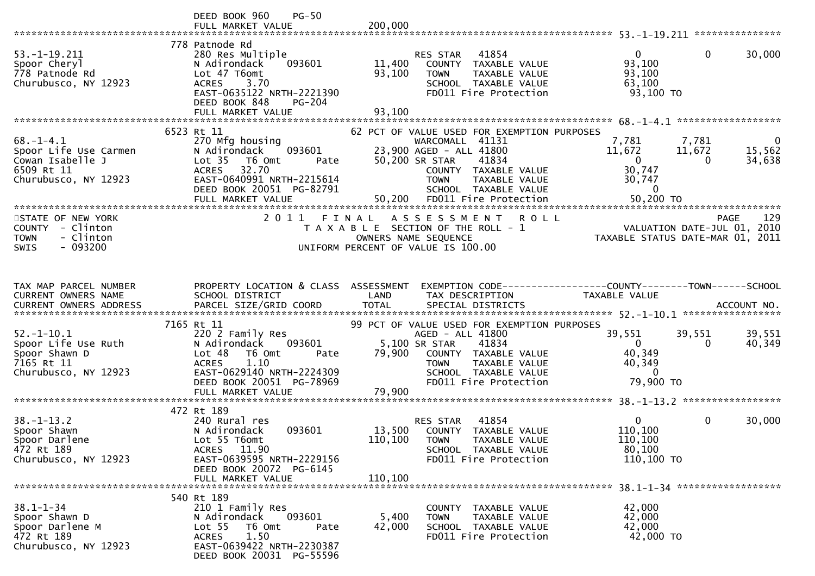|                                                                                                    | $PG-50$<br>DEED BOOK 960<br>FULL MARKET VALUE                                                                                                                                       | 200,000                    |                                                                                                                                                                                                      |                                                                         |                                                                                       |
|----------------------------------------------------------------------------------------------------|-------------------------------------------------------------------------------------------------------------------------------------------------------------------------------------|----------------------------|------------------------------------------------------------------------------------------------------------------------------------------------------------------------------------------------------|-------------------------------------------------------------------------|---------------------------------------------------------------------------------------|
| $53. - 1 - 19.211$<br>Spoor Cheryl<br>778 Patnode Rd<br>Churubusco, NY 12923                       | 778 Patnode Rd<br>280 Res Multiple<br>N Adirondack<br>093601<br>Lot 47 T6omt<br><b>ACRES</b><br>3.70<br>EAST-0635122 NRTH-2221390<br>DEED BOOK 848<br>$PG-204$<br>FULL MARKET VALUE | 11,400<br>93,100<br>93,100 | RES STAR<br>41854<br>COUNTY TAXABLE VALUE<br>TAXABLE VALUE<br><b>TOWN</b><br>SCHOOL TAXABLE VALUE<br>FD011 Fire Protection                                                                           | $\Omega$<br>93,100<br>93,100<br>63,100<br>93,100 то                     | $\mathbf{0}$<br>30,000                                                                |
|                                                                                                    |                                                                                                                                                                                     |                            |                                                                                                                                                                                                      |                                                                         |                                                                                       |
| $68. - 1 - 4.1$<br>Spoor Life Use Carmen<br>Cowan Isabelle J<br>6509 Rt 11<br>Churubusco, NY 12923 | 6523 Rt 11<br>270 Mfg housing<br>N Adirondack<br>093601<br>Lot <sub>35</sub><br>T6 Omt<br>Pate<br>ACRES 32.70<br>EAST-0640991 NRTH-2215614<br>DEED BOOK 20051 PG-82791              |                            | 62 PCT OF VALUE USED FOR EXEMPTION PURPOSES<br>WARCOMALL 41131<br>23,900 AGED - ALL 41800<br>50,200 SR STAR<br>41834<br>COUNTY TAXABLE VALUE<br>TAXABLE VALUE<br><b>TOWN</b><br>SCHOOL TAXABLE VALUE | 7,781<br>11,672<br>$\overline{0}$<br>30,747<br>30,747<br>$\overline{0}$ | 7,781<br>0<br>15,562<br>11,672<br>34,638<br>0                                         |
|                                                                                                    |                                                                                                                                                                                     |                            |                                                                                                                                                                                                      |                                                                         |                                                                                       |
| STATE OF NEW YORK<br>COUNTY - Clinton<br>- Clinton<br><b>TOWN</b><br>$-093200$<br>SWIS             | 2011 FINAL                                                                                                                                                                          | OWNERS NAME SEQUENCE       | ASSESSMENT<br><b>ROLL</b><br>T A X A B L E SECTION OF THE ROLL - 1<br>UNIFORM PERCENT OF VALUE IS 100.00                                                                                             |                                                                         | 129<br><b>PAGE</b><br>VALUATION DATE-JUL 01, 2010<br>TAXABLE STATUS DATE-MAR 01, 2011 |
|                                                                                                    |                                                                                                                                                                                     |                            |                                                                                                                                                                                                      |                                                                         |                                                                                       |
| TAX MAP PARCEL NUMBER<br>CURRENT OWNERS NAME                                                       | PROPERTY LOCATION & CLASS ASSESSMENT<br>SCHOOL DISTRICT                                                                                                                             | LAND                       | TAX DESCRIPTION                                                                                                                                                                                      | <b>TAXABLE VALUE</b>                                                    |                                                                                       |
|                                                                                                    |                                                                                                                                                                                     |                            |                                                                                                                                                                                                      |                                                                         |                                                                                       |
| $52. - 1 - 10.1$<br>Spoor Life Use Ruth<br>Spoor Shawn D<br>7165 Rt 11<br>Churubusco, NY 12923     | 7165 Rt 11<br>220 2 Family Res<br>093601<br>N Adirondack<br>Lot 48<br>T6 Omt<br>Pate<br><b>ACRES</b><br>1.10<br>EAST-0629140 NRTH-2224309<br>DEED BOOK 20051 PG-78969               | 79,900                     | 99 PCT OF VALUE USED FOR EXEMPTION PURPOSES<br>AGED - ALL 41800<br>5,100 SR STAR<br>41834<br>COUNTY TAXABLE VALUE<br>TAXABLE VALUE<br><b>TOWN</b><br>SCHOOL TAXABLE VALUE<br>FD011 Fire Protection   | 39,551<br>$\overline{0}$<br>40,349<br>40,349<br>$\Omega$<br>79,900 TO   | 39,551<br>39,551<br>40,349<br>0                                                       |
|                                                                                                    | FULL MARKET VALUE                                                                                                                                                                   | 79,900                     |                                                                                                                                                                                                      |                                                                         |                                                                                       |
| $38. - 1 - 13.2$<br>Spoor Shawn<br>Spoor Darlene<br>472 Rt 189<br>Churubusco, NY 12923             | 472 Rt 189<br>240 Rural res<br>093601<br>N Adirondack<br>Lot 55 T6omt<br>ACRES 11.90<br>EAST-0639595 NRTH-2229156<br>DEED BOOK 20072 PG-6145<br>FULL MARKET VALUE                   | 110,100 TOWN<br>110,100    | 41854<br>RES STAR<br>13,500 COUNTY TAXABLE VALUE<br>TAXABLE VALUE<br>SCHOOL TAXABLE VALUE<br>FD011 Fire Protection                                                                                   | $\Omega$<br>110,100<br>110,100<br>80,100<br>110,100 TO                  | 0<br>30,000                                                                           |
| $38.1 - 1 - 34$<br>Spoor Shawn D<br>Spoor Darlene M<br>472 Rt 189<br>Churubusco, NY 12923          | 540 Rt 189<br>210 1 Family Res<br>093601<br>N Adirondack<br>Lot 55<br>T6 Omt<br>Pate<br>1.50<br><b>ACRES</b><br>EAST-0639422 NRTH-2230387<br>DEED BOOK 20031 PG-55596               | 5,400<br>42,000            | COUNTY TAXABLE VALUE<br>TAXABLE VALUE<br><b>TOWN</b><br>SCHOOL TAXABLE VALUE<br>FD011 Fire Protection                                                                                                | 42,000<br>42,000<br>42,000<br>42,000 TO                                 |                                                                                       |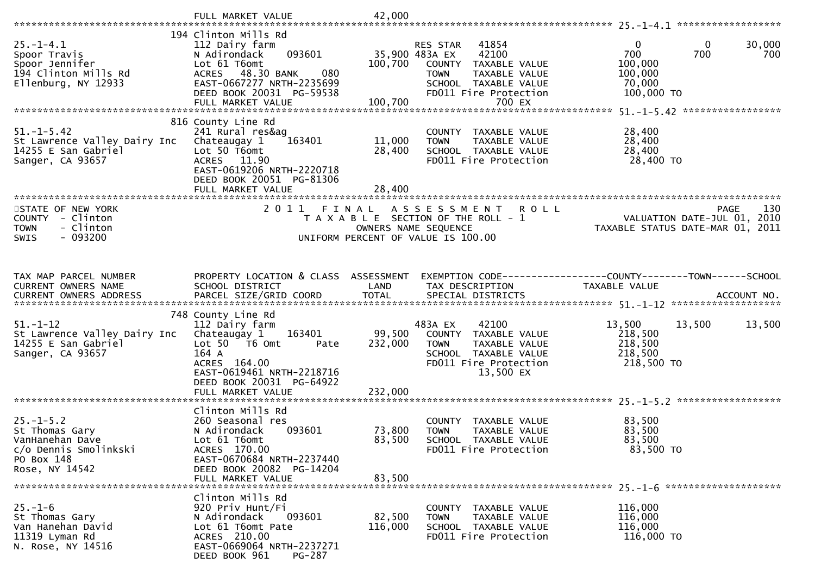|                                                                                                  | 194 Clinton Mills Rd                                                                                                                                                     |                              |                                                                                                                                                       |                                                                                                      |
|--------------------------------------------------------------------------------------------------|--------------------------------------------------------------------------------------------------------------------------------------------------------------------------|------------------------------|-------------------------------------------------------------------------------------------------------------------------------------------------------|------------------------------------------------------------------------------------------------------|
| $25. - 1 - 4.1$<br>Spoor Travis<br>Spoor Jennifer<br>194 Clinton Mills Rd<br>Ellenburg, NY 12933 | 112 Dairy farm<br>093601<br>N Adirondack<br>Lot 61 T6omt<br>ACRES 48.30 BANK<br>080<br>EAST-0667277 NRTH-2235699<br>DEED BOOK 20031 PG-59538                             | 100,700                      | 41854<br>RES STAR<br>42100<br>35,900 483A EX<br>COUNTY TAXABLE VALUE<br><b>TOWN</b><br>TAXABLE VALUE<br>SCHOOL TAXABLE VALUE<br>FD011 Fire Protection | $\mathbf 0$<br>30,000<br>$\bf{0}$<br>700<br>700<br>700<br>100,000<br>100,000<br>70,000<br>100,000 TO |
|                                                                                                  |                                                                                                                                                                          |                              |                                                                                                                                                       |                                                                                                      |
|                                                                                                  |                                                                                                                                                                          |                              |                                                                                                                                                       |                                                                                                      |
| $51. - 1 - 5.42$<br>St Lawrence Valley Dairy Inc<br>14255 E San Gabriel<br>Sanger, CA 93657      | 816 County Line Rd<br>241 Rural res&ag<br>Chateaugay 1<br>163401<br>Lot 50 T6omt<br>ACRES 11.90<br>EAST-0619206 NRTH-2220718<br>DEED BOOK 20051 PG-81306                 | 11,000<br>28,400             | COUNTY TAXABLE VALUE<br>TAXABLE VALUE<br><b>TOWN</b><br>SCHOOL TAXABLE VALUE<br>FD011 Fire Protection                                                 | 28,400<br>28,400<br>28,400<br>28,400 TO                                                              |
|                                                                                                  | FULL MARKET VALUE                                                                                                                                                        | 28,400                       |                                                                                                                                                       |                                                                                                      |
| STATE OF NEW YORK<br>COUNTY - Clinton<br>- Clinton<br><b>TOWN</b><br>$-093200$<br>SWIS           | 2011 FINAL                                                                                                                                                               |                              | ASSESSMENT ROLL<br>T A X A B L E SECTION OF THE ROLL - 1<br>OWNERS NAME SEQUENCE<br>UNIFORM PERCENT OF VALUE IS 100.00                                | 130<br><b>PAGE</b><br>VALUATION DATE-JUL 01, 2010<br>TAXABLE STATUS DATE-MAR 01, 2011                |
| TAX MAP PARCEL NUMBER                                                                            | PROPERTY LOCATION & CLASS ASSESSMENT                                                                                                                                     |                              |                                                                                                                                                       | EXEMPTION CODE------------------COUNTY--------TOWN------SCHOOL                                       |
| CURRENT OWNERS NAME                                                                              | SCHOOL DISTRICT                                                                                                                                                          | LAND                         | TAX DESCRIPTION                                                                                                                                       | <b>TAXABLE VALUE</b>                                                                                 |
|                                                                                                  | 748 County Line Rd                                                                                                                                                       |                              |                                                                                                                                                       |                                                                                                      |
| $51. - 1 - 12$<br>St Lawrence Valley Dairy Inc<br>14255 E San Gabriel<br>Sanger, CA 93657        | 112 Dairy farm<br>163401<br>Chateaugay 1<br>Lot 50 T6 Omt<br>Pate<br>164 A<br>ACRES 164.00<br>EAST-0619461 NRTH-2218716<br>DEED BOOK 20031 PG-64922<br>FULL MARKET VALUE | 99,500<br>232,000<br>232,000 | 483A EX<br>42100<br>COUNTY TAXABLE VALUE<br>TAXABLE VALUE<br><b>TOWN</b><br>SCHOOL TAXABLE VALUE<br>FD011 Fire Protection<br>13,500 EX                | 13,500<br>13,500<br>13,500<br>218,500<br>218,500<br>218,500<br>218,500 TO                            |
|                                                                                                  |                                                                                                                                                                          |                              |                                                                                                                                                       |                                                                                                      |
| $25. - 1 - 5.2$<br>St Thomas Gary<br>VanHanehan Dave<br>c/o Dennis Smolinkski<br>PO Box 148      | Clinton Mills Rd<br>260 Seasonal res<br>N Adirondack<br>093601<br>Lot 61 T6omt<br>ACRES 170.00<br>EAST-0670684 NRTH-2237440                                              | 73,800<br>83,500             | COUNTY TAXABLE VALUE<br><b>TOWN</b><br>TAXABLE VALUE<br>SCHOOL TAXABLE VALUE<br>FD011 Fire Protection                                                 | 83,500<br>83,500<br>83,500<br>83,500 TO                                                              |
| Rose, NY 14542                                                                                   | DEED BOOK 20082 PG-14204                                                                                                                                                 |                              |                                                                                                                                                       |                                                                                                      |
|                                                                                                  | FULL MARKET VALUE                                                                                                                                                        | 83,500                       |                                                                                                                                                       |                                                                                                      |
| $25. - 1 - 6$<br>St Thomas Gary<br>Van Hanehan David<br>11319 Lyman Rd<br>N. Rose, NY 14516      | Clinton Mills Rd<br>920 Priv Hunt/Fi<br>N Adirondack<br>093601<br>Lot 61 T6omt Pate<br>ACRES 210.00<br>EAST-0669064 NRTH-2237271<br>PG-287<br>DEED BOOK 961              | 82,500<br>116,000            | COUNTY TAXABLE VALUE<br>TAXABLE VALUE<br><b>TOWN</b><br>SCHOOL TAXABLE VALUE<br>FD011 Fire Protection                                                 | 116,000<br>116,000<br>116,000<br>116,000 TO                                                          |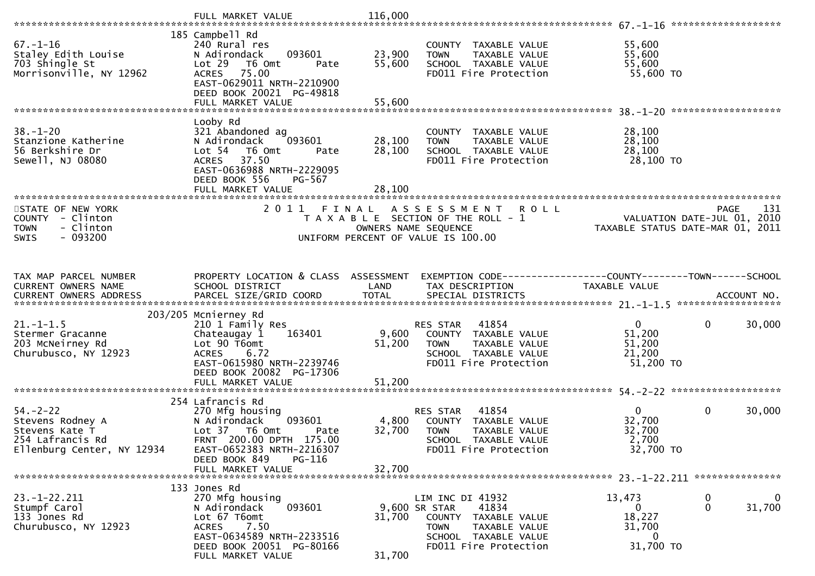| $67. - 1 - 16$<br>Staley Edith Louise<br>703 Shingle St<br>Morrisonville, NY 12962                     | 185 Campbell Rd<br>240 Rural res<br>093601<br>N Adirondack<br>Lot 29<br>T6 Omt<br>Pate<br>75.00<br><b>ACRES</b><br>EAST-0629011 NRTH-2210900<br>DEED BOOK 20021 PG-49818        | 23,900<br>55,600 | COUNTY TAXABLE VALUE<br>TAXABLE VALUE<br><b>TOWN</b><br>SCHOOL TAXABLE VALUE<br>FD011 Fire Protection                                                  | 55,600<br>55,600<br>55,600<br>55,600 TO                         |                                        |
|--------------------------------------------------------------------------------------------------------|---------------------------------------------------------------------------------------------------------------------------------------------------------------------------------|------------------|--------------------------------------------------------------------------------------------------------------------------------------------------------|-----------------------------------------------------------------|----------------------------------------|
|                                                                                                        | Looby Rd                                                                                                                                                                        |                  |                                                                                                                                                        |                                                                 |                                        |
| $38 - 1 - 20$<br>Stanzione Katherine<br>56 Berkshire Dr<br>Sewell, NJ 08080                            | 321 Abandoned ag<br>N Adirondack<br>093601<br>Lot <sub>54</sub><br>T6 Omt<br>Pate<br>ACRES 37.50<br>EAST-0636988 NRTH-2229095<br>DEED BOOK 556<br>PG-567                        | 28,100<br>28,100 | COUNTY TAXABLE VALUE<br>TAXABLE VALUE<br><b>TOWN</b><br>SCHOOL TAXABLE VALUE<br>FD011 Fire Protection                                                  | 28,100<br>28,100<br>28,100<br>28,100 TO                         |                                        |
|                                                                                                        |                                                                                                                                                                                 |                  |                                                                                                                                                        |                                                                 |                                        |
| STATE OF NEW YORK<br>COUNTY - Clinton<br>- Clinton<br><b>TOWN</b><br>$-093200$<br><b>SWIS</b>          | 2011 FINAL                                                                                                                                                                      |                  | ASSESSMENT ROLL<br>$T A X A B L E$ SECTION OF THE ROLL - 1<br>OWNERS NAME SEQUENCE<br>UNIFORM PERCENT OF VALUE IS 100.00                               | VALUATION DATE-JUL 01, 2010<br>TAXABLE STATUS DATE-MAR 01, 2011 | 131<br><b>PAGE</b>                     |
| TAX MAP PARCEL NUMBER<br>CURRENT OWNERS NAME                                                           | PROPERTY LOCATION & CLASS ASSESSMENT<br>SCHOOL DISTRICT                                                                                                                         | LAND             | EXEMPTION CODE------------------COUNTY--------TOWN------SCHOOL<br>TAX DESCRIPTION                                                                      | TAXABLE VALUE                                                   |                                        |
|                                                                                                        | 203/205 Mcnierney Rd                                                                                                                                                            |                  |                                                                                                                                                        |                                                                 |                                        |
| $21. - 1 - 1.5$<br>Stermer Gracanne<br>203 McNeirney Rd<br>Churubusco, NY 12923                        | 210 1 Family Res<br>163401<br>Chateaugay 1<br>Lot 90 T6omt<br><b>ACRES</b><br>6.72<br>EAST-0615980 NRTH-2239746<br>DEED BOOK 20082 PG-17306                                     | 9,600<br>51,200  | 41854<br>RES STAR<br>COUNTY TAXABLE VALUE<br>TAXABLE VALUE<br><b>TOWN</b><br>SCHOOL TAXABLE VALUE<br>FD011 Fire Protection                             | $\mathbf{0}$<br>51,200<br>51,200<br>21,200<br>51,200 TO         | $\mathbf 0$<br>30,000                  |
|                                                                                                        | 254 Lafrancis Rd                                                                                                                                                                |                  |                                                                                                                                                        |                                                                 |                                        |
| $54. - 2 - 22$<br>Stevens Rodney A<br>Stevens Kate T<br>254 Lafrancis Rd<br>Ellenburg Center, NY 12934 | 270 Mfg housing<br>093601<br>N Adirondack<br>Lot 37 T6 Omt<br>Pate<br>FRNT 200.00 DPTH 175.00<br>EAST-0652383 NRTH-2216307<br>PG-116<br>DEED BOOK 849                           | 4,800<br>32,700  | 41854<br>RES STAR<br>COUNTY TAXABLE VALUE<br><b>TOWN</b><br>TAXABLE VALUE<br>SCHOOL TAXABLE VALUE<br>FD011 Fire Protection                             | $\mathbf{0}$<br>32,700<br>32,700<br>2,700<br>32,700 TO          | $\mathbf 0$<br>30,000                  |
|                                                                                                        | FULL MARKET VALUE                                                                                                                                                               | 32,700           |                                                                                                                                                        |                                                                 |                                        |
| $23. - 1 - 22.211$<br>Stumpf Carol<br>133 Jones Rd<br>Churubusco, NY 12923                             | 133 Jones Rd<br>270 Mfg housing<br>N Adirondack<br>093601<br>Lot 67 T6omt<br>7.50<br><b>ACRES</b><br>EAST-0634589 NRTH-2233516<br>DEED BOOK 20051 PG-80166<br>FULL MARKET VALUE | 31,700<br>31,700 | LIM INC DI 41932<br>41834<br>9,600 SR STAR<br>COUNTY<br>TAXABLE VALUE<br><b>TOWN</b><br>TAXABLE VALUE<br>SCHOOL TAXABLE VALUE<br>FD011 Fire Protection | 13,473<br>0<br>18,227<br>31,700<br>0<br>31,700 TO               | $\mathbf 0$<br>$\bf{0}$<br>31,700<br>0 |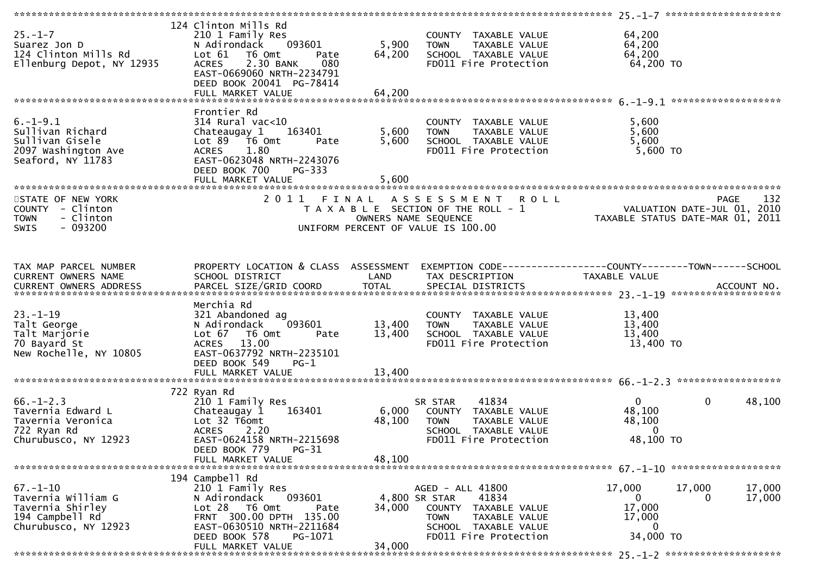| $25 - 1 - 7$<br>Suarez Jon D<br>124 Clinton Mills Rd<br>Ellenburg Depot, NY 12935                   | 124 Clinton Mills Rd<br>210 1 Family Res<br>093601<br>N Adirondack<br>Lot 61 T6 Omt<br>Pate<br>2.30 BANK<br>080<br><b>ACRES</b><br>EAST-0669060 NRTH-2234791<br>DEED BOOK 20041 PG-78414<br>FULL MARKET VALUE | 5,900<br>64,200<br>64,200 | COUNTY TAXABLE VALUE<br><b>TOWN</b><br>TAXABLE VALUE<br>TOWN TAXABLE VALUE<br>SCHOOL TAXABLE VALUE<br>FD011 Fire Protection                            | 64,200<br>64,200<br>64,200<br>64,200 TO                      |                                                                                                    |
|-----------------------------------------------------------------------------------------------------|---------------------------------------------------------------------------------------------------------------------------------------------------------------------------------------------------------------|---------------------------|--------------------------------------------------------------------------------------------------------------------------------------------------------|--------------------------------------------------------------|----------------------------------------------------------------------------------------------------|
|                                                                                                     |                                                                                                                                                                                                               |                           |                                                                                                                                                        |                                                              |                                                                                                    |
| $6. - 1 - 9.1$<br>Sullivan Richard<br>Sullivan Gisele<br>2097 Washington Ave<br>Seaford, NY 11783   | Frontier Rd<br>$314$ Rural vac<10<br>Chateaugay 1<br>163401<br>Lot $89$ $\overline{76}$ Omt<br>Pate<br>ACRES 1.80<br>EAST-0623048 NRTH-2243076<br>DEED BOOK 700<br>$PG-333$                                   | 5,600<br>5,600            | COUNTY TAXABLE VALUE<br>TAXABLE VALUE<br><b>TOWN</b><br>SCHOOL TAXABLE VALUE<br>FD011 Fire Protection                                                  | 5,600<br>5,600<br>5,600<br>$5,600$ TO                        |                                                                                                    |
|                                                                                                     |                                                                                                                                                                                                               |                           | 2011 FINAL ASSESSMENT ROLL                                                                                                                             |                                                              |                                                                                                    |
| STATE OF NEW YORK<br>COUNTY - Clinton<br>- Clinton<br><b>TOWN</b><br>SWIS<br>- 093200               |                                                                                                                                                                                                               | OWNERS NAME SEQUENCE      | T A X A B L E SECTION OF THE ROLL - 1<br>UNIFORM PERCENT OF VALUE IS 100.00                                                                            |                                                              | PAGE 132<br>VALUATION DATE-JUL 01, 2010<br>TAXARLE STATUS BITE<br>TAXABLE STATUS DATE-MAR 01, 2011 |
| TAX MAP PARCEL NUMBER<br>CURRENT OWNERS NAME<br>CURRENT OWNERS ADDRESS                              | PROPERTY LOCATION & CLASS ASSESSMENT<br>SCHOOL DISTRICT                                                                                                                                                       | <b>Example 12 DE LAND</b> | EXEMPTION CODE-----------------COUNTY-------TOWN------SCHOOL<br>TAX DESCRIPTION                                                                        | TAXABLE VALUE                                                |                                                                                                    |
| $23. - 1 - 19$<br>Talt George<br>Talt Marjorie<br>70 Bayard St<br>New Rochelle, NY 10805            | Merchia Rd<br>321 Abandoned ag<br>093601<br>N Adirondack<br>Lot 67 T6 Omt<br>Pate<br>13.00<br><b>ACRES</b><br>EAST-0637792 NRTH-2235101<br>DEED BOOK 549<br>$PG-1$                                            | 13,400<br>13,400          | COUNTY TAXABLE VALUE<br><b>TOWN</b><br>TAXABLE VALUE<br>SCHOOL TAXABLE VALUE<br>FD011 Fire Protection                                                  | 13,400<br>13,400<br>13,400<br>13,400 TO                      |                                                                                                    |
|                                                                                                     |                                                                                                                                                                                                               |                           |                                                                                                                                                        |                                                              |                                                                                                    |
| $66. - 1 - 2.3$<br>Tavernia Edward L<br>Tavernia Veronica<br>722 Ryan Rd<br>Churubusco, NY 12923    | 722 Ryan Rd<br>210 1 Family Res<br>163401<br>Chateaugay 1<br>Lot 32 T6omt<br><b>ACRES</b><br>2.20<br>EAST-0624158 NRTH-2215698<br>$PG-31$<br>DEED BOOK 779                                                    | 6,000<br>48,100           | 41834<br>SR STAR<br>COUNTY TAXABLE VALUE<br><b>TOWN</b><br>TAXABLE VALUE<br>SCHOOL TAXABLE VALUE<br>FD011 Fire Protection                              | $\Omega$<br>48,100<br>48,100<br>$\Omega$<br>48,100 TO        | 48,100<br>$\mathbf{0}$                                                                             |
|                                                                                                     | FULL MARKET VALUE                                                                                                                                                                                             | 48,100                    |                                                                                                                                                        |                                                              |                                                                                                    |
|                                                                                                     |                                                                                                                                                                                                               |                           |                                                                                                                                                        |                                                              |                                                                                                    |
| $67. - 1 - 10$<br>Tavernia William G<br>Tavernia Shirley<br>194 Campbell Rd<br>Churubusco, NY 12923 | 194 Campbell Rd<br>210 1 Family Res<br>093601<br>N Adirondack<br>Lot 28 T6 Omt<br>Pate<br>FRNT 300.00 DPTH 135.00<br>EAST-0630510 NRTH-2211684<br>DEED BOOK 578<br>PG-1071<br>FULL MARKET VALUE               | 34,000<br>34,000          | AGED - ALL 41800<br>41834<br>4,800 SR STAR<br>COUNTY<br>TAXABLE VALUE<br><b>TOWN</b><br>TAXABLE VALUE<br>SCHOOL TAXABLE VALUE<br>FD011 Fire Protection | 17,000<br>$\mathbf{0}$<br>17,000<br>17,000<br>0<br>34,000 TO | 17,000<br>17,000<br>17,000<br>0                                                                    |
|                                                                                                     |                                                                                                                                                                                                               |                           |                                                                                                                                                        |                                                              |                                                                                                    |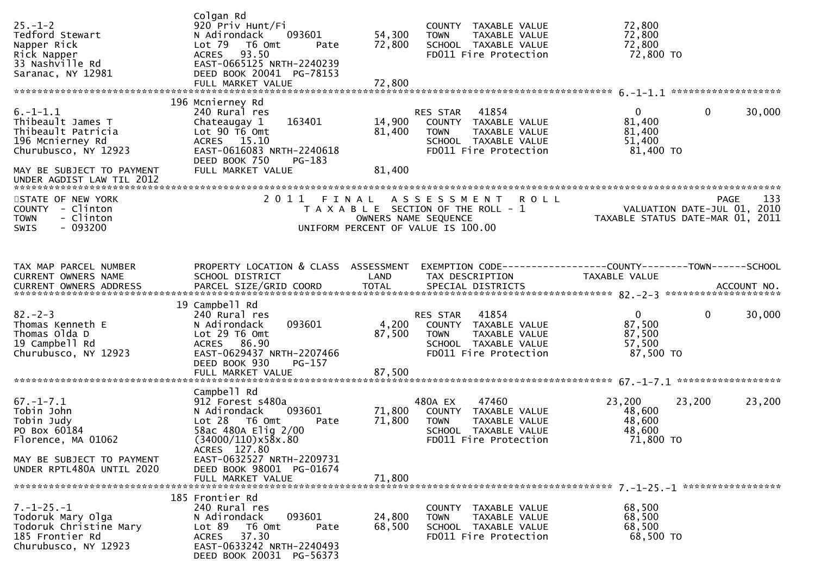| $25. - 1 - 2$<br>Tedford Stewart<br>Napper Rick<br>Rick Napper<br>33 Nashville Rd<br>Saranac, NY 12981                                                         | Colgan Rd<br>920 Priv Hunt/Fi<br>093601<br>N Adirondack<br>Lot 79<br>T6 Omt<br>Pate<br>93.50<br><b>ACRES</b><br>EAST-0665125 NRTH-2240239<br>DEED BOOK 20041 PG-78153<br>FULL MARKET VALUE                                       | 54,300<br>72,800<br>72,800 | COUNTY TAXABLE VALUE<br>TAXABLE VALUE<br><b>TOWN</b><br>SCHOOL TAXABLE VALUE<br>FD011 Fire Protection                                     | 72,800<br>72,800<br>72,800<br>72,800 TO                                              |                    |
|----------------------------------------------------------------------------------------------------------------------------------------------------------------|----------------------------------------------------------------------------------------------------------------------------------------------------------------------------------------------------------------------------------|----------------------------|-------------------------------------------------------------------------------------------------------------------------------------------|--------------------------------------------------------------------------------------|--------------------|
| $6. -1 - 1.1$<br>Thibeault James T<br>Thibeault Patricia<br>196 Mcnierney Rd<br>Churubusco, NY 12923<br>MAY BE SUBJECT TO PAYMENT<br>UNDER AGDIST LAW TIL 2012 | 196 Mcnierney Rd<br>240 Rural res<br>163401<br>Chateaugay 1<br>Lot 90 T6 Omt<br>ACRES 15.10<br>EAST-0616083 NRTH-2240618<br>DEED BOOK 750<br>PG-183<br>FULL MARKET VALUE                                                         | 14,900<br>81,400<br>81,400 | 41854<br><b>RES STAR</b><br>COUNTY TAXABLE VALUE<br>TAXABLE VALUE<br><b>TOWN</b><br>SCHOOL TAXABLE VALUE<br>FD011 Fire Protection         | $\mathbf{0}$<br>$\mathbf 0$<br>81,400<br>81,400<br>51,400<br>81,400 TO               | 30,000             |
| STATE OF NEW YORK<br>COUNTY - Clinton<br><b>TOWN</b><br>- Clinton<br>$-093200$<br><b>SWIS</b>                                                                  | 2011                                                                                                                                                                                                                             | FINAL                      | A S S E S S M E N T<br><b>ROLL</b><br>T A X A B L E SECTION OF THE ROLL - 1<br>OWNERS NAME SEQUENCE<br>UNIFORM PERCENT OF VALUE IS 100.00 | VALUATION DATE-JUL 01, 2010<br>TAXABLE STATUS DATE-MAR 01, 2011                      | 133<br><b>PAGE</b> |
| TAX MAP PARCEL NUMBER<br><b>CURRENT OWNERS NAME</b>                                                                                                            | PROPERTY LOCATION & CLASS ASSESSMENT<br>SCHOOL DISTRICT                                                                                                                                                                          | LAND                       | TAX DESCRIPTION                                                                                                                           | EXEMPTION CODE-----------------COUNTY-------TOWN------SCHOOL<br><b>TAXABLE VALUE</b> |                    |
| $82 - 2 - 3$<br>Thomas Kenneth E<br>Thomas Olda D<br>19 Campbell Rd<br>Churubusco, NY 12923                                                                    | 19 Campbell Rd<br>240 Rural res<br>N Adirondack<br>093601<br>Lot 29 T6 Omt<br>ACRES 86.90<br>EAST-0629437 NRTH-2207466<br>DEED BOOK 930<br>PG-157                                                                                | 4,200<br>87,500            | 41854<br>RES STAR<br>COUNTY TAXABLE VALUE<br>TAXABLE VALUE<br><b>TOWN</b><br>SCHOOL TAXABLE VALUE<br>FD011 Fire Protection                | $\mathbf{0}$<br>$\mathbf{0}$<br>87,500<br>87,500<br>57,500<br>87,500 TO              | 30,000             |
| $67. - 1 - 7.1$<br>Tobin John<br>Tobin Judy<br>PO Box 60184<br>Florence, MA 01062<br>MAY BE SUBJECT TO PAYMENT<br>UNDER RPTL480A UNTIL 2020                    | Campbell Rd<br>912 Forest s480a<br>093601<br>N Adirondack<br>Lot 28<br>T6 Omt<br>Pate<br>58ac 480A Elig 2/00<br>(34000/110)x58x.80<br>ACRES 127.80<br>EAST-0632527 NRTH-2209731<br>DEED BOOK 98001 PG-01674<br>FULL MARKET VALUE | 71,800<br>71,800<br>71,800 | 480A EX<br>47460<br>COUNTY TAXABLE VALUE<br><b>TOWN</b><br>TAXABLE VALUE<br>SCHOOL TAXABLE VALUE<br>FD011 Fire Protection                 | 23,200<br>23,200<br>48,600<br>48,600<br>48,600<br>71,800 TO                          | 23,200             |
| $7. - 1 - 25. - 1$<br>Todoruk Mary Olga<br>Todoruk Christine Mary<br>185 Frontier Rd<br>Churubusco, NY 12923                                                   | 185 Frontier Rd<br>240 Rural res<br>093601<br>N Adirondack<br>Lot 89<br>T6 Omt<br>Pate<br>ACRES 37.30<br>EAST-0633242 NRTH-2240493<br>DEED BOOK 20031 PG-56373                                                                   | 24,800<br>68,500           | COUNTY TAXABLE VALUE<br>TAXABLE VALUE<br><b>TOWN</b><br>SCHOOL TAXABLE VALUE<br>FD011 Fire Protection                                     | 68,500<br>68,500<br>68,500<br>68,500 TO                                              |                    |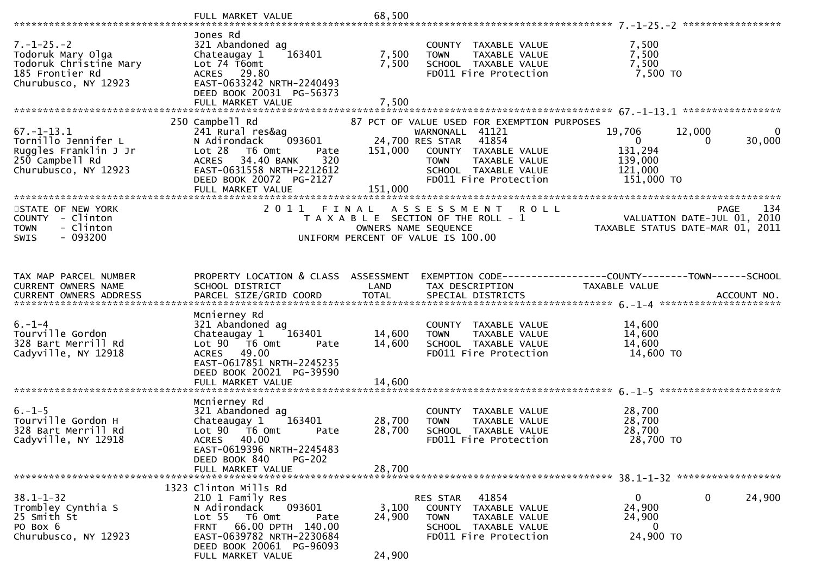|                                                                                                              | Jones Rd                                                                                                                                                                                                       |                            |                                                                                                                                                                                                     |                                                                         |                                                                                       |
|--------------------------------------------------------------------------------------------------------------|----------------------------------------------------------------------------------------------------------------------------------------------------------------------------------------------------------------|----------------------------|-----------------------------------------------------------------------------------------------------------------------------------------------------------------------------------------------------|-------------------------------------------------------------------------|---------------------------------------------------------------------------------------|
| $7. - 1 - 25. - 2$<br>Todoruk Mary Olga<br>Todoruk Christine Mary<br>185 Frontier Rd<br>Churubusco, NY 12923 | 321 Abandoned ag<br>163401<br>Chateaugay 1<br>Lot 74 T6omt<br>ACRES 29.80<br>EAST-0633242 NRTH-2240493<br>DEED BOOK 20031 PG-56373                                                                             | 7,500<br>7,500             | COUNTY TAXABLE VALUE<br>TAXABLE VALUE<br><b>TOWN</b><br>SCHOOL TAXABLE VALUE<br>FD011 Fire Protection                                                                                               | 7,500<br>7,500<br>7,500<br>7,500 TO                                     |                                                                                       |
|                                                                                                              |                                                                                                                                                                                                                |                            |                                                                                                                                                                                                     |                                                                         |                                                                                       |
| $67. - 1 - 13.1$<br>Tornillo Jennifer L<br>Ruggles Franklin J Jr<br>250 Campbell Rd<br>Churubusco, NY 12923  | 250 Campbell Rd<br>241 Rural res&ag<br>093601<br>N Adirondack<br>Lot 28<br>T6 Omt<br>Pate<br>320<br>ACRES 34.40 BANK<br>EAST-0631558 NRTH-2212612<br>DEED BOOK 20072 PG-2127<br>FULL MARKET VALUE              | 151,000<br>151,000         | 87 PCT OF VALUE USED FOR EXEMPTION PURPOSES<br>WARNONALL 41121<br>24,700 RES STAR<br>41854<br>COUNTY TAXABLE VALUE<br><b>TOWN</b><br>TAXABLE VALUE<br>SCHOOL TAXABLE VALUE<br>FD011 Fire Protection | 19,706<br>$\overline{0}$<br>131,294<br>139,000<br>121,000<br>151,000 TO | 12,000<br>$\overline{0}$<br>30,000<br>$\Omega$                                        |
|                                                                                                              |                                                                                                                                                                                                                |                            |                                                                                                                                                                                                     |                                                                         |                                                                                       |
| STATE OF NEW YORK<br>COUNTY - Clinton<br>- Clinton<br><b>TOWN</b><br>$-093200$<br>SWIS                       | 2011 FINAL                                                                                                                                                                                                     |                            | A S S E S S M E N T R O L L<br>T A X A B L E SECTION OF THE ROLL - 1<br>OWNERS NAME SEQUENCE<br>UNIFORM PERCENT OF VALUE IS 100.00                                                                  |                                                                         | <b>PAGE</b><br>134<br>VALUATION DATE-JUL 01, 2010<br>TAXABLE STATUS DATE-MAR 01, 2011 |
|                                                                                                              |                                                                                                                                                                                                                |                            | EXEMPTION CODE------------------COUNTY--------TOWN------SCHOOL                                                                                                                                      |                                                                         |                                                                                       |
| TAX MAP PARCEL NUMBER<br>CURRENT OWNERS NAME                                                                 | PROPERTY LOCATION & CLASS ASSESSMENT<br>SCHOOL DISTRICT                                                                                                                                                        | LAND                       | TAX DESCRIPTION                                                                                                                                                                                     | TAXABLE VALUE                                                           |                                                                                       |
| $6. - 1 - 4$<br>Tourville Gordon<br>328 Bart Merrill Rd<br>Cadyville, NY 12918                               | Mcnierney Rd<br>321 Abandoned ag<br>163401<br>Chateaugay 1<br>Lot 90 T6 Omt<br>Pate<br>ACRES 49.00<br>EAST-0617851 NRTH-2245235<br>DEED BOOK 20021 PG-39590<br>FULL MARKET VALUE                               | 14,600<br>14,600<br>14,600 | COUNTY TAXABLE VALUE<br><b>TOWN</b><br>TAXABLE VALUE<br>SCHOOL TAXABLE VALUE<br>FD011 Fire Protection                                                                                               | 14,600<br>14,600<br>14,600<br>14,600 TO                                 |                                                                                       |
|                                                                                                              | Mcnierney Rd                                                                                                                                                                                                   |                            |                                                                                                                                                                                                     |                                                                         |                                                                                       |
| $6. - 1 - 5$<br>Tourville Gordon H<br>328 Bart Merrill Rd<br>Cadyville, NY 12918                             | 321 Abandoned ag<br>163401<br>Chateaugay 1<br>Lot 90 T6 Omt<br>Pate<br>ACRES 40.00<br>EAST-0619396 NRTH-2245483                                                                                                | 28,700<br>28,700           | COUNTY TAXABLE VALUE<br>TAXABLE VALUE<br><b>TOWN</b><br>SCHOOL TAXABLE VALUE<br>FD011 Fire Protection                                                                                               | 28,700<br>28,700<br>28,700<br>28,700 TO                                 |                                                                                       |
|                                                                                                              | DEED BOOK 840<br><b>PG-202</b><br>FULL MARKET VALUE                                                                                                                                                            | 28,700                     |                                                                                                                                                                                                     |                                                                         |                                                                                       |
|                                                                                                              |                                                                                                                                                                                                                |                            |                                                                                                                                                                                                     |                                                                         |                                                                                       |
| $38.1 - 1 - 32$<br>Trombley Cynthia S<br>25 Smith St<br>PO Box 6<br>Churubusco, NY 12923                     | 1323 Clinton Mills Rd<br>210 1 Family Res<br>093601<br>N Adirondack<br>Lot 55 T6 Omt<br>Pate<br>66.00 DPTH 140.00<br><b>FRNT</b><br>EAST-0639782 NRTH-2230684<br>DEED BOOK 20061 PG-96093<br>FULL MARKET VALUE | 3,100<br>24,900<br>24,900  | 41854<br>RES STAR<br>COUNTY TAXABLE VALUE<br><b>TOWN</b><br>TAXABLE VALUE<br>SCHOOL TAXABLE VALUE<br>FD011 Fire Protection                                                                          | 0<br>24,900<br>24,900<br>0<br>24,900 TO                                 | 0<br>24,900                                                                           |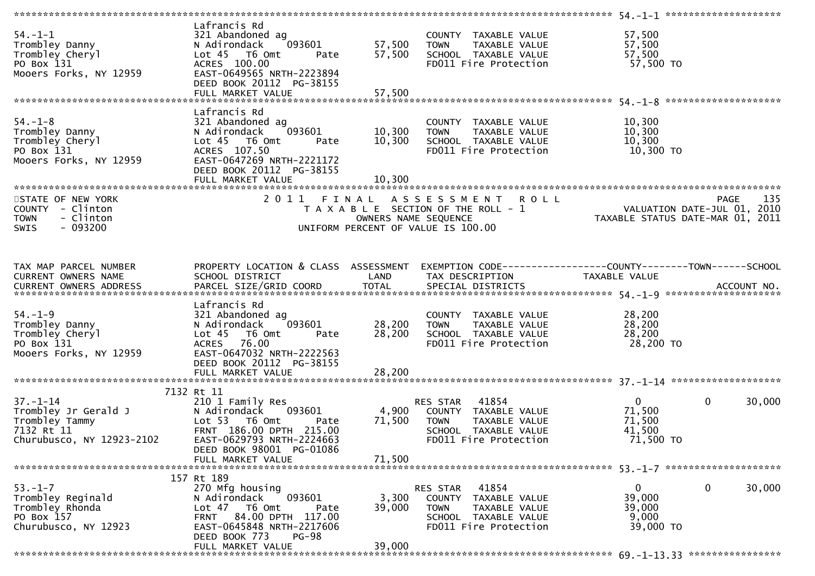| $54. - 1 - 1$<br>Trombley Danny<br>Trombley Cheryl<br>PO Box 131<br>Mooers Forks, NY 12959         | Lafrancis Rd<br>321 Abandoned ag<br>093601<br>N Adirondack<br>$Lot 45$ T6 Omt<br>Pate<br>ACRES 100.00<br>EAST-0649565 NRTH-2223894<br>DEED BOOK 20112 PG-38155<br>FULL MARKET VALUE             | 57,500<br>57,500<br>57,500 | COUNTY TAXABLE VALUE<br>TAXABLE VALUE<br><b>TOWN</b><br>SCHOOL TAXABLE VALUE<br>FD011 Fire Protection                      | 57,500<br>57,500<br>57,500<br>57,500 TO                         |                       |
|----------------------------------------------------------------------------------------------------|-------------------------------------------------------------------------------------------------------------------------------------------------------------------------------------------------|----------------------------|----------------------------------------------------------------------------------------------------------------------------|-----------------------------------------------------------------|-----------------------|
| $54. - 1 - 8$<br>Trombley Danny<br>Trombley Cheryl<br>PO Box 131<br>Mooers Forks, NY 12959         | Lafrancis Rd<br>321 Abandoned ag<br>093601<br>N Adirondack<br>Lot 45  T6 Omt<br>Pate<br>ACRES 107.50<br>EAST-0647269 NRTH-2221172<br>DEED BOOK 20112 PG-38155<br>FULL MARKET VALUE              | 10,300<br>10,300<br>10,300 | COUNTY TAXABLE VALUE<br><b>TOWN</b><br>TAXABLE VALUE<br>SCHOOL TAXABLE VALUE<br>FD011 Fire Protection                      | 10,300<br>10,300<br>10,300<br>10,300 TO                         |                       |
| STATE OF NEW YORK<br>COUNTY - Clinton<br><b>TOWN</b><br>- Clinton<br>- 093200<br>SWIS              | 2011 FINAL                                                                                                                                                                                      | OWNERS NAME SEQUENCE       | A S S E S S M E N T<br><b>ROLL</b><br>T A X A B L E SECTION OF THE ROLL - 1<br>UNIFORM PERCENT OF VALUE IS 100.00          | VALUATION DATE-JUL 01, 2010<br>TAXABLE STATUS DATE-MAR 01, 2011 | 135<br><b>PAGE</b>    |
| TAX MAP PARCEL NUMBER<br>CURRENT OWNERS NAME                                                       | PROPERTY LOCATION & CLASS ASSESSMENT<br>SCHOOL DISTRICT                                                                                                                                         | LAND                       | EXEMPTION CODE-----------------COUNTY-------TOWN------SCHOOL<br>TAX DESCRIPTION                                            | TAXABLE VALUE                                                   |                       |
| $54. - 1 - 9$<br>Trombley Danny<br>Trombley Cheryl<br>PO Box 131<br>Mooers Forks, NY 12959         | Lafrancis Rd<br>321 Abandoned ag<br>093601<br>N Adirondack<br>Lot $45$<br>T6 Omt<br>Pate<br>76.00<br><b>ACRES</b><br>EAST-0647032 NRTH-2222563<br>DEED BOOK 20112 PG-38155<br>FULL MARKET VALUE | 28,200<br>28,200<br>28,200 | COUNTY TAXABLE VALUE<br><b>TOWN</b><br>TAXABLE VALUE<br>SCHOOL TAXABLE VALUE<br>FD011 Fire Protection                      | 28,200<br>28,200<br>28,200<br>28,200 TO                         |                       |
| $37 - 1 - 14$<br>Trombley Jr Gerald J<br>Trombley Tammy<br>7132 Rt 11<br>Churubusco, NY 12923-2102 | 7132 Rt 11<br>210 1 Family Res<br>093601<br>N Adirondack<br>Lot 53 T6 Omt<br>Pate<br>FRNT 186.00 DPTH 215.00<br>EAST-0629793 NRTH-2224663<br>DEED BOOK 98001 PG-01086<br>FULL MARKET VALUE      | 4,900<br>71,500<br>71,500  | 41854<br>RES STAR<br>COUNTY TAXABLE VALUE<br>TAXABLE VALUE<br>TOWN<br>SCHOOL TAXABLE VALUE<br>FD011 Fire Protection        | $\mathbf{0}$<br>71,500<br>71,500<br>41,500<br>71,500 TO         | $\mathbf 0$<br>30,000 |
| $53. - 1 - 7$<br>Trombley Reginald<br>Trombley Rhonda<br>PO Box 157<br>Churubusco, NY 12923        | 157 Rt 189<br>270 Mfg housing<br>093601<br>N Adirondack<br>Lot $47$ T6 Omt<br>Pate<br>FRNT 84.00 DPTH 117.00<br>EAST-0645848 NRTH-2217606<br>DEED BOOK 773<br><b>PG-98</b><br>FULL MARKET VALUE | 3,300<br>39,000<br>39,000  | RES STAR<br>41854<br>COUNTY TAXABLE VALUE<br><b>TOWN</b><br>TAXABLE VALUE<br>SCHOOL TAXABLE VALUE<br>FD011 Fire Protection | $\mathbf{0}$<br>39,000<br>39,000<br>9,000<br>39,000 TO          | 0<br>30,000           |
|                                                                                                    |                                                                                                                                                                                                 |                            |                                                                                                                            |                                                                 |                       |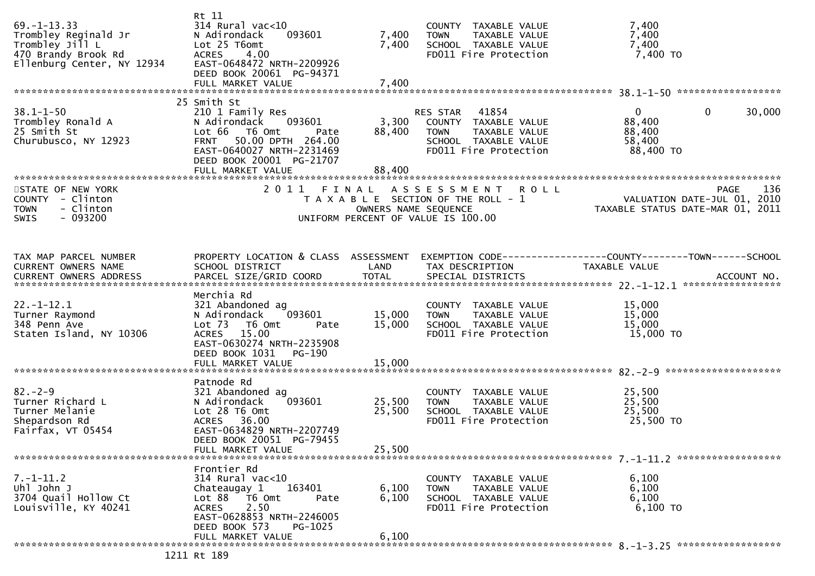| 25 Smith St<br>$38.1 - 1 - 50$<br>$\mathbf{0}$<br>$\mathbf 0$<br>30,000<br>210 1 Family Res<br>41854<br>RES STAR<br>Trombley Ronald A<br>093601<br>3,300<br>88,400<br>N Adirondack<br>COUNTY TAXABLE VALUE<br>25 Smith St<br>Lot 66<br>T6 Omt<br>88,400<br>88,400<br>TAXABLE VALUE<br>Pate<br><b>TOWN</b><br>Churubusco, NY 12923<br>FRNT 50.00 DPTH 264.00<br>SCHOOL TAXABLE VALUE<br>58,400<br>EAST-0640027 NRTH-2231469<br>FD011 Fire Protection<br>88,400 TO<br>DEED BOOK 20001 PG-21707<br>88,400<br>FULL MARKET VALUE<br>2011<br>136<br>STATE OF NEW YORK<br>A S S E S S M E N T<br><b>ROLL</b><br><b>PAGE</b><br>FINAL<br>VALUATION DATE-JUL 01, 2010<br>COUNTY - Clinton<br>T A X A B L E SECTION OF THE ROLL - 1<br>TAXABLE STATUS DATE-MAR 01, 2011<br>- Clinton<br>OWNERS NAME SEQUENCE<br><b>TOWN</b><br>$-093200$<br><b>SWIS</b><br>UNIFORM PERCENT OF VALUE IS 100.00<br>PROPERTY LOCATION & CLASS ASSESSMENT<br>TAX MAP PARCEL NUMBER<br>EXEMPTION CODE------------------COUNTY--------TOWN------SCHOOL<br>CURRENT OWNERS NAME<br>SCHOOL DISTRICT<br>LAND<br>TAX DESCRIPTION<br>TAXABLE VALUE<br>Merchia Rd<br>$22. - 1 - 12.1$<br>15,000<br>321 Abandoned ag<br>COUNTY TAXABLE VALUE<br>15,000<br>15,000<br>Turner Raymond<br>N Adirondack<br>093601<br>TAXABLE VALUE<br><b>TOWN</b><br>15,000<br>348 Penn Ave<br>Lot 73 T6 Omt<br>15,000<br>SCHOOL TAXABLE VALUE<br>Pate<br>Staten Island, NY 10306<br>FD011 Fire Protection<br>15,000 TO<br>ACRES 15.00<br>EAST-0630274 NRTH-2235908<br>DEED BOOK 1031<br>PG-190<br>Patnode Rd<br>$82 - 2 - 9$<br>25,500<br>321 Abandoned ag<br>COUNTY TAXABLE VALUE<br>093601<br>25,500<br>25,500<br>Turner Richard L<br>N Adirondack<br>TOWN<br>TAXABLE VALUE<br>25,500<br>Lot 28 T6 Omt<br>25,500<br>Turner Melanie<br>SCHOOL TAXABLE VALUE<br>Shepardson Rd<br>ACRES 36.00<br>FD011 Fire Protection<br>25,500 TO<br>EAST-0634829 NRTH-2207749<br>Fairfax, VT 05454<br>DEED BOOK 20051 PG-79455<br>25,500<br>FULL MARKET VALUE<br>Frontier Rd<br>$7. - 1 - 11.2$<br>$314$ Rural vac<10<br>6,100<br>COUNTY TAXABLE VALUE<br>Uhl John J<br>163401<br>6,100<br>Chateaugay 1<br>6,100<br>TAXABLE VALUE<br><b>TOWN</b><br>3704 Quail Hollow Ct<br>Lot 88 T6 Omt<br>6,100<br>6,100<br>SCHOOL TAXABLE VALUE<br>Pate<br>Louisville, KY 40241<br>2.50<br>FD011 Fire Protection<br>$6,100$ TO<br><b>ACRES</b><br>EAST-0628853 NRTH-2246005<br>DEED BOOK 573<br>PG-1025<br>6,100<br>FULL MARKET VALUE | $69. -1 - 13.33$<br>Trombley Reginald Jr<br>Trombley Jill L<br>470 Brandy Brook Rd<br>Ellenburg Center, NY 12934 | Rt 11<br>$314$ Rural vac<10<br>093601<br>N Adirondack<br>Lot 25 T6omt<br>4.00<br><b>ACRES</b><br>EAST-0648472 NRTH-2209926<br>DEED BOOK 20061 PG-94371 | 7,400<br>7,400 | COUNTY TAXABLE VALUE<br>TAXABLE VALUE<br><b>TOWN</b><br>SCHOOL TAXABLE VALUE<br>FD011 Fire Protection | 7,400<br>7,400<br>7,400<br>$7,400$ TO |  |
|-------------------------------------------------------------------------------------------------------------------------------------------------------------------------------------------------------------------------------------------------------------------------------------------------------------------------------------------------------------------------------------------------------------------------------------------------------------------------------------------------------------------------------------------------------------------------------------------------------------------------------------------------------------------------------------------------------------------------------------------------------------------------------------------------------------------------------------------------------------------------------------------------------------------------------------------------------------------------------------------------------------------------------------------------------------------------------------------------------------------------------------------------------------------------------------------------------------------------------------------------------------------------------------------------------------------------------------------------------------------------------------------------------------------------------------------------------------------------------------------------------------------------------------------------------------------------------------------------------------------------------------------------------------------------------------------------------------------------------------------------------------------------------------------------------------------------------------------------------------------------------------------------------------------------------------------------------------------------------------------------------------------------------------------------------------------------------------------------------------------------------------------------------------------------------------------------------------------------------------------------------------------------------------------------------------------------------------------------------------------------------------------------------------------------------------------------|------------------------------------------------------------------------------------------------------------------|--------------------------------------------------------------------------------------------------------------------------------------------------------|----------------|-------------------------------------------------------------------------------------------------------|---------------------------------------|--|
|                                                                                                                                                                                                                                                                                                                                                                                                                                                                                                                                                                                                                                                                                                                                                                                                                                                                                                                                                                                                                                                                                                                                                                                                                                                                                                                                                                                                                                                                                                                                                                                                                                                                                                                                                                                                                                                                                                                                                                                                                                                                                                                                                                                                                                                                                                                                                                                                                                                 |                                                                                                                  |                                                                                                                                                        |                |                                                                                                       |                                       |  |
|                                                                                                                                                                                                                                                                                                                                                                                                                                                                                                                                                                                                                                                                                                                                                                                                                                                                                                                                                                                                                                                                                                                                                                                                                                                                                                                                                                                                                                                                                                                                                                                                                                                                                                                                                                                                                                                                                                                                                                                                                                                                                                                                                                                                                                                                                                                                                                                                                                                 |                                                                                                                  |                                                                                                                                                        |                |                                                                                                       |                                       |  |
|                                                                                                                                                                                                                                                                                                                                                                                                                                                                                                                                                                                                                                                                                                                                                                                                                                                                                                                                                                                                                                                                                                                                                                                                                                                                                                                                                                                                                                                                                                                                                                                                                                                                                                                                                                                                                                                                                                                                                                                                                                                                                                                                                                                                                                                                                                                                                                                                                                                 |                                                                                                                  |                                                                                                                                                        |                |                                                                                                       |                                       |  |
|                                                                                                                                                                                                                                                                                                                                                                                                                                                                                                                                                                                                                                                                                                                                                                                                                                                                                                                                                                                                                                                                                                                                                                                                                                                                                                                                                                                                                                                                                                                                                                                                                                                                                                                                                                                                                                                                                                                                                                                                                                                                                                                                                                                                                                                                                                                                                                                                                                                 |                                                                                                                  |                                                                                                                                                        |                |                                                                                                       |                                       |  |
|                                                                                                                                                                                                                                                                                                                                                                                                                                                                                                                                                                                                                                                                                                                                                                                                                                                                                                                                                                                                                                                                                                                                                                                                                                                                                                                                                                                                                                                                                                                                                                                                                                                                                                                                                                                                                                                                                                                                                                                                                                                                                                                                                                                                                                                                                                                                                                                                                                                 |                                                                                                                  |                                                                                                                                                        |                |                                                                                                       |                                       |  |
|                                                                                                                                                                                                                                                                                                                                                                                                                                                                                                                                                                                                                                                                                                                                                                                                                                                                                                                                                                                                                                                                                                                                                                                                                                                                                                                                                                                                                                                                                                                                                                                                                                                                                                                                                                                                                                                                                                                                                                                                                                                                                                                                                                                                                                                                                                                                                                                                                                                 |                                                                                                                  |                                                                                                                                                        |                |                                                                                                       |                                       |  |
|                                                                                                                                                                                                                                                                                                                                                                                                                                                                                                                                                                                                                                                                                                                                                                                                                                                                                                                                                                                                                                                                                                                                                                                                                                                                                                                                                                                                                                                                                                                                                                                                                                                                                                                                                                                                                                                                                                                                                                                                                                                                                                                                                                                                                                                                                                                                                                                                                                                 |                                                                                                                  |                                                                                                                                                        |                |                                                                                                       |                                       |  |
|                                                                                                                                                                                                                                                                                                                                                                                                                                                                                                                                                                                                                                                                                                                                                                                                                                                                                                                                                                                                                                                                                                                                                                                                                                                                                                                                                                                                                                                                                                                                                                                                                                                                                                                                                                                                                                                                                                                                                                                                                                                                                                                                                                                                                                                                                                                                                                                                                                                 |                                                                                                                  |                                                                                                                                                        |                |                                                                                                       |                                       |  |
|                                                                                                                                                                                                                                                                                                                                                                                                                                                                                                                                                                                                                                                                                                                                                                                                                                                                                                                                                                                                                                                                                                                                                                                                                                                                                                                                                                                                                                                                                                                                                                                                                                                                                                                                                                                                                                                                                                                                                                                                                                                                                                                                                                                                                                                                                                                                                                                                                                                 |                                                                                                                  |                                                                                                                                                        |                |                                                                                                       |                                       |  |
|                                                                                                                                                                                                                                                                                                                                                                                                                                                                                                                                                                                                                                                                                                                                                                                                                                                                                                                                                                                                                                                                                                                                                                                                                                                                                                                                                                                                                                                                                                                                                                                                                                                                                                                                                                                                                                                                                                                                                                                                                                                                                                                                                                                                                                                                                                                                                                                                                                                 |                                                                                                                  |                                                                                                                                                        |                |                                                                                                       |                                       |  |
|                                                                                                                                                                                                                                                                                                                                                                                                                                                                                                                                                                                                                                                                                                                                                                                                                                                                                                                                                                                                                                                                                                                                                                                                                                                                                                                                                                                                                                                                                                                                                                                                                                                                                                                                                                                                                                                                                                                                                                                                                                                                                                                                                                                                                                                                                                                                                                                                                                                 |                                                                                                                  |                                                                                                                                                        |                |                                                                                                       |                                       |  |
|                                                                                                                                                                                                                                                                                                                                                                                                                                                                                                                                                                                                                                                                                                                                                                                                                                                                                                                                                                                                                                                                                                                                                                                                                                                                                                                                                                                                                                                                                                                                                                                                                                                                                                                                                                                                                                                                                                                                                                                                                                                                                                                                                                                                                                                                                                                                                                                                                                                 |                                                                                                                  |                                                                                                                                                        |                |                                                                                                       |                                       |  |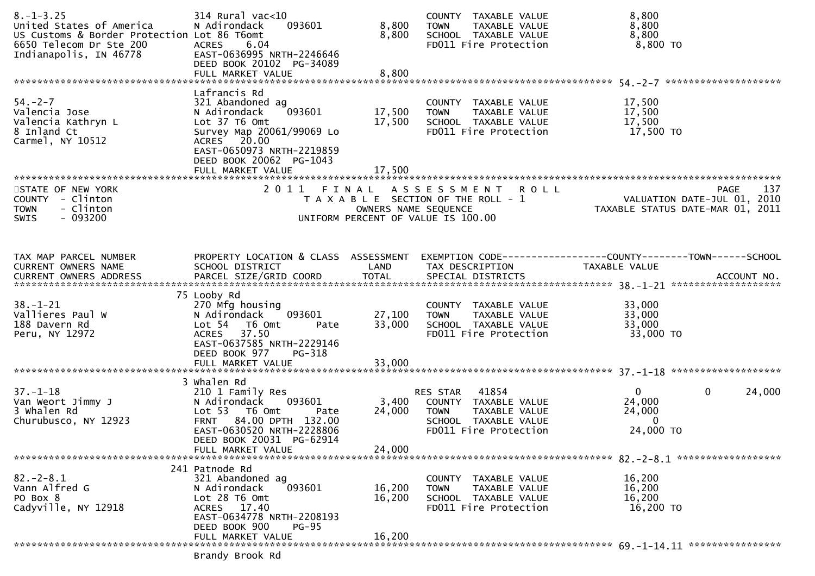| $8. - 1 - 3.25$<br>United States of America<br>US Customs & Border Protection Lot 86 T6omt<br>6650 Telecom Dr Ste 200<br>Indianapolis, IN 46778 | 314 Rural vac<10<br>093601<br>N Adirondack<br>6.04<br><b>ACRES</b><br>EAST-0636995 NRTH-2246646<br>DEED BOOK 20102 PG-34089<br>FULL MARKET VALUE                                     | 8,800<br>8,800<br>8,800    | COUNTY TAXABLE VALUE<br>TAXABLE VALUE<br>TOWN<br>SCHOOL TAXABLE VALUE<br>FD011 Fire Protection                             | 8,800<br>8,800<br>8,800<br>8,800 TO                                                    |                       |
|-------------------------------------------------------------------------------------------------------------------------------------------------|--------------------------------------------------------------------------------------------------------------------------------------------------------------------------------------|----------------------------|----------------------------------------------------------------------------------------------------------------------------|----------------------------------------------------------------------------------------|-----------------------|
|                                                                                                                                                 | Lafrancis Rd                                                                                                                                                                         |                            |                                                                                                                            |                                                                                        |                       |
| $54. - 2 - 7$<br>Valencia Jose<br>Valencia Kathryn L<br>8 Inland Ct<br>Carmel, NY 10512                                                         | 321 Abandoned ag<br>093601<br>N Adirondack<br>Lot 37 T6 Omt<br>Survey Map 20061/99069 Lo<br>ACRES 20.00<br>EAST-0650973 NRTH-2219859<br>DEED BOOK 20062 PG-1043<br>FULL MARKET VALUE | 17,500<br>17,500<br>17,500 | COUNTY TAXABLE VALUE<br>TAXABLE VALUE<br><b>TOWN</b><br>SCHOOL TAXABLE VALUE<br>FD011 Fire Protection                      | 17,500<br>17,500<br>17,500<br>17,500 TO                                                |                       |
|                                                                                                                                                 |                                                                                                                                                                                      |                            |                                                                                                                            |                                                                                        |                       |
| STATE OF NEW YORK<br>COUNTY - Clinton<br>- Clinton<br><b>TOWN</b><br>$-093200$<br><b>SWIS</b>                                                   |                                                                                                                                                                                      | OWNERS NAME SEQUENCE       | 2011 FINAL ASSESSMENT<br><b>ROLL</b><br>T A X A B L E SECTION OF THE ROLL - 1<br>UNIFORM PERCENT OF VALUE IS 100.00        | VALUATION DATE-JUL 01, 2010<br>TAXABLE STATUS DATE-MAR 01, 2011                        | 137<br>PAGE           |
| TAX MAP PARCEL NUMBER<br>CURRENT OWNERS NAME                                                                                                    | PROPERTY LOCATION & CLASS ASSESSMENT<br>SCHOOL DISTRICT                                                                                                                              | LAND                       | TAX DESCRIPTION                                                                                                            | EXEMPTION CODE------------------COUNTY--------TOWN------SCHOOL<br><b>TAXABLE VALUE</b> |                       |
| $38. - 1 - 21$<br>Vallieres Paul W<br>188 Davern Rd<br>Peru, NY 12972                                                                           | 75 Looby Rd<br>270 Mfg housing<br>093601<br>N Adirondack<br>Lot 54  T6 Omt<br>Pate<br>ACRES 37.50<br>EAST-0637585 NRTH-2229146<br>DEED BOOK 977<br>PG-318                            | 27,100<br>33,000           | COUNTY TAXABLE VALUE<br><b>TOWN</b><br>TAXABLE VALUE<br>SCHOOL TAXABLE VALUE<br>FD011 Fire Protection                      | 33,000<br>33,000<br>33,000<br>33,000 TO                                                |                       |
|                                                                                                                                                 | FULL MARKET VALUE                                                                                                                                                                    | 33,000                     |                                                                                                                            |                                                                                        |                       |
|                                                                                                                                                 | 3 Whalen Rd                                                                                                                                                                          |                            |                                                                                                                            |                                                                                        |                       |
| $37. - 1 - 18$<br>Van Weort Jimmy J<br>3 Whalen Rd<br>Churubusco, NY 12923                                                                      | 210 1 Family Res<br>093601<br>N Adirondack<br>Lot 53 T6 Omt<br>Pate<br>FRNT 84.00 DPTH 132.00<br>EAST-0630520 NRTH-2228806<br>DEED BOOK 20031 PG-62914<br>FULL MARKET VALUE          | 3,400<br>24,000<br>24,000  | 41854<br>RES STAR<br>COUNTY TAXABLE VALUE<br><b>TOWN</b><br>TAXABLE VALUE<br>SCHOOL TAXABLE VALUE<br>FD011 Fire Protection | $\overline{0}$<br>24,000<br>24,000<br>$\Omega$<br>24,000 TO                            | $\mathbf 0$<br>24,000 |
|                                                                                                                                                 |                                                                                                                                                                                      |                            |                                                                                                                            |                                                                                        |                       |
| $82 - 2 - 8.1$<br>Vann Alfred G<br>PO Box 8<br>Cadyville, NY 12918                                                                              | 241 Patnode Rd<br>321 Abandoned ag<br>093601<br>N Adirondack<br>Lot $28$ T6 Omt<br>ACRES 17.40<br>EAST-0634778 NRTH-2208193                                                          | 16,200<br>16,200           | TAXABLE VALUE<br><b>COUNTY</b><br>TAXABLE VALUE<br><b>TOWN</b><br>SCHOOL TAXABLE VALUE<br>FD011 Fire Protection            | 16,200<br>16,200<br>16,200<br>16,200 TO                                                |                       |
|                                                                                                                                                 | DEED BOOK 900<br><b>PG-95</b><br>FULL MARKET VALUE                                                                                                                                   | 16,200                     |                                                                                                                            |                                                                                        |                       |
|                                                                                                                                                 |                                                                                                                                                                                      |                            |                                                                                                                            |                                                                                        |                       |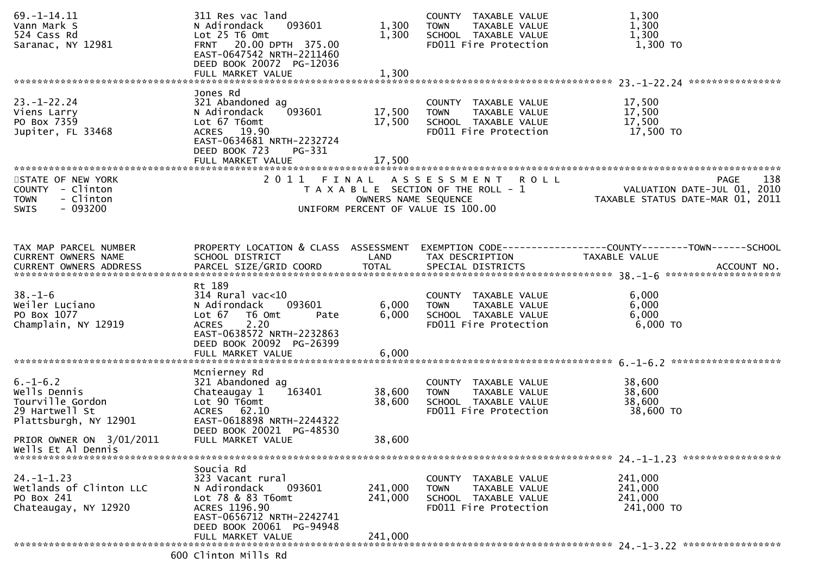| $69. - 1 - 14.11$<br>Vann Mark S<br>524 Cass Rd<br>Saranac, NY 12981                          | 311 Res vac land<br>093601<br>N Adirondack<br>Lot 25 T6 Omt<br>FRNT 20.00 DPTH 375.00<br>EAST-0647542 NRTH-2211460<br>DEED BOOK 20072 PG-12036                      | 1,300<br>1,300             | COUNTY TAXABLE VALUE<br>TAXABLE VALUE<br>TOWN<br>SCHOOL TAXABLE VALUE<br>FD011 Fire Protection                      | 1,300<br>1,300<br>1,300<br>1,300 TO                                                   |
|-----------------------------------------------------------------------------------------------|---------------------------------------------------------------------------------------------------------------------------------------------------------------------|----------------------------|---------------------------------------------------------------------------------------------------------------------|---------------------------------------------------------------------------------------|
|                                                                                               | FULL MARKET VALUE                                                                                                                                                   | 1,300                      |                                                                                                                     |                                                                                       |
| $23. - 1 - 22.24$<br>Viens Larry<br>PO Box 7359<br>Jupiter, FL 33468                          | Jones Rd<br>321 Abandoned ag<br>093601<br>N Adirondack<br>Lot 67 T6omt<br>ACRES 19.90<br>EAST-0634681 NRTH-2232724<br>DEED BOOK 723<br>PG-331<br>FULL MARKET VALUE  | 17,500<br>17,500<br>17,500 | COUNTY TAXABLE VALUE<br>TAXABLE VALUE<br><b>TOWN</b><br>SCHOOL TAXABLE VALUE<br>FD011 Fire Protection               | 17,500<br>17,500<br>17,500<br>17,500 TO                                               |
| STATE OF NEW YORK<br>COUNTY - Clinton<br>- Clinton<br><b>TOWN</b><br>$-093200$<br><b>SWIS</b> |                                                                                                                                                                     | OWNERS NAME SEQUENCE       | 2011 FINAL ASSESSMENT<br><b>ROLL</b><br>T A X A B L E SECTION OF THE ROLL - 1<br>UNIFORM PERCENT OF VALUE IS 100.00 | 138<br><b>PAGE</b><br>VALUATION DATE-JUL 01, 2010<br>TAXABLE STATUS DATE-MAR 01, 2011 |
| TAX MAP PARCEL NUMBER<br>CURRENT OWNERS NAME                                                  | PROPERTY LOCATION & CLASS ASSESSMENT<br>SCHOOL DISTRICT                                                                                                             | LAND                       | TAX DESCRIPTION                                                                                                     | TAXABLE VALUE                                                                         |
| $38. - 1 - 6$<br>Weiler Luciano<br>PO Box 1077<br>Champlain, NY 12919                         | Rt 189<br>314 Rural vac<10<br>093601<br>N Adirondack<br>T6 Omt<br>Lot $67$<br>Pate<br>2.20<br><b>ACRES</b><br>EAST-0638572 NRTH-2232863<br>DEED BOOK 20092 PG-26399 | 6,000<br>6,000             | COUNTY TAXABLE VALUE<br>TAXABLE VALUE<br>TOWN<br>SCHOOL TAXABLE VALUE<br>FD011 Fire Protection                      | 6,000<br>6,000<br>6,000<br>6,000 TO                                                   |
|                                                                                               | Mcnierney Rd                                                                                                                                                        |                            |                                                                                                                     |                                                                                       |
| $6. -1 - 6.2$<br>Wells Dennis<br>Tourville Gordon<br>29 Hartwell St<br>Plattsburgh, NY 12901  | 321 Abandoned ag<br>Chateaugay 1<br>163401<br>Lot 90 T6omt<br>ACRES 62.10<br>EAST-0618898 NRTH-2244322                                                              | 38,600<br>38,600           | COUNTY TAXABLE VALUE<br><b>TOWN</b><br>TAXABLE VALUE<br>SCHOOL TAXABLE VALUE<br>FD011 Fire Protection               | 38,600<br>38,600<br>38,600<br>38,600 TO                                               |
| PRIOR OWNER ON 3/01/2011<br>Wells Et Al Dennis                                                | DEED BOOK 20021 PG-48530<br>FULL MARKET VALUE                                                                                                                       | 38,600                     |                                                                                                                     |                                                                                       |
|                                                                                               | Soucia Rd                                                                                                                                                           |                            |                                                                                                                     |                                                                                       |
| $24. - 1 - 1.23$<br>Wetlands of Clinton LLC<br>PO Box 241<br>Chateaugay, NY 12920             | 323 Vacant rural<br>N Adirondack<br>093601<br>Lot 78 & 83 T6omt<br>ACRES 1196.90<br>EAST-0656712 NRTH-2242741<br>DEED BOOK 20061 PG-94948                           | 241,000<br>241,000         | COUNTY TAXABLE VALUE<br>TAXABLE VALUE<br><b>TOWN</b><br>SCHOOL TAXABLE VALUE<br>FD011 Fire Protection               | 241,000<br>241,000<br>241,000<br>241,000 TO                                           |
|                                                                                               | FULL MARKET VALUE                                                                                                                                                   | 241,000                    |                                                                                                                     |                                                                                       |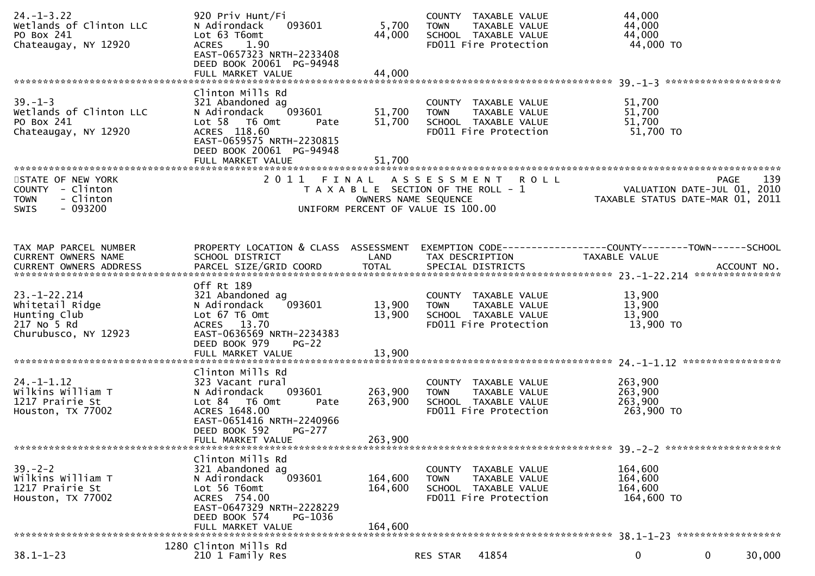| $24. - 1 - 3.22$<br>Wetlands of Clinton LLC<br>PO Box 241<br>Chateaugay, NY 12920             | 920 Priv Hunt/Fi<br>093601<br>N Adirondack<br>Lot 63 T6omt<br>1.90<br><b>ACRES</b><br>EAST-0657323 NRTH-2233408<br>DEED BOOK 20061 PG-94948<br>FULL MARKET VALUE                       | 5,700<br>44,000<br>44,000     | COUNTY TAXABLE VALUE<br><b>TOWN</b><br>TAXABLE VALUE<br>SCHOOL TAXABLE VALUE<br>FD011 Fire Protection             | 44,000<br>44,000<br>44,000<br>44,000 TO                                                                                                                                                                                                         |
|-----------------------------------------------------------------------------------------------|----------------------------------------------------------------------------------------------------------------------------------------------------------------------------------------|-------------------------------|-------------------------------------------------------------------------------------------------------------------|-------------------------------------------------------------------------------------------------------------------------------------------------------------------------------------------------------------------------------------------------|
| $39. - 1 - 3$<br>Wetlands of Clinton LLC<br>PO Box 241<br>Chateaugay, NY 12920                | Clinton Mills Rd<br>321 Abandoned ag<br>093601<br>N Adirondack<br>Lot 58  T6 0mt<br>Pate<br>ACRES 118.60<br>EAST-0659575 NRTH-2230815<br>DEED BOOK 20061 PG-94948<br>FULL MARKET VALUE | 51,700<br>51,700<br>51,700    | COUNTY TAXABLE VALUE<br><b>TOWN</b><br>TAXABLE VALUE<br>SCHOOL TAXABLE VALUE<br>FD011 Fire Protection             | 51,700<br>51,700<br>51,700<br>51,700 TO                                                                                                                                                                                                         |
| STATE OF NEW YORK<br>COUNTY - Clinton<br>- Clinton<br><b>TOWN</b><br>$-093200$<br><b>SWIS</b> | 2011<br>FINAL                                                                                                                                                                          | OWNERS NAME SEQUENCE          | A S S E S S M E N T<br><b>ROLL</b><br>T A X A B L E SECTION OF THE ROLL - 1<br>UNIFORM PERCENT OF VALUE IS 100.00 | 139<br><b>PAGE</b><br>VALUATION DATE-JUL 01, 2010<br>TAXABLE STATUS DATE-MAR 01, 2011                                                                                                                                                           |
| TAX MAP PARCEL NUMBER<br>CURRENT OWNERS NAME                                                  | PROPERTY LOCATION & CLASS ASSESSMENT<br>SCHOOL DISTRICT                                                                                                                                | LAND                          | TAX DESCRIPTION                                                                                                   | TAXABLE VALUE<br>.CURRENT OWNERS ADDRESS PARCEL SIZE/GRID COORD TOTAL SPECIAL DISTRICTS (ACCOUNT NO ACCOUNT NO ACCOUNT NO AND ASSESS TO A AND A AND A A SERVER A SERVER AND A SERVER AND A SERVER AND A SERVER AND TO A SERVER AND THE SERVER A |
| $23. - 1 - 22.214$<br>Whitetail Ridge<br>Hunting Club<br>217 No 5 Rd<br>Churubusco, NY 12923  | Off Rt 189<br>321 Abandoned ag<br>N Adirondack<br>093601<br>Lot 67 T6 Omt<br>ACRES 13.70<br>EAST-0636569 NRTH-2234383<br>DEED BOOK 979<br>$PG-22$                                      | 13,900<br>13,900              | COUNTY TAXABLE VALUE<br>TAXABLE VALUE<br><b>TOWN</b><br>SCHOOL TAXABLE VALUE<br>FD011 Fire Protection             | 13,900<br>13,900<br>13,900<br>13,900 TO                                                                                                                                                                                                         |
| $24. - 1 - 1.12$<br>Wilkins William T<br>1217 Prairie St<br>Houston, TX 77002                 | Clinton Mills Rd<br>323 Vacant rural<br>093601<br>N Adirondack<br>Lot 84 T6 Omt<br>Pate<br>ACRES 1648.00<br>EAST-0651416 NRTH-2240966<br>DEED BOOK 592<br>PG-277<br>FULL MARKET VALUE  | 263,900<br>263,900<br>263,900 | COUNTY TAXABLE VALUE<br><b>TOWN</b><br>TAXABLE VALUE<br>SCHOOL TAXABLE VALUE<br>FD011 Fire Protection             | 263,900<br>263,900<br>263,900<br>263,900 TO                                                                                                                                                                                                     |
| $39 - 2 - 2$<br>Wilkins William T<br>1217 Prairie St<br>Houston, TX 77002                     | Clinton Mills Rd<br>321 Abandoned ag<br>N Adirondack<br>093601<br>Lot 56 T6omt<br>ACRES 754.00<br>EAST-0647329 NRTH-2228229<br>DEED BOOK 574<br>PG-1036<br>FULL MARKET VALUE           | 164,600<br>164,600<br>164,600 | COUNTY TAXABLE VALUE<br>TAXABLE VALUE<br><b>TOWN</b><br>SCHOOL TAXABLE VALUE<br>FD011 Fire Protection             | 164,600<br>164,600<br>164,600<br>164,600 TO                                                                                                                                                                                                     |
| $38.1 - 1 - 23$                                                                               | 1280 Clinton Mills Rd<br>210 1 Family Res                                                                                                                                              |                               | 41854<br>RES STAR                                                                                                 | 30,000<br>$\mathbf 0$<br>$\mathbf 0$                                                                                                                                                                                                            |
|                                                                                               |                                                                                                                                                                                        |                               |                                                                                                                   |                                                                                                                                                                                                                                                 |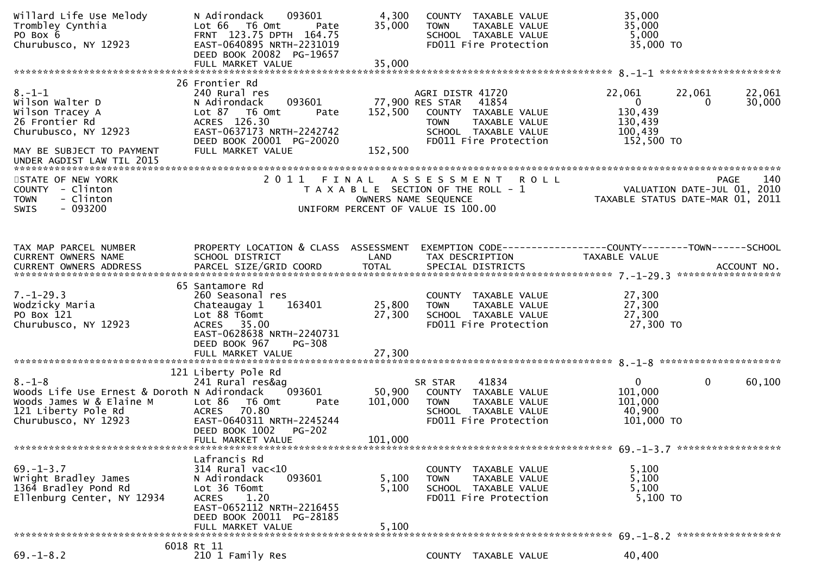| Willard Life Use Melody<br>Trombley Cynthia<br>PO Box 6<br>Churubusco, NY 12923                                                                        | N Adirondack<br>093601<br>Lot 66 T6 Omt<br>Pate<br>FRNT 123.75 DPTH 164.75<br>EAST-0640895 NRTH-2231019<br>DEED BOOK 20082 PG-19657                                               | 4,300<br>35,000              | COUNTY TAXABLE VALUE<br>TAXABLE VALUE<br><b>TOWN</b><br>SCHOOL TAXABLE VALUE<br>FD011 Fire Protection                                                 | 35,000<br>35,000<br>5,000<br>35,000 TO                                                        |                  |
|--------------------------------------------------------------------------------------------------------------------------------------------------------|-----------------------------------------------------------------------------------------------------------------------------------------------------------------------------------|------------------------------|-------------------------------------------------------------------------------------------------------------------------------------------------------|-----------------------------------------------------------------------------------------------|------------------|
|                                                                                                                                                        |                                                                                                                                                                                   |                              |                                                                                                                                                       |                                                                                               |                  |
| $8. - 1 - 1$<br>Wilson Walter D<br>Wilson Tracey A<br>26 Frontier Rd<br>Churubusco, NY 12923<br>MAY BE SUBJECT TO PAYMENT<br>UNDER AGDIST LAW TIL 2015 | 26 Frontier Rd<br>240 Rural res<br>093601<br>N Adirondack<br>Lot 87 T6 Omt<br>Pate<br>ACRES 126.30<br>EAST-0637173 NRTH-2242742<br>DEED BOOK 20001 PG-20020<br>FULL MARKET VALUE  | 152,500<br>152,500           | AGRI DISTR 41720<br>41854<br>77,900 RES STAR<br>COUNTY TAXABLE VALUE<br><b>TOWN</b><br>TAXABLE VALUE<br>SCHOOL TAXABLE VALUE<br>FD011 Fire Protection | 22,061<br>22,061<br>$\overline{0}$<br>$\Omega$<br>130,439<br>130,439<br>100,439<br>152,500 TO | 22,061<br>30,000 |
|                                                                                                                                                        |                                                                                                                                                                                   |                              |                                                                                                                                                       |                                                                                               |                  |
| STATE OF NEW YORK<br>COUNTY - Clinton<br>- Clinton<br><b>TOWN</b><br>$-093200$<br><b>SWIS</b>                                                          |                                                                                                                                                                                   |                              | 2011 FINAL ASSESSMENT<br><b>ROLL</b><br>T A X A B L E SECTION OF THE ROLL - 1<br>OWNERS NAME SEQUENCE<br>UNIFORM PERCENT OF VALUE IS 100.00           | <b>PAGE</b><br>VALUATION DATE-JUL 01, 2010<br>TAXABLE STATUS DATE-MAR 01, 2011                | 140              |
| TAX MAP PARCEL NUMBER                                                                                                                                  | PROPERTY LOCATION & CLASS ASSESSMENT                                                                                                                                              |                              |                                                                                                                                                       | EXEMPTION CODE-----------------COUNTY-------TOWN------SCHOOL                                  |                  |
| CURRENT OWNERS NAME                                                                                                                                    | SCHOOL DISTRICT                                                                                                                                                                   | LAND                         | TAX DESCRIPTION                                                                                                                                       | TAXABLE VALUE                                                                                 |                  |
| $7. - 1 - 29.3$<br>Wodzicky Maria<br>PO Box 121<br>Churubusco, NY 12923                                                                                | 65 Santamore Rd<br>260 Seasonal res<br>163401<br>Chateaugay 1<br>Lot 88 T6omt<br>ACRES 35.00<br>EAST-0628638 NRTH-2240731<br>DEED BOOK 967<br><b>PG-308</b>                       | 25,800<br>27,300             | COUNTY TAXABLE VALUE<br><b>TOWN</b><br>TAXABLE VALUE<br>SCHOOL TAXABLE VALUE<br>FD011 Fire Protection                                                 | 27,300<br>27,300<br>27,300<br>27,300 TO                                                       |                  |
|                                                                                                                                                        |                                                                                                                                                                                   |                              |                                                                                                                                                       |                                                                                               |                  |
| $8. - 1 - 8$<br>Woods Life Use Ernest & Doroth N Adirondack<br>Woods James W & Elaine M<br>121 Liberty Pole Rd<br>Churubusco, NY 12923                 | 121 Liberty Pole Rd<br>241 Rural res&ag<br>093601<br>Lot 86<br>T6 Omt<br>Pate<br>ACRES 70.80<br>EAST-0640311 NRTH-2245244<br>DEED BOOK 1002<br><b>PG-202</b><br>FULL MARKET VALUE | 50,900<br>101,000<br>101,000 | 41834<br>SR STAR<br>COUNTY TAXABLE VALUE<br><b>TOWN</b><br>TAXABLE VALUE<br>SCHOOL TAXABLE VALUE<br>FD011 Fire Protection                             | $\overline{0}$<br>0<br>101,000<br>101,000<br>40,900<br>101,000 TO                             | 60,100           |
|                                                                                                                                                        |                                                                                                                                                                                   |                              |                                                                                                                                                       |                                                                                               |                  |
| $69. - 1 - 3.7$<br>Wright Bradley James<br>1364 Bradley Pond Rd<br>Ellenburg Center, NY 12934                                                          | Lafrancis Rd<br>314 Rural vac<10<br>093601<br>N Adirondack<br>Lot 36 T6omt<br><b>ACRES</b><br>1.20<br>EAST-0652112 NRTH-2216455<br>DEED BOOK 20011 PG-28185<br>FULL MARKET VALUE  | 5,100<br>5,100<br>5,100      | COUNTY TAXABLE VALUE<br>TAXABLE VALUE<br><b>TOWN</b><br>SCHOOL TAXABLE VALUE<br>FD011 Fire Protection                                                 | 5,100<br>5,100<br>5,100<br>5,100 TO                                                           |                  |
|                                                                                                                                                        |                                                                                                                                                                                   |                              |                                                                                                                                                       |                                                                                               |                  |
| $69. - 1 - 8.2$                                                                                                                                        | 6018 Rt 11<br>210 1 Family Res                                                                                                                                                    |                              | COUNTY TAXABLE VALUE                                                                                                                                  | 40,400                                                                                        |                  |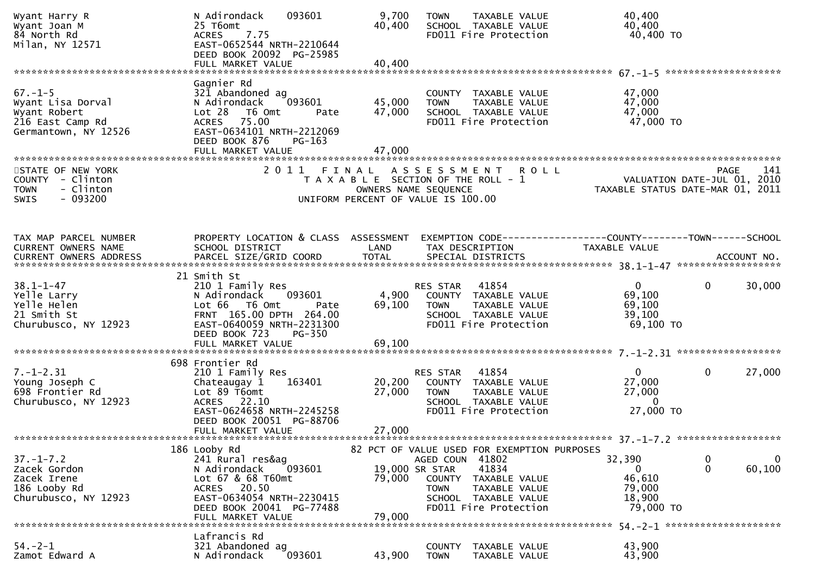| Wyant Harry R<br>Wyant Joan M<br>84 North Rd<br>Milan, NY 12571                                | N Adirondack<br>093601<br>25 T6omt<br>7.75<br><b>ACRES</b><br>EAST-0652544 NRTH-2210644<br>DEED BOOK 20092 PG-25985<br>FULL MARKET VALUE                                                    | 9,700<br>40,400<br>40,400          | TAXABLE VALUE<br><b>TOWN</b><br>SCHOOL TAXABLE VALUE<br>FD011 Fire Protection                                                        | 40,400<br>40,400<br>40,400 TO                                                                                                                                                                                                                                                                                  |
|------------------------------------------------------------------------------------------------|---------------------------------------------------------------------------------------------------------------------------------------------------------------------------------------------|------------------------------------|--------------------------------------------------------------------------------------------------------------------------------------|----------------------------------------------------------------------------------------------------------------------------------------------------------------------------------------------------------------------------------------------------------------------------------------------------------------|
|                                                                                                |                                                                                                                                                                                             |                                    |                                                                                                                                      |                                                                                                                                                                                                                                                                                                                |
| $67. - 1 - 5$<br>Wyant Lisa Dorval<br>Wyant Robert<br>216 East Camp Rd<br>Germantown, NY 12526 | Gagnier Rd<br>321 Abandoned ag<br>093601<br>N Adirondack<br>$Lot 28$ T6 Omt<br>Pate<br>75.00<br><b>ACRES</b><br>EAST-0634101 NRTH-2212069<br>DEED BOOK 876<br>$PG-163$<br>FULL MARKET VALUE | 45,000<br>47,000<br>47,000         | COUNTY TAXABLE VALUE<br><b>TOWN</b><br>TAXABLE VALUE<br>SCHOOL TAXABLE VALUE<br>FD011 Fire Protection                                | 47,000<br>47,000<br>47,000<br>47,000 TO                                                                                                                                                                                                                                                                        |
| STATE OF NEW YORK<br>COUNTY - Clinton<br>- Clinton<br><b>TOWN</b><br>$-093200$<br>SWIS         | 2011                                                                                                                                                                                        | FINAL<br>OWNERS NAME SEQUENCE      | A S S E S S M E N T<br><b>ROLL</b><br>T A X A B L E SECTION OF THE ROLL - 1<br>UNIFORM PERCENT OF VALUE IS 100.00                    | <b>PAGE</b><br>141<br>VALUATION DATE-JUL 01, 2010<br>TAXABLE STATUS DATE-MAR 01, 2011                                                                                                                                                                                                                          |
| TAX MAP PARCEL NUMBER<br>CURRENT OWNERS NAME<br>CURRENT OWNERS ADDRESS                         | PROPERTY LOCATION & CLASS ASSESSMENT<br>SCHOOL DISTRICT                                                                                                                                     | LAND                               | TAX DESCRIPTION                                                                                                                      | EXEMPTION CODE-----------------COUNTY-------TOWN------SCHOOL<br>TAXABLE VALUE<br>.CURRENT OWNERS ADDRESS PARCEL SIZE/GRID COORD TOTAL SPECIAL DISTRICTS (ACCOUNT NO ACCOUNT NO ACCOUNT NO AND TOTAL SPECIAL DISTRICTS 45 AND ASSESS TO A A A SALE AND A A SALE AND A SALE AND A SALE AND TOTAL THAT AND A SALE |
| $38.1 - 1 - 47$<br>Yelle Larry<br>Yelle Helen<br>21 Smith St<br>Churubusco, NY 12923           | 21 Smith St<br>210 1 Family Res<br>N Adirondack<br>093601<br>Lot 66 T6 Omt<br>Pate<br>FRNT 165.00 DPTH 264.00<br>EAST-0640059 NRTH-2231300<br>DEED BOOK 723<br>PG-350<br>FULL MARKET VALUE  | 4,900<br>69,100<br>69,100          | RES STAR<br>41854<br>COUNTY TAXABLE VALUE<br>TAXABLE VALUE<br><b>TOWN</b><br>SCHOOL TAXABLE VALUE<br>FD011 Fire Protection           | 30,000<br>0<br>0<br>69,100<br>69,100<br>39,100<br>69,100 TO                                                                                                                                                                                                                                                    |
| $7. - 1 - 2.31$<br>Young Joseph C<br>698 Frontier Rd<br>Churubusco, NY 12923                   | 698 Frontier Rd<br>210 1 Family Res<br>163401<br>Chateaugay 1<br>Lot 89 T6omt<br>ACRES 22.10<br>EAST-0624658 NRTH-2245258<br>DEED BOOK 20051 PG-88706<br>FULL MARKET VALUE                  | 20,200<br>27,000<br>27,000         | 41854<br>RES STAR<br>COUNTY TAXABLE VALUE<br>TAXABLE VALUE<br><b>TOWN</b><br>SCHOOL TAXABLE VALUE<br>FD011 Fire Protection           | $\mathbf{0}$<br>27,000<br>0<br>27,000<br>27,000<br>0<br>27,000 TO                                                                                                                                                                                                                                              |
|                                                                                                | 186 Looby Rd                                                                                                                                                                                |                                    | 82 PCT OF VALUE USED FOR EXEMPTION PURPOSES                                                                                          |                                                                                                                                                                                                                                                                                                                |
| $37. - 1 - 7.2$<br>Zacek Gordon<br>Zacek Irene<br>186 Looby Rd<br>Churubusco, NY 12923         | 241 Rural res&ag<br>093601<br>N Adirondack<br>Lot 67 & 68 T60mt<br>ACRES 20.50<br>EAST-0634054 NRTH-2230415<br>DEED BOOK 20041 PG-77488<br>FULL MARKET VALUE                                | 19,000 SR STAR<br>79,000<br>79,000 | AGED COUN 41802<br>41834<br>COUNTY<br>TAXABLE VALUE<br>TAXABLE VALUE<br><b>TOWN</b><br>SCHOOL TAXABLE VALUE<br>FD011 Fire Protection | 32,390<br>0<br>0<br>$\mathbf{0}$<br>60,100<br>0<br>46,610<br>79,000<br>18,900<br>79,000 TO                                                                                                                                                                                                                     |
|                                                                                                | Lafrancis Rd                                                                                                                                                                                |                                    |                                                                                                                                      |                                                                                                                                                                                                                                                                                                                |
| $54. -2 - 1$<br>Zamot Edward A                                                                 | 321 Abandoned ag<br>093601<br>N Adirondack                                                                                                                                                  | 43,900                             | TAXABLE VALUE<br>COUNTY<br><b>TOWN</b><br>TAXABLE VALUE                                                                              | 43,900<br>43,900                                                                                                                                                                                                                                                                                               |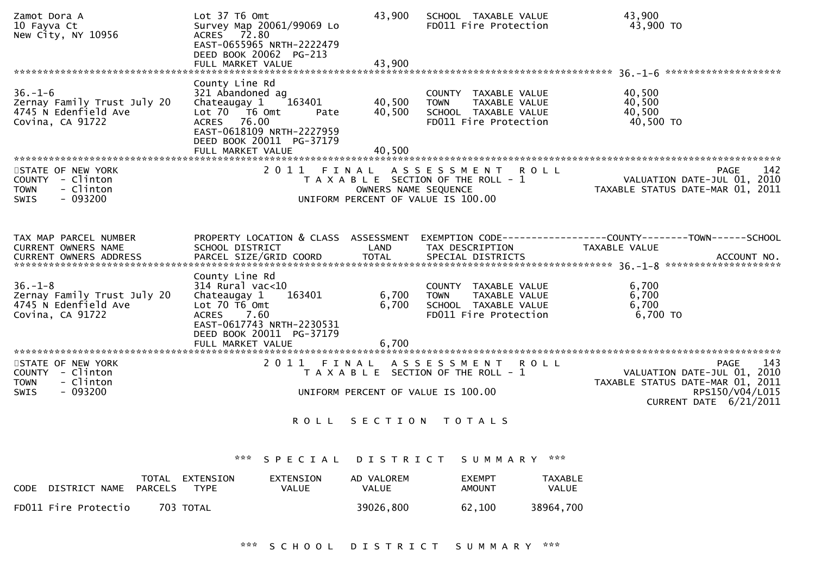| Zamot Dora A<br>10 Fayva Ct<br>New City, NY 10956                                             | Lot 37 T6 Omt<br>Survey Map 20061/99069 Lo<br>ACRES 72.80<br>EAST-0655965 NRTH-2222479<br>DEED BOOK 20062 PG-213                                                                    | 43,900                                                     | SCHOOL TAXABLE VALUE<br>FD011 Fire Protection                                                         | 43,900<br>43,900 TO                                                                                      |
|-----------------------------------------------------------------------------------------------|-------------------------------------------------------------------------------------------------------------------------------------------------------------------------------------|------------------------------------------------------------|-------------------------------------------------------------------------------------------------------|----------------------------------------------------------------------------------------------------------|
|                                                                                               |                                                                                                                                                                                     |                                                            |                                                                                                       |                                                                                                          |
| $36. - 1 - 6$<br>Zernay Family Trust July 20<br>4745 N Edenfield Ave<br>Covina, CA 91722      | County Line Rd<br>321 Abandoned ag<br>163401<br>Chateaugay 1<br>Lot 70  T6 0mt<br>Pate<br>ACRES 76.00<br>EAST-0618109 NRTH-2227959<br>DEED BOOK 20011 PG-37179<br>FULL MARKET VALUE | 40,500<br>40,500<br>40,500                                 | COUNTY TAXABLE VALUE<br><b>TOWN</b><br>TAXABLE VALUE<br>SCHOOL TAXABLE VALUE<br>FD011 Fire Protection | 40,500<br>40,500<br>40,500<br>40,500 TO                                                                  |
| STATE OF NEW YORK                                                                             | 2011                                                                                                                                                                                | FINAL                                                      | A S S E S S M E N T R O L L                                                                           | 142<br><b>PAGE</b>                                                                                       |
| COUNTY - Clinton<br>- Clinton<br><b>TOWN</b><br>$-093200$<br><b>SWIS</b>                      |                                                                                                                                                                                     | OWNERS NAME SEQUENCE<br>UNIFORM PERCENT OF VALUE IS 100.00 | T A X A B L E SECTION OF THE ROLL - 1                                                                 | VALUATION DATE-JUL 01, 2010<br>TAXABLE STATUS DATE-MAR 01, 2011                                          |
|                                                                                               |                                                                                                                                                                                     |                                                            |                                                                                                       |                                                                                                          |
| TAX MAP PARCEL NUMBER<br>CURRENT OWNERS NAME<br><b>CURRENT OWNERS ADDRESS</b>                 | PROPERTY LOCATION & CLASS ASSESSMENT<br>SCHOOL DISTRICT<br>PARCEL SIZE/GRID COORD                                                                                                   | LAND<br><b>TOTAL</b>                                       | TAX DESCRIPTION<br>SPECIAL DISTRICTS                                                                  | TAXABLE VALUE<br>ACCOUNT NO.                                                                             |
|                                                                                               | County Line Rd                                                                                                                                                                      |                                                            |                                                                                                       |                                                                                                          |
| $36. - 1 - 8$<br>Zernay Family Trust July 20<br>4745 N Edenfield Ave<br>Covina, CA 91722      | $314$ Rural vac<10<br>163401<br>Chateaugay 1<br>Lot $70$ T6 Omt<br>ACRES 7.60<br>EAST-0617743 NRTH-2230531<br>DEED BOOK 20011 PG-37179                                              | 6,700<br>6,700                                             | COUNTY TAXABLE VALUE<br>TAXABLE VALUE<br><b>TOWN</b><br>SCHOOL TAXABLE VALUE<br>FD011 Fire Protection | 6,700<br>6,700<br>6,700<br>6,700 TO                                                                      |
|                                                                                               | FULL MARKET VALUE                                                                                                                                                                   | 6,700                                                      |                                                                                                       |                                                                                                          |
| STATE OF NEW YORK<br>COUNTY - Clinton<br>- Clinton<br><b>TOWN</b><br>$-093200$<br><b>SWIS</b> |                                                                                                                                                                                     |                                                            | 2011 FINAL ASSESSMENT ROLL<br>T A X A B L E SECTION OF THE ROLL - 1                                   | 143<br><b>PAGE</b><br>VALUATION DATE-JUL 01, 2010<br>TAXABLE STATUS DATE-MAR 01, 2011<br>RPS150/V04/L015 |
|                                                                                               |                                                                                                                                                                                     | UNIFORM PERCENT OF VALUE IS 100.00                         |                                                                                                       | CURRENT DATE 6/21/2011                                                                                   |
|                                                                                               |                                                                                                                                                                                     | ROLL SECTION TOTALS                                        |                                                                                                       |                                                                                                          |
|                                                                                               | ***<br>SPECIAL                                                                                                                                                                      | D I S T R I C T                                            | ***<br>S U M M A R Y                                                                                  |                                                                                                          |
| <b>PARCELS</b><br>DISTRICT NAME<br>CODE                                                       | TOTAL EXTENSION<br>EXTENSION<br><b>TYPE</b><br>VALUE                                                                                                                                | AD VALOREM<br>VALUE                                        | <b>EXEMPT</b><br>TAXABLE<br>VALUE<br><b>AMOUNT</b>                                                    |                                                                                                          |
| FD011 Fire Protectio<br>703 TOTAL                                                             |                                                                                                                                                                                     | 39026,800                                                  | 62,100<br>38964,700                                                                                   |                                                                                                          |
|                                                                                               |                                                                                                                                                                                     |                                                            | *** SCHOOL DISTRICT SUMMARY ***                                                                       |                                                                                                          |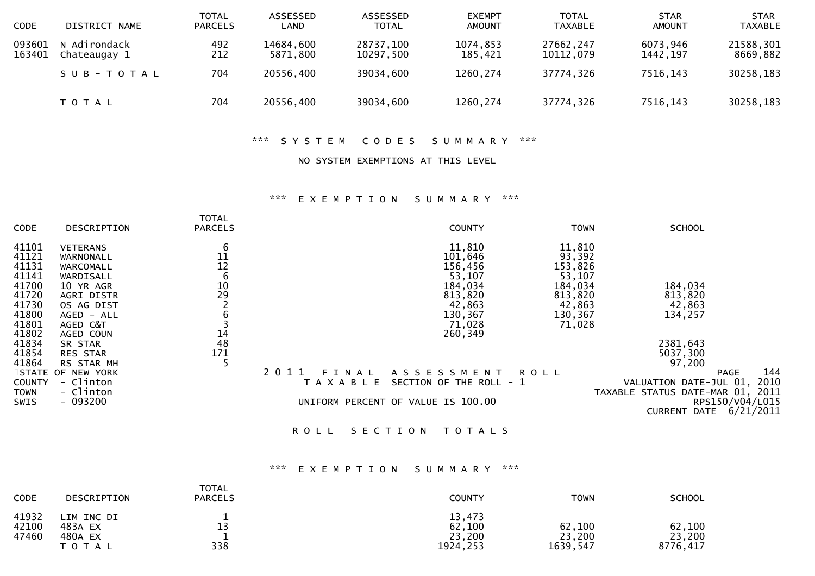| <b>CODE</b>      | DISTRICT NAME                | <b>TOTAL</b><br><b>PARCELS</b> | ASSESSED<br>∟AND      | ASSESSED<br><b>TOTAL</b> | <b>EXEMPT</b><br><b>AMOUNT</b> | <b>TOTAL</b><br><b>TAXABLE</b> | <b>STAR</b><br><b>AMOUNT</b> | <b>STAR</b><br><b>TAXABLE</b> |
|------------------|------------------------------|--------------------------------|-----------------------|--------------------------|--------------------------------|--------------------------------|------------------------------|-------------------------------|
| 093601<br>163401 | N Adirondack<br>Chateaugay 1 | 492<br>212                     | 14684,600<br>5871,800 | 28737,100<br>10297,500   | 1074,853<br>185,421            | 27662,247<br>10112,079         | 6073,946<br>1442, 197        | 21588,301<br>8669,882         |
|                  | SUB-TOTAL                    | 704                            | 20556,400             | 39034,600                | 1260,274                       | 37774,326                      | 7516,143                     | 30258,183                     |
|                  | T O T A L                    | 704                            | 20556,400             | 39034,600                | 1260,274                       | 37774,326                      | 7516,143                     | 30258,183                     |

\*\*\* S Y S T E M C O D E S S U M M A R Y \*\*\*

## NO SYSTEM EXEMPTIONS AT THIS LEVEL

## \*\*\* E X E M P T I O N S U M M A R Y \*\*\*

| <b>CODE</b>   | DESCRIPTION       | TOTAL<br><b>PARCELS</b> | <b>COUNTY</b>                            | <b>TOWN</b> | <b>SCHOOL</b>                    |
|---------------|-------------------|-------------------------|------------------------------------------|-------------|----------------------------------|
| 41101         | <b>VETERANS</b>   | 6                       | 11,810                                   | 11,810      |                                  |
| 41121         | WARNONALL         | 11                      | 101,646                                  | 93,392      |                                  |
| 41131         | WARCOMALL         | 12                      | 156,456                                  | 153,826     |                                  |
| 41141         | WARDISALL         | 6                       | 53,107                                   | 53,107      |                                  |
| 41700         | 10 YR AGR         |                         | 184,034                                  | 184,034     | 184,034                          |
| 41720         | AGRI DISTR        | $\frac{10}{29}$         | 813,820                                  | 813,820     | 813,820                          |
| 41730         | OS AG DIST        |                         | 42,863                                   | 42,863      | 42,863                           |
| 41800         | AGED - ALL        |                         | 130,367                                  | 130,367     | 134,257                          |
| 41801         | AGED C&T          |                         | 71,028                                   | 71,028      |                                  |
| 41802         | AGED COUN         | 14                      | 260,349                                  |             |                                  |
| 41834         | SR STAR           | 48                      |                                          |             | 2381,643                         |
| 41854         | <b>RES STAR</b>   | 171                     |                                          |             | 5037,300                         |
| 41864         | RS STAR MH        |                         |                                          |             | 97,200                           |
|               | STATE OF NEW YORK |                         | 2011<br>A S S E S S M E N T<br>FINAL     | <b>ROLL</b> | 144<br><b>PAGE</b>               |
| <b>COUNTY</b> | - Clinton         |                         | SECTION OF THE ROLL - 1<br>T A X A B L E |             | 2010<br>VALUATION DATE-JUL 01,   |
| <b>TOWN</b>   | - Clinton         |                         |                                          |             | TAXABLE STATUS DATE-MAR 01, 2011 |
| SWIS          | $-093200$         |                         | UNIFORM PERCENT OF VALUE IS 100.00       |             | RPS150/V04/L015                  |
|               |                   |                         |                                          |             | 6/21/2011<br><b>CURRENT DATE</b> |
|               |                   |                         |                                          |             |                                  |

ROLL SECTION TOTALS

## \*\*\* E X E M P T I O N S U M M A R Y \*\*\*

| <b>CODE</b>             | DESCRIPTION                                   | <b>TOTAL</b><br><b>PARCELS</b> | <b>COUNTY</b>                           | <b>TOWN</b>                  | <b>SCHOOL</b>                |
|-------------------------|-----------------------------------------------|--------------------------------|-----------------------------------------|------------------------------|------------------------------|
| 41932<br>42100<br>47460 | LIM INC DI<br>483A EX<br>480A EX<br>T O T A L | 13<br>338                      | 13,473<br>62,100<br>23,200<br>1924, 253 | 62,100<br>23,200<br>1639,547 | 62,100<br>23,200<br>8776,417 |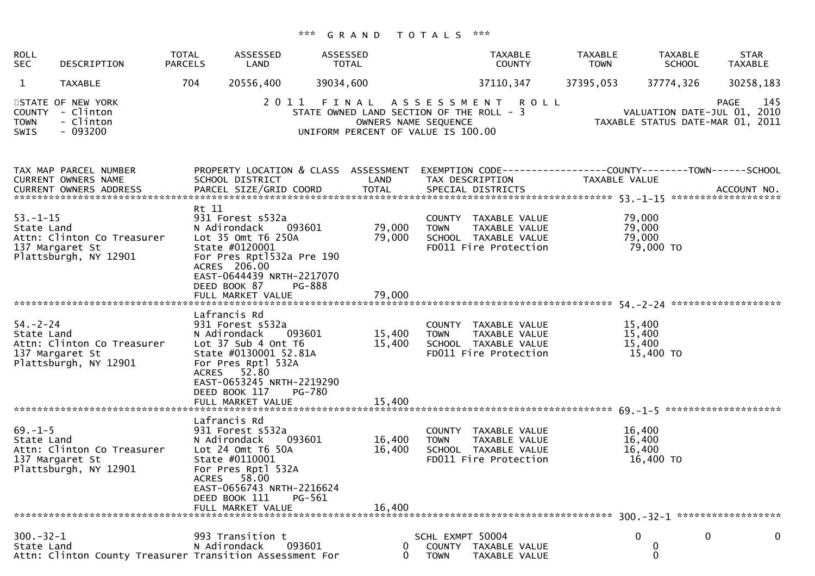## \*\*\* G R A N D T O T A L S \*\*\*

| <b>ROLL</b><br><b>SEC</b>    | DESCRIPTION                                                            | <b>TOTAL</b><br><b>PARCELS</b> | ASSESSED<br>LAND                                                                                                                                                                                            | ASSESSED<br>TOTAL                  | <b>TAXABLE</b><br><b>COUNTY</b>                                                                                                                                                                      | <b>TAXABLE</b><br><b>TOWN</b> | <b>TAXABLE</b><br><b>SCHOOL</b>         | <b>STAR</b><br>TAXABLE                                                         |
|------------------------------|------------------------------------------------------------------------|--------------------------------|-------------------------------------------------------------------------------------------------------------------------------------------------------------------------------------------------------------|------------------------------------|------------------------------------------------------------------------------------------------------------------------------------------------------------------------------------------------------|-------------------------------|-----------------------------------------|--------------------------------------------------------------------------------|
| $\mathbf{1}$                 | <b>TAXABLE</b>                                                         | 704                            | 20556,400                                                                                                                                                                                                   | 39034,600                          | 37110, 347                                                                                                                                                                                           | 37395,053                     | 37774,326                               | 30258,183                                                                      |
| <b>TOWN</b><br>SWIS          | STATE OF NEW YORK<br>COUNTY - Clinton<br>- Clinton<br>- 093200         |                                |                                                                                                                                                                                                             | UNIFORM PERCENT OF VALUE IS 100.00 | 2011 FINAL ASSESSMENT ROLL<br>STATE OWNED LAND SECTION OF THE ROLL - 3<br>OWNERS NAME SEQUENCE                                                                                                       |                               |                                         | 145<br>PAGE<br>VALUATION DATE-JUL 01, 2010<br>TAXABLE STATUS DATE-MAR 01, 2011 |
|                              | TAX MAP PARCEL NUMBER<br>CURRENT OWNERS NAME                           |                                | PROPERTY LOCATION & CLASS ASSESSMENT<br>SCHOOL DISTRICT                                                                                                                                                     | LAND                               | EXEMPTION CODE------------------COUNTY--------TOWN------SCHOOL<br>TAX DESCRIPTION<br>.CURRENT OWNERS ADDRESS PARCEL SIZE/GRID COORD TOTAL SPECIAL DISTRICTS ACCOUNT NO ACCOUNT NO ACCOUNT NO ACCOUNT |                               | TAXABLE VALUE                           |                                                                                |
| $53. - 1 - 15$<br>State Land | Attn: Clinton Co Treasurer<br>137 Margaret St<br>Plattsburgh, NY 12901 | Rt 11                          | 931 Forest s532a<br>N Adirondack<br>093601<br>Lot 35 Omt T6 250A<br>State #0120001<br>For Pres Rpt1532a Pre 190<br>ACRES 206.00<br>EAST-0644439 NRTH-2217070<br>DEED BOOK 87<br>PG-888<br>FULL MARKET VALUE | 79,000<br>79,000<br>79,000         | COUNTY TAXABLE VALUE<br><b>TOWN</b><br>TAXABLE VALUE<br>SCHOOL TAXABLE VALUE<br>FD011 Fire Protection                                                                                                |                               | 79,000<br>79,000<br>79,000<br>79,000 TO |                                                                                |
|                              |                                                                        |                                | Lafrancis Rd                                                                                                                                                                                                |                                    |                                                                                                                                                                                                      |                               |                                         |                                                                                |
| $54. - 2 - 24$<br>State Land | Attn: Clinton Co Treasurer<br>137 Margaret St<br>Plattsburgh, NY 12901 |                                | 931 Forest s532a<br>093601<br>N Adirondack<br>Lot 37 Sub 4 Ont T6<br>State #0130001 52.81A<br>For Pres Rptl 532A<br>ACRES 52.80<br>EAST-0653245 NRTH-2219290<br>DEED BOOK 117<br>PG-780                     | 15,400<br>15,400                   | COUNTY TAXABLE VALUE<br>TAXABLE VALUE<br><b>TOWN</b><br>SCHOOL TAXABLE VALUE<br>FD011 Fire Protection                                                                                                |                               | 15,400<br>15,400<br>15,400<br>15,400 TO |                                                                                |
|                              |                                                                        |                                | FULL MARKET VALUE                                                                                                                                                                                           | 15,400                             |                                                                                                                                                                                                      |                               |                                         |                                                                                |
| $69. - 1 - 5$<br>State Land  | Attn: Clinton Co Treasurer<br>137 Margaret St<br>Plattsburgh, NY 12901 | <b>ACRES</b>                   | Lafrancis Rd<br>931 Forest s532a<br>093601<br>N Adirondack<br>Lot $24$ Omt T $6$ $50A$<br>State #0110001<br>For Pres Rptl 532A<br>58.00                                                                     | 16,400<br>16,400                   | COUNTY TAXABLE VALUE<br><b>TOWN</b><br>TAXABLE VALUE<br>SCHOOL TAXABLE VALUE<br>FD011 Fire Protection                                                                                                |                               | 16,400<br>16,400<br>16,400<br>16,400 TO |                                                                                |
|                              |                                                                        |                                | EAST-0656743 NRTH-2216624<br>PG-561<br>DEED BOOK 111<br>FULL MARKET VALUE                                                                                                                                   | 16,400                             |                                                                                                                                                                                                      |                               |                                         |                                                                                |
| $300 - 32 - 1$<br>State Land | Attn: Clinton County Treasurer Transition Assessment For               |                                | 993 Transition t<br>N Adirondack<br>093601                                                                                                                                                                  | 0                                  | SCHL EXMPT 50004<br>COUNTY TAXABLE VALUE<br><b>TOWN</b><br>TAXABLE VALUE                                                                                                                             |                               | 0<br>0<br>0                             | 0<br>0                                                                         |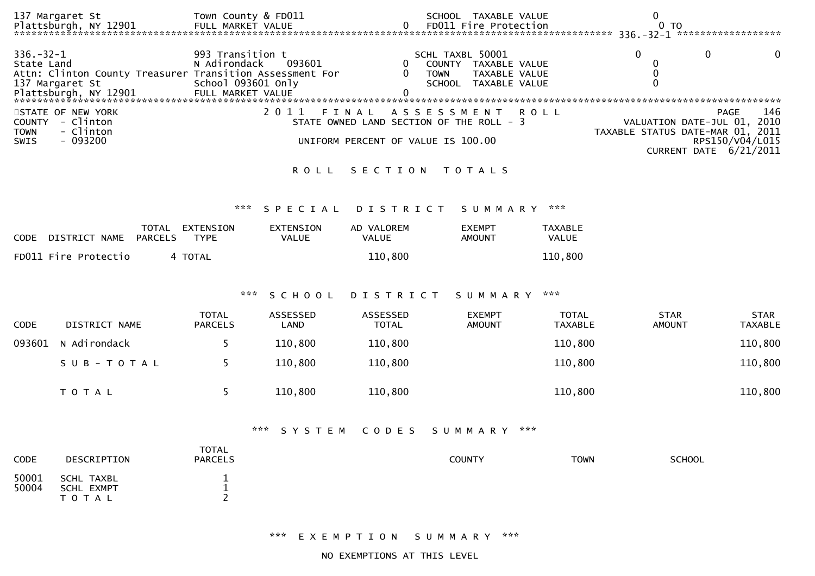|                                                                                                                                                                                                                                                                                                                                                           | 137 Margaret St                                                             | Town County & FD011                                    |                           |                            | SCHOOL TAXABLE VALUE                                                              |                                | 0                                        |                               |  |  |
|-----------------------------------------------------------------------------------------------------------------------------------------------------------------------------------------------------------------------------------------------------------------------------------------------------------------------------------------------------------|-----------------------------------------------------------------------------|--------------------------------------------------------|---------------------------|----------------------------|-----------------------------------------------------------------------------------|--------------------------------|------------------------------------------|-------------------------------|--|--|
| 336. – 32 – 1<br>State Land                                                                                                                                                                                                                                                                                                                               | Attn: Clinton County Treasurer Transition Assessment For<br>137 Margaret St | 993 Transition t<br>N Adirondack<br>School 093601 only | 093601                    | 0<br>0<br><b>TOWN</b>      | SCHL TAXBL 50001<br>COUNTY TAXABLE VALUE<br>TAXABLE VALUE<br>SCHOOL TAXABLE VALUE |                                | $\Omega$<br>0<br>$\mathbf 0$<br>$\Omega$ | 0<br>$\Omega$                 |  |  |
| 2 0 1 1<br>STATE OF NEW YORK<br>A S S E S S M E N T<br><b>ROLL</b><br>FINAL<br>COUNTY - Clinton<br>STATE OWNED LAND SECTION OF THE ROLL - 3<br>VALUATION DATE-JUL 01, 2010<br><b>TOWN</b><br>- Clinton<br>TAXABLE STATUS DATE-MAR 01, 2011<br>$-093200$<br>SWIS<br>UNIFORM PERCENT OF VALUE IS 100.00<br>RPS150/V04/L015<br><b>CURRENT DATE 6/21/2011</b> |                                                                             |                                                        |                           |                            |                                                                                   |                                |                                          |                               |  |  |
|                                                                                                                                                                                                                                                                                                                                                           |                                                                             |                                                        | <b>ROLL</b>               | SECTION                    | T O T A L S                                                                       |                                |                                          |                               |  |  |
|                                                                                                                                                                                                                                                                                                                                                           |                                                                             | ***                                                    | SPECIAL                   | DISTRICT                   | S U M M A R Y                                                                     | ***                            |                                          |                               |  |  |
| <b>CODE</b>                                                                                                                                                                                                                                                                                                                                               | TOTAL<br><b>PARCELS</b><br>DISTRICT NAME                                    | EXTENSION<br><b>TYPE</b>                               | EXTENSION<br><b>VALUE</b> | AD VALOREM<br><b>VALUE</b> | <b>EXEMPT</b><br><b>AMOUNT</b>                                                    | <b>TAXABLE</b><br>VALUE        |                                          |                               |  |  |
|                                                                                                                                                                                                                                                                                                                                                           | FD011 Fire Protectio                                                        | 4 TOTAL                                                |                           | 110,800                    |                                                                                   | 110,800                        |                                          |                               |  |  |
|                                                                                                                                                                                                                                                                                                                                                           |                                                                             | ***                                                    | SCHOOL                    | DISTRICT                   | S U M M A R Y                                                                     | $* * *$                        |                                          |                               |  |  |
| <b>CODE</b>                                                                                                                                                                                                                                                                                                                                               | DISTRICT NAME                                                               | <b>TOTAL</b><br><b>PARCELS</b>                         | ASSESSED<br>LAND          | ASSESSED<br><b>TOTAL</b>   | <b>EXEMPT</b><br><b>AMOUNT</b>                                                    | <b>TOTAL</b><br><b>TAXABLE</b> | <b>STAR</b><br><b>AMOUNT</b>             | <b>STAR</b><br><b>TAXABLE</b> |  |  |
| 093601                                                                                                                                                                                                                                                                                                                                                    | N Adirondack                                                                | 5                                                      | 110,800                   | 110,800                    |                                                                                   | 110,800                        |                                          | 110,800                       |  |  |
|                                                                                                                                                                                                                                                                                                                                                           | SUB-TOTAL                                                                   | 5                                                      | 110,800                   | 110,800                    |                                                                                   | 110,800                        |                                          | 110,800                       |  |  |
|                                                                                                                                                                                                                                                                                                                                                           | TOTAL                                                                       | 5                                                      | 110,800                   | 110,800                    |                                                                                   | 110,800                        |                                          | 110,800                       |  |  |
| ***<br>***<br>CODES<br>SYSTEM<br>SUMMARY                                                                                                                                                                                                                                                                                                                  |                                                                             |                                                        |                           |                            |                                                                                   |                                |                                          |                               |  |  |
| CODE                                                                                                                                                                                                                                                                                                                                                      | DESCRIPTION                                                                 | <b>TOTAL</b><br><b>PARCELS</b>                         |                           |                            | <b>COUNTY</b>                                                                     | <b>TOWN</b>                    | <b>SCHOOL</b>                            |                               |  |  |
| 50001<br>50004                                                                                                                                                                                                                                                                                                                                            | <b>SCHL TAXBL</b><br><b>SCHL EXMPT</b><br>T O T A L                         | 1<br>$\mathbf 1$<br>$\overline{2}$                     |                           |                            |                                                                                   |                                |                                          |                               |  |  |

\*\*\* E X E M P T I O N S U M M A R Y \*\*\*

NO EXEMPTIONS AT THIS LEVEL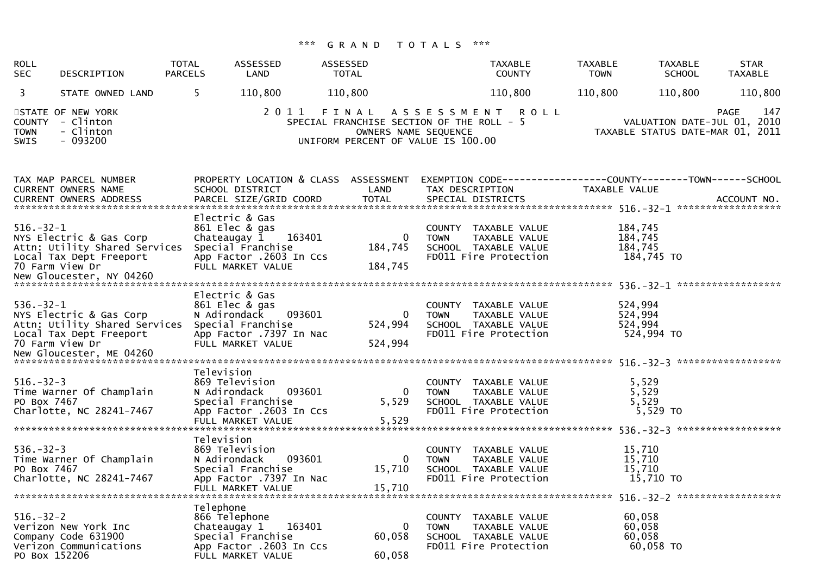| <b>ROLL</b><br><b>SEC</b>                   | DESCRIPTION                                                                                            | <b>TOTAL</b><br><b>PARCELS</b>             | ASSESSED<br>LAND                                                                                                | <b>ASSESSED</b><br><b>TOTAL</b> | <b>TAXABLE</b><br><b>COUNTY</b>                                                                                                                   | <b>TAXABLE</b><br><b>TOWN</b> | <b>TAXABLE</b><br><b>SCHOOL</b>         | <b>STAR</b><br><b>TAXABLE</b>                                                         |
|---------------------------------------------|--------------------------------------------------------------------------------------------------------|--------------------------------------------|-----------------------------------------------------------------------------------------------------------------|---------------------------------|---------------------------------------------------------------------------------------------------------------------------------------------------|-------------------------------|-----------------------------------------|---------------------------------------------------------------------------------------|
| 3                                           | STATE OWNED LAND                                                                                       | 5                                          | 110,800                                                                                                         | 110,800                         | 110,800                                                                                                                                           | 110,800                       | 110,800                                 | 110,800                                                                               |
| <b>COUNTY</b><br><b>TOWN</b><br><b>SWIS</b> | STATE OF NEW YORK<br>- Clinton<br>- Clinton<br>- 093200                                                |                                            | 2011                                                                                                            | FINAL                           | A S S E S S M E N T<br><b>ROLL</b><br>SPECIAL FRANCHISE SECTION OF THE ROLL -<br>-5<br>OWNERS NAME SEQUENCE<br>UNIFORM PERCENT OF VALUE IS 100.00 |                               |                                         | 147<br><b>PAGE</b><br>VALUATION DATE-JUL 01, 2010<br>TAXABLE STATUS DATE-MAR 01, 2011 |
|                                             | TAX MAP PARCEL NUMBER<br><b>CURRENT OWNERS NAME</b><br><b>CURRENT OWNERS ADDRESS</b>                   |                                            | PROPERTY LOCATION & CLASS ASSESSMENT<br>SCHOOL DISTRICT<br>PARCEL SIZE/GRID COORD                               | LAND<br><b>TOTAL</b>            | TAX DESCRIPTION<br>SPECIAL DISTRICTS                                                                                                              | TAXABLE VALUE                 |                                         | ACCOUNT NO.                                                                           |
| $516. - 32 - 1$                             | NYS Electric & Gas Corp<br>Attn: Utility Shared Services<br>Local Tax Dept Freeport<br>70 Farm View Dr | Chateaugay 1                               | Electric & Gas<br>861 Elec & gas<br>163401<br>Special Franchise<br>App Factor .2603 In Ccs<br>FULL MARKET VALUE | 0<br>184,745<br>184,745         | COUNTY TAXABLE VALUE<br>TAXABLE VALUE<br><b>TOWN</b><br>SCHOOL TAXABLE VALUE<br>FD011 Fire Protection                                             | 184,745<br>184,745<br>184,745 | 184,745 TO                              |                                                                                       |
| $536. - 32 - 1$                             | NYS Electric & Gas Corp<br>Attn: Utility Shared Services<br>Local Tax Dept Freeport<br>70 Farm View Dr | N Adirondack                               | Electric & Gas<br>861 Elec & gas<br>093601<br>Special Franchise<br>App Factor .7397 In Nac<br>FULL MARKET VALUE | 0<br>524,994<br>524,994         | COUNTY TAXABLE VALUE<br><b>TOWN</b><br>TAXABLE VALUE<br>SCHOOL TAXABLE VALUE<br>FD011 Fire Protection                                             | 524,994<br>524,994<br>524,994 | 524,994 TO                              |                                                                                       |
| $516. - 32 - 3$<br>PO Box 7467              | Time Warner Of Champlain<br>Charlotte, NC 28241-7467                                                   | Television<br>N Adirondack                 | 869 Television<br>093601<br>Special Franchise<br>App Factor .2603 In Ccs<br>FULL MARKET VALUE                   | 0<br>5,529<br>5,529             | COUNTY<br>TAXABLE VALUE<br>TAXABLE VALUE<br><b>TOWN</b><br>SCHOOL TAXABLE VALUE<br>FD011 Fire Protection                                          |                               | 5,529<br>5,529<br>5,529<br>5,529 TO     |                                                                                       |
| $536. - 32 - 3$<br>PO Box 7467              | Time Warner Of Champlain<br>Charlotte, NC 28241-7467                                                   | Television<br>N Adirondack                 | 869 Television<br>093601<br>Special Franchise<br>App Factor .7397 In Nac<br>FULL MARKET VALUE                   | 0<br>15,710<br>15,710           | COUNTY<br>TAXABLE VALUE<br>TAXABLE VALUE<br><b>TOWN</b><br>SCHOOL TAXABLE VALUE<br>FD011 Fire Protection                                          |                               | 15,710<br>15,710<br>15,710<br>15,710 TO |                                                                                       |
| $516. - 32 - 2$<br>PO Box 152206            | Verizon New York Inc<br>Company Code 631900<br>Verizon Communications                                  | Telephone<br>866 Telephone<br>Chateaugay 1 | 163401<br>Special Franchise<br>App Factor .2603 In Ccs<br>FULL MARKET VALUE                                     | 0<br>60,058<br>60,058           | COUNTY TAXABLE VALUE<br>TAXABLE VALUE<br><b>TOWN</b><br>SCHOOL TAXABLE VALUE<br>FD011 Fire Protection                                             |                               | 60,058<br>60,058<br>60,058<br>60,058 TO |                                                                                       |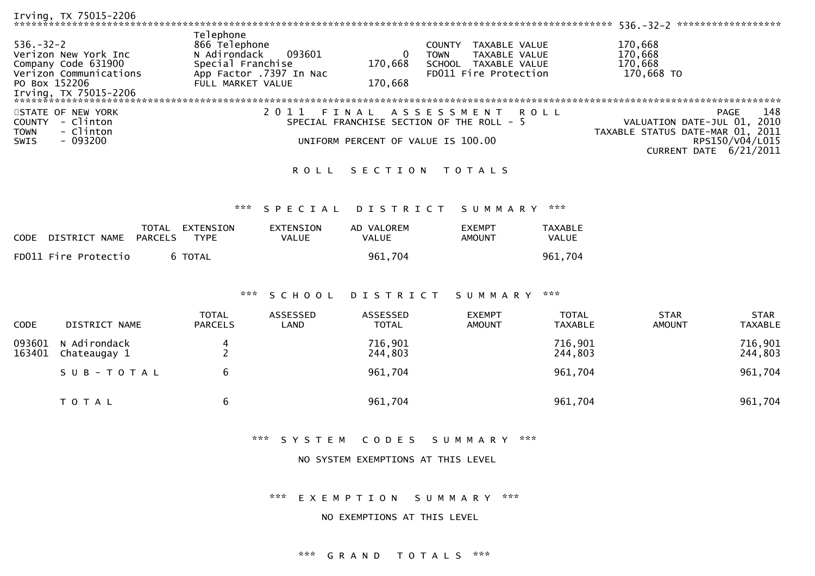| Irving, TX 75015-2206                                                                                                              |                                                                                                                           |                    |                                                                                                                 | ******************<br>$536. - 32 - 2$                                          |
|------------------------------------------------------------------------------------------------------------------------------------|---------------------------------------------------------------------------------------------------------------------------|--------------------|-----------------------------------------------------------------------------------------------------------------|--------------------------------------------------------------------------------|
| $536. - 32 - 2$<br>Verizon New York Inc<br>Company Code 631900<br>Verizon Communications<br>PO Box 152206<br>Irving, TX 75015-2206 | Telephone<br>866 Telephone<br>093601<br>N Adirondack<br>Special Franchise<br>App Factor .7397 In Nac<br>FULL MARKET VALUE | 170,668<br>170,668 | TAXABLE VALUE<br><b>COUNTY</b><br>TAXABLE VALUE<br><b>TOWN</b><br>SCHOOL TAXABLE VALUE<br>FD011 Fire Protection | 170,668<br>170,668<br>170,668<br>170,668 TO                                    |
|                                                                                                                                    |                                                                                                                           |                    |                                                                                                                 |                                                                                |
| STATE OF NEW YORK<br>- Clinton<br>COUNTY<br>- Clinton<br><b>TOWN</b>                                                               |                                                                                                                           |                    | 2011 FINAL ASSESSMENT ROLL<br>SPECIAL FRANCHISE SECTION OF THE ROLL - 5                                         | 148<br>PAGE<br>VALUATION DATE-JUL 01, 2010<br>TAXABLE STATUS DATE-MAR 01, 2011 |
| $-093200$<br>SWIS                                                                                                                  |                                                                                                                           |                    | UNIFORM PERCENT OF VALUE IS 100.00                                                                              | RPS150/V04/L015<br>CURRENT DATE 6/21/2011                                      |
|                                                                                                                                    |                                                                                                                           |                    | ROLL SECTION TOTALS                                                                                             |                                                                                |

## \*\*\* S P E C I A L D I S T R I C T S U M M A R Y \*\*\*

| <b>CODE</b> | DISTRICT NAME        | TOTAL<br>PARCELS | EXTENSION<br>TYPE | EXTENSION<br>VALUE | AD VALOREM<br><b>VALUE</b> | <b>EXEMPT</b><br>AMOUNT | TAXABLE<br><b>VALUE</b> |
|-------------|----------------------|------------------|-------------------|--------------------|----------------------------|-------------------------|-------------------------|
|             | FD011 Fire Protectio |                  | 6 TOTAL           |                    | 961.704                    |                         | 961.704                 |

## \*\*\* S C H O O L D I S T R I C T S U M M A R Y \*\*\*

| <b>CODE</b>      | DISTRICT NAME                | <b>TOTAL</b><br><b>PARCELS</b> | ASSESSED<br>LAND | ASSESSED<br><b>TOTAL</b> | <b>EXEMPT</b><br><b>AMOUNT</b> | <b>TOTAL</b><br><b>TAXABLE</b> | <b>STAR</b><br><b>AMOUNT</b> | <b>STAR</b><br><b>TAXABLE</b> |
|------------------|------------------------------|--------------------------------|------------------|--------------------------|--------------------------------|--------------------------------|------------------------------|-------------------------------|
| 093601<br>163401 | N Adirondack<br>Chateaugay 1 | 4                              |                  | 716,901<br>244,803       |                                | 716,901<br>244,803             |                              | 716,901<br>244,803            |
|                  | SUB-TOTAL                    | 6                              |                  | 961,704                  |                                | 961,704                        |                              | 961,704                       |
|                  | T O T A L                    | b                              |                  | 961,704                  |                                | 961,704                        |                              | 961,704                       |

## \*\*\* S Y S T E M C O D E S S U M M A R Y \*\*\*

#### NO SYSTEM EXEMPTIONS AT THIS LEVEL

# \*\*\* E X E M P T I O N S U M M A R Y \*\*\*

#### NO EXEMPTIONS AT THIS LEVEL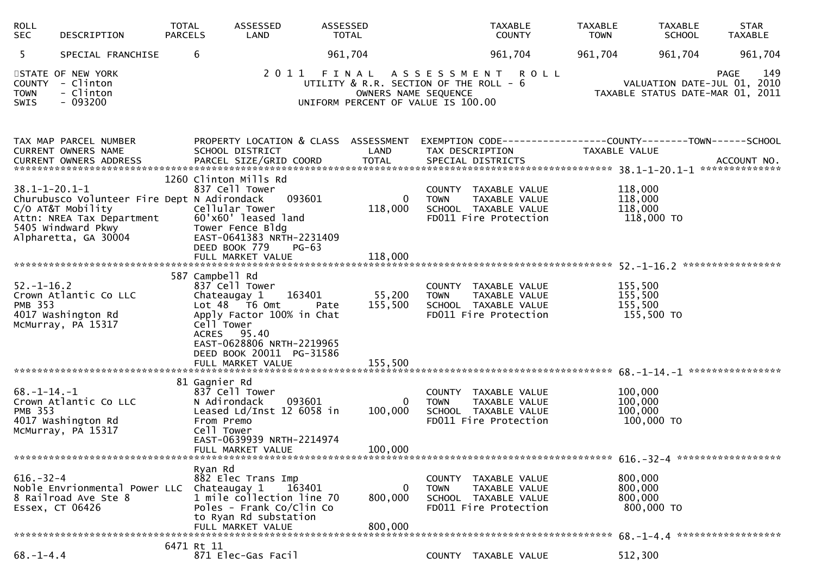| <b>ROLL</b><br><b>SEC</b>             | DESCRIPTION                                                                                                                                 | <b>TOTAL</b><br><b>PARCELS</b> | ASSESSED<br>LAND                                                                                                                                                                      | ASSESSED<br><b>TOTAL</b> |                                                                                                      |             | <b>TAXABLE</b><br><b>COUNTY</b>                                                        | <b>TAXABLE</b><br><b>TOWN</b> | <b>TAXABLE</b><br><b>SCHOOL</b>                                                | <b>STAR</b><br><b>TAXABLE</b> |
|---------------------------------------|---------------------------------------------------------------------------------------------------------------------------------------------|--------------------------------|---------------------------------------------------------------------------------------------------------------------------------------------------------------------------------------|--------------------------|------------------------------------------------------------------------------------------------------|-------------|----------------------------------------------------------------------------------------|-------------------------------|--------------------------------------------------------------------------------|-------------------------------|
| 5                                     | SPECIAL FRANCHISE                                                                                                                           |                                | 6                                                                                                                                                                                     | 961,704                  |                                                                                                      |             | 961,704                                                                                | 961,704                       | 961,704                                                                        | 961,704                       |
| <b>TOWN</b><br>SWIS                   | STATE OF NEW YORK<br>COUNTY - Clinton<br>- Clinton<br>$-093200$                                                                             |                                |                                                                                                                                                                                       |                          | UTILITY & R.R. SECTION OF THE ROLL - 6<br>OWNERS NAME SEQUENCE<br>UNIFORM PERCENT OF VALUE IS 100.00 |             | 2011 FINAL ASSESSMENT ROLL                                                             |                               | VALUATION DATE-JUL 01, 2010<br>TAXABLE STATUS DATE-MAR 01, 2011                | 149<br><b>PAGE</b>            |
|                                       | TAX MAP PARCEL NUMBER<br>CURRENT OWNERS NAME                                                                                                |                                | PROPERTY LOCATION & CLASS ASSESSMENT EXEMPTION CODE----------------COUNTY-------TOWN------SCHOOL<br>SCHOOL DISTRICT                                                                   |                          | LAND                                                                                                 |             | TAX DESCRIPTION                                                                        |                               | TAXABLE VALUE                                                                  |                               |
| $38.1 - 1 - 20.1 - 1$                 | Churubusco Volunteer Fire Dept N Adirondack<br>C/O AT&T Mobility<br>Attn: NREA Tax Department<br>5405 Windward Pkwy<br>Alpharetta, GA 30004 |                                | 1260 Clinton Mills Rd<br>837 Cell Tower<br>Cellular Tower<br>60'x60' leased land<br>Tower Fence Bldg<br>EAST-0641383 NRTH-2231409<br>DEED BOOK 779<br>FULL MARKET VALUE               | 093601<br>$PG-63$        | 0<br>118,000<br>118,000                                                                              | <b>TOWN</b> | COUNTY TAXABLE VALUE<br>TAXABLE VALUE<br>SCHOOL TAXABLE VALUE<br>FD011 Fire Protection |                               | 118,000<br>118,000<br>118,000<br>118,000 TO                                    |                               |
| $52. - 1 - 16.2$<br><b>PMB 353</b>    | Crown Atlantic Co LLC<br>4017 Washington Rd<br>McMurray, PA 15317                                                                           |                                | 587 Campbell Rd<br>837 Cell Tower<br>Chateaugay 1<br>Lot 48 T6 Omt<br>Apply Factor 100% in Chat<br>Cell Tower<br>ACRES 95.40<br>EAST-0628806 NRTH-2219965<br>DEED BOOK 20011 PG-31586 | 163401<br>Pate           | 55,200<br>155,500                                                                                    | <b>TOWN</b> | COUNTY TAXABLE VALUE<br>TAXABLE VALUE<br>SCHOOL TAXABLE VALUE<br>FD011 Fire Protection |                               | 155,500<br>155,500<br>155,500<br>155,500 TO                                    |                               |
| $68. - 1 - 14. - 1$<br><b>PMB 353</b> | Crown Atlantic Co LLC<br>4017 Washington Rd<br>McMurray, PA 15317                                                                           |                                | 81 Gagnier Rd<br>837 Cell Tower<br>N Adirondack<br>Leased Ld/Inst 12 6058 in<br>From Premo<br>Cell Tower<br>EAST-0639939 NRTH-2214974<br>FULL MARKET VALUE                            | 093601                   | $\Omega$<br>100,000<br>100,000                                                                       | <b>TOWN</b> | COUNTY TAXABLE VALUE<br>TAXABLE VALUE<br>SCHOOL TAXABLE VALUE<br>FD011 Fire Protection |                               | 100,000<br>100,000<br>100,000<br>100,000 TO                                    |                               |
| $616. - 32 - 4$<br>Essex, CT 06426    | Noble Envrionmental Power LLC Chateaugay 1<br>8 Railroad Ave Ste 8                                                                          |                                | Ryan Rd<br>882 Elec Trans Imp<br>1 mile collection line 70<br>Poles - Frank Co/Clin Co<br>to Ryan Rd substation<br>FULL MARKET VALUE                                                  | 163401                   | $\Omega$<br>800,000<br>800,000                                                                       | <b>TOWN</b> | COUNTY TAXABLE VALUE<br>TAXABLE VALUE<br>SCHOOL TAXABLE VALUE<br>FD011 Fire Protection |                               | 800,000<br>800,000<br>800,000<br>800,000 TO<br>68. -1-4. 4 ******************* |                               |
| $68. - 1 - 4.4$                       |                                                                                                                                             |                                | 6471 Rt 11<br>871 Elec-Gas Facil                                                                                                                                                      |                          |                                                                                                      |             | COUNTY TAXABLE VALUE                                                                   |                               | 512,300                                                                        |                               |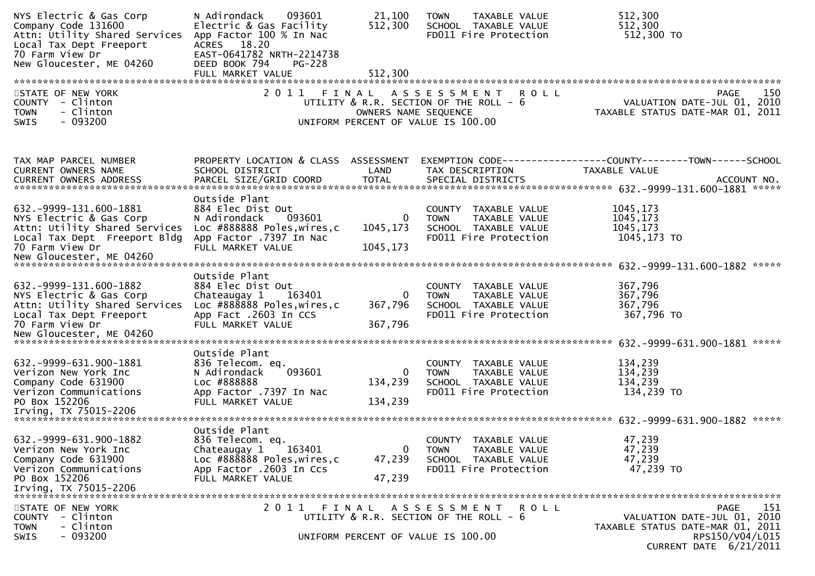| NYS Electric & Gas Corp<br>Company Code 131600<br>Attn: Utility Shared Services<br>Local Tax Dept Freeport<br>70 Farm View Dr<br>New Gloucester, ME 04260 | N Adirondack<br>093601<br>Electric & Gas Facility<br>App Factor 100 % In Nac<br>ACRES 18.20<br>EAST-0641782 NRTH-2214738<br>DEED BOOK 794<br><b>PG-228</b><br>FULL MARKET VALUE | 21,100<br>512,300<br>512,300         | TAXABLE VALUE<br><b>TOWN</b><br>SCHOOL TAXABLE VALUE<br>FD011 Fire Protection                                        | 512,300<br>512,300<br>512,300 TO                                                                             |
|-----------------------------------------------------------------------------------------------------------------------------------------------------------|---------------------------------------------------------------------------------------------------------------------------------------------------------------------------------|--------------------------------------|----------------------------------------------------------------------------------------------------------------------|--------------------------------------------------------------------------------------------------------------|
|                                                                                                                                                           |                                                                                                                                                                                 |                                      |                                                                                                                      |                                                                                                              |
| STATE OF NEW YORK<br>COUNTY - Clinton<br><b>TOWN</b><br>- Clinton<br>$-093200$<br>SWIS                                                                    |                                                                                                                                                                                 | OWNERS NAME SEQUENCE                 | 2011 FINAL ASSESSMENT<br><b>ROLL</b><br>UTILITY & R.R. SECTION OF THE ROLL - 6<br>UNIFORM PERCENT OF VALUE IS 100.00 | <b>PAGE</b><br>150<br>VALUATION DATE-JUL 01, 2010<br>TAXABLE STATUS DATE-MAR 01, 2011                        |
| TAX MAP PARCEL NUMBER<br>CURRENT OWNERS NAME                                                                                                              | PROPERTY LOCATION & CLASS ASSESSMENT<br>SCHOOL DISTRICT                                                                                                                         | LAND                                 | TAX DESCRIPTION                                                                                                      | EXEMPTION CODE------------------COUNTY--------TOWN------SCHOOL<br>TAXABLE VALUE                              |
|                                                                                                                                                           | Outside Plant                                                                                                                                                                   |                                      |                                                                                                                      |                                                                                                              |
| 632. - 9999 - 131. 600 - 1881<br>NYS Electric & Gas Corp<br>Attn: Utility Shared Services<br>Local Tax Dept Freeport Bldg<br>70 Farm View Dr              | 884 Elec Dist Out<br>093601<br>N Adirondack<br>Loc #888888 Poles, wires, c<br>App Factor .7397 In Nac<br>FULL MARKET VALUE                                                      | 0<br>1045,173<br>1045, 173           | COUNTY TAXABLE VALUE<br>TAXABLE VALUE<br><b>TOWN</b><br>SCHOOL TAXABLE VALUE<br>FD011 Fire Protection                | 1045,173<br>1045,173<br>1045, 173<br>1045,173 TO                                                             |
| New Gloucester, ME 04260                                                                                                                                  |                                                                                                                                                                                 |                                      |                                                                                                                      |                                                                                                              |
|                                                                                                                                                           | Outside Plant                                                                                                                                                                   |                                      |                                                                                                                      |                                                                                                              |
| 632. -9999-131. 600-1882<br>NYS Electric & Gas Corp<br>Attn: Utility Shared Services<br>Local Tax Dept Freeport<br>70 Farm View Dr                        | 884 Elec Dist Out<br>163401<br>Chateaugay 1<br>Loc #888888 Poles, wires, c<br>App Fact .2603 In CCS<br>FULL MARKET VALUE                                                        | $\overline{0}$<br>367,796<br>367,796 | COUNTY TAXABLE VALUE<br><b>TOWN</b><br>TAXABLE VALUE<br>SCHOOL TAXABLE VALUE<br>FD011 Fire Protection                | 367,796<br>367,796<br>367,796<br>367,796 TO                                                                  |
|                                                                                                                                                           | Outside Plant                                                                                                                                                                   |                                      |                                                                                                                      |                                                                                                              |
| 632.-9999-631.900-1881<br>Verizon New York Inc<br>Company Code 631900<br>Verizon Communications<br>PO Box 152206                                          | 836 Telecom. eq.<br>093601<br>N Adirondack<br>Loc #888888<br>App Factor .7397 In Nac<br>FULL MARKET VALUE                                                                       | $\Omega$<br>134,239<br>134,239       | COUNTY TAXABLE VALUE<br>TAXABLE VALUE<br><b>TOWN</b><br>SCHOOL TAXABLE VALUE<br>FD011 Fire Protection                | 134,239<br>134,239<br>134,239<br>134,239 TO                                                                  |
|                                                                                                                                                           |                                                                                                                                                                                 |                                      |                                                                                                                      | *****                                                                                                        |
| 632. - 9999 - 631. 900 - 1882<br>Verizon New York Inc<br>Company Code 631900<br>Verizon Communications<br>PO Box 152206                                   | Outside Plant<br>836 Telecom. eq.<br>Chateaugay 1 163401<br>Loc #888888 Poles, wires, c<br>App Factor .2603 In Ccs<br>FULL MARKET VALUE                                         | 0<br>47,239<br>47,239                | COUNTY TAXABLE VALUE<br>TAXABLE VALUE<br><b>TOWN</b><br>SCHOOL TAXABLE VALUE<br>FD011 Fire Protection                | 47,239<br>47,239<br>47,239<br>47,239 TO                                                                      |
| STATE OF NEW YORK                                                                                                                                         |                                                                                                                                                                                 |                                      | 2011 FINAL ASSESSMENT ROLL                                                                                           | 151<br>PAGE                                                                                                  |
| <b>COUNTY</b><br>- Clinton<br>- Clinton<br><b>TOWN</b><br>$-093200$<br><b>SWIS</b>                                                                        |                                                                                                                                                                                 |                                      | UTILITY & R.R. SECTION OF THE ROLL - 6<br>UNIFORM PERCENT OF VALUE IS 100.00                                         | VALUATION DATE-JUL 01, 2010<br>TAXABLE STATUS DATE-MAR 01, 2011<br>RPS150/V04/L015<br>CURRENT DATE 6/21/2011 |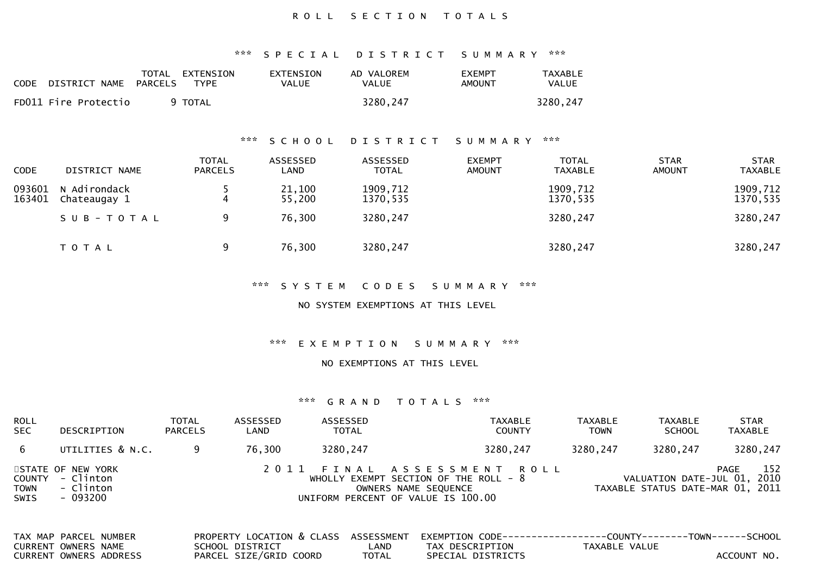## ROLL SECTION TOTALS

## \*\*\* S P E C I A L D I S T R I C T S U M M A R Y \*\*\*

| <b>CODE</b> | DISTRICT NAME PARCELS | TOTAL EXTENSION<br>TYPF | <b>EXTENSION</b><br>VALUE | AD VALOREM<br><b>VALUE</b> | <b>EXEMPT</b><br>AMOUNT | TAXABLE<br><b>VALUE</b> |
|-------------|-----------------------|-------------------------|---------------------------|----------------------------|-------------------------|-------------------------|
|             | FD011 Fire Protectio  | 9 TOTAL                 |                           | 3280,247                   |                         | 3280,247                |

## \*\*\* S C H O O L D I S T R I C T S U M M A R Y \*\*\*

| <b>CODE</b>      | DISTRICT NAME                | <b>TOTAL</b><br><b>PARCELS</b> | ASSESSED<br>LAND | ASSESSED<br><b>TOTAL</b> | <b>EXEMPT</b><br><b>AMOUNT</b> | <b>TOTAL</b><br>TAXABLE | <b>STAR</b><br>AMOUNT | <b>STAR</b><br><b>TAXABLE</b> |
|------------------|------------------------------|--------------------------------|------------------|--------------------------|--------------------------------|-------------------------|-----------------------|-------------------------------|
| 093601<br>163401 | N Adirondack<br>Chateaugay 1 |                                | 21,100<br>55,200 | 1909,712<br>1370,535     |                                | 1909,712<br>1370,535    |                       | 1909,712<br>1370,535          |
|                  | SUB-TOTAL                    |                                | 76,300           | 3280,247                 |                                | 3280,247                |                       | 3280,247                      |
|                  | T O T A L                    |                                | 76,300           | 3280,247                 |                                | 3280,247                |                       | 3280,247                      |

#### \*\*\* S Y S T E M C O D E S S U M M A R Y \*\*\*

NO SYSTEM EXEMPTIONS AT THIS LEVEL

#### \*\*\* E X E M P T I O N S U M M A R Y \*\*\*

#### NO EXEMPTIONS AT THIS LEVEL

| ROLL<br><b>SEC</b>                          | DESCRIPTION                                                            | TOTAL<br><b>PARCELS</b> | ASSESSED<br>LAND                                                       | ASSESSED | <b>TOTAL</b>                       |                                                                                                                             | <b>TAXABLE</b><br><b>COUNTY</b> | <b>TAXABLE</b><br><b>TOWN</b>                              | <b>TAXABLE</b><br><b>SCHOOL</b>                                 | <b>TAXABLE</b> | <b>STAR</b> |
|---------------------------------------------|------------------------------------------------------------------------|-------------------------|------------------------------------------------------------------------|----------|------------------------------------|-----------------------------------------------------------------------------------------------------------------------------|---------------------------------|------------------------------------------------------------|-----------------------------------------------------------------|----------------|-------------|
| 6                                           | UTILITIES & N.C.                                                       | 9                       | 76,300                                                                 | 3280,247 |                                    |                                                                                                                             | 3280,247                        | 3280, 247                                                  | 3280,247                                                        |                | 3280,247    |
| <b>COUNTY</b><br><b>TOWN</b><br><b>SWIS</b> | STATE OF NEW YORK<br>- Clinton<br>- Clinton<br>- 093200                |                         | 2011 FINAL                                                             |          |                                    | A S S E S S M E N T<br>WHOLLY EXEMPT SECTION OF THE ROLL $-8$<br>OWNERS NAME SEOUENCE<br>UNIFORM PERCENT OF VALUE IS 100.00 | ROLL                            |                                                            | VALUATION DATE-JUL 01, 2010<br>TAXABLE STATUS DATE-MAR 01, 2011 | PAGE           | 152         |
|                                             | TAX MAP PARCEL NUMBER<br>CURRENT OWNERS NAME<br>CURRENT OWNERS ADDRESS |                         | PROPERTY LOCATION & CLASS<br>SCHOOL DISTRICT<br>PARCEL SIZE/GRID COORD |          | ASSESSMENT<br>LAND<br><b>TOTAL</b> | EXEMPTION CODE-<br>TAX DESCRIPTION<br>SPECIAL DISTRICTS                                                                     |                                 | -----------COUNTY--------TOWN------SCHOOL<br>TAXABLE VALUE |                                                                 | ACCOUNT NO.    |             |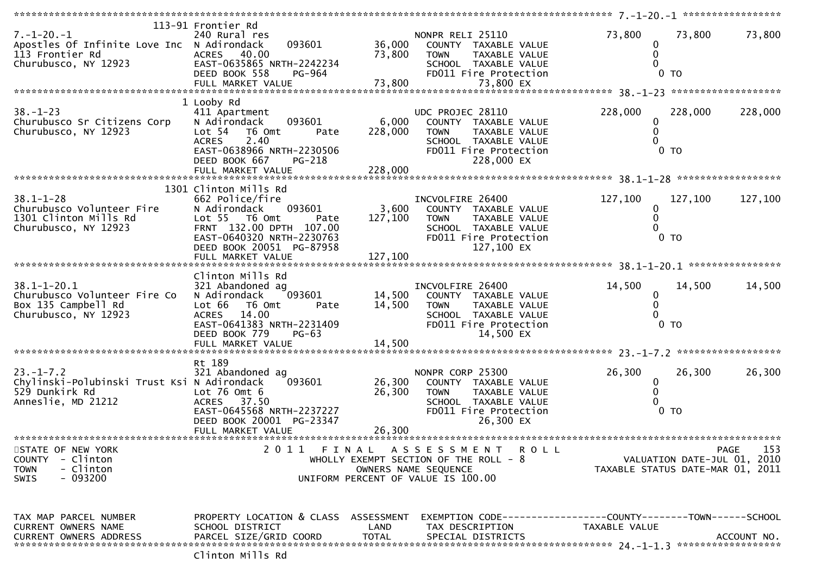| $7. - 1 - 20. - 1$<br>Apostles Of Infinite Love Inc N Adirondack<br>113 Frontier Rd<br>Churubusco, NY 12923 | 113-91 Frontier Rd<br>240 Rural res<br>093601<br>40.00<br><b>ACRES</b><br>EAST-0635865 NRTH-2242234                                                                | 36,000<br>73,800           | NONPR RELI 25110<br>COUNTY TAXABLE VALUE<br><b>TOWN</b><br>TAXABLE VALUE<br>SCHOOL TAXABLE VALUE                                            | 73,800<br>0<br>$\mathbf{0}$      | 73,800                      | 73,800      |
|-------------------------------------------------------------------------------------------------------------|--------------------------------------------------------------------------------------------------------------------------------------------------------------------|----------------------------|---------------------------------------------------------------------------------------------------------------------------------------------|----------------------------------|-----------------------------|-------------|
|                                                                                                             | DEED BOOK 558<br>PG-964                                                                                                                                            |                            | FD011 Fire Protection                                                                                                                       |                                  | $0$ TO                      |             |
|                                                                                                             | 1 Looby Rd                                                                                                                                                         |                            |                                                                                                                                             |                                  |                             |             |
| $38. - 1 - 23$<br>Churubusco Sr Citizens Corp<br>Churubusco, NY 12923                                       | 411 Apartment<br>093601<br>N Adirondack<br>Lot 54<br>T6 Omt<br>Pate<br><b>ACRES</b><br>2.40<br>EAST-0638966 NRTH-2230506<br>DEED BOOK 667<br>PG-218                | 6,000<br>228,000           | UDC PROJEC 28110<br>COUNTY TAXABLE VALUE<br><b>TOWN</b><br>TAXABLE VALUE<br>SCHOOL TAXABLE VALUE<br>FD011 Fire Protection<br>228,000 EX     | 228,000<br>0                     | 228,000<br>0 <sub>T</sub>   | 228,000     |
|                                                                                                             |                                                                                                                                                                    |                            |                                                                                                                                             |                                  |                             |             |
|                                                                                                             | 1301 Clinton Mills Rd                                                                                                                                              |                            |                                                                                                                                             |                                  |                             |             |
| $38.1 - 1 - 28$<br>Churubusco Volunteer Fire<br>1301 Clinton Mills Rd<br>Churubusco, NY 12923               | 662 Police/fire<br>093601<br>N Adirondack<br>Lot 55 T6 Omt<br>Pate<br>FRNT 132.00 DPTH 107.00<br>EAST-0640320 NRTH-2230763<br>DEED BOOK 20051 PG-87958             | 3,600<br>127,100           | INCVOLFIRE 26400<br>COUNTY TAXABLE VALUE<br><b>TOWN</b><br>TAXABLE VALUE<br>SCHOOL TAXABLE VALUE<br>FD011 Fire Protection<br>127,100 EX     | 127,100<br>0<br>$\Omega$         | 127,100<br>$0$ TO           | 127,100     |
|                                                                                                             |                                                                                                                                                                    |                            |                                                                                                                                             |                                  |                             |             |
|                                                                                                             |                                                                                                                                                                    |                            |                                                                                                                                             |                                  |                             |             |
| $38.1 - 1 - 20.1$<br>Churubusco Volunteer Fire Co<br>Box 135 Campbell Rd<br>Churubusco, NY 12923            | Clinton Mills Rd<br>321 Abandoned ag<br>093601<br>N Adirondack<br>Lot 66<br>T6 Omt<br>Pate<br>ACRES 14.00<br>EAST-0641383 NRTH-2231409<br>DEED BOOK 779<br>$PG-63$ | 14,500<br>14,500           | INCVOLFIRE 26400<br>COUNTY TAXABLE VALUE<br><b>TOWN</b><br>TAXABLE VALUE<br>SCHOOL TAXABLE VALUE<br>FD011 Fire Protection<br>14,500 EX      | 14,500<br>0<br>$\Omega$          | 14,500<br>$0$ TO            | 14,500      |
|                                                                                                             |                                                                                                                                                                    |                            |                                                                                                                                             |                                  |                             |             |
| $23. - 1 - 7.2$<br>Chylinski-Polubinski Trust Ksi N Adirondack<br>529 Dunkirk Rd<br>Anneslie, MD 21212      | Rt 189<br>321 Abandoned ag<br>093601<br>Lot $76$ Omt $6$<br><b>ACRES</b><br>37.50<br>EAST-0645568 NRTH-2237227<br>DEED BOOK 20001 PG-23347<br>FULL MARKET VALUE    | 26,300<br>26,300<br>26,300 | NONPR CORP 25300<br>COUNTY TAXABLE VALUE<br><b>TOWN</b><br>TAXABLE VALUE<br>SCHOOL TAXABLE VALUE<br>FD011 Fire Protection<br>26,300 EX      | 26,300<br>0<br>$\Omega$          | 26,300<br>$0$ TO            | 26,300      |
|                                                                                                             |                                                                                                                                                                    |                            |                                                                                                                                             |                                  |                             |             |
| STATE OF NEW YORK<br>COUNTY - Clinton<br>- Clinton<br><b>TOWN</b><br>- 093200<br><b>SWIS</b>                |                                                                                                                                                                    |                            | 2011 FINAL ASSESSMENT<br><b>ROLL</b><br>WHOLLY EXEMPT SECTION OF THE ROLL - 8<br>OWNERS NAME SEQUENCE<br>UNIFORM PERCENT OF VALUE IS 100.00 | TAXABLE STATUS DATE-MAR 01, 2011 | VALUATION DATE-JUL 01, 2010 | PAGE<br>153 |
| TAX MAP PARCEL NUMBER<br>CURRENT OWNERS NAME<br><b>CURRENT OWNERS ADDRESS</b>                               | PROPERTY LOCATION & CLASS ASSESSMENT<br>SCHOOL DISTRICT<br>PARCEL SIZE/GRID COORD                                                                                  | LAND<br><b>TOTAL</b>       | EXEMPTION CODE------------------COUNTY--------TOWN------SCHOOL<br>TAX DESCRIPTION<br>SPECIAL DISTRICTS                                      | TAXABLE VALUE                    |                             | ACCOUNT NO. |
|                                                                                                             |                                                                                                                                                                    |                            |                                                                                                                                             |                                  |                             |             |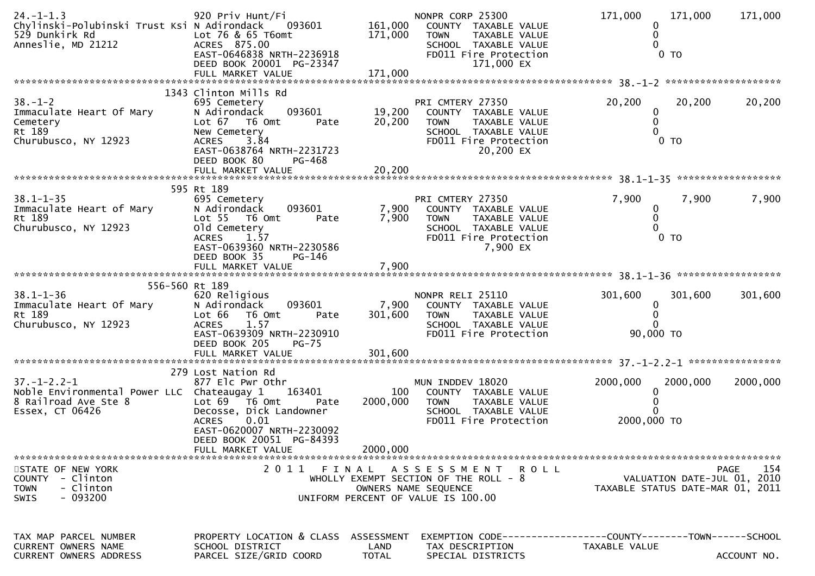| $24. - 1 - 1.3$<br>Chylinski-Polubinski Trust Ksi N Adirondack<br>529 Dunkirk Rd<br>Anneslie, MD 21212       | 920 Priv Hunt/Fi<br>093601<br>Lot 76 & 65 T6omt<br>ACRES 875.00<br>EAST-0646838 NRTH-2236918<br>DEED BOOK 20001 PG-23347                                                      | 161,000<br>171,000                 | NONPR CORP 25300<br>COUNTY TAXABLE VALUE<br>TAXABLE VALUE<br><b>TOWN</b><br>SCHOOL TAXABLE VALUE<br>FD011 Fire Protection<br>171,000 EX | 171,000<br>171,000<br>0 <sub>T</sub>                                          | 171,000     |
|--------------------------------------------------------------------------------------------------------------|-------------------------------------------------------------------------------------------------------------------------------------------------------------------------------|------------------------------------|-----------------------------------------------------------------------------------------------------------------------------------------|-------------------------------------------------------------------------------|-------------|
|                                                                                                              | 1343 Clinton Mills Rd                                                                                                                                                         |                                    |                                                                                                                                         |                                                                               |             |
| $38. - 1 - 2$<br>Immaculate Heart Of Mary<br>Cemetery<br>Rt 189<br>Churubusco, NY 12923                      | 695 Cemetery<br>093601<br>N Adirondack<br>Lot 67 76 0mt<br>Pate<br>New Cemetery<br>3.84<br><b>ACRES</b><br>EAST-0638764 NRTH-2231723<br>DEED BOOK 80<br>PG-468                | 19,200<br>20,200                   | PRI CMTERY 27350<br>COUNTY TAXABLE VALUE<br>TAXABLE VALUE<br><b>TOWN</b><br>SCHOOL TAXABLE VALUE<br>FD011 Fire Protection<br>20,200 EX  | 20,200<br>20,200<br>0<br>0<br>0 <sub>T</sub>                                  | 20,200      |
|                                                                                                              |                                                                                                                                                                               |                                    |                                                                                                                                         |                                                                               |             |
| $38.1 - 1 - 35$<br>Immaculate Heart of Mary<br>Rt 189<br>Churubusco, NY 12923                                | 595 Rt 189<br>695 Cemetery<br>093601<br>N Adirondack<br>Lot 55  T6 Omt<br>Pate<br>old Cemetery<br><b>ACRES</b><br>1.57<br>EAST-0639360 NRTH-2230586<br>DEED BOOK 35<br>PG-146 | 7,900<br>7,900                     | PRI CMTERY 27350<br>COUNTY TAXABLE VALUE<br><b>TOWN</b><br>TAXABLE VALUE<br>SCHOOL TAXABLE VALUE<br>FD011 Fire Protection<br>7,900 EX   | 7,900<br>7,900<br>0<br>$0$ TO                                                 | 7,900       |
|                                                                                                              |                                                                                                                                                                               |                                    |                                                                                                                                         |                                                                               |             |
| 556-560 Rt 189                                                                                               |                                                                                                                                                                               |                                    |                                                                                                                                         |                                                                               |             |
| $38.1 - 1 - 36$<br>Immaculate Heart Of Mary<br>Rt 189<br>Churubusco, NY 12923                                | 620 Religious<br>093601<br>N Adirondack<br>Lot 66<br>T6 Omt<br>Pate<br>1.57<br><b>ACRES</b><br>EAST-0639309 NRTH-2230910<br>DEED BOOK 205<br>$PG-75$                          | 7,900<br>301,600                   | NONPR RELI 25110<br>COUNTY TAXABLE VALUE<br>TAXABLE VALUE<br><b>TOWN</b><br>SCHOOL TAXABLE VALUE<br>FD011 Fire Protection               | 301,600<br>301,600<br>$\Omega$<br>∩<br>90,000 TO                              | 301,600     |
|                                                                                                              |                                                                                                                                                                               |                                    |                                                                                                                                         |                                                                               |             |
|                                                                                                              | 279 Lost Nation Rd                                                                                                                                                            |                                    |                                                                                                                                         |                                                                               |             |
| $37. - 1 - 2.2 - 1$<br>Noble Environmental Power LLC Chateaugay 1<br>8 Railroad Ave Ste 8<br>Essex, CT 06426 | 877 Elc Pwr Othr<br>163401<br>Lot 69  T6 0mt<br>Pate<br>Decosse, Dick Landowner<br>0.01<br><b>ACRES</b><br>EAST-0620007 NRTH-2230092<br>DEED BOOK 20051 PG-84393              | 100<br>2000,000                    | MUN INDDEV 18020<br>COUNTY TAXABLE VALUE<br>TAXABLE VALUE<br><b>TOWN</b><br>SCHOOL TAXABLE VALUE<br>FD011 Fire Protection               | 2000,000<br>2000,000<br>0<br>2000,000 TO                                      | 2000,000    |
|                                                                                                              | FULL MARKET VALUE                                                                                                                                                             | 2000,000                           |                                                                                                                                         |                                                                               |             |
| STATE OF NEW YORK<br>COUNTY - Clinton<br><b>TOWN</b><br>- Clinton<br>$-093200$<br><b>SWIS</b>                |                                                                                                                                                                               |                                    | 2011 FINAL ASSESSMENT ROLL<br>WHOLLY EXEMPT SECTION OF THE ROLL $-8$<br>OWNERS NAME SEQUENCE<br>UNIFORM PERCENT OF VALUE IS 100.00      | VALUATION DATE-JUL 01, 2010<br>TAXABLE STATUS DATE-MAR 01, 2011               | 154<br>PAGE |
| TAX MAP PARCEL NUMBER<br><b>CURRENT OWNERS NAME</b><br><b>CURRENT OWNERS ADDRESS</b>                         | PROPERTY LOCATION & CLASS<br>SCHOOL DISTRICT<br>PARCEL SIZE/GRID COORD                                                                                                        | ASSESSMENT<br>LAND<br><b>TOTAL</b> | TAX DESCRIPTION<br>SPECIAL DISTRICTS                                                                                                    | EXEMPTION CODE-----------------COUNTY-------TOWN------SCHOOL<br>TAXABLE VALUE | ACCOUNT NO. |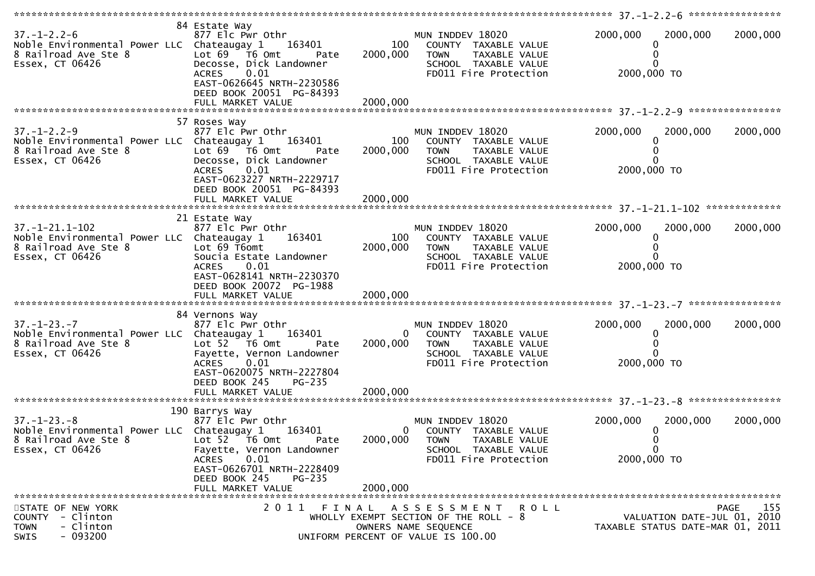| $37. - 1 - 2.2 - 6$<br>Noble Environmental Power LLC Chateaugay 1<br>8 Railroad Ave Ste 8<br>Essex, CT 06426               | 84 Estate Way<br>877 Elc Pwr Othr<br>163401<br>Lot $69$ $\overline{76}$ Omt<br>Pate<br>Decosse, Dick Landowner<br><b>ACRES</b><br>0.01<br>EAST-0626645 NRTH-2230586<br>DEED BOOK 20051 PG-84393 | 100<br>2000,000 | MUN INDDEV 18020<br>COUNTY TAXABLE VALUE<br><b>TOWN</b><br>TAXABLE VALUE<br>SCHOOL TAXABLE VALUE<br>FD011 Fire Protection                 | 2000,000<br>0<br>0<br>2000,000 TO                | 2000,000                    | 2000,000    |
|----------------------------------------------------------------------------------------------------------------------------|-------------------------------------------------------------------------------------------------------------------------------------------------------------------------------------------------|-----------------|-------------------------------------------------------------------------------------------------------------------------------------------|--------------------------------------------------|-----------------------------|-------------|
|                                                                                                                            | 57 Roses Way                                                                                                                                                                                    |                 |                                                                                                                                           |                                                  |                             |             |
| $37. - 1 - 2.2 - 9$<br>Noble Environmental Power LLC Chateaugay 1<br>8 Railroad Ave Ste 8<br>Essex, CT 06426               | 877 Elc Pwr Othr<br>163401<br>Lot 69 T6 Omt<br>Pate<br>Decosse, Dick Landowner<br><b>ACRES</b><br>0.01<br>EAST-0623227 NRTH-2229717<br>DEED BOOK 20051 PG-84393                                 | 100<br>2000,000 | MUN INDDEV 18020<br>COUNTY TAXABLE VALUE<br>TAXABLE VALUE<br><b>TOWN</b><br>SCHOOL TAXABLE VALUE<br>FD011 Fire Protection                 | 2000,000<br>0<br>0<br>0<br>2000,000 TO           | 2000,000                    | 2000,000    |
|                                                                                                                            |                                                                                                                                                                                                 |                 |                                                                                                                                           |                                                  |                             |             |
| $37. - 1 - 21.1 - 102$<br>Noble Environmental Power LLC Chateaugay 1<br>8 Railroad Ave Ste 8<br>Essex, CT 06426            | 21 Estate Way<br>877 Elc Pwr Othr<br>163401<br>Lot 69 T6omt<br>Soucia Estate Landowner<br><b>ACRES</b><br>0.01<br>EAST-0628141 NRTH-2230370<br>DEED BOOK 20072 PG-1988                          | 100<br>2000,000 | MUN INDDEV 18020<br>COUNTY TAXABLE VALUE<br><b>TOWN</b><br>TAXABLE VALUE<br>SCHOOL TAXABLE VALUE<br>FD011 Fire Protection                 | 2000,000<br>0<br>0<br>2000,000 TO                | 2000,000                    | 2000,000    |
|                                                                                                                            |                                                                                                                                                                                                 |                 |                                                                                                                                           |                                                  |                             |             |
| $37. - 1 - 23. - 7$<br>Noble Environmental Power LLC Chateaugay 1<br>8 Railroad Ave Ste 8<br>Essex, CT 06426               | 84 Vernons Way<br>877 Elc Pwr Othr<br>163401<br>Lot 52 T6 Omt<br>Pate<br>Fayette, Vernon Landowner<br><b>ACRES</b><br>0.01<br>EAST-0620075 NRTH-2227804<br>DEED BOOK 245<br>PG-235              | 0<br>2000,000   | MUN INDDEV 18020<br>COUNTY TAXABLE VALUE<br><b>TOWN</b><br>TAXABLE VALUE<br>SCHOOL TAXABLE VALUE<br>FD011 Fire Protection                 | 2000,000<br>0<br>2000,000 TO                     | 2000,000                    | 2000,000    |
|                                                                                                                            |                                                                                                                                                                                                 |                 |                                                                                                                                           |                                                  |                             |             |
| $37. - 1 - 23. - 8$<br>Noble Environmental Power LLC Chateaugay 1<br>8 Railroad Ave Ste 8 Lot 52 T6 Omt<br>Essex, CT 06426 | 190 Barrys Way<br>877 Elc Pwr Othr<br>163401<br>Pate<br>Fayette, Vernon Landowner<br>ACRES 0.01<br>EAST-0626701 NRTH-2228409<br>DEED BOOK 245<br>PG-235<br>FULL MARKET VALUE                    | 2000,000        | MUN INDDEV 18020<br>0 COUNTY TAXABLE VALUE<br>2000,000 TOWN TAXABLE VALUE<br>SCHOOL TAXABLE VALUE<br>FD011 Fire Protection                | 2000,000<br>0<br>0<br>$\mathbf 0$<br>2000,000 TO | 2000,000                    | 2000,000    |
|                                                                                                                            |                                                                                                                                                                                                 |                 |                                                                                                                                           |                                                  |                             |             |
| STATE OF NEW YORK<br>COUNTY - Clinton<br><b>TOWN</b><br>- Clinton<br>$-093200$<br>SWIS                                     |                                                                                                                                                                                                 |                 | 2011 FINAL ASSESSMENT<br>R O L L<br>WHOLLY EXEMPT SECTION OF THE ROLL - $8$<br>OWNERS NAME SEQUENCE<br>UNIFORM PERCENT OF VALUE IS 100.00 | TAXABLE STATUS DATE-MAR 01, 2011                 | VALUATION DATE-JUL 01, 2010 | 155<br>PAGE |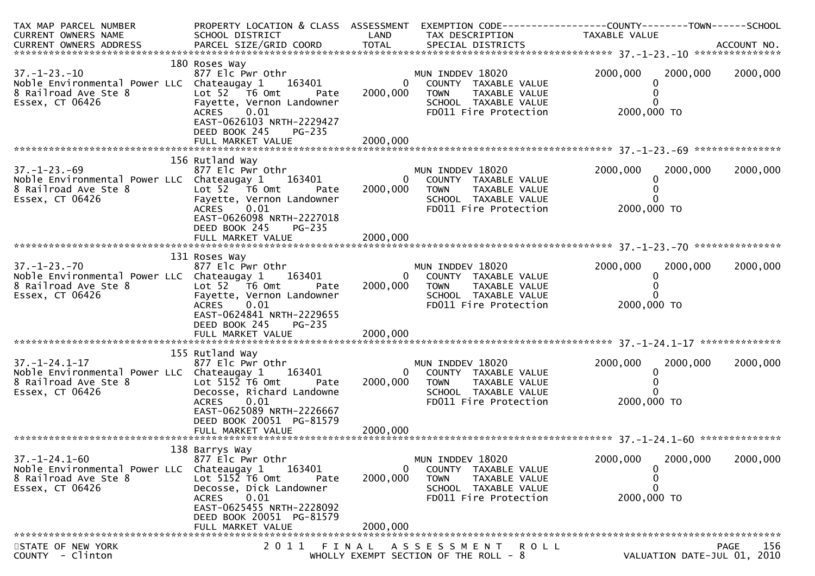| TAX MAP PARCEL NUMBER<br>CURRENT OWNERS NAME                                                                          | PROPERTY LOCATION & CLASS ASSESSMENT EXEMPTION CODE----------------COUNTY-------TOWN------SCHOOL<br>SCHOOL DISTRICT                                                                                              | LAND                                   | TAX DESCRIPTION                                                                                                             | TAXABLE VALUE                                             |                             |
|-----------------------------------------------------------------------------------------------------------------------|------------------------------------------------------------------------------------------------------------------------------------------------------------------------------------------------------------------|----------------------------------------|-----------------------------------------------------------------------------------------------------------------------------|-----------------------------------------------------------|-----------------------------|
|                                                                                                                       |                                                                                                                                                                                                                  |                                        |                                                                                                                             |                                                           |                             |
| $37. - 1 - 23. - 10$<br>Noble Environmental Power LLC Chateaugay 1<br>8 Railroad Ave Ste 8<br>Essex, CT 06426         | 180 Roses Way<br>$877$ Elc Pwr Othr<br>163401<br>Lot 52  T6 0mt<br>Pate<br>Fayette, Vernon Landowner<br>0.01<br><b>ACRES</b><br>EAST-0626103 NRTH-2229427<br>DEED BOOK 245<br><b>PG-235</b><br>FULL MARKET VALUE | $\overline{0}$<br>2000,000<br>2000,000 | MUN INDDEV 18020<br>COUNTY TAXABLE VALUE<br><b>TOWN</b><br>TAXABLE VALUE<br>SCHOOL TAXABLE VALUE<br>FD011 Fire Protection   | 2000,000<br>2000,000<br>0<br>0<br>0<br>2000,000 TO        | 2000,000                    |
|                                                                                                                       |                                                                                                                                                                                                                  |                                        |                                                                                                                             |                                                           |                             |
| $37. - 1 - 23. -69$<br>Noble Environmental Power LLC Chateaugay 1<br>8 Railroad Ave Ste 8<br>Essex, CT 06426          | 156 Rutland Way<br>877 Elc Pwr Othr<br>163401<br>Lot 52 T6 Omt<br><b>Pate</b><br>Fayette, Vernon Landowner<br>0.01<br>ACRES<br>EAST-0626098 NRTH-2227018<br>DEED BOOK 245<br>PG-235                              | $\overline{0}$<br>2000,000             | MUN INDDEV 18020<br>COUNTY TAXABLE VALUE<br><b>TOWN</b><br>TAXABLE VALUE<br>SCHOOL TAXABLE VALUE<br>FD011 Fire Protection   | 2000,000<br>2000,000<br>0<br>0<br>0<br>2000,000 TO        | 2000,000                    |
|                                                                                                                       |                                                                                                                                                                                                                  |                                        |                                                                                                                             |                                                           |                             |
| $37. - 1 - 23. - 70$<br>Noble Environmental Power LLC Chateaugay 1 163401<br>8 Railroad Ave Ste 8<br>Essex, CT 06426  | 131 Roses Way<br>877 Elc Pwr Othr<br>Lot 52 T6 Omt<br>Pate<br>Fayette, Vernon Landowner<br>0.01<br>ACRES<br>EAST-0624841 NRTH-2229655<br>DEED BOOK 245<br>PG-235<br>FULL MARKET VALUE                            | 2000,000<br>2000,000                   | MUN INDDEV 18020<br>0 COUNTY TAXABLE VALUE<br><b>TOWN</b><br>TAXABLE VALUE<br>SCHOOL TAXABLE VALUE<br>FD011 Fire Protection | 2000,000<br>2000,000<br>0<br>0<br>2000,000 TO             | 2000,000                    |
|                                                                                                                       |                                                                                                                                                                                                                  |                                        |                                                                                                                             |                                                           |                             |
| $37. - 1 - 24.1 - 17$<br>Noble Environmental Power LLC Chateaugay 1 163401<br>8 Railroad Ave Ste 8<br>Essex, CT 06426 | 155 Rutland Way<br>877 Elc Pwr Othr<br>Lot $515\overline{2}$ T6 Omt<br>Pate<br>Decosse, Richard Landowne<br>0.01<br>ACRES<br>EAST-0625089 NRTH-2226667<br>DEED BOOK 20051 PG-81579                               | 2000,000                               | MUN INDDEV 18020<br>0 COUNTY TAXABLE VALUE<br><b>TOWN</b><br>TAXABLE VALUE<br>SCHOOL TAXABLE VALUE<br>FD011 Fire Protection | 2000,000<br>2000,000<br>0<br>0<br>2000,000 TO             | 2000,000                    |
|                                                                                                                       |                                                                                                                                                                                                                  |                                        |                                                                                                                             |                                                           |                             |
| $37. - 1 - 24.1 - 60$<br>Noble Environmental Power LLC Chateaugay 1<br>8 Railroad Ave Ste 8<br>Essex, CT 06426        | 138 Barrys Way<br>877 Elc Pwr Othr<br>163401<br>Lot 5152 T6 Omt<br>Pate<br>Decosse, Dick Landowner<br><b>ACRES</b><br>0.01<br>EAST-0625455 NRTH-2228092<br>DEED BOOK 20051 PG-81579<br>FULL MARKET VALUE         | $\mathbf{0}$<br>2000,000<br>2000,000   | MUN INDDEV 18020<br>COUNTY TAXABLE VALUE<br><b>TOWN</b><br>TAXABLE VALUE<br>SCHOOL TAXABLE VALUE<br>FD011 Fire Protection   | 2000,000<br>2000,000<br>0<br>0<br>$\Omega$<br>2000,000 TO | 2000,000                    |
| STATE OF NEW YORK                                                                                                     | 2011                                                                                                                                                                                                             | FINAL                                  | A S S E S S M E N T<br>R O L L                                                                                              |                                                           | 156<br>PAGE                 |
| COUNTY - Clinton                                                                                                      |                                                                                                                                                                                                                  |                                        | WHOLLY EXEMPT SECTION OF THE ROLL $-8$                                                                                      |                                                           | VALUATION DATE-JUL 01, 2010 |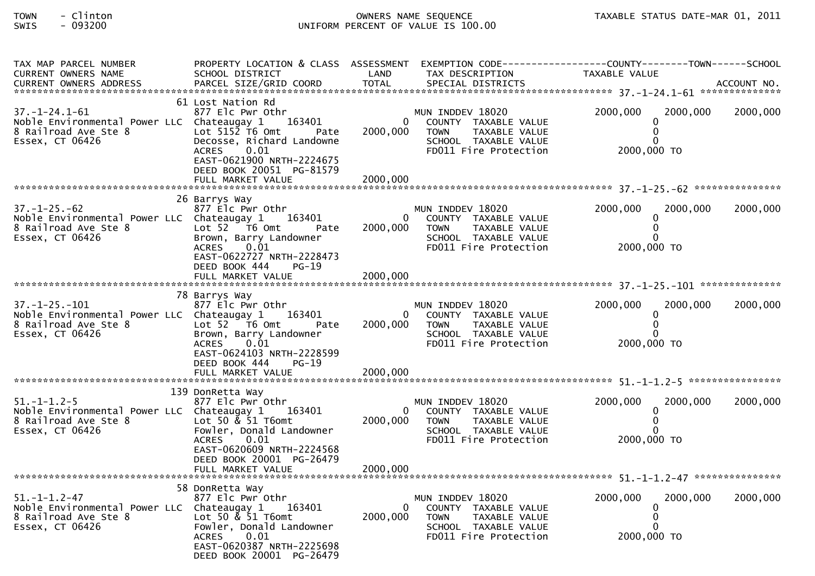# TOWN - Clinton OWNERS NAME SEQUENCE TAXABLE STATUS DATE-MAR 01, 2011SWIS - 093200 UNIFORM PERCENT OF VALUE IS 100.00

| TAX MAP PARCEL NUMBER                                                                                          | PROPERTY LOCATION & CLASS ASSESSMENT                                                                                                                                               |                      |                                                                                                                                  | EXEMPTION CODE------------------COUNTY--------TOWN------SCHOOL |          |
|----------------------------------------------------------------------------------------------------------------|------------------------------------------------------------------------------------------------------------------------------------------------------------------------------------|----------------------|----------------------------------------------------------------------------------------------------------------------------------|----------------------------------------------------------------|----------|
| <b>CURRENT OWNERS NAME</b>                                                                                     | SCHOOL DISTRICT                                                                                                                                                                    | LAND                 | TAX DESCRIPTION                                                                                                                  | TAXABLE VALUE                                                  |          |
|                                                                                                                |                                                                                                                                                                                    |                      |                                                                                                                                  |                                                                |          |
| $37. - 1 - 24.1 - 61$<br>Noble Environmental Power LLC Chateaugay 1<br>8 Railroad Ave Ste 8                    | 61 Lost Nation Rd<br>877 Elc Pwr Othr<br>163401<br>Lot $515\overline{2}$ T6 Omt<br>Pate                                                                                            | $\Omega$<br>2000,000 | MUN INDDEV 18020<br>COUNTY TAXABLE VALUE<br><b>TAXABLE VALUE</b><br><b>TOWN</b>                                                  | 2000,000<br>2000,000<br>0                                      | 2000,000 |
| Essex, CT 06426                                                                                                | Decosse, Richard Landowne<br>0.01<br><b>ACRES</b><br>EAST-0621900 NRTH-2224675<br>DEED BOOK 20051 PG-81579<br>FULL MARKET VALUE                                                    | 2000,000             | SCHOOL TAXABLE VALUE<br>FD011 Fire Protection                                                                                    | 2000,000 TO                                                    |          |
|                                                                                                                |                                                                                                                                                                                    |                      |                                                                                                                                  |                                                                |          |
| $37. - 1 - 25. - 62$<br>Noble Environmental Power LLC Chateaugay 1<br>8 Railroad Ave Ste 8<br>Essex, CT 06426  | 26 Barrys Way<br>877 Elc Pwr Othr<br>163401<br>Lot $52$ $\overline{76}$ Omt<br>Pate<br>Brown, Barry Landowner<br>0.01<br><b>ACRES</b>                                              | 2000,000             | MUN INDDEV 18020<br>COUNTY TAXABLE VALUE<br><b>TOWN</b><br>TAXABLE VALUE<br>SCHOOL TAXABLE VALUE<br>FD011 Fire Protection        | 2000,000<br>2000.000<br>$\mathbf{0}$<br>2000,000 TO            | 2000,000 |
|                                                                                                                | EAST-0622727 NRTH-2228473<br>DEED BOOK 444<br>$PG-19$<br>FULL MARKET VALUE                                                                                                         | 2000.000             |                                                                                                                                  |                                                                |          |
|                                                                                                                | 78 Barrys Way                                                                                                                                                                      |                      |                                                                                                                                  |                                                                |          |
| $37. - 1 - 25. - 101$<br>Noble Environmental Power LLC Chateaugay 1<br>8 Railroad Ave Ste 8<br>Essex, CT 06426 | 877 Elc Pwr Othr<br>163401<br>Lot 52  T6 Omt<br>Pate<br>Brown, Barry Landowner<br><b>ACRES</b><br>0.01<br>EAST-0624103 NRTH-2228599<br>DEED BOOK 444<br>$PG-19$                    | $\Omega$<br>2000,000 | MUN INDDEV 18020<br>COUNTY TAXABLE VALUE<br>TAXABLE VALUE<br><b>TOWN</b><br>SCHOOL TAXABLE VALUE<br>FD011 Fire Protection        | 2000,000<br>2000,000<br>$\mathbf{0}$<br>2000,000 TO            | 2000,000 |
|                                                                                                                | FULL MARKET VALUE                                                                                                                                                                  | 2000,000             |                                                                                                                                  |                                                                |          |
|                                                                                                                | 139 DonRetta Way                                                                                                                                                                   |                      |                                                                                                                                  |                                                                |          |
| $51. - 1 - 1.2 - 5$<br>Noble Environmental Power LLC Chateaugay 1<br>8 Railroad Ave Ste 8<br>Essex, CT 06426   | 877 Elc Pwr Othr<br>163401<br>Lot 50 $&$ 51 T6omt<br>Fowler, Donald Landowner<br>0.01<br><b>ACRES</b><br>EAST-0620609 NRTH-2224568<br>DEED BOOK 20001 PG-26479                     | 2000,000             | MUN INDDEV 18020<br>COUNTY TAXABLE VALUE<br><b>TAXABLE VALUE</b><br><b>TOWN</b><br>SCHOOL TAXABLE VALUE<br>FD011 Fire Protection | 2000.000<br>2000.000<br>0<br>$\Omega$<br>2000,000 TO           | 2000,000 |
|                                                                                                                | FULL MARKET VALUE                                                                                                                                                                  | 2000,000             |                                                                                                                                  |                                                                |          |
|                                                                                                                |                                                                                                                                                                                    |                      |                                                                                                                                  |                                                                |          |
| $51. - 1 - 1.2 - 47$<br>Noble Environmental Power LLC Chateaugay 1<br>8 Railroad Ave Ste 8<br>Essex, CT 06426  | 58 DonRetta Way<br>877 Elc Pwr Othr<br>163401<br>Lot 50 $\&$ 51 T6omt<br>Fowler, Donald Landowner<br><b>ACRES</b><br>0.01<br>EAST-0620387 NRTH-2225698<br>DEED BOOK 20001 PG-26479 | 2000,000             | MUN INDDEV 18020<br>COUNTY TAXABLE VALUE<br><b>TOWN</b><br>TAXABLE VALUE<br>SCHOOL TAXABLE VALUE<br>FD011 Fire Protection        | 2000,000<br>2000,000<br>0<br>$\Omega$<br>2000,000 TO           | 2000,000 |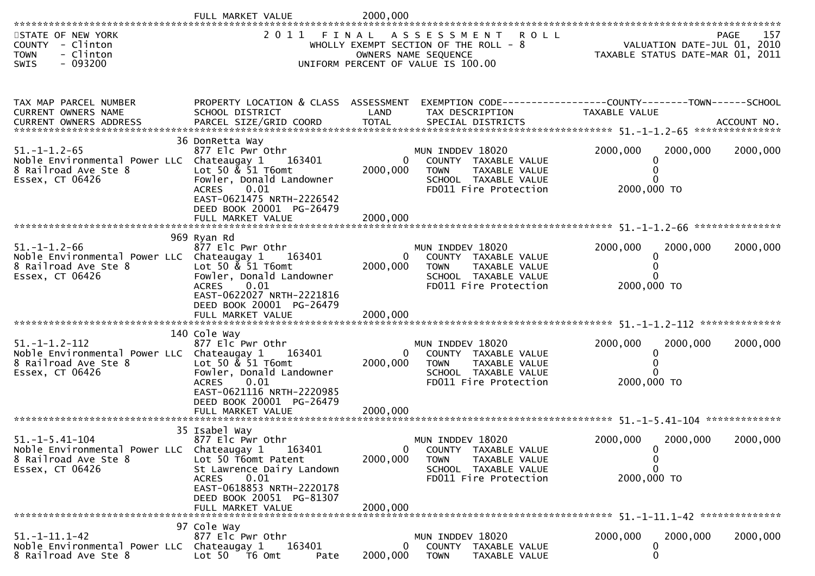|                                                                                                                        | FULL MARKET VALUE                                                                                                                                                                           | 2000,000                  |                                                                                                                                   |                                                                                 |             |
|------------------------------------------------------------------------------------------------------------------------|---------------------------------------------------------------------------------------------------------------------------------------------------------------------------------------------|---------------------------|-----------------------------------------------------------------------------------------------------------------------------------|---------------------------------------------------------------------------------|-------------|
| STATE OF NEW YORK<br><b>COUNTY</b><br>- Clinton<br>- Clinton<br><b>TOWN</b><br>- 093200<br>SWIS                        |                                                                                                                                                                                             |                           | 2011 FINAL ASSESSMENT ROLL<br>WHOLLY EXEMPT SECTION OF THE ROLL - 8<br>OWNERS NAME SEQUENCE<br>UNIFORM PERCENT OF VALUE IS 100.00 | VALUATION DATE-JUL 01, 2010<br>TAXABLE STATUS DATE-MAR 01, 2011                 | 157<br>PAGE |
| TAX MAP PARCEL NUMBER<br>CURRENT OWNERS NAME                                                                           | PROPERTY LOCATION & CLASS ASSESSMENT<br>SCHOOL DISTRICT                                                                                                                                     | LAND                      | TAX DESCRIPTION                                                                                                                   | EXEMPTION CODE------------------COUNTY--------TOWN------SCHOOL<br>TAXABLE VALUE |             |
| $51. - 1 - 1.2 - 65$<br>Noble Environmental Power LLC Chateaugay 1<br>8 Railroad Ave Ste 8<br>Essex, CT 06426          | 36 DonRetta Way<br>877 Elc Pwr Othr<br>163401<br>Lot 50 & 51 T6omt<br>Fowler, Donald Landowner<br>0.01<br><b>ACRES</b><br>EAST-0621475 NRTH-2226542<br>DEED BOOK 20001 PG-26479             | $\bf{0}$<br>2000,000      | MUN INDDEV 18020<br>COUNTY TAXABLE VALUE<br><b>TOWN</b><br>TAXABLE VALUE<br>SCHOOL TAXABLE VALUE<br>FD011 Fire Protection         | 2000,000<br>2000,000<br>0<br>2000,000 TO                                        | 2000,000    |
|                                                                                                                        | FULL MARKET VALUE                                                                                                                                                                           | 2000,000                  |                                                                                                                                   |                                                                                 |             |
| $51. - 1 - 1.2 - 66$<br>Noble Environmental Power LLC Chateaugay 1<br>8 Railroad Ave Ste 8<br>Essex, CT 06426          | 969 Ryan Rd<br>877 Elc Pwr Othr<br>163401<br>Lot 50 & 51 T6omt<br>Fowler, Donald Landowner<br>0.01<br><b>ACRES</b><br>EAST-0622027 NRTH-2221816<br>DEED BOOK 20001 PG-26479                 | $\mathbf{0}$<br>2000,000  | MUN INDDEV 18020<br>COUNTY TAXABLE VALUE<br>TAXABLE VALUE<br><b>TOWN</b><br>SCHOOL TAXABLE VALUE<br>FD011 Fire Protection         | 2000,000<br>2000,000<br>0<br>$\Omega$<br>2000,000 TO                            | 2000,000    |
|                                                                                                                        | 140 Cole Way                                                                                                                                                                                |                           |                                                                                                                                   |                                                                                 |             |
| $51. - 1 - 1.2 - 112$<br>Noble Environmental Power LLC Chateaugay 1<br>8 Railroad Ave Ste 8<br>Essex, CT 06426         | 877 Elc Pwr Othr<br>163401<br>Lot 50 $\&$ 51 T6omt<br>Fowler, Donald Landowner<br>0.01<br><b>ACRES</b><br>EAST-0621116 NRTH-2220985<br>DEED BOOK 20001 PG-26479                             | $\Omega$<br>2000,000      | MUN INDDEV 18020<br>COUNTY TAXABLE VALUE<br><b>TOWN</b><br>TAXABLE VALUE<br>SCHOOL TAXABLE VALUE<br>FD011 Fire Protection         | 2000,000<br>2000,000<br>2000,000 TO                                             | 2000,000    |
|                                                                                                                        | FULL MARKET VALUE                                                                                                                                                                           | 2000,000                  |                                                                                                                                   |                                                                                 |             |
| $51. - 1 - 5.41 - 104$<br>Noble Environmental Power LLC Chateaugay 1 163401<br>8 Railroad Ave Ste 8<br>Essex, CT 06426 | 35 Isabel Way<br>877 Elc Pwr Othr<br>Lot 50 T6omt Patent<br>St Lawrence Dairy Landown<br>0.01<br><b>ACRES</b><br>EAST-0618853 NRTH-2220178<br>DEED BOOK 20051 PG-81307<br>FULL MARKET VALUE | 0<br>2000,000<br>2000,000 | MUN INDDEV 18020<br>COUNTY TAXABLE VALUE<br><b>TOWN</b><br>TAXABLE VALUE<br>SCHOOL TAXABLE VALUE<br>FD011 Fire Protection         | 2000,000<br>2000,000<br>0<br>$\mathbf 0$<br>0<br>2000,000 TO                    | 2000,000    |
|                                                                                                                        | 97 Cole Way                                                                                                                                                                                 |                           |                                                                                                                                   |                                                                                 |             |
| $51. - 1 - 11.1 - 42$<br>Noble Environmental Power LLC Chateaugay 1<br>8 Railroad Ave Ste 8                            | 877 Elc Pwr Othr<br>163401<br>Lot $50$ $\overline{76}$ Omt<br>Pate                                                                                                                          | $\bf{0}$<br>2000,000      | MUN INDDEV 18020<br>COUNTY TAXABLE VALUE<br><b>TOWN</b><br>TAXABLE VALUE                                                          | 2000,000<br>2000,000<br>0<br>$\mathbf 0$                                        | 2000,000    |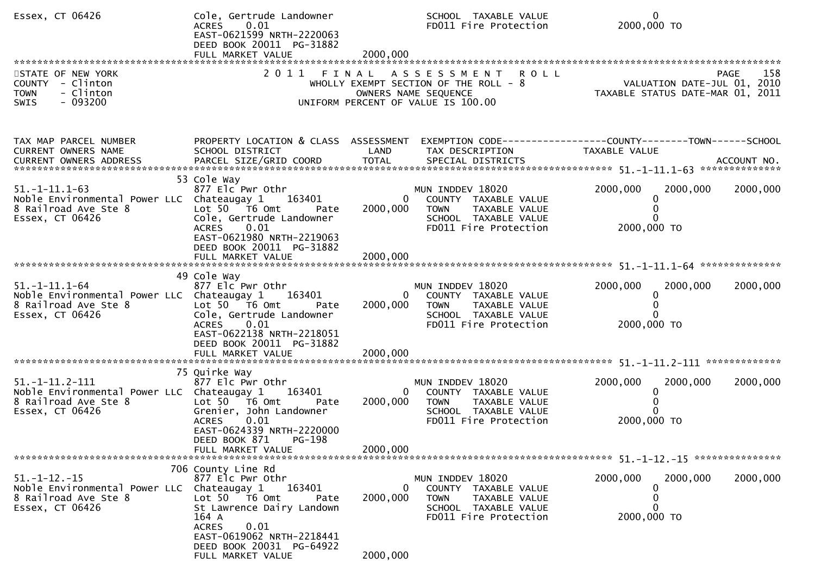| Essex, CT 06426                                                                                                | Cole, Gertrude Landowner<br>ACRES 0.01<br>EAST-0621599 NRTH-2220063<br>DEED BOOK 20011 PG-31882<br>FULL MARKET VALUE                                                                                                   | 2000,000                  | SCHOOL TAXABLE VALUE<br>FD011 Fire Protection                                                                             | $\mathbf{0}$<br>2000,000 TO                                                           |
|----------------------------------------------------------------------------------------------------------------|------------------------------------------------------------------------------------------------------------------------------------------------------------------------------------------------------------------------|---------------------------|---------------------------------------------------------------------------------------------------------------------------|---------------------------------------------------------------------------------------|
| STATE OF NEW YORK<br>COUNTY - Clinton<br>- Clinton<br><b>TOWN</b><br>- 093200<br><b>SWIS</b>                   | 2011<br>FINAL                                                                                                                                                                                                          |                           | ASSESSMENT ROLL<br>WHOLLY EXEMPT SECTION OF THE ROLL - 8<br>OWNERS NAME SEQUENCE<br>UNIFORM PERCENT OF VALUE IS 100.00    | 158<br><b>PAGE</b><br>VALUATION DATE-JUL 01, 2010<br>TAXABLE STATUS DATE-MAR 01, 2011 |
| TAX MAP PARCEL NUMBER<br>CURRENT OWNERS NAME<br>CURRENT OWNERS ADDRESS                                         | PROPERTY LOCATION & CLASS ASSESSMENT<br>SCHOOL DISTRICT                                                                                                                                                                | LAND                      | TAX DESCRIPTION                                                                                                           | EXEMPTION CODE------------------COUNTY--------TOWN------SCHOOL<br>TAXABLE VALUE       |
| $51. -1 - 11.1 - 63$<br>Noble Environmental Power LLC Chateaugay 1<br>8 Railroad Ave Ste 8<br>Essex, CT 06426  | 53 Cole Way<br>877 Elc Pwr Othr<br>163401<br>Lot $50$ $\overline{16}$ Omt<br>Pate<br>Cole, Gertrude Landowner<br>ACRES 0.01<br>EAST-0621980 NRTH-2219063<br>DEED BOOK 20011 PG-31882                                   | $\mathbf{0}$<br>2000,000  | MUN INDDEV 18020<br>COUNTY TAXABLE VALUE<br>TAXABLE VALUE<br><b>TOWN</b><br>SCHOOL TAXABLE VALUE<br>FD011 Fire Protection | 2000,000<br>2000,000<br>2000,000<br>0<br>$\Omega$<br>$\Omega$<br>2000,000 TO          |
|                                                                                                                |                                                                                                                                                                                                                        |                           |                                                                                                                           |                                                                                       |
| $51. - 1 - 11.1 - 64$<br>Noble Environmental Power LLC Chateaugay 1<br>8 Railroad Ave Ste 8<br>Essex, CT 06426 | 49 Cole Way<br>877 Elc Pwr Othr<br>163401<br>Lot $50$ $\overline{76}$ Omt<br>Pate<br>Cole, Gertrude Landowner<br>ACRES 0.01<br>EAST-0622138 NRTH-2218051<br>DEED BOOK 20011 PG-31882                                   | 0<br>2000,000             | MUN INDDEV 18020<br>COUNTY TAXABLE VALUE<br><b>TOWN</b><br>TAXABLE VALUE<br>SCHOOL TAXABLE VALUE<br>FD011 Fire Protection | 2000,000<br>2000,000<br>2000,000<br>0<br>$\Omega$<br><sup>0</sup><br>2000,000 TO      |
|                                                                                                                |                                                                                                                                                                                                                        |                           |                                                                                                                           |                                                                                       |
| $51. -1 - 11.2 - 111$<br>Noble Environmental Power LLC Chateaugay 1<br>8 Railroad Ave Ste 8<br>Essex, CT 06426 | 75 Quirke Way<br>877 Elc Pwr Othr<br>163401<br>Lot $50$ $\overline{76}$ Omt<br>Pate<br>Grenier, John Landowner<br><b>ACRES</b><br>0.01<br>EAST-0624339 NRTH-2220000                                                    | $\mathbf{0}$<br>2000,000  | MUN INDDEV 18020<br>COUNTY TAXABLE VALUE<br><b>TOWN</b><br>TAXABLE VALUE<br>SCHOOL TAXABLE VALUE<br>FD011 Fire Protection | 2000,000<br>2000,000<br>2000,000<br>0<br>$\Omega$<br>$\Omega$<br>2000,000 TO          |
|                                                                                                                | DEED BOOK 871<br>PG-198<br>FULL MARKET VALUE                                                                                                                                                                           | 2000,000                  |                                                                                                                           |                                                                                       |
| $51. - 1 - 12. - 15$<br>Noble Environmental Power LLC Chateaugay 1<br>8 Railroad Ave Ste 8<br>Essex, CT 06426  | 706 County Line Rd<br>877 Elc Pwr Othr<br>163401<br>Lot 50  T6 0mt<br>Pate<br>St Lawrence Dairy Landown<br>164 A<br>0.01<br><b>ACRES</b><br>EAST-0619062 NRTH-2218441<br>DEED BOOK 20031 PG-64922<br>FULL MARKET VALUE | 0<br>2000,000<br>2000,000 | MUN INDDEV 18020<br>COUNTY TAXABLE VALUE<br><b>TOWN</b><br>TAXABLE VALUE<br>SCHOOL TAXABLE VALUE<br>FD011 Fire Protection | 2000,000<br>2000,000<br>2000,000<br>0<br>0<br>0<br>2000,000 TO                        |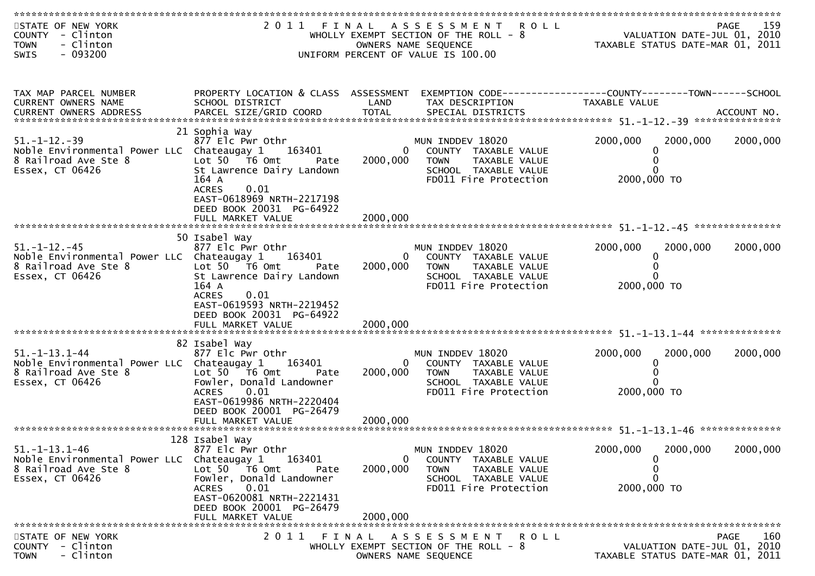| STATE OF NEW YORK<br>COUNTY - Clinton<br><b>TOWN</b><br>- Clinton<br>$-093200$<br>SWIS                         |                                                                                                                                                                                                            |                                  | 2011 FINAL ASSESSMENT ROLL<br>WHOLLY EXEMPT SECTION OF THE ROLL - 8<br>OWNERS NAME SEQUENCE<br>UNIFORM PERCENT OF VALUE IS 100.00         | VALUATION DATE-JUL 01, 2010<br>TAXABLE STATUS DATE-MAR 01, 2011 | 159<br>PAGE        |
|----------------------------------------------------------------------------------------------------------------|------------------------------------------------------------------------------------------------------------------------------------------------------------------------------------------------------------|----------------------------------|-------------------------------------------------------------------------------------------------------------------------------------------|-----------------------------------------------------------------|--------------------|
|                                                                                                                |                                                                                                                                                                                                            |                                  |                                                                                                                                           |                                                                 |                    |
| TAX MAP PARCEL NUMBER<br>CURRENT OWNERS NAME                                                                   | PROPERTY LOCATION & CLASS ASSESSMENT<br>SCHOOL DISTRICT                                                                                                                                                    | LAND                             | EXEMPTION CODE-----------------COUNTY-------TOWN------SCHOOL<br>TAX DESCRIPTION                                                           | TAXABLE VALUE                                                   |                    |
| $51. - 1 - 12. - 39$<br>Noble Environmental Power LLC Chateaugay 1<br>8 Railroad Ave Ste 8<br>Essex, CT 06426  | 21 Sophia Way<br>877 Elc Pwr Othr<br>163401<br>Lot $50$ $\overline{76}$ Omt<br>Pate<br>St Lawrence Dairy Landown<br>164 A<br><b>ACRES</b><br>0.01<br>EAST-0618969 NRTH-2217198<br>DEED BOOK 20031 PG-64922 | $\Omega$<br>2000,000             | MUN INDDEV 18020<br>COUNTY TAXABLE VALUE<br><b>TOWN</b><br>TAXABLE VALUE<br>SCHOOL TAXABLE VALUE<br>FD011 Fire Protection                 | 2000,000<br>2000,000<br>0<br>0<br>0<br>2000,000 TO              | 2000,000           |
|                                                                                                                | 50 Isabel Way                                                                                                                                                                                              |                                  |                                                                                                                                           |                                                                 |                    |
| $51. - 1 - 12. - 45$<br>Noble Environmental Power LLC Chateaugay 1<br>8 Railroad Ave Ste 8<br>Essex, CT 06426  | 877 Elc Pwr Othr<br>163401<br>Lot $50$ $\overline{76}$ Omt<br>Pate<br>St Lawrence Dairy Landown<br>164 A<br>0.01<br><b>ACRES</b><br>EAST-0619593 NRTH-2219452<br>DEED BOOK 20031 PG-64922                  | 2000,000                         | MUN INDDEV 18020<br>COUNTY TAXABLE VALUE<br>0<br>TAXABLE VALUE<br><b>TOWN</b><br>SCHOOL TAXABLE VALUE<br>FD011 Fire Protection            | 2000,000<br>2000,000<br>0<br>0<br>2000,000 TO                   | 2000,000           |
|                                                                                                                | 82 Isabel Way                                                                                                                                                                                              |                                  |                                                                                                                                           |                                                                 |                    |
| $51. - 1 - 13.1 - 44$<br>Noble Environmental Power LLC Chateaugay 1<br>8 Railroad Ave Ste 8<br>Essex, CT 06426 | 877 Elc Pwr Othr<br>163401<br>Lot 50 T6 Omt<br>Pate<br>Fowler, Donald Landowner<br>0.01<br>ACRES<br>EAST-0619986 NRTH-2220404<br>DEED BOOK 20001 PG-26479                                                  | 2000,000                         | MUN INDDEV 18020<br>$\mathbf{0}$<br>COUNTY TAXABLE VALUE<br>TAXABLE VALUE<br><b>TOWN</b><br>SCHOOL TAXABLE VALUE<br>FD011 Fire Protection | 2000,000<br>2000,000<br>0<br>0<br>0<br>2000,000 TO              | 2000,000           |
|                                                                                                                | 128 Isabel Way                                                                                                                                                                                             |                                  |                                                                                                                                           |                                                                 |                    |
| $51. - 1 - 13.1 - 46$<br>Noble Environmental Power LLC<br>8 Railroad Ave Ste 8<br>Essex, CT 06426              | 877 Elc Pwr Othr<br>Chateaugay 1<br>163401<br>Lot $50 - 76$ Omt<br>Pate<br>Fowler, Donald Landowner<br>0.01<br><b>ACRES</b><br>EAST-0620081 NRTH-2221431<br>DEED BOOK 20001 PG-26479<br>FULL MARKET VALUE  | $\Omega$<br>2000,000<br>2000,000 | MUN INDDEV 18020<br>COUNTY<br>TAXABLE VALUE<br><b>TOWN</b><br>TAXABLE VALUE<br>SCHOOL TAXABLE VALUE<br>FD011 Fire Protection              | 2000,000<br>2000,000<br>0<br>0<br>0<br>2000,000 TO              | 2000,000           |
|                                                                                                                |                                                                                                                                                                                                            |                                  |                                                                                                                                           |                                                                 |                    |
| STATE OF NEW YORK<br>- Clinton<br><b>COUNTY</b><br>- Clinton<br><b>TOWN</b>                                    | 2011                                                                                                                                                                                                       | FINAL                            | A S S E S S M E N T<br><b>ROLL</b><br>WHOLLY EXEMPT SECTION OF THE ROLL - 8<br>OWNERS NAME SEQUENCE                                       | VALUATION DATE-JUL 01, 2010<br>TAXABLE STATUS DATE-MAR 01, 2011 | <b>PAGE</b><br>160 |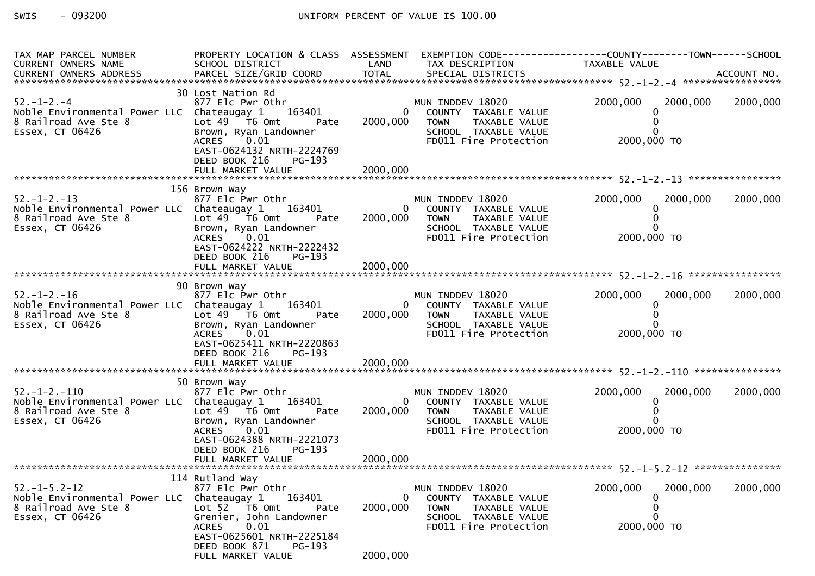| TAX MAP PARCEL NUMBER                                                                                                                                                                       | PROPERTY LOCATION & CLASS ASSESSMENT EXEMPTION CODE---------------COUNTY-------TOWN------SCHOOL                                                                                                                        |                                      |                                                                                                                                     |                                                                 |          |
|---------------------------------------------------------------------------------------------------------------------------------------------------------------------------------------------|------------------------------------------------------------------------------------------------------------------------------------------------------------------------------------------------------------------------|--------------------------------------|-------------------------------------------------------------------------------------------------------------------------------------|-----------------------------------------------------------------|----------|
| 30 Lost Nation Rd<br>877 Elc Pwr Othr (18020 MUN INDDEV 18020<br>Noble Environmental Power LLC Chateaugay 1 163401 (1895) 0 COUNTY TAXABLE VALUE<br>8 Railroad Ave Ste 8<br>Essex, CT 06426 | Lot 49 T6 Omt Pate<br>Brown, Ryan Landowner<br>0.01<br>ACRES<br>EAST-0624132 NRTH-2224769<br>DEED BOOK 216 PG-193                                                                                                      |                                      | 2000,000 TOWN<br>TAXABLE VALUE                                                                                                      | 2000,000 2000,000 2000,000<br>0                                 |          |
| 130 Brown way<br>877 Elc Pwr Othr<br>8 Railroad Ave Ste 8 LLC Chateaugay 1 163401 0<br>8 Railroad Ave Ste 8 Lot 49 T6 Omt Pate 2000,000<br>Essex, CT 06426                                  | 156 Brown Way<br>Brown, Ryan Landowner<br>ACPES 0.01<br>0.01<br>EAST-0624222 NRTH-2222432<br>DEED BOOK 216<br>PG-193                                                                                                   | $\overline{0}$<br>2000,000           | MUN INDDEV 18020<br>COUNTY TAXABLE VALUE<br>TAXABLE VALUE<br><b>TOWN</b><br>SCHOOL TAXABLE VALUE<br>FD011 Fire Protection           | 2000,000<br>2000,000<br>0<br>0<br>$\Omega$<br>2000,000 TO       | 2000,000 |
| 52.-1-2.-16 877 Elc Pwr Othr<br>Noble Environmental Power LLC Chateaugay 1 163401<br>8 Railroad Ave Ste 8<br>Essex, CT 06426                                                                | 90 Brown Way<br>Lot $49$ $-76$ Omt<br>Pate<br>Brown, Ryan Landowner<br>0.01<br><b>ACRES</b><br>EAST-0625411 NRTH-2220863<br>DEED BOOK 216<br>PG-193<br>FULL MARKET VALUE                                               | 2000,000                             | MUN INDDEV 18020<br>0 COUNTY TAXABLE VALUE<br>2000,000 TOWN TAXABLE VALUE<br>SCHOOL TAXABLE VALUE<br>FD011 Fire Protection          | 2000,000<br>2000,000<br>$\mathbf{0}$<br>$\Omega$<br>2000,000 TO | 2000,000 |
| 52.-1-2.-110<br>877 Elc Pwr Othr<br>Noble Environmental Power LLC Chateaugay 1 163401<br>8 Railroad Ave Ste 8<br>Essex, CT 06426                                                            | 50 Brown Way<br>Lot 49 T6 Omt Pate<br>Brown, Ryan Landowner<br><b>ACRES</b><br>0.01<br>EAST-0624388 NRTH-2221073<br>DEED BOOK 216<br>PG-193                                                                            |                                      | MUN INDDEV 18020<br>0 COUNTY TAXABLE VALUE<br>2000,000 TOWN<br>TAXABLE VALUE<br>TOWN IAAADLL<br>SCHOOL TAXABLE VALUE<br>2000,000 TO | 2000,000<br>2000,000<br>$\mathbf{0}$                            | 2000,000 |
| $52. -1 - 5.2 - 12$<br>Noble Environmental Power LLC<br>8 Railroad Ave Ste 8<br>Essex, CT 06426                                                                                             | 114 Rutland Way<br>877 Elc Pwr Othr<br>163401<br>Chateaugay 1<br>Lot 52 T6 Omt<br>Pate<br>Grenier, John Landowner<br>0.01<br><b>ACRES</b><br>EAST-0625601 NRTH-2225184<br>DEED BOOK 871<br>PG-193<br>FULL MARKET VALUE | $\mathbf{0}$<br>2000,000<br>2000,000 | MUN INDDEV 18020<br>COUNTY TAXABLE VALUE<br><b>TOWN</b><br>TAXABLE VALUE<br>SCHOOL TAXABLE VALUE<br>FD011 Fire Protection           | 2000,000<br>2000,000<br>0<br>0<br>$\Omega$<br>2000,000 TO       | 2000,000 |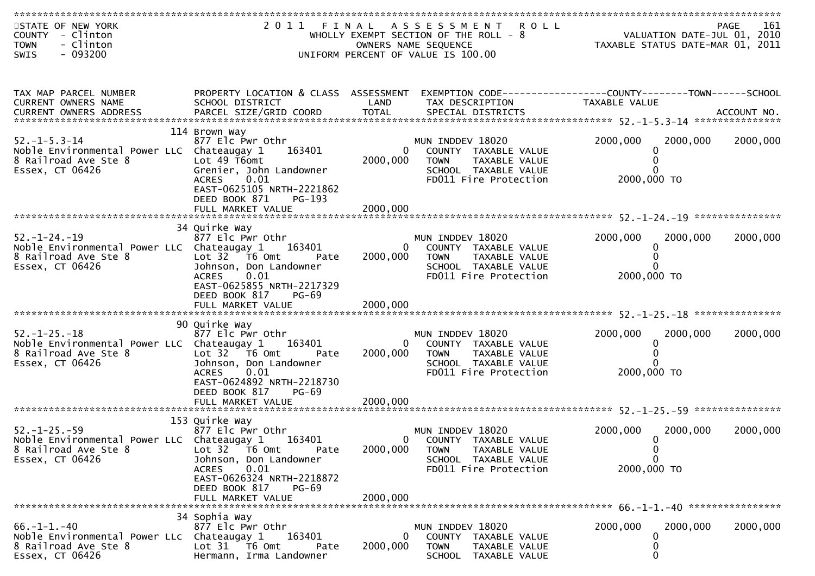| STATE OF NEW YORK<br>COUNTY - Clinton<br>- Clinton<br><b>TOWN</b><br>$-093200$<br>SWIS                        |                                                                                                                                                                                               |                                  | 2011 FINAL ASSESSMENT ROLL<br>WHOLLY EXEMPT SECTION OF THE ROLL - 8<br>OWNERS NAME SEQUENCE<br>UNIFORM PERCENT OF VALUE IS 100.00 | VALUATION DATE-JUL $\overline{01}$ , 2010<br>TAXABLE STATUS DATE-MAR $01, 2011$ |                                        | 161<br>PAGE |
|---------------------------------------------------------------------------------------------------------------|-----------------------------------------------------------------------------------------------------------------------------------------------------------------------------------------------|----------------------------------|-----------------------------------------------------------------------------------------------------------------------------------|---------------------------------------------------------------------------------|----------------------------------------|-------------|
| TAX MAP PARCEL NUMBER<br>CURRENT OWNERS NAME                                                                  | PROPERTY LOCATION & CLASS ASSESSMENT<br>SCHOOL DISTRICT                                                                                                                                       | LAND                             | EXEMPTION CODE-----------------COUNTY-------TOWN------SCHOOL<br>TAX DESCRIPTION                                                   | TAXABLE VALUE                                                                   |                                        |             |
| $52. -1 - 5.3 - 14$<br>Noble Environmental Power LLC Chateaugay 1<br>8 Railroad Ave Ste 8<br>Essex, CT 06426  | 114 Brown Way<br>877 Elc Pwr Othr<br>163401<br>Lot $49$ T6omt<br>Grenier, John Landowner<br>0.01<br><b>ACRES</b><br>EAST-0625105 NRTH-2221862<br>DEED BOOK 871<br>PG-193<br>FULL MARKET VALUE | $\Omega$<br>2000,000<br>2000,000 | MUN INDDEV 18020<br>COUNTY TAXABLE VALUE<br><b>TOWN</b><br>TAXABLE VALUE<br>SCHOOL TAXABLE VALUE<br>FD011 Fire Protection         | 2000,000<br>2000,000 TO                                                         | 2000,000<br>0<br>0<br>0                | 2000,000    |
|                                                                                                               |                                                                                                                                                                                               |                                  |                                                                                                                                   |                                                                                 |                                        |             |
| $52. - 1 - 24. - 19$<br>Noble Environmental Power LLC Chateaugay 1<br>8 Railroad Ave Ste 8<br>Essex, CT 06426 | 34 Quirke Way<br>877 Elc Pwr Othr<br>163401<br>Lot $32$ $\overline{76}$ Omt<br>Pate<br>Johnson, Don Landowner<br>0.01<br><b>ACRES</b><br>EAST-0625855 NRTH-2217329<br>DEED BOOK 817<br>PG-69  | $\mathbf{0}$<br>2000,000         | MUN INDDEV 18020<br>COUNTY TAXABLE VALUE<br>TAXABLE VALUE<br><b>TOWN</b><br>SCHOOL TAXABLE VALUE<br>FD011 Fire Protection         | 2000,000<br>2000,000 TO                                                         | 2000,000<br>0<br>0                     | 2000,000    |
|                                                                                                               |                                                                                                                                                                                               |                                  |                                                                                                                                   |                                                                                 |                                        |             |
| $52. - 1 - 25. - 18$<br>Noble Environmental Power LLC Chateaugay 1<br>8 Railroad Ave Ste 8<br>Essex, CT 06426 | 90 Quirke Way<br>877 Elc Pwr Othr<br>163401<br>Lot $32 \times 76$ Omt<br>Pate<br>Johnson, Don Landowner<br>0.01<br><b>ACRES</b><br>EAST-0624892 NRTH-2218730<br>DEED BOOK 817<br><b>PG-69</b> | $\Omega$<br>2000,000             | MUN INDDEV 18020<br>COUNTY TAXABLE VALUE<br><b>TOWN</b><br>TAXABLE VALUE<br>SCHOOL TAXABLE VALUE<br>FD011 Fire Protection         | 2000,000<br>2000,000 TO                                                         | 2000,000<br>0<br>0<br>0                | 2000,000    |
|                                                                                                               |                                                                                                                                                                                               |                                  |                                                                                                                                   |                                                                                 |                                        |             |
| $52. - 1 - 25. - 59$<br>Noble Environmental Power LLC Chateaugay 1<br>8 Railroad Ave Ste 8<br>Essex, CT 06426 | 153 Quirke Way<br>877 Elc Pwr Othr<br>163401<br>Lot $32$ T6 Omt<br>Pate<br>Johnson, Don Landowner<br>0.01<br>ACRES<br>EAST-0626324 NRTH-2218872                                               | 0<br>2000,000                    | MUN INDDEV 18020<br>COUNTY TAXABLE VALUE<br>TAXABLE VALUE<br><b>TOWN</b><br>SCHOOL TAXABLE VALUE<br>FD011 Fire Protection         | 2000,000<br>2000,000 TO                                                         | 2000,000<br>0<br>$\boldsymbol{0}$<br>0 | 2000,000    |
|                                                                                                               | DEED BOOK 817<br>PG-69<br>FULL MARKET VALUE                                                                                                                                                   | 2000,000                         |                                                                                                                                   |                                                                                 |                                        |             |
|                                                                                                               |                                                                                                                                                                                               |                                  |                                                                                                                                   |                                                                                 |                                        |             |
| $66. -1 - 1. -40$<br>Noble Environmental Power LLc Chateaugay 1<br>8 Railroad Ave Ste 8<br>Essex, CT 06426    | 34 Sophia Way<br>877 Elc Pwr Othr<br>163401<br>Lot 31 76 0mt<br>Pate<br>Hermann, Irma Landowner                                                                                               | $\mathbf{0}$<br>2000,000         | MUN INDDEV 18020<br>COUNTY TAXABLE VALUE<br><b>TOWN</b><br>TAXABLE VALUE<br>SCHOOL TAXABLE VALUE                                  | 2000,000                                                                        | 2000,000<br>0<br>0<br>0                | 2000,000    |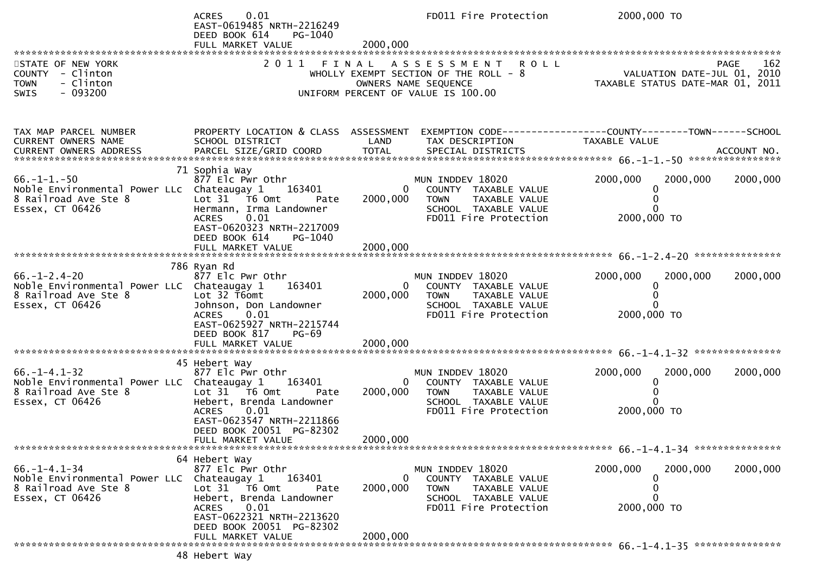|                                                                                                               | 0.01<br><b>ACRES</b><br>EAST-0619485 NRTH-2216249<br>DEED BOOK 614<br>PG-1040<br>FULL MARKET VALUE                                                                                              | 2000,000                  | FD011 Fire Protection                                                                                                              | 2000,000 TO                                                                     |             |
|---------------------------------------------------------------------------------------------------------------|-------------------------------------------------------------------------------------------------------------------------------------------------------------------------------------------------|---------------------------|------------------------------------------------------------------------------------------------------------------------------------|---------------------------------------------------------------------------------|-------------|
| STATE OF NEW YORK<br>COUNTY - Clinton<br><b>TOWN</b><br>- Clinton<br>$-093200$<br>SWIS                        | 2011 FINAL                                                                                                                                                                                      |                           | A S S E S S M E N T R O L L<br>WHOLLY EXEMPT SECTION OF THE ROLL - 8<br>OWNERS NAME SEQUENCE<br>UNIFORM PERCENT OF VALUE IS 100.00 | VALUATION DATE-JUL 01, 2010<br>TAXABLE STATUS DATE-MAR 01, 2011                 | 162<br>PAGE |
| TAX MAP PARCEL NUMBER<br>CURRENT OWNERS NAME                                                                  | PROPERTY LOCATION & CLASS ASSESSMENT<br>SCHOOL DISTRICT                                                                                                                                         | LAND                      | TAX DESCRIPTION                                                                                                                    | EXEMPTION CODE------------------COUNTY--------TOWN------SCHOOL<br>TAXABLE VALUE |             |
| $66. -1 - 1. -50$<br>Noble Environmental Power LLc Chateaugay 1<br>8 Railroad Ave Ste 8<br>Essex, CT 06426    | 71 Sophia Way<br>877 Elc Pwr Othr<br>163401<br>Lot 31 T6 Omt<br>Pate<br>Hermann, Irma Landowner<br>0.01<br><b>ACRES</b><br>EAST-0620323 NRTH-2217009<br>DEED BOOK 614<br>PG-1040                | 0<br>2000,000             | MUN INDDEV 18020<br>COUNTY TAXABLE VALUE<br><b>TOWN</b><br>TAXABLE VALUE<br>SCHOOL TAXABLE VALUE<br>FD011 Fire Protection          | 2000,000<br>2000,000<br>0<br>$\mathbf{0}$<br>2000,000 TO                        | 2000,000    |
|                                                                                                               | 786 Ryan Rd                                                                                                                                                                                     |                           |                                                                                                                                    |                                                                                 |             |
| $66. - 1 - 2.4 - 20$<br>Noble Environmental Power LLC Chateaugay 1<br>8 Railroad Ave Ste 8<br>Essex, CT 06426 | 877 Elc Pwr Othr<br>163401<br>Lot $32 \overline{1}6$ omt<br>Johnson, Don Landowner<br>0.01<br><b>ACRES</b><br>EAST-0625927 NRTH-2215744<br>DEED BOOK 817<br><b>PG-69</b><br>FULL MARKET VALUE   | 0<br>2000,000<br>2000,000 | MUN INDDEV 18020<br>COUNTY TAXABLE VALUE<br>TOWN<br>TAXABLE VALUE<br>SCHOOL TAXABLE VALUE<br>FD011 Fire Protection                 | 2000,000<br>2000,000<br>0<br>2000,000 TO                                        | 2000,000    |
|                                                                                                               | 45 Hebert Way                                                                                                                                                                                   |                           |                                                                                                                                    |                                                                                 |             |
| $66. - 1 - 4.1 - 32$<br>Noble Environmental Power LLC Chateaugay 1<br>8 Railroad Ave Ste 8<br>Essex, CT 06426 | 877 Elc Pwr Othr<br>163401<br>Lot 31 76 0mt<br>Pate<br>Hebert, Brenda Landowner<br>0.01<br><b>ACRES</b><br>EAST-0623547 NRTH-2211866<br>DEED BOOK 20051 PG-82302                                | 0<br>2000,000             | MUN INDDEV 18020<br>COUNTY TAXABLE VALUE<br><b>TOWN</b><br>TAXABLE VALUE<br>SCHOOL TAXABLE VALUE<br>FD011 Fire Protection          | 2000,000<br>2000,000<br>0<br>2000,000 TO                                        | 2000,000    |
|                                                                                                               | FULL MARKET VALUE                                                                                                                                                                               | 2000,000                  |                                                                                                                                    |                                                                                 |             |
| $66. - 1 - 4.1 - 34$<br>Noble Environmental Power LLC Chateaugay 1<br>8 Railroad Ave Ste 8<br>Essex, CT 06426 | 64 Hebert Way<br>877 Elc Pwr Othr<br>163401<br>Lot 31 76 0mt<br>Pate<br>Hebert, Brenda Landowner<br>0.01<br>ACRES<br>EAST-0622321 NRTH-2213620<br>DEED BOOK 20051 PG-82302<br>FULL MARKET VALUE | 0<br>2000,000<br>2000,000 | MUN INDDEV 18020<br>COUNTY TAXABLE VALUE<br><b>TOWN</b><br>TAXABLE VALUE<br>SCHOOL TAXABLE VALUE<br>FD011 Fire Protection          | 2000,000<br>2000,000<br>0<br>2000,000 TO                                        | 2000,000    |
|                                                                                                               |                                                                                                                                                                                                 |                           |                                                                                                                                    |                                                                                 |             |

48 Hebert Way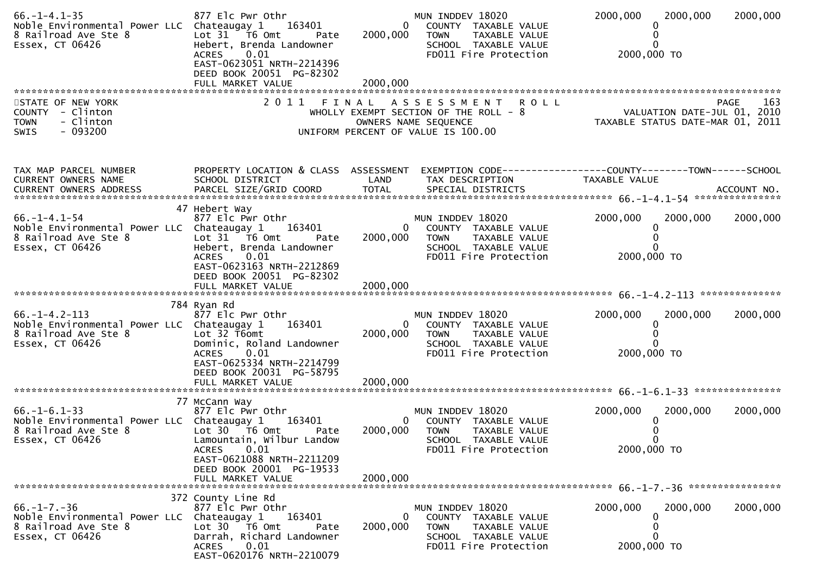| $66. - 1 - 4.1 - 35$<br>Noble Environmental Power LLC Chateaugay 1 163401<br>8 Railroad Ave Ste 8<br>Essex, CT 06426 | 877 Elc Pwr Othr<br>Lot 31 T6 Omt<br>Pate<br>Hebert, Brenda Landowner<br>0.01<br>ACRES<br>EAST-0623051 NRTH-2214396<br>DEED BOOK 20051 PG-82302 | 2000,000<br>2000,000       | MUN INDDEV 18020<br>$\overline{0}$<br>COUNTY TAXABLE VALUE<br><b>TOWN</b><br>TAXABLE VALUE<br>SCHOOL TAXABLE VALUE<br>FD011 Fire Protection | 2000,000<br>2000,000<br>2000,000 TO                                             | 2000,000           |
|----------------------------------------------------------------------------------------------------------------------|-------------------------------------------------------------------------------------------------------------------------------------------------|----------------------------|---------------------------------------------------------------------------------------------------------------------------------------------|---------------------------------------------------------------------------------|--------------------|
|                                                                                                                      |                                                                                                                                                 |                            |                                                                                                                                             |                                                                                 |                    |
| STATE OF NEW YORK<br>COUNTY - Clinton<br><b>TOWN</b><br>- Clinton<br>$-093200$<br><b>SWIS</b>                        |                                                                                                                                                 |                            | 2011 FINAL ASSESSMENT ROLL<br>WHOLLY EXEMPT SECTION OF THE ROLL - 8<br>OWNERS NAME SEQUENCE<br>UNIFORM PERCENT OF VALUE IS 100.00           | 103 - VALUATION DATE-JUL<br>2010 TAXABLE STATUS DATE-MAR 01, 2011               | <b>PAGE</b><br>163 |
| TAX MAP PARCEL NUMBER<br>CURRENT OWNERS NAME                                                                         | PROPERTY LOCATION & CLASS ASSESSMENT<br>SCHOOL DISTRICT                                                                                         | LAND                       | TAX DESCRIPTION                                                                                                                             | EXEMPTION CODE------------------COUNTY--------TOWN------SCHOOL<br>TAXABLE VALUE |                    |
|                                                                                                                      | 47 Hebert Way                                                                                                                                   |                            |                                                                                                                                             |                                                                                 |                    |
| $66. - 1 - 4.1 - 54$<br>Noble Environmental Power LLC Chateaugay 1<br>8 Railroad Ave Ste 8<br>Essex, CT 06426        | 877 Elc Pwr Othr<br>163401<br>Lot 31 T6 Omt<br>Pate<br>Hebert, Brenda Landowner<br>ACRES 0.01                                                   | 2000,000                   | MUN INDDEV 18020<br>COUNTY TAXABLE VALUE<br>0<br><b>TOWN</b><br>TAXABLE VALUE<br>SCHOOL TAXABLE VALUE<br>FD011 Fire Protection              | 2000,000<br>2000,000<br>2000,000 TO                                             | 2000,000           |
|                                                                                                                      | EAST-0623163 NRTH-2212869<br>DEED BOOK 20051 PG-82302                                                                                           |                            |                                                                                                                                             |                                                                                 |                    |
|                                                                                                                      |                                                                                                                                                 |                            |                                                                                                                                             |                                                                                 |                    |
| $66. -1 - 4.2 - 113$<br>Noble Environmental Power LLC Chateaugay 1<br>8 Railroad Ave Ste 8<br>Essex, CT 06426        | 784 Ryan Rd<br>877 Elc Pwr Othr<br>163401<br>Lot 32 T6omt<br>Dominic, Roland Landowner<br>0.01<br><b>ACRES</b><br>EAST-0625334 NRTH-2214799     | $\overline{0}$<br>2000,000 | MUN INDDEV 18020<br>COUNTY TAXABLE VALUE<br><b>TOWN</b><br>TAXABLE VALUE<br>SCHOOL TAXABLE VALUE<br>FD011 Fire Protection                   | 2000,000<br>2000,000<br>0<br>2000,000 TO                                        | 2000,000           |
|                                                                                                                      | DEED BOOK 20031 PG-58795                                                                                                                        | 2000,000                   |                                                                                                                                             |                                                                                 |                    |
|                                                                                                                      | FULL MARKET VALUE                                                                                                                               |                            |                                                                                                                                             |                                                                                 |                    |
| $66. - 1 - 6.1 - 33$<br>Noble Environmental Power LLC Chateaugay 1<br>8 Railroad Ave Ste 8<br>Essex, CT 06426        | 77 McCann Way<br>877 Elc Pwr Othr<br>163401<br>Lot $30 - 76$ Omt<br>Pate<br>Lamountain, Wilbur Landow                                           | 2000,000                   | MUN INDDEV 18020<br>$\mathbf{0}$<br>COUNTY TAXABLE VALUE<br><b>TOWN</b><br>TAXABLE VALUE<br>SCHOOL TAXABLE VALUE                            | 2000,000<br>2000,000                                                            | 2000,000           |
|                                                                                                                      | ACRES 0.01<br>EAST-0621088 NRTH-2211209<br>DEED BOOK 20001 PG-19533<br>FULL MARKET VALUE                                                        | 2000,000                   | FD011 Fire Protection                                                                                                                       | 2000,000 TO                                                                     |                    |
|                                                                                                                      |                                                                                                                                                 |                            |                                                                                                                                             |                                                                                 |                    |
| $66. -1 - 7. -36$<br>Noble Environmental Power LLC Chateaugay 1<br>8 Railroad Ave Ste 8<br>Essex, CT 06426           | 372 County Line Rd<br>877 Elc Pwr Othr<br>163401<br>Lot 30<br>T6 Omt<br>Pate<br>Darrah, Richard Landowner                                       | 0<br>2000,000              | MUN INDDEV 18020<br>COUNTY TAXABLE VALUE<br><b>TOWN</b><br>TAXABLE VALUE<br>SCHOOL TAXABLE VALUE                                            | 2000,000<br>2000,000                                                            | 2000,000           |
|                                                                                                                      | 0.01<br><b>ACRES</b><br>EAST-0620176 NRTH-2210079                                                                                               |                            | FD011 Fire Protection                                                                                                                       | 2000,000 TO                                                                     |                    |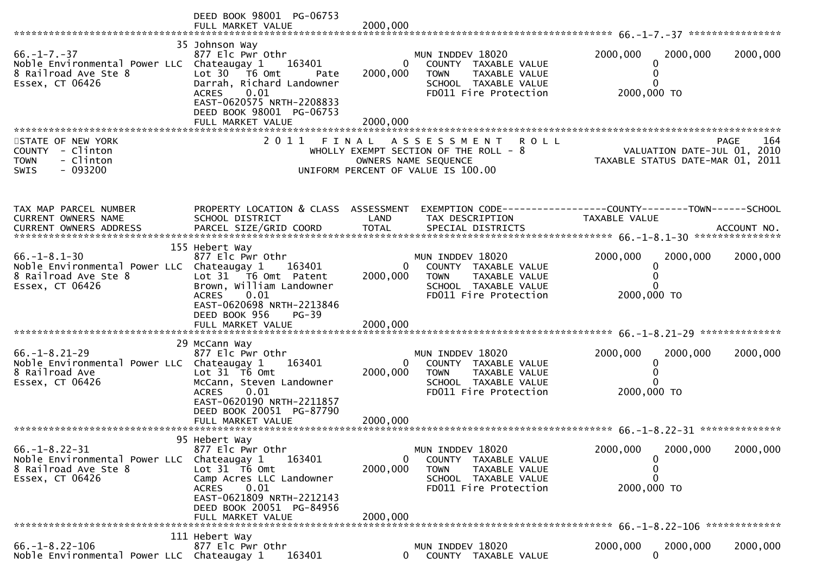|                                                                                                              | DEED BOOK 98001 PG-06753<br>FULL MARKET VALUE                                                                                                                                                                  | 2000,000                             |                                                                                                                                             |                                                                               |                    |
|--------------------------------------------------------------------------------------------------------------|----------------------------------------------------------------------------------------------------------------------------------------------------------------------------------------------------------------|--------------------------------------|---------------------------------------------------------------------------------------------------------------------------------------------|-------------------------------------------------------------------------------|--------------------|
| $66. - 1 - 7. - 37$<br>Noble Environmental Power LLC Chateaugay 1<br>8 Railroad Ave Ste 8<br>Essex, CT 06426 | 35 Johnson Way<br>877 Elc Pwr Othr<br>163401<br>Lot $30 - 76$ Omt<br>Pate<br>Darrah, Richard Landowner<br>0.01<br>ACRES<br>EAST-0620575 NRTH-2208833<br>DEED BOOK 98001 PG-06753<br>FULL MARKET VALUE          | $\mathbf{0}$<br>2000,000<br>2000,000 | MUN INDDEV 18020<br>COUNTY TAXABLE VALUE<br>TAXABLE VALUE<br><b>TOWN</b><br>SCHOOL TAXABLE VALUE<br>FD011 Fire Protection                   | 2000,000<br>2000,000<br>0<br>0<br>2000,000 TO                                 | 2000,000           |
| STATE OF NEW YORK<br><b>COUNTY</b><br>- Clinton<br>- Clinton<br><b>TOWN</b><br>$-093200$<br><b>SWIS</b>      |                                                                                                                                                                                                                |                                      | 2011 FINAL ASSESSMENT<br><b>ROLL</b><br>WHOLLY EXEMPT SECTION OF THE ROLL - 8<br>OWNERS NAME SEQUENCE<br>UNIFORM PERCENT OF VALUE IS 100.00 | VALUATION DATE-JUL 01, 2010<br>TAXABLE STATUS DATE-MAR 01, 2011               | 164<br><b>PAGE</b> |
| TAX MAP PARCEL NUMBER<br>CURRENT OWNERS NAME                                                                 | PROPERTY LOCATION & CLASS ASSESSMENT<br>SCHOOL DISTRICT                                                                                                                                                        | LAND                                 | TAX DESCRIPTION                                                                                                                             | EXEMPTION CODE-----------------COUNTY-------TOWN------SCHOOL<br>TAXABLE VALUE |                    |
| $66. -1 - 8.1 - 30$<br>Noble Environmental Power LLC Chateaugay 1<br>8 Railroad Ave Ste 8<br>Essex, CT 06426 | 155 Hebert Way<br>877 Elc Pwr Othr<br>163401<br>Lot 31 T6 Omt Patent<br>Brown, William Landowner<br>0.01<br><b>ACRES</b><br>EAST-0620698 NRTH-2213846<br>DEED BOOK 956<br>$PG-39$<br>FULL MARKET VALUE         | $\Omega$<br>2000,000<br>2000,000     | MUN INDDEV 18020<br>COUNTY TAXABLE VALUE<br>TAXABLE VALUE<br>TOWN<br>SCHOOL TAXABLE VALUE<br>FD011 Fire Protection                          | 2000,000<br>2000,000<br>0<br>2000,000 TO                                      | 2000,000           |
| $66. -1 - 8.21 - 29$<br>Noble Environmental Power LLC Chateaugay 1<br>8 Railroad Ave<br>Essex, CT 06426      | 29 McCann Way<br>877 Elc Pwr Othr<br>163401<br>Lot 31 T6 Omt<br>McCann, Steven Landowner<br>0.01<br>ACRES<br>EAST-0620190 NRTH-2211857<br>DEED BOOK 20051 PG-87790                                             | $\mathbf{0}$<br>2000,000             | MUN INDDEV 18020<br>COUNTY TAXABLE VALUE<br><b>TOWN</b><br>TAXABLE VALUE<br>SCHOOL TAXABLE VALUE<br>FD011 Fire Protection                   | 2000,000<br>2000,000<br>0<br>$\Omega$<br>2000,000 TO                          | 2000,000           |
| $66. -1 - 8.22 - 31$<br>Noble Environmental Power LLC<br>8 Railroad Ave Ste 8<br>Essex, CT 06426             | 95 Hebert Way<br>877 Elc Pwr Othr<br>Chateaugay 1<br>163401<br>Lot 31 T6 Omt<br>Camp Acres LLC Landowner<br>0.01<br><b>ACRES</b><br>EAST-0621809 NRTH-2212143<br>DEED BOOK 20051 PG-84956<br>FULL MARKET VALUE | $\bf{0}$<br>2000,000<br>2000.000     | MUN INDDEV 18020<br>COUNTY TAXABLE VALUE<br><b>TOWN</b><br>TAXABLE VALUE<br>SCHOOL TAXABLE VALUE<br>FD011 Fire Protection                   | 2000,000<br>2000,000<br>$\Omega$<br>0<br>0<br>2000,000 TO                     | 2000,000           |
| $66. - 1 - 8.22 - 106$<br>Noble Environmental Power LLC Chateaugay 1                                         | 111 Hebert Way<br>877 Elc Pwr Othr<br>163401                                                                                                                                                                   | 0                                    | MUN INDDEV 18020<br>COUNTY TAXABLE VALUE                                                                                                    | 2000,000<br>2000.000<br>$\mathbf{0}$                                          | 2000,000           |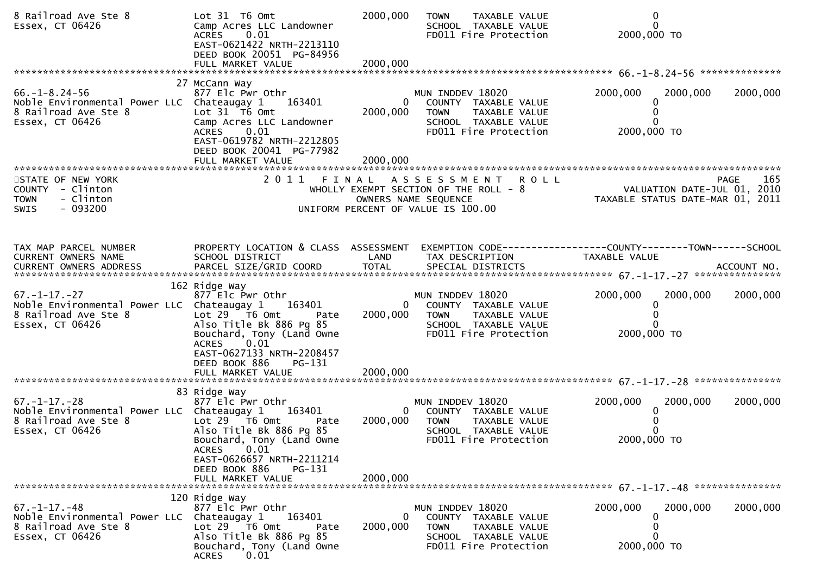| 8 Railroad Ave Ste 8<br>Essex, CT 06426                                                                        | Lot 31 T6 Omt<br>Camp Acres LLC Landowner<br>0.01<br><b>ACRES</b><br>EAST-0621422 NRTH-2213110<br>DEED BOOK 20051 PG-84956<br>FULL MARKET VALUE                                 | 2000,000<br>2000,000                   | <b>TOWN</b><br>TAXABLE VALUE<br>SCHOOL TAXABLE VALUE<br>FD011 Fire Protection                                                             | 0<br>$\Omega$<br>2000,000 TO                                                    |
|----------------------------------------------------------------------------------------------------------------|---------------------------------------------------------------------------------------------------------------------------------------------------------------------------------|----------------------------------------|-------------------------------------------------------------------------------------------------------------------------------------------|---------------------------------------------------------------------------------|
|                                                                                                                | 27 McCann Way                                                                                                                                                                   |                                        |                                                                                                                                           |                                                                                 |
| $66. - 1 - 8.24 - 56$<br>Noble Environmental Power LLC Chateaugay 1<br>8 Railroad Ave Ste 8<br>Essex, CT 06426 | 877 Elc Pwr Othr<br>163401<br>Lot 31 76 0mt<br>Camp Acres LLC Landowner<br>0.01<br><b>ACRES</b><br>EAST-0619782 NRTH-2212805<br>DEED BOOK 20041 PG-77982<br>FULL MARKET VALUE   | $\overline{0}$<br>2000,000<br>2000,000 | MUN INDDEV 18020<br>COUNTY TAXABLE VALUE<br><b>TOWN</b><br>TAXABLE VALUE<br>SCHOOL TAXABLE VALUE<br>FD011 Fire Protection                 | 2000,000<br>2000,000<br>2000,000<br>0<br>2000,000 TO                            |
| STATE OF NEW YORK                                                                                              | 2 0 1 1                                                                                                                                                                         | FINAL                                  | A S S E S S M E N T<br><b>ROLL</b>                                                                                                        | PAGE<br>165                                                                     |
| COUNTY - Clinton<br>- Clinton<br><b>TOWN</b><br>$-093200$<br><b>SWIS</b>                                       |                                                                                                                                                                                 |                                        | WHOLLY EXEMPT SECTION OF THE ROLL - 8<br>OWNERS NAME SEQUENCE<br>UNIFORM PERCENT OF VALUE IS 100.00                                       | VALUATION DATE-JUL 01, 2010<br>TAXABLE STATUS DATE-MAR 01, 2011                 |
|                                                                                                                |                                                                                                                                                                                 |                                        |                                                                                                                                           |                                                                                 |
| TAX MAP PARCEL NUMBER<br>CURRENT OWNERS NAME<br>CURRENT OWNERS ADDRESS                                         | PROPERTY LOCATION & CLASS ASSESSMENT<br>SCHOOL DISTRICT                                                                                                                         | LAND                                   | TAX DESCRIPTION                                                                                                                           | EXEMPTION CODE------------------COUNTY--------TOWN------SCHOOL<br>TAXABLE VALUE |
|                                                                                                                | 162 Ridge Way                                                                                                                                                                   |                                        |                                                                                                                                           |                                                                                 |
| $67. - 1 - 17. - 27$<br>Noble Environmental Power LLC Chateaugay 1<br>8 Railroad Ave Ste 8<br>Essex, CT 06426  | 877 Elc Pwr Othr<br>163401<br>Lot $29$ $\overline{76}$ Omt<br>Pate<br>Also Title Bk 886 Pg 85<br>Bouchard, Tony (Land Owne<br>0.01<br><b>ACRES</b><br>EAST-0627133 NRTH-2208457 | 2000,000                               | MUN INDDEV 18020<br>$\mathbf{0}$<br>COUNTY TAXABLE VALUE<br><b>TOWN</b><br>TAXABLE VALUE<br>SCHOOL TAXABLE VALUE<br>FD011 Fire Protection | 2000,000<br>2000,000<br>2000,000<br>2000,000 TO                                 |
|                                                                                                                | DEED BOOK 886<br>PG-131                                                                                                                                                         |                                        |                                                                                                                                           |                                                                                 |
|                                                                                                                |                                                                                                                                                                                 |                                        |                                                                                                                                           |                                                                                 |
| $67. - 1 - 17. - 28$                                                                                           | 83 Ridge Way<br>877 Elc Pwr Othr                                                                                                                                                |                                        | MUN INDDEV 18020                                                                                                                          | 2000,000<br>2000,000<br>2000,000                                                |
| Noble Environmental Power LLC Chateaugay 1<br>8 Railroad Ave Ste 8<br>Essex, CT 06426                          | 163401<br>Lot $29$ $\overline{16}$ Omt<br>Pate<br>Also Title Bk 886 Pg 85<br>Bouchard, Tony (Land Owne                                                                          | $\overline{0}$<br>2000,000             | COUNTY TAXABLE VALUE<br><b>TOWN</b><br>TAXABLE VALUE<br>SCHOOL TAXABLE VALUE<br>FD011 Fire Protection                                     | 2000,000 TO                                                                     |
|                                                                                                                | ACRES 0.01<br>EAST-0626657 NRTH-2211214<br>DEED BOOK 886<br>PG-131<br>FULL MARKET VALUE                                                                                         | 2000,000                               |                                                                                                                                           |                                                                                 |
|                                                                                                                | 120 Ridge Way                                                                                                                                                                   |                                        |                                                                                                                                           |                                                                                 |
| $67. - 1 - 17. - 48$<br>Noble Environmental Power LLC Chateaugay 1<br>8 Railroad Ave Ste 8<br>Essex, CT 06426  | 877 Elc Pwr Othr<br>163401<br>Lot 29 T6 Omt<br>Pate<br>Also Title Bk 886 Pg 85<br>Bouchard, Tony (Land Owne<br>0.01<br><b>ACRES</b>                                             | $\overline{0}$<br>2000,000             | MUN INDDEV 18020<br>COUNTY TAXABLE VALUE<br><b>TOWN</b><br>TAXABLE VALUE<br>SCHOOL TAXABLE VALUE<br>FD011 Fire Protection                 | 2000,000<br>2000,000<br>2000,000<br>2000,000 TO                                 |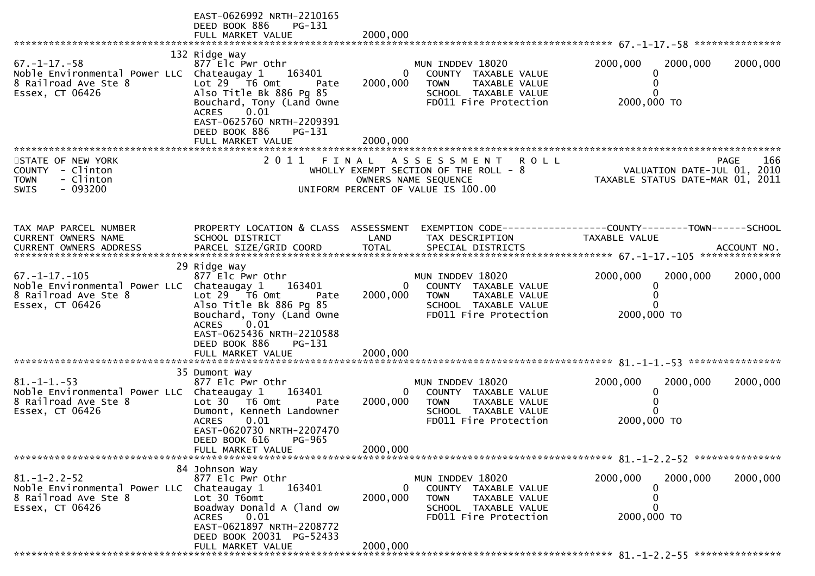|                                                   | EAST-0626992 NRTH-2210165<br>DEED BOOK 886<br>PG-131<br>FULL MARKET VALUE | 2000,000       |                                                                                                  |                                  |             |
|---------------------------------------------------|---------------------------------------------------------------------------|----------------|--------------------------------------------------------------------------------------------------|----------------------------------|-------------|
|                                                   |                                                                           |                |                                                                                                  |                                  |             |
|                                                   | 132 Ridge Way                                                             |                |                                                                                                  |                                  |             |
| $67. - 1 - 17. - 58$                              | 877 Elc Pwr Othr                                                          |                | MUN INDDEV 18020                                                                                 | 2000,000<br>2000,000             | 2000,000    |
| Noble Environmental Power LLC Chateaugay 1 163401 |                                                                           | $\mathbf{0}$   | COUNTY TAXABLE VALUE                                                                             | 0                                |             |
| 8 Railroad Ave Ste 8                              | Lot $29$ $\overline{16}$ Omt<br>Pate                                      | 2000,000       | <b>TOWN</b><br>TAXABLE VALUE                                                                     | 0                                |             |
| Essex, CT 06426                                   | Also Title Bk 886 Pg 85                                                   |                | SCHOOL TAXABLE VALUE                                                                             | $\Omega$                         |             |
|                                                   | Bouchard, Tony (Land Owne<br>0.01                                         |                | FD011 Fire Protection                                                                            | 2000,000 TO                      |             |
|                                                   | <b>ACRES</b><br>EAST-0625760 NRTH-2209391                                 |                |                                                                                                  |                                  |             |
|                                                   | DEED BOOK 886<br>PG-131                                                   |                |                                                                                                  |                                  |             |
|                                                   | FULL MARKET VALUE                                                         | 2000,000       |                                                                                                  |                                  |             |
|                                                   |                                                                           |                |                                                                                                  |                                  |             |
| STATE OF NEW YORK                                 | 2011 FINAL                                                                |                | <b>ROLL</b><br>A S S E S S M E N T                                                               |                                  | 166<br>PAGE |
| COUNTY - Clinton                                  |                                                                           |                | WHOLLY EXEMPT SECTION OF THE ROLL - $8$                                                          | VALUATION DATE-JUL 01, 2010      |             |
| <b>TOWN</b><br>- Clinton                          |                                                                           |                | OWNERS NAME SEQUENCE                                                                             | TAXABLE STATUS DATE-MAR 01, 2011 |             |
| $-093200$<br><b>SWIS</b>                          |                                                                           |                | UNIFORM PERCENT OF VALUE IS 100.00                                                               |                                  |             |
|                                                   |                                                                           |                |                                                                                                  |                                  |             |
|                                                   |                                                                           |                |                                                                                                  |                                  |             |
| TAX MAP PARCEL NUMBER                             |                                                                           |                | PROPERTY LOCATION & CLASS ASSESSMENT EXEMPTION CODE----------------COUNTY-------TOWN------SCHOOL |                                  |             |
| CURRENT OWNERS NAME                               | SCHOOL DISTRICT                                                           | LAND           | TAX DESCRIPTION                                                                                  | TAXABLE VALUE                    |             |
|                                                   |                                                                           |                |                                                                                                  |                                  |             |
|                                                   |                                                                           |                |                                                                                                  |                                  |             |
|                                                   | 29 Ridge Way                                                              |                |                                                                                                  |                                  |             |
| $67. - 1 - 17. - 105$                             | 877 Elc Pwr Othr                                                          |                | MUN INDDEV 18020                                                                                 | 2000,000<br>2000,000             | 2000,000    |
| Noble Environmental Power LLC Chateaugay 1 163401 |                                                                           | $\overline{0}$ | COUNTY TAXABLE VALUE                                                                             | 0                                |             |
| 8 Railroad Ave Ste 8                              | Lot $29$ $\overline{76}$ Omt<br>Pate                                      | 2000,000       | <b>TOWN</b><br>TAXABLE VALUE                                                                     | 0                                |             |
| Essex, CT 06426                                   | Also Title Bk 886 Pg 85                                                   |                | SCHOOL TAXABLE VALUE                                                                             | 0                                |             |
|                                                   | Bouchard, Tony (Land Owne<br><b>ACRES</b><br>0.01                         |                | FD011 Fire Protection                                                                            | 2000,000 TO                      |             |
|                                                   | EAST-0625436 NRTH-2210588                                                 |                |                                                                                                  |                                  |             |
|                                                   | DEED BOOK 886<br>PG-131                                                   |                |                                                                                                  |                                  |             |
|                                                   |                                                                           |                |                                                                                                  |                                  |             |
|                                                   |                                                                           |                |                                                                                                  |                                  |             |
|                                                   | 35 Dumont Way                                                             |                |                                                                                                  |                                  |             |
| $81. -1 -1. -53$                                  | 877 Elc Pwr Othr                                                          |                | MUN INDDEV 18020                                                                                 | 2000,000<br>2000,000             | 2000,000    |
| Noble Environmental Power LLC Chateaugay 1        | 163401                                                                    | $\mathbf{0}$   | COUNTY TAXABLE VALUE                                                                             | $\mathbf 0$                      |             |
| 8 Railroad Ave Ste 8                              | Lot $30$ $\overline{16}$ Omt<br>Pate                                      | 2000,000       | TAXABLE VALUE<br><b>TOWN</b>                                                                     | 0<br>0                           |             |
| Essex, CT 06426                                   | Dumont, Kenneth Landowner<br>0.01<br><b>ACRES</b>                         |                | SCHOOL TAXABLE VALUE<br>FD011 Fire Protection                                                    | 2000,000 TO                      |             |
|                                                   | EAST-0620730 NRTH-2207470                                                 |                |                                                                                                  |                                  |             |
|                                                   | DEED BOOK 616<br>PG-965                                                   |                |                                                                                                  |                                  |             |
|                                                   | FULL MARKET VALUE                                                         | 2000,000       |                                                                                                  |                                  |             |
|                                                   |                                                                           |                |                                                                                                  |                                  |             |
|                                                   | 84 Johnson Way                                                            |                |                                                                                                  |                                  |             |
| $81. - 1 - 2.2 - 52$                              | 877 Elc Pwr Othr                                                          |                | MUN INDDEV 18020                                                                                 | 2000,000<br>2000,000             | 2000,000    |
| Noble Environmental Power LLC                     | 163401<br>Chateaugay 1                                                    | $\Omega$       | COUNTY TAXABLE VALUE                                                                             | 0                                |             |
| 8 Railroad Ave Ste 8                              | Lot 30 T6omt                                                              | 2000,000       | <b>TOWN</b><br>TAXABLE VALUE                                                                     | 0<br>ი                           |             |
| Essex, CT 06426                                   | Boadway Donald A (land ow<br>0.01<br><b>ACRES</b>                         |                | SCHOOL TAXABLE VALUE<br>FD011 Fire Protection                                                    | 2000,000 TO                      |             |
|                                                   | EAST-0621897 NRTH-2208772                                                 |                |                                                                                                  |                                  |             |
|                                                   | DEED BOOK 20031 PG-52433                                                  |                |                                                                                                  |                                  |             |
|                                                   | FULL MARKET VALUE                                                         | 2000,000       |                                                                                                  |                                  |             |
|                                                   |                                                                           |                |                                                                                                  |                                  |             |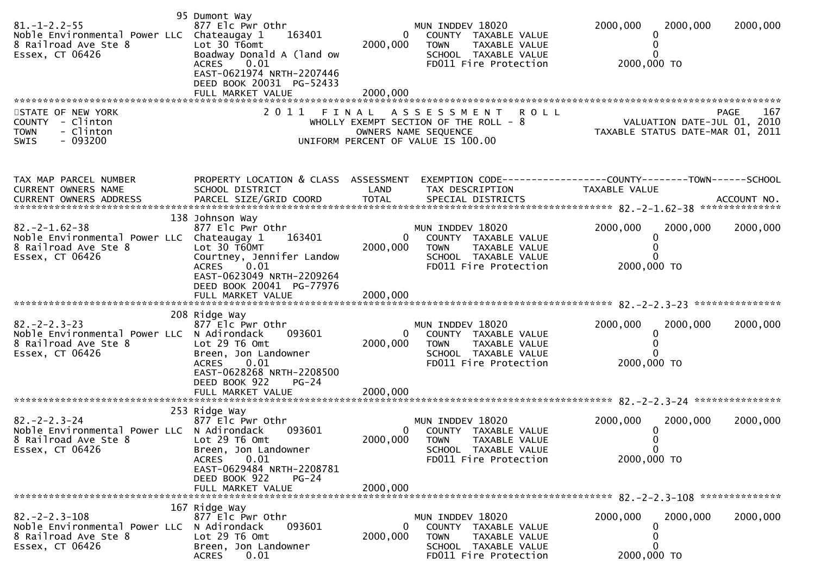| $81. - 1 - 2.2 - 55$<br>Noble Environmental Power LLC Chateaugay 1<br>8 Railroad Ave Ste 8<br>Essex, CT 06426   | 95 Dumont Way<br>877 Elc Pwr Othr<br>163401<br>Lot 30 T6omt<br>Boadway Donald A (land ow<br>0.01<br><b>ACRES</b><br>EAST-0621974 NRTH-2207446<br>DEED BOOK 20031 PG-52433   | $\mathbf{0}$<br>2000,000 | MUN INDDEV 18020<br>COUNTY TAXABLE VALUE<br>TAXABLE VALUE<br><b>TOWN</b><br>SCHOOL TAXABLE VALUE<br>FD011 Fire Protection             | 2000,000<br>2000,000<br>2000,000 TO                        | 2000,000            |
|-----------------------------------------------------------------------------------------------------------------|-----------------------------------------------------------------------------------------------------------------------------------------------------------------------------|--------------------------|---------------------------------------------------------------------------------------------------------------------------------------|------------------------------------------------------------|---------------------|
|                                                                                                                 | FULL MARKET VALUE                                                                                                                                                           | 2000,000                 |                                                                                                                                       |                                                            |                     |
| STATE OF NEW YORK<br>COUNTY - Clinton<br>- Clinton<br><b>TOWN</b><br>$-093200$<br><b>SWIS</b>                   | 2011<br>FINAL                                                                                                                                                               |                          | A S S E S S M E N T<br>R O L L<br>WHOLLY EXEMPT SECTION OF THE ROLL - 8<br>OWNERS NAME SEQUENCE<br>UNIFORM PERCENT OF VALUE IS 100.00 | VALUATION DATE-JUL 01, 2010<br>TAXABLE STATUS DATE-MAR 01, | 167<br>PAGE<br>2011 |
| TAX MAP PARCEL NUMBER<br>CURRENT OWNERS NAME                                                                    | PROPERTY LOCATION & CLASS ASSESSMENT<br>SCHOOL DISTRICT                                                                                                                     | LAND                     | TAX DESCRIPTION                                                                                                                       | TAXABLE VALUE                                              |                     |
| $82. -2 - 1.62 - 38$<br>Noble Environmental Power LLC Chateaugay 1<br>8 Railroad Ave Ste 8<br>Essex, CT 06426   | 138 Johnson Way<br>877 Elc Pwr Othr<br>163401<br>Lot 30 T60MT<br>Courtney, Jennifer Landow<br>0.01<br><b>ACRES</b><br>EAST-0623049 NRTH-2209264<br>DEED BOOK 20041 PG-77976 | $\mathbf{0}$<br>2000,000 | MUN INDDEV 18020<br>COUNTY TAXABLE VALUE<br><b>TOWN</b><br><b>TAXABLE VALUE</b><br>SCHOOL TAXABLE VALUE<br>FD011 Fire Protection      | 2000,000<br>2000,000<br>2000,000 TO                        | 2000,000            |
|                                                                                                                 | FULL MARKET VALUE                                                                                                                                                           | 2000,000                 |                                                                                                                                       |                                                            |                     |
| $82. - 2 - 2.3 - 23$<br>Noble Environmental Power LLC N Adirondack<br>8 Railroad Ave Ste 8<br>Essex, CT 06426   | 208 Ridge Way<br>877 Elc Pwr Othr<br>093601<br>Lot 29 T6 Omt<br>Breen, Jon Landowner<br>0.01<br><b>ACRES</b><br>EAST-0628268 NRTH-2208500<br>DEED BOOK 922<br>$PG-24$       | $\Omega$<br>2000,000     | MUN INDDEV 18020<br>COUNTY TAXABLE VALUE<br><b>TOWN</b><br>TAXABLE VALUE<br>SCHOOL TAXABLE VALUE<br>FD011 Fire Protection             | 2000,000<br>2000,000<br>2000,000 TO                        | 2000,000            |
|                                                                                                                 | 253 Ridge Way                                                                                                                                                               |                          |                                                                                                                                       |                                                            |                     |
| $82 - 2 - 2 - 3 - 24$<br>Noble Environmental Power LLC N Adirondack<br>8 Railroad Ave Ste 8<br>Essex, CT 06426  | 877 Elc Pwr Othr<br>093601<br>Lot 29 T6 Omt<br>Breen, Jon Landowner<br>0.01<br><b>ACRES</b><br>EAST-0629484 NRTH-2208781                                                    | $\mathbf{0}$<br>2000,000 | MUN INDDEV 18020<br>COUNTY TAXABLE VALUE<br><b>TOWN</b><br>TAXABLE VALUE<br>SCHOOL TAXABLE VALUE<br>FD011 Fire Protection             | 2000,000<br>2000,000<br>0<br>2000,000 TO                   | 2000,000            |
|                                                                                                                 | DEED BOOK 922<br>$PG-24$<br>FULL MARKET VALUE                                                                                                                               | 2000,000                 |                                                                                                                                       |                                                            |                     |
| $82 - 2 - 2 - 3 - 108$<br>Noble Environmental Power LLC N Adirondack<br>8 Railroad Ave Ste 8<br>Essex, CT 06426 | 167 Ridge Way<br>877 Elc Pwr Othr<br>093601<br>Lot 29 T6 Omt<br>Breen, Jon Landowner<br>0.01<br><b>ACRES</b>                                                                | $\Omega$<br>2000,000     | MUN INDDEV 18020<br>COUNTY TAXABLE VALUE<br>TAXABLE VALUE<br><b>TOWN</b><br>SCHOOL TAXABLE VALUE<br>FD011 Fire Protection             | 2000,000<br>2000,000<br>2000,000 TO                        | 2000,000            |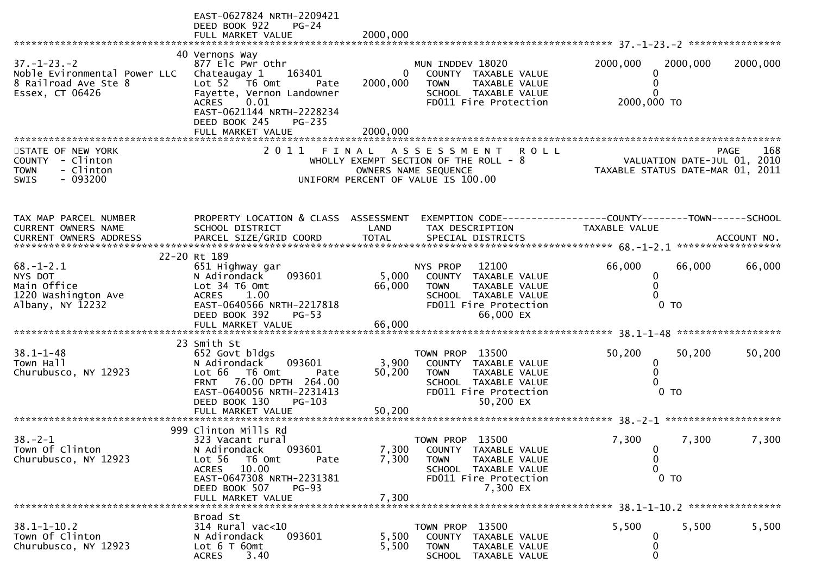|                                                                                                | EAST-0627824 NRTH-2209421<br>DEED BOOK 922<br>$PG-24$<br>FULL MARKET VALUE                                                                                                                         | 2000,000                 |                                                                                                                                              |                                                |                                                                                |
|------------------------------------------------------------------------------------------------|----------------------------------------------------------------------------------------------------------------------------------------------------------------------------------------------------|--------------------------|----------------------------------------------------------------------------------------------------------------------------------------------|------------------------------------------------|--------------------------------------------------------------------------------|
|                                                                                                |                                                                                                                                                                                                    |                          |                                                                                                                                              |                                                |                                                                                |
| $37. - 1 - 23. - 2$<br>Noble Evironmental Power LLC<br>8 Railroad Ave Ste 8<br>Essex, CT 06426 | 40 Vernons Way<br>877 Elc Pwr Othr<br>163401<br>Chateaugay 1<br>Lot 52 T6 Omt<br>Pate<br>Fayette, Vernon Landowner<br>0.01<br><b>ACRES</b><br>EAST-0621144 NRTH-2228234<br>DEED BOOK 245<br>PG-235 | $\mathbf{0}$<br>2000,000 | MUN INDDEV 18020<br>COUNTY TAXABLE VALUE<br><b>TOWN</b><br>TAXABLE VALUE<br>SCHOOL TAXABLE VALUE<br>FD011 Fire Protection                    | 2000,000<br>0<br>0<br>0<br>2000,000 TO         | 2000,000<br>2000,000                                                           |
|                                                                                                |                                                                                                                                                                                                    |                          |                                                                                                                                              |                                                |                                                                                |
| STATE OF NEW YORK<br>COUNTY - Clinton<br>- Clinton<br><b>TOWN</b><br>$-093200$<br><b>SWIS</b>  | 2011 FINAL                                                                                                                                                                                         |                          | A S S E S S M E N T R O L L<br>WHOLLY EXEMPT SECTION OF THE ROLL $-8$<br>OWNERS NAME SEQUENCE<br>UNIFORM PERCENT OF VALUE IS 100.00          |                                                | PAGE<br>168<br>VALUATION DATE-JUL 01, 2010<br>TAXABLE STATUS DATE-MAR 01, 2011 |
| TAX MAP PARCEL NUMBER<br>CURRENT OWNERS NAME                                                   | PROPERTY LOCATION & CLASS ASSESSMENT<br>SCHOOL DISTRICT                                                                                                                                            | LAND                     | EXEMPTION CODE-----------------COUNTY-------TOWN------SCHOOL<br>TAX DESCRIPTION                                                              | TAXABLE VALUE                                  |                                                                                |
|                                                                                                | 22-20 Rt 189                                                                                                                                                                                       |                          |                                                                                                                                              |                                                |                                                                                |
| $68. - 1 - 2.1$<br>NYS DOT<br>Main Office<br>1220 Washington Ave<br>Albany, NY 12232           | 651 Highway gar<br>093601<br>N Adirondack<br>Lot 34 T6 Omt<br>ACRES<br>1.00<br>EAST-0640566 NRTH-2217818<br>DEED BOOK 392<br>$PG-53$                                                               | 5,000<br>66,000          | NYS PROP<br>12100<br>COUNTY TAXABLE VALUE<br>TAXABLE VALUE<br><b>TOWN</b><br>SCHOOL TAXABLE VALUE<br>FD011 Fire Protection<br>66,000 EX      | 66,000<br>0<br>$\Omega$<br>0<br>0 <sub>T</sub> | 66,000<br>66,000                                                               |
|                                                                                                |                                                                                                                                                                                                    |                          |                                                                                                                                              |                                                |                                                                                |
| $38.1 - 1 - 48$<br>Town Hall<br>Churubusco, NY 12923                                           | 23 Smith St<br>652 Govt bldgs<br>093601<br>N Adirondack<br>Lot 66 T6 Omt<br>Pate<br>FRNT 76.00 DPTH 264.00<br>EAST-0640056 NRTH-2231413<br>$PG-103$<br>DEED BOOK 130                               | 3,900<br>50,200          | TOWN PROP 13500<br>COUNTY TAXABLE VALUE<br><b>TOWN</b><br><b>TAXABLE VALUE</b><br>SCHOOL TAXABLE VALUE<br>FD011 Fire Protection<br>50,200 EX | 50,200<br>0<br>0<br>0<br>0 <sub>T</sub>        | 50,200<br>50,200                                                               |
|                                                                                                |                                                                                                                                                                                                    |                          |                                                                                                                                              |                                                |                                                                                |
| $38. - 2 - 1$<br>Town Of Clinton<br>Churubusco, NY 12923                                       | 999 Clinton Mills Rd<br>323 Vacant rural<br>093601<br>N Adirondack<br>Lot 56<br>T6 Omt<br>Pate<br>ACRES 10.00<br>EAST-0647308 NRTH-2231381<br>DEED BOOK 507<br>$PG-93$<br>FULL MARKET VALUE        | 7,300<br>7,300<br>7,300  | 13500<br>TOWN PROP<br>COUNTY TAXABLE VALUE<br>TAXABLE VALUE<br><b>TOWN</b><br>SCHOOL TAXABLE VALUE<br>FD011 Fire Protection<br>7,300 EX      | 7,300<br>0<br>0<br>0<br>$0$ TO                 | 7,300<br>7,300                                                                 |
|                                                                                                |                                                                                                                                                                                                    |                          |                                                                                                                                              |                                                |                                                                                |
| $38.1 - 1 - 10.2$<br>Town Of Clinton<br>Churubusco, NY 12923                                   | Broad St<br>314 Rural vac<10<br>093601<br>N Adirondack<br>Lot $6$ T $60$ mt<br>3.40<br><b>ACRES</b>                                                                                                | 5,500<br>5,500           | TOWN PROP 13500<br>COUNTY<br>TAXABLE VALUE<br><b>TOWN</b><br>TAXABLE VALUE<br>TAXABLE VALUE<br><b>SCHOOL</b>                                 | 5,500<br>0<br>0<br>0                           | 5,500<br>5,500                                                                 |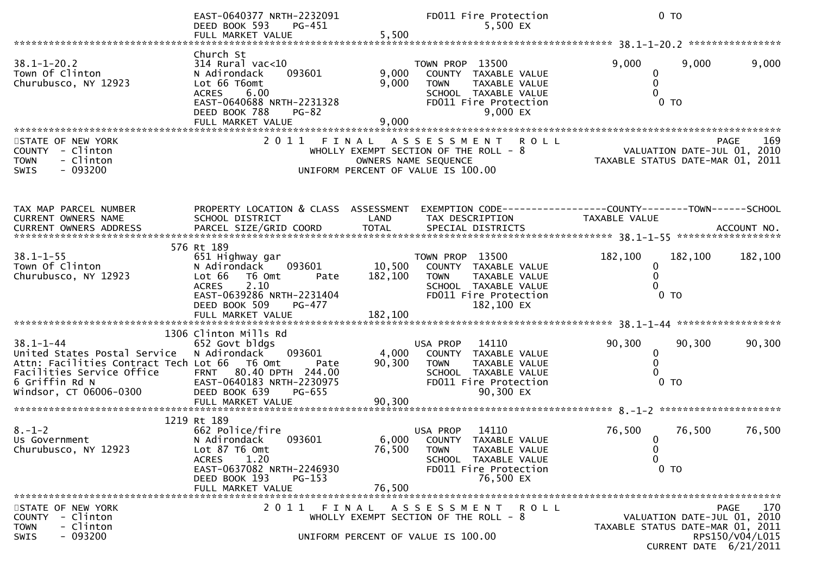|                                                                                                                                                                          | EAST-0640377 NRTH-2232091<br>PG-451<br>DEED BOOK 593<br>FULL MARKET VALUE                                                                                                                | 5,500                        | FD011 Fire Protection<br>5,500 EX                                                                                                                 |                                                                 | $0$ TO                                                |                  |
|--------------------------------------------------------------------------------------------------------------------------------------------------------------------------|------------------------------------------------------------------------------------------------------------------------------------------------------------------------------------------|------------------------------|---------------------------------------------------------------------------------------------------------------------------------------------------|-----------------------------------------------------------------|-------------------------------------------------------|------------------|
|                                                                                                                                                                          |                                                                                                                                                                                          |                              |                                                                                                                                                   |                                                                 |                                                       | **************** |
| $38.1 - 1 - 20.2$<br>Town Of Clinton<br>Churubusco, NY 12923                                                                                                             | Church St<br>$314$ Rural vac<10<br>N Adirondack<br>093601<br>Lot 66 T6omt<br>6.00<br><b>ACRES</b><br>EAST-0640688 NRTH-2231328<br>DEED BOOK 788<br><b>PG-82</b><br>FULL MARKET VALUE     | 9,000<br>9,000<br>9,000      | TOWN PROP 13500<br>COUNTY TAXABLE VALUE<br>TAXABLE VALUE<br><b>TOWN</b><br>SCHOOL TAXABLE VALUE<br>FD011 Fire Protection<br>9,000 EX              | 9,000<br>0<br>$\mathbf 0$<br>$\Omega$                           | 9,000<br>0 <sub>T</sub>                               | 9,000            |
|                                                                                                                                                                          |                                                                                                                                                                                          |                              |                                                                                                                                                   |                                                                 |                                                       |                  |
| STATE OF NEW YORK<br>- Clinton<br><b>COUNTY</b><br>- Clinton<br><b>TOWN</b><br>$-093200$<br><b>SWIS</b>                                                                  |                                                                                                                                                                                          |                              | 2011 FINAL ASSESSMENT<br><b>ROLL</b><br>WHOLLY EXEMPT SECTION OF THE ROLL - 8<br>OWNERS NAME SEQUENCE<br>UNIFORM PERCENT OF VALUE IS 100.00       | VALUATION DATE-JUL 01, 2010<br>TAXABLE STATUS DATE-MAR 01, 2011 |                                                       | 169<br>PAGE      |
| TAX MAP PARCEL NUMBER<br>CURRENT OWNERS NAME                                                                                                                             | PROPERTY LOCATION & CLASS ASSESSMENT<br>SCHOOL DISTRICT                                                                                                                                  | LAND                         | TAX DESCRIPTION                                                                                                                                   | TAXABLE VALUE                                                   |                                                       |                  |
| $38.1 - 1 - 55$<br>Town Of Clinton<br>Churubusco, NY 12923                                                                                                               | 576 Rt 189<br>651 Highway gar<br>N Adirondack<br>093601<br>Lot 66<br>T6 Omt<br>Pate<br>2.10<br><b>ACRES</b><br>EAST-0639286 NRTH-2231404<br>DEED BOOK 509<br>PG-477<br>FULL MARKET VALUE | 10,500<br>182,100<br>182,100 | TOWN PROP 13500<br>COUNTY TAXABLE VALUE<br><b>TOWN</b><br>TAXABLE VALUE<br>SCHOOL TAXABLE VALUE<br>FD011 Fire Protection<br>182,100 EX            | 182,100<br>0<br>0                                               | 182,100<br>$0$ TO                                     | 182,100          |
|                                                                                                                                                                          |                                                                                                                                                                                          |                              |                                                                                                                                                   |                                                                 |                                                       |                  |
| $38.1 - 1 - 44$<br>United States Postal Service<br>Attn: Facilities Contract Tech Lot 66 T6 Omt<br>Facilities Service Office<br>6 Griffin Rd N<br>Windsor, CT 06006-0300 | 1306 Clinton Mills Rd<br>652 Govt bldgs<br>N Adirondack<br>093601<br>Pate<br>FRNT 80.40 DPTH 244.00<br>EAST-0640183 NRTH-2230975<br>DEED BOOK 639<br>PG-655<br>FULL MARKET VALUE         | 4,000<br>90, 300<br>90,300   | USA PROP<br>14110<br><b>COUNTY</b><br>TAXABLE VALUE<br><b>TOWN</b><br>TAXABLE VALUE<br>SCHOOL TAXABLE VALUE<br>FD011 Fire Protection<br>90,300 EX | 90,300<br>0<br>$\mathbf 0$<br>$\Omega$                          | 90,300<br>0 <sub>T</sub>                              | 90,300           |
|                                                                                                                                                                          |                                                                                                                                                                                          |                              |                                                                                                                                                   |                                                                 |                                                       |                  |
| $8. - 1 - 2$<br>Us Government<br>Churubusco, NY 12923                                                                                                                    | 1219 Rt 189<br>662 Police/fire<br>N Adirondack<br>093601<br>Lot 87 T6 Omt<br>1.20<br><b>ACRES</b><br>EAST-0637082 NRTH-2246930<br>DEED BOOK 193<br>$PG-153$<br>FULL MARKET VALUE         | 76,500<br>76,500             | USA PROP<br>14110<br>6,000 COUNTY TAXABLE VALUE<br><b>TOWN</b><br>TAXABLE VALUE<br>SCHOOL TAXABLE VALUE<br>FD011 Fire Protection<br>76,500 EX     | 76,500<br>$\overline{0}$<br>$\bf{0}$<br>0                       | 76,500<br>0 <sub>T</sub>                              | 76,500           |
| STATE OF NEW YORK                                                                                                                                                        | 2011 FINAL                                                                                                                                                                               |                              | A S S E S S M E N T<br>R O L L                                                                                                                    |                                                                 |                                                       | 170<br>PAGE      |
| <b>COUNTY</b><br>- Clinton<br><b>TOWN</b><br>- Clinton<br>$-093200$<br>SWIS                                                                                              |                                                                                                                                                                                          |                              | WHOLLY EXEMPT SECTION OF THE ROLL - 8<br>UNIFORM PERCENT OF VALUE IS 100.00                                                                       | TAXABLE STATUS DATE-MAR 01, 2011                                | VALUATION DATE-JUL 01, 2010<br>CURRENT DATE 6/21/2011 | RPS150/V04/L015  |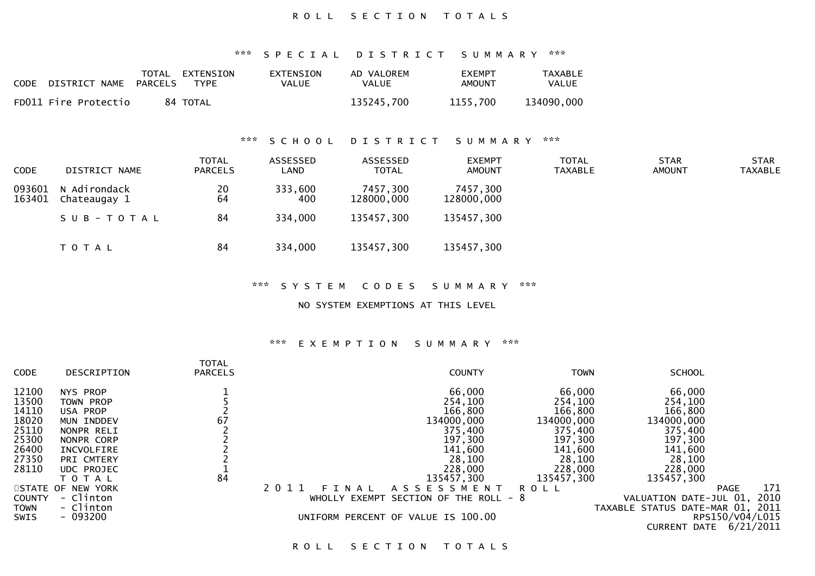## ROLL SECTION TOTALS

\*\*\* S P E C I A L D I S T R I C T S U M M A R Y \*\*\*

| <b>CODE</b> | DISTRICT NAME PARCELS | TOTAL EXTENSION<br>TYPF | EXTENSION<br>VALUE | AD VALOREM<br>VALUE | <b>FXFMPT</b><br>AMOUNT | TAXABLE<br><b>VALUE</b> |
|-------------|-----------------------|-------------------------|--------------------|---------------------|-------------------------|-------------------------|
|             | FD011 Fire Protectio  | 84 TOTAL                |                    | 135245.700          | 1155.700                | 134090.000              |

## \*\*\* S C H O O L D I S T R I C T S U M M A R Y \*\*\*

| <b>CODE</b>      | DISTRICT NAME                | <b>TOTAL</b><br><b>PARCELS</b> | ASSESSED<br>LAND | ASSESSED<br><b>TOTAL</b> | <b>EXEMPT</b><br><b>AMOUNT</b> | <b>TOTAL</b><br><b>TAXABLE</b> | <b>STAR</b><br><b>AMOUNT</b> | <b>STAR</b><br>TAXABLE |
|------------------|------------------------------|--------------------------------|------------------|--------------------------|--------------------------------|--------------------------------|------------------------------|------------------------|
| 093601<br>163401 | N Adirondack<br>Chateaugay 1 | 20<br>64                       | 333,600<br>400   | 7457,300<br>128000,000   | 7457,300<br>128000,000         |                                |                              |                        |
|                  | SUB-TOTAL                    | 84                             | 334,000          | 135457,300               | 135457,300                     |                                |                              |                        |
|                  | T O T A L                    | 84                             | 334,000          | 135457,300               | 135457,300                     |                                |                              |                        |

\*\*\* S Y S T E M C O D E S S U M M A R Y \*\*\*

NO SYSTEM EXEMPTIONS AT THIS LEVEL

## \*\*\* E X E M P T I O N S U M M A R Y \*\*\*

|             |                   | <b>TOTAL</b>   |                      |                                    |             |                                  |                    |
|-------------|-------------------|----------------|----------------------|------------------------------------|-------------|----------------------------------|--------------------|
| <b>CODE</b> | DESCRIPTION       | <b>PARCELS</b> |                      | <b>COUNTY</b>                      | <b>TOWN</b> | <b>SCHOOL</b>                    |                    |
| 12100       | NYS PROP          |                |                      | 66,000                             | 66,000      | 66,000                           |                    |
| 13500       | TOWN PROP         |                |                      | 254,100                            | 254,100     | 254,100                          |                    |
| 14110       | USA PROP          |                |                      | 166,800                            | 166,800     | 166,800                          |                    |
| 18020       | MUN INDDEV        | 67             |                      | 134000,000                         | 134000,000  | 134000,000                       |                    |
| 25110       | NONPR RELI        |                |                      | 375,400                            | 375,400     | 375,400                          |                    |
| 25300       | NONPR CORP        |                |                      | 197,300                            | 197,300     | 197,300                          |                    |
| 26400       | INCVOLFIRE        |                |                      | 141,600                            | 141,600     | 141,600                          |                    |
| 27350       | PRI CMTERY        |                |                      | 28,100                             | 28,100      | 28,100                           |                    |
| 28110       | <b>UDC PROJEC</b> |                |                      | 228,000                            | 228,000     | 228,000                          |                    |
|             | T O T A L         | 84             |                      | 135457,300                         | 135457,300  | 135457,300                       |                    |
|             | STATE OF NEW YORK |                | 2011<br>N A L<br>F I | ASSESSMENT                         | ROLL        |                                  | 171<br><b>PAGE</b> |
| COUNTY      | - Clinton         |                | WHOLLY EXEMPT        | SECTION OF THE ROLL - 8            |             | VALUATION DATE-JUL 01,           | 2010               |
| TOWN        | - Clinton         |                |                      |                                    |             | TAXABLE STATUS DATE-MAR 01, 2011 |                    |
| <b>SWIS</b> | $-093200$         |                |                      | UNIFORM PERCENT OF VALUE IS 100.00 |             |                                  | RPS150/V04/L015    |
|             |                   |                |                      |                                    |             | <b>CURRENT DATE</b>              | 6/21/2011          |
|             |                   |                |                      |                                    |             |                                  |                    |

ROLL SECTION TOTALS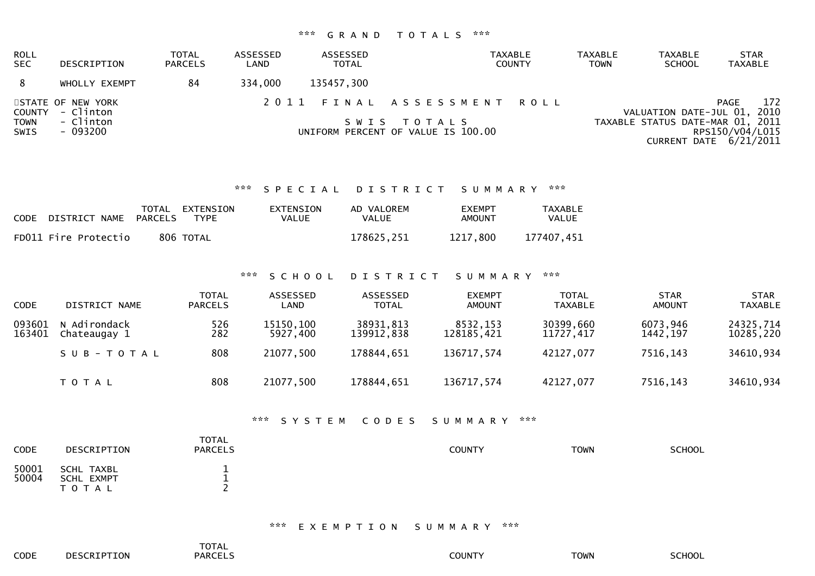# \*\*\* G R A N D T O T A L S \*\*\*

| ROLL<br><b>SEC</b>         | DESCRIPTION                    | <b>TOTAL</b><br><b>PARCELS</b> | ASSESSED<br>LAND | ASSESSED<br>TOTAL | TAXABLE<br><b>COUNTY</b>                          | <b>TAXABLE</b><br>TOWN | <b>TAXABLE</b><br><b>SCHOOL</b>  | <b>STAR</b><br>TAXABLE                    |
|----------------------------|--------------------------------|--------------------------------|------------------|-------------------|---------------------------------------------------|------------------------|----------------------------------|-------------------------------------------|
| 8                          | WHOLLY EXEMPT                  | 84                             | 334,000          | 135457,300        |                                                   |                        |                                  |                                           |
| COUNTY                     | STATE OF NEW YORK<br>- Clinton |                                |                  |                   | 2011 FINAL ASSESSMENT ROLL                        |                        | VALUATION DATE-JUL 01, 2010      | 172<br>PAGE                               |
| <b>TOWN</b><br><b>SWIS</b> | - Clinton<br>- 093200          |                                |                  |                   | SWIS TOTALS<br>UNIFORM PERCENT OF VALUE IS 100.00 |                        | TAXABLE STATUS DATE-MAR 01, 2011 | RPS150/V04/L015<br>CURRENT DATE 6/21/2011 |

## \*\*\* S P E C I A L D I S T R I C T S U M M A R Y \*\*\*

| CODE | DISTRICT NAME        | TOTAL<br>PARCELS | EXTENSION<br>TYPF | EXTENSION<br>VALUE | AD VALOREM<br>VALUE | <b>FXFMPT</b><br>AMOUNT | <b>TAXABLE</b><br>VALUE |
|------|----------------------|------------------|-------------------|--------------------|---------------------|-------------------------|-------------------------|
|      | FD011 Fire Protectio |                  | 806 TOTAL         |                    | 178625,251          | 1217.800                | 177407,451              |

\*\*\* S C H O O L D I S T R I C T S U M M A R Y \*\*\*

| <b>CODE</b>      | DISTRICT NAME                | <b>TOTAL</b><br><b>PARCELS</b> | ASSESSED<br>LAND      | ASSESSED<br><b>TOTAL</b> | <b>EXEMPT</b><br><b>AMOUNT</b> | TOTAL<br>TAXABLE       | <b>STAR</b><br><b>AMOUNT</b> | <b>STAR</b><br><b>TAXABLE</b> |
|------------------|------------------------------|--------------------------------|-----------------------|--------------------------|--------------------------------|------------------------|------------------------------|-------------------------------|
| 093601<br>163401 | N Adirondack<br>Chateaugay 1 | 526<br>282                     | 15150,100<br>5927,400 | 38931,813<br>139912,838  | 8532,153<br>128185,421         | 30399,660<br>11727,417 | 6073,946<br>1442, 197        | 24325,714<br>10285,220        |
|                  | SUB-TOTAL                    | 808                            | 21077,500             | 178844,651               | 136717,574                     | 42127,077              | 7516,143                     | 34610,934                     |
|                  | T O T A L                    | 808                            | 21077,500             | 178844,651               | 136717,574                     | 42127,077              | 7516,143                     | 34610,934                     |

## \*\*\* S Y S T E M C O D E S S U M M A R Y \*\*\*

| CODE           | DESCRIPTION                           | <b>TOTAL</b><br><b>PARCELS</b> | COUNTY | <b>TOWN</b> | <b>SCHOOL</b> |
|----------------|---------------------------------------|--------------------------------|--------|-------------|---------------|
| 50001<br>50004 | SCHL TAXBL<br>SCHL EXMPT<br>T O T A L |                                |        |             |               |

\*\*\* E X E M P T I O N S U M M A R Y \*\*\*

|      |                                   | <b>TOTAL</b> |        |             |                     |
|------|-----------------------------------|--------------|--------|-------------|---------------------|
| CODE | <b>CCRTPT</b><br>ா∩⊾<br>DE.<br>∸∼ | PARCEL.      | COUNT` | <b>TOWN</b> | ------<br>-<br>∟שטי |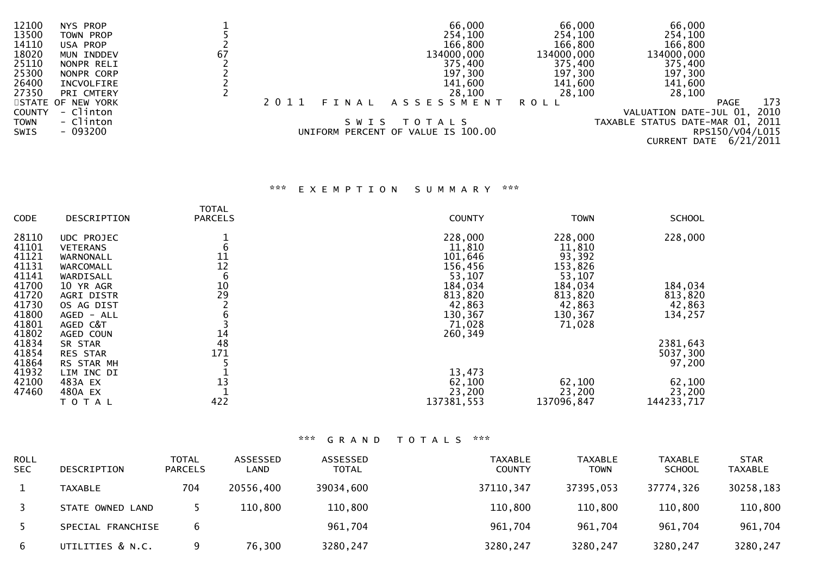| 13500<br>254,100<br>254,100<br>TOWN PROP<br>166,800<br>14110<br>166,800<br>USA PROP | 254,100<br>166,800               |
|-------------------------------------------------------------------------------------|----------------------------------|
|                                                                                     |                                  |
|                                                                                     |                                  |
| 18020<br>134000,000<br>67<br>134000,000<br>134000,000<br>MUN INDDEV                 |                                  |
| 25110<br>375,400<br>375,400<br>NONPR RELI                                           | 375,400                          |
| 25300<br>197,300<br>197,300<br>NONPR CORP                                           | 197,300                          |
| 26400<br>141,600<br>141,600<br>INCVOLFIRE                                           | 141,600                          |
| 27350<br>28,100<br>28,100<br>PRI CMTERY                                             | 28,100                           |
| A S S E S S M E N T<br>STATE OF NEW YORK<br>FINAL<br>2011<br>R O L L                | 173<br><b>PAGE</b>               |
| - Clinton<br><b>COUNTY</b>                                                          | 2010<br>VALUATION DATE-JUL 01,   |
| - Clinton<br><b>TOWN</b><br>S W I S<br>T O T A L S                                  | TAXABLE STATUS DATE-MAR 01, 2011 |
| - 093200<br>UNIFORM PERCENT OF VALUE IS 100.00<br><b>SWIS</b>                       | RPS150/V04/L015                  |
|                                                                                     | CURRENT DATE 6/21/2011           |

# \*\*\* E X E M P T I O N S U M M A R Y \*\*\*

| CODE  | DESCRIPTION     | <b>TOTAL</b><br><b>PARCELS</b> | <b>COUNTY</b> | <b>TOWN</b> | <b>SCHOOL</b> |
|-------|-----------------|--------------------------------|---------------|-------------|---------------|
|       |                 |                                |               |             |               |
| 28110 | UDC PROJEC      |                                | 228,000       | 228,000     | 228,000       |
| 41101 | <b>VETERANS</b> | 6                              | 11,810        | 11,810      |               |
| 41121 | WARNONALL       | 11                             | 101,646       | 93,392      |               |
| 41131 | WARCOMALL       | 12                             | 156,456       | 153,826     |               |
| 41141 | WARDISALL       | 6                              | 53,107        | 53,107      |               |
| 41700 | 10 YR AGR       | 10                             | 184,034       | 184,034     | 184,034       |
| 41720 | AGRI DISTR      | 29                             | 813,820       | 813,820     | 813,820       |
| 41730 | OS AG DIST      |                                | 42,863        | 42,863      | 42,863        |
| 41800 | AGED - ALL      |                                | 130,367       | 130,367     | 134,257       |
| 41801 | AGED C&T        |                                | 71,028        | 71,028      |               |
| 41802 | AGED COUN       | 14                             | 260,349       |             |               |
| 41834 | SR STAR         | 48                             |               |             | 2381,643      |
| 41854 | <b>RES STAR</b> | 171                            |               |             | 5037,300      |
| 41864 | RS STAR MH      |                                |               |             | 97,200        |
| 41932 | LIM INC DI      |                                | 13,473        |             |               |
| 42100 | 483A EX         | 13                             | 62,100        | 62,100      | 62,100        |
| 47460 | 480A EX         |                                | 23,200        | 23,200      | 23,200        |
|       | TOTAL           | 422                            | 137381,553    | 137096,847  | 144233,717    |

| <b>ROLL</b><br><b>SEC</b> | <b>DESCRIPTION</b> | <b>TOTAL</b><br><b>PARCELS</b> | ASSESSED<br>LAND | ASSESSED<br><b>TOTAL</b> | <b>TAXABLE</b><br><b>COUNTY</b> | <b>TAXABLE</b><br>TOWN | <b>TAXABLE</b><br><b>SCHOOL</b> | <b>STAR</b><br><b>TAXABLE</b> |
|---------------------------|--------------------|--------------------------------|------------------|--------------------------|---------------------------------|------------------------|---------------------------------|-------------------------------|
|                           | <b>TAXABLE</b>     | 704                            | 20556,400        | 39034,600                | 37110, 347                      | 37395,053              | 37774,326                       | 30258,183                     |
|                           | STATE OWNED LAND   |                                | 110,800          | 110,800                  | 110,800                         | 110,800                | 110,800                         | 110,800                       |
|                           | SPECIAL FRANCHISE  | 6                              |                  | 961,704                  | 961,704                         | 961,704                | 961,704                         | 961,704                       |
| -6                        | UTILITIES & N.C.   |                                | 76,300           | 3280,247                 | 3280,247                        | 3280,247               | 3280,247                        | 3280,247                      |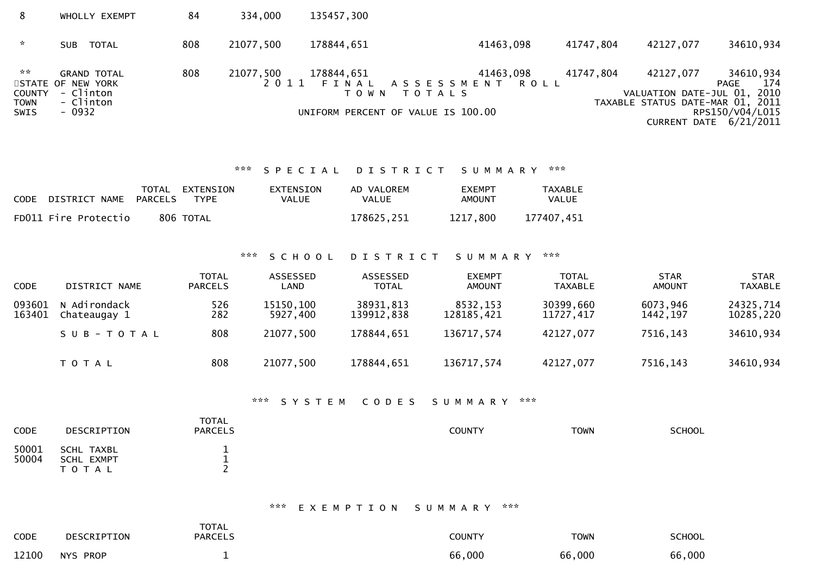| 8                                                                 | WHOLLY EXEMPT                                                               | 84  | 334,000   | 135457,300                                                  |                                                          |           |                                                                              |                                                                       |
|-------------------------------------------------------------------|-----------------------------------------------------------------------------|-----|-----------|-------------------------------------------------------------|----------------------------------------------------------|-----------|------------------------------------------------------------------------------|-----------------------------------------------------------------------|
| $\mathcal{R}$                                                     | TOTAL<br><b>SUB</b>                                                         | 808 | 21077,500 | 178844,651                                                  | 41463,098                                                | 41747,804 | 42127,077                                                                    | 34610,934                                                             |
| $\mathcal{H} \times \mathcal{H}$<br>COUNTY<br><b>TOWN</b><br>SWIS | <b>GRAND TOTAL</b><br>STATE OF NEW YORK<br>- Clinton<br>- Clinton<br>- 0932 | 808 | 21077,500 | 178844,651<br>T O W N<br>UNIFORM PERCENT OF VALUE IS 100.00 | 41463,098<br>2011 FINAL ASSESSMENT ROLL<br><b>TOTALS</b> | 41747,804 | 42127,077<br>VALUATION DATE-JUL 01, 2010<br>TAXABLE STATUS DATE-MAR 01, 2011 | 34610,934<br>174<br>PAGE<br>RPS150/V04/L015<br>CURRENT DATE 6/21/2011 |

\*\*\* S P E C I A L D I S T R I C T S U M M A R Y \*\*\*

| <b>CODE</b> | DISTRICT NAME        | PARCELS | TOTAL EXTENSION<br>TYPF | EXTENSION<br>VALUE | AD VALOREM<br><b>VALUE</b> | <b>EXEMPT</b><br>AMOUNT | TAXABLE<br><b>VALUE</b> |
|-------------|----------------------|---------|-------------------------|--------------------|----------------------------|-------------------------|-------------------------|
|             | FD011 Fire Protectio |         | 806 TOTAL               |                    | 178625,251                 | 1217.800                | 177407.451              |

\*\*\* S C H O O L D I S T R I C T S U M M A R Y \*\*\*

| <b>CODE</b>      | DISTRICT NAME                | <b>TOTAL</b><br><b>PARCELS</b> | ASSESSED<br>LAND      | ASSESSED<br><b>TOTAL</b> | <b>EXEMPT</b><br><b>AMOUNT</b> | <b>TOTAL</b><br><b>TAXABLE</b> | <b>STAR</b><br><b>AMOUNT</b> | <b>STAR</b><br><b>TAXABLE</b> |
|------------------|------------------------------|--------------------------------|-----------------------|--------------------------|--------------------------------|--------------------------------|------------------------------|-------------------------------|
| 093601<br>163401 | N Adirondack<br>Chateaugay 1 | 526<br>282                     | 15150,100<br>5927,400 | 38931,813<br>139912,838  | 8532,153<br>128185.421         | 30399,660<br>11727,417         | 6073,946<br>1442,197         | 24325,714<br>10285,220        |
|                  | SUB-TOTAL                    | 808                            | 21077,500             | 178844,651               | 136717,574                     | 42127,077                      | 7516,143                     | 34610,934                     |
|                  | T O T A L                    | 808                            | 21077,500             | 178844,651               | 136717,574                     | 42127,077                      | 7516,143                     | 34610,934                     |

\*\*\* S Y S T E M C O D E S S U M M A R Y \*\*\*

| <b>CODE</b>    | DESCRIPTION                           | <b>TOTAL</b><br><b>PARCELS</b> | <b>COUNTY</b> | <b>TOWN</b> | <b>SCHOOL</b> |
|----------------|---------------------------------------|--------------------------------|---------------|-------------|---------------|
| 50001<br>50004 | SCHL TAXBL<br>SCHL EXMPT<br>T O T A L |                                |               |             |               |

\*\*\* E X E M P T I O N S U M M A R Y \*\*\*

| <b>CODE</b> | <b>DESCRIPTION</b> | <b>TOTAL</b><br><b>PARCELS</b> | <b>COUNTY</b> | <b>TOWN</b> | <b>SCHOOL</b> |
|-------------|--------------------|--------------------------------|---------------|-------------|---------------|
| 12100       | NYS PROP           |                                | 66,000        | 66,000      | 66,000        |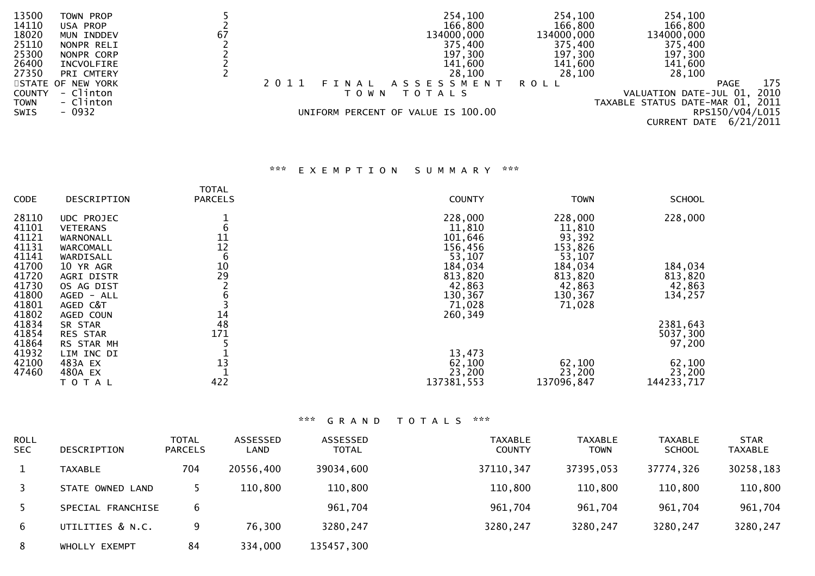| 13500       | TOWN PROP         |      | 254,100                            | 254,100    | 254,100                          |                    |
|-------------|-------------------|------|------------------------------------|------------|----------------------------------|--------------------|
| 14110       | USA PROP          |      | 166,800                            | 166,800    | 166,800                          |                    |
| 18020       | MUN INDDEV        | 67   | 134000,000                         | 134000,000 | 134000,000                       |                    |
| 25110       | NONPR RELI        |      | 375,400                            | 375,400    | 375,400                          |                    |
| 25300       | NONPR CORP        |      | 197,300                            | 197,300    | 197,300                          |                    |
| 26400       | INCVOLFIRE        |      | 141,600                            | 141,600    | 141,600                          |                    |
| 27350       | PRI CMTERY        |      | 28,100                             | 28,100     | 28,100                           |                    |
|             | STATE OF NEW YORK | 2011 | FINAL ASSESSMENT                   | ROLL       |                                  | 175<br><b>PAGE</b> |
| COUNTY      | - Clinton         |      | <b>TOTALS</b><br>T O W N           |            | VALUATION DATE-JUL 01, 2010      |                    |
| <b>TOWN</b> | - Clinton         |      |                                    |            | TAXABLE STATUS DATE-MAR 01, 2011 |                    |
| SWIS        | - 0932            |      | UNIFORM PERCENT OF VALUE IS 100.00 |            |                                  | RPS150/V04/L015    |
|             |                   |      |                                    |            | CURRENT DATE                     | 6/21/2011          |

## \*\*\* E X E M P T I O N S U M M A R Y \*\*\*

|             |                   | <b>TOTAL</b>   |               |             |               |
|-------------|-------------------|----------------|---------------|-------------|---------------|
| <b>CODE</b> | DESCRIPTION       | <b>PARCELS</b> | <b>COUNTY</b> | <b>TOWN</b> | <b>SCHOOL</b> |
| 28110       | UDC PROJEC        |                | 228,000       | 228,000     | 228,000       |
| 41101       | <b>VETERANS</b>   |                | 11,810        | 11,810      |               |
| 41121       | WARNONALL         | 11             | 101,646       | 93,392      |               |
| 41131       | WARCOMALL         | 12             | 156,456       | 153,826     |               |
| 41141       | WARDISALL         | 6              | 53,107        | 53,107      |               |
| 41700       | 10 YR AGR         | 10             | 184,034       | 184,034     | 184,034       |
| 41720       | <b>AGRI DISTR</b> | 29             | 813,820       | 813,820     | 813,820       |
| 41730       | OS AG DIST        |                | 42,863        | 42,863      | 42,863        |
| 41800       | AGED - ALL        |                | 130,367       | 130,367     | 134,257       |
| 41801       | AGED C&T          |                | 71,028        | 71,028      |               |
| 41802       | AGED COUN         | 14             | 260,349       |             |               |
| 41834       | SR STAR           | 48             |               |             | 2381,643      |
| 41854       | RES STAR          | 171            |               |             | 5037,300      |
| 41864       | RS STAR MH        |                |               |             | 97,200        |
| 41932       | LIM INC DI        |                | 13,473        |             |               |
| 42100       | 483A EX           | 13             | 62,100        | 62,100      | 62,100        |
| 47460       | 480A EX           |                | 23,200        | 23,200      | 23,200        |
|             | TOTAL             | 422            | 137381,553    | 137096,847  | 144233,717    |

| <b>ROLL</b><br><b>SEC</b> | DESCRIPTION       | <b>TOTAL</b><br><b>PARCELS</b> | ASSESSED<br>LAND | ASSESSED<br><b>TOTAL</b> | TAXABLE<br><b>COUNTY</b> | <b>TAXABLE</b><br><b>TOWN</b> | <b>TAXABLE</b><br><b>SCHOOL</b> | <b>STAR</b><br><b>TAXABLE</b> |
|---------------------------|-------------------|--------------------------------|------------------|--------------------------|--------------------------|-------------------------------|---------------------------------|-------------------------------|
|                           | <b>TAXABLE</b>    | 704                            | 20556,400        | 39034,600                | 37110, 347               | 37395,053                     | 37774,326                       | 30258,183                     |
|                           | STATE OWNED LAND  |                                | 110,800          | 110,800                  | 110,800                  | 110,800                       | 110,800                         | 110,800                       |
|                           | SPECIAL FRANCHISE | 6                              |                  | 961,704                  | 961,704                  | 961,704                       | 961,704                         | 961,704                       |
| 6                         | UTILITIES & N.C.  | 9                              | 76,300           | 3280,247                 | 3280,247                 | 3280,247                      | 3280,247                        | 3280,247                      |
| 8                         | WHOLLY EXEMPT     | 84                             | 334,000          | 135457,300               |                          |                               |                                 |                               |